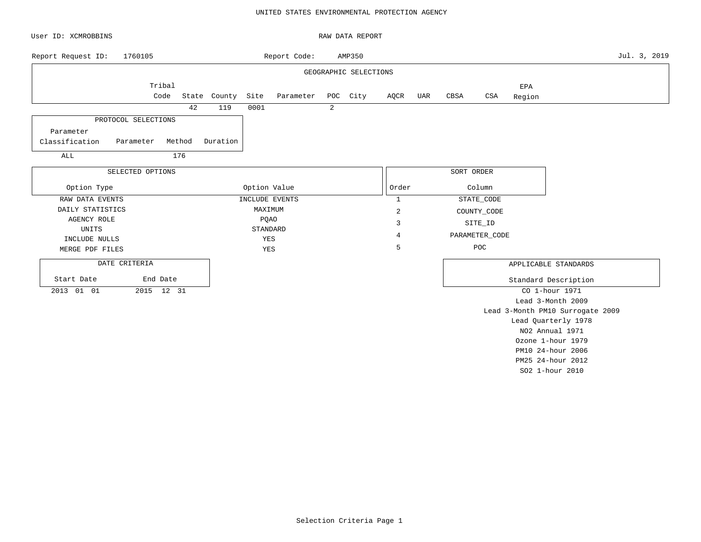### UNITED STATES ENVIRONMENTAL PROTECTION AGENCY

| User ID: XCMROBBINS         |                                  |        |              |         |                |   | RAW DATA REPORT       |                |     |            |                |               |                                  |              |
|-----------------------------|----------------------------------|--------|--------------|---------|----------------|---|-----------------------|----------------|-----|------------|----------------|---------------|----------------------------------|--------------|
| Report Request ID:          | 1760105                          |        |              |         | Report Code:   |   | AMP350                |                |     |            |                |               |                                  | Jul. 3, 2019 |
|                             |                                  |        |              |         |                |   | GEOGRAPHIC SELECTIONS |                |     |            |                |               |                                  |              |
|                             | Tribal<br>Code                   |        | State County | Site    | Parameter      |   | POC City              | AQCR           | UAR | CBSA       | CSA            | EPA<br>Region |                                  |              |
|                             |                                  | 42     | 119          | 0001    |                | 2 |                       |                |     |            |                |               |                                  |              |
| Parameter<br>Classification | PROTOCOL SELECTIONS<br>Parameter | Method | Duration     |         |                |   |                       |                |     |            |                |               |                                  |              |
| ALL                         |                                  | 176    |              |         |                |   |                       |                |     |            |                |               |                                  |              |
|                             |                                  |        |              |         |                |   |                       |                |     | SORT ORDER |                |               |                                  |              |
| Option Type                 | SELECTED OPTIONS                 |        |              |         | Option Value   |   |                       | Order          |     |            | Column         |               |                                  |              |
| RAW DATA EVENTS             |                                  |        |              |         | INCLUDE EVENTS |   |                       | $\mathbf{1}$   |     |            | STATE_CODE     |               |                                  |              |
| DAILY STATISTICS            |                                  |        |              | MAXIMUM |                |   |                       | $\overline{c}$ |     |            | COUNTY_CODE    |               |                                  |              |
| AGENCY ROLE                 |                                  |        |              |         | PQAO           |   |                       | 3              |     |            | SITE_ID        |               |                                  |              |
| UNITS                       |                                  |        |              |         | STANDARD       |   |                       | 4              |     |            | PARAMETER_CODE |               |                                  |              |
| INCLUDE NULLS               |                                  |        |              | YES     |                |   |                       | 5              |     |            | POC            |               |                                  |              |
| MERGE PDF FILES             |                                  |        |              | YES     |                |   |                       |                |     |            |                |               |                                  |              |
| DATE CRITERIA               |                                  |        |              |         |                |   |                       |                |     |            |                |               | APPLICABLE STANDARDS             |              |
| Start Date                  | End Date                         |        |              |         |                |   |                       |                |     |            |                |               | Standard Description             |              |
| 2013 01 01                  | 2015 12 31                       |        |              |         |                |   |                       |                |     |            |                |               | CO 1-hour 1971                   |              |
|                             |                                  |        |              |         |                |   |                       |                |     |            |                |               | Lead 3-Month 2009                |              |
|                             |                                  |        |              |         |                |   |                       |                |     |            |                |               | Lead 3-Month PM10 Surrogate 2009 |              |
|                             |                                  |        |              |         |                |   |                       |                |     |            |                |               | Lead Quarterly 1978              |              |
|                             |                                  |        |              |         |                |   |                       |                |     |            |                |               | NO2 Annual 1971                  |              |
|                             |                                  |        |              |         |                |   |                       |                |     |            |                |               | Ozone 1-hour 1979                |              |
|                             |                                  |        |              |         |                |   |                       |                |     |            |                |               | PM10 24-hour 2006                |              |

PM25 24-hour 2012 SO2 1-hour 2010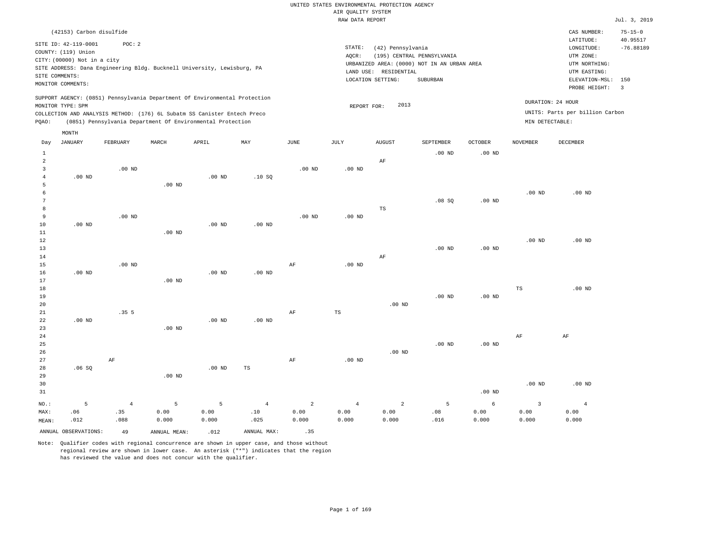|         |                                                                                                                   |                                                                                                                                                                                                                      |          |          |          |          | RAW DATA REPORT              |                                                       |                                                                                       |                   |                                      |                                                                                                              | Jul. 3, 2019                                        |
|---------|-------------------------------------------------------------------------------------------------------------------|----------------------------------------------------------------------------------------------------------------------------------------------------------------------------------------------------------------------|----------|----------|----------|----------|------------------------------|-------------------------------------------------------|---------------------------------------------------------------------------------------|-------------------|--------------------------------------|--------------------------------------------------------------------------------------------------------------|-----------------------------------------------------|
|         | (42153) Carbon disulfide                                                                                          |                                                                                                                                                                                                                      |          |          |          |          |                              |                                                       |                                                                                       |                   |                                      | CAS NUMBER:                                                                                                  | $75 - 15 - 0$                                       |
|         | SITE ID: 42-119-0001<br>COUNTY: (119) Union<br>CITY: (00000) Not in a city<br>SITE COMMENTS:<br>MONITOR COMMENTS: | POC: 2<br>SITE ADDRESS: Dana Engineering Bldg. Bucknell University, Lewisburg, PA                                                                                                                                    |          |          |          |          | STATE:<br>AOCR:<br>LAND USE: | (42) Pennsylvania<br>RESIDENTIAL<br>LOCATION SETTING: | (195) CENTRAL PENNSYLVANIA<br>URBANIZED AREA: (0000) NOT IN AN URBAN AREA<br>SUBURBAN |                   |                                      | LATITUDE:<br>LONGITUDE:<br>UTM ZONE:<br>UTM NORTHING:<br>UTM EASTING:<br>ELEVATION-MSL: 150<br>PROBE HEIGHT: | 40.95517<br>$-76.88189$<br>$\overline{\phantom{a}}$ |
| POAO:   | MONITOR TYPE: SPM                                                                                                 | SUPPORT AGENCY: (0851) Pennsylvania Department Of Environmental Protection<br>COLLECTION AND ANALYSIS METHOD: (176) 6L Subatm SS Canister Entech Preco<br>(0851) Pennsylvania Department Of Environmental Protection |          |          |          |          |                              | 2013<br>REPORT FOR:                                   |                                                                                       |                   | DURATION: 24 HOUR<br>MIN DETECTABLE: | UNITS: Parts per billion Carbon                                                                              |                                                     |
| Day     | MONTH<br>JANUARY                                                                                                  | FEBRUARY                                                                                                                                                                                                             | MARCH    | APRIL    | MAY      | JUNE     | JULY                         | <b>AUGUST</b>                                         | SEPTEMBER                                                                             | <b>OCTOBER</b>    | <b>NOVEMBER</b>                      | DECEMBER                                                                                                     |                                                     |
| 2       | $.00$ ND                                                                                                          | $.00$ ND                                                                                                                                                                                                             |          | $.00$ ND | .10S     | $.00$ ND | $.00$ ND                     | AF                                                    | .00 <sub>ND</sub>                                                                     | .00 <sub>ND</sub> |                                      |                                                                                                              |                                                     |
| 5       |                                                                                                                   |                                                                                                                                                                                                                      | $.00$ ND |          |          |          |                              | TS                                                    | .08S                                                                                  | $.00$ ND          | $.00$ ND                             | $.00$ ND                                                                                                     |                                                     |
| 9<br>10 | $.00$ ND                                                                                                          | $.00$ ND                                                                                                                                                                                                             |          | $.00$ ND | $.00$ ND | $.00$ ND | $.00$ ND                     |                                                       |                                                                                       |                   |                                      |                                                                                                              |                                                     |

| 11         |          |          | $.00$ ND        |          |          |    |          |          |          |          |             |          |
|------------|----------|----------|-----------------|----------|----------|----|----------|----------|----------|----------|-------------|----------|
| 12         |          |          |                 |          |          |    |          |          |          |          | .00 $ND$    | .00 $ND$ |
| 13         |          |          |                 |          |          |    |          |          | $.00$ ND | $.00$ ND |             |          |
| 14         |          |          |                 |          |          |    |          | AF       |          |          |             |          |
| 15         |          | $.00$ ND |                 |          |          | AF | $.00$ ND |          |          |          |             |          |
| 16         | $.00$ ND |          |                 | $.00$ ND | $.00$ ND |    |          |          |          |          |             |          |
| 17         |          |          | $.00$ ND        |          |          |    |          |          |          |          |             |          |
| 18         |          |          |                 |          |          |    |          |          |          |          | $_{\rm TS}$ | .00 $ND$ |
| 19         |          |          |                 |          |          |    |          |          | $.00$ ND | $.00$ ND |             |          |
| 20         |          |          |                 |          |          |    |          | $.00$ ND |          |          |             |          |
| ${\bf 21}$ |          | .355     |                 |          |          | AF | TS       |          |          |          |             |          |
| 22         | $.00$ ND |          |                 | $.00$ ND | $.00$ ND |    |          |          |          |          |             |          |
| 23         |          |          | $.00$ ND        |          |          |    |          |          |          |          |             |          |
| 24         |          |          |                 |          |          |    |          |          |          |          | AF          | AF       |
| 25         |          |          |                 |          |          |    |          |          | $.00$ ND | $.00$ ND |             |          |
| 26         |          |          |                 |          |          |    |          | $.00$ ND |          |          |             |          |
| 27         |          | AF       |                 |          |          | AF | $.00$ ND |          |          |          |             |          |
| 28         | .06SQ    |          |                 | $.00$ ND | TS       |    |          |          |          |          |             |          |
| $\sim$     |          |          | $0.0 \text{ m}$ |          |          |    |          |          |          |          |             |          |

| 29    |             |       | $.00$ ND |       |          |       |       |       |         |          |                   |          |
|-------|-------------|-------|----------|-------|----------|-------|-------|-------|---------|----------|-------------------|----------|
| 30    |             |       |          |       |          |       |       |       |         |          | .00 <sub>ND</sub> | $.00$ ND |
| 31    |             |       |          |       |          |       |       |       |         | $.00$ ND |                   |          |
| NO.:  | $5^{\circ}$ | $4 -$ | $5 - 5$  |       | $5 \t 4$ | 2 4   |       |       | $5 - 5$ | 6        |                   |          |
| MAX:  | .06         | .35   | 0.00     | 0.00  | .10      | 0.00  | 0.00  | 0.00  | .08     | 0.00     | 0.00              | 0.00     |
| MEAN: | .012        | .088  | 0.000    | 0.000 | .025     | 0.000 | 0.000 | 0.000 | .016    | 0.000    | 0.000             | 0.000    |

ANNUAL OBSERVATIONS:  $\begin{array}{ccc} 49 & \quad \quad \text{ANNUAL} & \text{MENI:} \end{array}$  .012 ANNUAL MAX: .35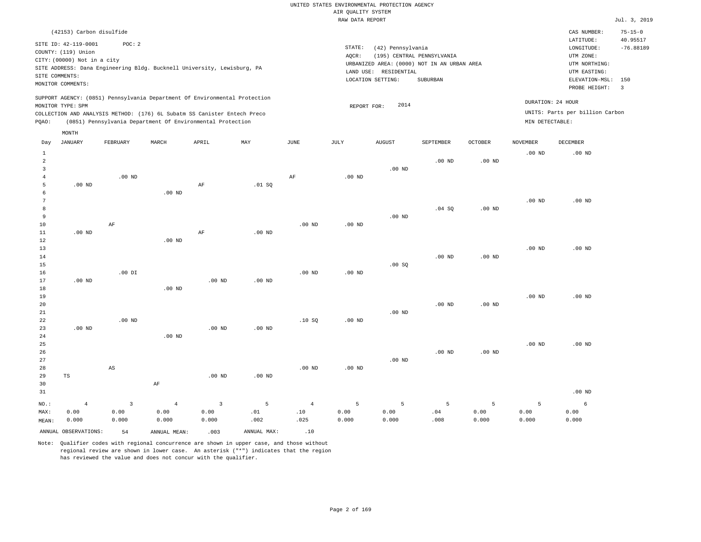|                |                             |                |                   |                                                                            |                   |                   |                    | UNITED STATES ENVIRONMENTAL PROTECTION AGENCY |                                             |                   |                   |                                 |                         |
|----------------|-----------------------------|----------------|-------------------|----------------------------------------------------------------------------|-------------------|-------------------|--------------------|-----------------------------------------------|---------------------------------------------|-------------------|-------------------|---------------------------------|-------------------------|
|                |                             |                |                   |                                                                            |                   |                   | AIR QUALITY SYSTEM |                                               |                                             |                   |                   |                                 |                         |
|                |                             |                |                   |                                                                            |                   |                   | RAW DATA REPORT    |                                               |                                             |                   |                   |                                 | Jul. 3, 2019            |
|                | (42153) Carbon disulfide    |                |                   |                                                                            |                   |                   |                    |                                               |                                             |                   |                   | CAS NUMBER:                     | $75 - 15 - 0$           |
|                | SITE ID: 42-119-0001        | POC: 2         |                   |                                                                            |                   |                   |                    |                                               |                                             |                   |                   | LATITUDE:                       | 40.95517                |
|                | COUNTY: (119) Union         |                |                   |                                                                            |                   |                   | STATE:             | (42) Pennsylvania                             |                                             |                   |                   | $\texttt{LONGITUDE}$ :          | $-76.88189$             |
|                | CITY: (00000) Not in a city |                |                   |                                                                            |                   |                   | AOCR:              |                                               | (195) CENTRAL PENNSYLVANIA                  |                   |                   | UTM ZONE:                       |                         |
|                |                             |                |                   | SITE ADDRESS: Dana Engineering Bldg. Bucknell University, Lewisburg, PA    |                   |                   |                    |                                               | URBANIZED AREA: (0000) NOT IN AN URBAN AREA |                   |                   | UTM NORTHING:<br>UTM EASTING:   |                         |
| SITE COMMENTS: |                             |                |                   |                                                                            |                   |                   |                    | LAND USE: RESIDENTIAL<br>LOCATION SETTING:    | SUBURBAN                                    |                   |                   | ELEVATION-MSL:                  | 150                     |
|                | MONITOR COMMENTS:           |                |                   |                                                                            |                   |                   |                    |                                               |                                             |                   |                   | PROBE HEIGHT:                   | $\overline{\mathbf{3}}$ |
|                |                             |                |                   | SUPPORT AGENCY: (0851) Pennsylvania Department Of Environmental Protection |                   |                   |                    |                                               |                                             |                   |                   |                                 |                         |
|                | MONITOR TYPE: SPM           |                |                   |                                                                            |                   |                   | REPORT FOR:        | 2014                                          |                                             |                   |                   | DURATION: 24 HOUR               |                         |
|                |                             |                |                   | COLLECTION AND ANALYSIS METHOD: (176) 6L Subatm SS Canister Entech Preco   |                   |                   |                    |                                               |                                             |                   |                   | UNITS: Parts per billion Carbon |                         |
| PQAO:          |                             |                |                   | (0851) Pennsylvania Department Of Environmental Protection                 |                   |                   |                    |                                               |                                             |                   | MIN DETECTABLE:   |                                 |                         |
|                | MONTH                       |                |                   |                                                                            |                   |                   |                    |                                               |                                             |                   |                   |                                 |                         |
| Day            | <b>JANUARY</b>              | FEBRUARY       | MARCH             | APRIL                                                                      | MAY               | <b>JUNE</b>       | JULY               | <b>AUGUST</b>                                 | SEPTEMBER                                   | <b>OCTOBER</b>    | <b>NOVEMBER</b>   | <b>DECEMBER</b>                 |                         |
| $\mathbf{1}$   |                             |                |                   |                                                                            |                   |                   |                    |                                               |                                             |                   | .00 <sub>ND</sub> | $.00$ ND                        |                         |
| $\overline{a}$ |                             |                |                   |                                                                            |                   |                   |                    |                                               | $.00$ ND                                    | $.00$ ND          |                   |                                 |                         |
| $\overline{3}$ |                             |                |                   |                                                                            |                   |                   |                    | $.00$ ND                                      |                                             |                   |                   |                                 |                         |
| 4              |                             | $.00$ ND       |                   |                                                                            |                   | AF                | $.00$ ND           |                                               |                                             |                   |                   |                                 |                         |
| 5<br>6         | $.00$ ND                    |                | $.00$ ND          | AF                                                                         | .01 SQ            |                   |                    |                                               |                                             |                   |                   |                                 |                         |
| 7              |                             |                |                   |                                                                            |                   |                   |                    |                                               |                                             |                   | .00 <sub>ND</sub> | $.00$ ND                        |                         |
| $^{\rm 8}$     |                             |                |                   |                                                                            |                   |                   |                    |                                               | .04 SQ                                      | $.00$ ND          |                   |                                 |                         |
| 9              |                             |                |                   |                                                                            |                   |                   |                    | $.00$ ND                                      |                                             |                   |                   |                                 |                         |
| 10             |                             | $\rm AF$       |                   |                                                                            |                   | .00 <sub>ND</sub> | .00 <sub>ND</sub>  |                                               |                                             |                   |                   |                                 |                         |
| 11             | $.00$ ND                    |                |                   | AF                                                                         | .00 <sub>ND</sub> |                   |                    |                                               |                                             |                   |                   |                                 |                         |
| 12             |                             |                | $.00$ ND          |                                                                            |                   |                   |                    |                                               |                                             |                   |                   |                                 |                         |
| 13             |                             |                |                   |                                                                            |                   |                   |                    |                                               |                                             |                   | .00 <sub>ND</sub> | .00 <sub>ND</sub>               |                         |
| 14             |                             |                |                   |                                                                            |                   |                   |                    |                                               | $.00$ ND                                    | .00 <sub>ND</sub> |                   |                                 |                         |
| 15<br>16       |                             | $.00$ DI       |                   |                                                                            |                   | .00 <sub>ND</sub> | $.00$ ND           | .00 SQ                                        |                                             |                   |                   |                                 |                         |
| 17             | .00 <sub>ND</sub>           |                |                   | .00 <sub>ND</sub>                                                          | .00 <sub>ND</sub> |                   |                    |                                               |                                             |                   |                   |                                 |                         |
| 18             |                             |                | .00 <sub>ND</sub> |                                                                            |                   |                   |                    |                                               |                                             |                   |                   |                                 |                         |
| 19             |                             |                |                   |                                                                            |                   |                   |                    |                                               |                                             |                   | $.00$ ND          | $.00$ ND                        |                         |
| 20             |                             |                |                   |                                                                            |                   |                   |                    |                                               | $.00$ ND                                    | $.00$ ND          |                   |                                 |                         |
| 21             |                             |                |                   |                                                                            |                   |                   |                    | $.00$ ND                                      |                                             |                   |                   |                                 |                         |
| 22             |                             | $.00$ ND       |                   |                                                                            |                   | .10SQ             | $.00$ ND           |                                               |                                             |                   |                   |                                 |                         |
| 23             | $.00$ ND                    |                |                   | $.00$ ND                                                                   | .00 <sub>ND</sub> |                   |                    |                                               |                                             |                   |                   |                                 |                         |
| 24             |                             |                | $.00$ ND          |                                                                            |                   |                   |                    |                                               |                                             |                   |                   |                                 |                         |
| 25<br>26       |                             |                |                   |                                                                            |                   |                   |                    |                                               | $.00$ ND                                    | .00 <sub>ND</sub> | $.00$ ND          | .00 <sub>ND</sub>               |                         |
| 27             |                             |                |                   |                                                                            |                   |                   |                    | $.00$ ND                                      |                                             |                   |                   |                                 |                         |
| 28             |                             | $_{\rm AS}$    |                   |                                                                            |                   | $.00$ ND          | $.00$ ND           |                                               |                                             |                   |                   |                                 |                         |
| 29             | $\operatorname{TS}$         |                |                   | $.00$ ND                                                                   | .00 <sub>ND</sub> |                   |                    |                                               |                                             |                   |                   |                                 |                         |
| 30             |                             |                | AF                |                                                                            |                   |                   |                    |                                               |                                             |                   |                   |                                 |                         |
| 31             |                             |                |                   |                                                                            |                   |                   |                    |                                               |                                             |                   |                   | $.00$ ND                        |                         |
| NO.:           | $\overline{4}$              | $\overline{3}$ | $\overline{4}$    | $\overline{3}$                                                             | $\overline{5}$    | $\overline{4}$    | 5                  | 5                                             | 5                                           | 5                 | $\overline{5}$    | 6                               |                         |
| MAX:           | 0.00                        | 0.00           | 0.00              | 0.00                                                                       | .01               | .10               | 0.00               | 0.00                                          | .04                                         | 0.00              | 0.00              | 0.00                            |                         |
| MEAN:          | 0.000                       | 0.000          | 0.000             | 0.000                                                                      | .002              | .025              | 0.000              | 0.000                                         | .008                                        | 0.000             | 0.000             | 0.000                           |                         |
|                | ANNUAL OBSERVATIONS:        | 54             | ANNUAL, MEAN:     | .003                                                                       | ANNUAL MAX:       | .10               |                    |                                               |                                             |                   |                   |                                 |                         |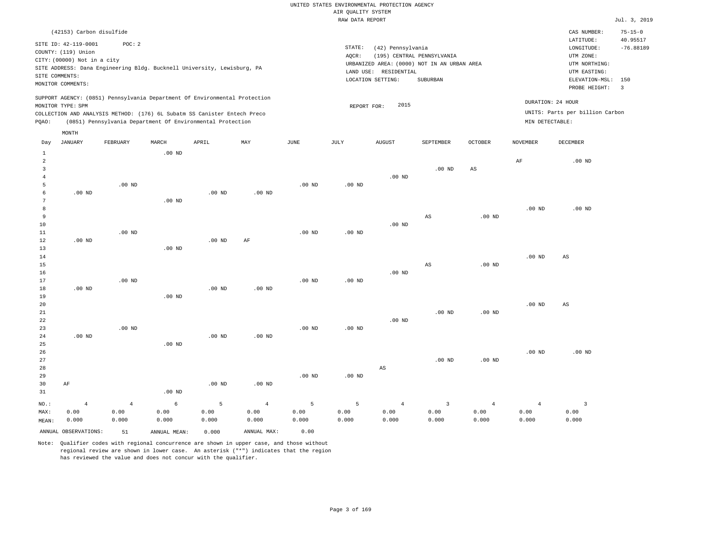|                     |                             |                                                                            |                   |                   |                   |          | und Kountry arathu |                        |                                             |                        |                   |                                 |                |
|---------------------|-----------------------------|----------------------------------------------------------------------------|-------------------|-------------------|-------------------|----------|--------------------|------------------------|---------------------------------------------|------------------------|-------------------|---------------------------------|----------------|
|                     |                             |                                                                            |                   |                   |                   |          | RAW DATA REPORT    |                        |                                             |                        |                   |                                 | Jul. 3, 2019   |
|                     | (42153) Carbon disulfide    |                                                                            |                   |                   |                   |          |                    |                        |                                             |                        |                   | CAS NUMBER:                     | $75 - 15 - 0$  |
|                     | SITE ID: 42-119-0001        | POC: 2                                                                     |                   |                   |                   |          |                    |                        |                                             |                        |                   | LATITUDE:                       | 40.95517       |
|                     | COUNTY: (119) Union         |                                                                            |                   |                   |                   |          | STATE:             | (42) Pennsylvania      |                                             |                        |                   | LONGITUDE:                      | $-76.88189$    |
|                     | CITY: (00000) Not in a city |                                                                            |                   |                   |                   |          | AQCR:              |                        | (195) CENTRAL PENNSYLVANIA                  |                        |                   | UTM ZONE:                       |                |
|                     |                             | SITE ADDRESS: Dana Engineering Bldg. Bucknell University, Lewisburg, PA    |                   |                   |                   |          |                    |                        | URBANIZED AREA: (0000) NOT IN AN URBAN AREA |                        |                   | UTM NORTHING:                   |                |
|                     | SITE COMMENTS:              |                                                                            |                   |                   |                   |          |                    | LAND USE: RESIDENTIAL  |                                             |                        |                   | UTM EASTING:                    |                |
|                     |                             |                                                                            |                   |                   |                   |          |                    | LOCATION SETTING:      | SUBURBAN                                    |                        |                   | ELEVATION-MSL:                  | 150            |
|                     | MONITOR COMMENTS:           |                                                                            |                   |                   |                   |          |                    |                        |                                             |                        |                   | PROBE HEIGHT:                   | $\overline{3}$ |
|                     |                             | SUPPORT AGENCY: (0851) Pennsylvania Department Of Environmental Protection |                   |                   |                   |          |                    |                        |                                             |                        |                   | DURATION: 24 HOUR               |                |
|                     | MONITOR TYPE: SPM           |                                                                            |                   |                   |                   |          | REPORT FOR:        | 2015                   |                                             |                        |                   |                                 |                |
|                     |                             | COLLECTION AND ANALYSIS METHOD: (176) 6L Subatm SS Canister Entech Preco   |                   |                   |                   |          |                    |                        |                                             |                        |                   | UNITS: Parts per billion Carbon |                |
| PQAO:               |                             | (0851) Pennsylvania Department Of Environmental Protection                 |                   |                   |                   |          |                    |                        |                                             |                        | MIN DETECTABLE:   |                                 |                |
|                     | MONTH<br><b>JANUARY</b>     | FEBRUARY                                                                   | MARCH             | APRIL             | MAY               | JUNE     | JULY               | <b>AUGUST</b>          | SEPTEMBER                                   | <b>OCTOBER</b>         | <b>NOVEMBER</b>   | <b>DECEMBER</b>                 |                |
| Day                 |                             |                                                                            |                   |                   |                   |          |                    |                        |                                             |                        |                   |                                 |                |
| $\mathbf{1}$        |                             |                                                                            | .00 <sub>ND</sub> |                   |                   |          |                    |                        |                                             |                        |                   |                                 |                |
| $\overline{2}$<br>3 |                             |                                                                            |                   |                   |                   |          |                    |                        |                                             |                        | $\rm AF$          | $.00$ ND                        |                |
|                     |                             |                                                                            |                   |                   |                   |          |                    | $.00$ ND               | $.00$ ND                                    | $\mathbb{A}\mathbb{S}$ |                   |                                 |                |
| 4<br>5              |                             | $.00$ ND                                                                   |                   |                   |                   | $.00$ ND | .00 <sub>ND</sub>  |                        |                                             |                        |                   |                                 |                |
| 6                   | .00 <sub>ND</sub>           |                                                                            |                   | $.00$ ND          | $.00$ ND          |          |                    |                        |                                             |                        |                   |                                 |                |
| 7                   |                             |                                                                            | $.00$ ND          |                   |                   |          |                    |                        |                                             |                        |                   |                                 |                |
| 8                   |                             |                                                                            |                   |                   |                   |          |                    |                        |                                             |                        | .00 <sub>ND</sub> | $.00$ ND                        |                |
| 9                   |                             |                                                                            |                   |                   |                   |          |                    |                        | AS                                          | $.00$ ND               |                   |                                 |                |
| 10                  |                             |                                                                            |                   |                   |                   |          |                    | $.00$ ND               |                                             |                        |                   |                                 |                |
| 11                  |                             | $.00$ ND                                                                   |                   |                   |                   | $.00$ ND | $.00$ ND           |                        |                                             |                        |                   |                                 |                |
| 12                  | $.00$ ND                    |                                                                            |                   | .00 <sub>ND</sub> | AF                |          |                    |                        |                                             |                        |                   |                                 |                |
| 13                  |                             |                                                                            | $.00$ ND          |                   |                   |          |                    |                        |                                             |                        |                   |                                 |                |
| 14                  |                             |                                                                            |                   |                   |                   |          |                    |                        |                                             |                        | $.00$ ND          | $\mathbb{A}\mathbb{S}$          |                |
| 15                  |                             |                                                                            |                   |                   |                   |          |                    |                        | AS                                          | .00 <sub>ND</sub>      |                   |                                 |                |
| 16                  |                             |                                                                            |                   |                   |                   |          |                    | $.00$ ND               |                                             |                        |                   |                                 |                |
| 17                  |                             | $.00$ ND                                                                   |                   |                   |                   | $.00$ ND | .00 <sub>ND</sub>  |                        |                                             |                        |                   |                                 |                |
| 18                  | $.00$ ND                    |                                                                            |                   | $.00$ ND          | $.00$ ND          |          |                    |                        |                                             |                        |                   |                                 |                |
| 19                  |                             |                                                                            | $.00$ ND          |                   |                   |          |                    |                        |                                             |                        |                   |                                 |                |
| 20                  |                             |                                                                            |                   |                   |                   |          |                    |                        |                                             |                        | .00 <sub>ND</sub> | AS                              |                |
| 21                  |                             |                                                                            |                   |                   |                   |          |                    |                        | $.00$ ND                                    | $.00$ ND               |                   |                                 |                |
| 22                  |                             |                                                                            |                   |                   |                   |          |                    | $.00$ ND               |                                             |                        |                   |                                 |                |
| 23                  |                             | $.00$ ND                                                                   |                   |                   |                   | $.00$ ND | $.00$ ND           |                        |                                             |                        |                   |                                 |                |
| 24                  | .00 <sub>ND</sub>           |                                                                            |                   | $.00$ ND          | .00 <sub>ND</sub> |          |                    |                        |                                             |                        |                   |                                 |                |
| 25                  |                             |                                                                            | $.00$ ND          |                   |                   |          |                    |                        |                                             |                        |                   |                                 |                |
| 26                  |                             |                                                                            |                   |                   |                   |          |                    |                        |                                             |                        | .00 <sub>ND</sub> | $.00$ ND                        |                |
| 27                  |                             |                                                                            |                   |                   |                   |          |                    |                        | $.00$ ND                                    | $.00$ ND               |                   |                                 |                |
| 28                  |                             |                                                                            |                   |                   |                   |          |                    | $\mathbb{A}\mathbb{S}$ |                                             |                        |                   |                                 |                |
| 29                  |                             |                                                                            |                   |                   |                   | $.00$ ND | .00 <sub>ND</sub>  |                        |                                             |                        |                   |                                 |                |
| 30                  | AF                          |                                                                            |                   | $.00$ ND          | $.00$ ND          |          |                    |                        |                                             |                        |                   |                                 |                |
| 21                  |                             |                                                                            | $00 \text{ MP}$   |                   |                   |          |                    |                        |                                             |                        |                   |                                 |                |

| 31      |                      |                | .00 <sub>ND</sub> |           |             |             |         |          |       |       |       |       |
|---------|----------------------|----------------|-------------------|-----------|-------------|-------------|---------|----------|-------|-------|-------|-------|
| $NO.$ : | -4                   | 4 <sup>1</sup> | 6 - 10            | $-5$ $-5$ |             | $4\qquad 5$ | $5 - 5$ | $\sim$ 4 |       | -4    |       |       |
| MAX:    | 0.00                 | 0.00           | 0.00              | 0.00      | 0.00        | 0.00        | 0.00    | 0.00     | 0.00  | 0.00  | 0.00  | 0.00  |
| MEAN:   | 0.000                | 0.000          | 0.000             | 0.000     | 0.000       | 0.000       | 0.000   | 0.000    | 0.000 | 0.000 | 0.000 | 0.000 |
|         | ANNUAL OBSERVATIONS: | 51             | ANNUAL MEAN:      | 0.000     | ANNUAL MAX: | 0.00        |         |          |       |       |       |       |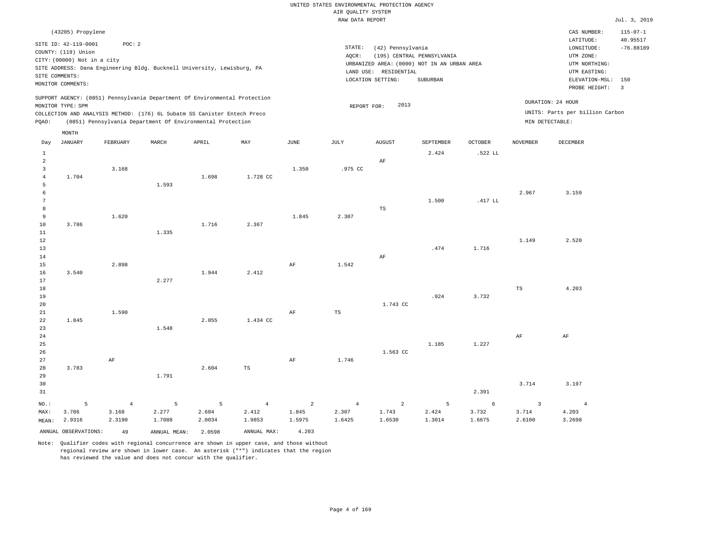|                                                 |                                                                                                                      |                                     |                                                                                                                                                                                                                      |                                |                                                  |                                            | AIR QUALITY SYSTEM                | UNITED STATES ENVIRONMENTAL PROTECTION AGENCY                                                                  |                                        |                      |                                   |                                                                                                        |                                                  |
|-------------------------------------------------|----------------------------------------------------------------------------------------------------------------------|-------------------------------------|----------------------------------------------------------------------------------------------------------------------------------------------------------------------------------------------------------------------|--------------------------------|--------------------------------------------------|--------------------------------------------|-----------------------------------|----------------------------------------------------------------------------------------------------------------|----------------------------------------|----------------------|-----------------------------------|--------------------------------------------------------------------------------------------------------|--------------------------------------------------|
|                                                 |                                                                                                                      |                                     |                                                                                                                                                                                                                      |                                |                                                  |                                            | RAW DATA REPORT                   |                                                                                                                |                                        |                      |                                   |                                                                                                        | Jul. 3, 2019                                     |
| SITE COMMENTS:                                  | (43205) Propylene<br>SITE ID: 42-119-0001<br>COUNTY: (119) Union<br>CITY: (00000) Not in a city<br>MONITOR COMMENTS: | POC: 2                              | SITE ADDRESS: Dana Engineering Bldg. Bucknell University, Lewisburg, PA                                                                                                                                              |                                |                                                  |                                            | $\texttt{STATE}{}:$<br>AOCR:      | (42) Pennsylvania<br>URBANIZED AREA: (0000) NOT IN AN URBAN AREA<br>LAND USE: RESIDENTIAL<br>LOCATION SETTING: | (195) CENTRAL PENNSYLVANIA<br>SUBURBAN |                      |                                   | CAS NUMBER:<br>LATITUDE:<br>LONGITUDE:<br>UTM ZONE:<br>UTM NORTHING:<br>UTM EASTING:<br>ELEVATION-MSL: | $115 - 07 - 1$<br>40.95517<br>$-76.88189$<br>150 |
| PQAO:                                           | MONITOR TYPE: SPM                                                                                                    |                                     | SUPPORT AGENCY: (0851) Pennsylvania Department Of Environmental Protection<br>COLLECTION AND ANALYSIS METHOD: (176) 6L Subatm SS Canister Entech Preco<br>(0851) Pennsylvania Department Of Environmental Protection |                                |                                                  |                                            | REPORT FOR:                       | 2013                                                                                                           |                                        |                      |                                   | PROBE HEIGHT:<br>DURATION: 24 HOUR<br>UNITS: Parts per billion Carbon<br>MIN DETECTABLE:               | $\overline{\mathbf{3}}$                          |
|                                                 | MONTH                                                                                                                |                                     |                                                                                                                                                                                                                      |                                |                                                  |                                            |                                   |                                                                                                                |                                        |                      |                                   |                                                                                                        |                                                  |
| Day<br>$\mathbf{1}$<br>$\overline{a}$           | <b>JANUARY</b>                                                                                                       | FEBRUARY                            | MARCH                                                                                                                                                                                                                | APRIL                          | MAY                                              | <b>JUNE</b>                                | $\mathtt{JULY}$                   | <b>AUGUST</b><br>AF                                                                                            | SEPTEMBER<br>2.424                     | OCTOBER<br>.522 LL   | <b>NOVEMBER</b>                   | <b>DECEMBER</b>                                                                                        |                                                  |
| $\overline{3}$<br>$\sqrt{4}$<br>5<br>$\sqrt{6}$ | 1.704                                                                                                                | 3.168                               | 1.593                                                                                                                                                                                                                | 1.698                          | 1.728 CC                                         | 1.350                                      | .975 CC                           |                                                                                                                |                                        |                      | 2.967                             | 3.159                                                                                                  |                                                  |
| 7<br>$^{\rm 8}$<br>9<br>10                      | 3.786                                                                                                                | 1.620                               |                                                                                                                                                                                                                      | 1.716                          | 2.367                                            | 1.845                                      | 2.307                             | TS                                                                                                             | 1.500                                  | .417 LL              |                                   |                                                                                                        |                                                  |
| $1\,1$<br>$1\,2$<br>13                          |                                                                                                                      |                                     | 1.335                                                                                                                                                                                                                |                                |                                                  |                                            |                                   |                                                                                                                | .474                                   | 1.716                | 1.149                             | 2.520                                                                                                  |                                                  |
| 14<br>15<br>16<br>$17$                          | 3.540                                                                                                                | 2.898                               | 2.277                                                                                                                                                                                                                | 1.944                          | 2.412                                            | $\rm{AF}$                                  | 1.542                             | AF                                                                                                             |                                        |                      |                                   |                                                                                                        |                                                  |
| 18<br>19<br>20<br>21                            |                                                                                                                      | 1.590                               |                                                                                                                                                                                                                      |                                |                                                  | AF                                         | $_{\rm TS}$                       | 1.743 CC                                                                                                       | .924                                   | 3.732                | TS                                | 4.203                                                                                                  |                                                  |
| 22<br>23<br>24<br>25                            | 1.845                                                                                                                |                                     | 1.548                                                                                                                                                                                                                | 2.055                          | 1.434 CC                                         |                                            |                                   |                                                                                                                | 1.185                                  | 1.227                | AF                                | $\rm{AF}$                                                                                              |                                                  |
| 26<br>27<br>28<br>29                            | 3.783                                                                                                                | $\rm{AF}$                           | 1.791                                                                                                                                                                                                                | 2.604                          | $_{\rm TS}$                                      | $\rm AF$                                   | 1.746                             | 1.563 CC                                                                                                       |                                        |                      |                                   |                                                                                                        |                                                  |
| 30<br>31                                        |                                                                                                                      |                                     |                                                                                                                                                                                                                      |                                |                                                  |                                            |                                   |                                                                                                                |                                        | 2.391                | 3.714                             | 3.197                                                                                                  |                                                  |
| NO.:<br>MAX:<br>MEAN:                           | 5<br>3.786<br>2.9316<br>ANNUAL OBSERVATIONS:                                                                         | $\sqrt{4}$<br>3.168<br>2.3190<br>49 | $\overline{5}$<br>2.277<br>1.7088<br>ANNUAL, MEAN:                                                                                                                                                                   | 5<br>2.604<br>2.0034<br>2.0598 | $\overline{4}$<br>2.412<br>1.9853<br>ANNUAL MAX: | $\overline{a}$<br>1.845<br>1.5975<br>4.203 | $\overline{4}$<br>2.307<br>1.6425 | $\overline{a}$<br>1.743<br>1.6530                                                                              | 5<br>2.424<br>1.3014                   | 6<br>3.732<br>1.6675 | $\overline{3}$<br>3.714<br>2.6100 | $\overline{4}$<br>4.203<br>3.2698                                                                      |                                                  |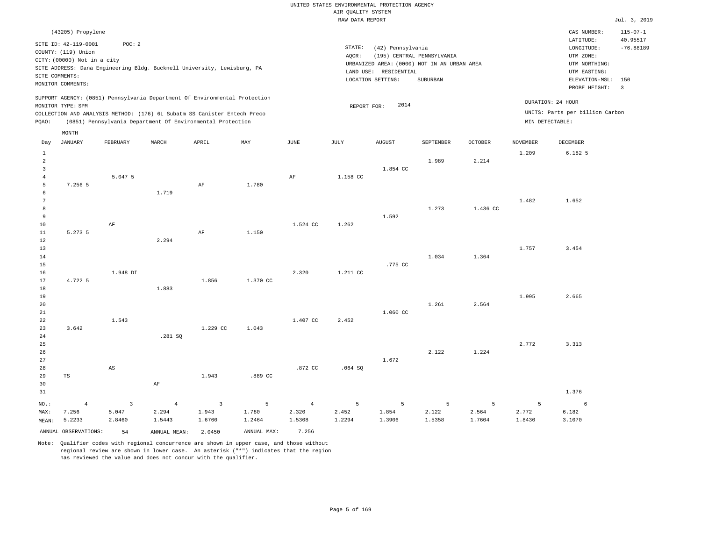|                                           |                                                                                                                   |                                            |                                                                                                                                        |                                   |                               |                                   | AIR QUALITY SYSTEM   | UNITED STATES ENVIRONMENTAL PROTECTION AGENCY                   |                                                                                       |                      |                                   |                                                                            |                            |
|-------------------------------------------|-------------------------------------------------------------------------------------------------------------------|--------------------------------------------|----------------------------------------------------------------------------------------------------------------------------------------|-----------------------------------|-------------------------------|-----------------------------------|----------------------|-----------------------------------------------------------------|---------------------------------------------------------------------------------------|----------------------|-----------------------------------|----------------------------------------------------------------------------|----------------------------|
|                                           |                                                                                                                   |                                            |                                                                                                                                        |                                   |                               |                                   | RAW DATA REPORT      |                                                                 |                                                                                       |                      |                                   |                                                                            | Jul. 3, 2019               |
|                                           | (43205) Propylene                                                                                                 |                                            |                                                                                                                                        |                                   |                               |                                   |                      |                                                                 |                                                                                       |                      |                                   | CAS NUMBER:<br>LATITUDE:                                                   | $115 - 07 - 1$<br>40.95517 |
|                                           | SITE ID: 42-119-0001<br>COUNTY: (119) Union<br>CITY: (00000) Not in a city<br>SITE COMMENTS:<br>MONITOR COMMENTS: | POC: 2                                     | SITE ADDRESS: Dana Engineering Bldg. Bucknell University, Lewisburg, PA                                                                |                                   |                               |                                   | STATE:<br>AOCR:      | (42) Pennsylvania<br>LAND USE: RESIDENTIAL<br>LOCATION SETTING: | (195) CENTRAL PENNSYLVANIA<br>URBANIZED AREA: (0000) NOT IN AN URBAN AREA<br>SUBURBAN |                      |                                   | LONGITUDE:<br>UTM ZONE:<br>UTM NORTHING:<br>UTM EASTING:<br>ELEVATION-MSL: | $-76.88189$<br>150         |
|                                           | MONITOR TYPE: SPM                                                                                                 |                                            | SUPPORT AGENCY: (0851) Pennsylvania Department Of Environmental Protection                                                             |                                   |                               |                                   | REPORT FOR:          | 2014                                                            |                                                                                       |                      |                                   | PROBE HEIGHT:<br>DURATION: 24 HOUR                                         | $\overline{3}$             |
| PQAO:                                     |                                                                                                                   |                                            | COLLECTION AND ANALYSIS METHOD: (176) 6L Subatm SS Canister Entech Preco<br>(0851) Pennsylvania Department Of Environmental Protection |                                   |                               |                                   |                      |                                                                 |                                                                                       |                      |                                   | UNITS: Parts per billion Carbon<br>MIN DETECTABLE:                         |                            |
| Day                                       | MONTH<br><b>JANUARY</b>                                                                                           | FEBRUARY                                   | MARCH                                                                                                                                  | APRIL                             | MAY                           | <b>JUNE</b>                       | JULY                 | <b>AUGUST</b>                                                   | SEPTEMBER                                                                             | <b>OCTOBER</b>       | <b>NOVEMBER</b>                   | <b>DECEMBER</b>                                                            |                            |
| $1\,$<br>$\overline{a}$<br>$\overline{3}$ |                                                                                                                   |                                            |                                                                                                                                        |                                   |                               |                                   |                      | 1.854 CC                                                        | 1.989                                                                                 | 2.214                | 1.209                             | 6.182 5                                                                    |                            |
| $\overline{4}$<br>5<br>6                  | 7.256 5                                                                                                           | 5.047 5                                    | 1.719                                                                                                                                  | $\rm AF$                          | 1.780                         | AF                                | 1.158 CC             |                                                                 |                                                                                       |                      |                                   |                                                                            |                            |
| $7\phantom{.0}$<br>8<br>9                 |                                                                                                                   |                                            |                                                                                                                                        |                                   |                               |                                   |                      | 1.592                                                           | 1.273                                                                                 | 1.436 CC             | 1.482                             | 1.652                                                                      |                            |
| 10<br>11<br>12                            | 5.273 5                                                                                                           | $\rm{AF}$                                  | 2.294                                                                                                                                  | $\rm{AF}$                         | 1.150                         | 1.524 CC                          | 1.262                |                                                                 |                                                                                       |                      |                                   |                                                                            |                            |
| 13<br>14<br>15                            |                                                                                                                   |                                            |                                                                                                                                        |                                   |                               |                                   |                      | .775 CC                                                         | 1.034                                                                                 | 1.364                | 1.757                             | 3.454                                                                      |                            |
| 16<br>17<br>18                            | 4.722 5                                                                                                           | 1.948 DI                                   | 1.883                                                                                                                                  | 1.856                             | 1.370 CC                      | 2.320                             | 1.211 CC             |                                                                 |                                                                                       |                      |                                   |                                                                            |                            |
| 19<br>20<br>21                            |                                                                                                                   |                                            |                                                                                                                                        |                                   |                               |                                   |                      | 1.060 CC                                                        | 1.261                                                                                 | 2.564                | 1.995                             | 2.665                                                                      |                            |
| 22<br>23<br>24                            | 3.642                                                                                                             | 1.543                                      | .281 SQ                                                                                                                                | 1,229 CC                          | 1.043                         | 1.407 CC                          | 2.452                |                                                                 |                                                                                       |                      |                                   |                                                                            |                            |
| 25<br>26<br>27                            |                                                                                                                   |                                            |                                                                                                                                        |                                   |                               |                                   |                      | 1.672                                                           | 2.122                                                                                 | 1.224                | 2.772                             | 3.313                                                                      |                            |
| 28<br>29<br>30                            | TS                                                                                                                | AS                                         | $\rm{AF}$                                                                                                                              | 1.943                             | .889 CC                       | .872 CC                           | .064S                |                                                                 |                                                                                       |                      |                                   |                                                                            |                            |
| 31                                        |                                                                                                                   |                                            |                                                                                                                                        |                                   |                               |                                   |                      |                                                                 |                                                                                       |                      |                                   | 1.376                                                                      |                            |
| NO.:<br>MAX:<br>MEAN:                     | $\overline{4}$<br>7.256<br>5.2233                                                                                 | $\overline{\mathbf{3}}$<br>5.047<br>2.8460 | $\sqrt{4}$<br>2.294<br>1.5443                                                                                                          | $\overline{3}$<br>1.943<br>1.6760 | $\sqrt{5}$<br>1.780<br>1.2464 | $\overline{4}$<br>2.320<br>1.5308 | 5<br>2.452<br>1.2294 | 5<br>1.854<br>1.3906                                            | 5<br>2.122<br>1.5358                                                                  | 5<br>2.564<br>1.7604 | $\overline{5}$<br>2.772<br>1.8430 | 6<br>6.182<br>3.1070                                                       |                            |
|                                           | ANNUAL OBSERVATIONS:                                                                                              | 54                                         | ANNUAL MEAN: 2.0450                                                                                                                    |                                   | ANNUAL MAX:                   | 7.256                             |                      |                                                                 |                                                                                       |                      |                                   |                                                                            |                            |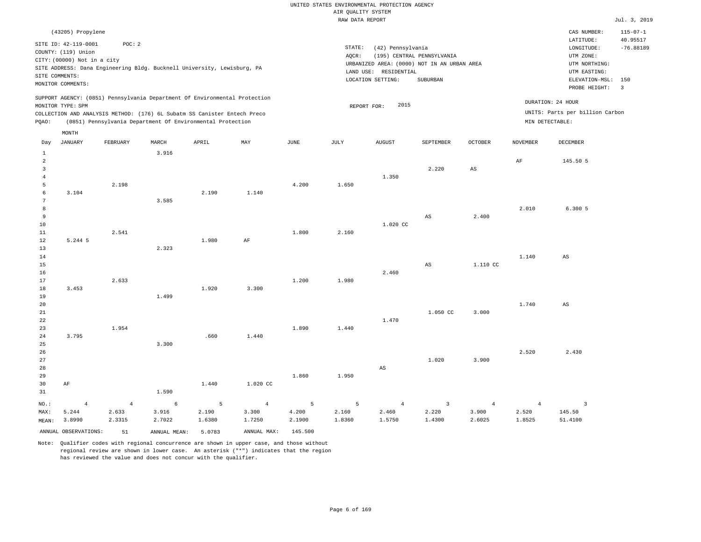|                         |                                     |          |       |                                                                                                                                        |          |       | RAW DATA REPORT |                                             |                            |                        |                 |                                 | Jul. 3, 2019               |
|-------------------------|-------------------------------------|----------|-------|----------------------------------------------------------------------------------------------------------------------------------------|----------|-------|-----------------|---------------------------------------------|----------------------------|------------------------|-----------------|---------------------------------|----------------------------|
|                         | (43205) Propylene                   |          |       |                                                                                                                                        |          |       |                 |                                             |                            |                        |                 | CAS NUMBER:<br>LATITUDE:        | $115 - 07 - 1$<br>40.95517 |
|                         | SITE ID: 42-119-0001                | POC: 2   |       |                                                                                                                                        |          |       | STATE:          | (42) Pennsylvania                           |                            |                        |                 | $\texttt{LONGITUDE}$ :          | $-76.88189$                |
|                         | COUNTY: (119) Union                 |          |       |                                                                                                                                        |          |       | AQCR:           |                                             | (195) CENTRAL PENNSYLVANIA |                        |                 | UTM ZONE:                       |                            |
|                         | CITY: (00000) Not in a city         |          |       |                                                                                                                                        |          |       |                 | URBANIZED AREA: (0000) NOT IN AN URBAN AREA |                            |                        |                 | UTM NORTHING:                   |                            |
|                         |                                     |          |       | SITE ADDRESS: Dana Engineering Bldg. Bucknell University, Lewisburg, PA                                                                |          |       |                 | LAND USE: RESIDENTIAL                       |                            |                        |                 | UTM EASTING:                    |                            |
|                         | SITE COMMENTS:<br>MONITOR COMMENTS: |          |       |                                                                                                                                        |          |       |                 | LOCATION SETTING:                           | SUBURBAN                   |                        |                 | ELEVATION-MSL:                  | 150                        |
|                         |                                     |          |       |                                                                                                                                        |          |       |                 |                                             |                            |                        |                 | PROBE HEIGHT:                   | $\overline{\mathbf{3}}$    |
|                         |                                     |          |       | SUPPORT AGENCY: (0851) Pennsylvania Department Of Environmental Protection                                                             |          |       |                 |                                             |                            |                        |                 | DURATION: 24 HOUR               |                            |
|                         | MONITOR TYPE: SPM                   |          |       |                                                                                                                                        |          |       |                 | 2015<br>REPORT FOR:                         |                            |                        |                 | UNITS: Parts per billion Carbon |                            |
| PQAO:                   |                                     |          |       | COLLECTION AND ANALYSIS METHOD: (176) 6L Subatm SS Canister Entech Preco<br>(0851) Pennsylvania Department Of Environmental Protection |          |       |                 |                                             |                            |                        |                 | MIN DETECTABLE:                 |                            |
|                         |                                     |          |       |                                                                                                                                        |          |       |                 |                                             |                            |                        |                 |                                 |                            |
|                         | MONTH                               |          |       |                                                                                                                                        |          |       |                 |                                             |                            |                        |                 |                                 |                            |
| Day                     | JANUARY                             | FEBRUARY | MARCH | APRIL                                                                                                                                  | MAY      | JUNE  | JULY            | <b>AUGUST</b>                               | SEPTEMBER                  | <b>OCTOBER</b>         | <b>NOVEMBER</b> | <b>DECEMBER</b>                 |                            |
| $\mathbf{1}$<br>2       |                                     |          | 3.916 |                                                                                                                                        |          |       |                 |                                             |                            |                        |                 |                                 |                            |
| $\overline{\mathbf{3}}$ |                                     |          |       |                                                                                                                                        |          |       |                 |                                             | 2.220                      | $\mathbb{A}\mathbb{S}$ | $\rm AF$        | 145.50 5                        |                            |
| $\overline{4}$          |                                     |          |       |                                                                                                                                        |          |       |                 | 1.350                                       |                            |                        |                 |                                 |                            |
| 5                       |                                     | 2.198    |       |                                                                                                                                        |          | 4.200 | 1.650           |                                             |                            |                        |                 |                                 |                            |
| $\,$ 6 $\,$             | 3.104                               |          |       | 2.190                                                                                                                                  | 1.140    |       |                 |                                             |                            |                        |                 |                                 |                            |
| 7                       |                                     |          | 3.585 |                                                                                                                                        |          |       |                 |                                             |                            |                        |                 |                                 |                            |
| 8                       |                                     |          |       |                                                                                                                                        |          |       |                 |                                             |                            |                        | 2.010           | 6.300 5                         |                            |
| 9                       |                                     |          |       |                                                                                                                                        |          |       |                 |                                             | AS                         | 2.400                  |                 |                                 |                            |
| $10$                    |                                     |          |       |                                                                                                                                        |          |       |                 | 1.020 CC                                    |                            |                        |                 |                                 |                            |
| $1\,1$                  |                                     | 2.541    |       |                                                                                                                                        |          | 1.800 | 2.160           |                                             |                            |                        |                 |                                 |                            |
| 12                      | 5.244 5                             |          |       | 1.980                                                                                                                                  | AF       |       |                 |                                             |                            |                        |                 |                                 |                            |
| 13<br>$1\,4$            |                                     |          | 2.323 |                                                                                                                                        |          |       |                 |                                             |                            |                        | 1.140           | $_{\rm AS}$                     |                            |
| 15                      |                                     |          |       |                                                                                                                                        |          |       |                 |                                             | AS                         | 1.110 CC               |                 |                                 |                            |
| 16                      |                                     |          |       |                                                                                                                                        |          |       |                 | 2.460                                       |                            |                        |                 |                                 |                            |
| 17                      |                                     | 2.633    |       |                                                                                                                                        |          | 1.200 | 1.980           |                                             |                            |                        |                 |                                 |                            |
| $18$                    | 3.453                               |          |       | 1.920                                                                                                                                  | 3.300    |       |                 |                                             |                            |                        |                 |                                 |                            |
| 19                      |                                     |          | 1.499 |                                                                                                                                        |          |       |                 |                                             |                            |                        |                 |                                 |                            |
| 20                      |                                     |          |       |                                                                                                                                        |          |       |                 |                                             |                            |                        | 1.740           | AS                              |                            |
| 21                      |                                     |          |       |                                                                                                                                        |          |       |                 |                                             | 1.050 CC                   | 3.000                  |                 |                                 |                            |
| $2\sqrt{2}$             |                                     |          |       |                                                                                                                                        |          |       |                 | 1.470                                       |                            |                        |                 |                                 |                            |
| 23                      |                                     | 1.954    |       |                                                                                                                                        |          | 1.890 | 1.440           |                                             |                            |                        |                 |                                 |                            |
| 24                      | 3.795                               |          |       | .660                                                                                                                                   | 1.440    |       |                 |                                             |                            |                        |                 |                                 |                            |
| 25                      |                                     |          | 3.300 |                                                                                                                                        |          |       |                 |                                             |                            |                        |                 |                                 |                            |
| 26<br>27                |                                     |          |       |                                                                                                                                        |          |       |                 |                                             | 1.020                      | 3.900                  | 2.520           | 2.430                           |                            |
| 28                      |                                     |          |       |                                                                                                                                        |          |       |                 | $\mathbb{A}\mathbb{S}$                      |                            |                        |                 |                                 |                            |
| 29                      |                                     |          |       |                                                                                                                                        |          | 1.860 | 1.950           |                                             |                            |                        |                 |                                 |                            |
| 30                      | AF                                  |          |       | 1.440                                                                                                                                  | 1.020 CC |       |                 |                                             |                            |                        |                 |                                 |                            |
| 31                      |                                     |          | 1.590 |                                                                                                                                        |          |       |                 |                                             |                            |                        |                 |                                 |                            |

NO.: MAX: MEAN: 3.8990 4 5.244 4 2.633 2.3315 6 3.916 2.7022 5 2.190 1.6380 4 3.300 1.7250 5 4.200 2.1900 5 2.160 1.8360 4 2.460 1.5750 3 2.220 1.4300 4 3.900 2.6025 4 2.520 1.8525 3 145.50 51.4100 ANNUAL OBSERVATIONS: 51 ANNUAL MEAN: 5.0783 ANNUAL MAX: 145.500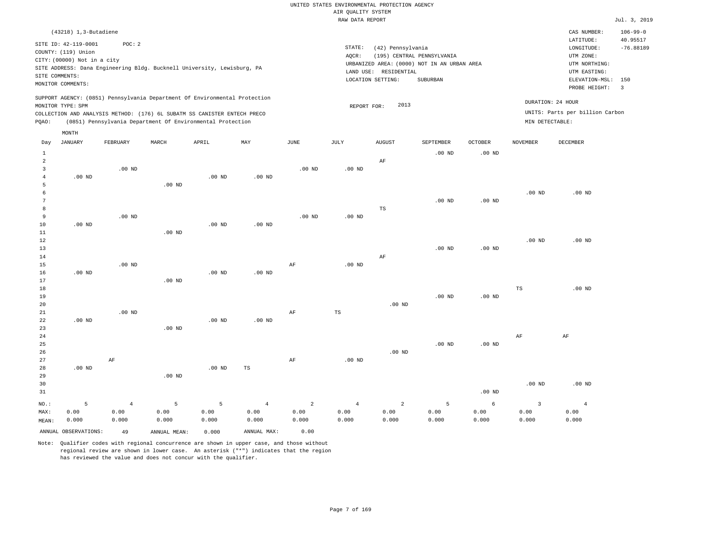#### RAW DATA REPORT Jul. 3, 2019 UNITED STATES ENVIRONMENTAL PROTECTION AGENCY AIR QUALITY SYSTEM

| $(43218)$ 1, 3-Butadiene                                                                                                                                                                                                                                     |                                                                                                                                                                             | CAS NUMBER:                                                                                                  | $106 - 99 - 0$                                     |
|--------------------------------------------------------------------------------------------------------------------------------------------------------------------------------------------------------------------------------------------------------------|-----------------------------------------------------------------------------------------------------------------------------------------------------------------------------|--------------------------------------------------------------------------------------------------------------|----------------------------------------------------|
| POC:2<br>SITE ID: 42-119-0001<br>COUNTY: (119) Union<br>CITY: (00000) Not in a city<br>SITE ADDRESS: Dana Engineering Bldg. Bucknell University, Lewisburg, PA<br>SITE COMMENTS:<br>MONITOR COMMENTS:                                                        | STATE:<br>(42) Pennsylvania<br>AOCR:<br>(195) CENTRAL PENNSYLVANIA<br>URBANIZED AREA: (0000) NOT IN AN URBAN AREA<br>LAND USE: RESIDENTIAL<br>LOCATION SETTING:<br>SUBURBAN | LATITUDE:<br>LONGITUDE:<br>UTM ZONE:<br>UTM NORTHING:<br>UTM EASTING:<br>ELEVATION-MSL: 150<br>PROBE HEIGHT: | 40.95517<br>$-76.88189$<br>$\overline{\mathbf{3}}$ |
| SUPPORT AGENCY: (0851) Pennsylvania Department Of Environmental Protection<br>MONITOR TYPE: SPM<br>COLLECTION AND ANALYSIS METHOD: (176) 6L SUBATM SS CANISTER ENTECH PRECO<br>(0851) Pennsylvania Department Of Environmental Protection<br>POAO:<br>MONTEU | 2013<br>REPORT FOR:                                                                                                                                                         | DURATION: 24 HOUR<br>UNITS: Parts per billion Carbon<br>MIN DETECTABLE:                                      |                                                    |

|                | <b>LIOTATII</b>      |                |                |               |             |                |                 |                |            |            |                         |                |
|----------------|----------------------|----------------|----------------|---------------|-------------|----------------|-----------------|----------------|------------|------------|-------------------------|----------------|
| Day            | <b>JANUARY</b>       | FEBRUARY       | MARCH          | ${\tt APRIL}$ | MAY         | $_{\rm JUNE}$  | $\mathtt{JULY}$ | AUGUST         | SEPTEMBER  | OCTOBER    | <b>NOVEMBER</b>         | DECEMBER       |
| $\mathbf{1}$   |                      |                |                |               |             |                |                 |                | $.00$ ND   | $.00$ ND   |                         |                |
| $\overline{a}$ |                      |                |                |               |             |                |                 | $\rm AF$       |            |            |                         |                |
| 3              |                      | $.00$ ND       |                |               |             | $.00$ ND       | $.00$ ND        |                |            |            |                         |                |
| 4              | $.00$ ND             |                |                | $.00$ ND      | $.00$ ND    |                |                 |                |            |            |                         |                |
| 5              |                      |                | $.00$ ND       |               |             |                |                 |                |            |            |                         |                |
| 6              |                      |                |                |               |             |                |                 |                |            |            | $.00$ ND                | $.00$ ND       |
| 7              |                      |                |                |               |             |                |                 |                | $.00$ ND   | $.00$ ND   |                         |                |
| 8              |                      |                |                |               |             |                |                 | $_{\rm TS}$    |            |            |                         |                |
| 9              |                      | $.00$ ND       |                |               |             | $.00$ ND       | $.00$ ND        |                |            |            |                         |                |
| 10             | $.00$ ND             |                |                | $.00$ ND      | $.00$ ND    |                |                 |                |            |            |                         |                |
| 11             |                      |                | $.00$ ND       |               |             |                |                 |                |            |            |                         |                |
| 12             |                      |                |                |               |             |                |                 |                |            |            | $.00$ ND                | $.00$ ND       |
| 13             |                      |                |                |               |             |                |                 |                | $.00$ ND   | .00 $ND$   |                         |                |
| 14             |                      |                |                |               |             |                |                 | $\rm AF$       |            |            |                         |                |
| 15             |                      | $.00$ ND       |                |               |             | $\rm{AF}$      | $.00$ ND        |                |            |            |                         |                |
| 16             | $.00$ ND             |                |                | .00 $ND$      | $.00$ ND    |                |                 |                |            |            |                         |                |
| 17             |                      |                | $.00$ ND       |               |             |                |                 |                |            |            |                         |                |
| 18             |                      |                |                |               |             |                |                 |                |            |            | TS                      | $.00$ ND       |
| 19             |                      |                |                |               |             |                |                 |                | $.00$ ND   | $.00$ ND   |                         |                |
| 20             |                      |                |                |               |             |                |                 | $.00$ ND       |            |            |                         |                |
| $2\sqrt{1}$    |                      | $.00$ ND       |                |               |             | AF             | $_{\rm TS}$     |                |            |            |                         |                |
| 22             | $.00$ ND             |                |                | $.00$ ND      | $.00$ ND    |                |                 |                |            |            |                         |                |
| 23             |                      |                | $.00$ ND       |               |             |                |                 |                |            |            |                         |                |
| 24             |                      |                |                |               |             |                |                 |                |            |            | $\rm{AF}$               | $\rm{AF}$      |
| 25             |                      |                |                |               |             |                |                 |                | $.00$ ND   | .00 $ND$   |                         |                |
| 26<br>27       |                      | $\rm AF$       |                |               |             | $\rm{AF}$      | $.00$ ND        | $.00$ ND       |            |            |                         |                |
| 28             | $.00$ ND             |                |                | .00 $ND$      | $_{\rm TS}$ |                |                 |                |            |            |                         |                |
| 29             |                      |                | $.00$ ND       |               |             |                |                 |                |            |            |                         |                |
| 30             |                      |                |                |               |             |                |                 |                |            |            | .00 <sub>ND</sub>       | $.00$ ND       |
| 31             |                      |                |                |               |             |                |                 |                |            | $.00$ ND   |                         |                |
|                |                      |                |                |               |             |                |                 |                |            |            |                         |                |
| $_{\rm NO.}$ : | 5                    | $\overline{4}$ | $\overline{5}$ | 5             | $\,4$       | $\overline{a}$ | $\sqrt{4}$      | $\overline{a}$ | $\sqrt{5}$ | $\epsilon$ | $\overline{\mathbf{3}}$ | $\overline{4}$ |
| MAX:           | 0.00                 | 0.00           | 0.00           | 0.00          | 0.00        | 0.00           | 0.00            | 0.00           | 0.00       | 0.00       | 0.00                    | 0.00           |
| MEAN:          | 0.000                | 0.000          | 0.000          | 0.000         | 0.000       | 0.000          | 0.000           | 0.000          | 0.000      | 0.000      | 0.000                   | 0.000          |
|                | ANNUAL OBSERVATIONS: | 49             | ANNUAL MEAN:   | 0.000         | ANNUAL MAX: | 0.00           |                 |                |            |            |                         |                |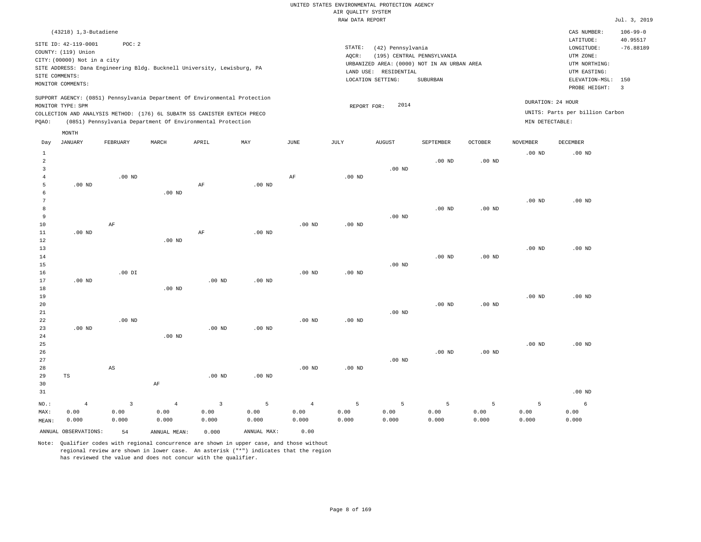|  |                    | UNITED STATES ENVIRONMENTAL PROTECTION AGENCY |  |
|--|--------------------|-----------------------------------------------|--|
|  | AIR OUALITY SYSTEM |                                               |  |
|  | RAW DATA REPORT    |                                               |  |

|       |                             |                                                                            |                   |          |          |          | RAW DATA REPORT |                       |                                             |                   |                   |                                 | Jul. 3, 2019               |
|-------|-----------------------------|----------------------------------------------------------------------------|-------------------|----------|----------|----------|-----------------|-----------------------|---------------------------------------------|-------------------|-------------------|---------------------------------|----------------------------|
|       | (43218) 1,3-Butadiene       |                                                                            |                   |          |          |          |                 |                       |                                             |                   |                   | CAS NUMBER:<br>LATITUDE:        | $106 - 99 - 0$<br>40.95517 |
|       | SITE ID: 42-119-0001        | POC: 2                                                                     |                   |          |          |          | STATE:          | (42) Pennsylvania     |                                             |                   |                   | LONGITUDE:                      | $-76.88189$                |
|       | COUNTY: (119) Union         |                                                                            |                   |          |          |          | AQCR:           |                       | (195) CENTRAL PENNSYLVANIA                  |                   |                   | UTM ZONE:                       |                            |
|       | CITY: (00000) Not in a city |                                                                            |                   |          |          |          |                 |                       | URBANIZED AREA: (0000) NOT IN AN URBAN AREA |                   |                   | UTM NORTHING:                   |                            |
|       |                             | SITE ADDRESS: Dana Engineering Bldg. Bucknell University, Lewisburg, PA    |                   |          |          |          |                 | LAND USE: RESIDENTIAL |                                             |                   |                   | UTM EASTING:                    |                            |
|       | SITE COMMENTS:              |                                                                            |                   |          |          |          |                 | LOCATION SETTING:     | SUBURBAN                                    |                   |                   | ELEVATION-MSL:                  | 150                        |
|       | MONITOR COMMENTS:           |                                                                            |                   |          |          |          |                 |                       |                                             |                   |                   | PROBE HEIGHT:                   | $\overline{\phantom{a}}$   |
|       |                             | SUPPORT AGENCY: (0851) Pennsylvania Department Of Environmental Protection |                   |          |          |          |                 |                       |                                             |                   |                   |                                 |                            |
|       | MONITOR TYPE: SPM           |                                                                            |                   |          |          |          | REPORT FOR:     | 2014                  |                                             |                   |                   | DURATION: 24 HOUR               |                            |
|       |                             | COLLECTION AND ANALYSIS METHOD: (176) 6L SUBATM SS CANISTER ENTECH PRECO   |                   |          |          |          |                 |                       |                                             |                   |                   | UNITS: Parts per billion Carbon |                            |
| PQAO: |                             | (0851) Pennsylvania Department Of Environmental Protection                 |                   |          |          |          |                 |                       |                                             |                   | MIN DETECTABLE:   |                                 |                            |
|       | MONTH                       |                                                                            |                   |          |          |          |                 |                       |                                             |                   |                   |                                 |                            |
| Day   | <b>JANUARY</b>              | FEBRUARY                                                                   | MARCH             | APRIL    | MAY      | JUNE     | JULY            | <b>AUGUST</b>         | SEPTEMBER                                   | <b>OCTOBER</b>    | NOVEMBER          | DECEMBER                        |                            |
| 1     |                             |                                                                            |                   |          |          |          |                 |                       |                                             |                   | .00 <sub>ND</sub> | $.00$ ND                        |                            |
| 2     |                             |                                                                            |                   |          |          |          |                 |                       | $.00$ ND                                    | .00 <sub>ND</sub> |                   |                                 |                            |
| 3     |                             |                                                                            |                   |          |          |          |                 | $.00$ ND              |                                             |                   |                   |                                 |                            |
| 4     |                             | $.00$ ND                                                                   |                   |          |          | AF       | $.00$ ND        |                       |                                             |                   |                   |                                 |                            |
| 5     | $.00$ ND                    |                                                                            |                   | AF       | $.00$ ND |          |                 |                       |                                             |                   |                   |                                 |                            |
| 6     |                             |                                                                            | $.00$ ND          |          |          |          |                 |                       |                                             |                   |                   |                                 |                            |
| 7     |                             |                                                                            |                   |          |          |          |                 |                       |                                             |                   | .00 <sub>ND</sub> | $.00$ ND                        |                            |
| 8     |                             |                                                                            |                   |          |          |          |                 |                       | .00 <sub>ND</sub>                           | .00 <sub>ND</sub> |                   |                                 |                            |
| 9     |                             |                                                                            |                   |          |          |          |                 | $.00$ ND              |                                             |                   |                   |                                 |                            |
| 10    |                             | AF                                                                         |                   |          |          | $.00$ ND | $.00$ ND        |                       |                                             |                   |                   |                                 |                            |
| 11    | $.00$ ND                    |                                                                            |                   | AF       | $.00$ ND |          |                 |                       |                                             |                   |                   |                                 |                            |
| 12    |                             |                                                                            | $.00$ ND          |          |          |          |                 |                       |                                             |                   |                   |                                 |                            |
| 13    |                             |                                                                            |                   |          |          |          |                 |                       |                                             |                   | .00 <sub>ND</sub> | $.00$ ND                        |                            |
| 14    |                             |                                                                            |                   |          |          |          |                 |                       | $.00$ ND                                    | $.00$ ND          |                   |                                 |                            |
| 15    |                             |                                                                            |                   |          |          |          |                 | $.00$ ND              |                                             |                   |                   |                                 |                            |
| 16    |                             | $.00$ DI                                                                   |                   |          |          | $.00$ ND | $.00$ ND        |                       |                                             |                   |                   |                                 |                            |
| 17    | $.00$ ND                    |                                                                            |                   | $.00$ ND | $.00$ ND |          |                 |                       |                                             |                   |                   |                                 |                            |
| 18    |                             |                                                                            | .00 <sub>ND</sub> |          |          |          |                 |                       |                                             |                   |                   |                                 |                            |
| 19    |                             |                                                                            |                   |          |          |          |                 |                       |                                             |                   | $.00$ ND          | $.00$ ND                        |                            |
| 20    |                             |                                                                            |                   |          |          |          |                 |                       | $.00$ ND                                    | .00 <sub>ND</sub> |                   |                                 |                            |
| 21    |                             |                                                                            |                   |          |          |          |                 | $.00$ ND              |                                             |                   |                   |                                 |                            |
| 22    |                             | $.00$ ND                                                                   |                   |          |          | $.00$ ND | $.00$ ND        |                       |                                             |                   |                   |                                 |                            |
| 23    | $.00$ ND                    |                                                                            |                   | $.00$ ND | $.00$ ND |          |                 |                       |                                             |                   |                   |                                 |                            |
| 24    |                             |                                                                            | $.00$ ND          |          |          |          |                 |                       |                                             |                   |                   |                                 |                            |
| 25    |                             |                                                                            |                   |          |          |          |                 |                       |                                             |                   | $.00$ ND          | $.00$ ND                        |                            |

| 26    |       |       |       |          |          |                |          |          | $.00$ ND | $.00$ ND |       |          |
|-------|-------|-------|-------|----------|----------|----------------|----------|----------|----------|----------|-------|----------|
| 27    |       |       |       |          |          |                |          | $.00$ ND |          |          |       |          |
| 28    |       | AS    |       |          |          | $.00$ ND       | $.00$ ND |          |          |          |       |          |
| 29    | TS    |       |       | $.00$ ND | $.00$ ND |                |          |          |          |          |       |          |
| 30    |       |       | AF    |          |          |                |          |          |          |          |       |          |
| 31    |       |       |       |          |          |                |          |          |          |          |       | $.00$ ND |
| NO.:  | 4     |       | 4     |          | 5        | $\overline{4}$ | 5        | 5        |          | 5        |       | 6        |
| MAX:  | 0.00  | 0.00  | 0.00  | 0.00     | 0.00     | 0.00           | 0.00     | 0.00     | 0.00     | 0.00     | 0.00  | 0.00     |
| MEAN: | 0.000 | 0.000 | 0.000 | 0.000    | 0.000    | 0.000          | 0.000    | 0.000    | 0.000    | 0.000    | 0.000 | 0.000    |

ANNUAL OBSERVATIONS: 54 ANNUAL MEAN: 0.000 ANNUAL MAX: 0.00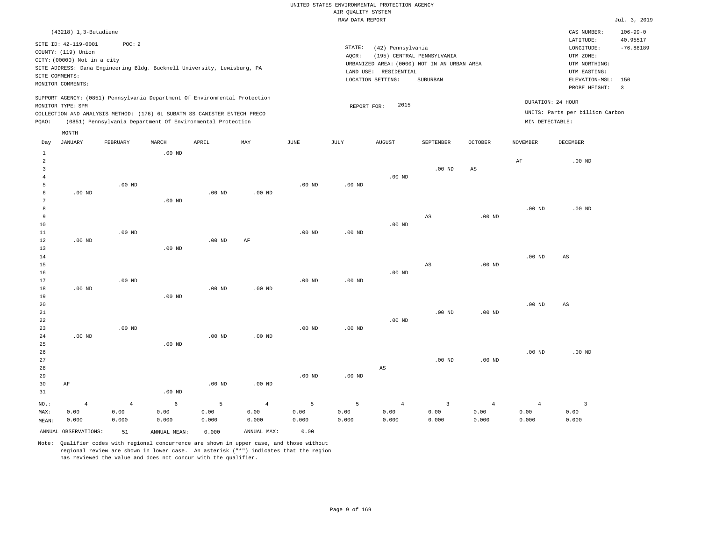|        |                                                                                                                   |          |          |                                                                                                                                                                                                                      |          |          | RAW DATA REPORT |                                                                                                                                              |           |                |                                      |                                                                                                          | Jul. 3, 2019                                               |
|--------|-------------------------------------------------------------------------------------------------------------------|----------|----------|----------------------------------------------------------------------------------------------------------------------------------------------------------------------------------------------------------------------|----------|----------|-----------------|----------------------------------------------------------------------------------------------------------------------------------------------|-----------|----------------|--------------------------------------|----------------------------------------------------------------------------------------------------------|------------------------------------------------------------|
|        | (43218) 1,3-Butadiene                                                                                             |          |          |                                                                                                                                                                                                                      |          |          |                 |                                                                                                                                              |           |                |                                      | CAS NUMBER:                                                                                              | $106 - 99 - 0$                                             |
|        | SITE ID: 42-119-0001<br>COUNTY: (119) Union<br>CITY: (00000) Not in a city<br>SITE COMMENTS:<br>MONITOR COMMENTS: | POC: 2   |          | SITE ADDRESS: Dana Engineering Bldg. Bucknell University, Lewisburg, PA                                                                                                                                              |          |          | STATE:<br>AOCR: | (42) Pennsylvania<br>(195) CENTRAL PENNSYLVANIA<br>URBANIZED AREA: (0000) NOT IN AN URBAN AREA<br>LAND USE: RESIDENTIAL<br>LOCATION SETTING: | SUBURBAN  |                |                                      | LATITUDE:<br>LONGITUDE:<br>UTM ZONE:<br>UTM NORTHING:<br>UTM EASTING:<br>ELEVATION-MSL:<br>PROBE HEIGHT: | 40.95517<br>$-76.88189$<br>150<br>$\overline{\phantom{a}}$ |
| POAO:  | MONITOR TYPE: SPM<br>MONTH                                                                                        |          |          | SUPPORT AGENCY: (0851) Pennsylvania Department Of Environmental Protection<br>COLLECTION AND ANALYSIS METHOD: (176) 6L SUBATM SS CANISTER ENTECH PRECO<br>(0851) Pennsylvania Department Of Environmental Protection |          |          | REPORT FOR:     | 2015                                                                                                                                         |           |                | DURATION: 24 HOUR<br>MIN DETECTABLE: | UNITS: Parts per billion Carbon                                                                          |                                                            |
| Day    | JANUARY                                                                                                           | FEBRUARY | MARCH    | APRIL                                                                                                                                                                                                                | MAY      | JUNE     | JULY            | <b>AUGUST</b>                                                                                                                                | SEPTEMBER | <b>OCTOBER</b> | NOVEMBER                             | DECEMBER                                                                                                 |                                                            |
|        |                                                                                                                   |          | $.00$ ND |                                                                                                                                                                                                                      |          |          |                 | $.00$ ND                                                                                                                                     | $.00$ ND  | AS             | AF                                   | $.00$ ND                                                                                                 |                                                            |
|        |                                                                                                                   | $.00$ ND |          |                                                                                                                                                                                                                      |          | $.00$ ND | $.00$ ND        |                                                                                                                                              |           |                |                                      |                                                                                                          |                                                            |
| 8<br>9 | $.00$ ND                                                                                                          |          | $.00$ ND | $.00$ ND                                                                                                                                                                                                             | $.00$ ND |          |                 |                                                                                                                                              | AS        | $.00$ ND       | $.00$ ND                             | $.00$ ND                                                                                                 |                                                            |
| $\sim$ |                                                                                                                   |          |          |                                                                                                                                                                                                                      |          |          |                 | 0.01                                                                                                                                         |           |                |                                      |                                                                                                          |                                                            |

| 10 |          |          |          |          |          |          |          | $.00$ ND |          |          |          |                        |
|----|----------|----------|----------|----------|----------|----------|----------|----------|----------|----------|----------|------------------------|
| 11 |          | $.00$ ND |          |          |          | $.00$ ND | $.00$ ND |          |          |          |          |                        |
| 12 | $.00$ ND |          |          | $.00$ ND | AF       |          |          |          |          |          |          |                        |
| 13 |          |          | $.00$ ND |          |          |          |          |          |          |          |          |                        |
| 14 |          |          |          |          |          |          |          |          |          |          | $.00$ ND | AS                     |
| 15 |          |          |          |          |          |          |          |          | AS       | $.00$ ND |          |                        |
| 16 |          |          |          |          |          |          |          | $.00$ ND |          |          |          |                        |
| 17 |          | $.00$ ND |          |          |          | $.00$ ND | $.00$ ND |          |          |          |          |                        |
| 18 | $.00$ ND |          |          | $.00$ ND | $.00$ ND |          |          |          |          |          |          |                        |
| 19 |          |          | $.00$ ND |          |          |          |          |          |          |          |          |                        |
| 20 |          |          |          |          |          |          |          |          |          |          | $.00$ ND | $\mathbb{A}\mathbb{S}$ |
| 21 |          |          |          |          |          |          |          |          | $.00$ ND | $.00$ ND |          |                        |
| 22 |          |          |          |          |          |          |          | $.00$ ND |          |          |          |                        |
| 23 |          | $.00$ ND |          |          |          | $.00$ ND | $.00$ ND |          |          |          |          |                        |
| 24 | $.00$ ND |          |          | $.00$ ND | $.00$ ND |          |          |          |          |          |          |                        |
| 25 |          |          | $.00$ ND |          |          |          |          |          |          |          |          |                        |

| 26      |      |      |          |          |          |          |          |                |          |          | $.00$ ND | $.00$ ND |
|---------|------|------|----------|----------|----------|----------|----------|----------------|----------|----------|----------|----------|
| 27      |      |      |          |          |          |          |          |                | $.00$ ND | $.00$ ND |          |          |
| 28      |      |      |          |          |          |          |          | AS             |          |          |          |          |
| 29      |      |      |          |          |          | $.00$ ND | $.00$ ND |                |          |          |          |          |
| 30      | AF   |      |          | $.00$ ND | $.00$ ND |          |          |                |          |          |          |          |
| 31      |      |      | $.00$ ND |          |          |          |          |                |          |          |          |          |
| $NO.$ : | -4   | -4   | 6        | 5        | 4        | 5        | 5        | $\overline{4}$ | 3        | 4        | -4       |          |
| MAX:    | 0.00 | 0.00 | 0.00     | 0.00     | 0.00     | 0.00     | 0.00     | 0.00           | 0.00     | 0.00     | 0.00     | 0.00     |

0.000

Note: Qualifier codes with regional concurrence are shown in upper case, and those without regional review are shown in lower case. An asterisk ("\*") indicates that the region has reviewed the value and does not concur with the qualifier.

ANNUAL OBSERVATIONS: 51 ANNUAL MEAN: 0.000 ANNUAL MAX: 0.00

0.000

0.000

0.000

MEAN: 0.000

0.000

0.000 0.000

0.000

0.000

0.000

0.000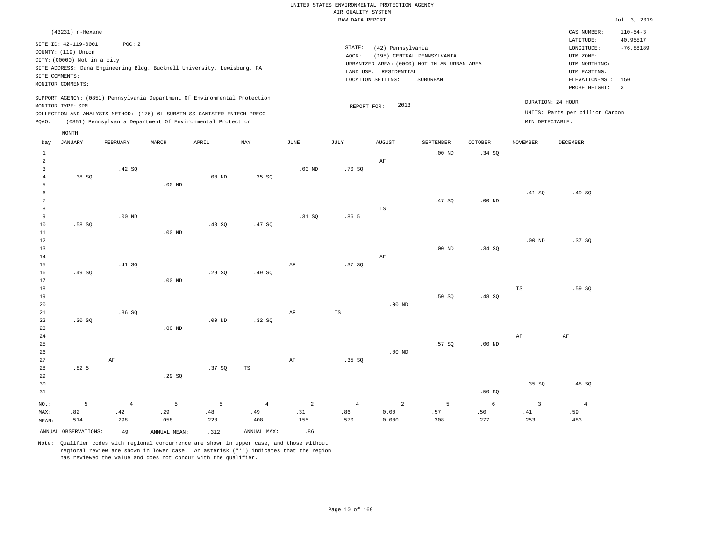| (43231) n-Hexane<br>CAS NUMBER:<br>LATITUDE:<br>SITE ID: 42-119-0001<br>POC: 2<br>STATE:<br>(42) Pennsylvania<br>LONGITUDE:<br>COUNTY: (119) Union<br>(195) CENTRAL PENNSYLVANIA<br>AOCR:<br>UTM ZONE:<br>CITY: (00000) Not in a city<br>URBANIZED AREA: (0000) NOT IN AN URBAN AREA<br>UTM NORTHING:<br>SITE ADDRESS: Dana Engineering Bldg. Bucknell University, Lewisburg, PA<br>LAND USE: RESIDENTIAL<br>UTM EASTING:<br>SITE COMMENTS:<br>LOCATION SETTING:<br>SUBURBAN<br>ELEVATION-MSL:<br>MONITOR COMMENTS:<br>PROBE HEIGHT:<br>$\overline{\phantom{a}}$<br>SUPPORT AGENCY: (0851) Pennsylvania Department Of Environmental Protection<br>DURATION: 24 HOUR<br>2013<br>MONITOR TYPE: SPM<br>REPORT FOR:<br>UNITS: Parts per billion Carbon<br>COLLECTION AND ANALYSIS METHOD: (176) 6L SUBATM SS CANISTER ENTECH PRECO<br>(0851) Pennsylvania Department Of Environmental Protection<br>MIN DETECTABLE:<br>PQAO:<br>MONTH<br><b>JANUARY</b><br>FEBRUARY<br>MARCH<br>APRIL<br>MAY<br>JUNE<br>JULY<br><b>AUGUST</b><br>SEPTEMBER<br><b>OCTOBER</b><br><b>NOVEMBER</b><br><b>DECEMBER</b><br>Day<br>.34 SO<br>$\mathbf{1}$<br>.00 <sub>ND</sub><br>2<br>AF<br>.42 SQ<br>3<br>$.00$ ND<br>.70S<br>.00 <sub>ND</sub><br>.35 S<br>.38SQ<br>$\overline{4}$<br>$.00$ ND<br>5<br>.49 SO<br>.41 S0<br>6<br>.47 SO<br>.00 <sub>ND</sub><br>7 | $110 - 54 - 3$<br>40.95517<br>$-76.88189$<br>150 |
|-------------------------------------------------------------------------------------------------------------------------------------------------------------------------------------------------------------------------------------------------------------------------------------------------------------------------------------------------------------------------------------------------------------------------------------------------------------------------------------------------------------------------------------------------------------------------------------------------------------------------------------------------------------------------------------------------------------------------------------------------------------------------------------------------------------------------------------------------------------------------------------------------------------------------------------------------------------------------------------------------------------------------------------------------------------------------------------------------------------------------------------------------------------------------------------------------------------------------------------------------------------------------------------------------------------------------------------------|--------------------------------------------------|
|                                                                                                                                                                                                                                                                                                                                                                                                                                                                                                                                                                                                                                                                                                                                                                                                                                                                                                                                                                                                                                                                                                                                                                                                                                                                                                                                           |                                                  |
|                                                                                                                                                                                                                                                                                                                                                                                                                                                                                                                                                                                                                                                                                                                                                                                                                                                                                                                                                                                                                                                                                                                                                                                                                                                                                                                                           |                                                  |
|                                                                                                                                                                                                                                                                                                                                                                                                                                                                                                                                                                                                                                                                                                                                                                                                                                                                                                                                                                                                                                                                                                                                                                                                                                                                                                                                           |                                                  |
|                                                                                                                                                                                                                                                                                                                                                                                                                                                                                                                                                                                                                                                                                                                                                                                                                                                                                                                                                                                                                                                                                                                                                                                                                                                                                                                                           |                                                  |
| TS<br>8<br>9<br>$.00$ ND<br>.31 SO<br>.86 <sub>5</sub><br>10<br>.58 SO<br>.47 SO<br>.48S<br>11<br>$.00$ ND                                                                                                                                                                                                                                                                                                                                                                                                                                                                                                                                                                                                                                                                                                                                                                                                                                                                                                                                                                                                                                                                                                                                                                                                                                |                                                  |
| 12<br>.37SQ<br>.00 <sub>ND</sub><br>13<br>$.00$ ND<br>.34SQ<br>14<br>AF<br>15<br>.41 SQ<br>AF<br>.37S<br>16<br>.49SQ<br>.29SQ<br>.49SQ                                                                                                                                                                                                                                                                                                                                                                                                                                                                                                                                                                                                                                                                                                                                                                                                                                                                                                                                                                                                                                                                                                                                                                                                    |                                                  |
| 17<br>$.00$ ND<br>18<br>$_{\rm TS}$<br>.59SQ<br>19<br>.50SQ<br>.48SQ<br>20<br>$.00$ ND<br>21<br>.36SQ<br>AF<br>TS                                                                                                                                                                                                                                                                                                                                                                                                                                                                                                                                                                                                                                                                                                                                                                                                                                                                                                                                                                                                                                                                                                                                                                                                                         |                                                  |

23 24 25 26 27 28 .82 5 AF .00 ND  $29.89$  .37 SQ TS AF .35 SQ .00 ND .57 SQ .00 ND AF AF

| 29      |         |                 | .29 SO      |             |                 |          |          |          |                |                |       |        |
|---------|---------|-----------------|-------------|-------------|-----------------|----------|----------|----------|----------------|----------------|-------|--------|
| 30      |         |                 |             |             |                 |          |          |          |                |                | .35SQ | .48 SQ |
| 31      |         |                 |             |             |                 |          |          |          |                | .50S           |       |        |
| $NO.$ : | $5 - 5$ | $4\overline{4}$ | $5^{\circ}$ | $5^{\circ}$ | $4\overline{4}$ | $\sim$ 2 | $\sim$ 4 | $\sim$ 2 | 5 <sub>1</sub> | 6 <sup>1</sup> |       | 4      |
| MAX:    | .82     | .42             | .29         | .48         | .49             | .31      | .86      | 0.00     | .57            | .50            | .41   | .59    |
| MEAN:   | .514    | .298            | .058        | .228        | .408            | .155     | .570     | 0.000    | .308           | .277           | .253  | .483   |

ANNUAL OBSERVATIONS:  $\begin{array}{ccc} 49 & \quad \quad \text{ANNUAL} & \text{MERN:} \\ 49 & \quad \quad \text{ANNUAL} & \text{MNS:} \end{array}$ 

22

.30 SQ

Note: Qualifier codes with regional concurrence are shown in upper case, and those without regional review are shown in lower case. An asterisk ("\*") indicates that the region has reviewed the value and does not concur with the qualifier.

.00 ND

.32 SQ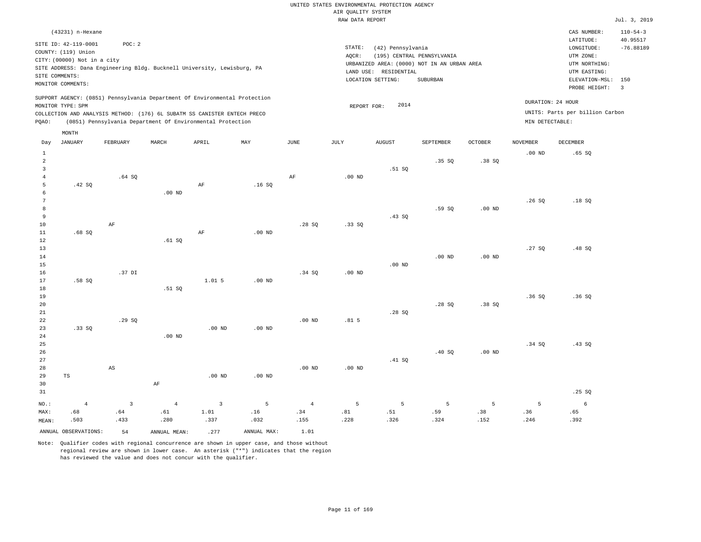|                                |                                                                                                                   |                               |                                                                                                                                                        |                                |                  |                               |                                       | UNITED STATES ENVIRONMENTAL PROTECTION AGENCY                   |                                                                                       |                   |                   |                                                                                                          |                                                  |
|--------------------------------|-------------------------------------------------------------------------------------------------------------------|-------------------------------|--------------------------------------------------------------------------------------------------------------------------------------------------------|--------------------------------|------------------|-------------------------------|---------------------------------------|-----------------------------------------------------------------|---------------------------------------------------------------------------------------|-------------------|-------------------|----------------------------------------------------------------------------------------------------------|--------------------------------------------------|
|                                |                                                                                                                   |                               |                                                                                                                                                        |                                |                  |                               | AIR OUALITY SYSTEM<br>RAW DATA REPORT |                                                                 |                                                                                       |                   |                   |                                                                                                          | Jul. 3, 2019                                     |
|                                | (43231) n-Hexane                                                                                                  |                               |                                                                                                                                                        |                                |                  |                               |                                       |                                                                 |                                                                                       |                   |                   | CAS NUMBER:                                                                                              | $110 - 54 - 3$                                   |
|                                | SITE ID: 42-119-0001<br>COUNTY: (119) Union<br>CITY: (00000) Not in a city<br>SITE COMMENTS:<br>MONITOR COMMENTS: | POC: 2                        | SITE ADDRESS: Dana Engineering Bldg. Bucknell University, Lewisburg, PA                                                                                |                                |                  |                               | STATE:<br>AOCR:                       | (42) Pennsylvania<br>LAND USE: RESIDENTIAL<br>LOCATION SETTING: | (195) CENTRAL PENNSYLVANIA<br>URBANIZED AREA: (0000) NOT IN AN URBAN AREA<br>SUBURBAN |                   |                   | LATITUDE:<br>LONGITUDE:<br>UTM ZONE:<br>UTM NORTHING:<br>UTM EASTING:<br>ELEVATION-MSL:<br>PROBE HEIGHT: | 40.95517<br>$-76.88189$<br>150<br>$\overline{3}$ |
|                                | MONITOR TYPE: SPM                                                                                                 |                               | SUPPORT AGENCY: (0851) Pennsylvania Department Of Environmental Protection<br>COLLECTION AND ANALYSIS METHOD: (176) 6L SUBATM SS CANISTER ENTECH PRECO |                                |                  |                               | REPORT FOR:                           | 2014                                                            |                                                                                       |                   |                   | DURATION: 24 HOUR<br>UNITS: Parts per billion Carbon                                                     |                                                  |
| PQAO:                          |                                                                                                                   |                               | (0851) Pennsylvania Department Of Environmental Protection                                                                                             |                                |                  |                               |                                       |                                                                 |                                                                                       |                   | MIN DETECTABLE:   |                                                                                                          |                                                  |
|                                | MONTH                                                                                                             |                               |                                                                                                                                                        |                                |                  |                               |                                       |                                                                 |                                                                                       |                   |                   |                                                                                                          |                                                  |
| Day                            | <b>JANUARY</b>                                                                                                    | FEBRUARY                      | MARCH                                                                                                                                                  | APRIL                          | MAY              | JUNE                          | JULY                                  | <b>AUGUST</b>                                                   | SEPTEMBER                                                                             | <b>OCTOBER</b>    | <b>NOVEMBER</b>   | DECEMBER                                                                                                 |                                                  |
| $\mathbf{1}$<br>$\overline{a}$ |                                                                                                                   |                               |                                                                                                                                                        |                                |                  |                               |                                       |                                                                 | .35S                                                                                  | .38SQ             | .00 <sub>ND</sub> | .65SQ                                                                                                    |                                                  |
| 3<br>$\overline{4}$<br>5       | .42 S0                                                                                                            | .64SQ                         |                                                                                                                                                        | AF                             | .16S             | $\rm{AF}$                     | .00 <sub>ND</sub>                     | .51 SQ                                                          |                                                                                       |                   |                   |                                                                                                          |                                                  |
| 6<br>$\overline{7}$            |                                                                                                                   |                               | .00 <sub>ND</sub>                                                                                                                                      |                                |                  |                               |                                       |                                                                 |                                                                                       |                   | .26S              | .18S                                                                                                     |                                                  |
| 8<br>9<br>10                   |                                                                                                                   | AF                            |                                                                                                                                                        |                                |                  | .28SQ                         | .33 SO                                | .43SQ                                                           | .59 SO                                                                                | .00 <sub>ND</sub> |                   |                                                                                                          |                                                  |
| $11\,$<br>12<br>13             | .68SQ                                                                                                             |                               | .61 S0                                                                                                                                                 | AF                             | $.00$ ND         |                               |                                       |                                                                 |                                                                                       |                   | .27SQ             | .48 SQ                                                                                                   |                                                  |
| 14<br>15<br>16                 |                                                                                                                   | .37 DI                        |                                                                                                                                                        |                                |                  | .34 SQ                        | .00 <sub>ND</sub>                     | $.00$ ND                                                        | .00 <sub>ND</sub>                                                                     | $.00$ ND          |                   |                                                                                                          |                                                  |
| 17<br>18                       | .58SQ                                                                                                             |                               | .51 SQ                                                                                                                                                 | 1.015                          | $.00$ ND         |                               |                                       |                                                                 |                                                                                       |                   |                   |                                                                                                          |                                                  |
| 19<br>20<br>21                 |                                                                                                                   |                               |                                                                                                                                                        |                                |                  |                               |                                       | .28SQ                                                           | .28SQ                                                                                 | .38SQ             | .36S              | .36S                                                                                                     |                                                  |
| 22<br>23<br>24                 | .33 S0                                                                                                            | .29SQ                         | $.00$ ND                                                                                                                                               | $.00$ ND                       | $.00$ ND         | $.00$ ND                      | .81 <sub>5</sub>                      |                                                                 |                                                                                       |                   |                   |                                                                                                          |                                                  |
| 25<br>26<br>27                 |                                                                                                                   |                               |                                                                                                                                                        |                                |                  |                               |                                       | .41 SQ                                                          | .40S                                                                                  | .00 <sub>ND</sub> | .34S              | .43SQ                                                                                                    |                                                  |
| 28<br>29<br>30                 | TS                                                                                                                | $\mathbb{A}\mathbb{S}$        | $\rm{AF}$                                                                                                                                              | $.00$ ND                       | $.00$ ND         | $.00$ ND                      | .00 <sub>ND</sub>                     |                                                                 |                                                                                       |                   |                   |                                                                                                          |                                                  |
| 31                             |                                                                                                                   |                               |                                                                                                                                                        |                                |                  |                               |                                       |                                                                 |                                                                                       |                   |                   | .25SQ                                                                                                    |                                                  |
| NO.:<br>MAX:                   | $\overline{4}$<br>.68<br>.503                                                                                     | $\overline{3}$<br>.64<br>.433 | $\overline{4}$<br>.61<br>.280                                                                                                                          | $\overline{3}$<br>1.01<br>.337 | 5<br>.16<br>.032 | $\overline{4}$<br>.34<br>.155 | 5<br>.81<br>.228                      | 5<br>.51<br>.326                                                | 5<br>.59<br>.324                                                                      | 5<br>.38<br>.152  | 5<br>.36<br>.246  | 6<br>.65<br>.392                                                                                         |                                                  |
| MEAN:                          | ANNUAL OBSERVATIONS:                                                                                              | 54                            | ANNUAL MEAN:                                                                                                                                           | .277                           | ANNUAL MAX:      | 1.01                          |                                       |                                                                 |                                                                                       |                   |                   |                                                                                                          |                                                  |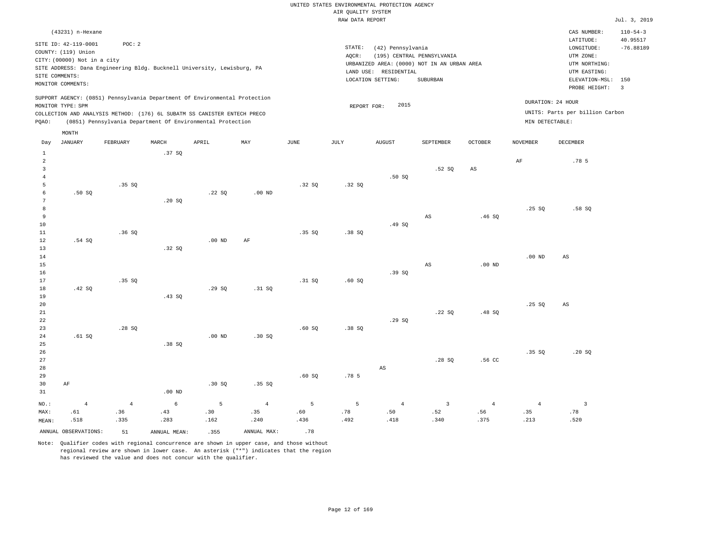#### RAW DATA REPORT Jul. 3, 2019 UNITED STATES ENVIRONMENTAL PROTECTION AGENCY AIR QUALITY SYSTEM

|                                | (43231) n-Hexane<br>SITE ID: 42-119-0001<br>COUNTY: (119) Union<br>CITY: (00000) Not in a city<br>SITE COMMENTS:<br>MONITOR COMMENTS: | POC: 2         |              | SITE ADDRESS: Dana Engineering Bldg. Bucknell University, Lewisburg, PA<br>SUPPORT AGENCY: (0851) Pennsylvania Department Of Environmental Protection |                           |                 | STATE:<br>AQCR:  | (42) Pennsylvania<br>LAND USE: RESIDENTIAL<br>LOCATION SETTING: | (195) CENTRAL PENNSYLVANIA<br>URBANIZED AREA: (0000) NOT IN AN URBAN AREA<br>SUBURBAN |                   |                   | CAS NUMBER:<br>LATITUDE:<br>LONGITUDE:<br>UTM ZONE:<br>UTM NORTHING:<br>UTM EASTING:<br>ELEVATION-MSL: 150<br>PROBE HEIGHT: | $110 - 54 - 3$<br>40.95517<br>$-76.88189$<br>$\overline{3}$ |
|--------------------------------|---------------------------------------------------------------------------------------------------------------------------------------|----------------|--------------|-------------------------------------------------------------------------------------------------------------------------------------------------------|---------------------------|-----------------|------------------|-----------------------------------------------------------------|---------------------------------------------------------------------------------------|-------------------|-------------------|-----------------------------------------------------------------------------------------------------------------------------|-------------------------------------------------------------|
|                                | MONITOR TYPE: SPM                                                                                                                     |                |              | COLLECTION AND ANALYSIS METHOD: (176) 6L SUBATM SS CANISTER ENTECH PRECO                                                                              |                           |                 | REPORT FOR:      | 2015                                                            |                                                                                       |                   |                   | DURATION: 24 HOUR<br>UNITS: Parts per billion Carbon                                                                        |                                                             |
| PQAO:                          |                                                                                                                                       |                |              | (0851) Pennsylvania Department Of Environmental Protection                                                                                            |                           |                 |                  |                                                                 |                                                                                       |                   | MIN DETECTABLE:   |                                                                                                                             |                                                             |
|                                | MONTH                                                                                                                                 |                |              |                                                                                                                                                       |                           |                 |                  |                                                                 |                                                                                       |                   |                   |                                                                                                                             |                                                             |
| Day                            | <b>JANUARY</b>                                                                                                                        | FEBRUARY       | MARCH        | APRIL                                                                                                                                                 | $\ensuremath{\text{MAX}}$ | $\mathtt{JUNE}$ | $\mathtt{JULY}$  | <b>AUGUST</b>                                                   | SEPTEMBER                                                                             | <b>OCTOBER</b>    | <b>NOVEMBER</b>   | DECEMBER                                                                                                                    |                                                             |
| $\mathbf{1}$<br>$\overline{a}$ |                                                                                                                                       |                | .37SQ        |                                                                                                                                                       |                           |                 |                  |                                                                 |                                                                                       |                   | AF                | .78 5                                                                                                                       |                                                             |
| 3                              |                                                                                                                                       |                |              |                                                                                                                                                       |                           |                 |                  |                                                                 | .52S                                                                                  | AS                |                   |                                                                                                                             |                                                             |
| $\bf{4}$                       |                                                                                                                                       |                |              |                                                                                                                                                       |                           |                 |                  | .50S                                                            |                                                                                       |                   |                   |                                                                                                                             |                                                             |
| 5<br>6                         | .50S                                                                                                                                  | .35 SQ         |              | .22SQ                                                                                                                                                 | $.00$ ND                  | .32SQ           | .32S             |                                                                 |                                                                                       |                   |                   |                                                                                                                             |                                                             |
| $\overline{7}$                 |                                                                                                                                       |                | .20SQ        |                                                                                                                                                       |                           |                 |                  |                                                                 |                                                                                       |                   |                   |                                                                                                                             |                                                             |
| 8                              |                                                                                                                                       |                |              |                                                                                                                                                       |                           |                 |                  |                                                                 |                                                                                       |                   | .25SQ             | .58S                                                                                                                        |                                                             |
| 9                              |                                                                                                                                       |                |              |                                                                                                                                                       |                           |                 |                  |                                                                 | $_{\rm AS}$                                                                           | .46SQ             |                   |                                                                                                                             |                                                             |
| 10                             |                                                                                                                                       |                |              |                                                                                                                                                       |                           |                 |                  | .49 SQ                                                          |                                                                                       |                   |                   |                                                                                                                             |                                                             |
| 11                             |                                                                                                                                       | .36SQ          |              |                                                                                                                                                       |                           | .35SQ           | .38SQ            |                                                                 |                                                                                       |                   |                   |                                                                                                                             |                                                             |
| 12                             | .54S                                                                                                                                  |                |              | .00 <sub>ND</sub>                                                                                                                                     | $\rm AF$                  |                 |                  |                                                                 |                                                                                       |                   |                   |                                                                                                                             |                                                             |
| 13                             |                                                                                                                                       |                | .32 SQ       |                                                                                                                                                       |                           |                 |                  |                                                                 |                                                                                       |                   |                   |                                                                                                                             |                                                             |
| 14<br>15                       |                                                                                                                                       |                |              |                                                                                                                                                       |                           |                 |                  |                                                                 | AS                                                                                    | .00 <sub>ND</sub> | .00 <sub>ND</sub> | AS                                                                                                                          |                                                             |
| 16                             |                                                                                                                                       |                |              |                                                                                                                                                       |                           |                 |                  | .39S                                                            |                                                                                       |                   |                   |                                                                                                                             |                                                             |
| 17                             |                                                                                                                                       | .35S           |              |                                                                                                                                                       |                           | .31 SQ          | .60SQ            |                                                                 |                                                                                       |                   |                   |                                                                                                                             |                                                             |
| 18                             | .42SQ                                                                                                                                 |                |              | .29SQ                                                                                                                                                 | .31 SQ                    |                 |                  |                                                                 |                                                                                       |                   |                   |                                                                                                                             |                                                             |
| 19                             |                                                                                                                                       |                | .43SQ        |                                                                                                                                                       |                           |                 |                  |                                                                 |                                                                                       |                   |                   |                                                                                                                             |                                                             |
| 20                             |                                                                                                                                       |                |              |                                                                                                                                                       |                           |                 |                  |                                                                 |                                                                                       |                   | .25SQ             | AS                                                                                                                          |                                                             |
| $21\,$                         |                                                                                                                                       |                |              |                                                                                                                                                       |                           |                 |                  |                                                                 | .22SQ                                                                                 | .48 SQ            |                   |                                                                                                                             |                                                             |
| 22<br>23                       |                                                                                                                                       | .28SQ          |              |                                                                                                                                                       |                           | .60SQ           | .38SQ            | .29SQ                                                           |                                                                                       |                   |                   |                                                                                                                             |                                                             |
| 24                             | .61SQ                                                                                                                                 |                |              | $.00$ ND                                                                                                                                              | .30S                      |                 |                  |                                                                 |                                                                                       |                   |                   |                                                                                                                             |                                                             |
| 25                             |                                                                                                                                       |                | .38SQ        |                                                                                                                                                       |                           |                 |                  |                                                                 |                                                                                       |                   |                   |                                                                                                                             |                                                             |
| 26                             |                                                                                                                                       |                |              |                                                                                                                                                       |                           |                 |                  |                                                                 |                                                                                       |                   | .35 SQ            | .20SQ                                                                                                                       |                                                             |
| 27                             |                                                                                                                                       |                |              |                                                                                                                                                       |                           |                 |                  |                                                                 | .28SQ                                                                                 | .56 CC            |                   |                                                                                                                             |                                                             |
| 28                             |                                                                                                                                       |                |              |                                                                                                                                                       |                           |                 |                  | $_{\rm AS}$                                                     |                                                                                       |                   |                   |                                                                                                                             |                                                             |
| 29                             |                                                                                                                                       |                |              |                                                                                                                                                       |                           | .60SQ           | .78 <sub>5</sub> |                                                                 |                                                                                       |                   |                   |                                                                                                                             |                                                             |
| 30<br>31                       | $\rm AF$                                                                                                                              |                | $.00$ ND     | .30SQ                                                                                                                                                 | .35SQ                     |                 |                  |                                                                 |                                                                                       |                   |                   |                                                                                                                             |                                                             |
|                                |                                                                                                                                       |                |              |                                                                                                                                                       |                           |                 |                  |                                                                 |                                                                                       |                   |                   |                                                                                                                             |                                                             |
| NO.:                           | $\overline{4}$                                                                                                                        | $\overline{4}$ | 6            | 5                                                                                                                                                     | $\overline{4}$            | 5               | 5                | $\overline{4}$                                                  | $\overline{3}$                                                                        | $\overline{4}$    | $\overline{4}$    | $\overline{3}$                                                                                                              |                                                             |
| MAX:                           | .61                                                                                                                                   | .36            | .43          | .30                                                                                                                                                   | .35                       | .60             | .78              | .50                                                             | .52                                                                                   | .56               | .35               | .78                                                                                                                         |                                                             |
| MEAN:                          | .518                                                                                                                                  | .335           | .283         | .162                                                                                                                                                  | .240                      | .436            | .492             | .418                                                            | .340                                                                                  | .375              | .213              | .520                                                                                                                        |                                                             |
|                                | ANNUAL OBSERVATIONS:                                                                                                                  | 51             | ANNUAL MEAN: | .355                                                                                                                                                  | ANNUAL MAX:               | .78             |                  |                                                                 |                                                                                       |                   |                   |                                                                                                                             |                                                             |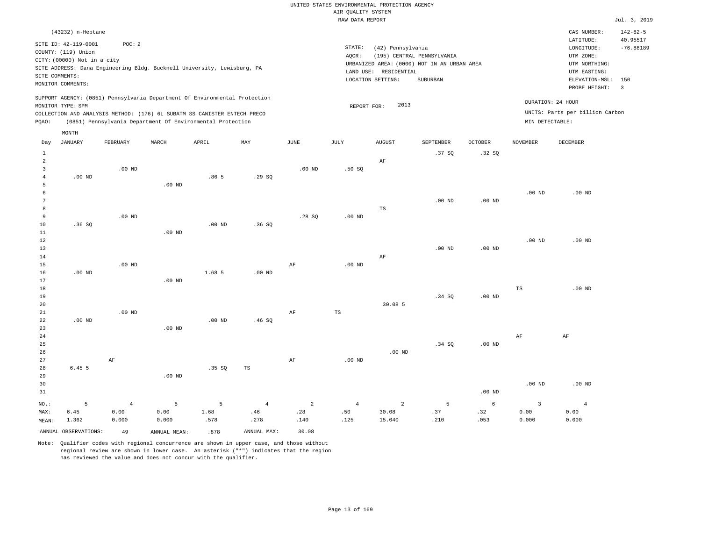#### RAW DATA REPORT Jul. 3, 2019 UNITED STATES ENVIRONMENTAL PROTECTION AGENCY AIR QUALITY SYSTEM

|                | (43232) n-Heptane                                                                                                             |                                                                          |       |       |                                                                            |      |                   |                                             |                   |                            |                |                 | CAS NUMBER:                     | $142 - 82 - 5$ |
|----------------|-------------------------------------------------------------------------------------------------------------------------------|--------------------------------------------------------------------------|-------|-------|----------------------------------------------------------------------------|------|-------------------|---------------------------------------------|-------------------|----------------------------|----------------|-----------------|---------------------------------|----------------|
|                | SITE ID: 42-119-0001                                                                                                          | POC:2                                                                    |       |       |                                                                            |      |                   |                                             |                   |                            |                |                 | LATITUDE:                       | 40.95517       |
|                |                                                                                                                               |                                                                          |       |       |                                                                            |      |                   | STATE:                                      | (42) Pennsylvania |                            |                |                 | LONGITUDE:                      | $-76.88189$    |
|                | COUNTY: (119) Union<br>CITY: (00000) Not in a city<br>SITE ADDRESS: Dana Engineering Bldg. Bucknell University, Lewisburg, PA |                                                                          |       |       |                                                                            |      |                   | AOCR:                                       |                   | (195) CENTRAL PENNSYLVANIA |                |                 | UTM ZONE:                       |                |
|                |                                                                                                                               |                                                                          |       |       |                                                                            |      |                   | URBANIZED AREA: (0000) NOT IN AN URBAN AREA |                   |                            |                |                 | UTM NORTHING:                   |                |
| SITE COMMENTS: |                                                                                                                               |                                                                          |       |       |                                                                            |      |                   | LAND USE:                                   | RESIDENTIAL       |                            |                |                 | UTM EASTING:                    |                |
|                |                                                                                                                               |                                                                          |       |       |                                                                            |      | LOCATION SETTING: | ELEVATION-MSL: 150                          |                   |                            |                |                 |                                 |                |
|                | MONITOR COMMENTS:                                                                                                             |                                                                          |       |       |                                                                            |      |                   |                                             |                   |                            |                |                 | PROBE HEIGHT:                   | -3             |
|                | MONITOR TYPE: SPM                                                                                                             |                                                                          |       |       | SUPPORT AGENCY: (0851) Pennsylvania Department Of Environmental Protection |      |                   | REPORT FOR:                                 | 2013              |                            |                |                 | DURATION: 24 HOUR               |                |
|                |                                                                                                                               | COLLECTION AND ANALYSIS METHOD: (176) 6L SUBATM SS CANISTER ENTECH PRECO |       |       |                                                                            |      |                   |                                             |                   |                            |                |                 | UNITS: Parts per billion Carbon |                |
| POAO:          |                                                                                                                               | (0851) Pennsylvania Department Of Environmental Protection               |       |       |                                                                            |      |                   |                                             |                   |                            |                | MIN DETECTABLE: |                                 |                |
|                | MONTH                                                                                                                         |                                                                          |       |       |                                                                            |      |                   |                                             |                   |                            |                |                 |                                 |                |
| Day            | JANUARY                                                                                                                       | FEBRUARY                                                                 | MARCH | APRIL | MAY                                                                        | JUNE | JULY              | <b>AUGUST</b>                               |                   | SEPTEMBER                  | <b>OCTOBER</b> | NOVEMBER        | DECEMBER                        |                |

|                |                      | ---------- |              |          | .           | ----              | ----        |                |          | -------    |                         | -----------    |
|----------------|----------------------|------------|--------------|----------|-------------|-------------------|-------------|----------------|----------|------------|-------------------------|----------------|
| 1              |                      |            |              |          |             |                   |             |                | .37 SQ   | .32SQ      |                         |                |
| $\sqrt{2}$     |                      |            |              |          |             |                   |             | $\rm AF$       |          |            |                         |                |
| 3              |                      | $.00$ ND   |              |          |             | .00 <sub>ND</sub> | .50SQ       |                |          |            |                         |                |
| $\overline{4}$ | .00 $ND$             |            |              | .865     | .29SQ       |                   |             |                |          |            |                         |                |
| 5              |                      |            | $.00$ ND     |          |             |                   |             |                |          |            |                         |                |
| 6              |                      |            |              |          |             |                   |             |                |          |            | $.00$ ND                | $.00$ ND       |
| 7              |                      |            |              |          |             |                   |             |                | $.00$ ND | $.00$ ND   |                         |                |
| 8              |                      |            |              |          |             |                   |             | TS             |          |            |                         |                |
| 9              |                      | $.00$ ND   |              |          |             | .28SQ             | $.00$ ND    |                |          |            |                         |                |
| 10             | .36SQ                |            |              | $.00$ ND | .36SQ       |                   |             |                |          |            |                         |                |
| $11\,$         |                      |            | $.00$ ND     |          |             |                   |             |                |          |            |                         |                |
| 12             |                      |            |              |          |             |                   |             |                |          |            | $.00$ ND                | $.00$ ND       |
| 13             |                      |            |              |          |             |                   |             |                | $.00$ ND | $.00$ ND   |                         |                |
| 14             |                      |            |              |          |             |                   |             | $\rm AF$       |          |            |                         |                |
| 15             |                      | $.00$ ND   |              |          |             | $\rm{AF}$         | $.00$ ND    |                |          |            |                         |                |
| 16             | $.00$ ND             |            |              | 1.68 5   | $.00$ ND    |                   |             |                |          |            |                         |                |
| 17             |                      |            | $.00$ ND     |          |             |                   |             |                |          |            |                         |                |
| $18\,$         |                      |            |              |          |             |                   |             |                |          |            | $_{\rm TS}$             | $.00$ ND       |
| 19             |                      |            |              |          |             |                   |             |                | .34 SQ   | .00 $ND$   |                         |                |
| 20             |                      |            |              |          |             |                   |             | 30.08 5        |          |            |                         |                |
| 21             |                      | $.00$ ND   |              |          |             | $\rm{AF}$         | $_{\rm TS}$ |                |          |            |                         |                |
| 22             | $.00$ ND             |            |              | $.00$ ND | .46SQ       |                   |             |                |          |            |                         |                |
| 23             |                      |            | $.00$ ND     |          |             |                   |             |                |          |            |                         |                |
| 24             |                      |            |              |          |             |                   |             |                |          |            | $\rm{AF}$               | $\rm AF$       |
| 25             |                      |            |              |          |             |                   |             |                | .34 SQ   | $.00$ ND   |                         |                |
| 26             |                      |            |              |          |             |                   |             | $.00$ ND       |          |            |                         |                |
| 27             |                      | $\rm AF$   |              |          |             | $\rm{AF}$         | $.00$ ND    |                |          |            |                         |                |
| 28             | 6.45 5               |            |              | .35 SQ   | $_{\rm TS}$ |                   |             |                |          |            |                         |                |
| 29             |                      |            | $.00$ ND     |          |             |                   |             |                |          |            |                         |                |
| 30             |                      |            |              |          |             |                   |             |                |          |            | $.00$ ND                | $.00$ ND       |
| 31             |                      |            |              |          |             |                   |             |                |          | $.00$ ND   |                         |                |
| $_{\rm NO.}$ : | 5                    | $\sqrt{4}$ | 5            | 5        | $\,4\,$     | $\overline{a}$    | $\sqrt{4}$  | $\overline{a}$ | 5        | $\epsilon$ | $\overline{\mathbf{3}}$ | $\overline{4}$ |
| MAX:           | 6.45                 | 0.00       | 0.00         | 1.68     | .46         | .28               | .50         | 30.08          | .37      | .32        | 0.00                    | 0.00           |
| MEAN:          | 1.362                | 0.000      | 0.000        | .578     | .278        | .140              | .125        | 15.040         | .210     | .053       | 0.000                   | 0.000          |
|                | ANNUAL OBSERVATIONS: | 49         | ANNUAL MEAN: | .878     | ANNUAL MAX: | 30.08             |             |                |          |            |                         |                |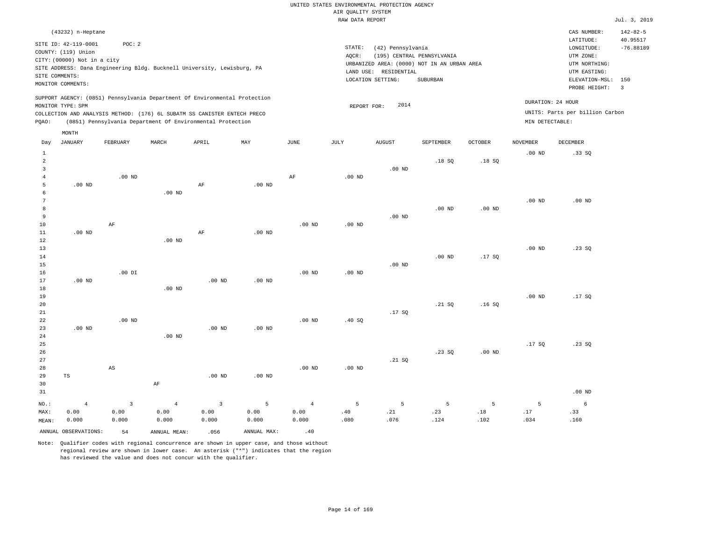|                |                             |                        |                                                                            |                         |                   |                |                                       | UNITED STATES ENVIRONMENTAL PROTECTION AGENCY |                                                                           |                   |                   |                                 |                |
|----------------|-----------------------------|------------------------|----------------------------------------------------------------------------|-------------------------|-------------------|----------------|---------------------------------------|-----------------------------------------------|---------------------------------------------------------------------------|-------------------|-------------------|---------------------------------|----------------|
|                |                             |                        |                                                                            |                         |                   |                | AIR QUALITY SYSTEM<br>RAW DATA REPORT |                                               |                                                                           |                   |                   |                                 | Jul. 3, 2019   |
|                |                             |                        |                                                                            |                         |                   |                |                                       |                                               |                                                                           |                   |                   |                                 |                |
|                | (43232) n-Heptane           |                        |                                                                            |                         |                   |                |                                       |                                               |                                                                           |                   |                   | CAS NUMBER:                     | $142 - 82 - 5$ |
|                | SITE ID: 42-119-0001        | POC: 2                 |                                                                            |                         |                   |                |                                       |                                               |                                                                           |                   |                   | LATITUDE:                       | 40.95517       |
|                | COUNTY: (119) Union         |                        |                                                                            |                         |                   |                | STATE:                                | (42) Pennsylvania                             |                                                                           |                   |                   | LONGITUDE:                      | $-76.88189$    |
|                | CITY: (00000) Not in a city |                        |                                                                            |                         |                   |                | AQCR:                                 |                                               | (195) CENTRAL PENNSYLVANIA<br>URBANIZED AREA: (0000) NOT IN AN URBAN AREA |                   |                   | UTM ZONE:<br>UTM NORTHING:      |                |
|                |                             |                        | SITE ADDRESS: Dana Engineering Bldg. Bucknell University, Lewisburg, PA    |                         |                   |                |                                       | LAND USE: RESIDENTIAL                         |                                                                           |                   |                   | UTM EASTING:                    |                |
|                | SITE COMMENTS:              |                        |                                                                            |                         |                   |                |                                       | LOCATION SETTING:                             | SUBURBAN                                                                  |                   |                   | ELEVATION-MSL:                  | 150            |
|                | MONITOR COMMENTS:           |                        |                                                                            |                         |                   |                |                                       |                                               |                                                                           |                   |                   | PROBE HEIGHT:                   | $\overline{3}$ |
|                |                             |                        | SUPPORT AGENCY: (0851) Pennsylvania Department Of Environmental Protection |                         |                   |                |                                       |                                               |                                                                           |                   |                   |                                 |                |
|                | MONITOR TYPE: SPM           |                        |                                                                            |                         |                   |                | REPORT FOR:                           | 2014                                          |                                                                           |                   |                   | DURATION: 24 HOUR               |                |
|                |                             |                        | COLLECTION AND ANALYSIS METHOD: (176) 6L SUBATM SS CANISTER ENTECH PRECO   |                         |                   |                |                                       |                                               |                                                                           |                   |                   | UNITS: Parts per billion Carbon |                |
| PQAO:          |                             |                        | (0851) Pennsylvania Department Of Environmental Protection                 |                         |                   |                |                                       |                                               |                                                                           |                   | MIN DETECTABLE:   |                                 |                |
|                | MONTH                       |                        |                                                                            |                         |                   |                |                                       |                                               |                                                                           |                   |                   |                                 |                |
| Day            | <b>JANUARY</b>              | FEBRUARY               | MARCH                                                                      | APRIL                   | MAX               | JUNE           | JULY                                  | <b>AUGUST</b>                                 | SEPTEMBER                                                                 | <b>OCTOBER</b>    | <b>NOVEMBER</b>   | DECEMBER                        |                |
| $\mathbf{1}$   |                             |                        |                                                                            |                         |                   |                |                                       |                                               |                                                                           |                   | .00 <sub>ND</sub> | .33SQ                           |                |
| $\overline{a}$ |                             |                        |                                                                            |                         |                   |                |                                       |                                               | .18SQ                                                                     | .18S              |                   |                                 |                |
| 3              |                             |                        |                                                                            |                         |                   |                |                                       | $.00$ ND                                      |                                                                           |                   |                   |                                 |                |
| 4              |                             | $.00$ ND               |                                                                            |                         |                   | AF             | .00 <sub>ND</sub>                     |                                               |                                                                           |                   |                   |                                 |                |
| 5              | $.00$ ND                    |                        |                                                                            | AF                      | $.00$ ND          |                |                                       |                                               |                                                                           |                   |                   |                                 |                |
| 6<br>7         |                             |                        | .00 <sub>ND</sub>                                                          |                         |                   |                |                                       |                                               |                                                                           |                   | .00 <sub>ND</sub> | $.00$ ND                        |                |
| 8              |                             |                        |                                                                            |                         |                   |                |                                       |                                               | .00 <sub>ND</sub>                                                         | .00 <sub>ND</sub> |                   |                                 |                |
| 9              |                             |                        |                                                                            |                         |                   |                |                                       | $.00$ ND                                      |                                                                           |                   |                   |                                 |                |
| 10             |                             | AF                     |                                                                            |                         |                   | $.00$ ND       | $.00$ ND                              |                                               |                                                                           |                   |                   |                                 |                |
| $11\,$         | $.00$ ND                    |                        |                                                                            | $\rm{AF}$               | $.00$ ND          |                |                                       |                                               |                                                                           |                   |                   |                                 |                |
| 12             |                             |                        | $.00$ ND                                                                   |                         |                   |                |                                       |                                               |                                                                           |                   |                   |                                 |                |
| 13             |                             |                        |                                                                            |                         |                   |                |                                       |                                               |                                                                           |                   | $.00$ ND          | .23 S0                          |                |
| 14             |                             |                        |                                                                            |                         |                   |                |                                       |                                               | $.00$ ND                                                                  | .17SQ             |                   |                                 |                |
| 15             |                             |                        |                                                                            |                         |                   |                |                                       | $.00$ ND                                      |                                                                           |                   |                   |                                 |                |
| 16             |                             | $.00$ DI               |                                                                            |                         |                   | $.00$ ND       | $.00$ ND                              |                                               |                                                                           |                   |                   |                                 |                |
| 17             | $.00$ ND                    |                        |                                                                            | .00 <sub>ND</sub>       | .00 <sub>ND</sub> |                |                                       |                                               |                                                                           |                   |                   |                                 |                |
| 18             |                             |                        | $.00$ ND                                                                   |                         |                   |                |                                       |                                               |                                                                           |                   |                   |                                 |                |
| 19<br>20       |                             |                        |                                                                            |                         |                   |                |                                       |                                               | .21 SQ                                                                    | .16SQ             | .00 <sub>ND</sub> | .17SQ                           |                |
| 21             |                             |                        |                                                                            |                         |                   |                |                                       | .17SQ                                         |                                                                           |                   |                   |                                 |                |
| 22             |                             | $.00$ ND               |                                                                            |                         |                   | $.00$ ND       | .40SQ                                 |                                               |                                                                           |                   |                   |                                 |                |
| 23             | .00 <sub>ND</sub>           |                        |                                                                            | .00 <sub>ND</sub>       | $.00$ ND          |                |                                       |                                               |                                                                           |                   |                   |                                 |                |
| 24             |                             |                        | $.00$ ND                                                                   |                         |                   |                |                                       |                                               |                                                                           |                   |                   |                                 |                |
| 25             |                             |                        |                                                                            |                         |                   |                |                                       |                                               |                                                                           |                   | .17SQ             | .23SQ                           |                |
| 26             |                             |                        |                                                                            |                         |                   |                |                                       |                                               | .23SQ                                                                     | $.00$ ND          |                   |                                 |                |
| 27             |                             |                        |                                                                            |                         |                   |                |                                       | .21 S0                                        |                                                                           |                   |                   |                                 |                |
| 28             |                             | $\mathbb{A}\mathbb{S}$ |                                                                            |                         |                   | $.00$ ND       | $.00$ ND                              |                                               |                                                                           |                   |                   |                                 |                |
| 29             | TS                          |                        |                                                                            | .00 <sub>ND</sub>       | .00 <sub>ND</sub> |                |                                       |                                               |                                                                           |                   |                   |                                 |                |
| 30             |                             |                        | $\rm{AF}$                                                                  |                         |                   |                |                                       |                                               |                                                                           |                   |                   |                                 |                |
| 31             |                             |                        |                                                                            |                         |                   |                |                                       |                                               |                                                                           |                   |                   | $.00$ ND                        |                |
| $NO.$ :        | $\overline{4}$              | $\overline{3}$         | $\overline{4}$                                                             | $\overline{\mathbf{3}}$ | 5                 | $\overline{4}$ | 5                                     | 5                                             | 5                                                                         | 5                 | 5                 | 6                               |                |
| MAX:           | 0.00                        | 0.00                   | 0.00                                                                       | 0.00                    | 0.00              | 0.00           | .40                                   | .21                                           | .23                                                                       | .18               | .17               | .33                             |                |
| MEAN:          | 0.000                       | 0.000                  | 0.000                                                                      | 0.000                   | 0.000             | 0.000          | .080                                  | .076                                          | .124                                                                      | .102              | .034              | .160                            |                |
|                | ANNUAL OBSERVATIONS:        | 54                     | ANNUAL, MEAN:                                                              | .056                    | ANNUAL MAX:       | .40            |                                       |                                               |                                                                           |                   |                   |                                 |                |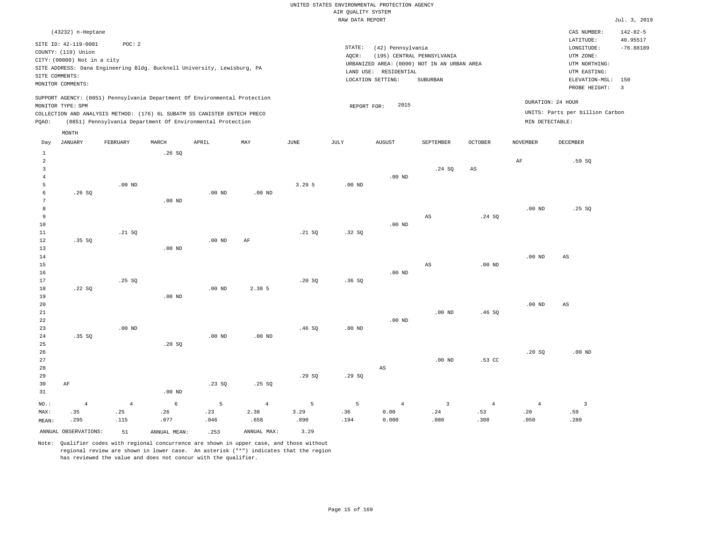|                                |                                                                                                                   |                |              |                                                                            |                   |             | RAW DATA REPORT   |                                                                 |                                                                                       |                   |                   |                                                                                                              | Jul. 3, 2019                              |
|--------------------------------|-------------------------------------------------------------------------------------------------------------------|----------------|--------------|----------------------------------------------------------------------------|-------------------|-------------|-------------------|-----------------------------------------------------------------|---------------------------------------------------------------------------------------|-------------------|-------------------|--------------------------------------------------------------------------------------------------------------|-------------------------------------------|
|                                | (43232) n-Heptane                                                                                                 |                |              |                                                                            |                   |             |                   |                                                                 |                                                                                       |                   |                   | CAS NUMBER:                                                                                                  | $142 - 82 - 5$                            |
|                                | SITE ID: 42-119-0001<br>COUNTY: (119) Union<br>CITY: (00000) Not in a city<br>SITE COMMENTS:<br>MONITOR COMMENTS: | POC: 2         |              | SITE ADDRESS: Dana Engineering Bldg. Bucknell University, Lewisburg, PA    |                   |             | STATE:<br>AQCR:   | (42) Pennsylvania<br>LAND USE: RESIDENTIAL<br>LOCATION SETTING: | (195) CENTRAL PENNSYLVANIA<br>URBANIZED AREA: (0000) NOT IN AN URBAN AREA<br>SUBURBAN |                   |                   | LATITUDE:<br>LONGITUDE:<br>UTM ZONE:<br>UTM NORTHING:<br>UTM EASTING:<br>ELEVATION-MSL: 150<br>PROBE HEIGHT: | 40.95517<br>$-76.88189$<br>$\overline{3}$ |
|                                |                                                                                                                   |                |              | SUPPORT AGENCY: (0851) Pennsylvania Department Of Environmental Protection |                   |             |                   |                                                                 |                                                                                       |                   |                   | DURATION: 24 HOUR                                                                                            |                                           |
|                                | MONITOR TYPE: SPM                                                                                                 |                |              | COLLECTION AND ANALYSIS METHOD: (176) 6L SUBATM SS CANISTER ENTECH PRECO   |                   |             | REPORT FOR:       | 2015                                                            |                                                                                       |                   |                   | UNITS: Parts per billion Carbon                                                                              |                                           |
| PQAO:                          |                                                                                                                   |                |              | (0851) Pennsylvania Department Of Environmental Protection                 |                   |             |                   |                                                                 |                                                                                       |                   | MIN DETECTABLE:   |                                                                                                              |                                           |
|                                |                                                                                                                   |                |              |                                                                            |                   |             |                   |                                                                 |                                                                                       |                   |                   |                                                                                                              |                                           |
|                                | MONTH                                                                                                             |                |              |                                                                            |                   |             |                   |                                                                 |                                                                                       |                   |                   |                                                                                                              |                                           |
| Day                            | <b>JANUARY</b>                                                                                                    | FEBRUARY       | MARCH        | APRIL                                                                      | MAX               | <b>JUNE</b> | <b>JULY</b>       | <b>AUGUST</b>                                                   | SEPTEMBER                                                                             | <b>OCTOBER</b>    | <b>NOVEMBER</b>   | DECEMBER                                                                                                     |                                           |
| $\mathbf{1}$<br>$\overline{a}$ |                                                                                                                   |                | .26SQ        |                                                                            |                   |             |                   |                                                                 |                                                                                       |                   | AF                | .59SQ                                                                                                        |                                           |
| $\overline{\mathbf{3}}$        |                                                                                                                   |                |              |                                                                            |                   |             |                   |                                                                 | .24 SQ                                                                                | $_{\rm AS}$       |                   |                                                                                                              |                                           |
| $\overline{4}$<br>5            |                                                                                                                   | $.00$ ND       |              |                                                                            |                   | 3.295       | .00 <sub>ND</sub> | $.00$ ND                                                        |                                                                                       |                   |                   |                                                                                                              |                                           |
| 6                              | .26SQ                                                                                                             |                |              | $.00$ ND                                                                   | .00 <sub>ND</sub> |             |                   |                                                                 |                                                                                       |                   |                   |                                                                                                              |                                           |
| 7                              |                                                                                                                   |                | $.00$ ND     |                                                                            |                   |             |                   |                                                                 |                                                                                       |                   |                   |                                                                                                              |                                           |
| 8                              |                                                                                                                   |                |              |                                                                            |                   |             |                   |                                                                 |                                                                                       |                   | .00 <sub>ND</sub> | .25S                                                                                                         |                                           |
| 9                              |                                                                                                                   |                |              |                                                                            |                   |             |                   |                                                                 | $\mathbb{A}\mathbb{S}$                                                                | .24SQ             |                   |                                                                                                              |                                           |
| 10                             |                                                                                                                   |                |              |                                                                            |                   |             |                   | $.00$ ND                                                        |                                                                                       |                   |                   |                                                                                                              |                                           |
| $11\,$                         |                                                                                                                   | .21 S0         |              |                                                                            |                   | .21 SQ      | .32S              |                                                                 |                                                                                       |                   |                   |                                                                                                              |                                           |
| $1\,2$                         | .35SQ                                                                                                             |                |              | .00 <sub>ND</sub>                                                          | AF                |             |                   |                                                                 |                                                                                       |                   |                   |                                                                                                              |                                           |
| 13                             |                                                                                                                   |                | $.00$ ND     |                                                                            |                   |             |                   |                                                                 |                                                                                       |                   |                   |                                                                                                              |                                           |
| 14                             |                                                                                                                   |                |              |                                                                            |                   |             |                   |                                                                 |                                                                                       |                   | .00 <sub>ND</sub> | AS                                                                                                           |                                           |
| 15<br>16                       |                                                                                                                   |                |              |                                                                            |                   |             |                   | $.00$ ND                                                        | $\mathbb{A}\mathbb{S}$                                                                | .00 <sub>ND</sub> |                   |                                                                                                              |                                           |
| 17                             |                                                                                                                   | .25S           |              |                                                                            |                   | .20S        | .36S              |                                                                 |                                                                                       |                   |                   |                                                                                                              |                                           |
| 18                             | .22SQ                                                                                                             |                |              | .00 <sub>ND</sub>                                                          | 2.38 5            |             |                   |                                                                 |                                                                                       |                   |                   |                                                                                                              |                                           |
| 19                             |                                                                                                                   |                | $.00$ ND     |                                                                            |                   |             |                   |                                                                 |                                                                                       |                   |                   |                                                                                                              |                                           |
| 20                             |                                                                                                                   |                |              |                                                                            |                   |             |                   |                                                                 |                                                                                       |                   | .00 <sub>ND</sub> | AS                                                                                                           |                                           |
| $21\,$                         |                                                                                                                   |                |              |                                                                            |                   |             |                   |                                                                 | $.00$ ND                                                                              | .46SQ             |                   |                                                                                                              |                                           |
| 22                             |                                                                                                                   |                |              |                                                                            |                   |             |                   | $.00$ ND                                                        |                                                                                       |                   |                   |                                                                                                              |                                           |
| 23                             |                                                                                                                   | $.00$ ND       |              |                                                                            |                   | .46SQ       | .00 <sub>ND</sub> |                                                                 |                                                                                       |                   |                   |                                                                                                              |                                           |
| 24                             | .35S                                                                                                              |                |              | $.00$ ND                                                                   | $.00$ ND          |             |                   |                                                                 |                                                                                       |                   |                   |                                                                                                              |                                           |
| 25<br>26                       |                                                                                                                   |                | .20 SQ       |                                                                            |                   |             |                   |                                                                 |                                                                                       |                   | .20SQ             | $.00$ ND                                                                                                     |                                           |
| 27                             |                                                                                                                   |                |              |                                                                            |                   |             |                   |                                                                 | $.00$ ND                                                                              | .53 <sub>c</sub>  |                   |                                                                                                              |                                           |
| 28                             |                                                                                                                   |                |              |                                                                            |                   |             |                   | AS                                                              |                                                                                       |                   |                   |                                                                                                              |                                           |
| 29                             |                                                                                                                   |                |              |                                                                            |                   | .29SQ       | .29SQ             |                                                                 |                                                                                       |                   |                   |                                                                                                              |                                           |
| 30                             | AF                                                                                                                |                |              | .23SQ                                                                      | .25SQ             |             |                   |                                                                 |                                                                                       |                   |                   |                                                                                                              |                                           |
| 31                             |                                                                                                                   |                | $.00$ ND     |                                                                            |                   |             |                   |                                                                 |                                                                                       |                   |                   |                                                                                                              |                                           |
| NO.:                           | $\overline{4}$                                                                                                    | $\overline{4}$ | 6            | 5                                                                          | $\overline{4}$    | 5           | 5                 | $\overline{4}$                                                  | $\overline{3}$                                                                        | $\sqrt{4}$        | $\overline{4}$    | $\overline{\mathbf{3}}$                                                                                      |                                           |
| MAX:                           | .35                                                                                                               | .25            | .26          | .23                                                                        | 2.38              | 3.29        | .36               | 0.00                                                            | .24                                                                                   | .53               | .20               | .59                                                                                                          |                                           |
| MEAN:                          | .295                                                                                                              | .115           | .077         | .046                                                                       | .658              | .890        | .194              | 0.000                                                           | .080                                                                                  | .308              | .050              | .280                                                                                                         |                                           |
|                                | ANNUAL OBSERVATIONS:                                                                                              | 51             | ANNUAL MEAN: | .253                                                                       | ANNUAL MAX:       | 3.29        |                   |                                                                 |                                                                                       |                   |                   |                                                                                                              |                                           |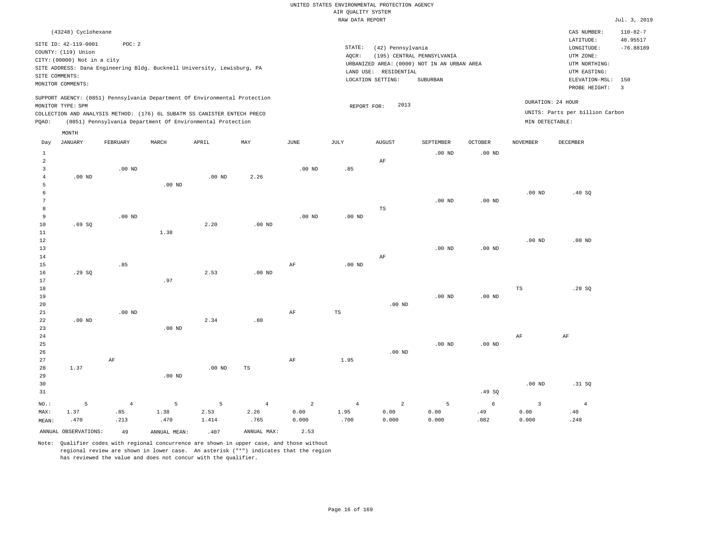|                                           |                                             |                                                                                                                                        |          |                   |                   |                   |                     | UNITED STATES ENVIRONMENTAL PROTECTION AGENCY |                                             |            |                   |                                     |                         |
|-------------------------------------------|---------------------------------------------|----------------------------------------------------------------------------------------------------------------------------------------|----------|-------------------|-------------------|-------------------|---------------------|-----------------------------------------------|---------------------------------------------|------------|-------------------|-------------------------------------|-------------------------|
|                                           |                                             |                                                                                                                                        |          |                   |                   |                   | AIR QUALITY SYSTEM  |                                               |                                             |            |                   |                                     |                         |
|                                           |                                             |                                                                                                                                        |          |                   |                   |                   | RAW DATA REPORT     |                                               |                                             |            |                   |                                     | Jul. 3, 2019            |
|                                           | (43248) Cyclohexane                         |                                                                                                                                        |          |                   |                   |                   |                     |                                               |                                             |            |                   | CAS NUMBER:                         | $110 - 82 - 7$          |
|                                           | SITE ID: 42-119-0001<br>COUNTY: (119) Union | POC: 2                                                                                                                                 |          |                   |                   |                   | $\texttt{STATE}{}:$ | (42) Pennsylvania                             |                                             |            |                   | LATITUDE:<br>$\texttt{LONGITUDE}$ : | 40.95517<br>$-76.88189$ |
|                                           | CITY: (00000) Not in a city                 |                                                                                                                                        |          |                   |                   |                   | AOCR:               |                                               | (195) CENTRAL PENNSYLVANIA                  |            |                   | UTM ZONE:                           |                         |
|                                           |                                             | SITE ADDRESS: Dana Engineering Bldg. Bucknell University, Lewisburg, PA                                                                |          |                   |                   |                   |                     |                                               | URBANIZED AREA: (0000) NOT IN AN URBAN AREA |            |                   | UTM NORTHING:                       |                         |
| SITE COMMENTS:                            |                                             |                                                                                                                                        |          |                   |                   |                   |                     | LAND USE: RESIDENTIAL                         |                                             |            |                   | UTM EASTING:                        |                         |
|                                           | MONITOR COMMENTS:                           |                                                                                                                                        |          |                   |                   |                   |                     | LOCATION SETTING:                             | SUBURBAN                                    |            |                   | ELEVATION-MSL:<br>PROBE HEIGHT:     | 150<br>$\overline{3}$   |
|                                           | MONITOR TYPE: SPM                           | SUPPORT AGENCY: (0851) Pennsylvania Department Of Environmental Protection                                                             |          |                   |                   |                   | REPORT FOR:         | 2013                                          |                                             |            |                   | DURATION: 24 HOUR                   |                         |
| PQAO:                                     |                                             | COLLECTION AND ANALYSIS METHOD: (176) 6L SUBATM SS CANISTER ENTECH PRECO<br>(0851) Pennsylvania Department Of Environmental Protection |          |                   |                   |                   |                     |                                               |                                             |            | MIN DETECTABLE:   | UNITS: Parts per billion Carbon     |                         |
|                                           | MONTH                                       |                                                                                                                                        |          |                   |                   |                   |                     |                                               |                                             |            |                   |                                     |                         |
| Day                                       | <b>JANUARY</b>                              | FEBRUARY                                                                                                                               | MARCH    | APRIL             | MAY               | <b>JUNE</b>       | <b>JULY</b>         | <b>AUGUST</b>                                 | SEPTEMBER                                   | OCTOBER    | <b>NOVEMBER</b>   | DECEMBER                            |                         |
| $\mathbf{1}$                              |                                             |                                                                                                                                        |          |                   |                   |                   |                     |                                               | $.00$ ND                                    | $.00$ ND   |                   |                                     |                         |
| $\overline{2}$<br>$\overline{\mathbf{3}}$ |                                             | $.00$ ND                                                                                                                               |          |                   |                   | .00 <sub>ND</sub> | .85                 | AF                                            |                                             |            |                   |                                     |                         |
| $\overline{4}$                            | $.00$ ND                                    |                                                                                                                                        |          | $.00$ ND          | 2.26              |                   |                     |                                               |                                             |            |                   |                                     |                         |
| 5                                         |                                             |                                                                                                                                        | $.00$ ND |                   |                   |                   |                     |                                               |                                             |            |                   |                                     |                         |
| 6                                         |                                             |                                                                                                                                        |          |                   |                   |                   |                     |                                               |                                             |            | .00 <sub>ND</sub> | .40 SQ                              |                         |
| 7                                         |                                             |                                                                                                                                        |          |                   |                   |                   |                     |                                               | $.00$ ND                                    | $.00$ ND   |                   |                                     |                         |
| 8                                         |                                             |                                                                                                                                        |          |                   |                   |                   |                     | TS                                            |                                             |            |                   |                                     |                         |
| 9<br>$10$                                 | .69SQ                                       | $.00$ ND                                                                                                                               |          | 2.20              | .00 <sub>ND</sub> | .00 <sub>ND</sub> | .00 <sub>ND</sub>   |                                               |                                             |            |                   |                                     |                         |
| $1\,1$                                    |                                             |                                                                                                                                        | 1.38     |                   |                   |                   |                     |                                               |                                             |            |                   |                                     |                         |
| 12                                        |                                             |                                                                                                                                        |          |                   |                   |                   |                     |                                               |                                             |            | $.00$ ND          | $.00$ ND                            |                         |
| 13                                        |                                             |                                                                                                                                        |          |                   |                   |                   |                     |                                               | $.00$ ND                                    | $.00$ ND   |                   |                                     |                         |
| 14                                        |                                             |                                                                                                                                        |          |                   |                   |                   |                     | AF                                            |                                             |            |                   |                                     |                         |
| 15                                        |                                             | .85                                                                                                                                    |          |                   |                   | $\rm{AF}$         | .00 <sub>ND</sub>   |                                               |                                             |            |                   |                                     |                         |
| 16                                        | .29SQ                                       |                                                                                                                                        |          | 2.53              | $.00$ ND          |                   |                     |                                               |                                             |            |                   |                                     |                         |
| 17<br>18                                  |                                             |                                                                                                                                        | .97      |                   |                   |                   |                     |                                               |                                             |            | $_{\rm TS}$       | .28S                                |                         |
| 19                                        |                                             |                                                                                                                                        |          |                   |                   |                   |                     |                                               | $.00$ ND                                    | $.00$ ND   |                   |                                     |                         |
| 20                                        |                                             |                                                                                                                                        |          |                   |                   |                   |                     | $.00$ ND                                      |                                             |            |                   |                                     |                         |
| 21                                        |                                             | $.00$ ND                                                                                                                               |          |                   |                   | $\rm{AF}$         | TS                  |                                               |                                             |            |                   |                                     |                         |
| 22                                        | $.00$ ND                                    |                                                                                                                                        |          | 2.34              | .80               |                   |                     |                                               |                                             |            |                   |                                     |                         |
| 23                                        |                                             |                                                                                                                                        | $.00$ ND |                   |                   |                   |                     |                                               |                                             |            |                   |                                     |                         |
| 24                                        |                                             |                                                                                                                                        |          |                   |                   |                   |                     |                                               |                                             |            | $\rm AF$          | AF                                  |                         |
| 25<br>26                                  |                                             |                                                                                                                                        |          |                   |                   |                   |                     | $.00$ ND                                      | $.00$ ND                                    | $.00$ ND   |                   |                                     |                         |
| 27                                        |                                             | $\rm{AF}$                                                                                                                              |          |                   |                   | AF                | 1.95                |                                               |                                             |            |                   |                                     |                         |
| 28                                        | 1.37                                        |                                                                                                                                        |          | .00 <sub>ND</sub> | $_{\rm TS}$       |                   |                     |                                               |                                             |            |                   |                                     |                         |
| 29                                        |                                             |                                                                                                                                        | $.00$ ND |                   |                   |                   |                     |                                               |                                             |            |                   |                                     |                         |
| 30                                        |                                             |                                                                                                                                        |          |                   |                   |                   |                     |                                               |                                             |            | .00 <sub>ND</sub> | .31 SQ                              |                         |
| 31                                        |                                             |                                                                                                                                        |          |                   |                   |                   |                     |                                               |                                             | .49S       |                   |                                     |                         |
| NO.:                                      | 5                                           | $\overline{4}$                                                                                                                         | 5        | 5                 | $\overline{4}$    | 2                 | $\overline{4}$      | $\overline{a}$                                | 5                                           | $\epsilon$ | $\overline{3}$    | $\overline{4}$                      |                         |
| MAX:                                      | 1.37                                        | .85                                                                                                                                    | 1.38     | 2.53              | 2.26              | 0.00              | 1.95                | 0.00                                          | 0.00                                        | .49        | 0.00              | .40                                 |                         |
| MEAN:                                     | .470                                        | .213                                                                                                                                   | .470     | 1.414             | .765              | 0.000             | .700                | 0.000                                         | 0.000                                       | .082       | 0.000             | .248                                |                         |

ANNUAL OBSERVATIONS:  $\begin{array}{ccc} 49 & \text{ANNUAL MEAN:} & 407 \end{array}$  ANNUAL MAX:  $\begin{array}{ccc} 2.53 & \text{MVOTE$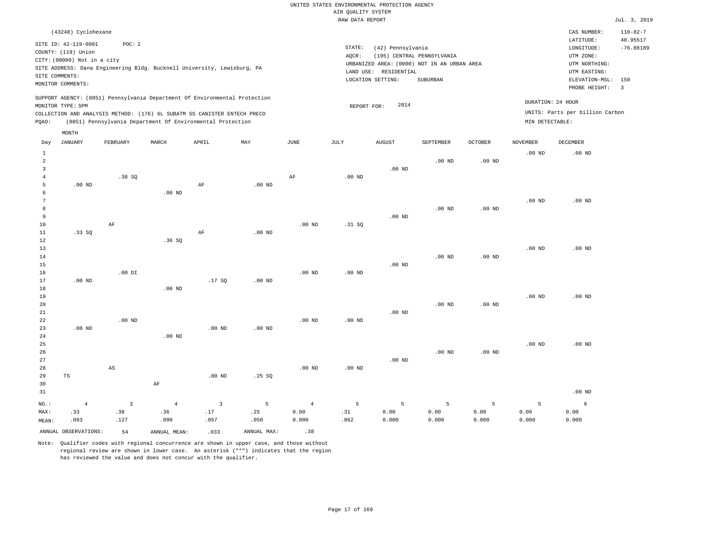|                     |                             |                         |                |                                                                            |                   |                   | UNITED STATES ENVIRONMENTAL PROTECTION AGENCY |                       |                                             |                   |                   |                                 |                                |
|---------------------|-----------------------------|-------------------------|----------------|----------------------------------------------------------------------------|-------------------|-------------------|-----------------------------------------------|-----------------------|---------------------------------------------|-------------------|-------------------|---------------------------------|--------------------------------|
|                     |                             |                         |                |                                                                            |                   |                   | AIR QUALITY SYSTEM                            |                       |                                             |                   |                   |                                 |                                |
|                     |                             |                         |                |                                                                            |                   |                   | RAW DATA REPORT                               |                       |                                             |                   |                   |                                 | Jul. 3, 2019                   |
|                     | (43248) Cyclohexane         |                         |                |                                                                            |                   |                   |                                               |                       |                                             |                   |                   | CAS NUMBER:<br>LATITUDE:        | $110 - 82 - 7$<br>40.95517     |
|                     | SITE ID: 42-119-0001        | POC: 2                  |                |                                                                            |                   |                   | $\texttt{STATE}{}:$                           | (42) Pennsylvania     |                                             |                   |                   | ${\tt LONGITUDE:}$              | $-76.88189$                    |
|                     | COUNTY: (119) Union         |                         |                |                                                                            |                   |                   | AQCR:                                         |                       | (195) CENTRAL PENNSYLVANIA                  |                   |                   | UTM ZONE:                       |                                |
|                     | CITY: (00000) Not in a city |                         |                | SITE ADDRESS: Dana Engineering Bldg. Bucknell University, Lewisburg, PA    |                   |                   |                                               |                       | URBANIZED AREA: (0000) NOT IN AN URBAN AREA |                   |                   | UTM NORTHING:                   |                                |
|                     | SITE COMMENTS:              |                         |                |                                                                            |                   |                   |                                               | LAND USE: RESIDENTIAL |                                             |                   |                   | UTM EASTING:                    |                                |
|                     | MONITOR COMMENTS:           |                         |                |                                                                            |                   |                   |                                               | LOCATION SETTING:     | ${\tt SUBURBAN}$                            |                   |                   | ELEVATION-MSL:<br>PROBE HEIGHT: | 150<br>$\overline{\mathbf{3}}$ |
|                     |                             |                         |                | SUPPORT AGENCY: (0851) Pennsylvania Department Of Environmental Protection |                   |                   |                                               |                       |                                             |                   |                   | DURATION: 24 HOUR               |                                |
|                     | MONITOR TYPE: SPM           |                         |                | COLLECTION AND ANALYSIS METHOD: (176) 6L SUBATM SS CANISTER ENTECH PRECO   |                   |                   | REPORT FOR:                                   | 2014                  |                                             |                   |                   | UNITS: Parts per billion Carbon |                                |
| PQAO:               |                             |                         |                | (0851) Pennsylvania Department Of Environmental Protection                 |                   |                   |                                               |                       |                                             |                   | MIN DETECTABLE:   |                                 |                                |
|                     | MONTH                       |                         |                |                                                                            |                   |                   |                                               |                       |                                             |                   |                   |                                 |                                |
| Day                 | <b>JANUARY</b>              | FEBRUARY                | MARCH          | APRIL                                                                      | MAY               | JUNE              | JULY                                          | <b>AUGUST</b>         | SEPTEMBER                                   | <b>OCTOBER</b>    | <b>NOVEMBER</b>   | DECEMBER                        |                                |
| $\mathbf{1}$        |                             |                         |                |                                                                            |                   |                   |                                               |                       |                                             |                   | .00 <sub>ND</sub> | $.00$ ND                        |                                |
| $\overline{a}$      |                             |                         |                |                                                                            |                   |                   |                                               |                       | $.00$ ND                                    | $.00$ ND          |                   |                                 |                                |
| $\overline{3}$      |                             |                         |                |                                                                            |                   |                   |                                               | $.00$ ND              |                                             |                   |                   |                                 |                                |
| $\overline{4}$<br>5 | $.00$ ND                    | .38SQ                   |                | $\rm AF$                                                                   | $.00$ ND          | AF                | .00 <sub>ND</sub>                             |                       |                                             |                   |                   |                                 |                                |
| 6                   |                             |                         | $.00$ ND       |                                                                            |                   |                   |                                               |                       |                                             |                   |                   |                                 |                                |
| 7                   |                             |                         |                |                                                                            |                   |                   |                                               |                       |                                             |                   | .00 <sub>ND</sub> | $.00$ ND                        |                                |
| 8                   |                             |                         |                |                                                                            |                   |                   |                                               |                       | $.00$ ND                                    | .00 <sub>ND</sub> |                   |                                 |                                |
| 9                   |                             |                         |                |                                                                            |                   |                   |                                               | $.00$ ND              |                                             |                   |                   |                                 |                                |
| 10                  |                             | $\rm AF$                |                |                                                                            |                   | .00 <sub>ND</sub> | .31 SQ                                        |                       |                                             |                   |                   |                                 |                                |
| 11                  | .33 S0                      |                         |                | AF                                                                         | .00 <sub>ND</sub> |                   |                                               |                       |                                             |                   |                   |                                 |                                |
| 12<br>13            |                             |                         | .36SQ          |                                                                            |                   |                   |                                               |                       |                                             |                   | .00 <sub>ND</sub> | $.00$ ND                        |                                |
| 14                  |                             |                         |                |                                                                            |                   |                   |                                               |                       | $.00$ ND                                    | $.00$ ND          |                   |                                 |                                |
| 15                  |                             |                         |                |                                                                            |                   |                   |                                               | $.00$ ND              |                                             |                   |                   |                                 |                                |
| 16                  |                             | $.00$ DI                |                |                                                                            |                   | $.00$ ND          | $.00$ ND                                      |                       |                                             |                   |                   |                                 |                                |
| 17                  | $.00$ ND                    |                         |                | .17SQ                                                                      | $.00$ ND          |                   |                                               |                       |                                             |                   |                   |                                 |                                |
| 18                  |                             |                         | $.00$ ND       |                                                                            |                   |                   |                                               |                       |                                             |                   |                   |                                 |                                |
| 19<br>20            |                             |                         |                |                                                                            |                   |                   |                                               |                       | $.00$ ND                                    | .00 <sub>ND</sub> | .00 <sub>ND</sub> | $.00$ ND                        |                                |
| 21                  |                             |                         |                |                                                                            |                   |                   |                                               | $.00$ ND              |                                             |                   |                   |                                 |                                |
| 22                  |                             | $.00$ ND                |                |                                                                            |                   | .00 <sub>ND</sub> | .00 <sub>ND</sub>                             |                       |                                             |                   |                   |                                 |                                |
| 23                  | .00 <sub>ND</sub>           |                         |                | .00 <sub>ND</sub>                                                          | .00 <sub>ND</sub> |                   |                                               |                       |                                             |                   |                   |                                 |                                |
| $2\sqrt{4}$         |                             |                         | $.00$ ND       |                                                                            |                   |                   |                                               |                       |                                             |                   |                   |                                 |                                |
| 25                  |                             |                         |                |                                                                            |                   |                   |                                               |                       |                                             |                   | $.00$ ND          | $.00$ ND                        |                                |
| 26                  |                             |                         |                |                                                                            |                   |                   |                                               |                       | $.00$ ND                                    | .00 <sub>ND</sub> |                   |                                 |                                |
| 27<br>28            |                             | AS                      |                |                                                                            |                   | $.00$ ND          | $.00$ ND                                      | $.00$ ND              |                                             |                   |                   |                                 |                                |
| 29                  | $\operatorname{TS}$         |                         |                | $.00$ ND                                                                   | .25S              |                   |                                               |                       |                                             |                   |                   |                                 |                                |
| 30                  |                             |                         | $\rm{AF}$      |                                                                            |                   |                   |                                               |                       |                                             |                   |                   |                                 |                                |
| 31                  |                             |                         |                |                                                                            |                   |                   |                                               |                       |                                             |                   |                   | $.00$ ND                        |                                |
| NO.:                | $\overline{4}$              | $\overline{\mathbf{3}}$ | $\overline{4}$ | $\overline{3}$                                                             | $\overline{5}$    | $\sqrt{4}$        | 5                                             | 5                     | 5                                           | 5                 | 5                 | 6                               |                                |
| MAX:                | .33                         | .38                     | .36            | .17                                                                        | .25               | 0.00              | .31                                           | 0.00                  | 0.00                                        | 0.00              | 0.00              | 0.00                            |                                |
| MEAN:               | .083                        | .127                    | .090           | .057                                                                       | .050              | 0.000             | .062                                          | 0.000                 | 0.000                                       | 0.000             | 0.000             | 0.000                           |                                |
|                     | ANNUAL OBSERVATIONS:        | 54                      | ANNUAL, MEAN:  | .033                                                                       | ANNUAL MAX:       | .38               |                                               |                       |                                             |                   |                   |                                 |                                |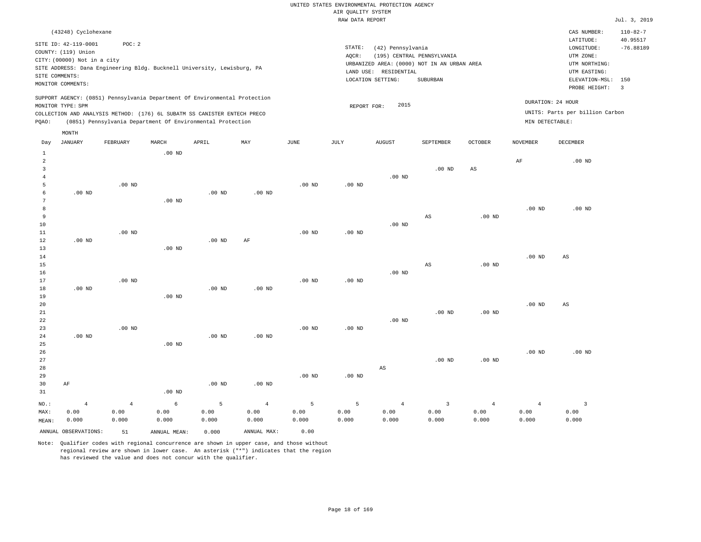|                |                             |          |                   |                                                                            |          |          | RAW DATA REPORT |                                             |           |                |                 |                                 | Jul. 3, 2019             |
|----------------|-----------------------------|----------|-------------------|----------------------------------------------------------------------------|----------|----------|-----------------|---------------------------------------------|-----------|----------------|-----------------|---------------------------------|--------------------------|
|                | (43248) Cyclohexane         |          |                   |                                                                            |          |          |                 |                                             |           |                |                 | CAS NUMBER:                     | $110 - 82 - 7$           |
|                | SITE ID: 42-119-0001        | POC: 2   |                   |                                                                            |          |          |                 |                                             |           |                |                 | LATITUDE:                       | 40.95517                 |
|                | COUNTY: (119) Union         |          |                   |                                                                            |          |          | STATE:          | (42) Pennsylvania                           |           |                |                 | LONGITUDE:                      | $-76.88189$              |
|                | CITY: (00000) Not in a city |          |                   |                                                                            |          |          | AQCR:           | (195) CENTRAL PENNSYLVANIA                  |           |                |                 | UTM ZONE:                       |                          |
|                |                             |          |                   | SITE ADDRESS: Dana Engineering Bldg. Bucknell University, Lewisburg, PA    |          |          |                 | URBANIZED AREA: (0000) NOT IN AN URBAN AREA |           |                |                 | UTM NORTHING:                   |                          |
|                | SITE COMMENTS:              |          |                   |                                                                            |          |          |                 | LAND USE: RESIDENTIAL                       |           |                |                 | UTM EASTING:                    |                          |
|                | MONITOR COMMENTS:           |          |                   |                                                                            |          |          |                 | LOCATION SETTING:                           | SUBURBAN  |                |                 | ELEVATION-MSL:                  | 150                      |
|                |                             |          |                   |                                                                            |          |          |                 |                                             |           |                |                 | PROBE HEIGHT:                   | $\overline{\phantom{a}}$ |
|                | MONITOR TYPE: SPM           |          |                   | SUPPORT AGENCY: (0851) Pennsylvania Department Of Environmental Protection |          |          | REPORT FOR:     | 2015                                        |           |                |                 | DURATION: 24 HOUR               |                          |
|                |                             |          |                   | COLLECTION AND ANALYSIS METHOD: (176) 6L SUBATM SS CANISTER ENTECH PRECO   |          |          |                 |                                             |           |                |                 | UNITS: Parts per billion Carbon |                          |
| PQAO:          |                             |          |                   | (0851) Pennsylvania Department Of Environmental Protection                 |          |          |                 |                                             |           |                | MIN DETECTABLE: |                                 |                          |
|                |                             |          |                   |                                                                            |          |          |                 |                                             |           |                |                 |                                 |                          |
|                | MONTH                       |          |                   |                                                                            |          |          |                 |                                             |           |                |                 |                                 |                          |
| Day            | JANUARY                     | FEBRUARY | MARCH             | APRIL                                                                      | MAY      | JUNE     | JULY            | <b>AUGUST</b>                               | SEPTEMBER | <b>OCTOBER</b> | <b>NOVEMBER</b> | <b>DECEMBER</b>                 |                          |
| $\overline{1}$ |                             |          | .00 <sub>ND</sub> |                                                                            |          |          |                 |                                             |           |                |                 |                                 |                          |
|                |                             |          |                   |                                                                            |          |          |                 |                                             |           |                | AF              | $.00$ ND                        |                          |
| 3              |                             |          |                   |                                                                            |          |          |                 |                                             | $.00$ ND  | AS             |                 |                                 |                          |
|                |                             |          |                   |                                                                            |          |          |                 | $.00$ ND                                    |           |                |                 |                                 |                          |
| 5              |                             | $.00$ ND |                   |                                                                            |          | $.00$ ND | $.00$ ND        |                                             |           |                |                 |                                 |                          |
|                | $.00$ ND                    |          |                   | $.00$ ND                                                                   | $.00$ ND |          |                 |                                             |           |                |                 |                                 |                          |
|                |                             |          | $.00$ ND          |                                                                            |          |          |                 |                                             |           |                |                 |                                 |                          |
|                |                             |          |                   |                                                                            |          |          |                 |                                             |           |                | $.00$ ND        | $.00$ ND                        |                          |
| 9              |                             |          |                   |                                                                            |          |          |                 |                                             | AS        | $.00$ ND       |                 |                                 |                          |
| 10             |                             |          |                   |                                                                            |          |          |                 | $.00$ ND                                    |           |                |                 |                                 |                          |
| 11             |                             | $.00$ ND |                   |                                                                            |          | $.00$ ND | $.00$ ND        |                                             |           |                |                 |                                 |                          |
| 12             | $.00$ ND                    |          |                   | $.00$ ND                                                                   | AF       |          |                 |                                             |           |                |                 |                                 |                          |
| 13             |                             |          | $.00$ ND          |                                                                            |          |          |                 |                                             |           |                |                 |                                 |                          |

14 15 16 17 18 19 20 21 22 .00 ND .00 ND .00 ND .00 ND .00 ND .00 ND .00 ND .00 ND .00 ND AS .00 ND .00 ND .00 ND .00 ND .00 ND AS AS

.00 ND

| 24      | $.00$ ND |       |          | $.00$ ND | $.00$ ND |          |          |                |          |          |                |          |
|---------|----------|-------|----------|----------|----------|----------|----------|----------------|----------|----------|----------------|----------|
| 25      |          |       | $.00$ ND |          |          |          |          |                |          |          |                |          |
| 26      |          |       |          |          |          |          |          |                |          |          | $.00$ ND       | $.00$ ND |
| 27      |          |       |          |          |          |          |          |                | $.00$ ND | $.00$ ND |                |          |
| 28      |          |       |          |          |          |          |          | AS             |          |          |                |          |
| 29      |          |       |          |          |          | $.00$ ND | $.00$ ND |                |          |          |                |          |
| 30      | AF       |       |          | $.00$ ND | $.00$ ND |          |          |                |          |          |                |          |
| 31      |          |       | $.00$ ND |          |          |          |          |                |          |          |                |          |
| $NO.$ : | 4        | 4     | 6        | 5        | 4        | 5        | 5        | $\overline{4}$ | 3        | 4        | $\overline{4}$ |          |
| MAX:    | 0.00     | 0.00  | 0.00     | 0.00     | 0.00     | 0.00     | 0.00     | 0.00           | 0.00     | 0.00     | 0.00           | 0.00     |
| MEAN:   | 0.000    | 0.000 | 0.000    | 0.000    | 0.000    | 0.000    | 0.000    | 0.000          | 0.000    | 0.000    | 0.000          | 0.000    |

ANNUAL OBSERVATIONS: 51 ANNUAL MEAN: 0.000 ANNUAL MAX: 0.00

.00 ND

23

Note: Qualifier codes with regional concurrence are shown in upper case, and those without regional review are shown in lower case. An asterisk ("\*") indicates that the region has reviewed the value and does not concur with the qualifier.

.00 ND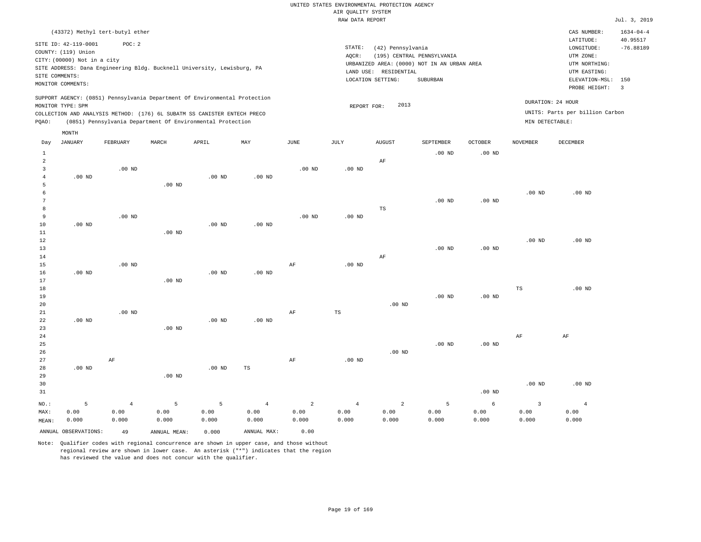RAW DATA REPORT Jul. 3, 2019 UNITED STATES ENVIRONMENTAL PROTECTION AGENCY AIR QUALITY SYSTEM

|         |                                                    | (43372) Methyl tert-butyl ether |          |                                                                            |          |          |                   |                   |                                                                           |                |                   | CAS NUMBER:                     | $1634 - 04 - 4$         |
|---------|----------------------------------------------------|---------------------------------|----------|----------------------------------------------------------------------------|----------|----------|-------------------|-------------------|---------------------------------------------------------------------------|----------------|-------------------|---------------------------------|-------------------------|
|         | SITE ID: 42-119-0001                               | POC: 2                          |          |                                                                            |          |          | STATE:            | (42) Pennsylvania |                                                                           |                |                   | LATITUDE:<br>LONGITUDE:         | 40.95517<br>$-76.88189$ |
|         | COUNTY: (119) Union<br>CITY: (00000) Not in a city |                                 |          |                                                                            |          |          | AOCR:             |                   | (195) CENTRAL PENNSYLVANIA<br>URBANIZED AREA: (0000) NOT IN AN URBAN AREA |                |                   | UTM ZONE:<br>UTM NORTHING:      |                         |
|         | SITE COMMENTS:                                     |                                 |          | SITE ADDRESS: Dana Engineering Bldg. Bucknell University, Lewisburg, PA    |          |          | LAND USE:         | RESIDENTIAL       |                                                                           |                |                   | UTM EASTING:                    |                         |
|         | MONITOR COMMENTS:                                  |                                 |          |                                                                            |          |          |                   | LOCATION SETTING: | SUBURBAN                                                                  |                |                   | ELEVATION-MSL:<br>PROBE HEIGHT: | 150<br>3                |
|         | MONITOR TYPE: SPM                                  |                                 |          | SUPPORT AGENCY: (0851) Pennsylvania Department Of Environmental Protection |          |          | REPORT FOR:       | 2013              |                                                                           |                |                   | DURATION: 24 HOUR               |                         |
|         |                                                    |                                 |          | COLLECTION AND ANALYSIS METHOD: (176) 6L SUBATM SS CANISTER ENTECH PRECO   |          |          |                   |                   |                                                                           |                |                   | UNITS: Parts per billion Carbon |                         |
| POAO:   |                                                    |                                 |          | (0851) Pennsylvania Department Of Environmental Protection                 |          |          |                   |                   |                                                                           |                | MIN DETECTABLE:   |                                 |                         |
|         | MONTH                                              |                                 |          |                                                                            |          |          |                   |                   |                                                                           |                |                   |                                 |                         |
| Day     | JANUARY                                            | FEBRUARY                        | MARCH    | APRIL                                                                      | MAY      | JUNE     | JULY              | AUGUST            | SEPTEMBER                                                                 | <b>OCTOBER</b> | <b>NOVEMBER</b>   | <b>DECEMBER</b>                 |                         |
| 2       |                                                    |                                 |          |                                                                            |          |          |                   | AF                | $.00$ ND                                                                  | $.00$ ND       |                   |                                 |                         |
|         |                                                    | $.00$ ND                        |          |                                                                            |          | $.00$ ND | .00 <sub>ND</sub> |                   |                                                                           |                |                   |                                 |                         |
|         | $.00$ ND                                           |                                 |          | $.00$ ND                                                                   | $.00$ ND |          |                   |                   |                                                                           |                |                   |                                 |                         |
| 5<br>-6 |                                                    |                                 | $.00$ ND |                                                                            |          |          |                   |                   |                                                                           |                | .00 <sub>ND</sub> | .00 <sub>ND</sub>               |                         |
|         |                                                    |                                 |          |                                                                            |          |          |                   |                   |                                                                           |                |                   |                                 |                         |

| 7              |          |          |                   |          |          |          |          |    | $.00$ ND | $.00$ ND |          |          |
|----------------|----------|----------|-------------------|----------|----------|----------|----------|----|----------|----------|----------|----------|
| 8 <sup>8</sup> |          |          |                   |          |          |          |          | TS |          |          |          |          |
| 9              |          | $.00$ ND |                   |          |          | $.00$ ND | $.00$ ND |    |          |          |          |          |
| 10             | $.00$ ND |          |                   | $.00$ ND | $.00$ ND |          |          |    |          |          |          |          |
| 11             |          |          | .00 <sub>ND</sub> |          |          |          |          |    |          |          |          |          |
| 12             |          |          |                   |          |          |          |          |    |          |          | $.00$ ND | $.00$ ND |
| 13             |          |          |                   |          |          |          |          |    | $.00$ ND | $.00$ ND |          |          |
| 14             |          |          |                   |          |          |          |          | AF |          |          |          |          |

| 15 |          | $.00$ ND |          |          |          | AF | $.00$ ND |          |          |          |             |          |
|----|----------|----------|----------|----------|----------|----|----------|----------|----------|----------|-------------|----------|
| 16 | $.00$ ND |          |          | $.00$ ND | $.00$ ND |    |          |          |          |          |             |          |
| 17 |          |          | $.00$ ND |          |          |    |          |          |          |          |             |          |
| 18 |          |          |          |          |          |    |          |          |          |          | $_{\rm TS}$ | $.00$ ND |
| 19 |          |          |          |          |          |    |          |          | $.00$ ND | $.00$ ND |             |          |
| 20 |          |          |          |          |          |    |          | $.00$ ND |          |          |             |          |
| 21 |          | $.00$ ND |          |          |          | AF | TS       |          |          |          |             |          |
| 22 | $.00$ ND |          |          | $.00$ ND | $.00$ ND |    |          |          |          |          |             |          |
| 23 |          |          | $.00$ ND |          |          |    |          |          |          |          |             |          |
| 24 |          |          |          |          |          |    |          |          |          |          | AF          | AF       |
| 25 |          |          |          |          |          |    |          |          | $.00$ ND | $.00$ ND |             |          |
| 26 |          |          |          |          |          |    |          | $.00$ ND |          |          |             |          |
| 27 |          | AF       |          |          |          | AF | $.00$ ND |          |          |          |             |          |

| $.00$ ND |       |          | $.00$ ND | TS    |       |       |                |       |          |          |          |
|----------|-------|----------|----------|-------|-------|-------|----------------|-------|----------|----------|----------|
|          |       | $.00$ ND |          |       |       |       |                |       |          |          |          |
|          |       |          |          |       |       |       |                |       |          | $.00$ ND | $.00$ ND |
|          |       |          |          |       |       |       |                |       | $.00$ ND |          |          |
| 5        |       |          |          | 4     | 2     | 4     | $\overline{2}$ |       | 6        |          |          |
| 0.00     | 0.00  | 0.00     | 0.00     | 0.00  | 0.00  | 0.00  | 0.00           | 0.00  | 0.00     | 0.00     | 0.00     |
| 0.000    | 0.000 | 0.000    | 0.000    | 0.000 | 0.000 | 0.000 | 0.000          | 0.000 | 0.000    | 0.000    | 0.000    |
|          |       |          |          |       |       |       |                |       |          |          |          |

ANNUAL OBSERVATIONS: 49 ANNUAL MEAN: 0.000 ANNUAL MAX: 0.00

28

.00 ND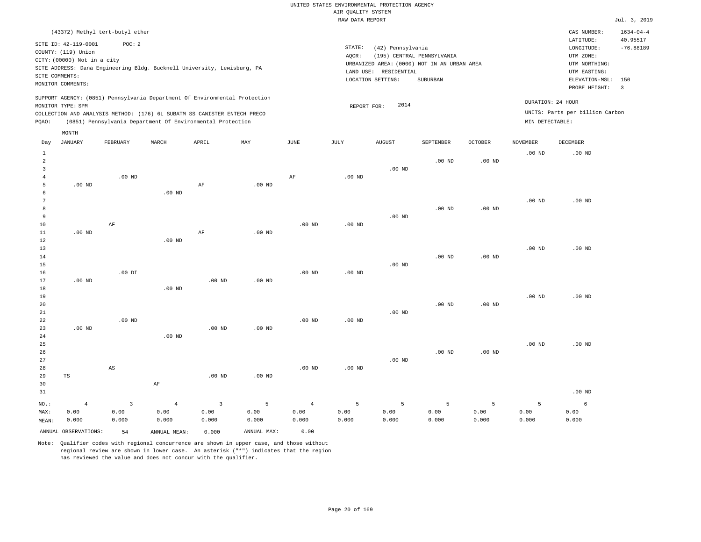RAW DATA REPORT Jul. 3, 2019 UNITED STATES ENVIRONMENTAL PROTECTION AGENCY AIR QUALITY SYSTEM (43372) Methyl tert-butyl ether STATE: (42) Pennsylvania CAS NUMBER: 1634-04-4 SITE ID: 42-119-0001 POC: 2 AQCR: (195) CENTRAL PENNSYLVANIA COUNTY: (119) Union CITY: (00000) Not in a city LONGITUDE: -76.88189 LATITUDE: 40.95517 LOCATION SETTING: SUBURBAN SITE ADDRESS: Dana Engineering Bldg. Bucknell University, Lewisburg, PA LAND USE: RESIDENTIAL SITE COMMENTS: MONITOR COMMENTS: PROBE HEIGHT: 3 ELEVATION-MSL: 150 URBANIZED AREA: (0000) NOT IN AN URBAN AREA **URBAN SERIA UTM NORTHING**: UTM EASTING: UTM ZONE: SUPPORT AGENCY: (0851) Pennsylvania Department Of Environmental Protection MONITOR TYPE: SPM COLLECTION AND ANALYSIS METHOD: (176) 6L SUBATM SS CANISTER ENTECH PRECO REPORT FOR: 2014 UNITS: Parts per billion Carbon PQAO: (0851) Pennsylvania Department Of Environmental Protection MIN DETECTABLE: DURATION: 24 HOUR 1 2 3 4 5 6 7 8 9 10 11 12 13 14 15 16 17 18 19  $20$ 21 22 23 24 25 26 27 28 29 30 31 .00 ND .00 ND .00 ND .00 ND TS NO.: MAX: MEAN: 4 0.00 0.000 .00 ND AF .00 DI .00 ND AS .00 ND .00 ND .00 ND .00 ND AF AF AF .00 ND .00 ND .00 ND .00 ND .00 ND .00 ND .00 ND .00 ND AF .00 ND .00 ND .00 ND .00 ND .00 ND .00 ND .00 ND .00 ND .00 ND .00 ND .00 ND .00 ND .00 ND .00 ND .00 ND .00 ND .00 ND .00 ND .00 ND .00 ND .00 ND .00 ND .00 ND .00 ND .00 ND .00 ND .00 ND .00 ND .00 ND .00 ND .00 ND .00 ND .00 ND .00 ND .00 ND 3 0.00 0.000 4 0.00 0.000 3 0.00 0.000 5 0.00 0.000 4 0.00 0.000 5 0.00 0.000 5 0.00 0.000 5 0.00 0.000 5 0.00 0.000 5 0.00 0.000 6 0.00 0.000 ANNUAL OBSERVATIONS: 54 ANNUAL MEAN: 0.000 ANNUAL MAX: 0.00 Day JANUARY FEBRUARY MARCH APRIL MAY JUNE JULY AUGUST SEPTEMBER OCTOBER NOVEMBER DECEMBER MONTH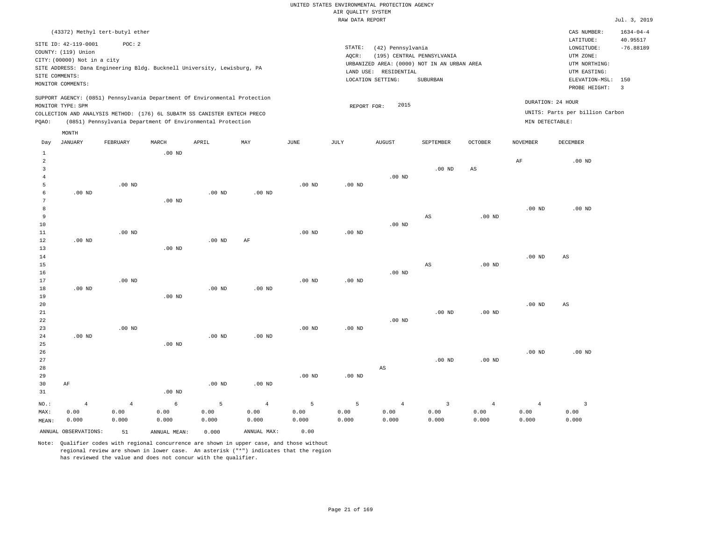|              |                                                                            |                   |                                                            |                   |                |                   | RAW DATA REPORT   |                       |                                             |                   |                   |                                 | Jul. 3, 2019    |
|--------------|----------------------------------------------------------------------------|-------------------|------------------------------------------------------------|-------------------|----------------|-------------------|-------------------|-----------------------|---------------------------------------------|-------------------|-------------------|---------------------------------|-----------------|
|              | (43372) Methyl tert-butyl ether                                            |                   |                                                            |                   |                |                   |                   |                       |                                             |                   |                   | CAS NUMBER:                     | $1634 - 04 - 4$ |
|              |                                                                            |                   |                                                            |                   |                |                   |                   |                       |                                             |                   |                   | LATITUDE:                       | 40.95517        |
|              | SITE ID: 42-119-0001<br>COUNTY: (119) Union                                | POC: 2            |                                                            |                   |                |                   | STATE:            | (42) Pennsylvania     |                                             |                   |                   | LONGITUDE:                      | $-76.88189$     |
|              | CITY: (00000) Not in a city                                                |                   |                                                            |                   |                |                   | AOCR:             |                       | (195) CENTRAL PENNSYLVANIA                  |                   |                   | UTM ZONE:                       |                 |
|              | SITE ADDRESS: Dana Engineering Bldg. Bucknell University, Lewisburg, PA    |                   |                                                            |                   |                |                   |                   |                       | URBANIZED AREA: (0000) NOT IN AN URBAN AREA |                   |                   | UTM NORTHING:                   |                 |
|              | SITE COMMENTS:                                                             |                   |                                                            |                   |                |                   |                   | LAND USE: RESIDENTIAL |                                             |                   |                   | UTM EASTING:                    |                 |
|              | MONITOR COMMENTS:                                                          |                   |                                                            |                   |                |                   |                   | LOCATION SETTING:     | SUBURBAN                                    |                   |                   | ELEVATION-MSL:                  | 150             |
|              |                                                                            |                   |                                                            |                   |                |                   |                   |                       |                                             |                   |                   | PROBE HEIGHT:                   | $\overline{3}$  |
|              | SUPPORT AGENCY: (0851) Pennsylvania Department Of Environmental Protection |                   |                                                            |                   |                |                   |                   |                       |                                             |                   |                   | DURATION: 24 HOUR               |                 |
|              | MONITOR TYPE: SPM                                                          |                   |                                                            |                   |                |                   | REPORT FOR:       | 2015                  |                                             |                   |                   |                                 |                 |
|              | COLLECTION AND ANALYSIS METHOD: (176) 6L SUBATM SS CANISTER ENTECH PRECO   |                   |                                                            |                   |                |                   |                   |                       |                                             |                   |                   | UNITS: Parts per billion Carbon |                 |
| PQAO:        |                                                                            |                   | (0851) Pennsylvania Department Of Environmental Protection |                   |                |                   |                   |                       |                                             |                   | MIN DETECTABLE:   |                                 |                 |
|              | MONTH                                                                      |                   |                                                            |                   |                |                   |                   |                       |                                             |                   |                   |                                 |                 |
| Day          | <b>JANUARY</b>                                                             | FEBRUARY          | MARCH                                                      | APRIL             | MAY            | JUNE              | JULY              | AUGUST                | SEPTEMBER                                   | <b>OCTOBER</b>    | <b>NOVEMBER</b>   | DECEMBER                        |                 |
| $\mathbf{1}$ |                                                                            |                   | $.00$ ND                                                   |                   |                |                   |                   |                       |                                             |                   |                   |                                 |                 |
| 2            |                                                                            |                   |                                                            |                   |                |                   |                   |                       |                                             |                   | AF                | $.00$ ND                        |                 |
| 3            |                                                                            |                   |                                                            |                   |                |                   |                   |                       | $.00$ ND                                    | AS                |                   |                                 |                 |
| 4            |                                                                            |                   |                                                            |                   |                |                   |                   | $.00$ ND              |                                             |                   |                   |                                 |                 |
| 5            |                                                                            | .00 <sub>ND</sub> |                                                            |                   |                | $.00$ ND          | $.00$ ND          |                       |                                             |                   |                   |                                 |                 |
| 6            | $.00$ ND                                                                   |                   |                                                            | $.00$ ND          | $.00$ ND       |                   |                   |                       |                                             |                   |                   |                                 |                 |
| 7            |                                                                            |                   | $.00$ ND                                                   |                   |                |                   |                   |                       |                                             |                   |                   |                                 |                 |
| 8            |                                                                            |                   |                                                            |                   |                |                   |                   |                       |                                             |                   | .00 <sub>ND</sub> | $.00$ ND                        |                 |
| 9            |                                                                            |                   |                                                            |                   |                |                   |                   |                       | AS                                          | .00 <sub>ND</sub> |                   |                                 |                 |
| 10<br>$11\,$ |                                                                            | $.00$ ND          |                                                            |                   |                | $.00$ ND          | .00 <sub>ND</sub> | $.00$ ND              |                                             |                   |                   |                                 |                 |
| $1\,2$       | $.00$ ND                                                                   |                   |                                                            | .00 <sub>ND</sub> | AF             |                   |                   |                       |                                             |                   |                   |                                 |                 |
| 13           |                                                                            |                   | $.00$ ND                                                   |                   |                |                   |                   |                       |                                             |                   |                   |                                 |                 |
| 14           |                                                                            |                   |                                                            |                   |                |                   |                   |                       |                                             |                   | .00 <sub>ND</sub> | $\mathbb{A}\mathbb{S}$          |                 |
| 15           |                                                                            |                   |                                                            |                   |                |                   |                   |                       | $_{\rm AS}$                                 | .00 <sub>ND</sub> |                   |                                 |                 |
| 16           |                                                                            |                   |                                                            |                   |                |                   |                   | $.00$ ND              |                                             |                   |                   |                                 |                 |
| 17           |                                                                            | $.00$ ND          |                                                            |                   |                | .00 <sub>ND</sub> | .00 <sub>ND</sub> |                       |                                             |                   |                   |                                 |                 |
| 18           | $.00$ ND                                                                   |                   |                                                            | $.00$ ND          | $.00$ ND       |                   |                   |                       |                                             |                   |                   |                                 |                 |
| 19           |                                                                            |                   | $.00$ ND                                                   |                   |                |                   |                   |                       |                                             |                   |                   |                                 |                 |
| 20           |                                                                            |                   |                                                            |                   |                |                   |                   |                       |                                             |                   | .00 <sub>ND</sub> | $\mathbb{A}\mathbb{S}$          |                 |
| 21           |                                                                            |                   |                                                            |                   |                |                   |                   |                       | .00 <sub>ND</sub>                           | .00 <sub>ND</sub> |                   |                                 |                 |
| 22           |                                                                            |                   |                                                            |                   |                |                   |                   | $.00$ ND              |                                             |                   |                   |                                 |                 |
| 23           |                                                                            | $.00$ ND          |                                                            |                   |                | $.00$ ND          | $.00$ ND          |                       |                                             |                   |                   |                                 |                 |
| 24           | $.00$ ND                                                                   |                   |                                                            | $.00$ ND          | $.00$ ND       |                   |                   |                       |                                             |                   |                   |                                 |                 |
| 25           |                                                                            |                   | $.00$ ND                                                   |                   |                |                   |                   |                       |                                             |                   |                   |                                 |                 |
| 26           |                                                                            |                   |                                                            |                   |                |                   |                   |                       |                                             |                   | .00 <sub>ND</sub> | $.00$ ND                        |                 |
| 27           |                                                                            |                   |                                                            |                   |                |                   |                   |                       | .00 <sub>ND</sub>                           | .00 <sub>ND</sub> |                   |                                 |                 |
| 28           |                                                                            |                   |                                                            |                   |                |                   |                   | AS                    |                                             |                   |                   |                                 |                 |
| 29           |                                                                            |                   |                                                            |                   |                | .00 <sub>ND</sub> | .00 <sub>ND</sub> |                       |                                             |                   |                   |                                 |                 |
| 30           | $\rm AF$                                                                   |                   |                                                            | $.00$ ND          | $.00$ ND       |                   |                   |                       |                                             |                   |                   |                                 |                 |
| 31           |                                                                            |                   | $.00$ ND                                                   |                   |                |                   |                   |                       |                                             |                   |                   |                                 |                 |
| NO.:         | $\overline{4}$                                                             | $\overline{4}$    | $\epsilon$                                                 | 5                 | $\overline{4}$ | 5                 | 5                 | $\overline{4}$        | $\overline{3}$                              | $\overline{4}$    | $\overline{4}$    | $\overline{\mathbf{3}}$         |                 |
| MAX:         | 0.00                                                                       | 0.00              | 0.00                                                       | 0.00              | 0.00           | 0.00              | 0.00              | 0.00                  | 0.00                                        | 0.00              | 0.00              | 0.00                            |                 |
| MEAN:        | 0.000                                                                      | 0.000             | 0.000                                                      | 0.000             | 0.000          | 0.000             | 0.000             | 0.000                 | 0.000                                       | 0.000             | 0.000             | 0.000                           |                 |
|              | ANNUAL OBSERVATIONS:                                                       | 51                | ANNUAL, MEAN:                                              | 0.000             | ANNUAL MAX:    | 0.00              |                   |                       |                                             |                   |                   |                                 |                 |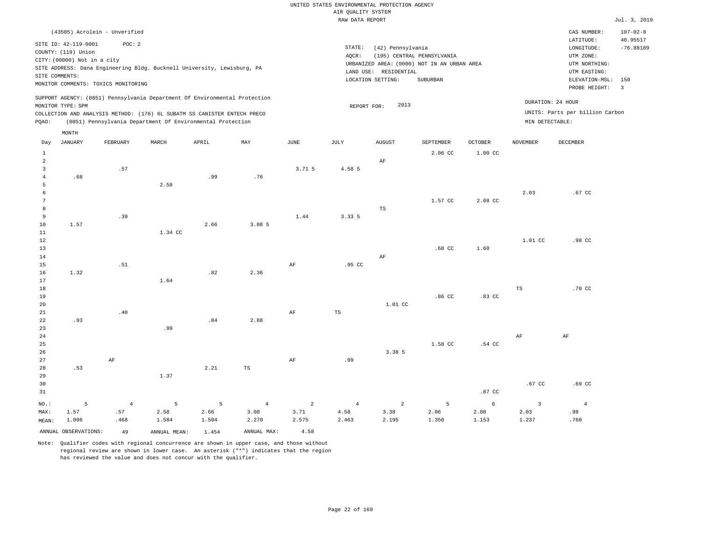RAW DATA REPORT JUL. 3, 2019 UNITED STATES ENVIRONMENTAL PROTECTION AGENCY AIR QUALITY SYSTEM STATE: (42) Pennsylvania AQCR: (195) CENTRAL PENNSYLVANIA LOCATION SETTING: SUBURBAN SITE ADDRESS: Dana Engineering Bldg. Bucknell University, Lewisburg, PA LAND USE: RESIDENTIAL URBANIZED AREA: (0000) NOT IN AN URBAN AREA **URBAN SERIA UTM NORTHING**:

CAS NUMBER: 107-02-8

LONGITUDE: -76.88189 LATITUDE: 40.95517

PROBE HEIGHT: 3 ELEVATION-MSL: 150

UTM EASTING: UTM ZONE:

SUPPORT AGENCY: (0851) Pennsylvania Department Of Environmental Protection MONITOR TYPE: SPM COLLECTION AND ANALYSIS METHOD: (176) 6L SUBATM SS CANISTER ENTECH PRECO REPORT FOR: 2013 UNITS: Parts per billion Carbon PQAO: (0851) Pennsylvania Department Of Environmental Protection MIN DETECTABLE: DURATION: 24 HOUR

| Day                                                   | JANUARY              | FEBRUARY       | $\tt MARCH$   | APRIL         | MAY            | $_{\rm JUNE}$           | JULY           | AUGUST         | SEPTEMBER     | $\mathtt{OCTOBER}$ | NOVEMBER                | DECEMBER       |
|-------------------------------------------------------|----------------------|----------------|---------------|---------------|----------------|-------------------------|----------------|----------------|---------------|--------------------|-------------------------|----------------|
| $\mathbf{1}$<br>$\overline{a}$<br>3<br>$\overline{4}$ | .68                  | .57            |               | .99           | .76            | 3.71.5                  | 4.58 5         | $\rm AF$       | 2.06 CC       | 1.00 CC            |                         |                |
| 5<br>6                                                |                      |                | 2.58          |               |                |                         |                |                |               |                    | 2.03                    | .67 CC         |
| $7\phantom{.0}$<br>8                                  |                      |                |               |               |                |                         |                | TS             | 1.57 CC       | 2.08 CC            |                         |                |
| 9<br>10<br>$11\,$                                     | 1.57                 | .39            | 1.34 CC       | 2.66          | 3.08 5         | 1.44                    | 3.33 5         |                |               |                    |                         |                |
| 12<br>13                                              |                      |                |               |               |                |                         |                |                | $.68$ CC      | 1.60               | $1.01$ CC               | .98 CC         |
| 14<br>15                                              |                      | .51            |               |               |                | AF                      | .95 CC         | $\rm AF$       |               |                    |                         |                |
| 16<br>17<br>18                                        | 1.32                 |                | 1.64          | .82           | 2.36           |                         |                |                |               |                    | $_{\rm TS}$             | .70 CC         |
| 19<br>20                                              |                      |                |               |               |                |                         |                | 1.01 CC        | .86 CC        | .83 CC             |                         |                |
| 21<br>22                                              | .93                  | .40            |               | .84           | 2.88           | AF                      | $_{\rm TS}$    |                |               |                    |                         |                |
| 23<br>${\bf 24}$<br>$25\,$                            |                      |                | .99           |               |                |                         |                |                | 1.58 CC       | .54 CC             | $\rm{AF}$               | $\rm AF$       |
| 26<br>27                                              |                      | $\rm AF$       |               |               |                | $\rm{AF}$               | .99            | 3.38 5         |               |                    |                         |                |
| $28\,$<br>29                                          | .53                  |                | 1.37          | 2.21          | TS             |                         |                |                |               |                    |                         |                |
| 30<br>31                                              |                      |                |               |               |                |                         |                |                |               | .87 CC             | .67 CC                  | .69 CC         |
| $_{\rm NO.}$ :                                        | 5<br>1.57            | $\overline{4}$ | 5             | 5             | $\overline{4}$ | $\overline{\mathbf{c}}$ | $\overline{4}$ | $\overline{a}$ | 5             | 6                  | $\overline{\mathbf{3}}$ | $\overline{4}$ |
| MAX:<br>MEAN:                                         | 1.006                | .57<br>.468    | 2.58<br>1.584 | 2.66<br>1.504 | 3.08<br>2.270  | 3.71<br>2.575           | 4.58<br>2.463  | 3.38<br>2.195  | 2.06<br>1.350 | 2.08<br>1.153      | 2.03<br>1.237           | .98<br>.760    |
|                                                       | ANNUAL OBSERVATIONS: | 49             | ANNUAL MEAN:  | 1.454         | ANNUAL MAX:    | 4.58                    |                |                |               |                    |                         |                |

Note: Qualifier codes with regional concurrence are shown in upper case, and those without regional review are shown in lower case. An asterisk ("\*") indicates that the region has reviewed the value and does not concur with the qualifier.

(43505) Acrolein - Unverified

SITE ID: 42-119-0001 POC: 2

MONITOR COMMENTS: TOXICS MONITORING

COUNTY: (119) Union CITY: (00000) Not in a city

MONTH

SITE COMMENTS: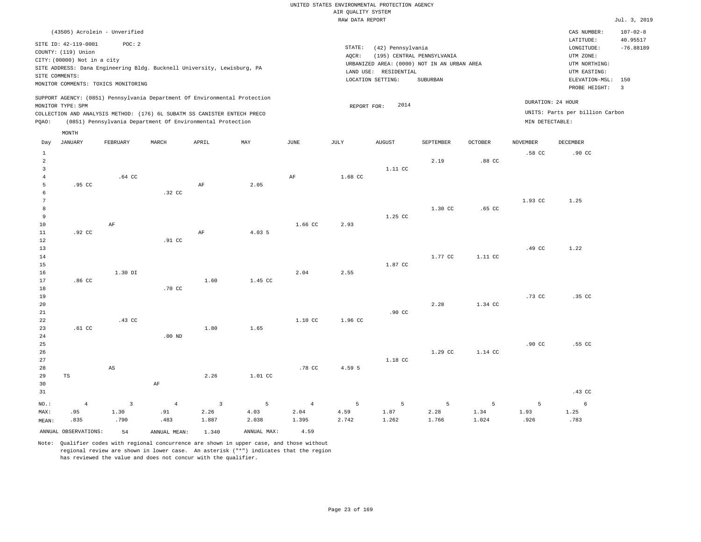RAW DATA REPORT Jul. 3, 2019 UNITED STATES ENVIRONMENTAL PROTECTION AGENCY AIR QUALITY SYSTEM

|                | (43505) Acrolein - Unverified                                            |                                                            |                  |       |                                                                            |      |             |                       |                                             |                  |                  | CAS NUMBER:                     | $107 - 02 - 8$          |
|----------------|--------------------------------------------------------------------------|------------------------------------------------------------|------------------|-------|----------------------------------------------------------------------------|------|-------------|-----------------------|---------------------------------------------|------------------|------------------|---------------------------------|-------------------------|
|                | SITE ID: 42-119-0001                                                     | POC:2                                                      |                  |       |                                                                            |      |             |                       |                                             |                  |                  | LATITUDE:                       | 40.95517                |
|                | COUNTY: (119) Union                                                      |                                                            |                  |       |                                                                            |      | STATE:      | (42) Pennsylvania     |                                             |                  |                  | LONGITUDE:                      | $-76.88189$             |
|                | CITY: (00000) Not in a city                                              |                                                            |                  |       |                                                                            |      | AOCR:       |                       | (195) CENTRAL PENNSYLVANIA                  |                  |                  | UTM ZONE:                       |                         |
|                | SITE ADDRESS: Dana Engineering Bldg. Bucknell University, Lewisburg, PA  |                                                            |                  |       |                                                                            |      |             |                       | URBANIZED AREA: (0000) NOT IN AN URBAN AREA |                  |                  | UTM NORTHING:                   |                         |
|                | SITE COMMENTS:                                                           |                                                            |                  |       |                                                                            |      |             | LAND USE: RESIDENTIAL |                                             |                  |                  | UTM EASTING:                    |                         |
|                | MONITOR COMMENTS: TOXICS MONITORING                                      |                                                            |                  |       |                                                                            |      |             | LOCATION SETTING:     | SUBURBAN                                    |                  |                  | ELEVATION-MSL:                  | 150                     |
|                |                                                                          |                                                            |                  |       |                                                                            |      |             |                       |                                             |                  |                  | PROBE HEIGHT:                   | $\overline{\mathbf{3}}$ |
|                | MONITOR TYPE: SPM                                                        |                                                            |                  |       | SUPPORT AGENCY: (0851) Pennsylvania Department Of Environmental Protection |      | REPORT FOR: | 2014                  |                                             |                  |                  | DURATION: 24 HOUR               |                         |
|                | COLLECTION AND ANALYSIS METHOD: (176) 6L SUBATM SS CANISTER ENTECH PRECO |                                                            |                  |       |                                                                            |      |             |                       |                                             |                  |                  | UNITS: Parts per billion Carbon |                         |
| POAO:          |                                                                          | (0851) Pennsylvania Department Of Environmental Protection |                  |       |                                                                            |      |             |                       |                                             |                  | MIN DETECTABLE:  |                                 |                         |
|                | MONTH                                                                    |                                                            |                  |       |                                                                            |      |             |                       |                                             |                  |                  |                                 |                         |
| Day            | JANUARY                                                                  | FEBRUARY                                                   | MARCH            | APRIL | MAY                                                                        | JUNE | JULY        | AUGUST                | SEPTEMBER                                   | <b>OCTOBER</b>   | <b>NOVEMBER</b>  | DECEMBER                        |                         |
|                |                                                                          |                                                            |                  |       |                                                                            |      |             |                       |                                             |                  | .58 <sub>c</sub> | .90 <sub>c</sub>                |                         |
| $\mathfrak{D}$ |                                                                          |                                                            |                  |       |                                                                            |      |             |                       | 2.19                                        | .88 CC           |                  |                                 |                         |
| 3              |                                                                          |                                                            |                  |       |                                                                            |      |             | 1.11 CC               |                                             |                  |                  |                                 |                         |
|                |                                                                          | $.64 \text{ CC}$                                           |                  |       |                                                                            | AF   | 1.68 CC     |                       |                                             |                  |                  |                                 |                         |
| 5              | .95 CC                                                                   |                                                            |                  | AF    | 2.05                                                                       |      |             |                       |                                             |                  |                  |                                 |                         |
| 6              |                                                                          |                                                            | .32 <sub>c</sub> |       |                                                                            |      |             |                       |                                             |                  |                  |                                 |                         |
|                |                                                                          |                                                            |                  |       |                                                                            |      |             |                       |                                             |                  | 1.93 CC          | 1.25                            |                         |
| 8              |                                                                          |                                                            |                  |       |                                                                            |      |             |                       | 1.30 CC                                     | .65 <sub>c</sub> |                  |                                 |                         |

| 9           |                  |         |          |      |         |         |         | 1.25 CC          |         |         |                  |        |
|-------------|------------------|---------|----------|------|---------|---------|---------|------------------|---------|---------|------------------|--------|
| $10$        |                  | AF      |          |      |         | 1.66 CC | 2.93    |                  |         |         |                  |        |
| $11\,$      | .92 <sub>c</sub> |         |          | AF   | 4.03 5  |         |         |                  |         |         |                  |        |
| $1\,2$      |                  |         | .91 CC   |      |         |         |         |                  |         |         |                  |        |
| $13$        |                  |         |          |      |         |         |         |                  |         |         | .49 CC           | 1.22   |
| $14\,$      |                  |         |          |      |         |         |         |                  | 1.77 CC | 1.11 CC |                  |        |
| $15\,$      |                  |         |          |      |         |         |         | 1.87 CC          |         |         |                  |        |
| 16          |                  | 1.30 DI |          |      |         | 2.04    | 2.55    |                  |         |         |                  |        |
| $17$        | .86 <sub>C</sub> |         |          | 1.60 | 1.45 CC |         |         |                  |         |         |                  |        |
| $1\,8$      |                  |         | .70 CC   |      |         |         |         |                  |         |         |                  |        |
| 19          |                  |         |          |      |         |         |         |                  |         |         | .73 CC           | .35 CC |
| $20\,$      |                  |         |          |      |         |         |         |                  | 2.28    | 1.34 CC |                  |        |
| $2\sqrt{1}$ |                  |         |          |      |         |         |         | .90 <sub>C</sub> |         |         |                  |        |
| $2\sqrt{2}$ |                  | .43 CC  |          |      |         | 1.10 CC | 1.96 CC |                  |         |         |                  |        |
| 23          | $.61 \text{ CC}$ |         |          | 1.80 | 1.65    |         |         |                  |         |         |                  |        |
| $2\sqrt{4}$ |                  |         | $.00$ ND |      |         |         |         |                  |         |         |                  |        |
| $2\sqrt{5}$ |                  |         |          |      |         |         |         |                  |         |         | .90 <sub>C</sub> | .55 CC |
| $2\sqrt{6}$ |                  |         |          |      |         |         |         |                  | 1.29 CC | 1.14 CC |                  |        |
| $27\,$      |                  |         |          |      |         |         |         | 1.18 CC          |         |         |                  |        |

| 27    |     |      |     |      |                          |        |        | 1.18 CC |      |      |          |      |
|-------|-----|------|-----|------|--------------------------|--------|--------|---------|------|------|----------|------|
| 28    |     | AS   |     |      |                          | .78 CC | 4.59 5 |         |      |      |          |      |
| 29 TS |     |      |     | 2.26 | 1.01 CC                  |        |        |         |      |      |          |      |
| 30    |     |      | AF  |      |                          |        |        |         |      |      |          |      |
| 31    |     |      |     |      |                          |        |        |         |      |      |          | .43  |
|       |     |      |     |      | NO.: 4 3 4 3 5 4 5 5 5 5 |        |        |         |      |      | $\sim$ 5 |      |
| MAX:  | .95 | 1.30 | .91 | 2.26 | 4.03                     | 2.04   | 4.59   | 1.87    | 2.28 | 1.34 | 1.93     | 1.25 |

1.395

ANNUAL OBSERVATIONS: 54 ANNUAL MEAN: 1.340 ANNUAL MAX: 4.59 Note: Qualifier codes with regional concurrence are shown in upper case, and those without regional review are shown in lower case. An asterisk ("\*") indicates that the region

1.887

2.038

has reviewed the value and does not concur with the qualifier.

.483

MEAN:

.835

.790

2.742

1.262

1.766

1.024

.926

 $cc$ 

6

.783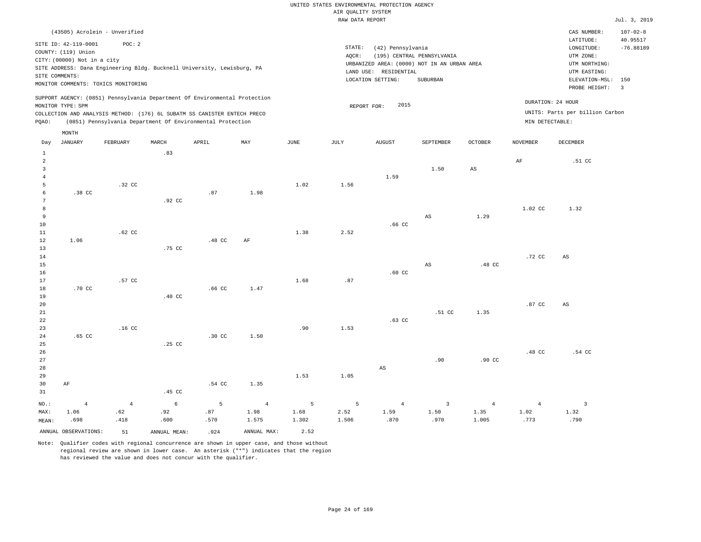|                                                  |                                                                                              |                                                                                                                                        |                           |                   |                                 |                    | RAW DATA REPORT    |                                                                 |                                                                                              |                                 |                                |                                                                                                                                                                                                                                                                                                                                                                                                                                                                                                                                                                                                                                             | Jul. 3, 2019                         |
|--------------------------------------------------|----------------------------------------------------------------------------------------------|----------------------------------------------------------------------------------------------------------------------------------------|---------------------------|-------------------|---------------------------------|--------------------|--------------------|-----------------------------------------------------------------|----------------------------------------------------------------------------------------------|---------------------------------|--------------------------------|---------------------------------------------------------------------------------------------------------------------------------------------------------------------------------------------------------------------------------------------------------------------------------------------------------------------------------------------------------------------------------------------------------------------------------------------------------------------------------------------------------------------------------------------------------------------------------------------------------------------------------------------|--------------------------------------|
|                                                  |                                                                                              | (43505) Acrolein - Unverified                                                                                                          |                           |                   |                                 |                    |                    |                                                                 |                                                                                              |                                 |                                | CAS NUMBER:<br>LATITUDE:                                                                                                                                                                                                                                                                                                                                                                                                                                                                                                                                                                                                                    | $107 - 02 - 8$<br>40.95517           |
|                                                  | SITE ID: 42-119-0001<br>COUNTY: (119) Union<br>CITY: (00000) Not in a city<br>SITE COMMENTS: | POC: 2<br>SITE ADDRESS: Dana Engineering Bldg. Bucknell University, Lewisburg, PA<br>MONITOR COMMENTS: TOXICS MONITORING               |                           |                   |                                 |                    | STATE:<br>AOCR:    | (42) Pennsylvania<br>LAND USE: RESIDENTIAL<br>LOCATION SETTING: | (195) CENTRAL PENNSYLVANIA<br>URBANIZED AREA: (0000) NOT IN AN URBAN AREA<br><b>SUBURBAN</b> |                                 |                                | $\texttt{LONGITUDE}: \quad % \begin{align*} \left\lbrack \begin{array}{c} \begin{array}{c} \begin{array}{c} \begin{array}{c} \begin{array}{c} \begin{array}{c} \begin{array}{c} \end{array}\\ \end{array}\\ \begin{array}{c} \end{array}\\ \begin{array}{c} \end{array}\\ \end{array}\\ \begin{array}{c} \end{array}\\ \end{array}\\ \end{align*} \end{align*} \right) \end{align*} \end{align*} \begin{minipage}{0.9\linewidth} \begin{minipage}{0.9\linewidth} \begin{tabular}{c} \begin{array}{c} \begin{array}{c} \begin{array}{c} \begin{array}{c} \$<br>UTM ZONE:<br>UTM NORTHING:<br>UTM EASTING:<br>ELEVATION-MSL:<br>PROBE HEIGHT: | $-76.88189$<br>150<br>$\overline{3}$ |
|                                                  | MONITOR TYPE: SPM                                                                            | SUPPORT AGENCY: (0851) Pennsylvania Department Of Environmental Protection                                                             |                           |                   |                                 |                    |                    | 2015<br>REPORT FOR:                                             |                                                                                              |                                 |                                | DURATION: 24 HOUR                                                                                                                                                                                                                                                                                                                                                                                                                                                                                                                                                                                                                           |                                      |
| PQAO:                                            |                                                                                              | COLLECTION AND ANALYSIS METHOD: (176) 6L SUBATM SS CANISTER ENTECH PRECO<br>(0851) Pennsylvania Department Of Environmental Protection |                           |                   |                                 |                    |                    |                                                                 |                                                                                              |                                 | MIN DETECTABLE:                | UNITS: Parts per billion Carbon                                                                                                                                                                                                                                                                                                                                                                                                                                                                                                                                                                                                             |                                      |
|                                                  | MONTH                                                                                        |                                                                                                                                        |                           |                   |                                 |                    |                    |                                                                 |                                                                                              |                                 |                                |                                                                                                                                                                                                                                                                                                                                                                                                                                                                                                                                                                                                                                             |                                      |
| Day                                              | <b>JANUARY</b>                                                                               | FEBRUARY                                                                                                                               | MARCH                     | APRIL             | MAY                             | <b>JUNE</b>        | JULY               | <b>AUGUST</b>                                                   | SEPTEMBER                                                                                    | OCTOBER                         | <b>NOVEMBER</b>                | DECEMBER                                                                                                                                                                                                                                                                                                                                                                                                                                                                                                                                                                                                                                    |                                      |
| $\mathbf{1}$<br>$\overline{a}$<br>$\overline{3}$ |                                                                                              |                                                                                                                                        | .83                       |                   |                                 |                    |                    |                                                                 | 1.50                                                                                         | $_{\rm AS}$                     | AF                             | .51 CC                                                                                                                                                                                                                                                                                                                                                                                                                                                                                                                                                                                                                                      |                                      |
| $\overline{4}$<br>5                              |                                                                                              | .32 CC                                                                                                                                 |                           |                   |                                 | 1.02               | 1.56               | 1.59                                                            |                                                                                              |                                 |                                |                                                                                                                                                                                                                                                                                                                                                                                                                                                                                                                                                                                                                                             |                                      |
| 6<br>$7\phantom{.0}$<br>8                        | .38 CC                                                                                       |                                                                                                                                        | .92 CC                    | .87               | 1.98                            |                    |                    |                                                                 |                                                                                              |                                 | 1.02 CC                        | 1.32                                                                                                                                                                                                                                                                                                                                                                                                                                                                                                                                                                                                                                        |                                      |
| 9<br>10<br>11                                    |                                                                                              | $.62$ CC                                                                                                                               |                           |                   |                                 | 1.38               | 2.52               | .66 <sub>CC</sub>                                               | $\mathbb{A}\mathbb{S}$                                                                       | 1.29                            |                                |                                                                                                                                                                                                                                                                                                                                                                                                                                                                                                                                                                                                                                             |                                      |
| 12<br>13<br>14<br>15                             | 1.06                                                                                         |                                                                                                                                        | .75 CC                    | .48 CC            | AF                              |                    |                    |                                                                 | AS                                                                                           | .48 CC                          | .72 CC                         | $\mathbb{A}\mathbb{S}$                                                                                                                                                                                                                                                                                                                                                                                                                                                                                                                                                                                                                      |                                      |
| 16<br>17<br>18                                   | .70 CC                                                                                       | .57 CC                                                                                                                                 |                           | .66 <sub>cc</sub> | 1.47                            | 1.68               | .87                | .60 <sub>cc</sub>                                               |                                                                                              |                                 |                                |                                                                                                                                                                                                                                                                                                                                                                                                                                                                                                                                                                                                                                             |                                      |
| 19<br>20<br>21                                   |                                                                                              |                                                                                                                                        | .40 <sub>C</sub>          |                   |                                 |                    |                    |                                                                 | .51 CC                                                                                       | 1.35                            | .87 CC                         | $\mathbb{A}\mathbb{S}$                                                                                                                                                                                                                                                                                                                                                                                                                                                                                                                                                                                                                      |                                      |
| 22<br>23<br>24<br>25                             | $.65$ CC                                                                                     | .16 <sub>c</sub>                                                                                                                       | .25 CC                    | .30 CC            | 1.50                            | .90                | 1.53               | $.63$ CC                                                        |                                                                                              |                                 |                                |                                                                                                                                                                                                                                                                                                                                                                                                                                                                                                                                                                                                                                             |                                      |
| 26<br>27<br>28                                   |                                                                                              |                                                                                                                                        |                           |                   |                                 |                    |                    | AS                                                              | .90                                                                                          | .90 <sub>c</sub>                | .48 CC                         | .54 CC                                                                                                                                                                                                                                                                                                                                                                                                                                                                                                                                                                                                                                      |                                      |
| 29<br>30<br>31                                   | AF                                                                                           |                                                                                                                                        | .45 CC                    | .54 CC            | 1.35                            | 1.53               | 1.05               |                                                                 |                                                                                              |                                 |                                |                                                                                                                                                                                                                                                                                                                                                                                                                                                                                                                                                                                                                                             |                                      |
| NO.:<br>MAX:<br>MEAN:                            | $\overline{4}$<br>1.06<br>.698                                                               | $\overline{4}$<br>.62<br>.418                                                                                                          | $\epsilon$<br>.92<br>.600 | 5<br>.87<br>.570  | $\overline{4}$<br>1.98<br>1.575 | 5<br>1.68<br>1.302 | 5<br>2.52<br>1.506 | $\overline{4}$<br>1.59<br>.870                                  | $\overline{\mathbf{3}}$<br>1.50<br>.970                                                      | $\overline{4}$<br>1.35<br>1.005 | $\overline{4}$<br>1.02<br>.773 | $\overline{\mathbf{3}}$<br>1.32<br>.790                                                                                                                                                                                                                                                                                                                                                                                                                                                                                                                                                                                                     |                                      |
|                                                  | ANNUAL OBSERVATIONS:                                                                         | 51                                                                                                                                     | ANNUAL MEAN:              | .924              | ANNUAL MAX:                     | 2.52               |                    |                                                                 |                                                                                              |                                 |                                |                                                                                                                                                                                                                                                                                                                                                                                                                                                                                                                                                                                                                                             |                                      |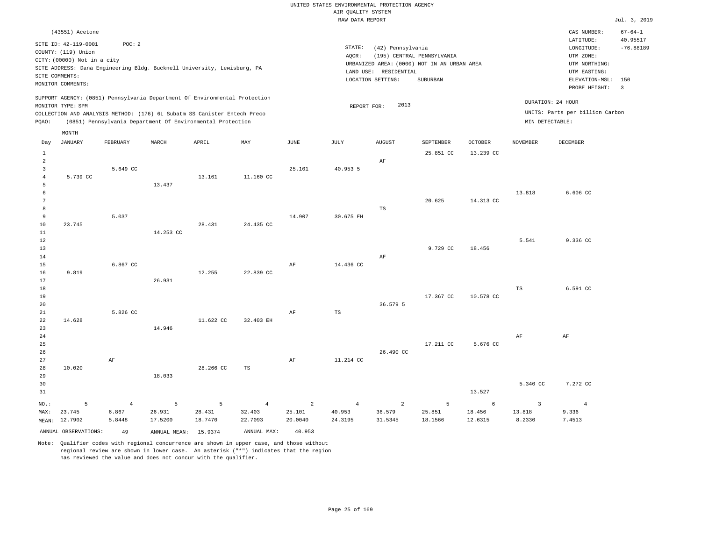|                                                    |                                                                                                                                                                                                                 |                                   |                                                            |                        |                                     |                                     | UNITED STATES ENVIRONMENTAL PROTECTION AGENCY |                                                                 |                                                                                              |                        |                                    |                                                                                                                         |                                                                            |
|----------------------------------------------------|-----------------------------------------------------------------------------------------------------------------------------------------------------------------------------------------------------------------|-----------------------------------|------------------------------------------------------------|------------------------|-------------------------------------|-------------------------------------|-----------------------------------------------|-----------------------------------------------------------------|----------------------------------------------------------------------------------------------|------------------------|------------------------------------|-------------------------------------------------------------------------------------------------------------------------|----------------------------------------------------------------------------|
|                                                    |                                                                                                                                                                                                                 |                                   |                                                            |                        |                                     |                                     | AIR QUALITY SYSTEM<br>RAW DATA REPORT         |                                                                 |                                                                                              |                        |                                    |                                                                                                                         | Jul. 3, 2019                                                               |
|                                                    |                                                                                                                                                                                                                 |                                   |                                                            |                        |                                     |                                     |                                               |                                                                 |                                                                                              |                        |                                    |                                                                                                                         |                                                                            |
|                                                    | (43551) Acetone<br>SITE ID: 42-119-0001<br>COUNTY: (119) Union<br>CITY: (00000) Not in a city<br>SITE ADDRESS: Dana Engineering Bldg. Bucknell University, Lewisburg, PA<br>SITE COMMENTS:<br>MONITOR COMMENTS: | POC: 2                            |                                                            |                        |                                     |                                     | STATE:<br>AQCR:                               | (42) Pennsylvania<br>LAND USE: RESIDENTIAL<br>LOCATION SETTING: | (195) CENTRAL PENNSYLVANIA<br>URBANIZED AREA: (0000) NOT IN AN URBAN AREA<br><b>SUBURBAN</b> |                        |                                    | CAS NUMBER:<br>LATITUDE:<br>LONGITUDE:<br>UTM ZONE:<br>UTM NORTHING:<br>UTM EASTING:<br>ELEVATION-MSL:<br>PROBE HEIGHT: | $67 - 64 - 1$<br>40.95517<br>$-76.88189$<br>150<br>$\overline{\mathbf{3}}$ |
|                                                    | SUPPORT AGENCY: (0851) Pennsylvania Department Of Environmental Protection<br>MONITOR TYPE: SPM<br>COLLECTION AND ANALYSIS METHOD: (176) 6L Subatm SS Canister Entech Preco                                     |                                   |                                                            |                        |                                     |                                     | REPORT FOR:                                   | 2013                                                            |                                                                                              |                        | DURATION: 24 HOUR                  | UNITS: Parts per billion Carbon                                                                                         |                                                                            |
| PQAO:                                              |                                                                                                                                                                                                                 |                                   | (0851) Pennsylvania Department Of Environmental Protection |                        |                                     |                                     |                                               |                                                                 |                                                                                              |                        | MIN DETECTABLE:                    |                                                                                                                         |                                                                            |
| Day                                                | MONTH<br><b>JANUARY</b>                                                                                                                                                                                         | FEBRUARY                          | MARCH                                                      | APRIL                  | MAY                                 | <b>JUNE</b>                         | <b>JULY</b>                                   | <b>AUGUST</b>                                                   | SEPTEMBER                                                                                    | <b>OCTOBER</b>         | <b>NOVEMBER</b>                    | DECEMBER                                                                                                                |                                                                            |
| 1<br>$\overline{2}$                                |                                                                                                                                                                                                                 |                                   |                                                            |                        |                                     |                                     |                                               | AF                                                              | 25.851 CC                                                                                    | 13.239 CC              |                                    |                                                                                                                         |                                                                            |
| $\overline{3}$<br>$\overline{4}$<br>$\overline{5}$ | 5.739 CC                                                                                                                                                                                                        | 5.649 CC                          | 13.437                                                     | 13.161                 | 11.160 CC                           | 25.101                              | 40.953 5                                      |                                                                 |                                                                                              |                        |                                    |                                                                                                                         |                                                                            |
| 6<br>$7\phantom{.0}$<br>8                          |                                                                                                                                                                                                                 |                                   |                                                            |                        |                                     |                                     |                                               | TS                                                              | 20.625                                                                                       | 14.313 CC              | 13.818                             | 6.606 CC                                                                                                                |                                                                            |
| 9<br>10<br>11                                      | 23.745                                                                                                                                                                                                          | 5.037                             | 14,253 CC                                                  | 28.431                 | 24.435 CC                           | 14.907                              | 30.675 EH                                     |                                                                 |                                                                                              |                        |                                    |                                                                                                                         |                                                                            |
| 12<br>13<br>14                                     |                                                                                                                                                                                                                 |                                   |                                                            |                        |                                     |                                     |                                               | AF                                                              | 9.729 CC                                                                                     | 18.456                 | 5.541                              | 9.336 CC                                                                                                                |                                                                            |
| 15<br>16<br>17                                     | 9.819                                                                                                                                                                                                           | 6.867 CC                          | 26.931                                                     | 12.255                 | 22.839 CC                           | AF                                  | 14.436 CC                                     |                                                                 |                                                                                              |                        |                                    |                                                                                                                         |                                                                            |
| 18<br>19<br>20                                     |                                                                                                                                                                                                                 |                                   |                                                            |                        |                                     |                                     |                                               | 36.579 5                                                        | 17.367 CC                                                                                    | 10.578 CC              | $_{\rm TS}$                        | 6.591 CC                                                                                                                |                                                                            |
| 21<br>22<br>23<br>24                               | 14.628                                                                                                                                                                                                          | 5.826 CC                          | 14.946                                                     | 11.622 CC              | 32.403 EH                           | AF                                  | $_{\rm TS}$                                   |                                                                 |                                                                                              |                        | AF                                 | AF                                                                                                                      |                                                                            |
| 25<br>26<br>27                                     |                                                                                                                                                                                                                 | AF                                |                                                            |                        |                                     | AF                                  | 11.214 CC                                     | 26.490 CC                                                       | 17.211 CC                                                                                    | 5.676 CC               |                                    |                                                                                                                         |                                                                            |
| 28<br>29<br>30<br>31                               | 10.020                                                                                                                                                                                                          |                                   | 18.033                                                     | 28.266 CC              | TS                                  |                                     |                                               |                                                                 |                                                                                              | 13.527                 | 5.340 CC                           | 7.272 CC                                                                                                                |                                                                            |
| NO.:<br>MAX:                                       | 5<br>23.745<br>MEAN: 12.7902                                                                                                                                                                                    | $\overline{4}$<br>6.867<br>5.8448 | 5<br>26.931<br>17.5200                                     | 5<br>28.431<br>18.7470 | $\overline{4}$<br>32.403<br>22.7093 | $\overline{2}$<br>25.101<br>20.0040 | $\overline{4}$<br>40.953<br>24.3195           | 2<br>36.579<br>31.5345                                          | 5<br>25.851<br>18.1566                                                                       | 6<br>18.456<br>12.6315 | $\overline{3}$<br>13.818<br>8.2330 | $\overline{4}$<br>9.336<br>7.4513                                                                                       |                                                                            |
|                                                    | ANNUAL OBSERVATIONS:                                                                                                                                                                                            | 49                                | ANNUAL MEAN: 15.9374                                       |                        | ANNUAL MAX:                         | 40.953                              |                                               |                                                                 |                                                                                              |                        |                                    |                                                                                                                         |                                                                            |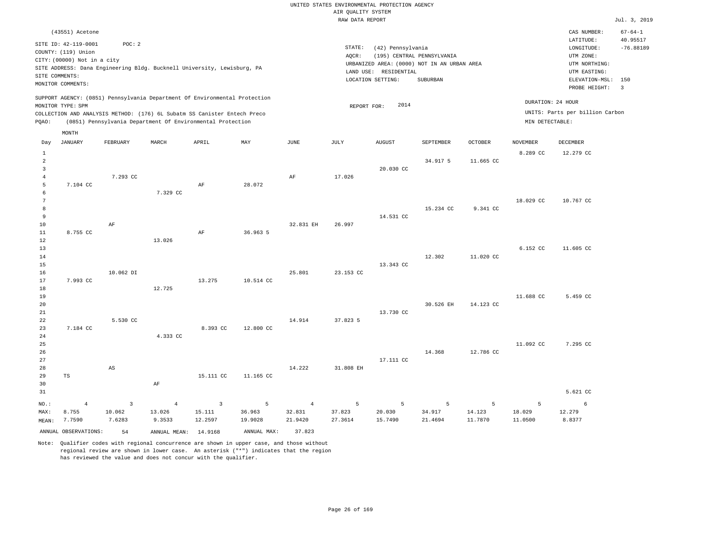RAW DATA REPORT Jul. 3, 2019 UNITED STATES ENVIRONMENTAL PROTECTION AGENCY AIR QUALITY SYSTEM (43551) Acetone STATE: (42) Pennsylvania CAS NUMBER: 67-64-1 SITE ID: 42-119-0001 POC: 2 AQCR: (195) CENTRAL PENNSYLVANIA COUNTY: (119) Union CITY: (00000) Not in a city  $LONGITUDE: -76.88189$ LATITUDE: 40.95517 LOCATION SETTING: SUBURBAN SITE ADDRESS: Dana Engineering Bldg. Bucknell University, Lewisburg, PA LAND USE: RESIDENTIAL SITE COMMENTS: MONITOR COMMENTS: PROBE HEIGHT: 3 ELEVATION-MSL: 150 URBANIZED AREA: (0000) NOT IN AN URBAN AREA **URBAN SERIA UTM NORTHING**: UTM EASTING: UTM ZONE: SUPPORT AGENCY: (0851) Pennsylvania Department Of Environmental Protection MONITOR TYPE: SPM COLLECTION AND ANALYSIS METHOD: (176) 6L Subatm SS Canister Entech Preco REPORT FOR: 2014 UNITS: Parts per billion Carbon PQAO: (0851) Pennsylvania Department Of Environmental Protection MIN DETECTABLE: DURATION: 24 HOUR 1 2 3 4 5 6 7 8 9 10 11 12 13 14 15 16 17 18 19  $20$ 21 22 23 24 25 26 27 28 29 30 31 7.104 CC 8.755 CC 7.993 CC 7.184 CC TS NO.: MAX: MEAN: 4 8.755 7.7590 7.293 CC AF 10.062 DI 5.530 CC AS 7.329 CC 13.026 12.725 4.333 CC AF AF AF 13.275 8.393 CC 15.111 CC 28.072 36.963 5 10.514 CC 12.800 CC 11.165 CC AF 32.831 EH 25.801 14.914 14.222 17.026 26.997 23.153 CC 37.823 5 31.808 EH 20.030 CC 14.531 CC 13.343 CC 13.730 CC 17.111 CC 34.917 5 15.234 CC 12.302 30.526 EH 14.368 11.665 CC 9.341 CC 11.020 CC 14.123 CC 12.786 CC 8.289 CC 18.029 CC 6.152 CC 11.688 CC 11.092 CC 12.279 CC 10.767 CC 11.605 CC 5.459 CC 7.295 CC 5.621 CC 3 10.062 7.6283 4 13.026 9.3533 3 15.111 12.2597 5 36.963 19.9028 4 32.831 21.9420 5 37.823 27.3614 5 20.030 15.7490 5 34.917 21.4694 5 14.123 11.7870 5 18.029 11.0500 6 12.279 8.8377 ANNUAL OBSERVATIONS: 54 ANNUAL MEAN: 14.9168 ANNUAL MAX: 37.823 Day JANUARY FEBRUARY MARCH APRIL MAY JUNE JULY AUGUST SEPTEMBER OCTOBER NOVEMBER DECEMBER MONTH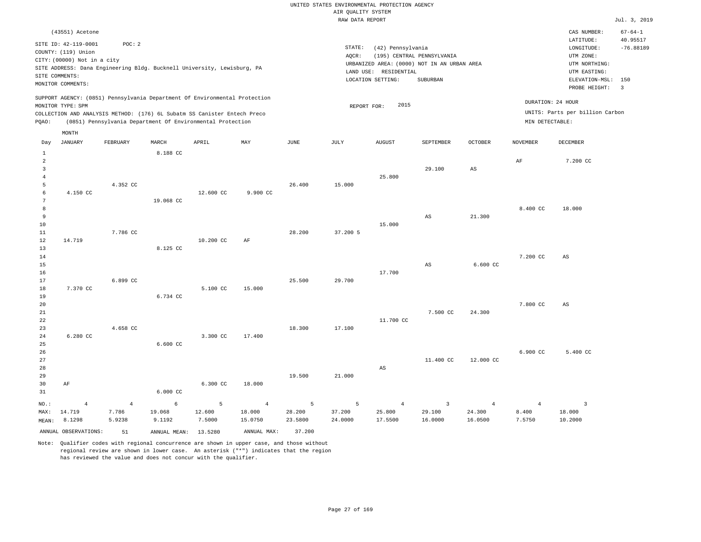RAW DATA REPORT Jul. 3, 2019 UNITED STATES ENVIRONMENTAL PROTECTION AGENCY AIR QUALITY SYSTEM (43551) Acetone STATE: (42) Pennsylvania CAS NUMBER: 67-64-1 SITE ID: 42-119-0001 POC: 2 AQCR: (195) CENTRAL PENNSYLVANIA COUNTY: (119) Union CITY: (00000) Not in a city LONGITUDE: -76.88189 LATITUDE: 40.95517 LOCATION SETTING: SUBURBAN SITE ADDRESS: Dana Engineering Bldg. Bucknell University, Lewisburg, PA LAND USE: RESIDENTIAL MONITOR COMMENTS: PROBE HEIGHT: 3 ELEVATION-MSL: 150 URBANIZED AREA: (0000) NOT IN AN URBAN AREA **URBAN SERIA UTM NORTHING**: UTM EASTING: UTM ZONE: SUPPORT AGENCY: (0851) Pennsylvania Department Of Environmental Protection MONITOR TYPE: SPM COLLECTION AND ANALYSIS METHOD: (176) 6L Subatm SS Canister Entech Preco REPORT FOR: 2015 UNITS: Parts per billion Carbon PQAO: (0851) Pennsylvania Department Of Environmental Protection MIN DETECTABLE: DURATION: 24 HOUR 4.150 CC 7.370 CC 6.280 CC 4.352 CC 7.786 CC 6.899 CC 4.658 CC 8.188 CC 19.068 CC 8.125 CC 6.734 CC 6.600 CC 12.600 CC 10.200 CC 5.100 CC 3.300 CC 9.900 CC AF 15.000 17.400 26.400 28.200 25.500 18.300 15.000 37.200 5 29.700 17.100 25.800 15.000 17.700 11.700 CC 29.100 AS AS 7.500 CC AS 21.300 6.600 CC 24.300 AF 8.400 CC 7.200 CC 7.800 CC 7.200 CC 18.000 AS  $\Delta$ S Day JANUARY FEBRUARY MARCH APRIL MAY JUNE JULY AUGUST SEPTEMBER OCTOBER NOVEMBER DECEMBER

26 27 28 29 30 31 AF NO.: 4 6.000 CC 6.300 CC 18.000 19.500 21.000 AS 11.400 CC 12.000 CC 6.900 CC 5.400 CC 4 6 5 4 5 5 4 3 4 4 3

MAX: MEAN: 14.719 8.1298 7.786 5.9238 19.068 9.1192 12.600 7.5000 18.000 15.0750 28.200 23.5800 37.200 24.0000 25.800 17.5500 29.100 16.0000 24.300 16.0500 8.400 7.5750 18.000 10.2000 ANNUAL OBSERVATIONS: 51 ANNUAL MEAN: 13.5280 ANNUAL MAX: 37.200

Note: Qualifier codes with regional concurrence are shown in upper case, and those without regional review are shown in lower case. An asterisk ("\*") indicates that the region has reviewed the value and does not concur with the qualifier.

SITE COMMENTS:

MONTH

14.719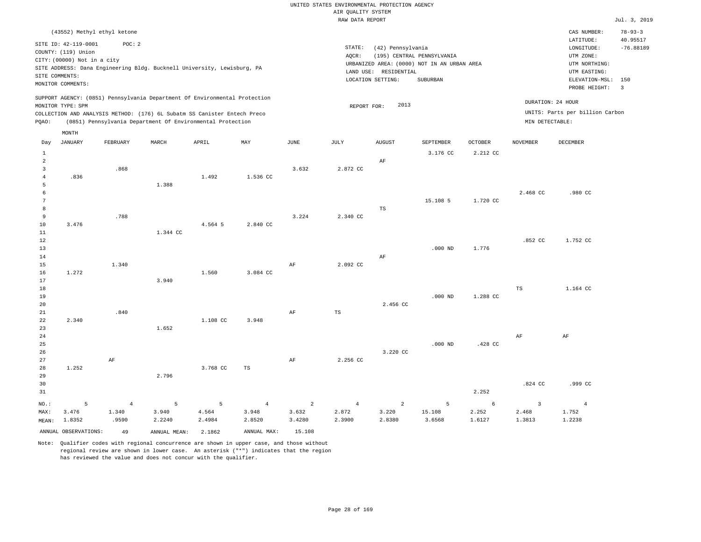|                                                      |                                                                                                                                                  |                                        |                                                                                                                                        |                                |                                                  |                                             | UNITED STATES ENVIRONMENTAL PROTECTION AGENCY<br>AIR QUALITY SYSTEM |                                                                 |                                                                                       |                            |                                   |                                                                                                                         | Jul. 3, 2019                                                      |
|------------------------------------------------------|--------------------------------------------------------------------------------------------------------------------------------------------------|----------------------------------------|----------------------------------------------------------------------------------------------------------------------------------------|--------------------------------|--------------------------------------------------|---------------------------------------------|---------------------------------------------------------------------|-----------------------------------------------------------------|---------------------------------------------------------------------------------------|----------------------------|-----------------------------------|-------------------------------------------------------------------------------------------------------------------------|-------------------------------------------------------------------|
|                                                      |                                                                                                                                                  |                                        |                                                                                                                                        |                                |                                                  |                                             | RAW DATA REPORT                                                     |                                                                 |                                                                                       |                            |                                   |                                                                                                                         |                                                                   |
|                                                      | (43552) Methyl ethyl ketone<br>SITE ID: 42-119-0001<br>COUNTY: (119) Union<br>CITY: (00000) Not in a city<br>SITE COMMENTS:<br>MONITOR COMMENTS: | POC: 2                                 | SITE ADDRESS: Dana Engineering Bldg. Bucknell University, Lewisburg, PA                                                                |                                |                                                  |                                             | STATE:<br>AOCR:                                                     | (42) Pennsylvania<br>LAND USE: RESIDENTIAL<br>LOCATION SETTING: | (195) CENTRAL PENNSYLVANIA<br>URBANIZED AREA: (0000) NOT IN AN URBAN AREA<br>SUBURBAN |                            |                                   | CAS NUMBER:<br>LATITUDE:<br>LONGITUDE:<br>UTM ZONE:<br>UTM NORTHING:<br>UTM EASTING:<br>ELEVATION-MSL:<br>PROBE HEIGHT: | $78 - 93 - 3$<br>40.95517<br>$-76.88189$<br>150<br>$\overline{3}$ |
|                                                      |                                                                                                                                                  |                                        | SUPPORT AGENCY: (0851) Pennsylvania Department Of Environmental Protection                                                             |                                |                                                  |                                             |                                                                     |                                                                 |                                                                                       |                            | DURATION: 24 HOUR                 |                                                                                                                         |                                                                   |
| PQAO:                                                | MONITOR TYPE: SPM                                                                                                                                |                                        | COLLECTION AND ANALYSIS METHOD: (176) 6L Subatm SS Canister Entech Preco<br>(0851) Pennsylvania Department Of Environmental Protection |                                |                                                  |                                             | REPORT FOR:                                                         | 2013                                                            |                                                                                       |                            | MIN DETECTABLE:                   | UNITS: Parts per billion Carbon                                                                                         |                                                                   |
| Day<br>$1\,$                                         | MONTH<br><b>JANUARY</b>                                                                                                                          | FEBRUARY                               | MARCH                                                                                                                                  | APRIL                          | MAY                                              | JUNE                                        | JULY                                                                | <b>AUGUST</b>                                                   | SEPTEMBER<br>3.176 CC                                                                 | <b>OCTOBER</b><br>2.212 CC | <b>NOVEMBER</b>                   | DECEMBER                                                                                                                |                                                                   |
| 2<br>$\overline{3}$<br>$\overline{4}$<br>5           | .836                                                                                                                                             | .868                                   | 1.388                                                                                                                                  | 1.492                          | 1.536 CC                                         | 3.632                                       | 2.872 CC                                                            | AF                                                              |                                                                                       |                            |                                   |                                                                                                                         |                                                                   |
| $\epsilon$<br>$7\phantom{.0}$<br>8<br>$\overline{9}$ |                                                                                                                                                  | .788                                   |                                                                                                                                        |                                |                                                  | 3.224                                       | 2.340 CC                                                            | <b>TS</b>                                                       | 15.108 5                                                                              | 1.720 CC                   | 2.468 CC                          | .980 CC                                                                                                                 |                                                                   |
| 10<br>$1\,1$<br>$1\,2$<br>13<br>$1\,4$               | 3.476                                                                                                                                            |                                        | 1.344 CC                                                                                                                               | 4.564 5                        | 2.840 CC                                         |                                             |                                                                     | AF                                                              | $.000$ ND                                                                             | 1.776                      | .852 CC                           | 1.752 CC                                                                                                                |                                                                   |
| 15<br>16<br>$17$<br>18                               | 1.272                                                                                                                                            | 1.340                                  | 3.940                                                                                                                                  | 1.560                          | 3.084 CC                                         | AF                                          | 2.092 CC                                                            |                                                                 |                                                                                       |                            | TS                                | 1.164 CC                                                                                                                |                                                                   |
| 19<br>20<br>21                                       |                                                                                                                                                  | .840                                   |                                                                                                                                        |                                |                                                  | AF                                          | TS                                                                  | 2.456 CC                                                        | $.000$ ND                                                                             | 1.288 CC                   |                                   |                                                                                                                         |                                                                   |
| 22<br>23<br>24<br>25<br>26                           | 2.340                                                                                                                                            |                                        | 1.652                                                                                                                                  | 1.108 CC                       | 3.948                                            |                                             |                                                                     | 3.220 CC                                                        | $.000$ ND                                                                             | .428 CC                    | $\rm AF$                          | AF                                                                                                                      |                                                                   |
| 27<br>28<br>29<br>30                                 | 1.252                                                                                                                                            | AF                                     | 2.796                                                                                                                                  | 3.768 CC                       | <b>TS</b>                                        | AF                                          | 2.256 CC                                                            |                                                                 |                                                                                       |                            | .824 CC                           | .999 CC                                                                                                                 |                                                                   |
| 31                                                   |                                                                                                                                                  |                                        |                                                                                                                                        |                                |                                                  |                                             |                                                                     |                                                                 |                                                                                       | 2.252                      |                                   |                                                                                                                         |                                                                   |
| NO.:<br>MAX:<br>MEAN:                                | 5<br>3.476<br>1.8352<br>ANNUAL OBSERVATIONS:                                                                                                     | $\overline{4}$<br>1.340<br>.9590<br>49 | 5<br>3.940<br>2.2240<br>ANNUAL MEAN:                                                                                                   | 5<br>4.564<br>2.4984<br>2.1862 | $\overline{4}$<br>3.948<br>2.8520<br>ANNUAL MAX: | $\overline{2}$<br>3.632<br>3.4280<br>15.108 | $\overline{4}$<br>2.872<br>2.3900                                   | 2<br>3.220<br>2.8380                                            | 5<br>15.108<br>3.6568                                                                 | 6<br>2.252<br>1.6127       | $\overline{3}$<br>2.468<br>1.3813 | $\overline{4}$<br>1.752<br>1.2238                                                                                       |                                                                   |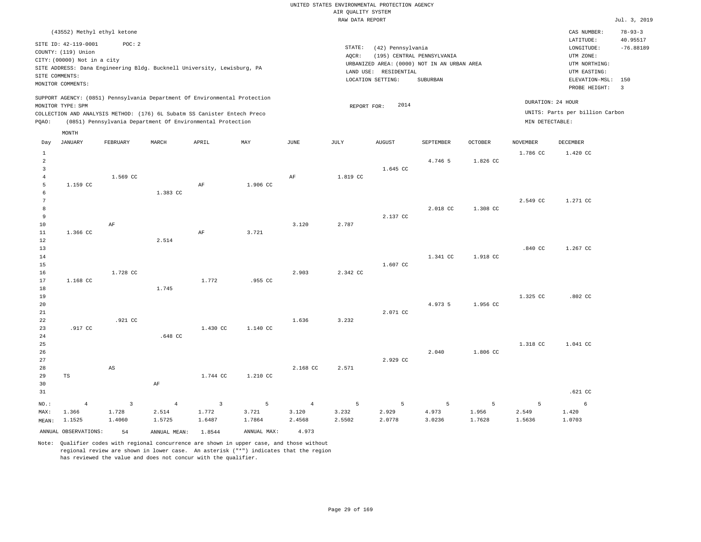RAW DATA REPORT Jul. 3, 2019 UNITED STATES ENVIRONMENTAL PROTECTION AGENCY AIR QUALITY SYSTEM (43552) Methyl ethyl ketone STATE: (42) Pennsylvania CAS NUMBER: 78-93-3 SITE ID: 42-119-0001 POC: 2 AQCR: (195) CENTRAL PENNSYLVANIA COUNTY: (119) Union CITY: (00000) Not in a city LONGITUDE: -76.88189 LATITUDE: 40.95517 LOCATION SETTING: SUBURBAN SITE ADDRESS: Dana Engineering Bldg. Bucknell University, Lewisburg, PA LAND USE: RESIDENTIAL SITE COMMENTS: MONITOR COMMENTS: PROBE HEIGHT: 3 ELEVATION-MSL: 150 URBANIZED AREA: (0000) NOT IN AN URBAN AREA **URBAN SERIA UTM NORTHING**: UTM EASTING: UTM ZONE: SUPPORT AGENCY: (0851) Pennsylvania Department Of Environmental Protection MONITOR TYPE: SPM COLLECTION AND ANALYSIS METHOD: (176) 6L Subatm SS Canister Entech Preco REPORT FOR: 2014 UNITS: Parts per billion Carbon PQAO: (0851) Pennsylvania Department Of Environmental Protection MIN DETECTABLE: DURATION: 24 HOUR 1 2 3 4 5 6 7 8 9 10 11 12 13 14 15 16 17 18 19  $20$ 21 22 23 24 25 26 27 28 29 30 31 1.159 CC 1.366 CC 1.168 CC .917 CC TS NO.: MAX: MEAN: 4 1.366 1.1525 1.569 CC AF 1.728 CC .921 CC AS 1.383 CC 2.514 1.745 .648 CC AF AF AF 1.772 1.430 CC 1.744 CC 1.906 CC 3.721 .955 CC 1.140 CC 1.210 CC AF 3.120 2.903 1.636 2.168 CC 1.819 CC 2.787 2.342 CC 3.232 2.571 1.645 CC 2.137 CC 1.607 CC 2.071 CC 2.929 CC 4.746 5 2.018 CC 1.341 CC 4.973 5 2.040 1.826 CC 1.308 CC 1.918 CC 1.956 CC 1.806 CC 1.786 CC 2.549 CC .840 CC 1.325 CC 1.318 CC 1.420 CC 1.271 CC 1.267 CC .802 CC 1.041 CC .621 CC 3 1.728 1.4060 4 2.514 1.5725 3 1.772 1.6487 5 3.721 1.7864 4 3.120 2.4568 5 3.232 2.5502 5 2.929 2.0778 5 4.973 3.0236 5 1.956 1.7628 5 2.549 1.5636 6 1.420 1.0703 ANNUAL OBSERVATIONS: 54 ANNUAL MEAN: 1.8544 ANNUAL MAX: 4.973 Day JANUARY FEBRUARY MARCH APRIL MAY JUNE JULY AUGUST SEPTEMBER OCTOBER NOVEMBER DECEMBER MONTH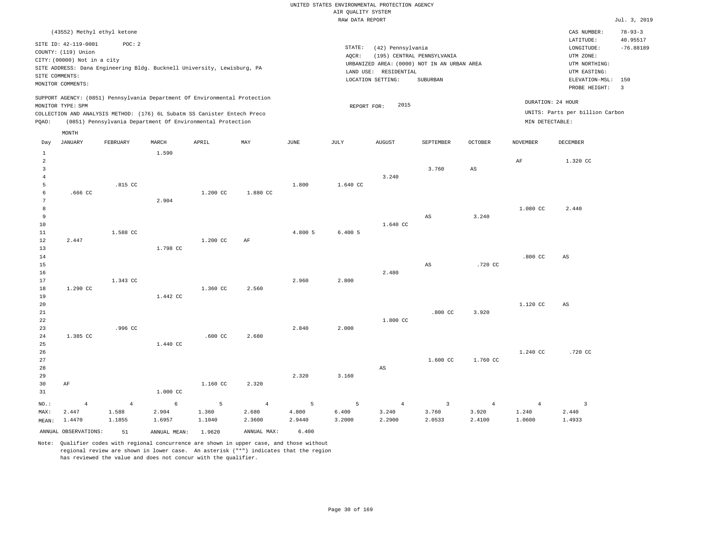|                                                  |                                                                                                 |                                   |                                                                                                                                                        |                      |                                   |                      | RAW DATA REPORT      |                                                                 |                                                                                       |                                   |                                   |                                                                                             | Jul. 3, 2019                                   |
|--------------------------------------------------|-------------------------------------------------------------------------------------------------|-----------------------------------|--------------------------------------------------------------------------------------------------------------------------------------------------------|----------------------|-----------------------------------|----------------------|----------------------|-----------------------------------------------------------------|---------------------------------------------------------------------------------------|-----------------------------------|-----------------------------------|---------------------------------------------------------------------------------------------|------------------------------------------------|
|                                                  | (43552) Methyl ethyl ketone                                                                     |                                   |                                                                                                                                                        |                      |                                   |                      |                      |                                                                 |                                                                                       |                                   |                                   | CAS NUMBER:<br>LATITUDE:                                                                    | $78 - 93 - 3$<br>40.95517                      |
| SITE COMMENTS:                                   | SITE ID: 42-119-0001<br>COUNTY: (119) Union<br>CITY: (00000) Not in a city<br>MONITOR COMMENTS: | POC: 2                            | SITE ADDRESS: Dana Engineering Bldg. Bucknell University, Lewisburg, PA                                                                                |                      |                                   |                      | STATE:<br>AOCR:      | (42) Pennsylvania<br>LAND USE: RESIDENTIAL<br>LOCATION SETTING: | (195) CENTRAL PENNSYLVANIA<br>URBANIZED AREA: (0000) NOT IN AN URBAN AREA<br>SUBURBAN |                                   |                                   | LONGITUDE:<br>UTM ZONE:<br>UTM NORTHING:<br>UTM EASTING:<br>ELEVATION-MSL:<br>PROBE HEIGHT: | $-76.88189$<br>150<br>$\overline{\phantom{a}}$ |
|                                                  | MONITOR TYPE: SPM                                                                               |                                   | SUPPORT AGENCY: (0851) Pennsylvania Department Of Environmental Protection<br>COLLECTION AND ANALYSIS METHOD: (176) 6L Subatm SS Canister Entech Preco |                      |                                   |                      | REPORT FOR:          | 2015                                                            |                                                                                       |                                   |                                   | DURATION: 24 HOUR<br>UNITS: Parts per billion Carbon                                        |                                                |
| PQAO:                                            |                                                                                                 |                                   | (0851) Pennsylvania Department Of Environmental Protection                                                                                             |                      |                                   |                      |                      |                                                                 |                                                                                       |                                   | MIN DETECTABLE:                   |                                                                                             |                                                |
| Day                                              | MONTH<br><b>JANUARY</b>                                                                         | FEBRUARY                          | MARCH                                                                                                                                                  | APRIL                | MAY                               | <b>JUNE</b>          | JULY                 | <b>AUGUST</b>                                                   | SEPTEMBER                                                                             | <b>OCTOBER</b>                    | <b>NOVEMBER</b>                   | <b>DECEMBER</b>                                                                             |                                                |
| $\mathbf{1}$<br>$\overline{a}$<br>$\overline{3}$ |                                                                                                 |                                   | 1.590                                                                                                                                                  |                      |                                   |                      |                      |                                                                 | 3.760                                                                                 | $_{\rm AS}$                       | AF                                | 1.320 CC                                                                                    |                                                |
| $\overline{4}$<br>5<br>$6\overline{6}$           | .666 CC                                                                                         | .815 CC                           |                                                                                                                                                        | 1.200 CC             | 1.880 CC                          | 1.800                | 1.640 CC             | 3.240                                                           |                                                                                       |                                   |                                   |                                                                                             |                                                |
| -7<br>$\mathbf{8}$<br>$\overline{9}$<br>10<br>11 |                                                                                                 | 1.588 CC                          | 2.904                                                                                                                                                  |                      |                                   | 4.800 5              | 6.4005               | 1.640 CC                                                        | $_{\rm AS}$                                                                           | 3.240                             | 1.080 CC                          | 2.440                                                                                       |                                                |
| 12<br>13<br>14<br>15                             | 2.447                                                                                           |                                   | 1.798 CC                                                                                                                                               | 1.200 CC             | $\rm AF$                          |                      |                      |                                                                 | AS                                                                                    | .720 CC                           | $.800$ CC                         | AS                                                                                          |                                                |
| 16<br>17<br>18<br>19                             | 1.290 CC                                                                                        | 1.343 CC                          | 1.442 CC                                                                                                                                               | 1.360 CC             | 2.560                             | 2.960                | 2.800                | 2.480                                                           |                                                                                       |                                   |                                   |                                                                                             |                                                |
| 20<br>21<br>22<br>23                             |                                                                                                 | .996 CC                           |                                                                                                                                                        |                      |                                   | 2.840                | 2.000                | 1.800 CC                                                        | .800 <sub>cc</sub>                                                                    | 3.920                             | 1.120 CC                          | AS                                                                                          |                                                |
| 24<br>25<br>26<br>27                             | 1.385 CC                                                                                        |                                   | 1.440 CC                                                                                                                                               | $.600$ CC            | 2.680                             |                      |                      |                                                                 | 1.600 CC                                                                              | 1.760 CC                          | 1.240 CC                          | .720 CC                                                                                     |                                                |
| 28<br>29<br>30<br>31                             | AF                                                                                              |                                   | 1.000 CC                                                                                                                                               | 1.160 CC             | 2.320                             | 2.320                | 3.160                | AS                                                              |                                                                                       |                                   |                                   |                                                                                             |                                                |
| NO.:<br>MAX:<br>MEAN:                            | $\overline{4}$<br>2.447<br>1.4470                                                               | $\overline{4}$<br>1.588<br>1.1855 | 6<br>2.904<br>1.6957                                                                                                                                   | 5<br>1.360<br>1.1040 | $\overline{4}$<br>2.680<br>2.3600 | 5<br>4.800<br>2.9440 | 5<br>6.400<br>3.2000 | $\overline{4}$<br>3.240<br>2.2900                               | $\overline{3}$<br>3.760<br>2.0533                                                     | $\overline{4}$<br>3.920<br>2.4100 | $\overline{4}$<br>1.240<br>1.0600 | $\overline{3}$<br>2.440<br>1.4933                                                           |                                                |
|                                                  | ANNUAL OBSERVATIONS:                                                                            | 51                                | ANNUAL MEAN:                                                                                                                                           | 1.9620               | ANNUAL MAX:                       | 6.400                |                      |                                                                 |                                                                                       |                                   |                                   |                                                                                             |                                                |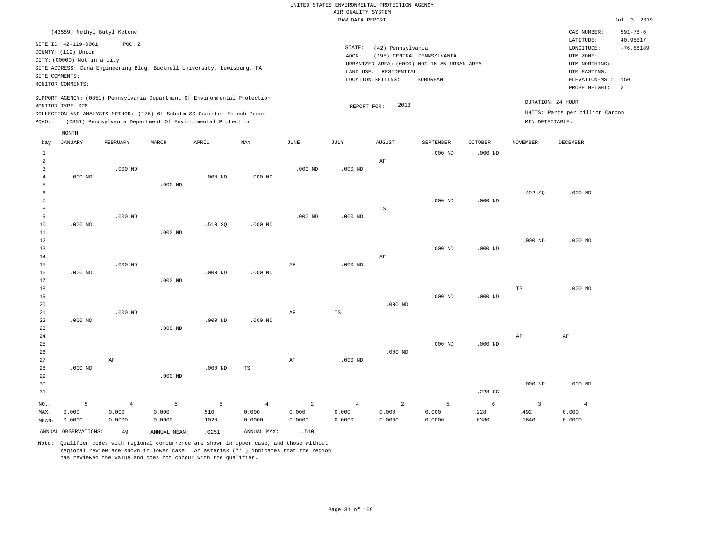|                |                             |                         |                                                                            |           |                |                         | RAW DATA REPORT         |                         |                                             |                |                                 |                                 | Jul. 3, 2019   |
|----------------|-----------------------------|-------------------------|----------------------------------------------------------------------------|-----------|----------------|-------------------------|-------------------------|-------------------------|---------------------------------------------|----------------|---------------------------------|---------------------------------|----------------|
|                | (43559) Methyl Butyl Ketone |                         |                                                                            |           |                |                         |                         |                         |                                             |                |                                 | CAS NUMBER:                     | $591 - 78 - 6$ |
|                | SITE ID: 42-119-0001        | POC: 2                  |                                                                            |           |                |                         |                         |                         |                                             |                |                                 | LATITUDE:                       | 40.95517       |
|                | COUNTY: (119) Union         |                         |                                                                            |           |                |                         | STATE:                  | (42) Pennsylvania       |                                             |                |                                 | LONGITUDE:                      | $-76.88189$    |
|                | CITY: (00000) Not in a city |                         |                                                                            |           |                |                         | AQCR:                   |                         | (195) CENTRAL PENNSYLVANIA                  |                |                                 | UTM ZONE:                       |                |
|                |                             |                         | SITE ADDRESS: Dana Engineering Bldg. Bucknell University, Lewisburg, PA    |           |                |                         |                         |                         | URBANIZED AREA: (0000) NOT IN AN URBAN AREA |                |                                 | UTM NORTHING:                   |                |
|                | SITE COMMENTS:              |                         |                                                                            |           |                |                         |                         | LAND USE: RESIDENTIAL   |                                             |                |                                 | UTM EASTING:                    |                |
|                | MONITOR COMMENTS:           |                         |                                                                            |           |                |                         |                         | LOCATION SETTING:       | SUBURBAN                                    |                |                                 | ELEVATION-MSL:                  | 150            |
|                |                             |                         |                                                                            |           |                |                         |                         |                         |                                             |                |                                 | PROBE HEIGHT:                   | $\overline{3}$ |
|                | MONITOR TYPE: SPM           |                         | SUPPORT AGENCY: (0851) Pennsylvania Department Of Environmental Protection |           |                |                         | REPORT FOR:             | 2013                    |                                             |                |                                 | DURATION: 24 HOUR               |                |
|                |                             |                         | COLLECTION AND ANALYSIS METHOD: (176) 6L Subatm SS Canister Entech Preco   |           |                |                         |                         |                         |                                             |                |                                 | UNITS: Parts per billion Carbon |                |
| PQAO:          |                             |                         | (0851) Pennsylvania Department Of Environmental Protection                 |           |                |                         |                         |                         |                                             |                | MIN DETECTABLE:                 |                                 |                |
|                | MONTH                       |                         |                                                                            |           |                |                         |                         |                         |                                             |                |                                 |                                 |                |
| Day            | <b>JANUARY</b>              | FEBRUARY                | MARCH                                                                      | APRIL     | MAY            | $_{\rm JUNE}$           | JULY                    | <b>AUGUST</b>           | SEPTEMBER                                   | <b>OCTOBER</b> | <b>NOVEMBER</b>                 | <b>DECEMBER</b>                 |                |
| $\mathbf{1}$   |                             |                         |                                                                            |           |                |                         |                         |                         | $.000$ ND                                   | $.000$ ND      |                                 |                                 |                |
| $\overline{c}$ |                             |                         |                                                                            |           |                |                         |                         | AF                      |                                             |                |                                 |                                 |                |
| $\overline{3}$ |                             | $.000$ ND               |                                                                            |           |                | $.000$ ND               | $.000$ ND               |                         |                                             |                |                                 |                                 |                |
| $\overline{4}$ | $.000$ ND                   |                         |                                                                            | $.000$ ND | $.000$ ND      |                         |                         |                         |                                             |                |                                 |                                 |                |
| 5              |                             |                         | $.000$ ND                                                                  |           |                |                         |                         |                         |                                             |                |                                 |                                 |                |
| 6              |                             |                         |                                                                            |           |                |                         |                         |                         |                                             |                | .492 SQ                         | $.000$ ND                       |                |
| 7              |                             |                         |                                                                            |           |                |                         |                         |                         | $.000$ ND                                   | $.000$ ND      |                                 |                                 |                |
| 8              |                             |                         |                                                                            |           |                |                         |                         | TS                      |                                             |                |                                 |                                 |                |
| 9              |                             | $.000$ ND               |                                                                            |           |                | $.000$ ND               | $.000$ ND               |                         |                                             |                |                                 |                                 |                |
| 10             | $.000$ ND                   |                         |                                                                            | .510 SQ   | $.000$ ND      |                         |                         |                         |                                             |                |                                 |                                 |                |
| 11             |                             |                         | $.000$ ND                                                                  |           |                |                         |                         |                         |                                             |                |                                 |                                 |                |
| 12             |                             |                         |                                                                            |           |                |                         |                         |                         |                                             |                | $.000$ ND                       | $.000$ ND                       |                |
| 13             |                             |                         |                                                                            |           |                |                         |                         |                         | $.000$ ND                                   | $.000$ ND      |                                 |                                 |                |
| 14             |                             |                         |                                                                            |           |                |                         |                         | $\rm AF$                |                                             |                |                                 |                                 |                |
| 15             |                             | $.000$ ND               |                                                                            |           |                | AF                      | $.000$ ND               |                         |                                             |                |                                 |                                 |                |
| 16             | $.000$ ND                   |                         |                                                                            | $.000$ ND | $.000$ ND      |                         |                         |                         |                                             |                |                                 |                                 |                |
| 17             |                             |                         | $.000$ ND                                                                  |           |                |                         |                         |                         |                                             |                |                                 |                                 |                |
| 18             |                             |                         |                                                                            |           |                |                         |                         |                         |                                             |                | $_{\rm TS}$                     | $.000$ ND                       |                |
| 19             |                             |                         |                                                                            |           |                |                         |                         |                         | $.000$ ND                                   | $.000$ ND      |                                 |                                 |                |
| 20             |                             | $.000$ ND               |                                                                            |           |                |                         | $\mathbb{TS}$           | $.000$ ND               |                                             |                |                                 |                                 |                |
| 21<br>22       | $.000$ ND                   |                         |                                                                            | $.000$ ND | $.000$ ND      | AF                      |                         |                         |                                             |                |                                 |                                 |                |
| 23             |                             |                         | $.000$ ND                                                                  |           |                |                         |                         |                         |                                             |                |                                 |                                 |                |
| 24             |                             |                         |                                                                            |           |                |                         |                         |                         |                                             |                | AF                              | AF                              |                |
| 25             |                             |                         |                                                                            |           |                |                         |                         |                         | $.000$ ND                                   | $.000$ ND      |                                 |                                 |                |
| 26             |                             |                         |                                                                            |           |                |                         |                         | $.000$ ND               |                                             |                |                                 |                                 |                |
| 27             |                             | AF                      |                                                                            |           |                | AF                      | $.000$ ND               |                         |                                             |                |                                 |                                 |                |
| 28             | $.000$ ND                   |                         |                                                                            | $.000$ ND | TS             |                         |                         |                         |                                             |                |                                 |                                 |                |
| 29             |                             |                         | $.000$ ND                                                                  |           |                |                         |                         |                         |                                             |                |                                 |                                 |                |
| 30             |                             |                         |                                                                            |           |                |                         |                         |                         |                                             |                | $.000$ ND                       | $.000$ ND                       |                |
| 31             |                             |                         |                                                                            |           |                |                         |                         |                         |                                             | .228 CC        |                                 |                                 |                |
|                |                             |                         |                                                                            |           | $\overline{4}$ |                         |                         |                         |                                             | 6              |                                 |                                 |                |
| NO.:           | 5<br>0.000                  | $\overline{4}$<br>0.000 | 5<br>0.000                                                                 | 5<br>.510 | 0.000          | $\overline{a}$<br>0.000 | $\overline{4}$<br>0.000 | $\overline{a}$<br>0.000 | 5<br>0.000                                  | .228           | $\overline{\mathbf{3}}$<br>.492 | $\overline{4}$<br>0.000         |                |
| MAX:           | 0.0000                      | 0.0000                  | 0.0000                                                                     | .1020     | 0.0000         | 0.0000                  | 0.0000                  | 0.0000                  | 0.0000                                      | .0380          | .1640                           | 0.0000                          |                |
| MEAN:          |                             |                         |                                                                            |           |                |                         |                         |                         |                                             |                |                                 |                                 |                |
|                | ANNUAL OBSERVATIONS:        | 49                      | ANNUAL MEAN:                                                               | .0251     | ANNUAL MAX:    | .510                    |                         |                         |                                             |                |                                 |                                 |                |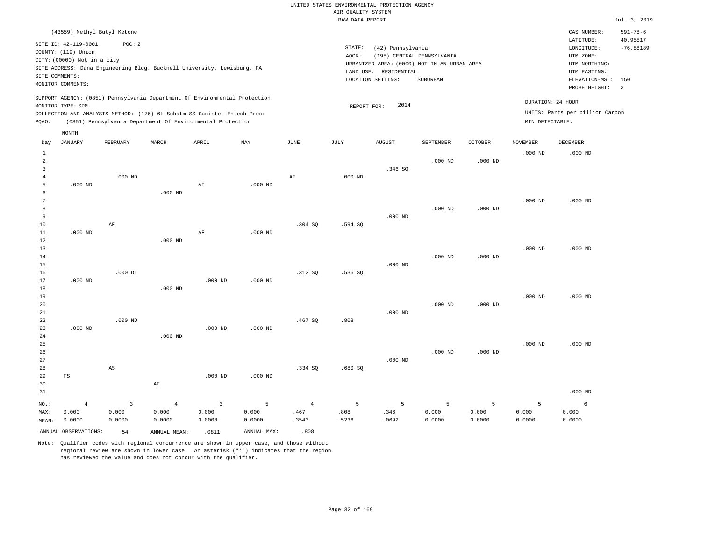|                |                                                                                           |                |                |                                                            |             |                       | RAW DATA REPORT |                   |                                             |                |                 |                                                                                                                                                                                                                                                                                                                                                                                                                                                                                                                                                            | Jul. 3, 2019   |
|----------------|-------------------------------------------------------------------------------------------|----------------|----------------|------------------------------------------------------------|-------------|-----------------------|-----------------|-------------------|---------------------------------------------|----------------|-----------------|------------------------------------------------------------------------------------------------------------------------------------------------------------------------------------------------------------------------------------------------------------------------------------------------------------------------------------------------------------------------------------------------------------------------------------------------------------------------------------------------------------------------------------------------------------|----------------|
|                | (43559) Methyl Butyl Ketone                                                               |                |                |                                                            |             |                       |                 |                   |                                             |                |                 | CAS NUMBER:                                                                                                                                                                                                                                                                                                                                                                                                                                                                                                                                                | $591 - 78 - 6$ |
|                |                                                                                           |                |                |                                                            |             |                       |                 |                   |                                             |                |                 | LATITUDE:                                                                                                                                                                                                                                                                                                                                                                                                                                                                                                                                                  | 40.95517       |
|                | SITE ID: 42-119-0001                                                                      | POC: 2         |                |                                                            |             |                       | STATE:          | (42) Pennsylvania |                                             |                |                 | $\texttt{LONGITUDE}: \quad % \begin{align*} \left\lbrack \begin{array}{c} \begin{array}{c} \begin{array}{c} \begin{array}{c} \begin{array}{c} \begin{array}{c} \begin{array}{c} \end{array}\\ \end{array}\\ \begin{array}{c} \end{array}\\ \begin{array}{c} \end{array}\\ \end{array}\\ \begin{array}{c} \end{array}\\ \end{array}\\ \end{align*} \end{align*} \right) \end{align*} \end{align*} \begin{minipage}{0.9\linewidth} \begin{minipage}{0.9\linewidth} \begin{tabular}{c} \begin{array}{c} \begin{array}{c} \begin{array}{c} \begin{array}{c} \$ | $-76.88189$    |
|                | COUNTY: (119) Union<br>CITY: (00000) Not in a city                                        |                |                |                                                            |             |                       | AOCR:           |                   | (195) CENTRAL PENNSYLVANIA                  |                |                 | UTM ZONE:                                                                                                                                                                                                                                                                                                                                                                                                                                                                                                                                                  |                |
|                |                                                                                           |                |                |                                                            |             |                       |                 |                   | URBANIZED AREA: (0000) NOT IN AN URBAN AREA |                |                 | UTM NORTHING:                                                                                                                                                                                                                                                                                                                                                                                                                                                                                                                                              |                |
|                | SITE ADDRESS: Dana Engineering Bldg. Bucknell University, Lewisburg, PA<br>SITE COMMENTS: |                |                |                                                            |             |                       | LAND USE:       | RESIDENTIAL       |                                             |                |                 | UTM EASTING:                                                                                                                                                                                                                                                                                                                                                                                                                                                                                                                                               |                |
|                | MONITOR COMMENTS:                                                                         |                |                |                                                            |             |                       |                 | LOCATION SETTING: | <b>SUBURBAN</b>                             |                |                 | ELEVATION-MSL:                                                                                                                                                                                                                                                                                                                                                                                                                                                                                                                                             | 150            |
|                |                                                                                           |                |                |                                                            |             |                       |                 |                   |                                             |                |                 | PROBE HEIGHT:                                                                                                                                                                                                                                                                                                                                                                                                                                                                                                                                              | $\overline{3}$ |
|                | SUPPORT AGENCY: (0851) Pennsylvania Department Of Environmental Protection                |                |                |                                                            |             |                       |                 |                   |                                             |                |                 |                                                                                                                                                                                                                                                                                                                                                                                                                                                                                                                                                            |                |
|                | MONITOR TYPE: SPM                                                                         |                |                |                                                            |             |                       | REPORT FOR:     | 2014              |                                             |                |                 | DURATION: 24 HOUR                                                                                                                                                                                                                                                                                                                                                                                                                                                                                                                                          |                |
|                | COLLECTION AND ANALYSIS METHOD: (176) 6L Subatm SS Canister Entech Preco                  |                |                |                                                            |             |                       |                 |                   |                                             |                |                 | UNITS: Parts per billion Carbon                                                                                                                                                                                                                                                                                                                                                                                                                                                                                                                            |                |
| PQAO:          |                                                                                           |                |                | (0851) Pennsylvania Department Of Environmental Protection |             |                       |                 |                   |                                             |                | MIN DETECTABLE: |                                                                                                                                                                                                                                                                                                                                                                                                                                                                                                                                                            |                |
|                | MONTH                                                                                     |                |                |                                                            |             |                       |                 |                   |                                             |                |                 |                                                                                                                                                                                                                                                                                                                                                                                                                                                                                                                                                            |                |
| Day            | <b>JANUARY</b>                                                                            | FEBRUARY       | MARCH          | APRIL                                                      | MAY         | $\operatorname{JUNE}$ | JULY            | AUGUST            | SEPTEMBER                                   | <b>OCTOBER</b> | <b>NOVEMBER</b> | DECEMBER                                                                                                                                                                                                                                                                                                                                                                                                                                                                                                                                                   |                |
| $\mathbf{1}$   |                                                                                           |                |                |                                                            |             |                       |                 |                   |                                             |                | $.000$ ND       | $.000$ ND                                                                                                                                                                                                                                                                                                                                                                                                                                                                                                                                                  |                |
| $\overline{a}$ |                                                                                           |                |                |                                                            |             |                       |                 |                   | $.000$ ND                                   | $.000$ ND      |                 |                                                                                                                                                                                                                                                                                                                                                                                                                                                                                                                                                            |                |
| $\overline{3}$ |                                                                                           |                |                |                                                            |             |                       |                 | .346S             |                                             |                |                 |                                                                                                                                                                                                                                                                                                                                                                                                                                                                                                                                                            |                |
| 4              |                                                                                           | $.000$ ND      |                |                                                            |             | AF                    | $.000$ ND       |                   |                                             |                |                 |                                                                                                                                                                                                                                                                                                                                                                                                                                                                                                                                                            |                |
| 5              | $.000$ ND                                                                                 |                |                | AF                                                         | $.000$ ND   |                       |                 |                   |                                             |                |                 |                                                                                                                                                                                                                                                                                                                                                                                                                                                                                                                                                            |                |
| 6              |                                                                                           |                | $.000$ ND      |                                                            |             |                       |                 |                   |                                             |                |                 |                                                                                                                                                                                                                                                                                                                                                                                                                                                                                                                                                            |                |
| 7              |                                                                                           |                |                |                                                            |             |                       |                 |                   |                                             |                | $.000$ ND       | $.000$ ND                                                                                                                                                                                                                                                                                                                                                                                                                                                                                                                                                  |                |
| 8              |                                                                                           |                |                |                                                            |             |                       |                 |                   | $.000$ ND                                   | $.000$ ND      |                 |                                                                                                                                                                                                                                                                                                                                                                                                                                                                                                                                                            |                |
| 9              |                                                                                           |                |                |                                                            |             |                       |                 | $.000$ ND         |                                             |                |                 |                                                                                                                                                                                                                                                                                                                                                                                                                                                                                                                                                            |                |
| 10             |                                                                                           | AF             |                |                                                            |             | .304 SQ               | .594 SQ         |                   |                                             |                |                 |                                                                                                                                                                                                                                                                                                                                                                                                                                                                                                                                                            |                |
| 11             | $.000$ ND                                                                                 |                |                | AF                                                         | $.000$ ND   |                       |                 |                   |                                             |                |                 |                                                                                                                                                                                                                                                                                                                                                                                                                                                                                                                                                            |                |
| 12             |                                                                                           |                | $.000$ ND      |                                                            |             |                       |                 |                   |                                             |                |                 |                                                                                                                                                                                                                                                                                                                                                                                                                                                                                                                                                            |                |
| 13             |                                                                                           |                |                |                                                            |             |                       |                 |                   |                                             |                | $.000$ ND       | $.000$ ND                                                                                                                                                                                                                                                                                                                                                                                                                                                                                                                                                  |                |
| 14             |                                                                                           |                |                |                                                            |             |                       |                 |                   | $.000$ ND                                   | $.000$ ND      |                 |                                                                                                                                                                                                                                                                                                                                                                                                                                                                                                                                                            |                |
| 15             |                                                                                           |                |                |                                                            |             |                       |                 | $.000$ ND         |                                             |                |                 |                                                                                                                                                                                                                                                                                                                                                                                                                                                                                                                                                            |                |
| 16             |                                                                                           | $.000$ DI      |                |                                                            |             | .312S                 | .536S           |                   |                                             |                |                 |                                                                                                                                                                                                                                                                                                                                                                                                                                                                                                                                                            |                |
| 17             | $.000$ ND                                                                                 |                |                | $.000$ ND                                                  | $.000$ ND   |                       |                 |                   |                                             |                |                 |                                                                                                                                                                                                                                                                                                                                                                                                                                                                                                                                                            |                |
| 18             |                                                                                           |                | $.000$ ND      |                                                            |             |                       |                 |                   |                                             |                |                 |                                                                                                                                                                                                                                                                                                                                                                                                                                                                                                                                                            |                |
| 19             |                                                                                           |                |                |                                                            |             |                       |                 |                   |                                             |                | $.000$ ND       | $.000$ ND                                                                                                                                                                                                                                                                                                                                                                                                                                                                                                                                                  |                |
| 20<br>21       |                                                                                           |                |                |                                                            |             |                       |                 | $.000$ ND         | $.000$ ND                                   | $.000$ ND      |                 |                                                                                                                                                                                                                                                                                                                                                                                                                                                                                                                                                            |                |
| 22             |                                                                                           | $.000$ ND      |                |                                                            |             | .467 SQ               | .808            |                   |                                             |                |                 |                                                                                                                                                                                                                                                                                                                                                                                                                                                                                                                                                            |                |
| 23             | $.000$ ND                                                                                 |                |                | $.000$ ND                                                  | $.000$ ND   |                       |                 |                   |                                             |                |                 |                                                                                                                                                                                                                                                                                                                                                                                                                                                                                                                                                            |                |
| 24             |                                                                                           |                | $.000$ ND      |                                                            |             |                       |                 |                   |                                             |                |                 |                                                                                                                                                                                                                                                                                                                                                                                                                                                                                                                                                            |                |
| 25             |                                                                                           |                |                |                                                            |             |                       |                 |                   |                                             |                | $.000$ ND       | $.000$ ND                                                                                                                                                                                                                                                                                                                                                                                                                                                                                                                                                  |                |
| 26             |                                                                                           |                |                |                                                            |             |                       |                 |                   | $.000$ ND                                   | $.000$ ND      |                 |                                                                                                                                                                                                                                                                                                                                                                                                                                                                                                                                                            |                |
| 27             |                                                                                           |                |                |                                                            |             |                       |                 | $.000$ ND         |                                             |                |                 |                                                                                                                                                                                                                                                                                                                                                                                                                                                                                                                                                            |                |
| 28             |                                                                                           | $_{\rm AS}$    |                |                                                            |             | .334 SQ               | .680SQ          |                   |                                             |                |                 |                                                                                                                                                                                                                                                                                                                                                                                                                                                                                                                                                            |                |
| 29             | TS                                                                                        |                |                | $.000$ ND                                                  | $.000$ ND   |                       |                 |                   |                                             |                |                 |                                                                                                                                                                                                                                                                                                                                                                                                                                                                                                                                                            |                |
| 30             |                                                                                           |                | AF             |                                                            |             |                       |                 |                   |                                             |                |                 |                                                                                                                                                                                                                                                                                                                                                                                                                                                                                                                                                            |                |
| 31             |                                                                                           |                |                |                                                            |             |                       |                 |                   |                                             |                |                 | $.000$ ND                                                                                                                                                                                                                                                                                                                                                                                                                                                                                                                                                  |                |
| NO.:           | $\overline{4}$                                                                            | $\overline{3}$ | $\overline{4}$ | $\overline{3}$                                             | 5           | $\overline{4}$        | 5               | 5                 | 5                                           | 5              | 5               | 6                                                                                                                                                                                                                                                                                                                                                                                                                                                                                                                                                          |                |
| MAX:           | 0.000                                                                                     | 0.000          | 0.000          | 0.000                                                      | 0.000       | .467                  | .808            | .346              | 0.000                                       | 0.000          | 0.000           | 0.000                                                                                                                                                                                                                                                                                                                                                                                                                                                                                                                                                      |                |
|                | 0.0000                                                                                    | 0.0000         | 0.0000         | 0.0000                                                     | 0.0000      | .3543                 | .5236           | .0692             | 0.0000                                      | 0.0000         | 0.0000          | 0.0000                                                                                                                                                                                                                                                                                                                                                                                                                                                                                                                                                     |                |
| MEAN:          |                                                                                           |                |                |                                                            |             |                       |                 |                   |                                             |                |                 |                                                                                                                                                                                                                                                                                                                                                                                                                                                                                                                                                            |                |
|                | ANNUAL OBSERVATIONS:                                                                      | 54             | ANNUAL MEAN:   | .0811                                                      | ANNUAL MAX: | .808                  |                 |                   |                                             |                |                 |                                                                                                                                                                                                                                                                                                                                                                                                                                                                                                                                                            |                |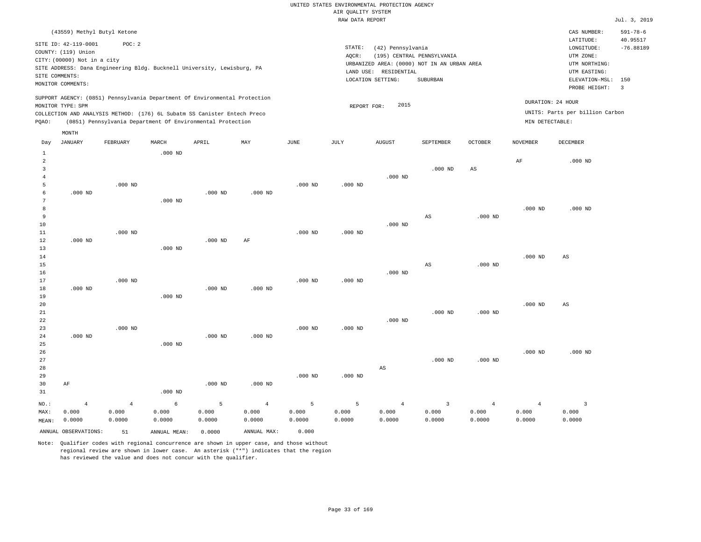|                |                                                                                              |                                                                                   |           |           |                    |             | RAW DATA REPORT |                                                                 |                                                                                       |                |                 |                                                                                         | Jul. 3, 2019                   |
|----------------|----------------------------------------------------------------------------------------------|-----------------------------------------------------------------------------------|-----------|-----------|--------------------|-------------|-----------------|-----------------------------------------------------------------|---------------------------------------------------------------------------------------|----------------|-----------------|-----------------------------------------------------------------------------------------|--------------------------------|
|                |                                                                                              | (43559) Methyl Butyl Ketone                                                       |           |           |                    |             |                 |                                                                 |                                                                                       |                |                 | CAS NUMBER:                                                                             | $591 - 78 - 6$                 |
|                | SITE ID: 42-119-0001<br>COUNTY: (119) Union<br>CITY: (00000) Not in a city<br>SITE COMMENTS: | POC: 2<br>SITE ADDRESS: Dana Engineering Bldg. Bucknell University, Lewisburg, PA |           |           |                    |             | STATE:<br>AOCR: | (42) Pennsylvania<br>LAND USE: RESIDENTIAL<br>LOCATION SETTING: | (195) CENTRAL PENNSYLVANIA<br>URBANIZED AREA: (0000) NOT IN AN URBAN AREA<br>SUBURBAN |                |                 | LATITUDE:<br>LONGITUDE:<br>UTM ZONE:<br>UTM NORTHING:<br>UTM EASTING:<br>ELEVATION-MSL: | 40.95517<br>$-76.88189$<br>150 |
|                | MONITOR COMMENTS:                                                                            |                                                                                   |           |           |                    |             |                 |                                                                 |                                                                                       |                |                 | PROBE HEIGHT:                                                                           | $\overline{3}$                 |
|                | MONITOR TYPE: SPM                                                                            | SUPPORT AGENCY: (0851) Pennsylvania Department Of Environmental Protection        |           |           |                    |             | REPORT FOR:     | 2015                                                            |                                                                                       |                |                 | DURATION: 24 HOUR                                                                       |                                |
|                |                                                                                              | COLLECTION AND ANALYSIS METHOD: (176) 6L Subatm SS Canister Entech Preco          |           |           |                    |             |                 |                                                                 |                                                                                       |                |                 | UNITS: Parts per billion Carbon                                                         |                                |
| PQAO:          |                                                                                              | (0851) Pennsylvania Department Of Environmental Protection                        |           |           |                    |             |                 |                                                                 |                                                                                       |                | MIN DETECTABLE: |                                                                                         |                                |
|                | MONTH                                                                                        |                                                                                   |           |           |                    |             |                 |                                                                 |                                                                                       |                |                 |                                                                                         |                                |
| Day            | JANUARY                                                                                      | FEBRUARY                                                                          | MARCH     | APRIL     | MAY                | <b>JUNE</b> | JULY            | <b>AUGUST</b>                                                   | SEPTEMBER                                                                             | OCTOBER        | NOVEMBER        | DECEMBER                                                                                |                                |
| $\mathbf{1}$   |                                                                                              |                                                                                   | $.000$ ND |           |                    |             |                 |                                                                 |                                                                                       |                |                 |                                                                                         |                                |
| $\sqrt{2}$     |                                                                                              |                                                                                   |           |           |                    |             |                 |                                                                 |                                                                                       |                | AF              | $.000$ ND                                                                               |                                |
| $\overline{3}$ |                                                                                              |                                                                                   |           |           |                    |             |                 |                                                                 | $.000$ ND                                                                             | $_{\rm AS}$    |                 |                                                                                         |                                |
| 4              |                                                                                              |                                                                                   |           |           |                    |             |                 | $.000$ ND                                                       |                                                                                       |                |                 |                                                                                         |                                |
| 5<br>6         | $.000$ ND                                                                                    | $.000$ ND                                                                         |           | $.000$ ND | .000 <sub>ND</sub> | $.000$ ND   | $.000$ ND       |                                                                 |                                                                                       |                |                 |                                                                                         |                                |
| 7              |                                                                                              |                                                                                   | $.000$ ND |           |                    |             |                 |                                                                 |                                                                                       |                |                 |                                                                                         |                                |
| 8              |                                                                                              |                                                                                   |           |           |                    |             |                 |                                                                 |                                                                                       |                | $.000$ ND       | $.000$ ND                                                                               |                                |
| 9              |                                                                                              |                                                                                   |           |           |                    |             |                 |                                                                 | AS                                                                                    | $.000$ ND      |                 |                                                                                         |                                |
| 10             |                                                                                              |                                                                                   |           |           |                    |             |                 | $.000$ ND                                                       |                                                                                       |                |                 |                                                                                         |                                |
| $11\,$         |                                                                                              | $.000$ ND                                                                         |           |           |                    | $.000$ ND   | $.000$ ND       |                                                                 |                                                                                       |                |                 |                                                                                         |                                |
| 12             | $.000$ ND                                                                                    |                                                                                   |           | $.000$ ND | AF                 |             |                 |                                                                 |                                                                                       |                |                 |                                                                                         |                                |
| 13             |                                                                                              |                                                                                   | $.000$ ND |           |                    |             |                 |                                                                 |                                                                                       |                |                 |                                                                                         |                                |
| 14             |                                                                                              |                                                                                   |           |           |                    |             |                 |                                                                 |                                                                                       |                | $.000$ ND       | AS                                                                                      |                                |
| 15             |                                                                                              |                                                                                   |           |           |                    |             |                 |                                                                 | $\mathbb{A}\mathbb{S}$                                                                | $.000$ ND      |                 |                                                                                         |                                |
| 16             |                                                                                              |                                                                                   |           |           |                    |             |                 | $.000$ ND                                                       |                                                                                       |                |                 |                                                                                         |                                |
| 17             |                                                                                              | $.000$ ND                                                                         |           |           |                    | $.000$ ND   | $.000$ ND       |                                                                 |                                                                                       |                |                 |                                                                                         |                                |
| 18             | $.000$ ND                                                                                    |                                                                                   |           | $.000$ ND | $.000$ ND          |             |                 |                                                                 |                                                                                       |                |                 |                                                                                         |                                |
| 19             |                                                                                              |                                                                                   | $.000$ ND |           |                    |             |                 |                                                                 |                                                                                       |                |                 |                                                                                         |                                |
| 20<br>21       |                                                                                              |                                                                                   |           |           |                    |             |                 |                                                                 | $.000$ ND                                                                             | $.000$ ND      | $.000$ ND       | AS                                                                                      |                                |
| 22             |                                                                                              |                                                                                   |           |           |                    |             |                 | $.000$ ND                                                       |                                                                                       |                |                 |                                                                                         |                                |
| 23             |                                                                                              | $.000$ ND                                                                         |           |           |                    | $.000$ ND   | $.000$ ND       |                                                                 |                                                                                       |                |                 |                                                                                         |                                |
| 24             | $.000$ ND                                                                                    |                                                                                   |           | $.000$ ND | $.000$ ND          |             |                 |                                                                 |                                                                                       |                |                 |                                                                                         |                                |
| 25             |                                                                                              |                                                                                   | $.000$ ND |           |                    |             |                 |                                                                 |                                                                                       |                |                 |                                                                                         |                                |
| 26             |                                                                                              |                                                                                   |           |           |                    |             |                 |                                                                 |                                                                                       |                | $.000$ ND       | $.000$ ND                                                                               |                                |
| 27             |                                                                                              |                                                                                   |           |           |                    |             |                 |                                                                 | $.000$ ND                                                                             | $.000$ ND      |                 |                                                                                         |                                |
| 28             |                                                                                              |                                                                                   |           |           |                    |             |                 | $_{\rm AS}$                                                     |                                                                                       |                |                 |                                                                                         |                                |
| 29             |                                                                                              |                                                                                   |           |           |                    | $.000$ ND   | $.000$ ND       |                                                                 |                                                                                       |                |                 |                                                                                         |                                |
| 30             | AF                                                                                           |                                                                                   |           | $.000$ ND | $.000$ ND          |             |                 |                                                                 |                                                                                       |                |                 |                                                                                         |                                |
| 31             |                                                                                              |                                                                                   | $.000$ ND |           |                    |             |                 |                                                                 |                                                                                       |                |                 |                                                                                         |                                |
| $NO.$ :        | $\overline{4}$                                                                               | $\overline{4}$                                                                    | 6         | 5         | $\overline{4}$     | 5           | 5               | $\overline{4}$                                                  | $\overline{\mathbf{3}}$                                                               | $\overline{4}$ | $\overline{4}$  | $\overline{\mathbf{3}}$                                                                 |                                |
| MAX:           | 0.000                                                                                        | 0.000                                                                             | 0.000     | 0.000     | 0.000              | 0.000       | 0.000           | 0.000                                                           | 0.000                                                                                 | 0.000          | 0.000           | 0.000                                                                                   |                                |
| MEAN:          | 0.0000                                                                                       | 0.0000                                                                            | 0.0000    | 0.0000    | 0.0000             | 0.0000      | 0.0000          | 0.0000                                                          | 0.0000                                                                                | 0.0000         | 0.0000          | 0.0000                                                                                  |                                |

ANNUAL OBSERVATIONS: 51 ANNUAL MEAN: 0.0000 ANNUAL MAX: 0.000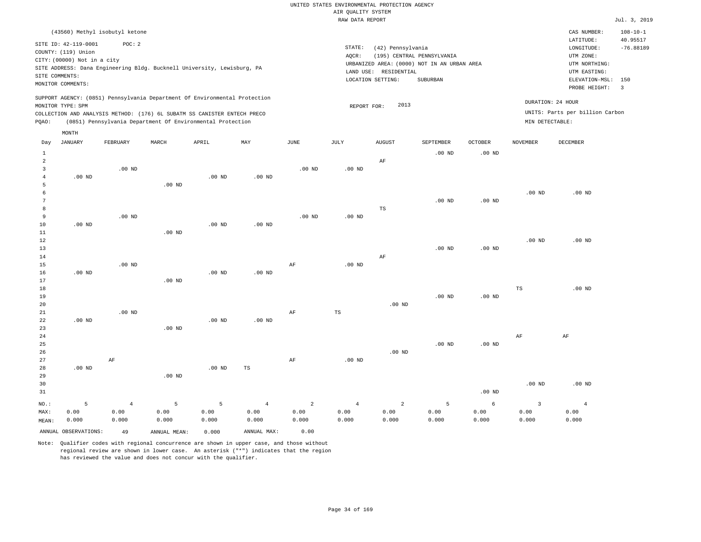|                |                             |                                |          |                                                                                                                                        |          |          | und Kountry ararms<br>RAW DATA REPORT |                       |                                             |                |                   |                                 | Jul. 3, 2019               |
|----------------|-----------------------------|--------------------------------|----------|----------------------------------------------------------------------------------------------------------------------------------------|----------|----------|---------------------------------------|-----------------------|---------------------------------------------|----------------|-------------------|---------------------------------|----------------------------|
|                |                             |                                |          |                                                                                                                                        |          |          |                                       |                       |                                             |                |                   |                                 |                            |
|                |                             | (43560) Methyl isobutyl ketone |          |                                                                                                                                        |          |          |                                       |                       |                                             |                |                   | CAS NUMBER:<br>LATITUDE:        | $108 - 10 - 1$<br>40.95517 |
|                | SITE ID: 42-119-0001        | POC: 2                         |          |                                                                                                                                        |          |          | STATE:                                | (42) Pennsylvania     |                                             |                |                   | LONGITUDE:                      | $-76.88189$                |
|                | COUNTY: (119) Union         |                                |          |                                                                                                                                        |          |          | AQCR:                                 |                       | (195) CENTRAL PENNSYLVANIA                  |                |                   | UTM ZONE:                       |                            |
|                | CITY: (00000) Not in a city |                                |          |                                                                                                                                        |          |          |                                       |                       | URBANIZED AREA: (0000) NOT IN AN URBAN AREA |                |                   | UTM NORTHING:                   |                            |
|                |                             |                                |          | SITE ADDRESS: Dana Engineering Bldg. Bucknell University, Lewisburg, PA                                                                |          |          |                                       | LAND USE: RESIDENTIAL |                                             |                |                   | UTM EASTING:                    |                            |
|                | SITE COMMENTS:              |                                |          |                                                                                                                                        |          |          |                                       | LOCATION SETTING:     | SUBURBAN                                    |                |                   | ELEVATION-MSL:                  | 150                        |
|                | MONITOR COMMENTS:           |                                |          |                                                                                                                                        |          |          |                                       |                       |                                             |                |                   | PROBE HEIGHT:                   | $\overline{\phantom{a}}$   |
|                |                             |                                |          | SUPPORT AGENCY: (0851) Pennsylvania Department Of Environmental Protection                                                             |          |          |                                       |                       |                                             |                |                   | DURATION: 24 HOUR               |                            |
|                | MONITOR TYPE: SPM           |                                |          |                                                                                                                                        |          |          | REPORT FOR:                           | 2013                  |                                             |                |                   | UNITS: Parts per billion Carbon |                            |
| PQAO:          |                             |                                |          | COLLECTION AND ANALYSIS METHOD: (176) 6L SUBATM SS CANISTER ENTECH PRECO<br>(0851) Pennsylvania Department Of Environmental Protection |          |          |                                       |                       |                                             |                | MIN DETECTABLE:   |                                 |                            |
|                |                             |                                |          |                                                                                                                                        |          |          |                                       |                       |                                             |                |                   |                                 |                            |
|                | MONTH                       |                                |          |                                                                                                                                        | MAY      | JUNE     |                                       | <b>AUGUST</b>         | SEPTEMBER                                   | <b>OCTOBER</b> | <b>NOVEMBER</b>   | DECEMBER                        |                            |
| Day            | JANUARY                     | FEBRUARY                       | MARCH    | APRIL                                                                                                                                  |          |          | JULY                                  |                       |                                             |                |                   |                                 |                            |
| $\mathbf{1}$   |                             |                                |          |                                                                                                                                        |          |          |                                       |                       | $.00$ ND                                    | $.00$ ND       |                   |                                 |                            |
| $\overline{a}$ |                             |                                |          |                                                                                                                                        |          |          |                                       | AF                    |                                             |                |                   |                                 |                            |
| 3<br>4         | $.00$ ND                    | $.00$ ND                       |          | $.00$ ND                                                                                                                               | $.00$ ND | $.00$ ND | $.00$ ND                              |                       |                                             |                |                   |                                 |                            |
| 5              |                             |                                | $.00$ ND |                                                                                                                                        |          |          |                                       |                       |                                             |                |                   |                                 |                            |
| 6              |                             |                                |          |                                                                                                                                        |          |          |                                       |                       |                                             |                | $.00$ ND          | $.00$ ND                        |                            |
| 7              |                             |                                |          |                                                                                                                                        |          |          |                                       |                       | $.00$ ND                                    | $.00$ ND       |                   |                                 |                            |
| 8              |                             |                                |          |                                                                                                                                        |          |          |                                       | TS                    |                                             |                |                   |                                 |                            |
| 9              |                             | $.00$ ND                       |          |                                                                                                                                        |          | $.00$ ND | $.00$ ND                              |                       |                                             |                |                   |                                 |                            |
| 10             | $.00$ ND                    |                                |          | $.00$ ND                                                                                                                               | $.00$ ND |          |                                       |                       |                                             |                |                   |                                 |                            |
| 11             |                             |                                | $.00$ ND |                                                                                                                                        |          |          |                                       |                       |                                             |                |                   |                                 |                            |
| 12             |                             |                                |          |                                                                                                                                        |          |          |                                       |                       |                                             |                | .00 <sub>ND</sub> | $.00$ ND                        |                            |
| 13             |                             |                                |          |                                                                                                                                        |          |          |                                       |                       | $.00$ ND                                    | $.00$ ND       |                   |                                 |                            |
| 14             |                             |                                |          |                                                                                                                                        |          |          |                                       | AF                    |                                             |                |                   |                                 |                            |
| 15             |                             | $.00$ ND                       |          |                                                                                                                                        |          | AF       | $.00$ ND                              |                       |                                             |                |                   |                                 |                            |
| 16             | $.00$ ND                    |                                |          | $.00$ ND                                                                                                                               | $.00$ ND |          |                                       |                       |                                             |                |                   |                                 |                            |
| 17             |                             |                                | $.00$ ND |                                                                                                                                        |          |          |                                       |                       |                                             |                |                   |                                 |                            |
| 18             |                             |                                |          |                                                                                                                                        |          |          |                                       |                       |                                             |                | TS                | $.00$ ND                        |                            |
| 19             |                             |                                |          |                                                                                                                                        |          |          |                                       |                       | $.00$ ND                                    | $.00$ ND       |                   |                                 |                            |
| 20             |                             |                                |          |                                                                                                                                        |          |          |                                       | $.00$ ND              |                                             |                |                   |                                 |                            |
| 21             |                             | $.00$ ND                       |          |                                                                                                                                        |          | AF       | $_{\rm TS}$                           |                       |                                             |                |                   |                                 |                            |
| 22             | $.00$ ND                    |                                |          | $.00$ ND                                                                                                                               | $.00$ ND |          |                                       |                       |                                             |                |                   |                                 |                            |
| 23             |                             |                                | $.00$ ND |                                                                                                                                        |          |          |                                       |                       |                                             |                |                   |                                 |                            |
| 24             |                             |                                |          |                                                                                                                                        |          |          |                                       |                       |                                             |                | AF                | AF                              |                            |
| 25             |                             |                                |          |                                                                                                                                        |          |          |                                       |                       | $.00$ ND                                    | $.00$ ND       |                   |                                 |                            |
| 26             |                             |                                |          |                                                                                                                                        |          |          |                                       | $.00$ ND              |                                             |                |                   |                                 |                            |

Note: Qualifier codes with regional concurrence are shown in upper case, and those without regional review are shown in lower case. An asterisk ("\*") indicates that the region has reviewed the value and does not concur with the qualifier.

.00 ND

5 0.00 0.000

ANNUAL OBSERVATIONS: 49 ANNUAL MEAN: 0.000 ANNUAL MAX: 0.00

.00 ND

5 0.00 0.000

TS

4 0.00 0.000

AF

2 0.00 0.000

NO.: MAX: MEAN: .00 ND

AF

4 0.00 0.000

5 0.00 0.000

.00 ND

4 0.00 0.000

2 0.00 0.000

.00 ND

6 0.00 0.000

5 0.00 0.000

.00 ND

3 0.00 0.000

.00 ND

4 0.00 0.000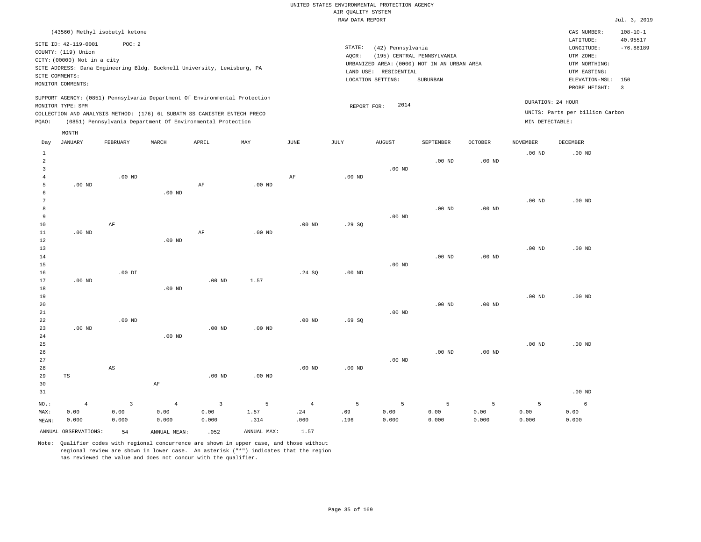|                                          |                                                                                                                   |                                                |                                                                                                                                                                                                                      |                                                  |                                  |                                       | RAW DATA REPORT   |                                                                 |                                                                                       |                    |                    |                                                                                                          | Jul. 3, 2019                                     |
|------------------------------------------|-------------------------------------------------------------------------------------------------------------------|------------------------------------------------|----------------------------------------------------------------------------------------------------------------------------------------------------------------------------------------------------------------------|--------------------------------------------------|----------------------------------|---------------------------------------|-------------------|-----------------------------------------------------------------|---------------------------------------------------------------------------------------|--------------------|--------------------|----------------------------------------------------------------------------------------------------------|--------------------------------------------------|
|                                          | (43560) Methyl isobutyl ketone                                                                                    |                                                |                                                                                                                                                                                                                      |                                                  |                                  |                                       |                   |                                                                 |                                                                                       |                    |                    | CAS NUMBER:                                                                                              | $108 - 10 - 1$                                   |
|                                          | SITE ID: 42-119-0001<br>COUNTY: (119) Union<br>CITY: (00000) Not in a city<br>SITE COMMENTS:<br>MONITOR COMMENTS: | POC: 2                                         | SITE ADDRESS: Dana Engineering Bldg. Bucknell University, Lewisburg, PA                                                                                                                                              |                                                  |                                  |                                       | STATE:<br>AQCR:   | (42) Pennsylvania<br>LAND USE: RESIDENTIAL<br>LOCATION SETTING: | (195) CENTRAL PENNSYLVANIA<br>URBANIZED AREA: (0000) NOT IN AN URBAN AREA<br>SUBURBAN |                    |                    | LATITUDE:<br>LONGITUDE:<br>UTM ZONE:<br>UTM NORTHING:<br>UTM EASTING:<br>ELEVATION-MSL:<br>PROBE HEIGHT: | 40.95517<br>$-76.88189$<br>150<br>$\overline{3}$ |
| PQAO:                                    | MONITOR TYPE: SPM                                                                                                 |                                                | SUPPORT AGENCY: (0851) Pennsylvania Department Of Environmental Protection<br>COLLECTION AND ANALYSIS METHOD: (176) 6L SUBATM SS CANISTER ENTECH PRECO<br>(0851) Pennsylvania Department Of Environmental Protection |                                                  |                                  |                                       | REPORT FOR:       | 2014                                                            |                                                                                       |                    | MIN DETECTABLE:    | DURATION: 24 HOUR<br>UNITS: Parts per billion Carbon                                                     |                                                  |
|                                          | MONTH                                                                                                             |                                                |                                                                                                                                                                                                                      |                                                  |                                  |                                       |                   |                                                                 |                                                                                       |                    |                    |                                                                                                          |                                                  |
| Day                                      | JANUARY                                                                                                           | FEBRUARY                                       | MARCH                                                                                                                                                                                                                | APRIL                                            | MAY                              | JUNE                                  | JULY              | AUGUST                                                          | SEPTEMBER                                                                             | <b>OCTOBER</b>     | <b>NOVEMBER</b>    | <b>DECEMBER</b>                                                                                          |                                                  |
| $\mathbf{1}$<br>2<br>3<br>$\overline{4}$ |                                                                                                                   | $.00$ ND                                       |                                                                                                                                                                                                                      |                                                  |                                  | $\rm AF$                              | $.00$ ND          | $.00$ ND                                                        | $.00$ ND                                                                              | .00 <sub>ND</sub>  | .00 <sub>ND</sub>  | $.00$ ND                                                                                                 |                                                  |
| 5<br>6<br>7<br>8                         | $.00$ ND                                                                                                          |                                                | $.00$ ND                                                                                                                                                                                                             | AF                                               | $.00$ ND                         |                                       |                   |                                                                 | $.00$ ND                                                                              | $.00$ ND           | .00 <sub>ND</sub>  | $.00$ ND                                                                                                 |                                                  |
| 9<br>$10$<br>11<br>12                    | $.00$ ND                                                                                                          | AF                                             | $.00$ ND                                                                                                                                                                                                             | AF                                               | .00 <sub>ND</sub>                | $.00$ ND                              | .29SQ             | $.00$ ND                                                        |                                                                                       |                    |                    |                                                                                                          |                                                  |
| 13<br>14<br>15<br>16                     |                                                                                                                   | $.00$ DI                                       |                                                                                                                                                                                                                      |                                                  |                                  | .24 SQ                                | $.00$ ND          | $.00$ ND                                                        | .00 <sub>ND</sub>                                                                     | .00 <sub>ND</sub>  | .00 <sub>ND</sub>  | $.00$ ND                                                                                                 |                                                  |
| 17<br>18<br>19<br>20<br>21               | $.00$ ND                                                                                                          |                                                | $.00$ ND                                                                                                                                                                                                             | $.00$ ND                                         | 1.57                             |                                       |                   | .00 <sub>ND</sub>                                               | .00 <sub>ND</sub>                                                                     | .00 <sub>ND</sub>  | .00 <sub>ND</sub>  | $.00$ ND                                                                                                 |                                                  |
| 22<br>23<br>24<br>25                     | $.00$ ND                                                                                                          | $.00$ ND                                       | $.00$ ND                                                                                                                                                                                                             | $.00$ ND                                         | .00 <sub>ND</sub>                | $.00$ ND                              | .69S              |                                                                 |                                                                                       |                    | .00 <sub>ND</sub>  | $.00$ ND                                                                                                 |                                                  |
| 26<br>27<br>28<br>29<br>30               | TS                                                                                                                | AS                                             | $\rm{AF}$                                                                                                                                                                                                            | $.00$ ND                                         | .00 <sub>ND</sub>                | $.00$ ND                              | .00 <sub>ND</sub> | $.00$ ND                                                        | .00 <sub>ND</sub>                                                                     | $.00$ ND           |                    |                                                                                                          |                                                  |
| 31                                       |                                                                                                                   |                                                |                                                                                                                                                                                                                      |                                                  |                                  |                                       |                   |                                                                 |                                                                                       |                    |                    | $.00$ ND                                                                                                 |                                                  |
| NO.:<br>MAX:<br>MEAN:                    | $\overline{4}$<br>0.00<br>0.000<br>ANNUAL OBSERVATIONS:                                                           | $\overline{\mathbf{3}}$<br>0.00<br>0.000<br>54 | $\overline{4}$<br>0.00<br>0.000<br>ANNUAL MEAN:                                                                                                                                                                      | $\overline{\mathbf{3}}$<br>0.00<br>0.000<br>.052 | 5<br>1.57<br>.314<br>ANNUAL MAX: | $\overline{4}$<br>.24<br>.060<br>1.57 | 5<br>.69<br>.196  | 5<br>0.00<br>0.000                                              | 5<br>0.00<br>0.000                                                                    | 5<br>0.00<br>0.000 | 5<br>0.00<br>0.000 | $\epsilon$<br>0.00<br>0.000                                                                              |                                                  |
|                                          |                                                                                                                   |                                                |                                                                                                                                                                                                                      |                                                  |                                  |                                       |                   |                                                                 |                                                                                       |                    |                    |                                                                                                          |                                                  |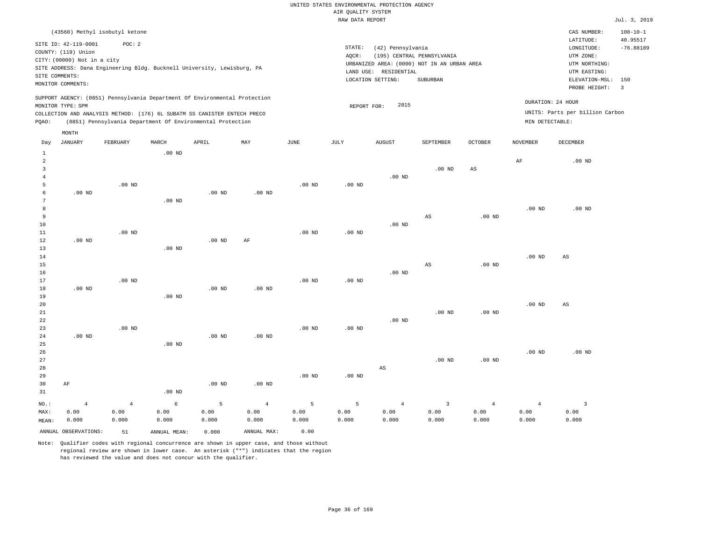|                |                                |                |                   |                                                                            |                   |                   | RAW DATA REPORT |                       |                                             |                        |                   |                                 | Jul. 3, 2019            |
|----------------|--------------------------------|----------------|-------------------|----------------------------------------------------------------------------|-------------------|-------------------|-----------------|-----------------------|---------------------------------------------|------------------------|-------------------|---------------------------------|-------------------------|
|                | (43560) Methyl isobutyl ketone |                |                   |                                                                            |                   |                   |                 |                       |                                             |                        |                   | CAS NUMBER:                     | $108 - 10 - 1$          |
|                | SITE ID: 42-119-0001           | POC: 2         |                   |                                                                            |                   |                   | STATE:          | (42) Pennsylvania     |                                             |                        |                   | LATITUDE:<br>LONGITUDE:         | 40.95517<br>$-76.88189$ |
|                | COUNTY: (119) Union            |                |                   |                                                                            |                   |                   | AQCR:           |                       | (195) CENTRAL PENNSYLVANIA                  |                        |                   | UTM ZONE:                       |                         |
|                | CITY: (00000) Not in a city    |                |                   |                                                                            |                   |                   |                 |                       | URBANIZED AREA: (0000) NOT IN AN URBAN AREA |                        |                   | UTM NORTHING:                   |                         |
|                |                                |                |                   | SITE ADDRESS: Dana Engineering Bldg. Bucknell University, Lewisburg, PA    |                   |                   |                 | LAND USE: RESIDENTIAL |                                             |                        |                   | UTM EASTING:                    |                         |
| SITE COMMENTS: |                                |                |                   |                                                                            |                   |                   |                 | LOCATION SETTING:     | SUBURBAN                                    |                        |                   | ELEVATION-MSL: 150              |                         |
|                | MONITOR COMMENTS:              |                |                   |                                                                            |                   |                   |                 |                       |                                             |                        |                   | PROBE HEIGHT:                   | $\overline{3}$          |
|                |                                |                |                   | SUPPORT AGENCY: (0851) Pennsylvania Department Of Environmental Protection |                   |                   |                 |                       |                                             |                        |                   | DURATION: 24 HOUR               |                         |
|                | MONITOR TYPE: SPM              |                |                   |                                                                            |                   |                   | REPORT FOR:     | 2015                  |                                             |                        |                   |                                 |                         |
|                |                                |                |                   | COLLECTION AND ANALYSIS METHOD: (176) 6L SUBATM SS CANISTER ENTECH PRECO   |                   |                   |                 |                       |                                             |                        |                   | UNITS: Parts per billion Carbon |                         |
| PQAO:          |                                |                |                   | (0851) Pennsylvania Department Of Environmental Protection                 |                   |                   |                 |                       |                                             |                        | MIN DETECTABLE:   |                                 |                         |
|                | MONTH                          |                |                   |                                                                            |                   |                   |                 |                       |                                             |                        |                   |                                 |                         |
| Day            | JANUARY                        | FEBRUARY       | MARCH             | APRIL                                                                      | MAY               | <b>JUNE</b>       | JULY            | AUGUST                | SEPTEMBER                                   | <b>OCTOBER</b>         | NOVEMBER          | DECEMBER                        |                         |
| $\mathbf{1}$   |                                |                | $.00$ ND          |                                                                            |                   |                   |                 |                       |                                             |                        |                   |                                 |                         |
| 2              |                                |                |                   |                                                                            |                   |                   |                 |                       |                                             |                        | $\rm AF$          | $.00$ ND                        |                         |
| 3              |                                |                |                   |                                                                            |                   |                   |                 |                       | $.00$ ND                                    | $\mathbb{A}\mathbb{S}$ |                   |                                 |                         |
| 4              |                                |                |                   |                                                                            |                   |                   |                 | $.00$ ND              |                                             |                        |                   |                                 |                         |
| 5              |                                | $.00$ ND       |                   |                                                                            |                   | $.00$ ND          | $.00$ ND        |                       |                                             |                        |                   |                                 |                         |
| 6<br>7         | $.00$ ND                       |                |                   | $.00$ ND                                                                   | $.00$ ND          |                   |                 |                       |                                             |                        |                   |                                 |                         |
| 8              |                                |                | .00 <sub>ND</sub> |                                                                            |                   |                   |                 |                       |                                             |                        | .00 <sub>ND</sub> | $.00$ ND                        |                         |
| 9              |                                |                |                   |                                                                            |                   |                   |                 |                       | AS                                          | .00 <sub>ND</sub>      |                   |                                 |                         |
| $10$           |                                |                |                   |                                                                            |                   |                   |                 | $.00$ ND              |                                             |                        |                   |                                 |                         |
| 11             |                                | $.00$ ND       |                   |                                                                            |                   | $.00$ ND          | $.00$ ND        |                       |                                             |                        |                   |                                 |                         |
| 12             | $.00$ ND                       |                |                   | .00 <sub>ND</sub>                                                          | AF                |                   |                 |                       |                                             |                        |                   |                                 |                         |
| 13             |                                |                | $.00$ ND          |                                                                            |                   |                   |                 |                       |                                             |                        |                   |                                 |                         |
| 14             |                                |                |                   |                                                                            |                   |                   |                 |                       |                                             |                        | .00 <sub>ND</sub> | AS                              |                         |
| 15             |                                |                |                   |                                                                            |                   |                   |                 |                       | $\mathbb{A}\mathbb{S}$                      | .00 <sub>ND</sub>      |                   |                                 |                         |
| 16             |                                |                |                   |                                                                            |                   |                   |                 | $.00$ ND              |                                             |                        |                   |                                 |                         |
| 17             |                                | $.00$ ND       |                   |                                                                            |                   | $.00$ ND          | $.00$ ND        |                       |                                             |                        |                   |                                 |                         |
| 18             | $.00$ ND                       |                |                   | $.00$ ND                                                                   | $.00$ ND          |                   |                 |                       |                                             |                        |                   |                                 |                         |
| 19             |                                |                | $.00$ ND          |                                                                            |                   |                   |                 |                       |                                             |                        |                   |                                 |                         |
| 20             |                                |                |                   |                                                                            |                   |                   |                 |                       |                                             |                        | .00 <sub>ND</sub> | AS                              |                         |
| 21             |                                |                |                   |                                                                            |                   |                   |                 |                       | $.00$ ND                                    | .00 <sub>ND</sub>      |                   |                                 |                         |
| 22             |                                |                |                   |                                                                            |                   |                   |                 | $.00$ ND              |                                             |                        |                   |                                 |                         |
| 23             |                                | $.00$ ND       |                   |                                                                            |                   | .00 <sub>ND</sub> | $.00$ ND        |                       |                                             |                        |                   |                                 |                         |
| 24             | $.00$ ND                       |                |                   | .00 <sub>ND</sub>                                                          | .00 <sub>ND</sub> |                   |                 |                       |                                             |                        |                   |                                 |                         |
| 25<br>26       |                                |                | $.00$ ND          |                                                                            |                   |                   |                 |                       |                                             |                        | .00 <sub>ND</sub> | $.00$ ND                        |                         |
| 27             |                                |                |                   |                                                                            |                   |                   |                 |                       | $.00$ ND                                    | .00 <sub>ND</sub>      |                   |                                 |                         |
| 28             |                                |                |                   |                                                                            |                   |                   |                 | $_{\rm AS}$           |                                             |                        |                   |                                 |                         |
| 29             |                                |                |                   |                                                                            |                   | $.00$ ND          | $.00$ ND        |                       |                                             |                        |                   |                                 |                         |
| 30             | AF                             |                |                   | $.00$ ND                                                                   | $.00$ ND          |                   |                 |                       |                                             |                        |                   |                                 |                         |
| 31             |                                |                | $.00$ ND          |                                                                            |                   |                   |                 |                       |                                             |                        |                   |                                 |                         |
|                |                                |                |                   |                                                                            |                   |                   |                 |                       |                                             |                        |                   |                                 |                         |
| NO.:           | $\overline{4}$                 | $\overline{4}$ | $\epsilon$        | 5                                                                          | $\overline{4}$    | 5                 | 5               | $\overline{4}$        | $\overline{\mathbf{3}}$                     | $\overline{4}$         | $\overline{4}$    | $\overline{\mathbf{3}}$         |                         |
| MAX:           | 0.00                           | 0.00           | 0.00              | 0.00                                                                       | 0.00              | 0.00              | 0.00            | 0.00                  | 0.00                                        | 0.00                   | 0.00              | 0.00                            |                         |
| MEAN:          | 0.000                          | 0.000          | 0.000             | 0.000                                                                      | 0.000             | 0.000             | 0.000           | 0.000                 | 0.000                                       | 0.000                  | 0.000             | 0.000                           |                         |
|                | ANNUAL OBSERVATIONS:           | 51             | ANNUAL MEAN:      | 0.000                                                                      | ANNUAL MAX:       | 0.00              |                 |                       |                                             |                        |                   |                                 |                         |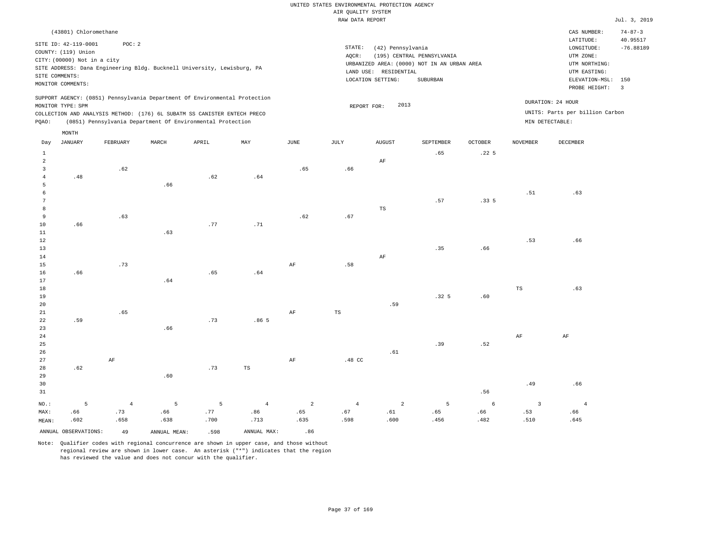| (43801) Chloromethane                                                                                                                                                                                                                              |                                                                                                                                                                                | CAS NUMBER:                                                                    | $74 - 87 - 3$           |
|----------------------------------------------------------------------------------------------------------------------------------------------------------------------------------------------------------------------------------------------------|--------------------------------------------------------------------------------------------------------------------------------------------------------------------------------|--------------------------------------------------------------------------------|-------------------------|
| SITE ID: 42-119-0001<br>POC: 2                                                                                                                                                                                                                     |                                                                                                                                                                                | LATITUDE:                                                                      | 40.95517                |
| COUNTY: (119) Union<br>CITY: (00000) Not in a city<br>SITE ADDRESS: Dana Engineering Bldg. Bucknell University, Lewisburg, PA<br>SITE COMMENTS:<br>MONITOR COMMENTS:                                                                               | STATE:<br>(42) Pennsylvania<br>(195) CENTRAL PENNSYLVANIA<br>AOCR:<br>URBANIZED AREA: (0000) NOT IN AN URBAN AREA<br>RESIDENTIAL<br>LAND USE:<br>LOCATION SETTING:<br>SUBURBAN | LONGITUDE:<br>UTM ZONE:<br>UTM NORTHING:<br>UTM EASTING:<br>ELEVATION-MSL: 150 | $-76.88189$             |
|                                                                                                                                                                                                                                                    |                                                                                                                                                                                | PROBE HEIGHT:                                                                  | $\overline{\mathbf{3}}$ |
| SUPPORT AGENCY: (0851) Pennsylvania Department Of Environmental Protection<br>MONITOR TYPE: SPM<br>COLLECTION AND ANALYSIS METHOD: (176) 6L SUBATM SS CANISTER ENTECH PRECO<br>(0851) Pennsylvania Department Of Environmental Protection<br>POAO: | 2013<br>REPORT FOR:                                                                                                                                                            | DURATION: 24 HOUR<br>UNITS: Parts per billion Carbon<br>MIN DETECTABLE:        |                         |
| MONTH                                                                                                                                                                                                                                              |                                                                                                                                                                                |                                                                                |                         |

| Day            | JANUARY                       | FEBRUARY       | MARCH          | APRIL | MAY                                       | $_{\rm JUNE}$  | $\mathtt{JULY}$ | AUGUST         | SEPTEMBER        | OCTOBER          | $\,$ NOVEMBER           | DECEMBER       |
|----------------|-------------------------------|----------------|----------------|-------|-------------------------------------------|----------------|-----------------|----------------|------------------|------------------|-------------------------|----------------|
| $\mathbf{1}$   |                               |                |                |       |                                           |                |                 |                | .65              | .22 <sub>5</sub> |                         |                |
| $\overline{a}$ |                               |                |                |       |                                           |                |                 | $\rm AF$       |                  |                  |                         |                |
| 3              |                               | .62            |                |       |                                           | .65            | .66             |                |                  |                  |                         |                |
| 4              | $\footnotesize{\textbf{.48}}$ |                |                | .62   | $% \left( \left( 6\right) \right)$ . $64$ |                |                 |                |                  |                  |                         |                |
| 5              |                               |                | .66            |       |                                           |                |                 |                |                  |                  |                         |                |
| 6              |                               |                |                |       |                                           |                |                 |                |                  |                  | .51                     | .63            |
| 7              |                               |                |                |       |                                           |                |                 |                | .57              | .335             |                         |                |
| 8              |                               |                |                |       |                                           |                |                 | $_{\rm TS}$    |                  |                  |                         |                |
| 9              |                               | .63            |                |       |                                           | .62            | .67             |                |                  |                  |                         |                |
| $10$           | .66                           |                |                | .77   | .71                                       |                |                 |                |                  |                  |                         |                |
| $11\,$         |                               |                | .63            |       |                                           |                |                 |                |                  |                  |                         |                |
| $12\,$         |                               |                |                |       |                                           |                |                 |                |                  |                  | .53                     | .66            |
| 13             |                               |                |                |       |                                           |                |                 |                | .35              | .66              |                         |                |
| $14\,$         |                               |                |                |       |                                           |                |                 | $\rm{AF}$      |                  |                  |                         |                |
| 15             |                               | .73            |                |       |                                           | $\rm{AF}$      | .58             |                |                  |                  |                         |                |
| 16             | .66                           |                |                | .65   | .64                                       |                |                 |                |                  |                  |                         |                |
| 17             |                               |                | .64            |       |                                           |                |                 |                |                  |                  |                         |                |
| 18             |                               |                |                |       |                                           |                |                 |                |                  |                  | $_{\rm TS}$             | .63            |
| 19             |                               |                |                |       |                                           |                |                 |                | .32 <sub>5</sub> | .60              |                         |                |
| 20             |                               |                |                |       |                                           |                |                 | .59            |                  |                  |                         |                |
| 21             |                               | .65            |                |       |                                           | $\rm{AF}$      | $_{\rm TS}$     |                |                  |                  |                         |                |
| $2\sqrt{2}$    | .59                           |                |                | .73   | .86 <sub>5</sub>                          |                |                 |                |                  |                  |                         |                |
| 23             |                               |                | .66            |       |                                           |                |                 |                |                  |                  |                         |                |
| $2\,4$         |                               |                |                |       |                                           |                |                 |                |                  |                  | $\rm{AF}$               | $\rm{AF}$      |
| 25             |                               |                |                |       |                                           |                |                 |                | .39              | .52              |                         |                |
| $26\,$         |                               |                |                |       |                                           |                |                 | .61            |                  |                  |                         |                |
| 27             |                               | $\rm AF$       |                |       |                                           | $\rm{AF}$      | .48 CC          |                |                  |                  |                         |                |
| 28             | .62                           |                |                | .73   | TS                                        |                |                 |                |                  |                  |                         |                |
| 29             |                               |                | .60            |       |                                           |                |                 |                |                  |                  |                         |                |
| 30             |                               |                |                |       |                                           |                |                 |                |                  |                  | .49                     | .66            |
| 31             |                               |                |                |       |                                           |                |                 |                |                  | .56              |                         |                |
| $NO.$ :        | 5                             | $\overline{4}$ | $\overline{5}$ | 5     | $\overline{4}$                            | $\overline{a}$ | $\overline{4}$  | $\overline{a}$ | 5                | $6\phantom{.}6$  | $\overline{\mathbf{3}}$ | $\overline{4}$ |
| MAX:           | .66                           | .73            | .66            | .77   | .86                                       | .65            | .67             | .61            | .65              | .66              | .53                     | .66            |
| MEAN:          | .602                          | .658           | .638           | .700  | .713                                      | .635           | .598            | .600           | .456             | .482             | .510                    | .645           |
|                | ANNUAL OBSERVATIONS:          | 49             | ANNUAL MEAN:   | .598  | ANNUAL MAX:                               | .86            |                 |                |                  |                  |                         |                |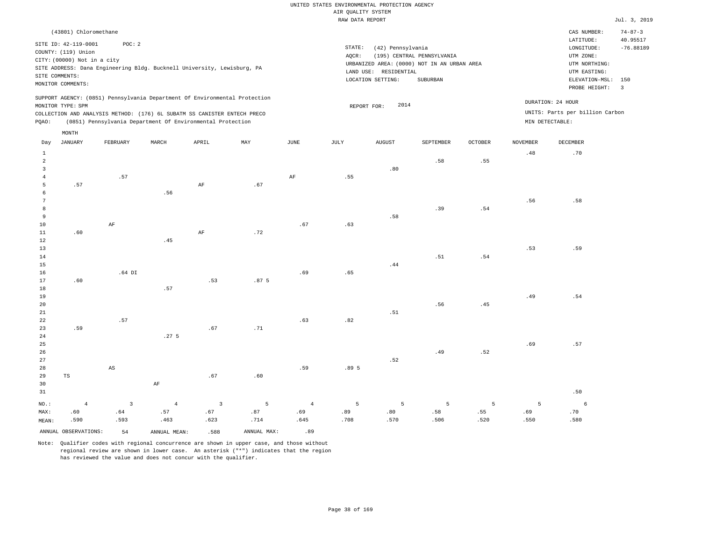|                                       |                                                                                                                   |                                                                                                                                        |                  |                |                  |      | RAW DATA REPORT |                                                                 |                                                                                       |                |                 |                                                                                                                     | Jul. 3, 2019                                     |
|---------------------------------------|-------------------------------------------------------------------------------------------------------------------|----------------------------------------------------------------------------------------------------------------------------------------|------------------|----------------|------------------|------|-----------------|-----------------------------------------------------------------|---------------------------------------------------------------------------------------|----------------|-----------------|---------------------------------------------------------------------------------------------------------------------|--------------------------------------------------|
|                                       | (43801) Chloromethane                                                                                             |                                                                                                                                        |                  |                |                  |      |                 |                                                                 |                                                                                       |                |                 | CAS NUMBER:                                                                                                         | $74 - 87 - 3$                                    |
|                                       | SITE ID: 42-119-0001<br>COUNTY: (119) Union<br>CITY: (00000) Not in a city<br>SITE COMMENTS:<br>MONITOR COMMENTS: | POC: 2<br>SITE ADDRESS: Dana Engineering Bldg. Bucknell University, Lewisburg, PA                                                      |                  |                |                  |      | STATE:<br>AQCR: | (42) Pennsylvania<br>LAND USE: RESIDENTIAL<br>LOCATION SETTING: | (195) CENTRAL PENNSYLVANIA<br>URBANIZED AREA: (0000) NOT IN AN URBAN AREA<br>SUBURBAN |                |                 | LATITUDE:<br>$\texttt{LONGITUDE}:$<br>UTM ZONE:<br>UTM NORTHING:<br>UTM EASTING:<br>ELEVATION-MSL:<br>PROBE HEIGHT: | 40.95517<br>$-76.88189$<br>150<br>$\overline{3}$ |
|                                       |                                                                                                                   | SUPPORT AGENCY: (0851) Pennsylvania Department Of Environmental Protection                                                             |                  |                |                  |      |                 | 2014                                                            |                                                                                       |                |                 | DURATION: 24 HOUR                                                                                                   |                                                  |
| PQAO:                                 | MONITOR TYPE: SPM                                                                                                 | COLLECTION AND ANALYSIS METHOD: (176) 6L SUBATM SS CANISTER ENTECH PRECO<br>(0851) Pennsylvania Department Of Environmental Protection |                  |                |                  |      | REPORT FOR:     |                                                                 |                                                                                       |                |                 | UNITS: Parts per billion Carbon<br>MIN DETECTABLE:                                                                  |                                                  |
| Day                                   | MONTH<br>JANUARY                                                                                                  | FEBRUARY                                                                                                                               | MARCH            | APRIL          | MAY              | JUNE | JULY            | AUGUST                                                          | SEPTEMBER                                                                             | <b>OCTOBER</b> | <b>NOVEMBER</b> | <b>DECEMBER</b>                                                                                                     |                                                  |
| $1\,$<br>$\overline{a}$               |                                                                                                                   |                                                                                                                                        |                  |                |                  |      |                 |                                                                 | .58                                                                                   | .55            | .48             | .70                                                                                                                 |                                                  |
| $\overline{3}$<br>$\overline{4}$<br>5 | .57                                                                                                               | .57                                                                                                                                    |                  | AF             | .67              | AF   | .55             | .80                                                             |                                                                                       |                |                 |                                                                                                                     |                                                  |
| 6<br>$7\overline{ }$<br>8<br>9        |                                                                                                                   |                                                                                                                                        | .56              |                |                  |      |                 |                                                                 | .39                                                                                   | .54            | .56             | .58                                                                                                                 |                                                  |
| 10<br>11<br>12                        | .60                                                                                                               | AF                                                                                                                                     | .45              | $\rm AF$       | .72              | .67  | .63             | .58                                                             |                                                                                       |                |                 |                                                                                                                     |                                                  |
| 13<br>14<br>15                        |                                                                                                                   |                                                                                                                                        |                  |                |                  |      |                 | .44                                                             | .51                                                                                   | .54            | .53             | .59                                                                                                                 |                                                  |
| 16<br>17<br>18                        | .60                                                                                                               | $.64$ DI                                                                                                                               | .57              | .53            | .87 <sub>5</sub> | .69  | .65             |                                                                 |                                                                                       |                |                 |                                                                                                                     |                                                  |
| 19<br>20<br>21                        |                                                                                                                   |                                                                                                                                        |                  |                |                  |      |                 | .51                                                             | .56                                                                                   | .45            | .49             | .54                                                                                                                 |                                                  |
| 22<br>23<br>24                        | .59                                                                                                               | .57                                                                                                                                    | .27 <sub>5</sub> | .67            | .71              | .63  | .82             |                                                                 |                                                                                       |                |                 |                                                                                                                     |                                                  |
| 25<br>26<br>27                        |                                                                                                                   |                                                                                                                                        |                  |                |                  |      |                 | .52                                                             | .49                                                                                   | .52            | .69             | .57                                                                                                                 |                                                  |
| 28<br>29<br>30                        | TS                                                                                                                | $\mathbb{A}\mathbb{S}$                                                                                                                 | $\rm AF$         | .67            | .60              | .59  | .89 5           |                                                                 |                                                                                       |                |                 |                                                                                                                     |                                                  |
| 31<br>NO.:                            | $\overline{4}$                                                                                                    | 3                                                                                                                                      | $\overline{4}$   | $\overline{3}$ | 5                | 4    | 5               | 5                                                               | 5                                                                                     | 5              | 5               | .50<br>6                                                                                                            |                                                  |

ANNUAL OBSERVATIONS: 54 ANNUAL MEAN: .588 ANNUAL MAX: .89

 .57 .463

MAX: MEAN:

 .60 .590  .64 .593

Note: Qualifier codes with regional concurrence are shown in upper case, and those without regional review are shown in lower case. An asterisk ("\*") indicates that the region has reviewed the value and does not concur with the qualifier.

 .67 .623  .87 .714

 .69 .645  .89 .708

 .80 .570  .58 .506  .55 .520

 .69 .550  .70 .580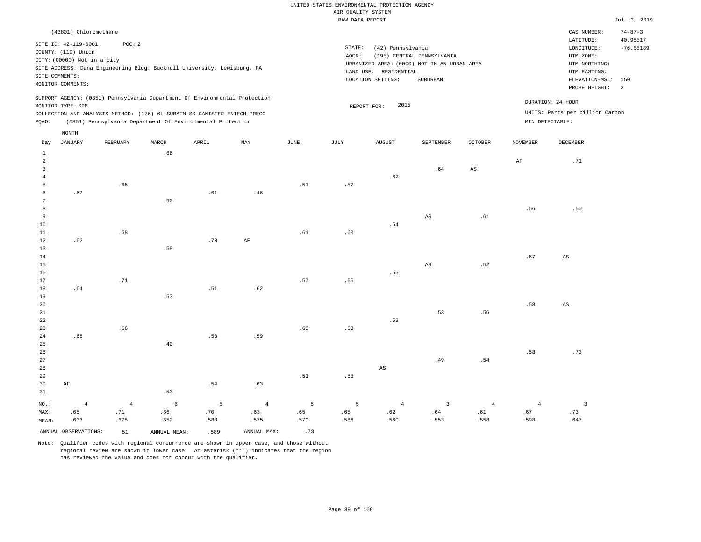| (43801) Chloromethane                                                                                                                                                                                                                                       |                                                                                                                                                                                | CAS NUMBER:                                                                                                  | $74 - 87 - 3$                 |
|-------------------------------------------------------------------------------------------------------------------------------------------------------------------------------------------------------------------------------------------------------------|--------------------------------------------------------------------------------------------------------------------------------------------------------------------------------|--------------------------------------------------------------------------------------------------------------|-------------------------------|
| SITE ID: 42-119-0001<br>POC:2<br>COUNTY: (119) Union<br>CITY: (00000) Not in a city<br>SITE ADDRESS: Dana Engineering Bldg. Bucknell University, Lewisburg, PA<br>SITE COMMENTS:<br>MONITOR COMMENTS:                                                       | STATE:<br>(42) Pennsylvania<br>AOCR:<br>(195) CENTRAL PENNSYLVANIA<br>URBANIZED AREA: (0000) NOT IN AN URBAN AREA<br>RESIDENTIAL<br>LAND USE:<br>LOCATION SETTING:<br>SUBURBAN | LATITUDE:<br>LONGITUDE:<br>UTM ZONE:<br>UTM NORTHING:<br>UTM EASTING:<br>ELEVATION-MSL: 150<br>PROBE HEIGHT: | 40.95517<br>$-76.88189$<br>-3 |
| SUPPORT AGENCY: (0851) Pennsylvania Department Of Environmental Protection<br>MONITOR TYPE: SPM<br>COLLECTION AND ANALYSIS METHOD: (176) 6L SUBATM SS CANISTER ENTECH PRECO<br>(0851) Pennsylvania Department Of Environmental Protection<br>POAO:<br>MONTH | 2015<br>REPORT FOR:                                                                                                                                                            | DURATION: 24 HOUR<br>UNITS: Parts per billion Carbon<br>MIN DETECTABLE:                                      |                               |

| Day                     | JANUARY              | FEBRUARY   | MARCH        | APRIL                        | MAY            | JUNE    | JULY           | AUGUST                 | SEPTEMBER               | OCTOBER                | NOVEMBER       | DECEMBER                 |
|-------------------------|----------------------|------------|--------------|------------------------------|----------------|---------|----------------|------------------------|-------------------------|------------------------|----------------|--------------------------|
| $\mathbf{1}$            |                      |            | .66          |                              |                |         |                |                        |                         |                        |                |                          |
| $\overline{\mathbf{c}}$ |                      |            |              |                              |                |         |                |                        |                         |                        | $\rm{AF}$      | .71                      |
| 3                       |                      |            |              |                              |                |         |                |                        | $.64\,$                 | $\mathbb{A}\mathbb{S}$ |                |                          |
| $\overline{4}$          |                      |            |              |                              |                |         |                | .62                    |                         |                        |                |                          |
| 5                       |                      | .65        |              |                              |                | .51     | .57            |                        |                         |                        |                |                          |
| 6                       | .62                  |            |              | .61                          | .46            |         |                |                        |                         |                        |                |                          |
| 7                       |                      |            | .60          |                              |                |         |                |                        |                         |                        |                |                          |
| $\,8\,$                 |                      |            |              |                              |                |         |                |                        |                         |                        | .56            | .50                      |
| 9                       |                      |            |              |                              |                |         |                |                        | $\mathbb{A}\mathbb{S}$  | $.61\,$                |                |                          |
| 10                      |                      |            |              |                              |                |         |                | $.54\,$                |                         |                        |                |                          |
| 11                      |                      | .68        |              |                              |                | $.61\,$ | $.60$          |                        |                         |                        |                |                          |
| 12                      | .62                  |            |              | $.70\,$                      | $\rm AF$       |         |                |                        |                         |                        |                |                          |
| 13                      |                      |            | .59          |                              |                |         |                |                        |                         |                        |                |                          |
| 14                      |                      |            |              |                              |                |         |                |                        |                         |                        | $.67\,$        | $\mathbb{A}\mathbb{S}$   |
| 15                      |                      |            |              |                              |                |         |                |                        | $\mathbb{A}\mathbb{S}$  | .52                    |                |                          |
| 16                      |                      |            |              |                              |                |         |                | .55                    |                         |                        |                |                          |
| 17                      |                      | .71        |              |                              |                | .57     | .65            |                        |                         |                        |                |                          |
| 18                      | .64                  |            |              | .51                          | .62            |         |                |                        |                         |                        |                |                          |
| 19                      |                      |            | .53          |                              |                |         |                |                        |                         |                        |                |                          |
| 20                      |                      |            |              |                              |                |         |                |                        |                         |                        | .58            | $\mathbb{A}\mathbb{S}$   |
| $2\sqrt{1}$             |                      |            |              |                              |                |         |                |                        | .53                     | .56                    |                |                          |
| 22                      |                      |            |              |                              |                |         |                | .53                    |                         |                        |                |                          |
| 23                      |                      | .66        |              |                              |                | .65     | .53            |                        |                         |                        |                |                          |
| 24                      | .65                  |            |              | $\footnotesize\substack{58}$ | .59            |         |                |                        |                         |                        |                |                          |
| 25                      |                      |            | $.40$        |                              |                |         |                |                        |                         |                        | .58            |                          |
| 26<br>27                |                      |            |              |                              |                |         |                |                        | .49                     | .54                    |                | .73                      |
| 28                      |                      |            |              |                              |                |         |                | $\mathbb{A}\mathbb{S}$ |                         |                        |                |                          |
| 29                      |                      |            |              |                              |                | .51     | .58            |                        |                         |                        |                |                          |
| 30                      | $\rm{AF}$            |            |              | $.54\,$                      | .63            |         |                |                        |                         |                        |                |                          |
| 31                      |                      |            | .53          |                              |                |         |                |                        |                         |                        |                |                          |
|                         |                      |            |              |                              |                |         |                |                        |                         |                        |                |                          |
| $NO.$ :                 | $\overline{4}$       | $\sqrt{4}$ | $\epsilon$   | $5\phantom{.0}$              | $\overline{4}$ | 5       | $\overline{5}$ | $\overline{4}$         | $\overline{\mathbf{3}}$ | $\overline{4}$         | $\overline{4}$ | $\overline{\phantom{a}}$ |
| MAX:                    | .65                  | .71        | .66          | .70                          | .63            | .65     | .65            | $\sqrt{62}$            | .64                     | $.61\,$                | .67            | .73                      |
| MEAN:                   | .633                 | .675       | .552         | .588                         | .575           | .570    | .586           | .560                   | .553                    | .558                   | .598           | .647                     |
|                         | ANNUAL OBSERVATIONS: | 51         | ANNUAL MEAN: | .589                         | ANNUAL MAX:    | .73     |                |                        |                         |                        |                |                          |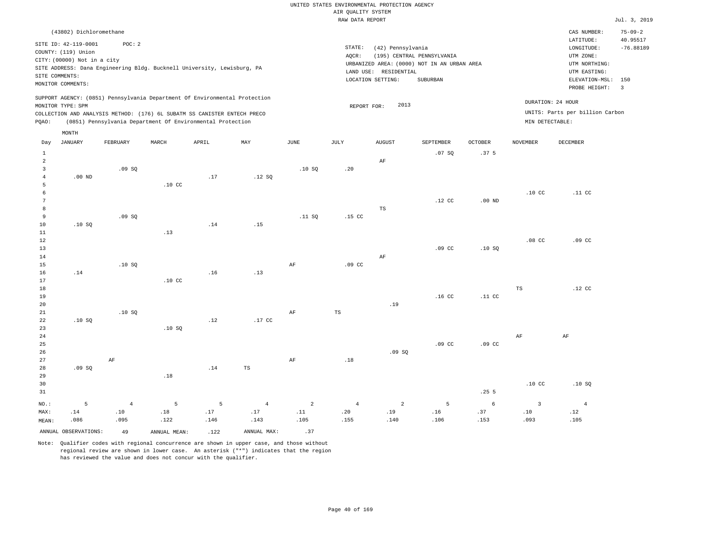|                | (43802) Dichloromethane     |                |                                                                            |       |                |                |                  |                       |                                             |                  |                  | CAS NUMBER:<br>LATITUDE:        | $75 - 09 - 2$<br>40.95517 |
|----------------|-----------------------------|----------------|----------------------------------------------------------------------------|-------|----------------|----------------|------------------|-----------------------|---------------------------------------------|------------------|------------------|---------------------------------|---------------------------|
|                | SITE ID: 42-119-0001        | POC: 2         |                                                                            |       |                |                | STATE:           | (42) Pennsylvania     |                                             |                  |                  | LONGITUDE:                      | $-76.88189$               |
|                | COUNTY: (119) Union         |                |                                                                            |       |                |                | AQCR:            |                       | (195) CENTRAL PENNSYLVANIA                  |                  |                  | UTM ZONE:                       |                           |
|                | CITY: (00000) Not in a city |                |                                                                            |       |                |                |                  |                       | URBANIZED AREA: (0000) NOT IN AN URBAN AREA |                  |                  | UTM NORTHING:                   |                           |
| SITE COMMENTS: |                             |                | SITE ADDRESS: Dana Engineering Bldg. Bucknell University, Lewisburg, PA    |       |                |                |                  | LAND USE: RESIDENTIAL |                                             |                  |                  | UTM EASTING:                    |                           |
|                | MONITOR COMMENTS:           |                |                                                                            |       |                |                |                  | LOCATION SETTING:     | SUBURBAN                                    |                  |                  | ELEVATION-MSL:                  | 150                       |
|                |                             |                |                                                                            |       |                |                |                  |                       |                                             |                  |                  | PROBE HEIGHT:                   | $\overline{3}$            |
|                | MONITOR TYPE: SPM           |                | SUPPORT AGENCY: (0851) Pennsylvania Department Of Environmental Protection |       |                |                | REPORT FOR:      | 2013                  |                                             |                  |                  | DURATION: 24 HOUR               |                           |
|                |                             |                | COLLECTION AND ANALYSIS METHOD: (176) 6L SUBATM SS CANISTER ENTECH PRECO   |       |                |                |                  |                       |                                             |                  |                  | UNITS: Parts per billion Carbon |                           |
| PQAO:          |                             |                | (0851) Pennsylvania Department Of Environmental Protection                 |       |                |                |                  |                       |                                             |                  | MIN DETECTABLE:  |                                 |                           |
|                | MONTH                       |                |                                                                            |       |                |                |                  |                       |                                             |                  |                  |                                 |                           |
| Day            | <b>JANUARY</b>              | FEBRUARY       | MARCH                                                                      | APRIL | MAY            | $_{\rm JUNE}$  | JULY             | <b>AUGUST</b>         | SEPTEMBER                                   | OCTOBER          | <b>NOVEMBER</b>  | DECEMBER                        |                           |
| $\mathbf{1}$   |                             |                |                                                                            |       |                |                |                  |                       | .07SQ                                       | .37 <sub>5</sub> |                  |                                 |                           |
| 2              |                             |                |                                                                            |       |                |                |                  | AF                    |                                             |                  |                  |                                 |                           |
| $\overline{3}$ |                             | .09S           |                                                                            |       |                | .10S           | .20              |                       |                                             |                  |                  |                                 |                           |
| $\overline{4}$ | $.00$ ND                    |                |                                                                            | .17   | .12S           |                |                  |                       |                                             |                  |                  |                                 |                           |
| 5              |                             |                | .10 <sub>C</sub>                                                           |       |                |                |                  |                       |                                             |                  |                  |                                 |                           |
| 6              |                             |                |                                                                            |       |                |                |                  |                       |                                             |                  | .10 <sub>C</sub> | .11 <sub>c</sub>                |                           |
| $\overline{7}$ |                             |                |                                                                            |       |                |                |                  |                       | $.12$ CC                                    | $.00$ ND         |                  |                                 |                           |
| 8              |                             |                |                                                                            |       |                |                |                  | $_{\rm TS}$           |                                             |                  |                  |                                 |                           |
| 9              |                             | .09SQ          |                                                                            |       |                | .11 S0         | .15 <sub>c</sub> |                       |                                             |                  |                  |                                 |                           |
| 10             | .10S                        |                |                                                                            | .14   | .15            |                |                  |                       |                                             |                  |                  |                                 |                           |
| 11             |                             |                | .13                                                                        |       |                |                |                  |                       |                                             |                  |                  |                                 |                           |
| 12             |                             |                |                                                                            |       |                |                |                  |                       |                                             |                  | $.08$ CC         | .09 <sub>c</sub>                |                           |
| 13<br>14       |                             |                |                                                                            |       |                |                |                  | AF                    | .09 <sub>c</sub>                            | .10S             |                  |                                 |                           |
| 15             |                             | .10SQ          |                                                                            |       |                | $\rm{AF}$      | $.09$ CC         |                       |                                             |                  |                  |                                 |                           |
| 16             | .14                         |                |                                                                            | .16   | .13            |                |                  |                       |                                             |                  |                  |                                 |                           |
| 17             |                             |                | .10 <sub>C</sub>                                                           |       |                |                |                  |                       |                                             |                  |                  |                                 |                           |
| 18             |                             |                |                                                                            |       |                |                |                  |                       |                                             |                  | TS               | .12 <sub>c</sub>                |                           |
| 19             |                             |                |                                                                            |       |                |                |                  |                       | .16 <sub>c</sub>                            | .11 <sub>c</sub> |                  |                                 |                           |
| 20             |                             |                |                                                                            |       |                |                |                  | .19                   |                                             |                  |                  |                                 |                           |
| 21             |                             | .10S           |                                                                            |       |                | AF             | $_{\rm TS}$      |                       |                                             |                  |                  |                                 |                           |
| 22             | .10S                        |                |                                                                            | .12   | $.17$ CC       |                |                  |                       |                                             |                  |                  |                                 |                           |
| 23             |                             |                | .10S                                                                       |       |                |                |                  |                       |                                             |                  |                  |                                 |                           |
| 24             |                             |                |                                                                            |       |                |                |                  |                       |                                             |                  | AF               | AF                              |                           |
| 25             |                             |                |                                                                            |       |                |                |                  |                       | .09 <sub>c</sub>                            | .09 <sub>c</sub> |                  |                                 |                           |
| 26             |                             |                |                                                                            |       |                |                |                  | .09SQ                 |                                             |                  |                  |                                 |                           |
| 27             |                             | AF             |                                                                            |       |                | AF             | .18              |                       |                                             |                  |                  |                                 |                           |
| 28             | .09SQ                       |                |                                                                            | .14   | TS             |                |                  |                       |                                             |                  |                  |                                 |                           |
| 29             |                             |                | $.18\,$                                                                    |       |                |                |                  |                       |                                             |                  | .10 <sub>C</sub> |                                 |                           |
| 30<br>31       |                             |                |                                                                            |       |                |                |                  |                       |                                             | .255             |                  | .10SQ                           |                           |
|                |                             |                |                                                                            |       |                |                |                  |                       |                                             |                  |                  |                                 |                           |
| NO.:           | 5                           | $\overline{4}$ | 5                                                                          | 5     | $\overline{4}$ | $\overline{a}$ | $\overline{4}$   | $\overline{a}$        | $\overline{5}$                              | $\sqrt{6}$       | $\overline{3}$   | $\overline{4}$                  |                           |
| MAX:           | .14                         | .10            | .18                                                                        | .17   | .17            | .11            | .20              | .19                   | .16                                         | .37              | .10              | .12                             |                           |
| MEAN:          | .086                        | .095           | .122                                                                       | .146  | .143           | .105           | .155             | .140                  | .106                                        | .153             | .093             | .105                            |                           |
|                | ANNUAL OBSERVATIONS:        | 49             | ANNUAL MEAN:                                                               | .122  | ANNUAL MAX:    | .37            |                  |                       |                                             |                  |                  |                                 |                           |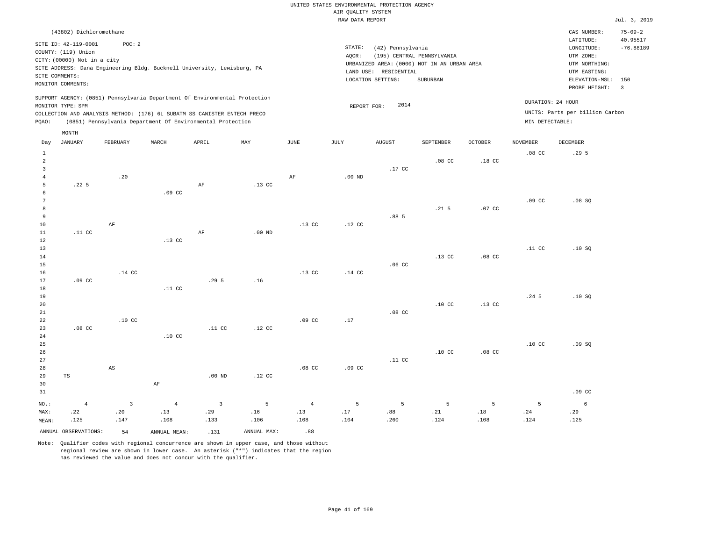|                                  |                             |                        |                  |                                                                                                                                                        |                   |                  | AIR QUALITY SYSTEM | UNITED STATES ENVIRONMENTAL PROTECTION AGENCY |                                                                           |                  |                   |                                                      |                |
|----------------------------------|-----------------------------|------------------------|------------------|--------------------------------------------------------------------------------------------------------------------------------------------------------|-------------------|------------------|--------------------|-----------------------------------------------|---------------------------------------------------------------------------|------------------|-------------------|------------------------------------------------------|----------------|
|                                  |                             |                        |                  |                                                                                                                                                        |                   |                  | RAW DATA REPORT    |                                               |                                                                           |                  |                   |                                                      | Jul. 3, 2019   |
|                                  | (43802) Dichloromethane     |                        |                  |                                                                                                                                                        |                   |                  |                    |                                               |                                                                           |                  |                   | CAS NUMBER:                                          | $75 - 09 - 2$  |
|                                  | SITE ID: 42-119-0001        | POC: 2                 |                  |                                                                                                                                                        |                   |                  |                    |                                               |                                                                           |                  |                   | LATITUDE:                                            | 40.95517       |
|                                  | COUNTY: (119) Union         |                        |                  |                                                                                                                                                        |                   |                  | STATE:             | (42) Pennsylvania                             |                                                                           |                  |                   | LONGITUDE:                                           | $-76.88189$    |
|                                  | CITY: (00000) Not in a city |                        |                  |                                                                                                                                                        |                   |                  | AQCR:              |                                               | (195) CENTRAL PENNSYLVANIA<br>URBANIZED AREA: (0000) NOT IN AN URBAN AREA |                  |                   | UTM ZONE:<br>UTM NORTHING:                           |                |
|                                  |                             |                        |                  | SITE ADDRESS: Dana Engineering Bldg. Bucknell University, Lewisburg, PA                                                                                |                   |                  |                    | LAND USE: RESIDENTIAL                         |                                                                           |                  |                   | UTM EASTING:                                         |                |
| SITE COMMENTS:                   |                             |                        |                  |                                                                                                                                                        |                   |                  |                    | LOCATION SETTING:                             | SUBURBAN                                                                  |                  |                   | ELEVATION-MSL:                                       | 150            |
|                                  | MONITOR COMMENTS:           |                        |                  |                                                                                                                                                        |                   |                  |                    |                                               |                                                                           |                  |                   | PROBE HEIGHT:                                        | $\overline{3}$ |
|                                  | MONITOR TYPE: SPM           |                        |                  | SUPPORT AGENCY: (0851) Pennsylvania Department Of Environmental Protection<br>COLLECTION AND ANALYSIS METHOD: (176) 6L SUBATM SS CANISTER ENTECH PRECO |                   |                  | REPORT FOR:        | 2014                                          |                                                                           |                  |                   | DURATION: 24 HOUR<br>UNITS: Parts per billion Carbon |                |
| PQAO:                            |                             |                        |                  | (0851) Pennsylvania Department Of Environmental Protection                                                                                             |                   |                  |                    |                                               |                                                                           |                  | MIN DETECTABLE:   |                                                      |                |
|                                  | MONTH                       |                        |                  |                                                                                                                                                        |                   |                  |                    |                                               |                                                                           |                  |                   |                                                      |                |
| Day                              | <b>JANUARY</b>              | FEBRUARY               | MARCH            | APRIL                                                                                                                                                  | MAY               | JUNE             | JULY               | <b>AUGUST</b>                                 | SEPTEMBER                                                                 | <b>OCTOBER</b>   | <b>NOVEMBER</b>   | DECEMBER                                             |                |
| $\mathbf{1}$                     |                             |                        |                  |                                                                                                                                                        |                   |                  |                    |                                               |                                                                           |                  | .08 <sub>cc</sub> | .295                                                 |                |
| $\overline{a}$                   |                             |                        |                  |                                                                                                                                                        |                   |                  |                    |                                               | $.08$ CC                                                                  | $.18$ CC         |                   |                                                      |                |
| $\overline{3}$<br>$\overline{4}$ |                             | .20                    |                  |                                                                                                                                                        |                   | $\rm AF$         | $.00$ ND           | .17 <sub>c</sub>                              |                                                                           |                  |                   |                                                      |                |
| 5                                | .22 <sub>5</sub>            |                        |                  | AF                                                                                                                                                     | .13 <sub>c</sub>  |                  |                    |                                               |                                                                           |                  |                   |                                                      |                |
| 6                                |                             |                        | .09 <sub>c</sub> |                                                                                                                                                        |                   |                  |                    |                                               |                                                                           |                  |                   |                                                      |                |
| $7\phantom{.0}$                  |                             |                        |                  |                                                                                                                                                        |                   |                  |                    |                                               |                                                                           |                  | .09 <sub>c</sub>  | .08SQ                                                |                |
| 8                                |                             |                        |                  |                                                                                                                                                        |                   |                  |                    |                                               | .21 <sub>5</sub>                                                          | .07 <sub>c</sub> |                   |                                                      |                |
| 9                                |                             |                        |                  |                                                                                                                                                        |                   |                  |                    | .885                                          |                                                                           |                  |                   |                                                      |                |
| $10$                             |                             | AF                     |                  |                                                                                                                                                        |                   | $.13$ CC         | $.12$ CC           |                                               |                                                                           |                  |                   |                                                      |                |
| 11                               | .11 <sub>c</sub>            |                        |                  | AF                                                                                                                                                     | .00 <sub>ND</sub> |                  |                    |                                               |                                                                           |                  |                   |                                                      |                |
| 12                               |                             |                        | .13 CC           |                                                                                                                                                        |                   |                  |                    |                                               |                                                                           |                  |                   |                                                      |                |
| 13                               |                             |                        |                  |                                                                                                                                                        |                   |                  |                    |                                               |                                                                           |                  | .11 <sub>c</sub>  | .10S                                                 |                |
| 14<br>15                         |                             |                        |                  |                                                                                                                                                        |                   |                  |                    | .06 <sub>cc</sub>                             | .13 <sub>c</sub>                                                          | .08 <sub>C</sub> |                   |                                                      |                |
| 16                               |                             | $.14$ CC               |                  |                                                                                                                                                        |                   | .13 <sub>c</sub> | $.14$ CC           |                                               |                                                                           |                  |                   |                                                      |                |
| 17                               | .09 <sub>c</sub>            |                        |                  | .295                                                                                                                                                   | .16               |                  |                    |                                               |                                                                           |                  |                   |                                                      |                |
| $1\,8$                           |                             |                        | .11 <sub>c</sub> |                                                                                                                                                        |                   |                  |                    |                                               |                                                                           |                  |                   |                                                      |                |
| 19                               |                             |                        |                  |                                                                                                                                                        |                   |                  |                    |                                               |                                                                           |                  | .24 <sub>5</sub>  | .10S                                                 |                |
| 20                               |                             |                        |                  |                                                                                                                                                        |                   |                  |                    |                                               | .10 <sub>C</sub>                                                          | $.13$ CC         |                   |                                                      |                |
| 21                               |                             |                        |                  |                                                                                                                                                        |                   |                  |                    | .08 <sub>c</sub>                              |                                                                           |                  |                   |                                                      |                |
| 22                               |                             | .10 <sub>C</sub>       |                  |                                                                                                                                                        |                   | .09 <sub>c</sub> | .17                |                                               |                                                                           |                  |                   |                                                      |                |
| 23                               | .08 <sub>c</sub>            |                        |                  | .11 CC                                                                                                                                                 | .12 <sub>c</sub>  |                  |                    |                                               |                                                                           |                  |                   |                                                      |                |
| 24                               |                             |                        | .10 <sub>C</sub> |                                                                                                                                                        |                   |                  |                    |                                               |                                                                           |                  |                   |                                                      |                |
| 25<br>26                         |                             |                        |                  |                                                                                                                                                        |                   |                  |                    |                                               | .10 <sub>C</sub>                                                          | .08 <sub>C</sub> | .10 <sub>C</sub>  | .09SQ                                                |                |
| 27                               |                             |                        |                  |                                                                                                                                                        |                   |                  |                    | .11 <sub>c</sub>                              |                                                                           |                  |                   |                                                      |                |
| 28                               |                             | $\mathbb{A}\mathbb{S}$ |                  |                                                                                                                                                        |                   | $.08$ CC         | .09 <sub>c</sub>   |                                               |                                                                           |                  |                   |                                                      |                |
| 29                               | TS                          |                        |                  | $.00$ ND                                                                                                                                               | .12 <sub>c</sub>  |                  |                    |                                               |                                                                           |                  |                   |                                                      |                |
| 30                               |                             |                        | $\rm{AF}$        |                                                                                                                                                        |                   |                  |                    |                                               |                                                                           |                  |                   |                                                      |                |
| 31                               |                             |                        |                  |                                                                                                                                                        |                   |                  |                    |                                               |                                                                           |                  |                   | .09 <sub>c</sub>                                     |                |
| NO.:                             | $\sqrt{4}$                  | $\overline{3}$         | $\overline{4}$   | $\overline{3}$                                                                                                                                         | 5                 | $\overline{4}$   | 5                  | $5\phantom{.0}$                               | 5                                                                         | 5                | $\overline{5}$    | $\epsilon$                                           |                |
| MAX:                             | .22                         | .20                    | .13              | .29                                                                                                                                                    | .16               | .13              | .17                | .88                                           | .21                                                                       | .18              | .24               | .29                                                  |                |
| MEAN:                            | .125                        | .147                   | .108             | .133                                                                                                                                                   | .106              | .108             | .104               | .260                                          | .124                                                                      | .108             | .124              | .125                                                 |                |
|                                  | ANNUAL OBSERVATIONS:        | 54                     | ANNUAL, MEAN:    | .131                                                                                                                                                   | ANNUAL MAX:       | .88              |                    |                                               |                                                                           |                  |                   |                                                      |                |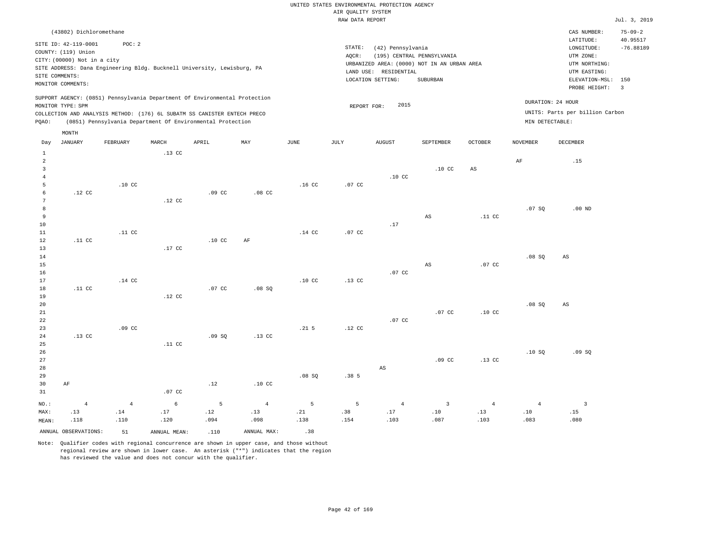|                |                             |                  |                  |                                                                            |                  |                  | utter Kountry ninten. |                       |                                             |                  |                 |                                 |                           |
|----------------|-----------------------------|------------------|------------------|----------------------------------------------------------------------------|------------------|------------------|-----------------------|-----------------------|---------------------------------------------|------------------|-----------------|---------------------------------|---------------------------|
|                |                             |                  |                  |                                                                            |                  |                  | RAW DATA REPORT       |                       |                                             |                  |                 |                                 | Jul. 3, 2019              |
|                | (43802) Dichloromethane     |                  |                  |                                                                            |                  |                  |                       |                       |                                             |                  |                 | CAS NUMBER:<br>LATITUDE:        | $75 - 09 - 2$<br>40.95517 |
|                | SITE ID: 42-119-0001        | POC: 2           |                  |                                                                            |                  |                  | STATE:                | (42) Pennsylvania     |                                             |                  |                 | LONGITUDE:                      | $-76.88189$               |
|                | COUNTY: (119) Union         |                  |                  |                                                                            |                  |                  | AQCR:                 |                       | (195) CENTRAL PENNSYLVANIA                  |                  |                 | UTM ZONE:                       |                           |
|                | CITY: (00000) Not in a city |                  |                  |                                                                            |                  |                  |                       |                       | URBANIZED AREA: (0000) NOT IN AN URBAN AREA |                  |                 | UTM NORTHING:                   |                           |
|                |                             |                  |                  | SITE ADDRESS: Dana Engineering Bldg. Bucknell University, Lewisburg, PA    |                  |                  |                       | LAND USE: RESIDENTIAL |                                             |                  |                 | UTM EASTING:                    |                           |
|                | SITE COMMENTS:              |                  |                  |                                                                            |                  |                  |                       | LOCATION SETTING:     | SUBURBAN                                    |                  |                 | ELEVATION-MSL:                  | 150                       |
|                | MONITOR COMMENTS:           |                  |                  |                                                                            |                  |                  |                       |                       |                                             |                  |                 | PROBE HEIGHT:                   | $\overline{\phantom{a}}$  |
|                | MONITOR TYPE: SPM           |                  |                  | SUPPORT AGENCY: (0851) Pennsylvania Department Of Environmental Protection |                  |                  | REPORT FOR:           | 2015                  |                                             |                  |                 | DURATION: 24 HOUR               |                           |
|                |                             |                  |                  | COLLECTION AND ANALYSIS METHOD: (176) 6L SUBATM SS CANISTER ENTECH PRECO   |                  |                  |                       |                       |                                             |                  |                 | UNITS: Parts per billion Carbon |                           |
| PQAO:          |                             |                  |                  | (0851) Pennsylvania Department Of Environmental Protection                 |                  |                  |                       |                       |                                             |                  | MIN DETECTABLE: |                                 |                           |
|                | MONTH                       |                  |                  |                                                                            |                  |                  |                       |                       |                                             |                  |                 |                                 |                           |
| Day            | JANUARY                     | FEBRUARY         | MARCH            | APRIL                                                                      | MAY              | JUNE             | JULY                  | AUGUST                | SEPTEMBER                                   | OCTOBER          | NOVEMBER        | DECEMBER                        |                           |
| $\mathbf{1}$   |                             |                  | .13 <sub>c</sub> |                                                                            |                  |                  |                       |                       |                                             |                  |                 |                                 |                           |
| 2              |                             |                  |                  |                                                                            |                  |                  |                       |                       |                                             |                  | AF              | .15                             |                           |
| 3              |                             |                  |                  |                                                                            |                  |                  |                       |                       | .10 <sub>c</sub>                            | AS               |                 |                                 |                           |
| $\overline{4}$ |                             |                  |                  |                                                                            |                  |                  |                       | .10 <sub>C</sub>      |                                             |                  |                 |                                 |                           |
| 5              |                             | .10 <sub>C</sub> |                  |                                                                            |                  | .16 <sub>c</sub> | .07 <sub>c</sub>      |                       |                                             |                  |                 |                                 |                           |
| -6             | .12 <sub>c</sub>            |                  |                  | .09 <sub>c</sub>                                                           | .08 <sub>C</sub> |                  |                       |                       |                                             |                  |                 |                                 |                           |
|                |                             |                  | .12 <sub>c</sub> |                                                                            |                  |                  |                       |                       |                                             |                  |                 |                                 |                           |
| 8              |                             |                  |                  |                                                                            |                  |                  |                       |                       |                                             |                  | .07 SQ          | $.00$ ND                        |                           |
| 9              |                             |                  |                  |                                                                            |                  |                  |                       |                       | AS                                          | .11 <sub>c</sub> |                 |                                 |                           |
| 10             |                             |                  |                  |                                                                            |                  |                  |                       | .17                   |                                             |                  |                 |                                 |                           |
| 11             |                             | .11 <sub>c</sub> |                  |                                                                            |                  | $.14$ CC         | .07 CC                |                       |                                             |                  |                 |                                 |                           |
| 12             | .11 <sub>c</sub>            |                  |                  | .10 <sub>c</sub>                                                           | AF               |                  |                       |                       |                                             |                  |                 |                                 |                           |
| 13             |                             |                  | .17 CC           |                                                                            |                  |                  |                       |                       |                                             |                  |                 |                                 |                           |
| 14             |                             |                  |                  |                                                                            |                  |                  |                       |                       |                                             |                  | .08SQ           | $\mathbb{A}\mathbb{S}$          |                           |
| 15             |                             |                  |                  |                                                                            |                  |                  |                       |                       | AS                                          | .07 <sub>c</sub> |                 |                                 |                           |
| 16             |                             |                  |                  |                                                                            |                  |                  |                       | .07 <sub>c</sub>      |                                             |                  |                 |                                 |                           |
| 17             |                             | .14 <sub>c</sub> |                  |                                                                            |                  | .10 <sub>C</sub> | .13 <sub>c</sub>      |                       |                                             |                  |                 |                                 |                           |
| 18             | .11 <sub>c</sub>            |                  |                  | .07 <sub>c</sub>                                                           | .08 SQ           |                  |                       |                       |                                             |                  |                 |                                 |                           |
| 19             |                             |                  | .12 <sub>c</sub> |                                                                            |                  |                  |                       |                       |                                             |                  |                 |                                 |                           |
| 20             |                             |                  |                  |                                                                            |                  |                  |                       |                       |                                             |                  | .08SQ           | $\mathbb{A}\mathbb{S}$          |                           |
| 21             |                             |                  |                  |                                                                            |                  |                  |                       |                       | .07 <sub>c</sub>                            | .10 <sub>c</sub> |                 |                                 |                           |
| 22             |                             |                  |                  |                                                                            |                  |                  |                       | .07 <sub>c</sub>      |                                             |                  |                 |                                 |                           |
| 23             |                             | .09 <sub>c</sub> |                  |                                                                            |                  | .21 <sub>5</sub> | .12 <sub>c</sub>      |                       |                                             |                  |                 |                                 |                           |
| 24             | .13 <sub>c</sub>            |                  |                  | .09S                                                                       | .13 <sub>c</sub> |                  |                       |                       |                                             |                  |                 |                                 |                           |

26 27 28 29 30 31 AF NO.: 4 .07 CC .12 .10 CC .08 SQ .38 5 AS .09 CC .13 CC .10 SQ .09 SQ 4 6 5 4 5 5 4 3 4 4 3

MAX: MEAN: .13 .118 .14 .110 .17 .120 .12 .094 .13 .098 .21 .138 .38 .154 .17 .103 .10 .087 .13 .103 .10 .083 .15 .080 ANNUAL OBSERVATIONS:  $51$  ANNUAL MEAN: .110 ANNUAL MAX: .38

Note: Qualifier codes with regional concurrence are shown in upper case, and those without regional review are shown in lower case. An asterisk ("\*") indicates that the region has reviewed the value and does not concur with the qualifier.

.11 CC

25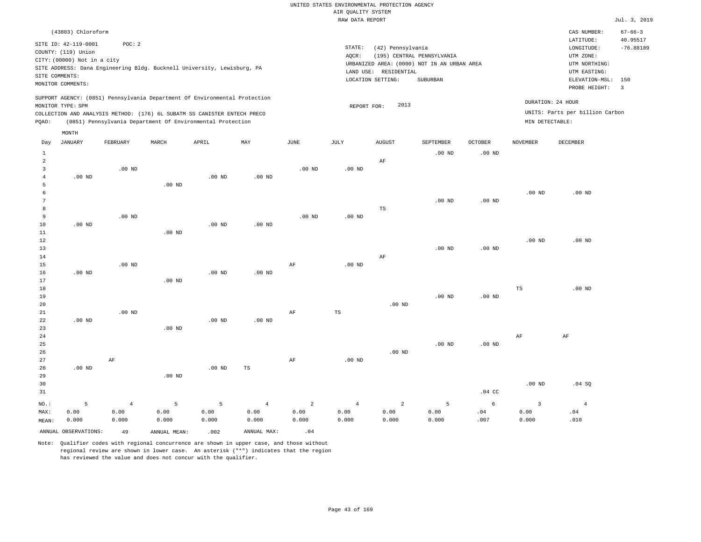|       | (43803) Chloroform                                                                                                                                                                           |          |       |                                                            |     |      |                 |                                                                                                                   |                                        |                |          | CAS NUMBER:                                                                                              | $67 - 66 - 3$                       |
|-------|----------------------------------------------------------------------------------------------------------------------------------------------------------------------------------------------|----------|-------|------------------------------------------------------------|-----|------|-----------------|-------------------------------------------------------------------------------------------------------------------|----------------------------------------|----------------|----------|----------------------------------------------------------------------------------------------------------|-------------------------------------|
|       | SITE ID: 42-119-0001<br>COUNTY: (119) Union<br>CITY: (00000) Not in a city<br>SITE ADDRESS: Dana Engineering Bldg. Bucknell University, Lewisburg, PA<br>SITE COMMENTS:<br>MONITOR COMMENTS: | POC: 2   |       |                                                            |     |      | STATE:<br>AQCR: | (42) Pennsylvania<br>URBANIZED AREA: (0000) NOT IN AN URBAN AREA<br>LAND USE:<br>RESIDENTIAL<br>LOCATION SETTING: | (195) CENTRAL PENNSYLVANIA<br>SUBURBAN |                |          | LATITUDE:<br>LONGITUDE:<br>UTM ZONE:<br>UTM NORTHING:<br>UTM EASTING:<br>ELEVATION-MSL:<br>PROBE HEIGHT: | 40.95517<br>$-76.88189$<br>150<br>3 |
| POAO: | SUPPORT AGENCY: (0851) Pennsylvania Department Of Environmental Protection<br>MONITOR TYPE: SPM<br>COLLECTION AND ANALYSIS METHOD: (176) 6L SUBATM SS CANISTER ENTECH PRECO                  |          |       | (0851) Pennsylvania Department Of Environmental Protection |     |      |                 | 2013<br>REPORT FOR:                                                                                               |                                        |                |          | DURATION: 24 HOUR<br>UNITS: Parts per billion Carbon<br>MIN DETECTABLE:                                  |                                     |
| Day   | MONTH<br>JANUARY                                                                                                                                                                             | FEBRUARY | MARCH | APRIL                                                      | MAY | JUNE | JULY            | <b>AUGUST</b>                                                                                                     | SEPTEMBER                              | <b>OCTOBER</b> | NOVEMBER | DECEMBER                                                                                                 |                                     |
|       |                                                                                                                                                                                              |          |       |                                                            |     |      |                 |                                                                                                                   | $.00$ ND                               | $.00$ ND       |          |                                                                                                          |                                     |
| 2     |                                                                                                                                                                                              |          |       |                                                            |     |      |                 | AF                                                                                                                |                                        |                |          |                                                                                                          |                                     |

| $\overline{3}$  |          | $.00$ ND |          |          |          | .00 <sub>ND</sub> | .00 <sub>ND</sub> |          |          |          |          |          |
|-----------------|----------|----------|----------|----------|----------|-------------------|-------------------|----------|----------|----------|----------|----------|
| $\overline{4}$  | $.00$ ND |          |          | $.00$ ND | $.00$ ND |                   |                   |          |          |          |          |          |
| 5               |          |          | $.00$ ND |          |          |                   |                   |          |          |          |          |          |
| 6               |          |          |          |          |          |                   |                   |          |          |          | $.00$ ND | $.00$ ND |
| $7\phantom{.0}$ |          |          |          |          |          |                   |                   |          | .00 $ND$ | $.00$ ND |          |          |
| 8               |          |          |          |          |          |                   |                   | TS       |          |          |          |          |
| 9               |          | $.00$ ND |          |          |          | .00 $ND$          | .00 $ND$          |          |          |          |          |          |
| 10              | $.00$ ND |          |          | $.00$ ND | $.00$ ND |                   |                   |          |          |          |          |          |
| $11\,$          |          |          | $.00$ ND |          |          |                   |                   |          |          |          |          |          |
| $12\,$          |          |          |          |          |          |                   |                   |          |          |          | $.00$ ND | $.00$ ND |
| 13              |          |          |          |          |          |                   |                   |          | $.00$ ND | $.00$ ND |          |          |
| 14              |          |          |          |          |          |                   |                   | AF       |          |          |          |          |
| 15              |          | $.00$ ND |          |          |          | AF                | .00 $ND$          |          |          |          |          |          |
| 16              | $.00$ ND |          |          | $.00$ ND | $.00$ ND |                   |                   |          |          |          |          |          |
| 17              |          |          | $.00$ ND |          |          |                   |                   |          |          |          |          |          |
| 18              |          |          |          |          |          |                   |                   |          |          |          | TS       | $.00$ ND |
| 19              |          |          |          |          |          |                   |                   |          | $.00$ ND | $.00$ ND |          |          |
| 20              |          |          |          |          |          |                   |                   | $.00$ ND |          |          |          |          |
| 21              |          | $.00$ ND |          |          |          | $\rm{AF}$         | $_{\rm TS}$       |          |          |          |          |          |
| 22              | $.00$ ND |          |          | $.00$ ND | $.00$ ND |                   |                   |          |          |          |          |          |
| 23              |          |          | $.00$ ND |          |          |                   |                   |          |          |          |          |          |

| 24 |          |    |          |          |    |    |          |          |          |                  | AF       | AF     |
|----|----------|----|----------|----------|----|----|----------|----------|----------|------------------|----------|--------|
| 25 |          |    |          |          |    |    |          |          | $.00$ ND | $.00$ ND         |          |        |
| 26 |          |    |          |          |    |    |          | $.00$ ND |          |                  |          |        |
| 27 |          | AF |          |          |    | AF | $.00$ ND |          |          |                  |          |        |
| 28 | $.00$ ND |    |          | $.00$ ND | TS |    |          |          |          |                  |          |        |
| 29 |          |    | $.00$ ND |          |    |    |          |          |          |                  |          |        |
| 30 |          |    |          |          |    |    |          |          |          |                  | $.00$ ND | .04 SQ |
| 31 |          |    |          |          |    |    |          |          |          | $.04 \text{ CC}$ |          |        |

| NO.: 5 4 5 5 4 2 4 2 5 6 3 4                                                                                           |  |
|------------------------------------------------------------------------------------------------------------------------|--|
|                                                                                                                        |  |
| MEAN: 0.000<br>$0.000$ $0.000$ $0.000$ $0.000$ $0.000$ $0.000$ $0.000$ $0.000$ $0.000$ $0.000$ $0.000$ $0.000$ $0.000$ |  |

ANNUAL OBSERVATIONS:  $49$  ANNUAL MEAN: .002 ANNUAL MAX: .04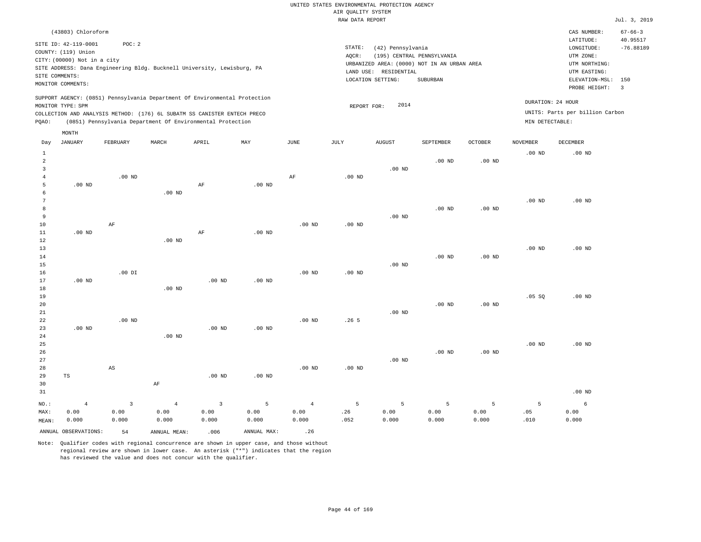|                                            |                                                                                              |                                       |                                                                                                                                                                                                                      |                                                  |                                                |                                        | AIR QUALITY SYSTEM | UNITED STATES ENVIRONMENTAL PROTECTION AGENCY |                                                                           |                    |                   |                                                          |                           |
|--------------------------------------------|----------------------------------------------------------------------------------------------|---------------------------------------|----------------------------------------------------------------------------------------------------------------------------------------------------------------------------------------------------------------------|--------------------------------------------------|------------------------------------------------|----------------------------------------|--------------------|-----------------------------------------------|---------------------------------------------------------------------------|--------------------|-------------------|----------------------------------------------------------|---------------------------|
|                                            |                                                                                              |                                       |                                                                                                                                                                                                                      |                                                  |                                                |                                        | RAW DATA REPORT    |                                               |                                                                           |                    |                   |                                                          | Jul. 3, 2019              |
|                                            | (43803) Chloroform                                                                           |                                       |                                                                                                                                                                                                                      |                                                  |                                                |                                        |                    |                                               |                                                                           |                    |                   | CAS NUMBER:<br>LATITUDE:                                 | $67 - 66 - 3$<br>40.95517 |
|                                            | SITE ID: 42-119-0001<br>COUNTY: (119) Union<br>CITY: (00000) Not in a city<br>SITE COMMENTS: | POC: 2                                | SITE ADDRESS: Dana Engineering Bldg. Bucknell University, Lewisburg, PA                                                                                                                                              |                                                  |                                                |                                        | STATE:<br>AQCR:    | (42) Pennsylvania<br>LAND USE: RESIDENTIAL    | (195) CENTRAL PENNSYLVANIA<br>URBANIZED AREA: (0000) NOT IN AN URBAN AREA |                    |                   | LONGITUDE:<br>UTM ZONE:<br>UTM NORTHING:<br>UTM EASTING: | $-76.88189$               |
|                                            | MONITOR COMMENTS:                                                                            |                                       |                                                                                                                                                                                                                      |                                                  |                                                |                                        |                    | LOCATION SETTING:                             | SUBURBAN                                                                  |                    |                   | ELEVATION-MSL:<br>PROBE HEIGHT:                          | 150<br>$\overline{3}$     |
| PQAO:                                      | MONITOR TYPE: SPM                                                                            |                                       | SUPPORT AGENCY: (0851) Pennsylvania Department Of Environmental Protection<br>COLLECTION AND ANALYSIS METHOD: (176) 6L SUBATM SS CANISTER ENTECH PRECO<br>(0851) Pennsylvania Department Of Environmental Protection |                                                  |                                                |                                        | REPORT FOR:        | 2014                                          |                                                                           |                    | MIN DETECTABLE:   | DURATION: 24 HOUR<br>UNITS: Parts per billion Carbon     |                           |
| Day                                        | MONTH<br><b>JANUARY</b>                                                                      | FEBRUARY                              | MARCH                                                                                                                                                                                                                | APRIL                                            | MAY                                            | <b>JUNE</b>                            | <b>JULY</b>        | <b>AUGUST</b>                                 | SEPTEMBER                                                                 | <b>OCTOBER</b>     | <b>NOVEMBER</b>   | <b>DECEMBER</b>                                          |                           |
| $\mathbf 1$<br>2<br>$\overline{3}$         |                                                                                              |                                       |                                                                                                                                                                                                                      |                                                  |                                                |                                        |                    | $.00$ ND                                      | $.00$ ND                                                                  | $.00$ ND           | .00 <sub>ND</sub> | $.00$ ND                                                 |                           |
| $\overline{4}$<br>5<br>6<br>$\overline{7}$ | .00 <sub>ND</sub>                                                                            | $.00$ ND                              | $.00$ ND                                                                                                                                                                                                             | $\rm AF$                                         | .00 <sub>ND</sub>                              | AF                                     | .00 <sub>ND</sub>  |                                               |                                                                           |                    | .00 <sub>ND</sub> | $.00$ ND                                                 |                           |
| 8<br>9<br>$10$<br>$11\,$                   | $.00$ ND                                                                                     | $\rm AF$                              |                                                                                                                                                                                                                      | AF                                               | $.00$ ND                                       | .00 <sub>ND</sub>                      | .00 <sub>ND</sub>  | $.00$ ND                                      | .00 <sub>ND</sub>                                                         | $.00$ ND           |                   |                                                          |                           |
| 12<br>13<br>14<br>15                       |                                                                                              |                                       | .00 <sub>ND</sub>                                                                                                                                                                                                    |                                                  |                                                |                                        |                    | $.00$ ND                                      | .00 <sub>ND</sub>                                                         | .00 <sub>ND</sub>  | .00 <sub>ND</sub> | $.00$ ND                                                 |                           |
| 16<br>17<br>$1\,8$<br>19                   | $.00$ ND                                                                                     | $.00$ DI                              | $.00$ ND                                                                                                                                                                                                             | $.00$ ND                                         | $.00$ ND                                       | $.00$ ND                               | $.00$ ND           |                                               |                                                                           |                    | .05SQ             | .00 <sub>ND</sub>                                        |                           |
| 20<br>21<br>$\bf{22}$<br>23                | $.00$ ND                                                                                     | $.00$ ND                              |                                                                                                                                                                                                                      | $.00$ ND                                         | .00 <sub>ND</sub>                              | $.00$ ND                               | .265               | $.00$ ND                                      | $.00$ ND                                                                  | $.00$ ND           |                   |                                                          |                           |
| 24<br>25<br>26<br>27                       |                                                                                              |                                       | $.00$ ND                                                                                                                                                                                                             |                                                  |                                                |                                        |                    | $.00$ ND                                      | $.00$ ND                                                                  | .00 <sub>ND</sub>  | .00 <sub>ND</sub> | $.00$ ND                                                 |                           |
| 28<br>29<br>30<br>31                       | TS                                                                                           | AS                                    | AF                                                                                                                                                                                                                   | .00 <sub>ND</sub>                                | $.00$ ND                                       | .00 <sub>ND</sub>                      | $.00$ ND           |                                               |                                                                           |                    |                   | $.00$ ND                                                 |                           |
| $NO.$ :<br>MAX:<br>MEAN:                   | $\overline{4}$<br>0.00<br>0.000<br>ANNUAL OBSERVATIONS:                                      | $\overline{3}$<br>0.00<br>0.000<br>54 | $\sqrt{4}$<br>0.00<br>0.000<br>ANNUAL, MEAN:                                                                                                                                                                         | $\overline{\mathbf{3}}$<br>0.00<br>0.000<br>.006 | $\overline{5}$<br>0.00<br>0.000<br>ANNUAL MAX: | $\overline{4}$<br>0.00<br>0.000<br>.26 | 5<br>.26<br>.052   | 5<br>0.00<br>0.000                            | 5<br>0.00<br>0.000                                                        | 5<br>0.00<br>0.000 | 5<br>.05<br>.010  | $\epsilon$<br>0.00<br>0.000                              |                           |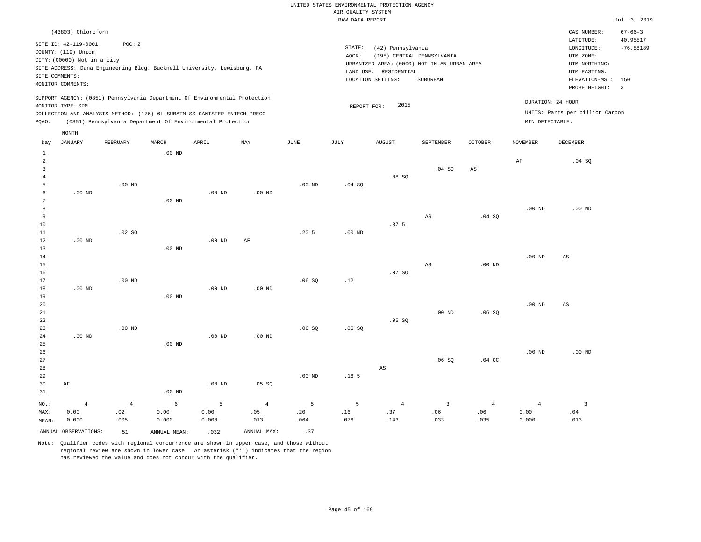|                |                             |          |                   |                                                                            |          |                   |                    | UNITED STATES ENVIRONMENTAL PROTECTION AGENCY |                            |                   |                   |                                 |                         |
|----------------|-----------------------------|----------|-------------------|----------------------------------------------------------------------------|----------|-------------------|--------------------|-----------------------------------------------|----------------------------|-------------------|-------------------|---------------------------------|-------------------------|
|                |                             |          |                   |                                                                            |          |                   | AIR QUALITY SYSTEM |                                               |                            |                   |                   |                                 |                         |
|                |                             |          |                   |                                                                            |          |                   | RAW DATA REPORT    |                                               |                            |                   |                   |                                 | Jul. 3, 2019            |
|                | (43803) Chloroform          |          |                   |                                                                            |          |                   |                    |                                               |                            |                   |                   | CAS NUMBER:                     | $67 - 66 - 3$           |
|                | SITE ID: 42-119-0001        | POC: 2   |                   |                                                                            |          |                   |                    |                                               |                            |                   |                   | LATITUDE:                       | 40.95517                |
|                | COUNTY: (119) Union         |          |                   |                                                                            |          |                   | STATE:             | (42) Pennsylvania                             |                            |                   |                   | LONGITUDE:                      | $-76.88189$             |
|                | CITY: (00000) Not in a city |          |                   |                                                                            |          |                   | AOCR:              |                                               | (195) CENTRAL PENNSYLVANIA |                   |                   | UTM ZONE:                       |                         |
|                |                             |          |                   | SITE ADDRESS: Dana Engineering Bldg. Bucknell University, Lewisburg, PA    |          |                   |                    | URBANIZED AREA: (0000) NOT IN AN URBAN AREA   |                            |                   |                   | UTM NORTHING:                   |                         |
|                | SITE COMMENTS:              |          |                   |                                                                            |          |                   |                    | LAND USE: RESIDENTIAL                         |                            |                   |                   | UTM EASTING:                    |                         |
|                | MONITOR COMMENTS:           |          |                   |                                                                            |          |                   |                    | LOCATION SETTING:                             | SUBURBAN                   |                   |                   | ELEVATION-MSL:                  | 150                     |
|                |                             |          |                   |                                                                            |          |                   |                    |                                               |                            |                   |                   | PROBE HEIGHT:                   | $\overline{\mathbf{3}}$ |
|                |                             |          |                   | SUPPORT AGENCY: (0851) Pennsylvania Department Of Environmental Protection |          |                   |                    |                                               |                            |                   |                   |                                 |                         |
|                | MONITOR TYPE: SPM           |          |                   |                                                                            |          |                   |                    | 2015<br>REPORT FOR:                           |                            |                   |                   | DURATION: 24 HOUR               |                         |
|                |                             |          |                   | COLLECTION AND ANALYSIS METHOD: (176) 6L SUBATM SS CANISTER ENTECH PRECO   |          |                   |                    |                                               |                            |                   |                   | UNITS: Parts per billion Carbon |                         |
| PQAO:          |                             |          |                   | (0851) Pennsylvania Department Of Environmental Protection                 |          |                   |                    |                                               |                            |                   |                   | MIN DETECTABLE:                 |                         |
|                | MONTH                       |          |                   |                                                                            |          |                   |                    |                                               |                            |                   |                   |                                 |                         |
|                |                             |          |                   |                                                                            |          |                   |                    |                                               |                            |                   |                   |                                 |                         |
| Day            | JANUARY                     | FEBRUARY | MARCH             | APRIL                                                                      | MAY      | JUNE              | JULY               | <b>AUGUST</b>                                 | SEPTEMBER                  | <b>OCTOBER</b>    | NOVEMBER          | DECEMBER                        |                         |
| 1              |                             |          | $.00$ ND          |                                                                            |          |                   |                    |                                               |                            |                   |                   |                                 |                         |
| $\mathfrak{D}$ |                             |          |                   |                                                                            |          |                   |                    |                                               |                            |                   | AF                | .04 S                           |                         |
| 3              |                             |          |                   |                                                                            |          |                   |                    |                                               | .04 SQ                     | AS                |                   |                                 |                         |
| $\overline{4}$ |                             |          |                   |                                                                            |          |                   |                    | .08S                                          |                            |                   |                   |                                 |                         |
| 5              |                             | $.00$ ND |                   |                                                                            |          | .00 <sub>ND</sub> | .04 SQ             |                                               |                            |                   |                   |                                 |                         |
| -6             | $.00$ ND                    |          |                   | $.00$ ND                                                                   | $.00$ ND |                   |                    |                                               |                            |                   |                   |                                 |                         |
| 7              |                             |          | .00 <sub>ND</sub> |                                                                            |          |                   |                    |                                               |                            |                   |                   |                                 |                         |
| 8              |                             |          |                   |                                                                            |          |                   |                    |                                               |                            |                   | .00 <sub>ND</sub> | $.00$ ND                        |                         |
| 9              |                             |          |                   |                                                                            |          |                   |                    |                                               | AS                         | .04SQ             |                   |                                 |                         |
| 10             |                             |          |                   |                                                                            |          |                   |                    | .37 <sub>5</sub>                              |                            |                   |                   |                                 |                         |
| 11             |                             | .02 SQ   |                   |                                                                            |          | .20 <sub>5</sub>  | .00 <sub>ND</sub>  |                                               |                            |                   |                   |                                 |                         |
| 12             | $.00$ ND                    |          |                   | $.00$ ND                                                                   | AF       |                   |                    |                                               |                            |                   |                   |                                 |                         |
| 13             |                             |          | $.00$ ND          |                                                                            |          |                   |                    |                                               |                            |                   |                   |                                 |                         |
| 14             |                             |          |                   |                                                                            |          |                   |                    |                                               |                            |                   | $.00$ ND          | $\mathbb{A}\mathbb{S}$          |                         |
| 15             |                             |          |                   |                                                                            |          |                   |                    |                                               | AS                         | .00 <sub>ND</sub> |                   |                                 |                         |
| 16             |                             |          |                   |                                                                            |          |                   |                    | .07SQ                                         |                            |                   |                   |                                 |                         |
| 17             |                             | $.00$ ND |                   |                                                                            |          | .06S              | .12                |                                               |                            |                   |                   |                                 |                         |
| 18             | .00 <sub>ND</sub>           |          |                   | $.00$ ND                                                                   | .00 ND   |                   |                    |                                               |                            |                   |                   |                                 |                         |

| 20 |          |          |          |          |          |       |       |        |          |       | .00 <sub>ND</sub> | AS       |
|----|----------|----------|----------|----------|----------|-------|-------|--------|----------|-------|-------------------|----------|
| 21 |          |          |          |          |          |       |       |        | $.00$ ND | .06SQ |                   |          |
| 22 |          |          |          |          |          |       |       | .05 SQ |          |       |                   |          |
| 23 |          | $.00$ ND |          |          |          | .06SQ | .06SQ |        |          |       |                   |          |
| 24 | $.00$ ND |          |          | $.00$ ND | $.00$ ND |       |       |        |          |       |                   |          |
| 25 |          |          | $.00$ ND |          |          |       |       |        |          |       |                   |          |
| 26 |          |          |          |          |          |       |       |        |          |       | $.00$ ND          | $.00$ ND |
| 27 |          |          |          |          |          |       |       |        | na co    | 0100  |                   |          |

| $\sim$ $\prime$ |       |      |          |          |        |          |                  |                | _ ∨ه ان.                | $.04$ CC       |       |                |
|-----------------|-------|------|----------|----------|--------|----------|------------------|----------------|-------------------------|----------------|-------|----------------|
| 28              |       |      |          |          |        |          |                  | AS             |                         |                |       |                |
| 29              |       |      |          |          |        | $.00$ ND | .16 <sub>5</sub> |                |                         |                |       |                |
| 30              | AF    |      |          | $.00$ ND | .05 SQ |          |                  |                |                         |                |       |                |
| 31              |       |      | $.00$ ND |          |        |          |                  |                |                         |                |       |                |
| NO.:            | 4     | -4   | 6        | - 5      | 4      | 5        | 5                | $\overline{4}$ | $\overline{\mathbf{3}}$ | $\overline{4}$ |       | $\overline{3}$ |
| MAX:            | 0.00  | .02  | 0.00     | 0.00     | .05    | .20      | .16              | .37            | .06                     | .06            | 0.00  | .04            |
| MEAN:           | 0.000 | .005 | 0.000    | 0.000    | .013   | .064     | .076             | .143           | .033                    | .035           | 0.000 | .013           |
|                 |       |      |          |          |        |          |                  |                |                         |                |       |                |

ANNUAL OBSERVATIONS:  $51$  ANNUAL MEAN: .032 ANNUAL MAX: .37

.00 ND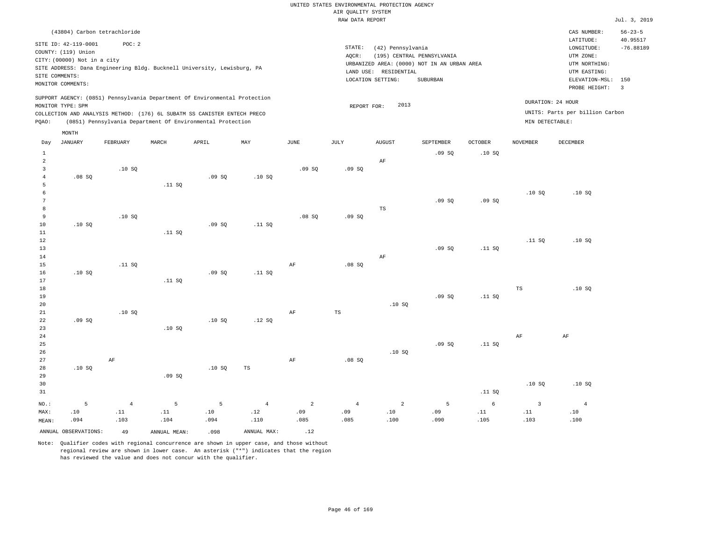|                | (43804) Carbon tetrachloride |            |              |                                                                            |                |                |                |                                             |                            |                |                   | CAS NUMBER:<br>LATITUDE:        | $56 - 23 - 5$<br>40.95517 |
|----------------|------------------------------|------------|--------------|----------------------------------------------------------------------------|----------------|----------------|----------------|---------------------------------------------|----------------------------|----------------|-------------------|---------------------------------|---------------------------|
|                | SITE ID: 42-119-0001         | POC: 2     |              |                                                                            |                |                | STATE:         | (42) Pennsylvania                           |                            |                |                   | LONGITUDE:                      | $-76.88189$               |
|                | COUNTY: (119) Union          |            |              |                                                                            |                |                | AQCR:          |                                             | (195) CENTRAL PENNSYLVANIA |                |                   | UTM ZONE:                       |                           |
|                | CITY: (00000) Not in a city  |            |              |                                                                            |                |                |                | URBANIZED AREA: (0000) NOT IN AN URBAN AREA |                            |                |                   | UTM NORTHING:                   |                           |
|                |                              |            |              | SITE ADDRESS: Dana Engineering Bldg. Bucknell University, Lewisburg, PA    |                |                | LAND USE:      | RESIDENTIAL                                 |                            |                |                   | UTM EASTING:                    |                           |
|                | SITE COMMENTS:               |            |              |                                                                            |                |                |                | LOCATION SETTING:                           | SUBURBAN                   |                |                   | ELEVATION-MSL:                  | 150                       |
|                | MONITOR COMMENTS:            |            |              |                                                                            |                |                |                |                                             |                            |                |                   | PROBE HEIGHT:                   | $\overline{\mathbf{3}}$   |
|                | MONITOR TYPE: SPM            |            |              | SUPPORT AGENCY: (0851) Pennsylvania Department Of Environmental Protection |                |                | REPORT FOR:    | 2013                                        |                            |                | DURATION: 24 HOUR |                                 |                           |
|                |                              |            |              | COLLECTION AND ANALYSIS METHOD: (176) 6L SUBATM SS CANISTER ENTECH PRECO   |                |                |                |                                             |                            |                |                   | UNITS: Parts per billion Carbon |                           |
| PQAO:          |                              |            |              | (0851) Pennsylvania Department Of Environmental Protection                 |                |                |                |                                             |                            |                | MIN DETECTABLE:   |                                 |                           |
|                |                              |            |              |                                                                            |                |                |                |                                             |                            |                |                   |                                 |                           |
|                | MONTH                        |            |              |                                                                            |                |                |                |                                             |                            |                |                   |                                 |                           |
| Day            | <b>JANUARY</b>               | FEBRUARY   | MARCH        | APRIL                                                                      | MAY            | <b>JUNE</b>    | JULY           | <b>AUGUST</b>                               | SEPTEMBER                  | <b>OCTOBER</b> | <b>NOVEMBER</b>   | DECEMBER                        |                           |
| 1              |                              |            |              |                                                                            |                |                |                |                                             | .09S                       | .10S           |                   |                                 |                           |
| $\overline{2}$ |                              |            |              |                                                                            |                |                |                | $\rm AF$                                    |                            |                |                   |                                 |                           |
| 3              |                              | .10SQ      |              |                                                                            |                | .09SQ          | .09SQ          |                                             |                            |                |                   |                                 |                           |
| $\overline{4}$ | .08S                         |            |              | .09S                                                                       | .10S           |                |                |                                             |                            |                |                   |                                 |                           |
| 5              |                              |            | .11 S0       |                                                                            |                |                |                |                                             |                            |                |                   |                                 |                           |
| 6<br>7         |                              |            |              |                                                                            |                |                |                |                                             |                            |                | .10SQ             | .10S                            |                           |
| 8              |                              |            |              |                                                                            |                |                |                |                                             | .09SQ                      | .09SQ          |                   |                                 |                           |
| 9              |                              | .10S       |              |                                                                            |                | .08S           | .09S           | TS                                          |                            |                |                   |                                 |                           |
| 10             | .10S                         |            |              | .09SQ                                                                      |                |                |                |                                             |                            |                |                   |                                 |                           |
| $11\,$         |                              |            | .11 SQ       |                                                                            | .11 SQ         |                |                |                                             |                            |                |                   |                                 |                           |
| 12             |                              |            |              |                                                                            |                |                |                |                                             |                            |                | .11 SQ            | .10SQ                           |                           |
| 13             |                              |            |              |                                                                            |                |                |                |                                             | .09S                       | .11S           |                   |                                 |                           |
| 14             |                              |            |              |                                                                            |                |                |                | AF                                          |                            |                |                   |                                 |                           |
| 15             |                              | .11 SQ     |              |                                                                            |                | $\rm{AF}$      | .08SQ          |                                             |                            |                |                   |                                 |                           |
| 16             | .10S                         |            |              | .09SQ                                                                      | .11 SQ         |                |                |                                             |                            |                |                   |                                 |                           |
| 17             |                              |            | .11 SQ       |                                                                            |                |                |                |                                             |                            |                |                   |                                 |                           |
| $1\,8$         |                              |            |              |                                                                            |                |                |                |                                             |                            |                | TS                | .10SQ                           |                           |
| 19             |                              |            |              |                                                                            |                |                |                |                                             | .09SQ                      | .11 SQ         |                   |                                 |                           |
| 20             |                              |            |              |                                                                            |                |                |                | .10SQ                                       |                            |                |                   |                                 |                           |
| 21             |                              | .10S       |              |                                                                            |                | AF             | $_{\rm TS}$    |                                             |                            |                |                   |                                 |                           |
| 22             | .09SQ                        |            |              | .10S                                                                       | .12S           |                |                |                                             |                            |                |                   |                                 |                           |
| 23             |                              |            | .10SQ        |                                                                            |                |                |                |                                             |                            |                |                   |                                 |                           |
| 24             |                              |            |              |                                                                            |                |                |                |                                             |                            |                | AF                | $\rm AF$                        |                           |
| 25             |                              |            |              |                                                                            |                |                |                |                                             | .09S                       | .11 S0         |                   |                                 |                           |
| 26             |                              |            |              |                                                                            |                |                |                | .10S                                        |                            |                |                   |                                 |                           |
| 27             |                              | AF         |              |                                                                            |                | AF             | .08SQ          |                                             |                            |                |                   |                                 |                           |
| 28             | .10S                         |            |              | .10S                                                                       | TS             |                |                |                                             |                            |                |                   |                                 |                           |
| 29             |                              |            | .09SQ        |                                                                            |                |                |                |                                             |                            |                |                   |                                 |                           |
| 30             |                              |            |              |                                                                            |                |                |                |                                             |                            |                | .10SQ             | .10S                            |                           |
| 31             |                              |            |              |                                                                            |                |                |                |                                             |                            | .11 SQ         |                   |                                 |                           |
| NO.:           | 5                            | $\sqrt{4}$ | 5            | 5                                                                          | $\overline{4}$ | $\overline{a}$ | $\overline{4}$ | $\overline{a}$                              | 5                          | 6              | $\overline{3}$    | $\overline{4}$                  |                           |
| MAX:           | .10                          | .11        | .11          | .10                                                                        | .12            | .09            | .09            | $.10$                                       | .09                        | .11            | .11               | .10                             |                           |
| MEAN:          | .094                         | .103       | .104         | .094                                                                       | .110           | .085           | .085           | .100                                        | .090                       | .105           | .103              | .100                            |                           |
|                | ANNUAL OBSERVATIONS:         | 49         | ANNUAL MEAN: | .098                                                                       | ANNUAL MAX:    | .12            |                |                                             |                            |                |                   |                                 |                           |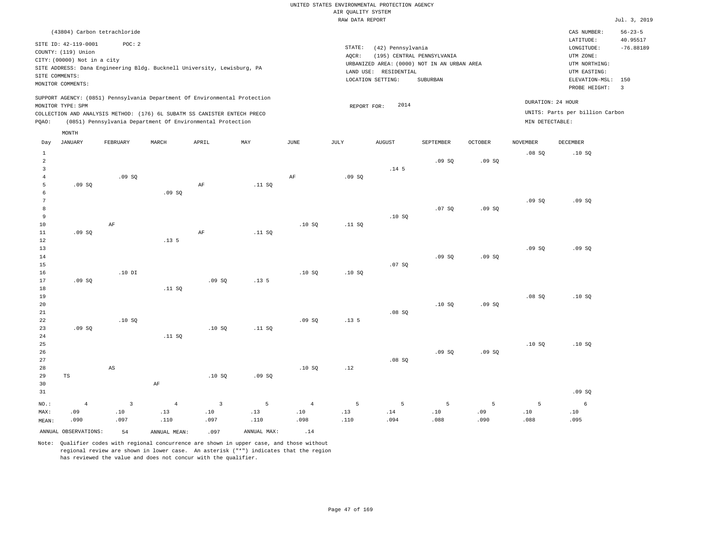|                |                                                      |                                  |                                                                            |                                |                  |                       |                                       | UNITED STATES ENVIRONMENTAL PROTECTION AGENCY |                                             |                |                 |                                 |                           |
|----------------|------------------------------------------------------|----------------------------------|----------------------------------------------------------------------------|--------------------------------|------------------|-----------------------|---------------------------------------|-----------------------------------------------|---------------------------------------------|----------------|-----------------|---------------------------------|---------------------------|
|                |                                                      |                                  |                                                                            |                                |                  |                       | AIR QUALITY SYSTEM<br>RAW DATA REPORT |                                               |                                             |                |                 |                                 | Jul. 3, 2019              |
|                |                                                      |                                  |                                                                            |                                |                  |                       |                                       |                                               |                                             |                |                 |                                 |                           |
|                | (43804) Carbon tetrachloride<br>SITE ID: 42-119-0001 | POC: 2                           |                                                                            |                                |                  |                       | STATE:                                |                                               |                                             |                |                 | CAS NUMBER:<br>LATITUDE:        | $56 - 23 - 5$<br>40.95517 |
|                | COUNTY: (119) Union                                  |                                  |                                                                            |                                |                  |                       | AQCR:                                 | (42) Pennsylvania                             | (195) CENTRAL PENNSYLVANIA                  |                |                 | LONGITUDE:<br>UTM ZONE:         | $-76.88189$               |
|                | CITY: (00000) Not in a city                          |                                  |                                                                            |                                |                  |                       |                                       |                                               | URBANIZED AREA: (0000) NOT IN AN URBAN AREA |                |                 | UTM NORTHING:                   |                           |
|                |                                                      |                                  | SITE ADDRESS: Dana Engineering Bldg. Bucknell University, Lewisburg, PA    |                                |                  |                       |                                       | LAND USE: RESIDENTIAL                         |                                             |                |                 | UTM EASTING:                    |                           |
|                | SITE COMMENTS:                                       |                                  |                                                                            |                                |                  |                       |                                       | LOCATION SETTING:                             | SUBURBAN                                    |                |                 | ELEVATION-MSL:                  | 150                       |
|                | MONITOR COMMENTS:                                    |                                  |                                                                            |                                |                  |                       |                                       |                                               |                                             |                |                 | PROBE HEIGHT:                   | $\overline{\mathbf{3}}$   |
|                |                                                      |                                  | SUPPORT AGENCY: (0851) Pennsylvania Department Of Environmental Protection |                                |                  |                       |                                       |                                               |                                             |                |                 | DURATION: 24 HOUR               |                           |
|                | MONITOR TYPE: SPM                                    |                                  |                                                                            |                                |                  |                       | REPORT FOR:                           | 2014                                          |                                             |                |                 |                                 |                           |
|                |                                                      |                                  | COLLECTION AND ANALYSIS METHOD: (176) 6L SUBATM SS CANISTER ENTECH PRECO   |                                |                  |                       |                                       |                                               |                                             |                |                 | UNITS: Parts per billion Carbon |                           |
| PQAO:          |                                                      |                                  | (0851) Pennsylvania Department Of Environmental Protection                 |                                |                  |                       |                                       |                                               |                                             |                | MIN DETECTABLE: |                                 |                           |
| Day            | MONTH<br><b>JANUARY</b>                              | FEBRUARY                         | MARCH                                                                      | APRIL                          | MAY              | JUNE                  | <b>JULY</b>                           | <b>AUGUST</b>                                 | SEPTEMBER                                   | <b>OCTOBER</b> | <b>NOVEMBER</b> | <b>DECEMBER</b>                 |                           |
| $\,$ 1         |                                                      |                                  |                                                                            |                                |                  |                       |                                       |                                               |                                             |                | .08SQ           | .10SQ                           |                           |
| $\sqrt{2}$     |                                                      |                                  |                                                                            |                                |                  |                       |                                       |                                               | .09SQ                                       | .09SQ          |                 |                                 |                           |
| $\overline{3}$ |                                                      |                                  |                                                                            |                                |                  |                       |                                       | .14 <sub>5</sub>                              |                                             |                |                 |                                 |                           |
| $\overline{4}$ |                                                      | .09SQ                            |                                                                            |                                |                  | $\rm{AF}$             | .09SQ                                 |                                               |                                             |                |                 |                                 |                           |
| 5              | .09S                                                 |                                  |                                                                            | AF                             | .11 S0           |                       |                                       |                                               |                                             |                |                 |                                 |                           |
| $\epsilon$     |                                                      |                                  | .09SQ                                                                      |                                |                  |                       |                                       |                                               |                                             |                |                 |                                 |                           |
| $\overline{7}$ |                                                      |                                  |                                                                            |                                |                  |                       |                                       |                                               |                                             |                | .09SQ           | .09SQ                           |                           |
| 8              |                                                      |                                  |                                                                            |                                |                  |                       |                                       |                                               | .07S                                        | .09S           |                 |                                 |                           |
| $\overline{9}$ |                                                      |                                  |                                                                            |                                |                  |                       |                                       | .10S                                          |                                             |                |                 |                                 |                           |
| 10<br>$1\,1$   | .09S                                                 | AF                               |                                                                            | $\rm{AF}$                      | .11 SQ           | .10S                  | .11 S0                                |                                               |                                             |                |                 |                                 |                           |
| $1\,2$         |                                                      |                                  | .13 <sub>5</sub>                                                           |                                |                  |                       |                                       |                                               |                                             |                |                 |                                 |                           |
| 13             |                                                      |                                  |                                                                            |                                |                  |                       |                                       |                                               |                                             |                | .09SQ           | .09SQ                           |                           |
| 14             |                                                      |                                  |                                                                            |                                |                  |                       |                                       |                                               | .09SQ                                       | .09SQ          |                 |                                 |                           |
| 15             |                                                      |                                  |                                                                            |                                |                  |                       |                                       | .07SQ                                         |                                             |                |                 |                                 |                           |
| 16             |                                                      | $.10$ DI                         |                                                                            |                                |                  | .10SQ                 | .10S                                  |                                               |                                             |                |                 |                                 |                           |
| 17             | .09S                                                 |                                  |                                                                            | .09S                           | .13 <sub>5</sub> |                       |                                       |                                               |                                             |                |                 |                                 |                           |
| $18$           |                                                      |                                  | .11 SQ                                                                     |                                |                  |                       |                                       |                                               |                                             |                |                 |                                 |                           |
| 19<br>20       |                                                      |                                  |                                                                            |                                |                  |                       |                                       |                                               | .10S                                        | .09S           | .08SQ           | .10S                            |                           |
| $2\sqrt{1}$    |                                                      |                                  |                                                                            |                                |                  |                       |                                       | .08 SQ                                        |                                             |                |                 |                                 |                           |
| 22             |                                                      | .10S                             |                                                                            |                                |                  | .09S                  | .13 <sub>5</sub>                      |                                               |                                             |                |                 |                                 |                           |
| 23             | .09S                                                 |                                  |                                                                            | .10S                           | .11 S0           |                       |                                       |                                               |                                             |                |                 |                                 |                           |
| 24             |                                                      |                                  | .11 SQ                                                                     |                                |                  |                       |                                       |                                               |                                             |                |                 |                                 |                           |
| 25             |                                                      |                                  |                                                                            |                                |                  |                       |                                       |                                               |                                             |                | .10S            | .10S                            |                           |
| 26             |                                                      |                                  |                                                                            |                                |                  |                       |                                       |                                               | .09SQ                                       | .09SQ          |                 |                                 |                           |
| 27             |                                                      |                                  |                                                                            |                                |                  |                       |                                       | .08S                                          |                                             |                |                 |                                 |                           |
| 28<br>29       |                                                      | $\mathbb{A}\mathbb{S}$           |                                                                            |                                |                  | .10S                  | .12                                   |                                               |                                             |                |                 |                                 |                           |
| 30             | $\mathbb{TS}$                                        |                                  | $\rm AF$                                                                   | .10SQ                          | .09SQ            |                       |                                       |                                               |                                             |                |                 |                                 |                           |
| 31             |                                                      |                                  |                                                                            |                                |                  |                       |                                       |                                               |                                             |                |                 | .09SQ                           |                           |
|                |                                                      |                                  |                                                                            |                                |                  |                       |                                       |                                               |                                             |                |                 |                                 |                           |
| NO.:<br>MAX:   | $\overline{4}$<br>.09                                | $\overline{\mathbf{3}}$<br>$.10$ | $\overline{4}$<br>.13                                                      | $\overline{\mathbf{3}}$<br>.10 | 5<br>.13         | $\overline{4}$<br>.10 | 5<br>.13                              | $\overline{5}$<br>.14                         | 5<br>.10                                    | 5<br>.09       | 5<br>.10        | $\epsilon$<br>.10               |                           |
| MEAN:          | .090                                                 | .097                             | .110                                                                       | .097                           | .110             | .098                  | .110                                  | .094                                          | .088                                        | .090           | .088            | .095                            |                           |
|                |                                                      |                                  |                                                                            |                                |                  |                       |                                       |                                               |                                             |                |                 |                                 |                           |
|                | ANNUAL OBSERVATIONS:                                 | 54                               | ANNUAL MEAN:                                                               | .097                           | ANNUAL MAX:      | .14                   |                                       |                                               |                                             |                |                 |                                 |                           |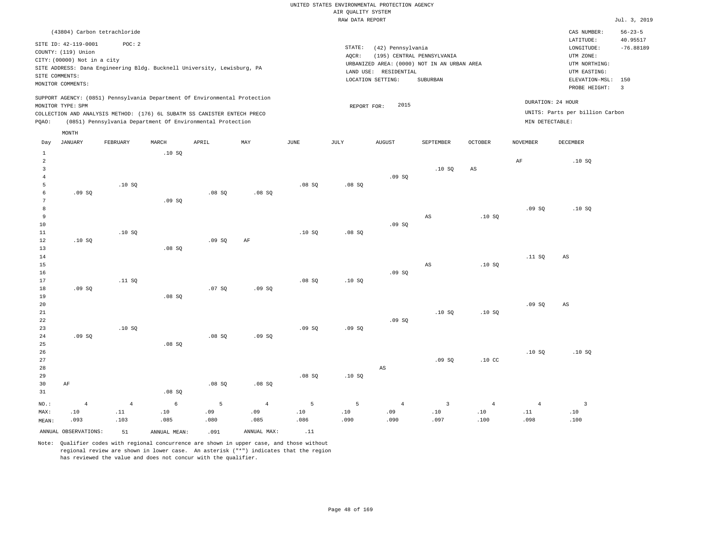|                                                         |                                                                                                                                                                                              |                       |                      |                                                            |                       |             | trau puru ten otre |                                                                 |                                                                                       |                        |                                      |                                                                                                              | $0$ at $\frac{1}{2}$ , $\frac{1}{2}$ |
|---------------------------------------------------------|----------------------------------------------------------------------------------------------------------------------------------------------------------------------------------------------|-----------------------|----------------------|------------------------------------------------------------|-----------------------|-------------|--------------------|-----------------------------------------------------------------|---------------------------------------------------------------------------------------|------------------------|--------------------------------------|--------------------------------------------------------------------------------------------------------------|--------------------------------------|
|                                                         | (43804) Carbon tetrachloride                                                                                                                                                                 |                       |                      |                                                            |                       |             |                    |                                                                 |                                                                                       |                        |                                      | CAS NUMBER:                                                                                                  | $56 - 23 - 5$                        |
|                                                         | SITE ID: 42-119-0001<br>COUNTY: (119) Union<br>CITY: (00000) Not in a city<br>SITE ADDRESS: Dana Engineering Bldg. Bucknell University, Lewisburg, PA<br>SITE COMMENTS:<br>MONITOR COMMENTS: | POC: 2                |                      |                                                            |                       |             | STATE:<br>AOCR:    | (42) Pennsylvania<br>LAND USE: RESIDENTIAL<br>LOCATION SETTING: | (195) CENTRAL PENNSYLVANIA<br>URBANIZED AREA: (0000) NOT IN AN URBAN AREA<br>SUBURBAN |                        |                                      | LATITUDE:<br>LONGITUDE:<br>UTM ZONE:<br>UTM NORTHING:<br>UTM EASTING:<br>ELEVATION-MSL: 150<br>PROBE HEIGHT: | 40.95517<br>$-76.88189$<br>3         |
| PQAO:                                                   | SUPPORT AGENCY: (0851) Pennsylvania Department Of Environmental Protection<br>MONITOR TYPE: SPM<br>COLLECTION AND ANALYSIS METHOD: (176) 6L SUBATM SS CANISTER ENTECH PRECO                  |                       |                      | (0851) Pennsylvania Department Of Environmental Protection |                       |             | REPORT FOR:        | 2015                                                            |                                                                                       |                        | DURATION: 24 HOUR<br>MIN DETECTABLE: | UNITS: Parts per billion Carbon                                                                              |                                      |
|                                                         | MONTH                                                                                                                                                                                        |                       |                      |                                                            |                       |             |                    |                                                                 |                                                                                       |                        |                                      |                                                                                                              |                                      |
| Day                                                     | <b>JANUARY</b>                                                                                                                                                                               | FEBRUARY              | MARCH                | APRIL                                                      | MAY                   | JUNE        | JULY               | <b>AUGUST</b>                                                   | SEPTEMBER                                                                             | OCTOBER                | <b>NOVEMBER</b>                      | DECEMBER                                                                                                     |                                      |
| 1<br>$\overline{2}$<br>$\overline{3}$<br>$\overline{4}$ |                                                                                                                                                                                              |                       | .10SQ                |                                                            |                       |             |                    | .09SQ                                                           | .10S                                                                                  | $\mathbb{A}\mathbb{S}$ | $\rm{AF}$                            | .10SQ                                                                                                        |                                      |
| 5<br>6<br>$7\phantom{.0}$                               | .09SQ                                                                                                                                                                                        | .10SQ                 | .09SQ                | .08SQ                                                      | .08SQ                 | .08SQ       | .08SQ              |                                                                 |                                                                                       |                        |                                      |                                                                                                              |                                      |
| 8<br>9<br>10<br>$11\,$                                  |                                                                                                                                                                                              | .10S                  |                      |                                                            |                       | .10S        | .08SQ              | .09S                                                            | AS                                                                                    | .10S                   | .09SQ                                | .10SQ                                                                                                        |                                      |
| 12<br>13<br>14                                          | .10S                                                                                                                                                                                         |                       | .08S                 | .09SQ                                                      | $\rm{AF}$             |             |                    |                                                                 |                                                                                       |                        | .11SQ                                | AS                                                                                                           |                                      |
| 15<br>16<br>17<br>18                                    | .09SQ                                                                                                                                                                                        | .11 SQ                |                      | .07SQ                                                      | .09SQ                 | .08SQ       | .10S               | .09S                                                            | $\mathbb{A}\mathbb{S}$                                                                | .10SQ                  |                                      |                                                                                                              |                                      |
| 19<br>20<br>$2\sqrt{1}$<br>22                           |                                                                                                                                                                                              |                       | .08SQ                |                                                            |                       |             |                    | .09SQ                                                           | .10SQ                                                                                 | .10SQ                  | .09SQ                                | $_{\rm AS}$                                                                                                  |                                      |
| 23<br>24<br>25<br>26                                    | .09SQ                                                                                                                                                                                        | .10S                  | .08SQ                | .08SQ                                                      | .09SQ                 | .09S        | .09S               |                                                                 |                                                                                       |                        | .10S                                 | .10S                                                                                                         |                                      |
| 27<br>28<br>29<br>30<br>31                              | AF                                                                                                                                                                                           |                       | .08 SQ               | .08SQ                                                      | .08 SQ                | .08SQ       | .10S               | $_{\rm AS}$                                                     | .09S                                                                                  | .10 <sub>C</sub>       |                                      |                                                                                                              |                                      |
| NO.:<br>MAX:                                            | $\overline{4}$<br>.10                                                                                                                                                                        | $\overline{4}$<br>.11 | 6<br>.10             | 5<br>.09                                                   | $\overline{4}$<br>.09 | - 5<br>.10  | 5<br>.10           | $\overline{4}$<br>.09                                           | 3<br>.10                                                                              | $\overline{4}$<br>.10  | $\overline{4}$<br>.11                | $\overline{3}$<br>.10                                                                                        |                                      |
| MEAN:                                                   | .093<br>ANNUAL OBSERVATIONS:                                                                                                                                                                 | .103<br>51            | .085<br>ANNUAL MEAN: | .080<br>.091                                               | .085<br>ANNUAL MAX:   | .086<br>.11 | .090               | .090                                                            | .097                                                                                  | .100                   | .098                                 | .100                                                                                                         |                                      |
|                                                         |                                                                                                                                                                                              |                       |                      |                                                            |                       |             |                    |                                                                 |                                                                                       |                        |                                      |                                                                                                              |                                      |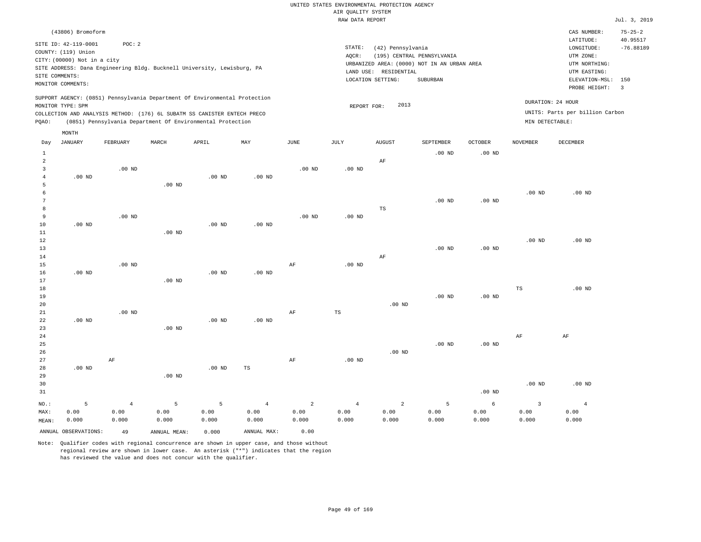|                |                                               |                   |                   |                                                                                                                                        |                   |                   |                    | UNITED STATES ENVIRONMENTAL PROTECTION AGENCY |                                             |                |                   |                                 |                           |
|----------------|-----------------------------------------------|-------------------|-------------------|----------------------------------------------------------------------------------------------------------------------------------------|-------------------|-------------------|--------------------|-----------------------------------------------|---------------------------------------------|----------------|-------------------|---------------------------------|---------------------------|
|                |                                               |                   |                   |                                                                                                                                        |                   |                   | AIR OUALITY SYSTEM |                                               |                                             |                |                   |                                 |                           |
|                |                                               |                   |                   |                                                                                                                                        |                   |                   | RAW DATA REPORT    |                                               |                                             |                |                   |                                 | Jul. 3, 2019              |
|                | (43806) Bromoform                             |                   |                   |                                                                                                                                        |                   |                   |                    |                                               |                                             |                |                   | CAS NUMBER:<br>LATITUDE:        | $75 - 25 - 2$<br>40.95517 |
|                | SITE ID: 42-119-0001<br>COUNTY: (119) Union   | POC: 2            |                   |                                                                                                                                        |                   |                   | STATE:<br>AQCR:    | (42) Pennsylvania                             | (195) CENTRAL PENNSYLVANIA                  |                |                   | LONGITUDE:<br>UTM ZONE:         | $-76.88189$               |
|                | CITY: (00000) Not in a city<br>SITE COMMENTS: |                   |                   | SITE ADDRESS: Dana Engineering Bldg. Bucknell University, Lewisburg, PA                                                                |                   |                   |                    | LAND USE: RESIDENTIAL                         | URBANIZED AREA: (0000) NOT IN AN URBAN AREA |                |                   | UTM NORTHING:<br>UTM EASTING:   |                           |
|                | MONITOR COMMENTS:                             |                   |                   |                                                                                                                                        |                   |                   |                    | LOCATION SETTING:                             | SUBURBAN                                    |                |                   | ELEVATION-MSL:<br>PROBE HEIGHT: | 150<br>$\overline{3}$     |
|                | MONITOR TYPE: SPM                             |                   |                   | SUPPORT AGENCY: (0851) Pennsylvania Department Of Environmental Protection                                                             |                   |                   |                    | 2013<br>REPORT FOR:                           |                                             |                |                   | DURATION: 24 HOUR               |                           |
| PQAO:          |                                               |                   |                   | COLLECTION AND ANALYSIS METHOD: (176) 6L SUBATM SS CANISTER ENTECH PRECO<br>(0851) Pennsylvania Department Of Environmental Protection |                   |                   |                    |                                               |                                             |                | MIN DETECTABLE:   | UNITS: Parts per billion Carbon |                           |
| Day            | MONTH<br><b>JANUARY</b>                       | FEBRUARY          | MARCH             | APRIL                                                                                                                                  | MAY               | <b>JUNE</b>       | <b>JULY</b>        | <b>AUGUST</b>                                 | SEPTEMBER                                   | <b>OCTOBER</b> | <b>NOVEMBER</b>   | <b>DECEMBER</b>                 |                           |
| $\mathbf{1}$   |                                               |                   |                   |                                                                                                                                        |                   |                   |                    |                                               | $.00$ ND                                    | $.00$ ND       |                   |                                 |                           |
| $\sqrt{2}$     |                                               |                   |                   |                                                                                                                                        |                   |                   |                    | AF                                            |                                             |                |                   |                                 |                           |
| $\overline{3}$ |                                               | .00 <sub>ND</sub> |                   |                                                                                                                                        |                   | .00 <sub>ND</sub> | $.00$ ND           |                                               |                                             |                |                   |                                 |                           |
| $\overline{4}$ | $.00$ ND                                      |                   |                   | $.00$ ND                                                                                                                               | .00 <sub>ND</sub> |                   |                    |                                               |                                             |                |                   |                                 |                           |
| 5              |                                               |                   | $.00$ ND          |                                                                                                                                        |                   |                   |                    |                                               |                                             |                |                   |                                 |                           |
| 6<br>7         |                                               |                   |                   |                                                                                                                                        |                   |                   |                    |                                               | .00 <sub>ND</sub>                           | $.00$ ND       | $.00$ ND          | $.00$ ND                        |                           |
| 8              |                                               |                   |                   |                                                                                                                                        |                   |                   |                    | <b>TS</b>                                     |                                             |                |                   |                                 |                           |
| 9              |                                               | $.00$ ND          |                   |                                                                                                                                        |                   | .00 <sub>ND</sub> | .00 <sub>ND</sub>  |                                               |                                             |                |                   |                                 |                           |
| $10$           | $.00$ ND                                      |                   |                   | $.00$ ND                                                                                                                               | $.00$ ND          |                   |                    |                                               |                                             |                |                   |                                 |                           |
| 11             |                                               |                   | $.00$ ND          |                                                                                                                                        |                   |                   |                    |                                               |                                             |                |                   |                                 |                           |
| 12             |                                               |                   |                   |                                                                                                                                        |                   |                   |                    |                                               |                                             |                | $.00$ ND          | $.00$ ND                        |                           |
| 13             |                                               |                   |                   |                                                                                                                                        |                   |                   |                    |                                               | $.00$ ND                                    | $.00$ ND       |                   |                                 |                           |
| 14<br>15       |                                               | .00 <sub>ND</sub> |                   |                                                                                                                                        |                   | AF                | .00 <sub>ND</sub>  | AF                                            |                                             |                |                   |                                 |                           |
| 16             | $.00$ ND                                      |                   |                   | .00 <sub>ND</sub>                                                                                                                      | .00 <sub>ND</sub> |                   |                    |                                               |                                             |                |                   |                                 |                           |
| $17$           |                                               |                   | .00 <sub>ND</sub> |                                                                                                                                        |                   |                   |                    |                                               |                                             |                |                   |                                 |                           |
| 18             |                                               |                   |                   |                                                                                                                                        |                   |                   |                    |                                               |                                             |                | $_{\rm TS}$       | $.00$ ND                        |                           |
| 19             |                                               |                   |                   |                                                                                                                                        |                   |                   |                    |                                               | .00 <sub>ND</sub>                           | $.00$ ND       |                   |                                 |                           |
| 20             |                                               |                   |                   |                                                                                                                                        |                   |                   |                    | $.00$ ND                                      |                                             |                |                   |                                 |                           |
| 21<br>22       | $.00$ ND                                      | $.00$ ND          |                   | $.00$ ND                                                                                                                               | $.00$ ND          | AF                | TS                 |                                               |                                             |                |                   |                                 |                           |
| 23             |                                               |                   | $.00$ ND          |                                                                                                                                        |                   |                   |                    |                                               |                                             |                |                   |                                 |                           |
| 24             |                                               |                   |                   |                                                                                                                                        |                   |                   |                    |                                               |                                             |                | $\rm AF$          | $\rm AF$                        |                           |
| 25             |                                               |                   |                   |                                                                                                                                        |                   |                   |                    |                                               | $.00$ ND                                    | $.00$ ND       |                   |                                 |                           |
| 26             |                                               |                   |                   |                                                                                                                                        |                   |                   |                    | $.00$ ND                                      |                                             |                |                   |                                 |                           |
| 27             |                                               | AF                |                   |                                                                                                                                        |                   | AF                | $.00$ ND           |                                               |                                             |                |                   |                                 |                           |
| 28             | $.00$ ND                                      |                   |                   | $.00$ ND                                                                                                                               | $_{\rm TS}$       |                   |                    |                                               |                                             |                |                   |                                 |                           |
| 29<br>30       |                                               |                   | $.00$ ND          |                                                                                                                                        |                   |                   |                    |                                               |                                             |                | .00 <sub>ND</sub> | $.00$ ND                        |                           |
| 31             |                                               |                   |                   |                                                                                                                                        |                   |                   |                    |                                               |                                             | $.00$ ND       |                   |                                 |                           |
|                |                                               |                   |                   |                                                                                                                                        |                   |                   |                    |                                               |                                             |                |                   |                                 |                           |
| NO.:           | 5                                             | $\overline{4}$    | 5                 | 5                                                                                                                                      | $\overline{4}$    | 2                 | $\overline{4}$     | 2                                             | 5                                           | 6              | $\overline{3}$    | 4                               |                           |

ANNUAL OBSERVATIONS: 49 ANNUAL MEAN: 0.000 ANNUAL MAX: 0.00

 0.00 0.000

NO.: MAX: MEAN:

 0.00 0.000

 0.00 0.000

Note: Qualifier codes with regional concurrence are shown in upper case, and those without regional review are shown in lower case. An asterisk ("\*") indicates that the region has reviewed the value and does not concur with the qualifier.

 0.00 0.000  0.00 0.000  0.00 0.000  0.00 0.000  0.00 0.000  0.00 0.000

 0.00 0.000  0.00 0.000  0.00 0.000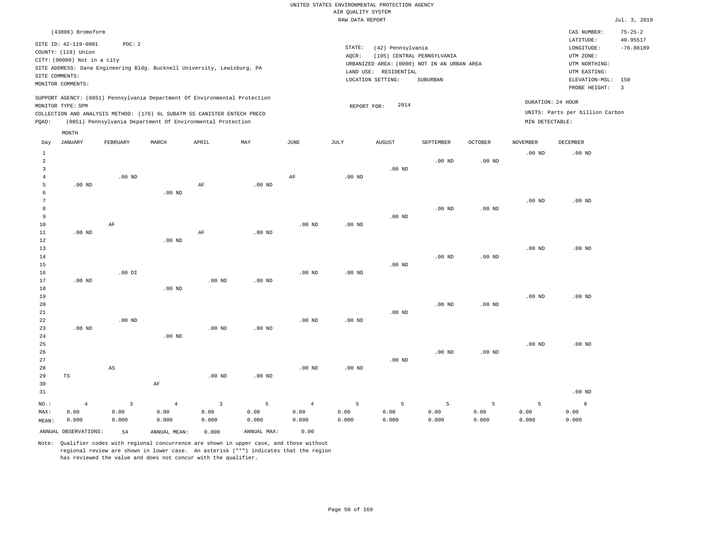|                                     |                                                    |                                 |                                                                                                                                                        |                                          |                    |                                 |                    | UNITED STATES ENVIRONMENTAL PROTECTION AGENCY |                                                                           |                    |                    |                                                          |                           |
|-------------------------------------|----------------------------------------------------|---------------------------------|--------------------------------------------------------------------------------------------------------------------------------------------------------|------------------------------------------|--------------------|---------------------------------|--------------------|-----------------------------------------------|---------------------------------------------------------------------------|--------------------|--------------------|----------------------------------------------------------|---------------------------|
|                                     |                                                    |                                 |                                                                                                                                                        |                                          |                    |                                 | AIR QUALITY SYSTEM |                                               |                                                                           |                    |                    |                                                          |                           |
|                                     |                                                    |                                 |                                                                                                                                                        |                                          |                    |                                 | RAW DATA REPORT    |                                               |                                                                           |                    |                    |                                                          | Jul. 3, 2019              |
|                                     | (43806) Bromoform<br>SITE ID: 42-119-0001          | POC: 2                          |                                                                                                                                                        |                                          |                    |                                 | STATE:             |                                               |                                                                           |                    |                    | CAS NUMBER:<br>LATITUDE:                                 | $75 - 25 - 2$<br>40.95517 |
|                                     | COUNTY: (119) Union<br>CITY: (00000) Not in a city |                                 | SITE ADDRESS: Dana Engineering Bldg. Bucknell University, Lewisburg, PA                                                                                |                                          |                    |                                 | AQCR:              | (42) Pennsylvania<br>LAND USE: RESIDENTIAL    | (195) CENTRAL PENNSYLVANIA<br>URBANIZED AREA: (0000) NOT IN AN URBAN AREA |                    |                    | LONGITUDE:<br>UTM ZONE:<br>UTM NORTHING:<br>UTM EASTING: | $-76.88189$               |
|                                     | SITE COMMENTS:<br>MONITOR COMMENTS:                |                                 |                                                                                                                                                        |                                          |                    |                                 |                    | LOCATION SETTING:                             | SUBURBAN                                                                  |                    |                    | ELEVATION-MSL:<br>PROBE HEIGHT:                          | 150<br>$\overline{3}$     |
|                                     | MONITOR TYPE: SPM                                  |                                 | SUPPORT AGENCY: (0851) Pennsylvania Department Of Environmental Protection<br>COLLECTION AND ANALYSIS METHOD: (176) 6L SUBATM SS CANISTER ENTECH PRECO |                                          |                    |                                 | REPORT FOR:        | 2014                                          |                                                                           |                    |                    | DURATION: 24 HOUR<br>UNITS: Parts per billion Carbon     |                           |
| POAO:                               |                                                    |                                 | (0851) Pennsylvania Department Of Environmental Protection                                                                                             |                                          |                    |                                 |                    |                                               |                                                                           |                    | MIN DETECTABLE:    |                                                          |                           |
| Day                                 | MONTH<br><b>JANUARY</b>                            | FEBRUARY                        | MARCH                                                                                                                                                  | APRIL                                    | MAY                | <b>JUNE</b>                     | <b>JULY</b>        | <b>AUGUST</b>                                 | SEPTEMBER                                                                 | <b>OCTOBER</b>     | <b>NOVEMBER</b>    | DECEMBER                                                 |                           |
| $\mathbf{1}$<br>$\overline{2}$<br>3 |                                                    |                                 |                                                                                                                                                        |                                          |                    |                                 |                    | .00 <sub>ND</sub>                             | .00 <sub>ND</sub>                                                         | .00 <sub>ND</sub>  | $.00$ ND           | $.00$ ND                                                 |                           |
| $\overline{4}$<br>5<br>6            | $.00$ ND                                           | $.00$ ND                        | $.00$ ND                                                                                                                                               | $\rm AF$                                 | $.00$ ND           | AF                              | $.00$ ND           |                                               |                                                                           |                    |                    |                                                          |                           |
| $\overline{7}$<br>8<br>9            |                                                    |                                 |                                                                                                                                                        |                                          |                    |                                 |                    | $.00$ ND                                      | .00 <sub>ND</sub>                                                         | $.00$ ND           | .00 <sub>ND</sub>  | $.00$ ND                                                 |                           |
| 10<br>11<br>12<br>13                | $.00$ ND                                           | AF                              | $.00$ ND                                                                                                                                               | AF                                       | $.00$ ND           | $.00$ ND                        | $.00$ ND           |                                               |                                                                           |                    | $.00$ ND           | $.00$ ND                                                 |                           |
| 14<br>15<br>16                      |                                                    | $.00$ DI                        |                                                                                                                                                        |                                          |                    | $.00$ ND                        | .00 <sub>ND</sub>  | $.00$ ND                                      | $.00$ ND                                                                  | .00 <sub>ND</sub>  |                    |                                                          |                           |
| 17<br>18<br>19                      | .00 <sub>ND</sub>                                  |                                 | .00 <sub>ND</sub>                                                                                                                                      | $.00$ ND                                 | .00 <sub>ND</sub>  |                                 |                    |                                               |                                                                           |                    | .00 <sub>ND</sub>  | $.00$ ND                                                 |                           |
| 20<br>21<br>22                      |                                                    | $.00$ ND                        |                                                                                                                                                        |                                          |                    | $.00$ ND                        | $.00$ ND           | $.00$ ND                                      | $.00$ ND                                                                  | .00 <sub>ND</sub>  |                    |                                                          |                           |
| 23<br>24<br>25                      | $.00$ ND                                           |                                 | $.00$ ND                                                                                                                                               | $.00$ ND                                 | $.00$ ND           |                                 |                    |                                               |                                                                           |                    | .00 <sub>ND</sub>  | $.00$ ND                                                 |                           |
| 26<br>27<br>28<br>29                | $_{\rm TS}$                                        | AS                              |                                                                                                                                                        | $.00$ ND                                 | $.00$ ND           | $.00$ ND                        | .00 <sub>ND</sub>  | $.00$ ND                                      | $.00$ ND                                                                  | $.00$ ND           |                    |                                                          |                           |
| 30<br>31                            |                                                    |                                 | AF                                                                                                                                                     |                                          |                    |                                 |                    |                                               |                                                                           |                    |                    | $.00$ ND                                                 |                           |
| NO.:<br>MAX:<br>MEAN:               | $\sqrt{4}$<br>0.00<br>0.000                        | $\overline{3}$<br>0.00<br>0.000 | $\sqrt{4}$<br>0.00<br>0.000                                                                                                                            | $\overline{\mathbf{3}}$<br>0.00<br>0.000 | 5<br>0.00<br>0.000 | $\overline{4}$<br>0.00<br>0.000 | 5<br>0.00<br>0.000 | 5<br>0.00<br>0.000                            | 5<br>0.00<br>0.000                                                        | 5<br>0.00<br>0.000 | 5<br>0.00<br>0.000 | 6<br>0.00<br>0.000                                       |                           |
|                                     | ANNUAL OBSERVATIONS:                               | 54                              | ANNUAL MEAN:                                                                                                                                           | 0.000                                    | ANNUAL MAX:        | 0.00                            |                    |                                               |                                                                           |                    |                    |                                                          |                           |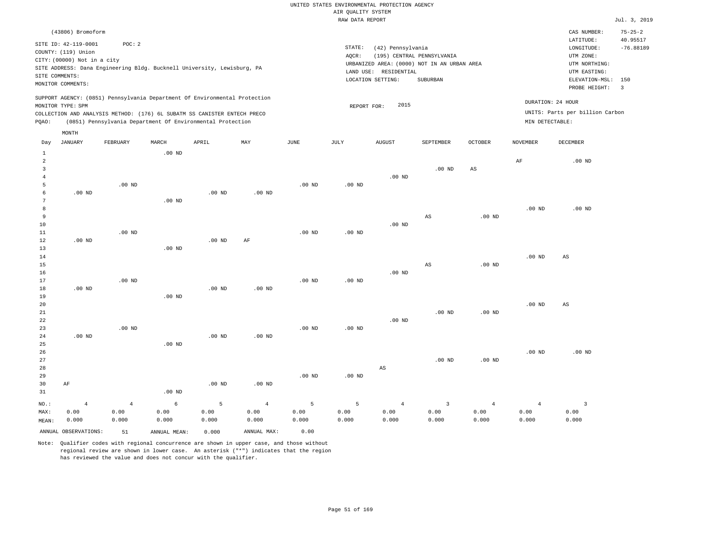|                |                             |                |                   |                                                                            |                |                   | KAW DAIA KEPUKI |                       |                                             |                   |                   |                                 | $0$ ul. 3, 201          |
|----------------|-----------------------------|----------------|-------------------|----------------------------------------------------------------------------|----------------|-------------------|-----------------|-----------------------|---------------------------------------------|-------------------|-------------------|---------------------------------|-------------------------|
|                | (43806) Bromoform           |                |                   |                                                                            |                |                   |                 |                       |                                             |                   |                   | CAS NUMBER:                     | $75 - 25 - 2$           |
|                | SITE ID: 42-119-0001        | POC: 2         |                   |                                                                            |                |                   |                 |                       |                                             |                   |                   | LATITUDE:                       | 40.95517                |
|                | COUNTY: (119) Union         |                |                   |                                                                            |                |                   | STATE:<br>AQCR: | (42) Pennsylvania     | (195) CENTRAL PENNSYLVANIA                  |                   |                   | LONGITUDE:<br>UTM ZONE:         | $-76.88189$             |
|                | CITY: (00000) Not in a city |                |                   |                                                                            |                |                   |                 |                       | URBANIZED AREA: (0000) NOT IN AN URBAN AREA |                   |                   | UTM NORTHING:                   |                         |
|                |                             |                |                   | SITE ADDRESS: Dana Engineering Bldg. Bucknell University, Lewisburg, PA    |                |                   |                 | LAND USE: RESIDENTIAL |                                             |                   |                   | UTM EASTING:                    |                         |
|                | SITE COMMENTS:              |                |                   |                                                                            |                |                   |                 | LOCATION SETTING:     | SUBURBAN                                    |                   |                   | ELEVATION-MSL: 150              |                         |
|                | MONITOR COMMENTS:           |                |                   |                                                                            |                |                   |                 |                       |                                             |                   |                   | PROBE HEIGHT:                   | $\overline{\mathbf{3}}$ |
|                |                             |                |                   | SUPPORT AGENCY: (0851) Pennsylvania Department Of Environmental Protection |                |                   |                 |                       |                                             |                   |                   | DURATION: 24 HOUR               |                         |
|                | MONITOR TYPE: SPM           |                |                   |                                                                            |                |                   | REPORT FOR:     | 2015                  |                                             |                   |                   |                                 |                         |
|                |                             |                |                   | COLLECTION AND ANALYSIS METHOD: (176) 6L SUBATM SS CANISTER ENTECH PRECO   |                |                   |                 |                       |                                             |                   |                   | UNITS: Parts per billion Carbon |                         |
| PQAO:          |                             |                |                   | (0851) Pennsylvania Department Of Environmental Protection                 |                |                   |                 |                       |                                             |                   | MIN DETECTABLE:   |                                 |                         |
|                | MONTH                       |                |                   |                                                                            |                |                   |                 |                       |                                             |                   |                   |                                 |                         |
| Day            | JANUARY                     | FEBRUARY       | MARCH             | APRIL                                                                      | MAY            | JUNE              | JULY            | <b>AUGUST</b>         | SEPTEMBER                                   | OCTOBER           | NOVEMBER          | DECEMBER                        |                         |
| $\mathbf{1}$   |                             |                | $.00$ ND          |                                                                            |                |                   |                 |                       |                                             |                   |                   |                                 |                         |
| $\overline{a}$ |                             |                |                   |                                                                            |                |                   |                 |                       |                                             |                   | AF                | .00 <sub>ND</sub>               |                         |
| 3              |                             |                |                   |                                                                            |                |                   |                 |                       | $.00$ ND                                    | AS                |                   |                                 |                         |
| $\overline{4}$ |                             |                |                   |                                                                            |                |                   |                 | $.00$ ND              |                                             |                   |                   |                                 |                         |
| 5<br>6         | $.00$ ND                    | $.00$ ND       |                   | .00 <sub>ND</sub>                                                          | $.00$ ND       | .00 <sub>ND</sub> | $.00$ ND        |                       |                                             |                   |                   |                                 |                         |
| 7              |                             |                | $.00$ ND          |                                                                            |                |                   |                 |                       |                                             |                   |                   |                                 |                         |
| 8              |                             |                |                   |                                                                            |                |                   |                 |                       |                                             |                   | $.00$ ND          | $.00$ ND                        |                         |
| 9              |                             |                |                   |                                                                            |                |                   |                 |                       | $_{\rm AS}$                                 | $.00$ ND          |                   |                                 |                         |
| 10             |                             |                |                   |                                                                            |                |                   |                 | $.00$ ND              |                                             |                   |                   |                                 |                         |
| 11             |                             | $.00$ ND       |                   |                                                                            |                | .00 <sub>ND</sub> | $.00$ ND        |                       |                                             |                   |                   |                                 |                         |
| 12             | $.00$ ND                    |                |                   | .00 <sub>ND</sub>                                                          | AF             |                   |                 |                       |                                             |                   |                   |                                 |                         |
| 13             |                             |                | $.00$ ND          |                                                                            |                |                   |                 |                       |                                             |                   |                   |                                 |                         |
| 14             |                             |                |                   |                                                                            |                |                   |                 |                       |                                             |                   | $.00$ ND          | AS                              |                         |
| 15<br>16       |                             |                |                   |                                                                            |                |                   |                 | $.00$ ND              | AS                                          | $.00$ ND          |                   |                                 |                         |
| 17             |                             | $.00$ ND       |                   |                                                                            |                | $.00$ ND          | $.00$ ND        |                       |                                             |                   |                   |                                 |                         |
| 18             | $.00$ ND                    |                |                   | $.00$ ND                                                                   | $.00$ ND       |                   |                 |                       |                                             |                   |                   |                                 |                         |
| 19             |                             |                | $.00$ ND          |                                                                            |                |                   |                 |                       |                                             |                   |                   |                                 |                         |
| 20             |                             |                |                   |                                                                            |                |                   |                 |                       |                                             |                   | $.00~\mathrm{ND}$ | $\mathbb{A}\mathbb{S}$          |                         |
| 21             |                             |                |                   |                                                                            |                |                   |                 |                       | $.00$ ND                                    | $.00$ ND          |                   |                                 |                         |
| 22             |                             |                |                   |                                                                            |                |                   |                 | $.00$ ND              |                                             |                   |                   |                                 |                         |
| 23             |                             | $.00$ ND       |                   |                                                                            |                | $.00$ ND          | $.00$ ND        |                       |                                             |                   |                   |                                 |                         |
| 24<br>25       | $.00$ ND                    |                | $.00$ ND          | $.00$ ND                                                                   | $.00$ ND       |                   |                 |                       |                                             |                   |                   |                                 |                         |
| 26             |                             |                |                   |                                                                            |                |                   |                 |                       |                                             |                   | $.00$ ND          | $.00$ ND                        |                         |
| 27             |                             |                |                   |                                                                            |                |                   |                 |                       | $.00$ ND                                    | .00 <sub>ND</sub> |                   |                                 |                         |
| 28             |                             |                |                   |                                                                            |                |                   |                 | AS                    |                                             |                   |                   |                                 |                         |
| 29             |                             |                |                   |                                                                            |                | .00 <sub>ND</sub> | $.00$ ND        |                       |                                             |                   |                   |                                 |                         |
| 30             | AF                          |                |                   | $.00$ ND                                                                   | $.00$ ND       |                   |                 |                       |                                             |                   |                   |                                 |                         |
| 31             |                             |                | .00 <sub>ND</sub> |                                                                            |                |                   |                 |                       |                                             |                   |                   |                                 |                         |
| NO.:           | $\overline{4}$              | $\overline{4}$ | 6                 | 5                                                                          | $\overline{4}$ | 5                 | 5               | $\overline{4}$        | $\overline{\mathbf{3}}$                     | 4                 | $\overline{4}$    | $\overline{\mathbf{3}}$         |                         |
| MAX:           | 0.00                        | 0.00           | 0.00              | 0.00                                                                       | 0.00           | 0.00              | 0.00            | 0.00                  | 0.00                                        | 0.00              | 0.00              | 0.00                            |                         |
| MEAN:          | 0.000                       | 0.000          | 0.000             | 0.000                                                                      | 0.000          | 0.000             | 0.000           | 0.000                 | 0.000                                       | 0.000             | 0.000             | 0.000                           |                         |

ANNUAL OBSERVATIONS: 51 ANNUAL MEAN: 0.000 ANNUAL MAX: 0.00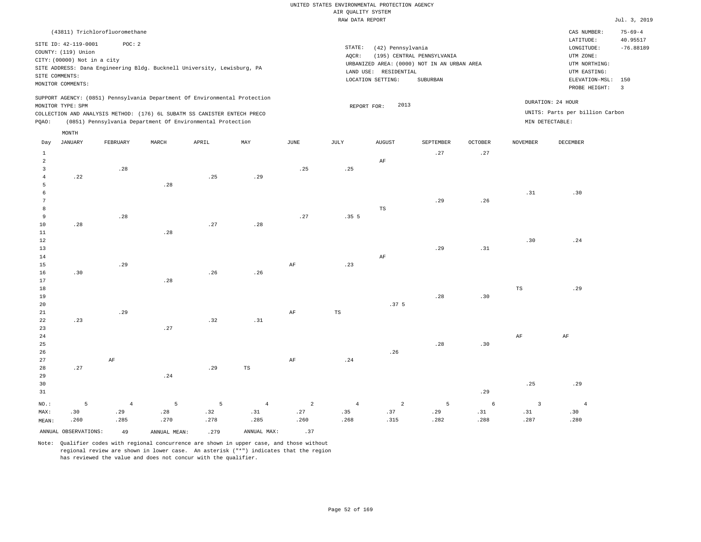|                                  |                             |                                |       |                                                                            |     |      | RAW DATA REPORT |                       |                                             |                |                 |                                 | Jul. 3, 2019              |
|----------------------------------|-----------------------------|--------------------------------|-------|----------------------------------------------------------------------------|-----|------|-----------------|-----------------------|---------------------------------------------|----------------|-----------------|---------------------------------|---------------------------|
|                                  |                             | (43811) Trichlorofluoromethane |       |                                                                            |     |      |                 |                       |                                             |                |                 | CAS NUMBER:                     | $75 - 69 - 4$<br>40.95517 |
|                                  | SITE ID: 42-119-0001        | POC: 2                         |       |                                                                            |     |      | STATE:          | (42) Pennsylvania     |                                             |                |                 | LATITUDE:<br>LONGITUDE:         | $-76.88189$               |
|                                  | COUNTY: (119) Union         |                                |       |                                                                            |     |      | $AQCR$ :        |                       | (195) CENTRAL PENNSYLVANIA                  |                |                 | UTM ZONE:                       |                           |
|                                  | CITY: (00000) Not in a city |                                |       |                                                                            |     |      |                 |                       | URBANIZED AREA: (0000) NOT IN AN URBAN AREA |                |                 | UTM NORTHING:                   |                           |
|                                  |                             |                                |       | SITE ADDRESS: Dana Engineering Bldg. Bucknell University, Lewisburg, PA    |     |      |                 | LAND USE: RESIDENTIAL |                                             |                |                 | UTM EASTING:                    |                           |
|                                  | SITE COMMENTS:              |                                |       |                                                                            |     |      |                 | LOCATION SETTING:     | SUBURBAN                                    |                |                 | ELEVATION-MSL: 150              |                           |
|                                  | MONITOR COMMENTS:           |                                |       |                                                                            |     |      |                 |                       |                                             |                |                 | PROBE HEIGHT:                   | $\overline{\phantom{a}}$  |
|                                  |                             |                                |       | SUPPORT AGENCY: (0851) Pennsylvania Department Of Environmental Protection |     |      |                 | 2013                  |                                             |                |                 | DURATION: 24 HOUR               |                           |
|                                  | MONITOR TYPE: SPM           |                                |       | COLLECTION AND ANALYSIS METHOD: (176) 6L SUBATM SS CANISTER ENTECH PRECO   |     |      |                 | REPORT FOR:           |                                             |                |                 | UNITS: Parts per billion Carbon |                           |
| PQAO:                            |                             |                                |       | (0851) Pennsylvania Department Of Environmental Protection                 |     |      |                 |                       |                                             |                |                 | MIN DETECTABLE:                 |                           |
|                                  | MONTH                       |                                |       |                                                                            |     |      |                 |                       |                                             |                |                 |                                 |                           |
| Day                              | JANUARY                     | FEBRUARY                       | MARCH | APRIL                                                                      | MAX | JUNE | JULY            | ${\tt AUGUST}$        | SEPTEMBER                                   | <b>OCTOBER</b> | <b>NOVEMBER</b> | DECEMBER                        |                           |
| $\mathbf{1}$                     |                             |                                |       |                                                                            |     |      |                 |                       | .27                                         | .27            |                 |                                 |                           |
| $\overline{2}$<br>$\overline{3}$ |                             | .28                            |       |                                                                            |     | .25  | .25             | $\rm AF$              |                                             |                |                 |                                 |                           |
| $\overline{4}$                   | .22                         |                                |       | .25                                                                        | .29 |      |                 |                       |                                             |                |                 |                                 |                           |
| 5                                |                             |                                | .28   |                                                                            |     |      |                 |                       |                                             |                |                 |                                 |                           |
| 6                                |                             |                                |       |                                                                            |     |      |                 |                       |                                             |                | .31             | .30                             |                           |
| 7                                |                             |                                |       |                                                                            |     |      |                 |                       | .29                                         | .26            |                 |                                 |                           |
| 8                                |                             |                                |       |                                                                            |     |      |                 | $_{\rm TS}$           |                                             |                |                 |                                 |                           |
| 9                                |                             | .28                            |       |                                                                            |     | .27  | .355            |                       |                                             |                |                 |                                 |                           |
| 10                               | .28                         |                                |       | .27                                                                        | .28 |      |                 |                       |                                             |                |                 |                                 |                           |
| 11                               |                             |                                | .28   |                                                                            |     |      |                 |                       |                                             |                |                 |                                 |                           |
| 12                               |                             |                                |       |                                                                            |     |      |                 |                       |                                             |                | .30             | .24                             |                           |
| 13                               |                             |                                |       |                                                                            |     |      |                 |                       | .29                                         | .31            |                 |                                 |                           |
| 14<br>15                         |                             | .29                            |       |                                                                            |     | AF   | .23             | $\rm AF$              |                                             |                |                 |                                 |                           |
| 16                               | .30                         |                                |       | .26                                                                        | .26 |      |                 |                       |                                             |                |                 |                                 |                           |
| 17                               |                             |                                | .28   |                                                                            |     |      |                 |                       |                                             |                |                 |                                 |                           |
| 18                               |                             |                                |       |                                                                            |     |      |                 |                       |                                             |                | $_{\rm TS}$     | .29                             |                           |
| 19                               |                             |                                |       |                                                                            |     |      |                 |                       | .28                                         | .30            |                 |                                 |                           |
| 20                               |                             |                                |       |                                                                            |     |      |                 | .37 <sub>5</sub>      |                                             |                |                 |                                 |                           |
| 21                               |                             | .29                            |       |                                                                            |     | AF   | TS              |                       |                                             |                |                 |                                 |                           |
| 22                               | .23                         |                                |       | .32                                                                        | .31 |      |                 |                       |                                             |                |                 |                                 |                           |
| 23                               |                             |                                | .27   |                                                                            |     |      |                 |                       |                                             |                |                 |                                 |                           |
| 24                               |                             |                                |       |                                                                            |     |      |                 |                       |                                             |                | AF              | AF                              |                           |
| 25                               |                             |                                |       |                                                                            |     |      |                 |                       | .28                                         | .30            |                 |                                 |                           |
| 26                               |                             |                                |       |                                                                            |     |      |                 | .26                   |                                             |                |                 |                                 |                           |
| 27<br>28                         |                             | AF                             |       |                                                                            | TS  | AF   | .24             |                       |                                             |                |                 |                                 |                           |
| 29                               | .27                         |                                | .24   | .29                                                                        |     |      |                 |                       |                                             |                |                 |                                 |                           |
| 30                               |                             |                                |       |                                                                            |     |      |                 |                       |                                             |                | .25             | .29                             |                           |
| 31                               |                             |                                |       |                                                                            |     |      |                 |                       |                                             | .29            |                 |                                 |                           |

NO.: MAX: MEAN: 5 .30 .260 4 .29 .285 5 .28 .270 5 .32 .278 4 .31 .285 2 .27 .260 4 .35 .268 2 .37 .315 5 .29 .282 6 .31 .288 3 .31 .287 ANNUAL OBSERVATIONS:  $49$  ANNUAL MEAN: .279 ANNUAL MAX: .37

Note: Qualifier codes with regional concurrence are shown in upper case, and those without regional review are shown in lower case. An asterisk ("\*") indicates that the region has reviewed the value and does not concur with the qualifier.

4 .30 .280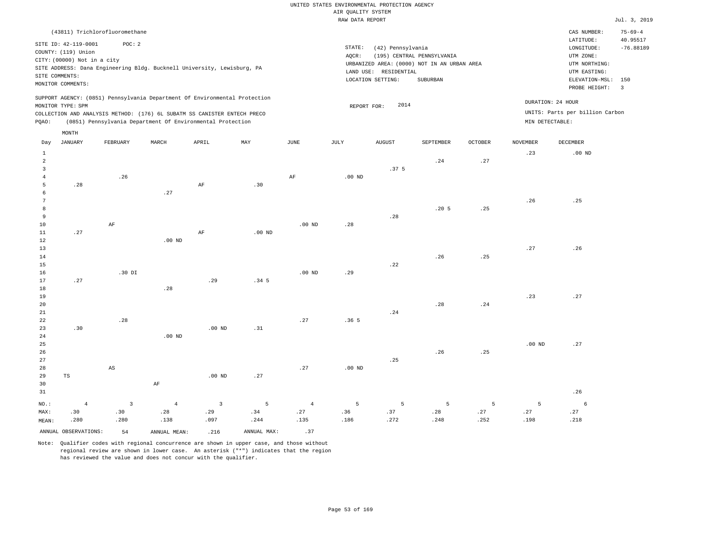|                                                                   |                                                                                              |                         |                                                                                                                                                                                                                      |                   |                  |                | RAW DATA REPORT   |                                                                 |                                                                                       |                |                   |                                                                                         | Jul. 3, 2019                   |
|-------------------------------------------------------------------|----------------------------------------------------------------------------------------------|-------------------------|----------------------------------------------------------------------------------------------------------------------------------------------------------------------------------------------------------------------|-------------------|------------------|----------------|-------------------|-----------------------------------------------------------------|---------------------------------------------------------------------------------------|----------------|-------------------|-----------------------------------------------------------------------------------------|--------------------------------|
|                                                                   | (43811) Trichlorofluoromethane                                                               |                         |                                                                                                                                                                                                                      |                   |                  |                |                   |                                                                 |                                                                                       |                |                   | CAS NUMBER:                                                                             | $75 - 69 - 4$                  |
|                                                                   | SITE ID: 42-119-0001<br>COUNTY: (119) Union<br>CITY: (00000) Not in a city<br>SITE COMMENTS: | POC: 2                  | SITE ADDRESS: Dana Engineering Bldg. Bucknell University, Lewisburg, PA                                                                                                                                              |                   |                  |                | STATE:<br>AQCR:   | (42) Pennsylvania<br>LAND USE: RESIDENTIAL<br>LOCATION SETTING: | (195) CENTRAL PENNSYLVANIA<br>URBANIZED AREA: (0000) NOT IN AN URBAN AREA<br>SUBURBAN |                |                   | LATITUDE:<br>LONGITUDE:<br>UTM ZONE:<br>UTM NORTHING:<br>UTM EASTING:<br>ELEVATION-MSL: | 40.95517<br>$-76.88189$<br>150 |
|                                                                   | MONITOR COMMENTS:                                                                            |                         |                                                                                                                                                                                                                      |                   |                  |                |                   |                                                                 |                                                                                       |                |                   | PROBE HEIGHT:                                                                           | $\overline{3}$                 |
| PQAO:                                                             | MONITOR TYPE: SPM                                                                            |                         | SUPPORT AGENCY: (0851) Pennsylvania Department Of Environmental Protection<br>COLLECTION AND ANALYSIS METHOD: (176) 6L SUBATM SS CANISTER ENTECH PRECO<br>(0851) Pennsylvania Department Of Environmental Protection |                   |                  |                | REPORT FOR:       | 2014                                                            |                                                                                       |                | MIN DETECTABLE:   | DURATION: 24 HOUR<br>UNITS: Parts per billion Carbon                                    |                                |
|                                                                   | $\texttt{MONTH}$                                                                             |                         |                                                                                                                                                                                                                      |                   |                  |                |                   |                                                                 |                                                                                       |                |                   |                                                                                         |                                |
| Day                                                               | <b>JANUARY</b>                                                                               | FEBRUARY                | MARCH                                                                                                                                                                                                                | APRIL             | MAY              | JUNE           | JULY              | <b>AUGUST</b>                                                   | SEPTEMBER                                                                             | <b>OCTOBER</b> | <b>NOVEMBER</b>   | DECEMBER                                                                                |                                |
| $\mathbf 1$<br>$\overline{a}$<br>$\overline{3}$<br>$\overline{4}$ |                                                                                              | .26                     |                                                                                                                                                                                                                      |                   |                  | $\rm{AF}$      | .00 <sub>ND</sub> | .37 <sub>5</sub>                                                | .24                                                                                   | .27            | .23               | .00 <sub>ND</sub>                                                                       |                                |
| 5                                                                 | .28                                                                                          |                         |                                                                                                                                                                                                                      | $\rm AF$          | .30              |                |                   |                                                                 |                                                                                       |                |                   |                                                                                         |                                |
| 6<br>7                                                            |                                                                                              |                         | .27                                                                                                                                                                                                                  |                   |                  |                |                   |                                                                 |                                                                                       |                | .26               | .25                                                                                     |                                |
| 8                                                                 |                                                                                              |                         |                                                                                                                                                                                                                      |                   |                  |                |                   |                                                                 | .20 <sub>5</sub>                                                                      | .25            |                   |                                                                                         |                                |
| 9                                                                 |                                                                                              |                         |                                                                                                                                                                                                                      |                   |                  |                |                   | .28                                                             |                                                                                       |                |                   |                                                                                         |                                |
| 10                                                                |                                                                                              | $\rm AF$                |                                                                                                                                                                                                                      |                   |                  | $.00$ ND       | .28               |                                                                 |                                                                                       |                |                   |                                                                                         |                                |
| 11                                                                | .27                                                                                          |                         |                                                                                                                                                                                                                      | $\rm AF$          | $.00$ ND         |                |                   |                                                                 |                                                                                       |                |                   |                                                                                         |                                |
| 12                                                                |                                                                                              |                         | $.00$ ND                                                                                                                                                                                                             |                   |                  |                |                   |                                                                 |                                                                                       |                |                   |                                                                                         |                                |
| 13                                                                |                                                                                              |                         |                                                                                                                                                                                                                      |                   |                  |                |                   |                                                                 |                                                                                       |                | .27               | .26                                                                                     |                                |
| 14<br>15                                                          |                                                                                              |                         |                                                                                                                                                                                                                      |                   |                  |                |                   | .22                                                             | .26                                                                                   | .25            |                   |                                                                                         |                                |
| 16                                                                |                                                                                              | .30 DI                  |                                                                                                                                                                                                                      |                   |                  | $.00$ ND       | .29               |                                                                 |                                                                                       |                |                   |                                                                                         |                                |
| 17                                                                | .27                                                                                          |                         |                                                                                                                                                                                                                      | .29               | .34 <sub>5</sub> |                |                   |                                                                 |                                                                                       |                |                   |                                                                                         |                                |
| 18                                                                |                                                                                              |                         | .28                                                                                                                                                                                                                  |                   |                  |                |                   |                                                                 |                                                                                       |                |                   |                                                                                         |                                |
| 19                                                                |                                                                                              |                         |                                                                                                                                                                                                                      |                   |                  |                |                   |                                                                 |                                                                                       |                | .23               | .27                                                                                     |                                |
| 20                                                                |                                                                                              |                         |                                                                                                                                                                                                                      |                   |                  |                |                   |                                                                 | .28                                                                                   | .24            |                   |                                                                                         |                                |
| 21                                                                |                                                                                              |                         |                                                                                                                                                                                                                      |                   |                  |                |                   | .24                                                             |                                                                                       |                |                   |                                                                                         |                                |
| $\bf{22}$                                                         |                                                                                              | .28                     |                                                                                                                                                                                                                      |                   |                  | .27            | .365              |                                                                 |                                                                                       |                |                   |                                                                                         |                                |
| 23                                                                | .30                                                                                          |                         |                                                                                                                                                                                                                      | .00 <sub>ND</sub> | .31              |                |                   |                                                                 |                                                                                       |                |                   |                                                                                         |                                |
| 24<br>25                                                          |                                                                                              |                         | $.00$ ND                                                                                                                                                                                                             |                   |                  |                |                   |                                                                 |                                                                                       |                | .00 <sub>ND</sub> | .27                                                                                     |                                |
| 26                                                                |                                                                                              |                         |                                                                                                                                                                                                                      |                   |                  |                |                   |                                                                 | .26                                                                                   | .25            |                   |                                                                                         |                                |
| 27                                                                |                                                                                              |                         |                                                                                                                                                                                                                      |                   |                  |                |                   | .25                                                             |                                                                                       |                |                   |                                                                                         |                                |
| 28                                                                |                                                                                              | AS                      |                                                                                                                                                                                                                      |                   |                  | .27            | .00 <sub>ND</sub> |                                                                 |                                                                                       |                |                   |                                                                                         |                                |
| 29                                                                | TS                                                                                           |                         |                                                                                                                                                                                                                      | .00 <sub>ND</sub> | .27              |                |                   |                                                                 |                                                                                       |                |                   |                                                                                         |                                |
| 30                                                                |                                                                                              |                         | AF                                                                                                                                                                                                                   |                   |                  |                |                   |                                                                 |                                                                                       |                |                   |                                                                                         |                                |
| 31                                                                |                                                                                              |                         |                                                                                                                                                                                                                      |                   |                  |                |                   |                                                                 |                                                                                       |                |                   | .26                                                                                     |                                |
| NO.:                                                              | $\overline{4}$                                                                               | $\overline{\mathbf{3}}$ | $\overline{4}$                                                                                                                                                                                                       | $\overline{3}$    | 5                | $\overline{4}$ | 5                 | 5                                                               | 5                                                                                     | 5              | 5                 | 6                                                                                       |                                |
| MAX:                                                              | .30                                                                                          | .30                     | .28                                                                                                                                                                                                                  | .29               | .34              | .27            | .36               | .37                                                             | .28                                                                                   | .27            | .27               | .27                                                                                     |                                |
| MEAN:                                                             | .280                                                                                         | .280                    | .138                                                                                                                                                                                                                 | .097              | .244             | .135           | .186              | .272                                                            | .248                                                                                  | .252           | .198              | .218                                                                                    |                                |
|                                                                   | ANNUAL OBSERVATIONS:                                                                         | 54                      | ANNUAL MEAN:                                                                                                                                                                                                         | .216              | ANNUAL MAX:      | .37            |                   |                                                                 |                                                                                       |                |                   |                                                                                         |                                |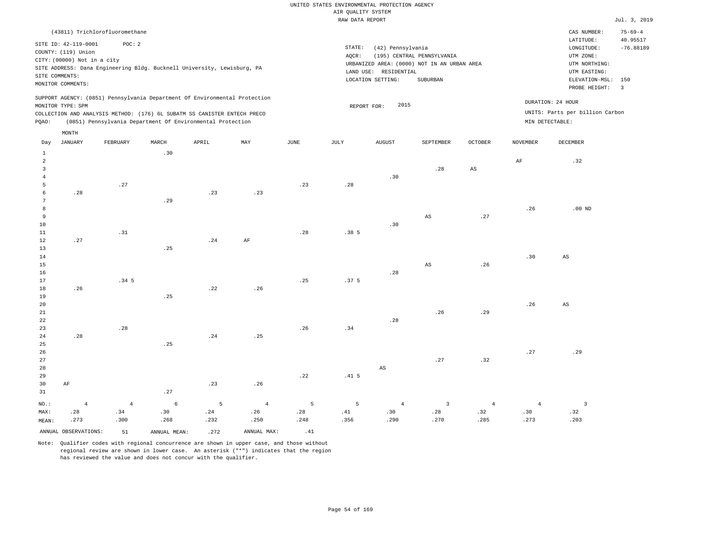| (43811) Trichlorofluoromethane<br>CAS NUMBER:<br>LATITUDE:<br>POC: 2<br>SITE ID: 42-119-0001<br>STATE:<br>(42) Pennsylvania<br>LONGITUDE:<br>COUNTY: (119) Union<br>(195) CENTRAL PENNSYLVANIA<br>AQCR:<br>UTM ZONE:              | $75 - 69 - 4$<br>40.95517<br>$-76.88189$<br>150 |
|-----------------------------------------------------------------------------------------------------------------------------------------------------------------------------------------------------------------------------------|-------------------------------------------------|
|                                                                                                                                                                                                                                   |                                                 |
| CITY: (00000) Not in a city<br>URBANIZED AREA: (0000) NOT IN AN URBAN AREA<br>UTM NORTHING:<br>SITE ADDRESS: Dana Engineering Bldg. Bucknell University, Lewisburg, PA<br>LAND USE: RESIDENTIAL<br>UTM EASTING:<br>SITE COMMENTS: |                                                 |
| LOCATION SETTING:<br>SUBURBAN<br>ELEVATION-MSL:<br>MONITOR COMMENTS:                                                                                                                                                              |                                                 |
| PROBE HEIGHT:<br>SUPPORT AGENCY: (0851) Pennsylvania Department Of Environmental Protection                                                                                                                                       | $\overline{\mathbf{3}}$                         |
| DURATION: 24 HOUR<br>2015<br>MONITOR TYPE: SPM<br>REPORT FOR:                                                                                                                                                                     |                                                 |
| UNITS: Parts per billion Carbon<br>COLLECTION AND ANALYSIS METHOD: (176) 6L SUBATM SS CANISTER ENTECH PRECO                                                                                                                       |                                                 |
| (0851) Pennsylvania Department Of Environmental Protection<br>MIN DETECTABLE:<br>PQAO:                                                                                                                                            |                                                 |
| MONTH                                                                                                                                                                                                                             |                                                 |
| <b>JANUARY</b><br>MARCH<br>APRIL<br>MAY<br>JUNE<br>JULY<br>DECEMBER<br>FEBRUARY<br><b>AUGUST</b><br>SEPTEMBER<br>OCTOBER<br>NOVEMBER<br>Day                                                                                       |                                                 |
| .30<br>$\mathbf{1}$                                                                                                                                                                                                               |                                                 |
| $\overline{a}$<br>AF<br>.32<br>3<br>.28<br>AS                                                                                                                                                                                     |                                                 |
| .30<br>$\overline{4}$                                                                                                                                                                                                             |                                                 |
| 5<br>.27<br>.23<br>.28                                                                                                                                                                                                            |                                                 |
| .23<br>.23<br>6<br>.28                                                                                                                                                                                                            |                                                 |
| 7<br>.29                                                                                                                                                                                                                          |                                                 |
| 8<br>.26<br>$.00$ ND<br>.27<br>9<br>AS                                                                                                                                                                                            |                                                 |
| 10<br>.30                                                                                                                                                                                                                         |                                                 |
| 11<br>.31<br>.28<br>.385                                                                                                                                                                                                          |                                                 |
| 12<br>.27<br>.24<br>$\rm AF$                                                                                                                                                                                                      |                                                 |
| 13<br>.25                                                                                                                                                                                                                         |                                                 |
| .30<br>14<br>$\mathbb{A}\mathbb{S}$                                                                                                                                                                                               |                                                 |
| $_{\rm AS}$<br>15<br>.26                                                                                                                                                                                                          |                                                 |
| 16<br>.28<br>.34 <sub>5</sub><br>.25<br>17<br>.37 <sub>5</sub>                                                                                                                                                                    |                                                 |
| 18<br>.26<br>.22<br>.26                                                                                                                                                                                                           |                                                 |
| 19<br>.25                                                                                                                                                                                                                         |                                                 |
| 20<br>.26<br>AS                                                                                                                                                                                                                   |                                                 |
| .26<br>.29<br>21                                                                                                                                                                                                                  |                                                 |
| .28<br>22                                                                                                                                                                                                                         |                                                 |
| .28<br>.26<br>23<br>.34<br>.25<br>24<br>.28<br>.24                                                                                                                                                                                |                                                 |
| .25<br>25                                                                                                                                                                                                                         |                                                 |
| .27<br>.29<br>26                                                                                                                                                                                                                  |                                                 |
| 27<br>.27<br>.32                                                                                                                                                                                                                  |                                                 |
| 28<br>$_{\rm AS}$                                                                                                                                                                                                                 |                                                 |
| 29<br>.22<br>.41 <sub>5</sub>                                                                                                                                                                                                     |                                                 |
| .23<br>.26<br>30<br>AF<br>.27<br>31                                                                                                                                                                                               |                                                 |
| $\epsilon$<br>NO.:<br>5<br>5<br>5<br>$\overline{3}$<br>$\overline{\mathbf{3}}$<br>$\overline{4}$<br>$\overline{4}$<br>$\overline{4}$<br>$\overline{4}$<br>$\overline{4}$<br>4                                                     |                                                 |

ANNUAL OBSERVATIONS:  $51$  ANNUAL MEAN: .272 ANNUAL MAX: .41

 .24 .232

4 .26 .250

 .28 .248

 .30 .268

MAX: MEAN:

 .28 .273

4 .34 .300

Note: Qualifier codes with regional concurrence are shown in upper case, and those without regional review are shown in lower case. An asterisk ("\*") indicates that the region has reviewed the value and does not concur with the qualifier.

 .41 .356

 .30 .290

 .28 .270  .32 .285

 .30 .273  .32 .203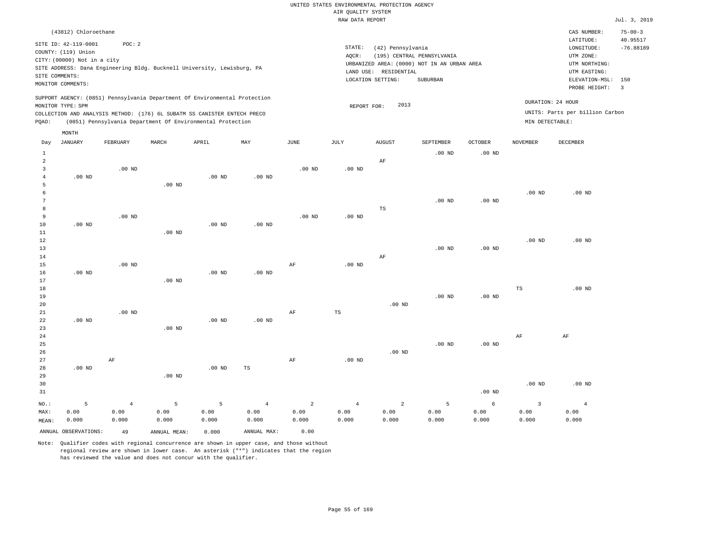| (43812) Chloroethane                                                                                                                                                                                                                               |                     |                                                                                                                                   |                                        |         |                                      | CAS NUMBER:                                                                                                  | $75 - 00 - 3$                |
|----------------------------------------------------------------------------------------------------------------------------------------------------------------------------------------------------------------------------------------------------|---------------------|-----------------------------------------------------------------------------------------------------------------------------------|----------------------------------------|---------|--------------------------------------|--------------------------------------------------------------------------------------------------------------|------------------------------|
| SITE ID: 42-119-0001<br>POC: 2<br>COUNTY: (119) Union<br>CITY: (00000) Not in a city<br>SITE ADDRESS: Dana Engineering Bldg. Bucknell University, Lewisburg, PA<br>SITE COMMENTS:<br>MONITOR COMMENTS:                                             |                     | STATE:<br>(42) Pennsylvania<br>AOCR:<br>URBANIZED AREA: (0000) NOT IN AN URBAN AREA<br>LAND USE: RESIDENTIAL<br>LOCATION SETTING: | (195) CENTRAL PENNSYLVANIA<br>SUBURBAN |         |                                      | LATITUDE:<br>LONGITUDE:<br>UTM ZONE:<br>UTM NORTHING:<br>UTM EASTING:<br>ELEVATION-MSL: 150<br>PROBE HEIGHT: | 40.95517<br>$-76.88189$<br>3 |
| SUPPORT AGENCY: (0851) Pennsylvania Department Of Environmental Protection<br>MONITOR TYPE: SPM<br>COLLECTION AND ANALYSIS METHOD: (176) 6L SUBATM SS CANISTER ENTECH PRECO<br>(0851) Pennsylvania Department Of Environmental Protection<br>POAO: |                     | 2013<br>REPORT FOR:                                                                                                               |                                        |         | DURATION: 24 HOUR<br>MIN DETECTABLE: | UNITS: Parts per billion Carbon                                                                              |                              |
| MONTH<br>MARCH<br>APRIL<br>MAY<br>JANUARY<br>FEBRUARY<br>Day                                                                                                                                                                                       | <b>JUNE</b><br>JULY | AUGUST                                                                                                                            | <b>SEPTEMBER</b>                       | OCTOBER | NOVEMBER                             | DECEMBER                                                                                                     |                              |

| MAX:<br>MEAN:       | 0.00<br>0.000     | 0.00<br>0.000  | 0.00<br>0.000 | 0.00<br>0.000 | 0.00<br>0.000     | 0.00<br>0.000  | 0.00<br>0.000     | 0.00<br>0.000  | 0.00<br>0.000 | 0.00<br>0.000 | 0.00<br>0.000           | 0.00<br>0.000  |
|---------------------|-------------------|----------------|---------------|---------------|-------------------|----------------|-------------------|----------------|---------------|---------------|-------------------------|----------------|
| $NO.$ :             | 5                 | $\overline{4}$ | 5             | 5             | $\overline{4}$    | $\overline{a}$ | $\overline{4}$    | $\overline{a}$ | 5             | $\epsilon$    | $\overline{\mathbf{3}}$ | $\overline{4}$ |
| 30<br>31            |                   |                |               |               |                   |                |                   |                |               | $.00$ ND      | $.00$ ND                | $.00$ ND       |
| 28<br>29            | $.00$ ND          |                | $.00$ ND      | $.00$ ND      | $\mathbb{TS}$     |                |                   |                |               |               |                         |                |
| 27                  |                   | $\rm AF$       |               |               |                   | $\rm{AF}$      | .00 <sub>ND</sub> |                |               |               |                         |                |
| 26                  |                   |                |               |               |                   |                |                   | $.00$ ND       |               |               |                         |                |
| 25                  |                   |                |               |               |                   |                |                   |                | $.00$ ND      | $.00$ ND      |                         |                |
| $2\,4$              |                   |                |               |               |                   |                |                   |                |               |               | $\rm{AF}$               | $\rm{AF}$      |
| 23                  |                   |                | $.00$ ND      |               |                   |                |                   |                |               |               |                         |                |
| 22                  | $.00$ ND          |                |               | $.00$ ND      | .00 <sub>ND</sub> |                |                   |                |               |               |                         |                |
| 21                  |                   | $.00$ ND       |               |               |                   | $\rm{AF}$      | $_{\rm TS}$       |                |               |               |                         |                |
| 20                  |                   |                |               |               |                   |                |                   | $.00$ ND       |               |               |                         |                |
| 19                  |                   |                |               |               |                   |                |                   |                | $.00$ ND      | $.00$ ND      |                         |                |
| 18                  |                   |                |               |               |                   |                |                   |                |               |               | $_{\rm TS}$             | $.00$ ND       |
| 17                  |                   |                | $.00$ ND      |               |                   |                |                   |                |               |               |                         |                |
| 16                  | $.00~\mathrm{ND}$ |                |               | $.00$ ND      | $.00$ ND          | $\rm{AF}$      |                   |                |               |               |                         |                |
| 14<br>15            |                   | $.00$ ND       |               |               |                   |                | $.00$ ND          | $\rm AF$       |               |               |                         |                |
| 13                  |                   |                |               |               |                   |                |                   |                | $.00$ ND      | $.00$ ND      |                         |                |
| 12                  |                   |                |               |               |                   |                |                   |                |               |               | $.00$ ND                | $.00$ ND       |
| 11                  |                   |                | $.00$ ND      |               |                   |                |                   |                |               |               |                         |                |
| 10                  | $.00$ ND          |                |               | $.00$ ND      | .00 <sub>ND</sub> |                |                   |                |               |               |                         |                |
| 9                   |                   | $.00$ ND       |               |               |                   | $.00$ ND       | .00 $ND$          |                |               |               |                         |                |
| 8                   |                   |                |               |               |                   |                |                   | TS             |               |               |                         |                |
| 7                   |                   |                |               |               |                   |                |                   |                | $.00$ ND      | $.00$ ND      |                         |                |
| $\epsilon$          |                   |                |               |               |                   |                |                   |                |               |               | $.00$ ND                | $.00$ ND       |
| $\overline{4}$<br>5 |                   |                | $.00$ ND      | $.00$ ND      | $.00$ ND          |                |                   |                |               |               |                         |                |
| $\overline{3}$      | $.00$ ND          | $.00$ ND       |               |               |                   | $.00$ ND       | $.00$ ND          |                |               |               |                         |                |
| $\overline{a}$      |                   |                |               |               |                   |                |                   | $\rm{AF}$      |               |               |                         |                |
| 1                   |                   |                |               |               |                   |                |                   |                | $.00$ ND      | $.00$ ND      |                         |                |

Note: Qualifier codes with regional concurrence are shown in upper case, and those without regional review are shown in lower case. An asterisk ("\*") indicates that the region

ANNUAL OBSERVATIONS: 49 ANNUAL MEAN: 0.000 ANNUAL MAX: 0.00

has reviewed the value and does not concur with the qualifier.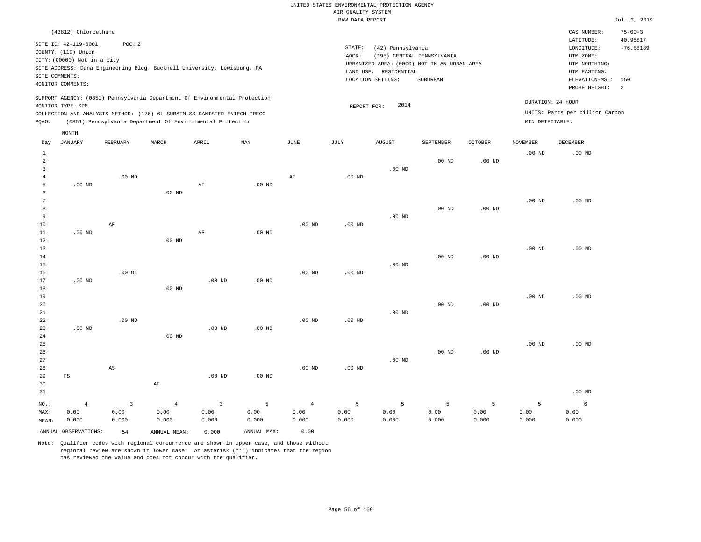|                                                |                                                                                                                   |                                          |                                                                            |                                          |                    |                                 | AIR QUALITY SYSTEM | UNITED STATES ENVIRONMENTAL PROTECTION AGENCY                   |                                                                                       |                    |                    |                                                                                                          |                                                  |
|------------------------------------------------|-------------------------------------------------------------------------------------------------------------------|------------------------------------------|----------------------------------------------------------------------------|------------------------------------------|--------------------|---------------------------------|--------------------|-----------------------------------------------------------------|---------------------------------------------------------------------------------------|--------------------|--------------------|----------------------------------------------------------------------------------------------------------|--------------------------------------------------|
|                                                |                                                                                                                   |                                          |                                                                            |                                          |                    |                                 | RAW DATA REPORT    |                                                                 |                                                                                       |                    |                    |                                                                                                          | Jul. 3, 2019                                     |
|                                                | (43812) Chloroethane                                                                                              |                                          |                                                                            |                                          |                    |                                 |                    |                                                                 |                                                                                       |                    |                    | CAS NUMBER:                                                                                              | $75 - 00 - 3$                                    |
|                                                | SITE ID: 42-119-0001<br>COUNTY: (119) Union<br>CITY: (00000) Not in a city<br>SITE COMMENTS:<br>MONITOR COMMENTS: | POC: 2                                   | SITE ADDRESS: Dana Engineering Bldg. Bucknell University, Lewisburg, PA    |                                          |                    |                                 | STATE:<br>AQCR:    | (42) Pennsylvania<br>LAND USE: RESIDENTIAL<br>LOCATION SETTING: | (195) CENTRAL PENNSYLVANIA<br>URBANIZED AREA: (0000) NOT IN AN URBAN AREA<br>SUBURBAN |                    |                    | LATITUDE:<br>LONGITUDE:<br>UTM ZONE:<br>UTM NORTHING:<br>UTM EASTING:<br>ELEVATION-MSL:<br>PROBE HEIGHT: | 40.95517<br>$-76.88189$<br>150<br>$\overline{3}$ |
|                                                | MONITOR TYPE: SPM                                                                                                 |                                          | SUPPORT AGENCY: (0851) Pennsylvania Department Of Environmental Protection |                                          |                    |                                 | REPORT FOR:        | 2014                                                            |                                                                                       |                    |                    | DURATION: 24 HOUR                                                                                        |                                                  |
|                                                |                                                                                                                   |                                          | COLLECTION AND ANALYSIS METHOD: (176) 6L SUBATM SS CANISTER ENTECH PRECO   |                                          |                    |                                 |                    |                                                                 |                                                                                       |                    |                    | UNITS: Parts per billion Carbon                                                                          |                                                  |
| PQAO:                                          |                                                                                                                   |                                          | (0851) Pennsylvania Department Of Environmental Protection                 |                                          |                    |                                 |                    |                                                                 |                                                                                       |                    | MIN DETECTABLE:    |                                                                                                          |                                                  |
|                                                | MONTH                                                                                                             |                                          |                                                                            |                                          |                    |                                 |                    |                                                                 |                                                                                       |                    |                    |                                                                                                          |                                                  |
| Day                                            | <b>JANUARY</b>                                                                                                    | FEBRUARY                                 | MARCH                                                                      | APRIL                                    | MAY                | $_{\rm JUNE}$                   | <b>JULY</b>        | <b>AUGUST</b>                                                   | SEPTEMBER                                                                             | <b>OCTOBER</b>     | <b>NOVEMBER</b>    | DECEMBER                                                                                                 |                                                  |
| $\mathbf{1}$<br>$\overline{2}$                 |                                                                                                                   |                                          |                                                                            |                                          |                    |                                 |                    |                                                                 | $.00$ ND                                                                              | .00 <sub>ND</sub>  | .00 <sub>ND</sub>  | .00 <sub>ND</sub>                                                                                        |                                                  |
| $\overline{\mathbf{3}}$<br>$\overline{4}$<br>5 | $.00$ ND                                                                                                          | $.00$ ND                                 |                                                                            | AF                                       | $.00$ ND           | $\rm{AF}$                       | $.00$ ND           | $.00$ ND                                                        |                                                                                       |                    |                    |                                                                                                          |                                                  |
| 6<br>$7\phantom{.0}$<br>8                      |                                                                                                                   |                                          | .00 <sub>ND</sub>                                                          |                                          |                    |                                 |                    |                                                                 | $.00$ ND                                                                              | .00 <sub>ND</sub>  | .00 <sub>ND</sub>  | $.00$ ND                                                                                                 |                                                  |
| 9<br>$10$<br>$1\,1$<br>12                      | $.00$ ND                                                                                                          | $\rm AF$                                 | .00 <sub>ND</sub>                                                          | AF                                       | $.00$ ND           | .00 <sub>ND</sub>               | $.00$ ND           | $.00$ ND                                                        |                                                                                       |                    |                    |                                                                                                          |                                                  |
| 13<br>14<br>15                                 |                                                                                                                   |                                          |                                                                            |                                          |                    |                                 |                    | $.00$ ND                                                        | $.00$ ND                                                                              | .00 <sub>ND</sub>  | .00 <sub>ND</sub>  | $.00$ ND                                                                                                 |                                                  |
| 16<br>17<br>18                                 | $.00$ ND                                                                                                          | $.00$ DI                                 | $.00$ ND                                                                   | $.00$ ND                                 | .00 <sub>ND</sub>  | .00 <sub>ND</sub>               | $.00$ ND           |                                                                 |                                                                                       |                    |                    |                                                                                                          |                                                  |
| 19<br>20<br>21                                 |                                                                                                                   |                                          |                                                                            |                                          |                    |                                 |                    | $.00$ ND                                                        | $.00$ ND                                                                              | .00 <sub>ND</sub>  | $.00$ ND           | $.00$ ND                                                                                                 |                                                  |
| 22<br>23<br>24                                 | $.00$ ND                                                                                                          | .00 <sub>ND</sub>                        | $.00$ ND                                                                   | .00 <sub>ND</sub>                        | $.00$ ND           | $.00$ ND                        | $.00$ ND           |                                                                 |                                                                                       |                    |                    |                                                                                                          |                                                  |
| 25<br>26<br>$2\,7$                             |                                                                                                                   |                                          |                                                                            |                                          |                    |                                 |                    | $.00$ ND                                                        | $.00$ ND                                                                              | .00 <sub>ND</sub>  | .00 <sub>ND</sub>  | .00 <sub>ND</sub>                                                                                        |                                                  |
| 28<br>29<br>30<br>31                           | TS                                                                                                                | AS                                       | $\rm AF$                                                                   | $.00$ ND                                 | $.00$ ND           | $.00$ ND                        | $.00$ ND           |                                                                 |                                                                                       |                    |                    | $.00$ ND                                                                                                 |                                                  |
| NO.:<br>MAX:<br>MEAN:                          | $\overline{4}$<br>0.00<br>0.000                                                                                   | $\overline{\mathbf{3}}$<br>0.00<br>0.000 | $\overline{4}$<br>0.00<br>0.000                                            | $\overline{\mathbf{3}}$<br>0.00<br>0.000 | 5<br>0.00<br>0.000 | $\overline{4}$<br>0.00<br>0.000 | 5<br>0.00<br>0.000 | $\overline{5}$<br>0.00<br>0.000                                 | 5<br>0.00<br>0.000                                                                    | 5<br>0.00<br>0.000 | 5<br>0.00<br>0.000 | 6<br>0.00<br>0.000                                                                                       |                                                  |
|                                                | ANNUAL OBSERVATIONS:                                                                                              | 54                                       | ANNUAL MEAN:                                                               | 0.000                                    | ANNUAL MAX:        | 0.00                            |                    |                                                                 |                                                                                       |                    |                    |                                                                                                          |                                                  |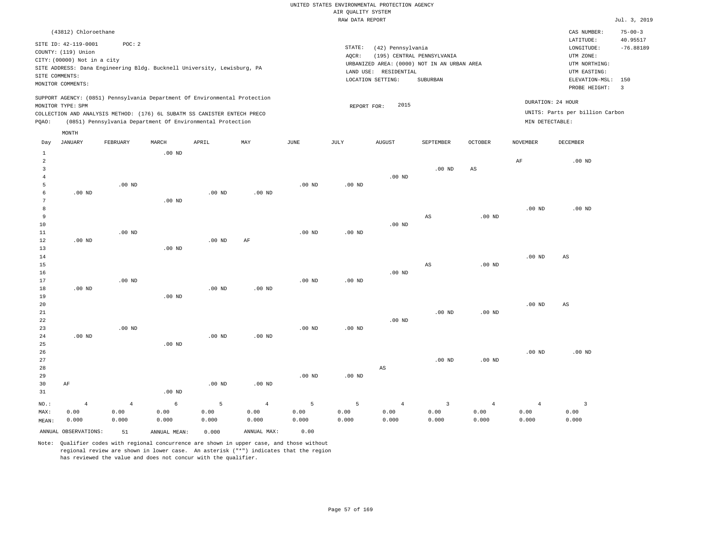|                            |                                                                                                                   |                                 |                                                                                                                                                                                                                      |                    |                                 |                    | RAW DATA REPORT    |                                                                 |                                                                                       |                                 |                                 |                                                                                                                      | Jul. 3, 2019                                     |
|----------------------------|-------------------------------------------------------------------------------------------------------------------|---------------------------------|----------------------------------------------------------------------------------------------------------------------------------------------------------------------------------------------------------------------|--------------------|---------------------------------|--------------------|--------------------|-----------------------------------------------------------------|---------------------------------------------------------------------------------------|---------------------------------|---------------------------------|----------------------------------------------------------------------------------------------------------------------|--------------------------------------------------|
|                            | (43812) Chloroethane                                                                                              |                                 |                                                                                                                                                                                                                      |                    |                                 |                    |                    |                                                                 |                                                                                       |                                 |                                 | CAS NUMBER:                                                                                                          | $75 - 00 - 3$                                    |
|                            | SITE ID: 42-119-0001<br>COUNTY: (119) Union<br>CITY: (00000) Not in a city<br>SITE COMMENTS:<br>MONITOR COMMENTS: | POC: 2                          | SITE ADDRESS: Dana Engineering Bldg. Bucknell University, Lewisburg, PA                                                                                                                                              |                    |                                 |                    | STATE:<br>AQCR:    | (42) Pennsylvania<br>LAND USE: RESIDENTIAL<br>LOCATION SETTING: | (195) CENTRAL PENNSYLVANIA<br>URBANIZED AREA: (0000) NOT IN AN URBAN AREA<br>SUBURBAN |                                 |                                 | LATITUDE:<br>$\texttt{LONGITUDE}$ :<br>UTM ZONE:<br>UTM NORTHING:<br>UTM EASTING:<br>ELEVATION-MSL:<br>PROBE HEIGHT: | 40.95517<br>$-76.88189$<br>150<br>$\overline{3}$ |
| PQAO:                      | MONITOR TYPE: SPM                                                                                                 |                                 | SUPPORT AGENCY: (0851) Pennsylvania Department Of Environmental Protection<br>COLLECTION AND ANALYSIS METHOD: (176) 6L SUBATM SS CANISTER ENTECH PRECO<br>(0851) Pennsylvania Department Of Environmental Protection |                    |                                 |                    | REPORT FOR:        | 2015                                                            |                                                                                       |                                 | MIN DETECTABLE:                 | DURATION: 24 HOUR<br>UNITS: Parts per billion Carbon                                                                 |                                                  |
|                            |                                                                                                                   |                                 |                                                                                                                                                                                                                      |                    |                                 |                    |                    |                                                                 |                                                                                       |                                 |                                 |                                                                                                                      |                                                  |
| Day                        | MONTH<br><b>JANUARY</b>                                                                                           | FEBRUARY                        | MARCH                                                                                                                                                                                                                | APRIL              | MAY                             | JUNE               | JULY               | AUGUST                                                          | SEPTEMBER                                                                             | <b>OCTOBER</b>                  | <b>NOVEMBER</b>                 | DECEMBER                                                                                                             |                                                  |
| $\mathbf{1}$<br>$\sqrt{2}$ |                                                                                                                   |                                 | .00 <sub>ND</sub>                                                                                                                                                                                                    |                    |                                 |                    |                    |                                                                 |                                                                                       |                                 | $\rm{AF}$                       | $.00$ ND                                                                                                             |                                                  |
| 3<br>$\overline{4}$        |                                                                                                                   |                                 |                                                                                                                                                                                                                      |                    |                                 |                    |                    | $.00$ ND                                                        | $.00$ ND                                                                              | AS                              |                                 |                                                                                                                      |                                                  |
| 5<br>6<br>$7\phantom{.0}$  | $.00$ ND                                                                                                          | $.00$ ND                        | $.00$ ND                                                                                                                                                                                                             | $.00$ ND           | $.00$ ND                        | $.00$ ND           | $.00$ ND           |                                                                 |                                                                                       |                                 |                                 |                                                                                                                      |                                                  |
| 8<br>9                     |                                                                                                                   |                                 |                                                                                                                                                                                                                      |                    |                                 |                    |                    |                                                                 | $_{\rm AS}$                                                                           | $.00$ ND                        | .00 <sub>ND</sub>               | $.00$ ND                                                                                                             |                                                  |
| 10<br>$11\,$<br>12         | $.00$ ND                                                                                                          | $.00$ ND                        |                                                                                                                                                                                                                      | $.00$ ND           | $\rm{AF}$                       | .00 <sub>ND</sub>  | .00 <sub>ND</sub>  | $.00$ ND                                                        |                                                                                       |                                 |                                 |                                                                                                                      |                                                  |
| 13<br>14<br>15             |                                                                                                                   |                                 | $.00$ ND                                                                                                                                                                                                             |                    |                                 |                    |                    |                                                                 | $_{\rm AS}$                                                                           | $.00$ ND                        | .00 <sub>ND</sub>               | $\mathbb{A}\mathbb{S}$                                                                                               |                                                  |
| 16<br>17<br>$18\,$         | $.00$ ND                                                                                                          | $.00$ ND                        |                                                                                                                                                                                                                      | $.00$ ND           | $.00$ ND                        | .00 <sub>ND</sub>  | $.00$ ND           | $.00$ ND                                                        |                                                                                       |                                 |                                 |                                                                                                                      |                                                  |
| 19<br>20<br>21<br>22       |                                                                                                                   |                                 | .00 <sub>ND</sub>                                                                                                                                                                                                    |                    |                                 |                    |                    | .00 <sub>ND</sub>                                               | $.00$ ND                                                                              | .00 <sub>ND</sub>               | .00 <sub>ND</sub>               | $\mathbb{A}\mathbb{S}$                                                                                               |                                                  |
| 23<br>24<br>25             | $.00$ ND                                                                                                          | $.00$ ND                        | .00 <sub>ND</sub>                                                                                                                                                                                                    | $.00$ ND           | $.00$ ND                        | .00 <sub>ND</sub>  | .00 <sub>ND</sub>  |                                                                 |                                                                                       |                                 |                                 |                                                                                                                      |                                                  |
| 26<br>27<br>28             |                                                                                                                   |                                 |                                                                                                                                                                                                                      |                    |                                 |                    |                    | $\mathbb{A}\mathbb{S}$                                          | $.00$ ND                                                                              | $.00$ ND                        | .00 <sub>ND</sub>               | $.00$ ND                                                                                                             |                                                  |
| 29<br>30<br>31             | AF                                                                                                                |                                 | .00 <sub>ND</sub>                                                                                                                                                                                                    | $.00$ ND           | $.00$ ND                        | $.00$ ND           | $.00$ ND           |                                                                 |                                                                                       |                                 |                                 |                                                                                                                      |                                                  |
| NO.:<br>MAX:<br>MEAN:      | $\overline{4}$<br>0.00<br>0.000                                                                                   | $\overline{4}$<br>0.00<br>0.000 | 6<br>0.00<br>0.000                                                                                                                                                                                                   | 5<br>0.00<br>0.000 | $\overline{4}$<br>0.00<br>0.000 | 5<br>0.00<br>0.000 | 5<br>0.00<br>0.000 | $\overline{4}$<br>0.00<br>0.000                                 | $\overline{3}$<br>0.00<br>0.000                                                       | $\overline{4}$<br>0.00<br>0.000 | $\overline{4}$<br>0.00<br>0.000 | $\overline{3}$<br>0.00<br>0.000                                                                                      |                                                  |
|                            | ANNUAL OBSERVATIONS:                                                                                              | 51                              | ANNUAL MEAN:                                                                                                                                                                                                         | 0.000              | ANNUAL MAX:                     | 0.00               |                    |                                                                 |                                                                                       |                                 |                                 |                                                                                                                      |                                                  |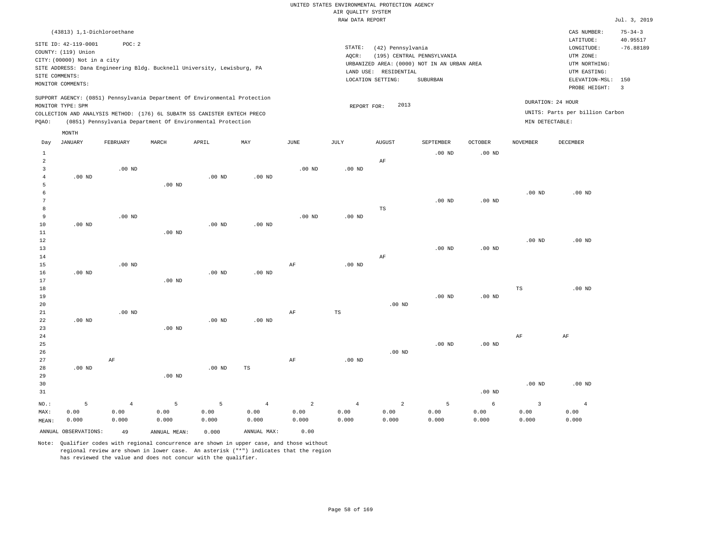|                                |                             |                                                                                                                                        |                   |                   |                   |                | RAW DATA REPORT   |                       |                                             |                   |                   |                                 | Jul. 3, 2019   |
|--------------------------------|-----------------------------|----------------------------------------------------------------------------------------------------------------------------------------|-------------------|-------------------|-------------------|----------------|-------------------|-----------------------|---------------------------------------------|-------------------|-------------------|---------------------------------|----------------|
|                                | (43813) 1,1-Dichloroethane  |                                                                                                                                        |                   |                   |                   |                |                   |                       |                                             |                   |                   | CAS NUMBER:                     | $75 - 34 - 3$  |
|                                | SITE ID: 42-119-0001        | POC: 2                                                                                                                                 |                   |                   |                   |                |                   |                       |                                             |                   |                   | LATITUDE:                       | 40.95517       |
|                                | COUNTY: (119) Union         |                                                                                                                                        |                   |                   |                   |                | STATE:            | (42) Pennsylvania     |                                             |                   |                   | LONGITUDE:                      | $-76.88189$    |
|                                | CITY: (00000) Not in a city |                                                                                                                                        |                   |                   |                   |                | AQCR:             |                       | (195) CENTRAL PENNSYLVANIA                  |                   |                   | UTM ZONE:                       |                |
|                                |                             | SITE ADDRESS: Dana Engineering Bldg. Bucknell University, Lewisburg, PA                                                                |                   |                   |                   |                |                   |                       | URBANIZED AREA: (0000) NOT IN AN URBAN AREA |                   |                   | UTM NORTHING:                   |                |
|                                | SITE COMMENTS:              |                                                                                                                                        |                   |                   |                   |                |                   | LAND USE: RESIDENTIAL |                                             |                   |                   | UTM EASTING:                    |                |
|                                | MONITOR COMMENTS:           |                                                                                                                                        |                   |                   |                   |                |                   | LOCATION SETTING:     | SUBURBAN                                    |                   |                   | ELEVATION-MSL:                  | 150            |
|                                |                             |                                                                                                                                        |                   |                   |                   |                |                   |                       |                                             |                   |                   | PROBE HEIGHT:                   | $\overline{3}$ |
|                                |                             | SUPPORT AGENCY: (0851) Pennsylvania Department Of Environmental Protection                                                             |                   |                   |                   |                |                   |                       |                                             |                   |                   | DURATION: 24 HOUR               |                |
|                                | MONITOR TYPE: SPM           |                                                                                                                                        |                   |                   |                   |                | REPORT FOR:       | 2013                  |                                             |                   |                   | UNITS: Parts per billion Carbon |                |
| PQAO:                          |                             | COLLECTION AND ANALYSIS METHOD: (176) 6L SUBATM SS CANISTER ENTECH PRECO<br>(0851) Pennsylvania Department Of Environmental Protection |                   |                   |                   |                |                   |                       |                                             |                   | MIN DETECTABLE:   |                                 |                |
|                                |                             |                                                                                                                                        |                   |                   |                   |                |                   |                       |                                             |                   |                   |                                 |                |
| Day                            | MONTH<br><b>JANUARY</b>     | FEBRUARY                                                                                                                               | MARCH             | APRIL             | MAY               | JUNE           | JULY              | <b>AUGUST</b>         | SEPTEMBER                                   | <b>OCTOBER</b>    | <b>NOVEMBER</b>   | DECEMBER                        |                |
|                                |                             |                                                                                                                                        |                   |                   |                   |                |                   |                       |                                             |                   |                   |                                 |                |
| $\mathbf{1}$<br>$\overline{a}$ |                             |                                                                                                                                        |                   |                   |                   |                |                   |                       | $.00$ ND                                    | $.00$ ND          |                   |                                 |                |
| 3                              |                             | $.00$ ND                                                                                                                               |                   |                   |                   | $.00$ ND       | $.00$ ND          | $\rm{AF}$             |                                             |                   |                   |                                 |                |
| $\overline{4}$                 | .00 <sub>ND</sub>           |                                                                                                                                        |                   | .00 <sub>ND</sub> | $.00$ ND          |                |                   |                       |                                             |                   |                   |                                 |                |
| 5                              |                             |                                                                                                                                        | $.00$ ND          |                   |                   |                |                   |                       |                                             |                   |                   |                                 |                |
| 6                              |                             |                                                                                                                                        |                   |                   |                   |                |                   |                       |                                             |                   | .00 <sub>ND</sub> | $.00$ ND                        |                |
| $\overline{7}$                 |                             |                                                                                                                                        |                   |                   |                   |                |                   |                       | $.00$ ND                                    | .00 <sub>ND</sub> |                   |                                 |                |
| 8                              |                             |                                                                                                                                        |                   |                   |                   |                |                   | $_{\rm TS}$           |                                             |                   |                   |                                 |                |
| 9                              |                             | $.00$ ND                                                                                                                               |                   |                   |                   | $.00$ ND       | .00 <sub>ND</sub> |                       |                                             |                   |                   |                                 |                |
| 10                             | $.00$ ND                    |                                                                                                                                        |                   | .00 <sub>ND</sub> | .00 <sub>ND</sub> |                |                   |                       |                                             |                   |                   |                                 |                |
| $11\,$                         |                             |                                                                                                                                        | .00 <sub>ND</sub> |                   |                   |                |                   |                       |                                             |                   |                   |                                 |                |
| 12                             |                             |                                                                                                                                        |                   |                   |                   |                |                   |                       |                                             |                   | .00 <sub>ND</sub> | $.00$ ND                        |                |
| 13                             |                             |                                                                                                                                        |                   |                   |                   |                |                   |                       | $.00$ ND                                    | .00 <sub>ND</sub> |                   |                                 |                |
| 14                             |                             |                                                                                                                                        |                   |                   |                   |                |                   | AF                    |                                             |                   |                   |                                 |                |
| 15                             |                             | $.00$ ND                                                                                                                               |                   |                   |                   | AF             | $.00$ ND          |                       |                                             |                   |                   |                                 |                |
| 16                             | $.00$ ND                    |                                                                                                                                        |                   | $.00$ ND          | $.00$ ND          |                |                   |                       |                                             |                   |                   |                                 |                |
| $17$                           |                             |                                                                                                                                        | .00 <sub>ND</sub> |                   |                   |                |                   |                       |                                             |                   |                   |                                 |                |
| 18                             |                             |                                                                                                                                        |                   |                   |                   |                |                   |                       |                                             |                   | $_{\rm TS}$       | .00 <sub>ND</sub>               |                |
| 19                             |                             |                                                                                                                                        |                   |                   |                   |                |                   |                       | $.00$ ND                                    | .00 <sub>ND</sub> |                   |                                 |                |
| 20                             |                             |                                                                                                                                        |                   |                   |                   |                |                   | $.00$ ND              |                                             |                   |                   |                                 |                |
| 21                             |                             | $.00$ ND                                                                                                                               |                   |                   |                   | $\rm{AF}$      | $_{\rm TS}$       |                       |                                             |                   |                   |                                 |                |
| 22                             | $.00$ ND                    |                                                                                                                                        |                   | $.00$ ND          | $.00$ ND          |                |                   |                       |                                             |                   |                   |                                 |                |
| 23                             |                             |                                                                                                                                        | $.00$ ND          |                   |                   |                |                   |                       |                                             |                   |                   |                                 |                |
| 24                             |                             |                                                                                                                                        |                   |                   |                   |                |                   |                       |                                             |                   | AF                | AF                              |                |
| 25<br>26                       |                             |                                                                                                                                        |                   |                   |                   |                |                   | $.00$ ND              | $.00$ ND                                    | .00 <sub>ND</sub> |                   |                                 |                |
| 27                             |                             |                                                                                                                                        |                   |                   |                   |                |                   |                       |                                             |                   |                   |                                 |                |
| 28                             | $.00$ ND                    | AF                                                                                                                                     |                   | $.00$ ND          | TS                | AF             | $.00$ ND          |                       |                                             |                   |                   |                                 |                |
| 29                             |                             |                                                                                                                                        | .00 <sub>ND</sub> |                   |                   |                |                   |                       |                                             |                   |                   |                                 |                |
| 30                             |                             |                                                                                                                                        |                   |                   |                   |                |                   |                       |                                             |                   | .00 <sub>ND</sub> | $.00$ ND                        |                |
| 31                             |                             |                                                                                                                                        |                   |                   |                   |                |                   |                       |                                             | .00 <sub>ND</sub> |                   |                                 |                |
| NO.:                           | 5                           | $\overline{4}$                                                                                                                         | 5                 | 5                 | $\overline{4}$    | $\overline{a}$ | $\overline{4}$    | $\overline{a}$        | 5                                           | 6                 | 3                 | $\overline{4}$                  |                |
| MAX:                           | 0.00                        | 0.00                                                                                                                                   | 0.00              | 0.00              | 0.00              | 0.00           | 0.00              | 0.00                  | 0.00                                        | 0.00              | 0.00              | 0.00                            |                |
| MEAN:                          | 0.000                       | 0.000                                                                                                                                  | 0.000             | 0.000             | 0.000             | 0.000          | 0.000             | 0.000                 | 0.000                                       | 0.000             | 0.000             | 0.000                           |                |

Note: Qualifier codes with regional concurrence are shown in upper case, and those without regional review are shown in lower case. An asterisk ("\*") indicates that the region has reviewed the value and does not concur with the qualifier.

ANNUAL OBSERVATIONS: 49 ANNUAL MEAN: 0.000 ANNUAL MAX: 0.00

MEAN: 0.000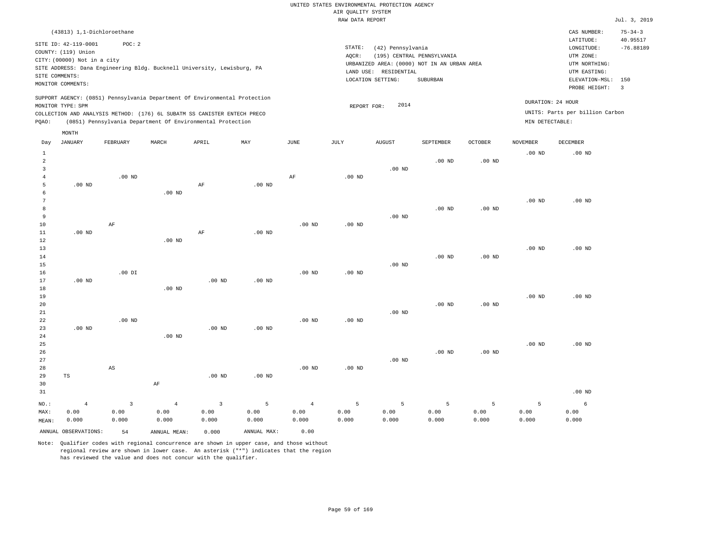|                |                                                                                                                   |                        |                                                                            |                         |               |                   | ----- ------ ---- ---- |                                                                 |                                                                                       |                   |                   |                                                                                                              | ------                                    |
|----------------|-------------------------------------------------------------------------------------------------------------------|------------------------|----------------------------------------------------------------------------|-------------------------|---------------|-------------------|------------------------|-----------------------------------------------------------------|---------------------------------------------------------------------------------------|-------------------|-------------------|--------------------------------------------------------------------------------------------------------------|-------------------------------------------|
|                | (43813) 1,1-Dichloroethane                                                                                        |                        |                                                                            |                         |               |                   |                        |                                                                 |                                                                                       |                   |                   | CAS NUMBER:                                                                                                  | $75 - 34 - 3$                             |
|                | SITE ID: 42-119-0001<br>COUNTY: (119) Union<br>CITY: (00000) Not in a city<br>SITE COMMENTS:<br>MONITOR COMMENTS: | POC: 2                 | SITE ADDRESS: Dana Engineering Bldg. Bucknell University, Lewisburg, PA    |                         |               |                   | STATE:<br>AQCR:        | (42) Pennsylvania<br>LAND USE: RESIDENTIAL<br>LOCATION SETTING: | (195) CENTRAL PENNSYLVANIA<br>URBANIZED AREA: (0000) NOT IN AN URBAN AREA<br>SUBURBAN |                   |                   | LATITUDE:<br>LONGITUDE:<br>UTM ZONE:<br>UTM NORTHING:<br>UTM EASTING:<br>ELEVATION-MSL: 150<br>PROBE HEIGHT: | 40.95517<br>$-76.88189$<br>$\overline{3}$ |
|                |                                                                                                                   |                        | SUPPORT AGENCY: (0851) Pennsylvania Department Of Environmental Protection |                         |               |                   |                        |                                                                 |                                                                                       |                   | DURATION: 24 HOUR |                                                                                                              |                                           |
|                | MONITOR TYPE: SPM                                                                                                 |                        | COLLECTION AND ANALYSIS METHOD: (176) 6L SUBATM SS CANISTER ENTECH PRECO   |                         |               |                   | REPORT FOR:            | 2014                                                            |                                                                                       |                   |                   | UNITS: Parts per billion Carbon                                                                              |                                           |
| PQAO:          |                                                                                                                   |                        | (0851) Pennsylvania Department Of Environmental Protection                 |                         |               |                   |                        |                                                                 |                                                                                       |                   | MIN DETECTABLE:   |                                                                                                              |                                           |
|                | MONTH                                                                                                             |                        |                                                                            |                         |               |                   |                        |                                                                 |                                                                                       |                   |                   |                                                                                                              |                                           |
| Day            | <b>JANUARY</b>                                                                                                    | FEBRUARY               | MARCH                                                                      | APRIL                   | MAY           | JUNE              | JULY                   | <b>AUGUST</b>                                                   | SEPTEMBER                                                                             | OCTOBER           | NOVEMBER          | DECEMBER                                                                                                     |                                           |
| $\mathbf{1}$   |                                                                                                                   |                        |                                                                            |                         |               |                   |                        |                                                                 |                                                                                       |                   | $.00$ ND          | .00 <sub>ND</sub>                                                                                            |                                           |
| $\overline{a}$ |                                                                                                                   |                        |                                                                            |                         |               |                   |                        |                                                                 | .00 <sub>ND</sub>                                                                     | $.00$ ND          |                   |                                                                                                              |                                           |
| 3              |                                                                                                                   |                        |                                                                            |                         |               |                   |                        | $.00$ ND                                                        |                                                                                       |                   |                   |                                                                                                              |                                           |
| $\overline{4}$ |                                                                                                                   | $.00$ ND               |                                                                            |                         |               | AF                | $.00$ ND               |                                                                 |                                                                                       |                   |                   |                                                                                                              |                                           |
| 5<br>6         | $.00$ ND                                                                                                          |                        | $.00$ ND                                                                   | AF                      | $.00$ ND      |                   |                        |                                                                 |                                                                                       |                   |                   |                                                                                                              |                                           |
| 7              |                                                                                                                   |                        |                                                                            |                         |               |                   |                        |                                                                 |                                                                                       |                   | $.00$ ND          | $.00$ ND                                                                                                     |                                           |
| 8              |                                                                                                                   |                        |                                                                            |                         |               |                   |                        |                                                                 | $.00$ ND                                                                              | $.00$ ND          |                   |                                                                                                              |                                           |
| 9              |                                                                                                                   |                        |                                                                            |                         |               |                   |                        | $.00$ ND                                                        |                                                                                       |                   |                   |                                                                                                              |                                           |
| $10$           |                                                                                                                   | $\rm{AF}$              |                                                                            |                         |               | .00 <sub>ND</sub> | .00 <sub>ND</sub>      |                                                                 |                                                                                       |                   |                   |                                                                                                              |                                           |
| $11\,$         | $.00$ ND                                                                                                          |                        |                                                                            | $\rm AF$                | $.00$ ND      |                   |                        |                                                                 |                                                                                       |                   |                   |                                                                                                              |                                           |
| $1\,2$         |                                                                                                                   |                        | $.00$ ND                                                                   |                         |               |                   |                        |                                                                 |                                                                                       |                   |                   |                                                                                                              |                                           |
| 13<br>14       |                                                                                                                   |                        |                                                                            |                         |               |                   |                        |                                                                 | $.00$ ND                                                                              | .00 <sub>ND</sub> | $.00$ ND          | $.00$ ND                                                                                                     |                                           |
| 15             |                                                                                                                   |                        |                                                                            |                         |               |                   |                        | $.00$ ND                                                        |                                                                                       |                   |                   |                                                                                                              |                                           |
| 16             |                                                                                                                   | $.00$ DI               |                                                                            |                         |               | .00 <sub>ND</sub> | $.00$ ND               |                                                                 |                                                                                       |                   |                   |                                                                                                              |                                           |
| 17             | $.00$ ND                                                                                                          |                        |                                                                            | $.00$ ND                | $.00$ ND      |                   |                        |                                                                 |                                                                                       |                   |                   |                                                                                                              |                                           |
| 18             |                                                                                                                   |                        | .00 <sub>ND</sub>                                                          |                         |               |                   |                        |                                                                 |                                                                                       |                   |                   |                                                                                                              |                                           |
| 19             |                                                                                                                   |                        |                                                                            |                         |               |                   |                        |                                                                 |                                                                                       |                   | .00 <sub>ND</sub> | $.00$ ND                                                                                                     |                                           |
| 20             |                                                                                                                   |                        |                                                                            |                         |               |                   |                        |                                                                 | $.00$ ND                                                                              | .00 <sub>ND</sub> |                   |                                                                                                              |                                           |
| 21<br>22       |                                                                                                                   | $.00$ ND               |                                                                            |                         |               | $.00$ ND          | $.00$ ND               | $.00$ ND                                                        |                                                                                       |                   |                   |                                                                                                              |                                           |
| 23             | $.00$ ND                                                                                                          |                        |                                                                            | .00 <sub>ND</sub>       | $.00$ ND      |                   |                        |                                                                 |                                                                                       |                   |                   |                                                                                                              |                                           |
| 24             |                                                                                                                   |                        | $.00$ ND                                                                   |                         |               |                   |                        |                                                                 |                                                                                       |                   |                   |                                                                                                              |                                           |
| 25             |                                                                                                                   |                        |                                                                            |                         |               |                   |                        |                                                                 |                                                                                       |                   | .00 <sub>ND</sub> | .00 <sub>ND</sub>                                                                                            |                                           |
| 26             |                                                                                                                   |                        |                                                                            |                         |               |                   |                        |                                                                 | $.00$ ND                                                                              | $.00$ ND          |                   |                                                                                                              |                                           |
| 27             |                                                                                                                   |                        |                                                                            |                         |               |                   |                        | $.00$ ND                                                        |                                                                                       |                   |                   |                                                                                                              |                                           |
| 28             |                                                                                                                   | $\mathbb{A}\mathbb{S}$ |                                                                            |                         |               | .00 <sub>ND</sub> | .00 <sub>ND</sub>      |                                                                 |                                                                                       |                   |                   |                                                                                                              |                                           |
| 29<br>30       | $_{\rm TS}$                                                                                                       |                        | $\rm AF$                                                                   | .00 <sub>ND</sub>       | $.00$ ND      |                   |                        |                                                                 |                                                                                       |                   |                   |                                                                                                              |                                           |
| 31             |                                                                                                                   |                        |                                                                            |                         |               |                   |                        |                                                                 |                                                                                       |                   |                   | $.00$ ND                                                                                                     |                                           |
|                |                                                                                                                   |                        |                                                                            |                         |               |                   |                        |                                                                 |                                                                                       |                   |                   |                                                                                                              |                                           |
| NO.:           | $\overline{4}$                                                                                                    | $\overline{3}$         | $\overline{4}$                                                             | $\overline{\mathbf{3}}$ | 5             | $\overline{4}$    | 5                      | 5                                                               | 5                                                                                     | 5                 | 5                 | 6                                                                                                            |                                           |
| MAX:<br>MEAN:  | 0.00<br>0.000                                                                                                     | 0.00<br>0.000          | 0.00<br>0.000                                                              | 0.00<br>0.000           | 0.00<br>0.000 | 0.00<br>0.000     | 0.00<br>0.000          | 0.00<br>0.000                                                   | 0.00<br>0.000                                                                         | 0.00<br>0.000     | 0.00<br>0.000     | 0.00<br>0.000                                                                                                |                                           |
|                |                                                                                                                   |                        |                                                                            |                         |               |                   |                        |                                                                 |                                                                                       |                   |                   |                                                                                                              |                                           |
|                | ANNUAL OBSERVATIONS:                                                                                              | 54                     | ANNUAL MEAN:                                                               | 0.000                   | ANNUAL MAX:   | 0.00              |                        |                                                                 |                                                                                       |                   |                   |                                                                                                              |                                           |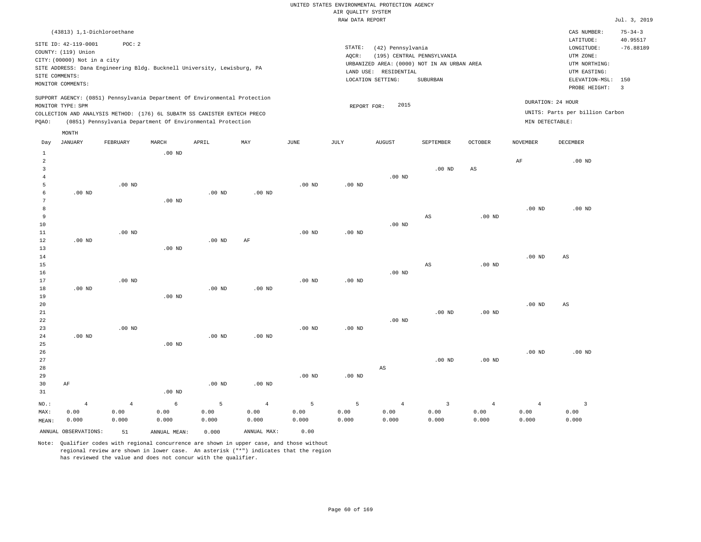|                         |                             |                |                                                                            |                   |                   |                   | <br>Rosmers nensen<br>RAW DATA REPORT |                        |                                             |                   |                   |                                 | Jul. 3, 2019   |
|-------------------------|-----------------------------|----------------|----------------------------------------------------------------------------|-------------------|-------------------|-------------------|---------------------------------------|------------------------|---------------------------------------------|-------------------|-------------------|---------------------------------|----------------|
|                         | (43813) 1,1-Dichloroethane  |                |                                                                            |                   |                   |                   |                                       |                        |                                             |                   |                   | CAS NUMBER:                     | $75 - 34 - 3$  |
|                         |                             |                |                                                                            |                   |                   |                   |                                       |                        |                                             |                   |                   | LATITUDE:                       | 40.95517       |
|                         | SITE ID: 42-119-0001        | POC: 2         |                                                                            |                   |                   |                   | STATE:                                | (42) Pennsylvania      |                                             |                   |                   | LONGITUDE:                      | $-76.88189$    |
|                         | COUNTY: (119) Union         |                |                                                                            |                   |                   |                   | AQCR:                                 |                        | (195) CENTRAL PENNSYLVANIA                  |                   |                   | UTM ZONE:                       |                |
|                         | CITY: (00000) Not in a city |                |                                                                            |                   |                   |                   |                                       |                        | URBANIZED AREA: (0000) NOT IN AN URBAN AREA |                   |                   | UTM NORTHING:                   |                |
|                         |                             |                | SITE ADDRESS: Dana Engineering Bldg. Bucknell University, Lewisburg, PA    |                   |                   |                   |                                       | LAND USE: RESIDENTIAL  |                                             |                   |                   | UTM EASTING:                    |                |
| SITE COMMENTS:          | MONITOR COMMENTS:           |                |                                                                            |                   |                   |                   |                                       | LOCATION SETTING:      | SUBURBAN                                    |                   |                   | ELEVATION-MSL:                  | 150            |
|                         |                             |                |                                                                            |                   |                   |                   |                                       |                        |                                             |                   |                   | PROBE HEIGHT:                   | $\overline{3}$ |
|                         |                             |                | SUPPORT AGENCY: (0851) Pennsylvania Department Of Environmental Protection |                   |                   |                   |                                       |                        |                                             |                   |                   | DURATION: 24 HOUR               |                |
|                         | MONITOR TYPE: SPM           |                |                                                                            |                   |                   |                   | REPORT FOR:                           | 2015                   |                                             |                   |                   |                                 |                |
|                         |                             |                | COLLECTION AND ANALYSIS METHOD: (176) 6L SUBATM SS CANISTER ENTECH PRECO   |                   |                   |                   |                                       |                        |                                             |                   |                   | UNITS: Parts per billion Carbon |                |
| PQAO:                   |                             |                | (0851) Pennsylvania Department Of Environmental Protection                 |                   |                   |                   |                                       |                        |                                             |                   | MIN DETECTABLE:   |                                 |                |
|                         | MONTH                       |                |                                                                            |                   |                   |                   |                                       |                        |                                             |                   |                   |                                 |                |
| Day                     | JANUARY                     | FEBRUARY       | MARCH                                                                      | APRIL             | MAY               | $_{\rm JUNE}$     | JULY                                  | AUGUST                 | SEPTEMBER                                   | <b>OCTOBER</b>    | <b>NOVEMBER</b>   | DECEMBER                        |                |
| $\mathbf{1}$            |                             |                | $.00$ ND                                                                   |                   |                   |                   |                                       |                        |                                             |                   |                   |                                 |                |
| $\overline{2}$          |                             |                |                                                                            |                   |                   |                   |                                       |                        |                                             |                   | AF                | $.00$ ND                        |                |
| $\overline{\mathbf{3}}$ |                             |                |                                                                            |                   |                   |                   |                                       |                        | $.00$ ND                                    | $_{\rm AS}$       |                   |                                 |                |
| $\overline{4}$          |                             |                |                                                                            |                   |                   |                   |                                       | $.00$ ND               |                                             |                   |                   |                                 |                |
| 5                       |                             | $.00$ ND       |                                                                            |                   |                   | $.00$ ND          | $.00$ ND                              |                        |                                             |                   |                   |                                 |                |
| 6<br>7                  | $.00$ ND                    |                |                                                                            | $.00$ ND          | $.00$ ND          |                   |                                       |                        |                                             |                   |                   |                                 |                |
| 8                       |                             |                | $.00$ ND                                                                   |                   |                   |                   |                                       |                        |                                             |                   | .00 <sub>ND</sub> | $.00$ ND                        |                |
| 9                       |                             |                |                                                                            |                   |                   |                   |                                       |                        | AS                                          | .00 <sub>ND</sub> |                   |                                 |                |
| 10                      |                             |                |                                                                            |                   |                   |                   |                                       | $.00$ ND               |                                             |                   |                   |                                 |                |
| 11                      |                             | $.00$ ND       |                                                                            |                   |                   | $.00$ ND          | $.00$ ND                              |                        |                                             |                   |                   |                                 |                |
| 12                      | $.00$ ND                    |                |                                                                            | .00 <sub>ND</sub> | AF                |                   |                                       |                        |                                             |                   |                   |                                 |                |
| 13                      |                             |                | $.00$ ND                                                                   |                   |                   |                   |                                       |                        |                                             |                   |                   |                                 |                |
| 14                      |                             |                |                                                                            |                   |                   |                   |                                       |                        |                                             |                   | .00 <sub>ND</sub> | AS                              |                |
| 15                      |                             |                |                                                                            |                   |                   |                   |                                       |                        | AS                                          | .00 <sub>ND</sub> |                   |                                 |                |
| 16                      |                             |                |                                                                            |                   |                   |                   |                                       | .00 <sub>ND</sub>      |                                             |                   |                   |                                 |                |
| 17                      |                             | $.00$ ND       |                                                                            |                   |                   | .00 <sub>ND</sub> | $.00$ ND                              |                        |                                             |                   |                   |                                 |                |
| 18<br>19                | $.00$ ND                    |                | $.00$ ND                                                                   | .00 <sub>ND</sub> | $.00$ ND          |                   |                                       |                        |                                             |                   |                   |                                 |                |
| 20                      |                             |                |                                                                            |                   |                   |                   |                                       |                        |                                             |                   | $.00$ ND          | $_{\rm AS}$                     |                |
| 21                      |                             |                |                                                                            |                   |                   |                   |                                       |                        | .00 <sub>ND</sub>                           | .00 <sub>ND</sub> |                   |                                 |                |
| 22                      |                             |                |                                                                            |                   |                   |                   |                                       | $.00$ ND               |                                             |                   |                   |                                 |                |
| 23                      |                             | $.00$ ND       |                                                                            |                   |                   | .00 <sub>ND</sub> | $.00$ ND                              |                        |                                             |                   |                   |                                 |                |
| 24                      | $.00$ ND                    |                |                                                                            | .00 <sub>ND</sub> | .00 <sub>ND</sub> |                   |                                       |                        |                                             |                   |                   |                                 |                |
| 25                      |                             |                | .00 <sub>ND</sub>                                                          |                   |                   |                   |                                       |                        |                                             |                   |                   |                                 |                |
| 26                      |                             |                |                                                                            |                   |                   |                   |                                       |                        |                                             |                   | .00 <sub>ND</sub> | $.00$ ND                        |                |
| 27                      |                             |                |                                                                            |                   |                   |                   |                                       |                        | $.00$ ND                                    | .00 <sub>ND</sub> |                   |                                 |                |
| 28                      |                             |                |                                                                            |                   |                   |                   |                                       | $\mathbb{A}\mathbb{S}$ |                                             |                   |                   |                                 |                |
| 29                      |                             |                |                                                                            | $.00$ ND          | $.00$ ND          | .00 <sub>ND</sub> | $.00$ ND                              |                        |                                             |                   |                   |                                 |                |
| 30<br>31                | AF                          |                | $.00$ ND                                                                   |                   |                   |                   |                                       |                        |                                             |                   |                   |                                 |                |
|                         |                             |                |                                                                            |                   |                   |                   |                                       |                        |                                             |                   |                   |                                 |                |
| NO.:                    | $\overline{4}$              | $\overline{4}$ | 6                                                                          | 5                 | $\overline{4}$    | 5                 | 5                                     | $\overline{4}$         | $\overline{3}$                              | $\overline{4}$    | $\overline{4}$    | $\overline{3}$                  |                |
| MAX:                    | 0.00                        | 0.00<br>0.000  | 0.00                                                                       | 0.00<br>0.000     | 0.00              | 0.00<br>0.000     | 0.00<br>0.000                         | 0.00<br>0.000          | 0.00<br>0.000                               | 0.00<br>0.000     | 0.00<br>0.000     | 0.00<br>0.000                   |                |
| MEAN:                   | 0.000                       |                | 0.000                                                                      |                   | 0.000             |                   |                                       |                        |                                             |                   |                   |                                 |                |
|                         | ANNUAL OBSERVATIONS:        | 51             | ANNUAL MEAN:                                                               | 0.000             | ANNUAL MAX:       | 0.00              |                                       |                        |                                             |                   |                   |                                 |                |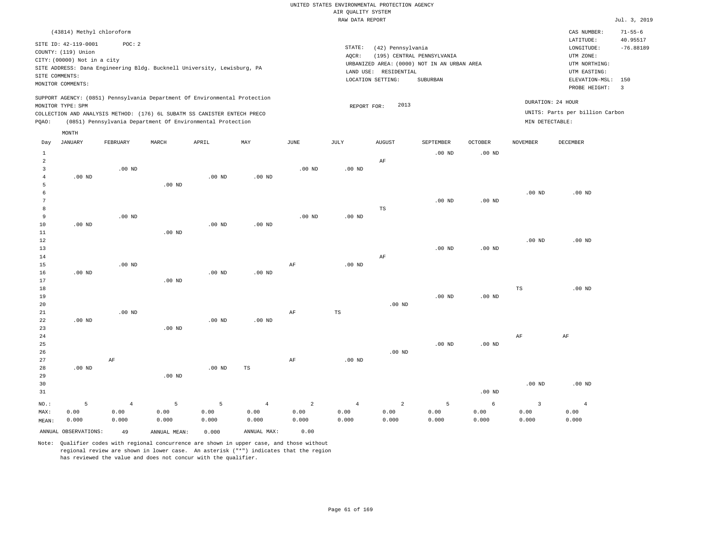|                |                                                                                                                   |                                                                                   |                   |                   |                   |                   | RAW DATA REPORT |                                                                                                                                              |                   |                   |                   |                                                                                             | Jul. 3, 2019                                   |
|----------------|-------------------------------------------------------------------------------------------------------------------|-----------------------------------------------------------------------------------|-------------------|-------------------|-------------------|-------------------|-----------------|----------------------------------------------------------------------------------------------------------------------------------------------|-------------------|-------------------|-------------------|---------------------------------------------------------------------------------------------|------------------------------------------------|
|                | (43814) Methyl chloroform                                                                                         |                                                                                   |                   |                   |                   |                   |                 |                                                                                                                                              |                   |                   |                   | CAS NUMBER:<br>LATITUDE:                                                                    | $71 - 55 - 6$<br>40.95517                      |
|                | SITE ID: 42-119-0001<br>COUNTY: (119) Union<br>CITY: (00000) Not in a city<br>SITE COMMENTS:<br>MONITOR COMMENTS: | POC: 2<br>SITE ADDRESS: Dana Engineering Bldg. Bucknell University, Lewisburg, PA |                   |                   |                   |                   | STATE:<br>AOCR: | (42) Pennsylvania<br>(195) CENTRAL PENNSYLVANIA<br>URBANIZED AREA: (0000) NOT IN AN URBAN AREA<br>LAND USE: RESIDENTIAL<br>LOCATION SETTING: | SUBURBAN          |                   |                   | LONGITUDE:<br>UTM ZONE:<br>UTM NORTHING:<br>UTM EASTING:<br>ELEVATION-MSL:<br>PROBE HEIGHT: | $-76.88189$<br>150<br>$\overline{\phantom{a}}$ |
|                |                                                                                                                   | SUPPORT AGENCY: (0851) Pennsylvania Department Of Environmental Protection        |                   |                   |                   |                   |                 |                                                                                                                                              |                   |                   | DURATION: 24 HOUR |                                                                                             |                                                |
|                | MONITOR TYPE: SPM                                                                                                 |                                                                                   |                   |                   |                   |                   |                 | 2013<br>REPORT FOR:                                                                                                                          |                   |                   |                   | UNITS: Parts per billion Carbon                                                             |                                                |
|                |                                                                                                                   | COLLECTION AND ANALYSIS METHOD: (176) 6L SUBATM SS CANISTER ENTECH PRECO          |                   |                   |                   |                   |                 |                                                                                                                                              |                   |                   |                   |                                                                                             |                                                |
| POAO:          |                                                                                                                   | (0851) Pennsylvania Department Of Environmental Protection                        |                   |                   |                   |                   |                 |                                                                                                                                              |                   |                   | MIN DETECTABLE:   |                                                                                             |                                                |
|                | MONTH                                                                                                             |                                                                                   |                   |                   |                   |                   |                 |                                                                                                                                              |                   |                   |                   |                                                                                             |                                                |
| Day            | <b>JANUARY</b>                                                                                                    | FEBRUARY                                                                          | MARCH             | APRIL             | MAY               | JUNE              | JULY            | <b>AUGUST</b>                                                                                                                                | SEPTEMBER         | <b>OCTOBER</b>    | <b>NOVEMBER</b>   | DECEMBER                                                                                    |                                                |
| $\mathbf{1}$   |                                                                                                                   |                                                                                   |                   |                   |                   |                   |                 |                                                                                                                                              | $.00$ ND          | .00 <sub>ND</sub> |                   |                                                                                             |                                                |
| $\overline{a}$ |                                                                                                                   |                                                                                   |                   |                   |                   |                   |                 | AF                                                                                                                                           |                   |                   |                   |                                                                                             |                                                |
| 3              |                                                                                                                   | $.00$ ND                                                                          |                   |                   |                   | .00 <sub>ND</sub> | $.00$ ND        |                                                                                                                                              |                   |                   |                   |                                                                                             |                                                |
|                | $.00$ ND                                                                                                          |                                                                                   |                   | .00 <sub>ND</sub> | .00 <sub>ND</sub> |                   |                 |                                                                                                                                              |                   |                   |                   |                                                                                             |                                                |
|                |                                                                                                                   |                                                                                   | $.00$ ND          |                   |                   |                   |                 |                                                                                                                                              |                   |                   |                   |                                                                                             |                                                |
|                |                                                                                                                   |                                                                                   |                   |                   |                   |                   |                 |                                                                                                                                              |                   |                   | .00 <sub>ND</sub> | $.00$ ND                                                                                    |                                                |
|                |                                                                                                                   |                                                                                   |                   |                   |                   |                   |                 |                                                                                                                                              | $.00$ ND          | $.00$ ND          |                   |                                                                                             |                                                |
| 8              |                                                                                                                   |                                                                                   |                   |                   |                   |                   |                 | TS                                                                                                                                           |                   |                   |                   |                                                                                             |                                                |
| 9              |                                                                                                                   | $.00$ ND                                                                          |                   |                   |                   | $.00$ ND          | $.00$ ND        |                                                                                                                                              |                   |                   |                   |                                                                                             |                                                |
| 10             | $.00$ ND                                                                                                          |                                                                                   |                   | $.00$ ND          | $.00$ ND          |                   |                 |                                                                                                                                              |                   |                   |                   |                                                                                             |                                                |
| 11             |                                                                                                                   |                                                                                   | $.00$ ND          |                   |                   |                   |                 |                                                                                                                                              |                   |                   |                   |                                                                                             |                                                |
| 12             |                                                                                                                   |                                                                                   |                   |                   |                   |                   |                 |                                                                                                                                              |                   |                   | .00 <sub>ND</sub> | $.00$ ND                                                                                    |                                                |
| 13             |                                                                                                                   |                                                                                   |                   |                   |                   |                   |                 |                                                                                                                                              | $.00$ ND          | .00 <sub>ND</sub> |                   |                                                                                             |                                                |
| 14             |                                                                                                                   |                                                                                   |                   |                   |                   |                   |                 | AF                                                                                                                                           |                   |                   |                   |                                                                                             |                                                |
| 15             |                                                                                                                   | $.00$ ND                                                                          |                   |                   |                   | AF                | $.00$ ND        |                                                                                                                                              |                   |                   |                   |                                                                                             |                                                |
| 16             | $.00$ ND                                                                                                          |                                                                                   |                   | $.00$ ND          | $.00$ ND          |                   |                 |                                                                                                                                              |                   |                   |                   |                                                                                             |                                                |
| 17             |                                                                                                                   |                                                                                   | .00 <sub>ND</sub> |                   |                   |                   |                 |                                                                                                                                              |                   |                   |                   |                                                                                             |                                                |
| 18             |                                                                                                                   |                                                                                   |                   |                   |                   |                   |                 |                                                                                                                                              |                   |                   | $_{\rm TS}$       | $.00$ ND                                                                                    |                                                |
| 19             |                                                                                                                   |                                                                                   |                   |                   |                   |                   |                 |                                                                                                                                              | .00 <sub>ND</sub> | .00 <sub>ND</sub> |                   |                                                                                             |                                                |
| 20             |                                                                                                                   |                                                                                   |                   |                   |                   |                   |                 | $.00$ ND                                                                                                                                     |                   |                   |                   |                                                                                             |                                                |

| $2\sqrt{1}$ |          | $.00$ ND       |          |          |                | AF | TS |                |          |          |          |          |                |
|-------------|----------|----------------|----------|----------|----------------|----|----|----------------|----------|----------|----------|----------|----------------|
| $2\sqrt{2}$ | $.00$ ND |                |          | $.00$ ND | $.00$ ND       |    |    |                |          |          |          |          |                |
| 23          |          |                | $.00$ ND |          |                |    |    |                |          |          |          |          |                |
| 24          |          |                |          |          |                |    |    |                |          |          |          | AF       | AF             |
| 25          |          |                |          |          |                |    |    |                |          | $.00$ ND | $.00$ ND |          |                |
| 26          |          |                |          |          |                |    |    |                | $.00$ ND |          |          |          |                |
| 27          |          | AF             |          |          |                | AF |    | $.00$ ND       |          |          |          |          |                |
| 28          | $.00$ ND |                |          | $.00$ ND | TS             |    |    |                |          |          |          |          |                |
| 29          |          |                | $.00$ ND |          |                |    |    |                |          |          |          |          |                |
| 30          |          |                |          |          |                |    |    |                |          |          |          | $.00$ ND | $.00$ ND       |
| 31          |          |                |          |          |                |    |    |                |          |          | $.00$ ND |          |                |
| NO.:        | 5        | $\overline{4}$ | 5        | 5        | $\overline{4}$ |    | 2  | $\overline{4}$ | 2        | 5        | 6        | 3        | $\overline{4}$ |

MAX: MEAN: 0.00 0.000 0.00 0.000 0.00 0.000 0.00 0.000 0.00 0.000 0.00 0.000 0.00 0.000 0.00 0.000 0.00 0.000 0.00 0.000 0.00 0.000 0.00 0.000 ANNUAL OBSERVATIONS: 49 ANNUAL MEAN: 0.000 ANNUAL MAX: 0.00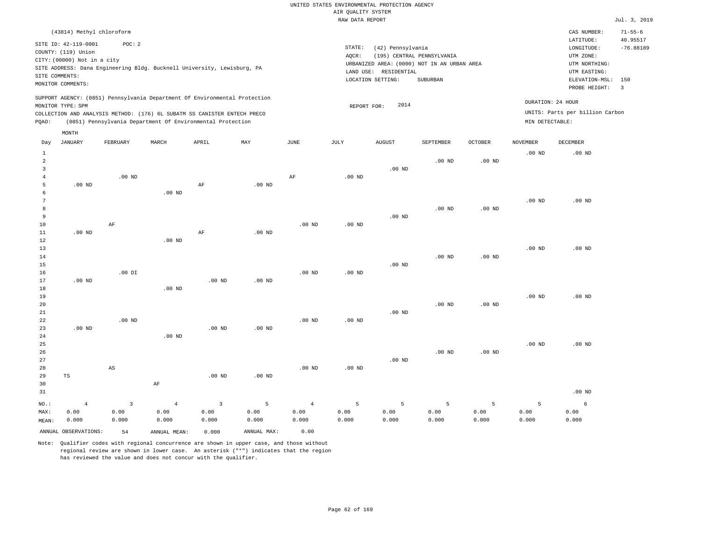|                |                             |                |                   |                                                                            |                   |                   |                    | UNITED STATES ENVIRONMENTAL PROTECTION AGENCY |                                             |                   |                   |                                 |                                |
|----------------|-----------------------------|----------------|-------------------|----------------------------------------------------------------------------|-------------------|-------------------|--------------------|-----------------------------------------------|---------------------------------------------|-------------------|-------------------|---------------------------------|--------------------------------|
|                |                             |                |                   |                                                                            |                   |                   | AIR QUALITY SYSTEM |                                               |                                             |                   |                   |                                 |                                |
|                |                             |                |                   |                                                                            |                   |                   | RAW DATA REPORT    |                                               |                                             |                   |                   |                                 | Jul. 3, 2019                   |
|                | (43814) Methyl chloroform   |                |                   |                                                                            |                   |                   |                    |                                               |                                             |                   |                   | CAS NUMBER:                     | $71 - 55 - 6$                  |
|                | SITE ID: 42-119-0001        | POC: 2         |                   |                                                                            |                   |                   |                    |                                               |                                             |                   |                   | LATITUDE:                       | 40.95517                       |
|                | COUNTY: (119) Union         |                |                   |                                                                            |                   |                   | STATE:             | (42) Pennsylvania                             |                                             |                   |                   | $\texttt{LONGITUDE}$ :          | $-76.88189$                    |
|                | CITY: (00000) Not in a city |                |                   |                                                                            |                   |                   | AOCR:              |                                               | (195) CENTRAL PENNSYLVANIA                  |                   |                   | UTM ZONE:                       |                                |
|                |                             |                |                   | SITE ADDRESS: Dana Engineering Bldg. Bucknell University, Lewisburg, PA    |                   |                   |                    |                                               | URBANIZED AREA: (0000) NOT IN AN URBAN AREA |                   |                   | UTM NORTHING:                   |                                |
| SITE COMMENTS: |                             |                |                   |                                                                            |                   |                   |                    | LAND USE: RESIDENTIAL                         |                                             |                   |                   | UTM EASTING:                    |                                |
|                | MONITOR COMMENTS:           |                |                   |                                                                            |                   |                   |                    | LOCATION SETTING:                             | SUBURBAN                                    |                   |                   | ELEVATION-MSL:<br>PROBE HEIGHT: | 150<br>$\overline{\mathbf{3}}$ |
|                |                             |                |                   | SUPPORT AGENCY: (0851) Pennsylvania Department Of Environmental Protection |                   |                   |                    |                                               |                                             |                   |                   |                                 |                                |
|                | MONITOR TYPE: SPM           |                |                   |                                                                            |                   |                   | REPORT FOR:        | 2014                                          |                                             |                   |                   | DURATION: 24 HOUR               |                                |
|                |                             |                |                   | COLLECTION AND ANALYSIS METHOD: (176) 6L SUBATM SS CANISTER ENTECH PRECO   |                   |                   |                    |                                               |                                             |                   |                   | UNITS: Parts per billion Carbon |                                |
| PQAO:          |                             |                |                   | (0851) Pennsylvania Department Of Environmental Protection                 |                   |                   |                    |                                               |                                             |                   | MIN DETECTABLE:   |                                 |                                |
|                | MONTH                       |                |                   |                                                                            |                   |                   |                    |                                               |                                             |                   |                   |                                 |                                |
| Day            | <b>JANUARY</b>              | FEBRUARY       | MARCH             | APRIL                                                                      | MAY               | $_{\rm JUNE}$     | JULY               | <b>AUGUST</b>                                 | SEPTEMBER                                   | <b>OCTOBER</b>    | <b>NOVEMBER</b>   | DECEMBER                        |                                |
| $\mathbf{1}$   |                             |                |                   |                                                                            |                   |                   |                    |                                               |                                             |                   | .00 <sub>ND</sub> | $.00$ ND                        |                                |
| $\overline{a}$ |                             |                |                   |                                                                            |                   |                   |                    |                                               | $.00$ ND                                    | $.00$ ND          |                   |                                 |                                |
| $\overline{3}$ |                             |                |                   |                                                                            |                   |                   |                    | $.00$ ND                                      |                                             |                   |                   |                                 |                                |
| 4              |                             | $.00$ ND       |                   |                                                                            |                   | AF                | $.00$ ND           |                                               |                                             |                   |                   |                                 |                                |
| $\overline{5}$ | $.00$ ND                    |                |                   | AF                                                                         | $.00$ ND          |                   |                    |                                               |                                             |                   |                   |                                 |                                |
| 6<br>7         |                             |                | $.00$ ND          |                                                                            |                   |                   |                    |                                               |                                             |                   | .00 <sub>ND</sub> | $.00$ ND                        |                                |
| $^{\rm 8}$     |                             |                |                   |                                                                            |                   |                   |                    |                                               | .00 <sub>ND</sub>                           | $.00$ ND          |                   |                                 |                                |
| 9              |                             |                |                   |                                                                            |                   |                   |                    | $.00$ ND                                      |                                             |                   |                   |                                 |                                |
| $10$           |                             | $\rm AF$       |                   |                                                                            |                   | .00 <sub>ND</sub> | .00 <sub>ND</sub>  |                                               |                                             |                   |                   |                                 |                                |
| 11             | $.00$ ND                    |                |                   | AF                                                                         | .00 <sub>ND</sub> |                   |                    |                                               |                                             |                   |                   |                                 |                                |
| 12             |                             |                | $.00$ ND          |                                                                            |                   |                   |                    |                                               |                                             |                   |                   |                                 |                                |
| 13             |                             |                |                   |                                                                            |                   |                   |                    |                                               |                                             |                   | .00 <sub>ND</sub> | .00 <sub>ND</sub>               |                                |
| 14             |                             |                |                   |                                                                            |                   |                   |                    |                                               | $.00$ ND                                    | .00 <sub>ND</sub> |                   |                                 |                                |
| 15             |                             |                |                   |                                                                            |                   |                   |                    | $.00$ ND                                      |                                             |                   |                   |                                 |                                |
| 16             |                             | $.00$ DI       |                   |                                                                            |                   | .00 <sub>ND</sub> | $.00$ ND           |                                               |                                             |                   |                   |                                 |                                |
| 17             | .00 <sub>ND</sub>           |                |                   | .00 <sub>ND</sub>                                                          | .00 <sub>ND</sub> |                   |                    |                                               |                                             |                   |                   |                                 |                                |
| 18             |                             |                | .00 <sub>ND</sub> |                                                                            |                   |                   |                    |                                               |                                             |                   |                   |                                 |                                |
| 19<br>20       |                             |                |                   |                                                                            |                   |                   |                    |                                               | $.00$ ND                                    | $.00$ ND          | $.00$ ND          | $.00$ ND                        |                                |
| 21             |                             |                |                   |                                                                            |                   |                   |                    | $.00$ ND                                      |                                             |                   |                   |                                 |                                |
| 22             |                             | $.00$ ND       |                   |                                                                            |                   | $.00$ ND          | $.00$ ND           |                                               |                                             |                   |                   |                                 |                                |
| 23             | $.00$ ND                    |                |                   | $.00$ ND                                                                   | .00 <sub>ND</sub> |                   |                    |                                               |                                             |                   |                   |                                 |                                |
| 24             |                             |                | $.00$ ND          |                                                                            |                   |                   |                    |                                               |                                             |                   |                   |                                 |                                |
| 25             |                             |                |                   |                                                                            |                   |                   |                    |                                               |                                             |                   | $.00$ ND          | .00 <sub>ND</sub>               |                                |
| 26             |                             |                |                   |                                                                            |                   |                   |                    |                                               | $.00$ ND                                    | .00 <sub>ND</sub> |                   |                                 |                                |
| 27             |                             |                |                   |                                                                            |                   |                   |                    | $.00$ ND                                      |                                             |                   |                   |                                 |                                |
| 28             |                             | $_{\rm AS}$    |                   |                                                                            |                   | $.00$ ND          | $.00$ ND           |                                               |                                             |                   |                   |                                 |                                |
| 29             | $\operatorname{TS}$         |                |                   | $.00$ ND                                                                   | .00 <sub>ND</sub> |                   |                    |                                               |                                             |                   |                   |                                 |                                |
| 30             |                             |                | AF                |                                                                            |                   |                   |                    |                                               |                                             |                   |                   |                                 |                                |
| 31             |                             |                |                   |                                                                            |                   |                   |                    |                                               |                                             |                   |                   | $.00$ ND                        |                                |
| NO.:           | $\overline{4}$              | $\overline{3}$ | $\overline{4}$    | $\overline{3}$                                                             | $\overline{5}$    | $\overline{4}$    | 5                  | 5                                             | 5                                           | 5                 | $\overline{5}$    | 6                               |                                |
| MAX:           | 0.00                        | 0.00           | 0.00              | 0.00                                                                       | 0.00              | 0.00              | 0.00               | 0.00                                          | 0.00                                        | 0.00              | 0.00              | 0.00                            |                                |
| MEAN:          | 0.000                       | 0.000          | 0.000             | 0.000                                                                      | 0.000             | 0.000             | 0.000              | 0.000                                         | 0.000                                       | 0.000             | 0.000             | 0.000                           |                                |
|                | ANNUAL OBSERVATIONS:        | 54             | ANNUAL, MEAN:     | 0.000                                                                      | ANNUAL MAX:       | 0.00              |                    |                                               |                                             |                   |                   |                                 |                                |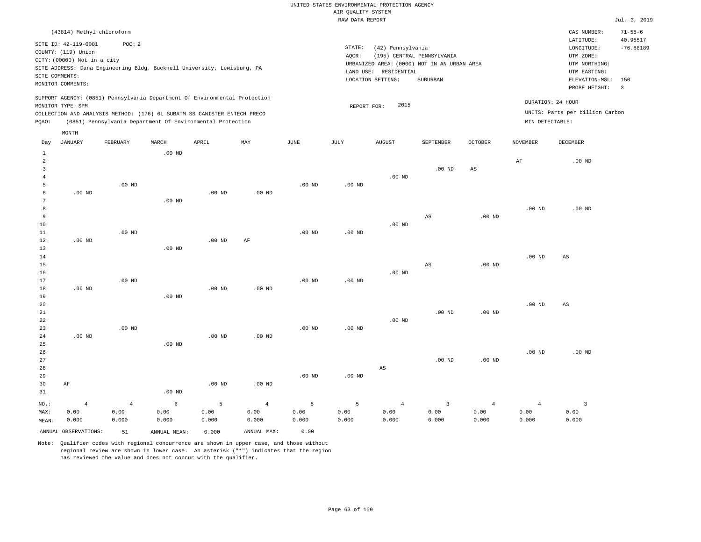|                                                                          |                                                                            |                |              |                                                            |                           |                       | <br>Rosmers nenes<br>RAW DATA REPORT |                        |                                             |                   |                   |                                 | Jul. 3, 2019            |
|--------------------------------------------------------------------------|----------------------------------------------------------------------------|----------------|--------------|------------------------------------------------------------|---------------------------|-----------------------|--------------------------------------|------------------------|---------------------------------------------|-------------------|-------------------|---------------------------------|-------------------------|
|                                                                          |                                                                            |                |              |                                                            |                           |                       |                                      |                        |                                             |                   |                   | CAS NUMBER:                     | $71 - 55 - 6$           |
|                                                                          | (43814) Methyl chloroform                                                  |                |              |                                                            |                           |                       |                                      |                        |                                             |                   |                   | LATITUDE:                       | 40.95517                |
|                                                                          | SITE ID: 42-119-0001                                                       | POC: 2         |              |                                                            |                           |                       | STATE:                               | (42) Pennsylvania      |                                             |                   |                   | LONGITUDE:                      | $-76.88189$             |
|                                                                          | COUNTY: (119) Union                                                        |                |              |                                                            |                           |                       | AQCR:                                |                        | (195) CENTRAL PENNSYLVANIA                  |                   |                   | UTM ZONE:                       |                         |
|                                                                          | CITY: (00000) Not in a city                                                |                |              |                                                            |                           |                       |                                      |                        | URBANIZED AREA: (0000) NOT IN AN URBAN AREA |                   |                   | UTM NORTHING:                   |                         |
|                                                                          | SITE ADDRESS: Dana Engineering Bldg. Bucknell University, Lewisburg, PA    |                |              |                                                            |                           |                       |                                      | LAND USE: RESIDENTIAL  |                                             |                   |                   | UTM EASTING:                    |                         |
|                                                                          | SITE COMMENTS:                                                             |                |              |                                                            |                           |                       |                                      | LOCATION SETTING:      | SUBURBAN                                    |                   |                   | ELEVATION-MSL:                  | 150                     |
|                                                                          | MONITOR COMMENTS:                                                          |                |              |                                                            |                           |                       |                                      |                        |                                             |                   |                   | PROBE HEIGHT:                   | $\overline{\mathbf{3}}$ |
|                                                                          | SUPPORT AGENCY: (0851) Pennsylvania Department Of Environmental Protection |                |              |                                                            |                           |                       |                                      |                        |                                             |                   |                   |                                 |                         |
|                                                                          | MONITOR TYPE: SPM                                                          |                |              |                                                            |                           |                       | REPORT FOR:                          | 2015                   |                                             |                   | DURATION: 24 HOUR |                                 |                         |
| COLLECTION AND ANALYSIS METHOD: (176) 6L SUBATM SS CANISTER ENTECH PRECO |                                                                            |                |              |                                                            |                           |                       |                                      |                        |                                             |                   |                   | UNITS: Parts per billion Carbon |                         |
| PQAO:                                                                    |                                                                            |                |              | (0851) Pennsylvania Department Of Environmental Protection |                           |                       |                                      |                        |                                             |                   | MIN DETECTABLE:   |                                 |                         |
|                                                                          | MONTH                                                                      |                |              |                                                            |                           |                       |                                      |                        |                                             |                   |                   |                                 |                         |
| Day                                                                      | JANUARY                                                                    | FEBRUARY       | MARCH        | APRIL                                                      | $\ensuremath{\text{MAX}}$ | $\operatorname{JUNE}$ | JULY                                 | <b>AUGUST</b>          | SEPTEMBER                                   | <b>OCTOBER</b>    | <b>NOVEMBER</b>   | DECEMBER                        |                         |
| $\mathbf{1}$                                                             |                                                                            |                | $.00$ ND     |                                                            |                           |                       |                                      |                        |                                             |                   |                   |                                 |                         |
| $\overline{a}$                                                           |                                                                            |                |              |                                                            |                           |                       |                                      |                        |                                             |                   | $\rm{AF}$         | $.00$ ND                        |                         |
| $\overline{3}$                                                           |                                                                            |                |              |                                                            |                           |                       |                                      |                        | .00 <sub>ND</sub>                           | $_{\rm AS}$       |                   |                                 |                         |
| $\overline{4}$                                                           |                                                                            |                |              |                                                            |                           |                       |                                      | $.00$ ND               |                                             |                   |                   |                                 |                         |
| 5                                                                        |                                                                            | $.00$ ND       |              |                                                            |                           | .00 <sub>ND</sub>     | .00 <sub>ND</sub>                    |                        |                                             |                   |                   |                                 |                         |
| 6                                                                        | $.00$ ND                                                                   |                |              | $.00$ ND                                                   | $.00$ ND                  |                       |                                      |                        |                                             |                   |                   |                                 |                         |
| 7                                                                        |                                                                            |                | $.00$ ND     |                                                            |                           |                       |                                      |                        |                                             |                   |                   |                                 |                         |
| 8                                                                        |                                                                            |                |              |                                                            |                           |                       |                                      |                        |                                             |                   | $.00$ ND          | $.00$ ND                        |                         |
| 9                                                                        |                                                                            |                |              |                                                            |                           |                       |                                      |                        | AS                                          | .00 <sub>ND</sub> |                   |                                 |                         |
| 10                                                                       |                                                                            |                |              |                                                            |                           |                       |                                      | .00 <sub>ND</sub>      |                                             |                   |                   |                                 |                         |
| $1\,1$                                                                   |                                                                            | $.00$ ND       |              |                                                            |                           | .00 <sub>ND</sub>     | $.00$ ND                             |                        |                                             |                   |                   |                                 |                         |
| $12\,$                                                                   | $.00$ ND                                                                   |                |              | $.00$ ND                                                   | AF                        |                       |                                      |                        |                                             |                   |                   |                                 |                         |
| 13                                                                       |                                                                            |                | $.00$ ND     |                                                            |                           |                       |                                      |                        |                                             |                   |                   |                                 |                         |
| 14                                                                       |                                                                            |                |              |                                                            |                           |                       |                                      |                        |                                             |                   | $.00$ ND          | $_{\rm AS}$                     |                         |
| 15                                                                       |                                                                            |                |              |                                                            |                           |                       |                                      |                        | AS                                          | .00 <sub>ND</sub> |                   |                                 |                         |
| 16<br>17                                                                 |                                                                            | $.00$ ND       |              |                                                            |                           | $.00$ ND              | .00 <sub>ND</sub>                    | $.00$ ND               |                                             |                   |                   |                                 |                         |
| 18                                                                       | $.00$ ND                                                                   |                |              | .00 <sub>ND</sub>                                          | $.00$ ND                  |                       |                                      |                        |                                             |                   |                   |                                 |                         |
| 19                                                                       |                                                                            |                | $.00$ ND     |                                                            |                           |                       |                                      |                        |                                             |                   |                   |                                 |                         |
| 20                                                                       |                                                                            |                |              |                                                            |                           |                       |                                      |                        |                                             |                   | $.00$ ND          | $_{\rm AS}$                     |                         |
| 21                                                                       |                                                                            |                |              |                                                            |                           |                       |                                      |                        | .00 <sub>ND</sub>                           | $.00$ ND          |                   |                                 |                         |
| 22                                                                       |                                                                            |                |              |                                                            |                           |                       |                                      | $.00$ ND               |                                             |                   |                   |                                 |                         |
| 23                                                                       |                                                                            | $.00$ ND       |              |                                                            |                           | $.00$ ND              | .00 <sub>ND</sub>                    |                        |                                             |                   |                   |                                 |                         |
| 24                                                                       | $.00$ ND                                                                   |                |              | $.00$ ND                                                   | $.00$ ND                  |                       |                                      |                        |                                             |                   |                   |                                 |                         |
| 25                                                                       |                                                                            |                | $.00$ ND     |                                                            |                           |                       |                                      |                        |                                             |                   |                   |                                 |                         |
| 26                                                                       |                                                                            |                |              |                                                            |                           |                       |                                      |                        |                                             |                   | .00 <sub>ND</sub> | $.00$ ND                        |                         |
| 27                                                                       |                                                                            |                |              |                                                            |                           |                       |                                      |                        | .00 <sub>ND</sub>                           | .00 <sub>ND</sub> |                   |                                 |                         |
| 28                                                                       |                                                                            |                |              |                                                            |                           |                       |                                      | $\mathbb{A}\mathbb{S}$ |                                             |                   |                   |                                 |                         |
| 29                                                                       |                                                                            |                |              |                                                            |                           | .00 <sub>ND</sub>     | $.00$ ND                             |                        |                                             |                   |                   |                                 |                         |
| 30                                                                       | AF                                                                         |                |              | $.00$ ND                                                   | $.00$ ND                  |                       |                                      |                        |                                             |                   |                   |                                 |                         |
| 31                                                                       |                                                                            |                | $.00$ ND     |                                                            |                           |                       |                                      |                        |                                             |                   |                   |                                 |                         |
| NO.:                                                                     | $\overline{4}$                                                             | $\overline{4}$ | 6            | 5                                                          | $\overline{4}$            | 5                     | 5                                    | $\overline{4}$         | $\overline{3}$                              | $\overline{4}$    | $\overline{4}$    | $\overline{\mathbf{3}}$         |                         |
| MAX:                                                                     | 0.00                                                                       | 0.00           | 0.00         | 0.00                                                       | 0.00                      | 0.00                  | 0.00                                 | 0.00                   | 0.00                                        | 0.00              | 0.00              | 0.00                            |                         |
| MEAN:                                                                    | 0.000                                                                      | 0.000          | 0.000        | 0.000                                                      | 0.000                     | 0.000                 | 0.000                                | 0.000                  | 0.000                                       | 0.000             | 0.000             | 0.000                           |                         |
|                                                                          | ANNUAL OBSERVATIONS:                                                       | 51             | ANNUAL MEAN: | 0.000                                                      | ANNUAL MAX:               | 0.00                  |                                      |                        |                                             |                   |                   |                                 |                         |
|                                                                          |                                                                            |                |              |                                                            |                           |                       |                                      |                        |                                             |                   |                   |                                 |                         |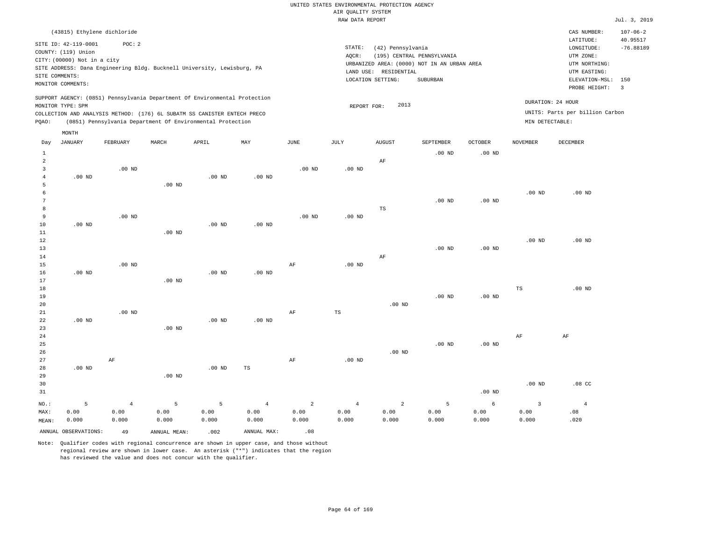|                |                             |                   |                                                                            |          |                |                   | RAW DATA REPORT   |                       |                                             |                   |                         |                                 | Jul. 3, 2019            |
|----------------|-----------------------------|-------------------|----------------------------------------------------------------------------|----------|----------------|-------------------|-------------------|-----------------------|---------------------------------------------|-------------------|-------------------------|---------------------------------|-------------------------|
|                | (43815) Ethylene dichloride |                   |                                                                            |          |                |                   |                   |                       |                                             |                   |                         | CAS NUMBER:                     | $107 - 06 - 2$          |
|                |                             |                   |                                                                            |          |                |                   |                   |                       |                                             |                   |                         | LATITUDE:                       | 40.95517                |
|                | SITE ID: 42-119-0001        | POC: 2            |                                                                            |          |                |                   | STATE:            | (42) Pennsylvania     |                                             |                   |                         | LONGITUDE:                      | $-76.88189$             |
|                | COUNTY: (119) Union         |                   |                                                                            |          |                |                   | AQCR:             |                       | (195) CENTRAL PENNSYLVANIA                  |                   |                         | UTM ZONE:                       |                         |
|                | CITY: (00000) Not in a city |                   |                                                                            |          |                |                   |                   |                       | URBANIZED AREA: (0000) NOT IN AN URBAN AREA |                   |                         | UTM NORTHING:                   |                         |
|                |                             |                   | SITE ADDRESS: Dana Engineering Bldg. Bucknell University, Lewisburg, PA    |          |                |                   |                   | LAND USE: RESIDENTIAL |                                             |                   |                         | UTM EASTING:                    |                         |
|                | SITE COMMENTS:              |                   |                                                                            |          |                |                   | LOCATION SETTING: | ELEVATION-MSL:        | 150                                         |                   |                         |                                 |                         |
|                | MONITOR COMMENTS:           |                   |                                                                            |          |                |                   |                   |                       |                                             |                   |                         | PROBE HEIGHT:                   | $\overline{\mathbf{3}}$ |
|                |                             |                   | SUPPORT AGENCY: (0851) Pennsylvania Department Of Environmental Protection |          |                |                   |                   |                       |                                             |                   |                         |                                 |                         |
|                | MONITOR TYPE: SPM           |                   |                                                                            |          |                |                   | REPORT FOR:       | 2013                  |                                             |                   |                         | DURATION: 24 HOUR               |                         |
|                |                             |                   | COLLECTION AND ANALYSIS METHOD: (176) 6L SUBATM SS CANISTER ENTECH PRECO   |          |                |                   |                   |                       |                                             |                   |                         | UNITS: Parts per billion Carbon |                         |
| PQAO:          |                             |                   | (0851) Pennsylvania Department Of Environmental Protection                 |          |                |                   |                   |                       |                                             |                   | MIN DETECTABLE:         |                                 |                         |
|                | MONTH                       |                   |                                                                            |          |                |                   |                   |                       |                                             |                   |                         |                                 |                         |
| Day            | <b>JANUARY</b>              | FEBRUARY          | MARCH                                                                      | APRIL    | MAY            | $_{\rm JUNE}$     | JULY              | <b>AUGUST</b>         | SEPTEMBER                                   | <b>OCTOBER</b>    | NOVEMBER                | DECEMBER                        |                         |
| $\mathbf{1}$   |                             |                   |                                                                            |          |                |                   |                   |                       | $.00$ ND                                    | .00 <sub>ND</sub> |                         |                                 |                         |
| $\overline{a}$ |                             |                   |                                                                            |          |                |                   |                   | AF                    |                                             |                   |                         |                                 |                         |
| 3              |                             | $.00$ ND          |                                                                            |          |                | .00 <sub>ND</sub> | $.00$ ND          |                       |                                             |                   |                         |                                 |                         |
| $\overline{4}$ | $.00$ ND                    |                   |                                                                            | $.00$ ND | $.00$ ND       |                   |                   |                       |                                             |                   |                         |                                 |                         |
| 5              |                             |                   | .00 <sub>ND</sub>                                                          |          |                |                   |                   |                       |                                             |                   |                         |                                 |                         |
| 6              |                             |                   |                                                                            |          |                |                   |                   |                       |                                             |                   | $.00$ ND                | $.00$ ND                        |                         |
| 7              |                             |                   |                                                                            |          |                |                   |                   |                       | $.00$ ND                                    | .00 <sub>ND</sub> |                         |                                 |                         |
| 8              |                             |                   |                                                                            |          |                |                   |                   | $_{\rm TS}$           |                                             |                   |                         |                                 |                         |
| 9              |                             | .00 <sub>ND</sub> |                                                                            |          |                | .00 <sub>ND</sub> | $.00$ ND          |                       |                                             |                   |                         |                                 |                         |
| 10             | $.00$ ND                    |                   |                                                                            | $.00$ ND | $.00$ ND       |                   |                   |                       |                                             |                   |                         |                                 |                         |
| $11\,$         |                             |                   | .00 <sub>ND</sub>                                                          |          |                |                   |                   |                       |                                             |                   |                         |                                 |                         |
| 12             |                             |                   |                                                                            |          |                |                   |                   |                       |                                             |                   | .00 <sub>ND</sub>       | $.00$ ND                        |                         |
| 13             |                             |                   |                                                                            |          |                |                   |                   |                       | $.00$ ND                                    | .00 <sub>ND</sub> |                         |                                 |                         |
| 14             |                             |                   |                                                                            |          |                |                   |                   | AF                    |                                             |                   |                         |                                 |                         |
| 15             |                             | .00 <sub>ND</sub> |                                                                            |          |                | $\rm AF$          | $.00$ ND          |                       |                                             |                   |                         |                                 |                         |
| 16             | $.00$ ND                    |                   |                                                                            | $.00$ ND | $.00$ ND       |                   |                   |                       |                                             |                   |                         |                                 |                         |
| 17             |                             |                   | $.00$ ND                                                                   |          |                |                   |                   |                       |                                             |                   |                         |                                 |                         |
| 18             |                             |                   |                                                                            |          |                |                   |                   |                       |                                             |                   | $\mathbb{TS}$           | $.00$ ND                        |                         |
| 19             |                             |                   |                                                                            |          |                |                   |                   |                       | .00 <sub>ND</sub>                           | .00 <sub>ND</sub> |                         |                                 |                         |
| 20             |                             |                   |                                                                            |          |                |                   |                   | $.00$ ND              |                                             |                   |                         |                                 |                         |
| 21             |                             | $.00$ ND          |                                                                            |          |                | AF                | TS                |                       |                                             |                   |                         |                                 |                         |
| 22             | $.00$ ND                    |                   |                                                                            | $.00$ ND | $.00$ ND       |                   |                   |                       |                                             |                   |                         |                                 |                         |
| 23             |                             |                   | $.00$ ND                                                                   |          |                |                   |                   |                       |                                             |                   |                         |                                 |                         |
| 24             |                             |                   |                                                                            |          |                |                   |                   |                       |                                             |                   | $\rm AF$                | AF                              |                         |
| 25             |                             |                   |                                                                            |          |                |                   |                   |                       | $.00$ ND                                    | .00 <sub>ND</sub> |                         |                                 |                         |
| 26             |                             |                   |                                                                            |          |                |                   |                   | $.00$ ND              |                                             |                   |                         |                                 |                         |
| 27             |                             | AF                |                                                                            |          |                | AF                | $.00$ ND          |                       |                                             |                   |                         |                                 |                         |
| 28             | $.00$ ND                    |                   |                                                                            | $.00$ ND | TS             |                   |                   |                       |                                             |                   |                         |                                 |                         |
| 29             |                             |                   | $.00$ ND                                                                   |          |                |                   |                   |                       |                                             |                   |                         |                                 |                         |
| 30             |                             |                   |                                                                            |          |                |                   |                   |                       |                                             |                   | .00 <sub>ND</sub>       | .08 <sub>C</sub>                |                         |
| 31             |                             |                   |                                                                            |          |                |                   |                   |                       |                                             | .00 <sub>ND</sub> |                         |                                 |                         |
| $NO.$ :        | 5                           | $\overline{4}$    | 5                                                                          | 5        | $\overline{4}$ | $\overline{a}$    | $\overline{4}$    | $\overline{a}$        | 5                                           | $\epsilon$        | $\overline{\mathbf{3}}$ | $\overline{4}$                  |                         |
| MAX:           | 0.00                        | 0.00              | 0.00                                                                       | 0.00     | 0.00           | 0.00              | 0.00              | 0.00                  | 0.00                                        | 0.00              | 0.00                    | .08                             |                         |
| MEAN:          | 0.000                       | 0.000             | 0.000                                                                      | 0.000    | 0.000          | 0.000             | 0.000             | 0.000                 | 0.000                                       | 0.000             | 0.000                   | .020                            |                         |
|                | ANNUAL OBSERVATIONS:        | 49                | ANNUAL, MEAN:                                                              | .002     | ANNUAL MAX:    | .08               |                   |                       |                                             |                   |                         |                                 |                         |

Note: Qualifier codes with regional concurrence are shown in upper case, and those without regional review are shown in lower case. An asterisk ("\*") indicates that the region

has reviewed the value and does not concur with the qualifier.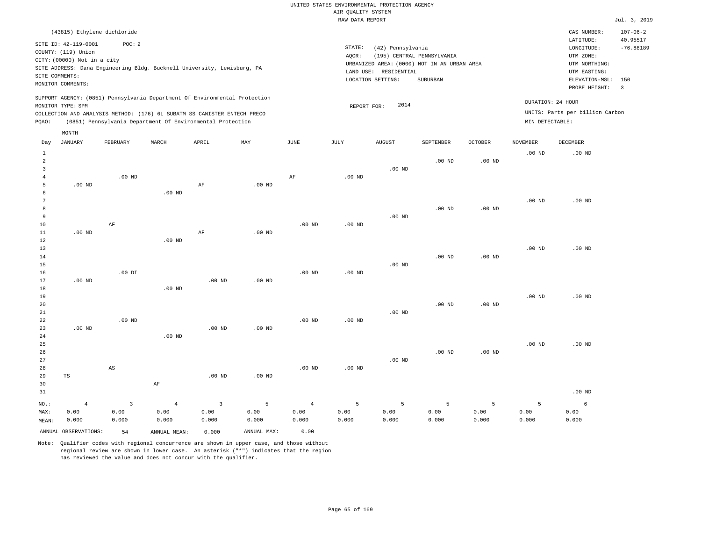|                |                             |                |                |                                                                            |                   |                   | RAW DATA REPORT   |                       |                                             |                   |                   |                                 | Jul. 3, 2019            |
|----------------|-----------------------------|----------------|----------------|----------------------------------------------------------------------------|-------------------|-------------------|-------------------|-----------------------|---------------------------------------------|-------------------|-------------------|---------------------------------|-------------------------|
|                | (43815) Ethylene dichloride |                |                |                                                                            |                   |                   |                   |                       |                                             |                   |                   | CAS NUMBER:                     | $107 - 06 - 2$          |
|                | SITE ID: 42-119-0001        | POC: 2         |                |                                                                            |                   |                   |                   |                       |                                             |                   |                   | LATITUDE:                       | 40.95517                |
|                | COUNTY: (119) Union         |                |                |                                                                            |                   |                   | STATE:            | (42) Pennsylvania     |                                             |                   |                   | LONGITUDE:                      | $-76.88189$             |
|                | CITY: (00000) Not in a city |                |                |                                                                            |                   |                   | AQCR:             |                       | (195) CENTRAL PENNSYLVANIA                  |                   |                   | UTM ZONE:                       |                         |
|                |                             |                |                | SITE ADDRESS: Dana Engineering Bldg. Bucknell University, Lewisburg, PA    |                   |                   |                   |                       | URBANIZED AREA: (0000) NOT IN AN URBAN AREA |                   |                   | UTM NORTHING:                   |                         |
|                | SITE COMMENTS:              |                |                |                                                                            |                   |                   |                   | LAND USE: RESIDENTIAL |                                             |                   |                   | UTM EASTING:                    |                         |
|                | MONITOR COMMENTS:           |                |                |                                                                            |                   |                   |                   | LOCATION SETTING:     | SUBURBAN                                    |                   |                   | ELEVATION-MSL: 150              |                         |
|                |                             |                |                |                                                                            |                   |                   |                   |                       |                                             |                   |                   | PROBE HEIGHT:                   | $\overline{\mathbf{3}}$ |
|                | MONITOR TYPE: SPM           |                |                | SUPPORT AGENCY: (0851) Pennsylvania Department Of Environmental Protection |                   |                   | REPORT FOR:       | 2014                  |                                             |                   |                   | DURATION: 24 HOUR               |                         |
|                |                             |                |                | COLLECTION AND ANALYSIS METHOD: (176) 6L SUBATM SS CANISTER ENTECH PRECO   |                   |                   |                   |                       |                                             |                   |                   | UNITS: Parts per billion Carbon |                         |
| PQAO:          |                             |                |                | (0851) Pennsylvania Department Of Environmental Protection                 |                   |                   |                   |                       |                                             |                   | MIN DETECTABLE:   |                                 |                         |
|                | MONTH                       |                |                |                                                                            |                   |                   |                   |                       |                                             |                   |                   |                                 |                         |
| Day            | <b>JANUARY</b>              | FEBRUARY       | MARCH          | APRIL                                                                      | MAY               | JUNE              | <b>JULY</b>       | <b>AUGUST</b>         | SEPTEMBER                                   | <b>OCTOBER</b>    | <b>NOVEMBER</b>   | DECEMBER                        |                         |
| $\mathbf{1}$   |                             |                |                |                                                                            |                   |                   |                   |                       |                                             |                   | .00 <sub>ND</sub> | $.00$ ND                        |                         |
| $\overline{a}$ |                             |                |                |                                                                            |                   |                   |                   |                       | .00 <sub>ND</sub>                           | .00 <sub>ND</sub> |                   |                                 |                         |
| 3              |                             |                |                |                                                                            |                   |                   |                   | $.00$ ND              |                                             |                   |                   |                                 |                         |
| $\overline{4}$ |                             | $.00$ ND       |                |                                                                            |                   | AF                | .00 <sub>ND</sub> |                       |                                             |                   |                   |                                 |                         |
| 5              | $.00$ ND                    |                |                | AF                                                                         | $.00$ ND          |                   |                   |                       |                                             |                   |                   |                                 |                         |
| 6              |                             |                | $.00$ ND       |                                                                            |                   |                   |                   |                       |                                             |                   |                   |                                 |                         |
| 7              |                             |                |                |                                                                            |                   |                   |                   |                       |                                             |                   | $.00$ ND          | $.00$ ND                        |                         |
| 8              |                             |                |                |                                                                            |                   |                   |                   |                       | $.00$ ND                                    | .00 <sub>ND</sub> |                   |                                 |                         |
| 9              |                             |                |                |                                                                            |                   |                   |                   | $.00$ ND              |                                             |                   |                   |                                 |                         |
| 10             |                             | AF             |                |                                                                            |                   | .00 <sub>ND</sub> | .00 <sub>ND</sub> |                       |                                             |                   |                   |                                 |                         |
| 11             | $.00$ ND                    |                |                | AF                                                                         | $.00$ ND          |                   |                   |                       |                                             |                   |                   |                                 |                         |
| 12             |                             |                | $.00$ ND       |                                                                            |                   |                   |                   |                       |                                             |                   |                   |                                 |                         |
| 13             |                             |                |                |                                                                            |                   |                   |                   |                       |                                             |                   | .00 <sub>ND</sub> | $.00$ ND                        |                         |
| 14             |                             |                |                |                                                                            |                   |                   |                   |                       | $.00$ ND                                    | $.00$ ND          |                   |                                 |                         |
| 15<br>16       |                             | $.00$ DI       |                |                                                                            |                   | .00 <sub>ND</sub> | .00 <sub>ND</sub> | $.00$ ND              |                                             |                   |                   |                                 |                         |
| 17             | $.00$ ND                    |                |                | .00 <sub>ND</sub>                                                          | .00 <sub>ND</sub> |                   |                   |                       |                                             |                   |                   |                                 |                         |
| 18             |                             |                | $.00$ ND       |                                                                            |                   |                   |                   |                       |                                             |                   |                   |                                 |                         |
| 19             |                             |                |                |                                                                            |                   |                   |                   |                       |                                             |                   | $.00$ ND          | $.00$ ND                        |                         |
| 20             |                             |                |                |                                                                            |                   |                   |                   |                       | $.00$ ND                                    | .00 <sub>ND</sub> |                   |                                 |                         |
| 21             |                             |                |                |                                                                            |                   |                   |                   | $.00$ ND              |                                             |                   |                   |                                 |                         |
| 22             |                             | $.00$ ND       |                |                                                                            |                   | .00 <sub>ND</sub> | $.00$ ND          |                       |                                             |                   |                   |                                 |                         |
| 23             | $.00$ ND                    |                |                | $.00$ ND                                                                   | .00 <sub>ND</sub> |                   |                   |                       |                                             |                   |                   |                                 |                         |
| 24             |                             |                | $.00$ ND       |                                                                            |                   |                   |                   |                       |                                             |                   |                   |                                 |                         |
| 25             |                             |                |                |                                                                            |                   |                   |                   |                       |                                             |                   | .00 <sub>ND</sub> | .00 <sub>ND</sub>               |                         |
| 26             |                             |                |                |                                                                            |                   |                   |                   |                       | $.00$ ND                                    | .00 <sub>ND</sub> |                   |                                 |                         |
| 27             |                             |                |                |                                                                            |                   |                   |                   | $.00$ ND              |                                             |                   |                   |                                 |                         |
| 28             |                             | AS             |                |                                                                            |                   | .00 <sub>ND</sub> | $.00$ ND          |                       |                                             |                   |                   |                                 |                         |
| 29             | $_{\rm TS}$                 |                |                | $.00$ ND                                                                   | $.00$ ND          |                   |                   |                       |                                             |                   |                   |                                 |                         |
| 30<br>31       |                             |                | AF             |                                                                            |                   |                   |                   |                       |                                             |                   |                   | $.00$ ND                        |                         |
| NO.:           | $\overline{4}$              | $\overline{3}$ | $\overline{4}$ | $\overline{3}$                                                             | 5                 | $\overline{4}$    | 5                 | 5                     | 5                                           | 5                 | 5                 | 6                               |                         |
| MAX:           | 0.00                        | 0.00           | 0.00           | 0.00                                                                       | 0.00              | 0.00              | 0.00              | 0.00                  | 0.00                                        | 0.00              | 0.00              | 0.00                            |                         |
| MEAN:          | 0.000                       | 0.000          | 0.000          | 0.000                                                                      | 0.000             | 0.000             | 0.000             | 0.000                 | 0.000                                       | 0.000             | 0.000             | 0.000                           |                         |

ANNUAL OBSERVATIONS: 54 ANNUAL MEAN: 0.000 ANNUAL MAX: 0.00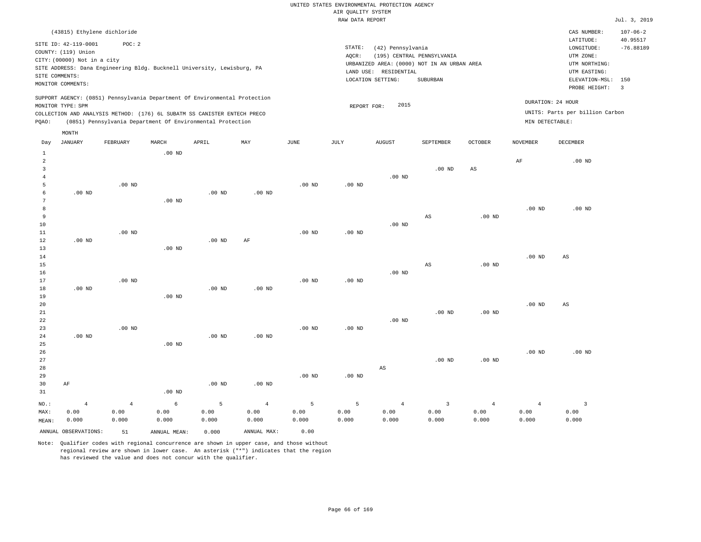|                                |                             |                   |          |                                                                            |                |                   | RAW DATA REPORT   |                        |                                             |                   |                   |                                 | Jul. 3, 2019          |
|--------------------------------|-----------------------------|-------------------|----------|----------------------------------------------------------------------------|----------------|-------------------|-------------------|------------------------|---------------------------------------------|-------------------|-------------------|---------------------------------|-----------------------|
|                                | (43815) Ethylene dichloride |                   |          |                                                                            |                |                   |                   |                        |                                             |                   |                   | CAS NUMBER:                     | $107 - 06 - 2$        |
|                                | SITE ID: 42-119-0001        | POC: 2            |          |                                                                            |                |                   |                   |                        |                                             |                   |                   | LATITUDE:                       | 40.95517              |
|                                | COUNTY: (119) Union         |                   |          |                                                                            |                |                   | STATE:            | (42) Pennsylvania      |                                             |                   |                   | LONGITUDE:                      | $-76.88189$           |
|                                | CITY: (00000) Not in a city |                   |          |                                                                            |                |                   | AQCR:             |                        | (195) CENTRAL PENNSYLVANIA                  |                   |                   | UTM ZONE:                       |                       |
|                                |                             |                   |          | SITE ADDRESS: Dana Engineering Bldg. Bucknell University, Lewisburg, PA    |                |                   |                   |                        | URBANIZED AREA: (0000) NOT IN AN URBAN AREA |                   |                   | UTM NORTHING:                   |                       |
|                                | SITE COMMENTS:              |                   |          |                                                                            |                |                   |                   | LAND USE: RESIDENTIAL  |                                             |                   |                   | UTM EASTING:                    |                       |
|                                | MONITOR COMMENTS:           |                   |          |                                                                            |                |                   |                   | LOCATION SETTING:      | SUBURBAN                                    |                   |                   | ELEVATION-MSL:<br>PROBE HEIGHT: | 150<br>$\overline{3}$ |
|                                |                             |                   |          |                                                                            |                |                   |                   |                        |                                             |                   |                   |                                 |                       |
|                                | MONITOR TYPE: SPM           |                   |          | SUPPORT AGENCY: (0851) Pennsylvania Department Of Environmental Protection |                |                   | REPORT FOR:       | 2015                   |                                             |                   |                   | DURATION: 24 HOUR               |                       |
|                                |                             |                   |          | COLLECTION AND ANALYSIS METHOD: (176) 6L SUBATM SS CANISTER ENTECH PRECO   |                |                   |                   |                        |                                             |                   |                   | UNITS: Parts per billion Carbon |                       |
| POAO:                          |                             |                   |          | (0851) Pennsylvania Department Of Environmental Protection                 |                |                   |                   |                        |                                             |                   | MIN DETECTABLE:   |                                 |                       |
|                                | MONTH                       |                   |          |                                                                            |                |                   |                   |                        |                                             |                   |                   |                                 |                       |
| Day                            | <b>JANUARY</b>              | FEBRUARY          | MARCH    | APRIL                                                                      | MAY            | <b>JUNE</b>       | JULY              | <b>AUGUST</b>          | SEPTEMBER                                   | <b>OCTOBER</b>    | <b>NOVEMBER</b>   | DECEMBER                        |                       |
|                                |                             |                   |          |                                                                            |                |                   |                   |                        |                                             |                   |                   |                                 |                       |
| $\mathbf{1}$<br>$\overline{a}$ |                             |                   | $.00$ ND |                                                                            |                |                   |                   |                        |                                             |                   |                   | $.00$ ND                        |                       |
| 3                              |                             |                   |          |                                                                            |                |                   |                   |                        | $.00$ ND                                    | AS                | AF                |                                 |                       |
| $\overline{4}$                 |                             |                   |          |                                                                            |                |                   |                   | $.00$ ND               |                                             |                   |                   |                                 |                       |
| $\overline{5}$                 |                             | .00 <sub>ND</sub> |          |                                                                            |                | .00 <sub>ND</sub> | .00 <sub>ND</sub> |                        |                                             |                   |                   |                                 |                       |
| 6                              | $.00$ ND                    |                   |          | $.00$ ND                                                                   | $.00$ ND       |                   |                   |                        |                                             |                   |                   |                                 |                       |
| 7                              |                             |                   | $.00$ ND |                                                                            |                |                   |                   |                        |                                             |                   |                   |                                 |                       |
| 8                              |                             |                   |          |                                                                            |                |                   |                   |                        |                                             |                   | .00 <sub>ND</sub> | $.00$ ND                        |                       |
| 9                              |                             |                   |          |                                                                            |                |                   |                   |                        | AS                                          | .00 <sub>ND</sub> |                   |                                 |                       |
| 10                             |                             |                   |          |                                                                            |                |                   |                   | $.00$ ND               |                                             |                   |                   |                                 |                       |
| $11\,$                         |                             | $.00$ ND          |          |                                                                            |                | .00 <sub>ND</sub> | .00 <sub>ND</sub> |                        |                                             |                   |                   |                                 |                       |
| $1\,2$<br>13                   | $.00$ ND                    |                   | $.00$ ND | $.00$ ND                                                                   | AF             |                   |                   |                        |                                             |                   |                   |                                 |                       |
| 14                             |                             |                   |          |                                                                            |                |                   |                   |                        |                                             |                   | .00 <sub>ND</sub> | AS                              |                       |
| 15                             |                             |                   |          |                                                                            |                |                   |                   |                        | AS                                          | .00 <sub>ND</sub> |                   |                                 |                       |
| 16                             |                             |                   |          |                                                                            |                |                   |                   | $.00$ ND               |                                             |                   |                   |                                 |                       |
| 17                             |                             | $.00$ ND          |          |                                                                            |                | .00 <sub>ND</sub> | .00 <sub>ND</sub> |                        |                                             |                   |                   |                                 |                       |
| 18                             | $.00$ ND                    |                   |          | $.00$ ND                                                                   | $.00$ ND       |                   |                   |                        |                                             |                   |                   |                                 |                       |
| 19                             |                             |                   | $.00$ ND |                                                                            |                |                   |                   |                        |                                             |                   |                   |                                 |                       |
| 20                             |                             |                   |          |                                                                            |                |                   |                   |                        |                                             |                   | .00 <sub>ND</sub> | AS                              |                       |
| 21                             |                             |                   |          |                                                                            |                |                   |                   |                        | $.00$ ND                                    | .00 <sub>ND</sub> |                   |                                 |                       |
| 22                             |                             |                   |          |                                                                            |                |                   |                   | $.00$ ND               |                                             |                   |                   |                                 |                       |
| 23                             |                             | $.00$ ND          |          |                                                                            |                | $.00$ ND          | $.00$ ND          |                        |                                             |                   |                   |                                 |                       |
| 24                             | $.00$ ND                    |                   |          | .00 <sub>ND</sub>                                                          | $.00$ ND       |                   |                   |                        |                                             |                   |                   |                                 |                       |
| 25                             |                             |                   | $.00$ ND |                                                                            |                |                   |                   |                        |                                             |                   |                   |                                 |                       |
| 26<br>27                       |                             |                   |          |                                                                            |                |                   |                   |                        | $.00$ ND                                    | .00 <sub>ND</sub> | .00 <sub>ND</sub> | $.00$ ND                        |                       |
| 28                             |                             |                   |          |                                                                            |                |                   |                   | $\mathbb{A}\mathbb{S}$ |                                             |                   |                   |                                 |                       |
| 29                             |                             |                   |          |                                                                            |                | $.00$ ND          | $.00$ ND          |                        |                                             |                   |                   |                                 |                       |
| 30                             | AF                          |                   |          | $.00$ ND                                                                   | $.00$ ND       |                   |                   |                        |                                             |                   |                   |                                 |                       |
| 31                             |                             |                   | $.00$ ND |                                                                            |                |                   |                   |                        |                                             |                   |                   |                                 |                       |
| NO.:                           |                             | $\overline{4}$    | 6        | 5                                                                          | $\overline{4}$ | 5                 | 5                 | $\overline{4}$         | $\overline{3}$                              | $\overline{4}$    | $\overline{4}$    | $\overline{\mathbf{3}}$         |                       |
| MAX:                           | $\overline{4}$<br>0.00      | 0.00              | 0.00     | 0.00                                                                       | 0.00           | 0.00              | 0.00              | 0.00                   | 0.00                                        | 0.00              | 0.00              | 0.00                            |                       |
| MEAN:                          | 0.000                       | 0.000             | 0.000    | 0.000                                                                      | 0.000          | 0.000             | 0.000             | 0.000                  | 0.000                                       | 0.000             | 0.000             | 0.000                           |                       |
|                                |                             |                   |          |                                                                            |                |                   |                   |                        |                                             |                   |                   |                                 |                       |

Note: Qualifier codes with regional concurrence are shown in upper case, and those without regional review are shown in lower case. An asterisk ("\*") indicates that the region has reviewed the value and does not concur with the qualifier.

ANNUAL OBSERVATIONS: 51 ANNUAL MEAN: 0.000 ANNUAL MAX: 0.00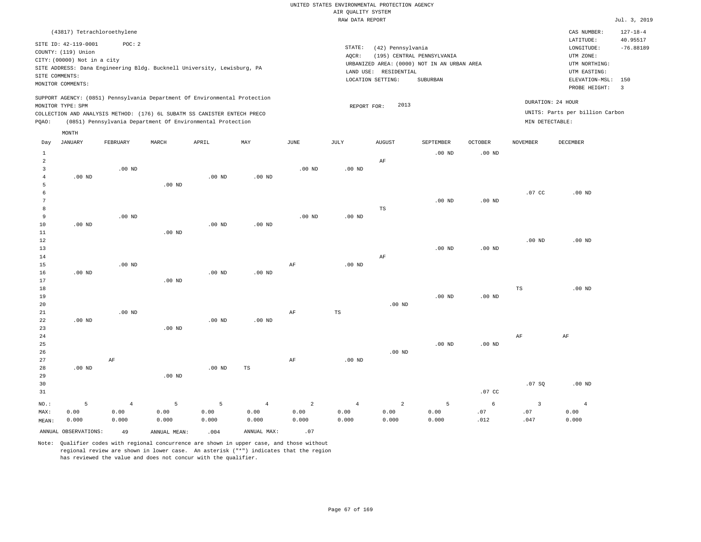|                |                             |                                                                            |          |                   |                   |                | RAW DATA REPORT                                  |                   |                                             |                   |                         |                                 | Jul. 3, 2019            |  |
|----------------|-----------------------------|----------------------------------------------------------------------------|----------|-------------------|-------------------|----------------|--------------------------------------------------|-------------------|---------------------------------------------|-------------------|-------------------------|---------------------------------|-------------------------|--|
|                | (43817) Tetrachloroethylene |                                                                            |          |                   |                   |                |                                                  |                   |                                             |                   |                         | CAS NUMBER:                     | $127 - 18 - 4$          |  |
|                | SITE ID: 42-119-0001        | POC: 2                                                                     |          |                   |                   |                |                                                  |                   |                                             |                   |                         | LATITUDE:                       | 40.95517                |  |
|                | COUNTY: (119) Union         |                                                                            |          |                   |                   |                | STATE:                                           | (42) Pennsylvania |                                             |                   |                         | LONGITUDE:                      | $-76.88189$             |  |
|                |                             |                                                                            |          |                   |                   |                | AQCR:<br>(195) CENTRAL PENNSYLVANIA<br>UTM ZONE: |                   |                                             |                   |                         |                                 |                         |  |
|                | CITY: (00000) Not in a city |                                                                            |          |                   |                   |                |                                                  |                   | URBANIZED AREA: (0000) NOT IN AN URBAN AREA |                   |                         | UTM NORTHING:                   |                         |  |
|                |                             | SITE ADDRESS: Dana Engineering Bldg. Bucknell University, Lewisburg, PA    |          |                   |                   |                | LAND USE: RESIDENTIAL<br>UTM EASTING:            |                   |                                             |                   |                         |                                 |                         |  |
|                | SITE COMMENTS:              |                                                                            |          |                   |                   |                |                                                  | LOCATION SETTING: | SUBURBAN                                    |                   |                         | ELEVATION-MSL:                  | 150                     |  |
|                | MONITOR COMMENTS:           |                                                                            |          |                   |                   |                |                                                  |                   |                                             |                   |                         | PROBE HEIGHT:                   | $\overline{\mathbf{3}}$ |  |
|                |                             | SUPPORT AGENCY: (0851) Pennsylvania Department Of Environmental Protection |          |                   |                   |                |                                                  | 2013              |                                             |                   |                         | DURATION: 24 HOUR               |                         |  |
|                | MONITOR TYPE: SPM           | COLLECTION AND ANALYSIS METHOD: (176) 6L SUBATM SS CANISTER ENTECH PRECO   |          |                   |                   |                | REPORT FOR:                                      |                   |                                             |                   |                         | UNITS: Parts per billion Carbon |                         |  |
| PQAO:          |                             | (0851) Pennsylvania Department Of Environmental Protection                 |          |                   |                   |                |                                                  |                   |                                             |                   | MIN DETECTABLE:         |                                 |                         |  |
|                | MONTH                       |                                                                            |          |                   |                   |                |                                                  |                   |                                             |                   |                         |                                 |                         |  |
| Day            | <b>JANUARY</b>              | FEBRUARY                                                                   | MARCH    | APRIL             | MAY               | JUNE           | JULY                                             | <b>AUGUST</b>     | SEPTEMBER                                   | <b>OCTOBER</b>    | <b>NOVEMBER</b>         | DECEMBER                        |                         |  |
| $\mathbf{1}$   |                             |                                                                            |          |                   |                   |                |                                                  |                   | .00 <sub>ND</sub>                           | .00 <sub>ND</sub> |                         |                                 |                         |  |
| $\overline{c}$ |                             |                                                                            |          |                   |                   |                |                                                  | AF                |                                             |                   |                         |                                 |                         |  |
| 3              |                             | $.00$ ND                                                                   |          |                   |                   | $.00$ ND       | .00 <sub>ND</sub>                                |                   |                                             |                   |                         |                                 |                         |  |
| $\overline{4}$ | $.00$ ND                    |                                                                            |          | .00 <sub>ND</sub> | .00 <sub>ND</sub> |                |                                                  |                   |                                             |                   |                         |                                 |                         |  |
| 5              |                             |                                                                            | $.00$ ND |                   |                   |                |                                                  |                   |                                             |                   |                         |                                 |                         |  |
| 6              |                             |                                                                            |          |                   |                   |                |                                                  |                   |                                             |                   | .07 <sub>c</sub>        | $.00$ ND                        |                         |  |
| 7              |                             |                                                                            |          |                   |                   |                |                                                  |                   | $.00$ ND                                    | $.00$ ND          |                         |                                 |                         |  |
| 8              |                             |                                                                            |          |                   |                   |                |                                                  | $_{\rm TS}$       |                                             |                   |                         |                                 |                         |  |
| 9              |                             | $.00$ ND                                                                   |          |                   |                   | $.00$ ND       | $.00$ ND                                         |                   |                                             |                   |                         |                                 |                         |  |
| 10<br>11       | $.00$ ND                    |                                                                            | $.00$ ND | $.00$ ND          | .00 <sub>ND</sub> |                |                                                  |                   |                                             |                   |                         |                                 |                         |  |
| 12             |                             |                                                                            |          |                   |                   |                |                                                  |                   |                                             |                   | $.00$ ND                | $.00$ ND                        |                         |  |
| 13             |                             |                                                                            |          |                   |                   |                |                                                  |                   | .00 <sub>ND</sub>                           | $.00$ ND          |                         |                                 |                         |  |
| 14             |                             |                                                                            |          |                   |                   |                |                                                  | AF                |                                             |                   |                         |                                 |                         |  |
| 15             |                             | $.00$ ND                                                                   |          |                   |                   | AF             | $.00$ ND                                         |                   |                                             |                   |                         |                                 |                         |  |
| 16             | $.00$ ND                    |                                                                            |          | $.00$ ND          | .00 <sub>ND</sub> |                |                                                  |                   |                                             |                   |                         |                                 |                         |  |
| 17             |                             |                                                                            | $.00$ ND |                   |                   |                |                                                  |                   |                                             |                   |                         |                                 |                         |  |
| 18             |                             |                                                                            |          |                   |                   |                |                                                  |                   |                                             |                   | TS                      | $.00$ ND                        |                         |  |
| 19             |                             |                                                                            |          |                   |                   |                |                                                  |                   | $.00$ ND                                    | .00 <sub>ND</sub> |                         |                                 |                         |  |
| 20             |                             |                                                                            |          |                   |                   |                |                                                  | $.00$ ND          |                                             |                   |                         |                                 |                         |  |
| 21             |                             | $.00$ ND                                                                   |          |                   |                   | AF             | $_{\rm TS}$                                      |                   |                                             |                   |                         |                                 |                         |  |
| 22             | $.00$ ND                    |                                                                            |          | .00 <sub>ND</sub> | $.00$ ND          |                |                                                  |                   |                                             |                   |                         |                                 |                         |  |
| 23             |                             |                                                                            | $.00$ ND |                   |                   |                |                                                  |                   |                                             |                   |                         |                                 |                         |  |
| 24             |                             |                                                                            |          |                   |                   |                |                                                  |                   |                                             |                   | AF                      | AF                              |                         |  |
| 25             |                             |                                                                            |          |                   |                   |                |                                                  |                   | $.00$ ND                                    | .00 <sub>ND</sub> |                         |                                 |                         |  |
| 26             |                             |                                                                            |          |                   |                   |                |                                                  | $.00$ ND          |                                             |                   |                         |                                 |                         |  |
| 27             |                             | $\rm AF$                                                                   |          |                   |                   | $\rm{AF}$      | .00 <sub>ND</sub>                                |                   |                                             |                   |                         |                                 |                         |  |
| 28             | $.00$ ND                    |                                                                            |          | $.00$ ND          | TS                |                |                                                  |                   |                                             |                   |                         |                                 |                         |  |
| 29             |                             |                                                                            | $.00$ ND |                   |                   |                |                                                  |                   |                                             |                   |                         |                                 |                         |  |
| 30             |                             |                                                                            |          |                   |                   |                |                                                  |                   |                                             |                   | .07SQ                   | $.00$ ND                        |                         |  |
| 31             |                             |                                                                            |          |                   |                   |                |                                                  |                   |                                             | .07 <sub>c</sub>  |                         |                                 |                         |  |
| NO.:           | 5                           | $\overline{4}$                                                             | 5        | 5                 | $\overline{4}$    | $\overline{2}$ | $\overline{4}$                                   | $\overline{a}$    | 5                                           | 6                 | $\overline{\mathbf{3}}$ | $\overline{4}$                  |                         |  |
| MAX:           | 0.00                        | 0.00                                                                       | 0.00     | 0.00              | 0.00              | 0.00           | 0.00                                             | 0.00              | 0.00                                        | .07               | .07                     | 0.00                            |                         |  |

ANNUAL OBSERVATIONS:  $49$  ANNUAL MEAN: .004 ANNUAL MAX: .07

0.000

MEAN:

0.000

0.000

Note: Qualifier codes with regional concurrence are shown in upper case, and those without regional review are shown in lower case. An asterisk ("\*") indicates that the region has reviewed the value and does not concur with the qualifier.

0.000

0.000

0.000

0.000

0.000

0.000

.012

.047

0.000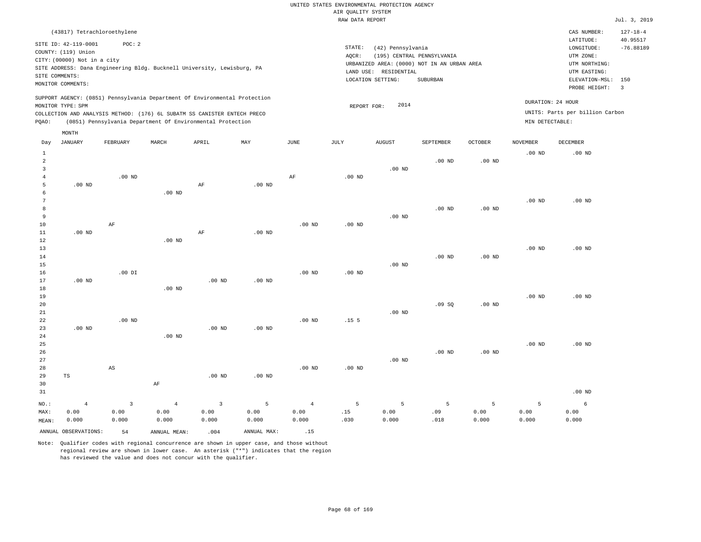|                |                             |                        |                   |                                                                            |             |                   | <br>Rosmers nenes<br>RAW DATA REPORT             |                   |                   |                   |                   |                                 | Jul. 3, 2019   |
|----------------|-----------------------------|------------------------|-------------------|----------------------------------------------------------------------------|-------------|-------------------|--------------------------------------------------|-------------------|-------------------|-------------------|-------------------|---------------------------------|----------------|
|                | (43817) Tetrachloroethylene |                        |                   |                                                                            |             |                   |                                                  |                   |                   |                   |                   | CAS NUMBER:                     | $127 - 18 - 4$ |
|                |                             |                        |                   |                                                                            |             |                   |                                                  |                   |                   |                   |                   | LATITUDE:                       | 40.95517       |
|                | SITE ID: 42-119-0001        | POC: 2                 |                   |                                                                            |             |                   | STATE:                                           | (42) Pennsylvania |                   |                   |                   | LONGITUDE:                      | $-76.88189$    |
|                | COUNTY: (119) Union         |                        |                   |                                                                            |             |                   | (195) CENTRAL PENNSYLVANIA<br>AQCR:<br>UTM ZONE: |                   |                   |                   |                   |                                 |                |
|                | CITY: (00000) Not in a city |                        |                   |                                                                            |             |                   | URBANIZED AREA: (0000) NOT IN AN URBAN AREA      | UTM NORTHING:     |                   |                   |                   |                                 |                |
|                |                             |                        |                   | SITE ADDRESS: Dana Engineering Bldg. Bucknell University, Lewisburg, PA    |             |                   | LAND USE: RESIDENTIAL                            | UTM EASTING:      |                   |                   |                   |                                 |                |
| SITE COMMENTS: | MONITOR COMMENTS:           |                        |                   |                                                                            |             |                   |                                                  | LOCATION SETTING: | SUBURBAN          |                   |                   | ELEVATION-MSL:                  | 150            |
|                |                             |                        |                   |                                                                            |             |                   |                                                  |                   |                   |                   |                   | PROBE HEIGHT:                   | $\overline{3}$ |
|                |                             |                        |                   | SUPPORT AGENCY: (0851) Pennsylvania Department Of Environmental Protection |             |                   |                                                  |                   |                   |                   |                   |                                 |                |
|                | MONITOR TYPE: SPM           |                        |                   |                                                                            |             |                   | REPORT FOR:                                      | 2014              |                   |                   |                   | DURATION: 24 HOUR               |                |
|                |                             |                        |                   | COLLECTION AND ANALYSIS METHOD: (176) 6L SUBATM SS CANISTER ENTECH PRECO   |             |                   |                                                  |                   |                   |                   |                   | UNITS: Parts per billion Carbon |                |
| PQAO:          |                             |                        |                   | (0851) Pennsylvania Department Of Environmental Protection                 |             |                   |                                                  |                   |                   |                   | MIN DETECTABLE:   |                                 |                |
|                | MONTH                       |                        |                   |                                                                            |             |                   |                                                  |                   |                   |                   |                   |                                 |                |
| Day            | <b>JANUARY</b>              | FEBRUARY               | MARCH             | APRIL                                                                      | MAY         | $_{\rm JUNE}$     | <b>JULY</b>                                      | <b>AUGUST</b>     | SEPTEMBER         | <b>OCTOBER</b>    | <b>NOVEMBER</b>   | DECEMBER                        |                |
| 1              |                             |                        |                   |                                                                            |             |                   |                                                  |                   |                   |                   | $.00$ ND          | $.00$ ND                        |                |
| $\overline{a}$ |                             |                        |                   |                                                                            |             |                   |                                                  |                   | .00 <sub>ND</sub> | .00 <sub>ND</sub> |                   |                                 |                |
| 3              |                             |                        |                   |                                                                            |             |                   |                                                  | $.00$ ND          |                   |                   |                   |                                 |                |
| $\overline{4}$ |                             | .00 <sub>ND</sub>      |                   |                                                                            |             | AF                | $.00$ ND                                         |                   |                   |                   |                   |                                 |                |
| 5              | $.00$ ND                    |                        |                   | $\rm AF$                                                                   | $.00$ ND    |                   |                                                  |                   |                   |                   |                   |                                 |                |
| 6              |                             |                        | $.00$ ND          |                                                                            |             |                   |                                                  |                   |                   |                   |                   |                                 |                |
| $\overline{7}$ |                             |                        |                   |                                                                            |             |                   |                                                  |                   |                   |                   | $.00$ ND          | $.00$ ND                        |                |
| 8              |                             |                        |                   |                                                                            |             |                   |                                                  |                   | $.00$ ND          | .00 <sub>ND</sub> |                   |                                 |                |
| 9              |                             |                        |                   |                                                                            |             |                   |                                                  | $.00$ ND          |                   |                   |                   |                                 |                |
| $10$           |                             | $\rm{AF}$              |                   |                                                                            |             | $.00$ ND          | .00 <sub>ND</sub>                                |                   |                   |                   |                   |                                 |                |
| 11             | $.00$ ND                    |                        |                   | $\rm{AF}$                                                                  | $.00$ ND    |                   |                                                  |                   |                   |                   |                   |                                 |                |
| 12             |                             |                        | $.00$ ND          |                                                                            |             |                   |                                                  |                   |                   |                   |                   |                                 |                |
| 13<br>14       |                             |                        |                   |                                                                            |             |                   |                                                  |                   | $.00$ ND          | .00 <sub>ND</sub> | $.00$ ND          | $.00$ ND                        |                |
| 15             |                             |                        |                   |                                                                            |             |                   |                                                  | $.00$ ND          |                   |                   |                   |                                 |                |
| 16             |                             | $.00$ DI               |                   |                                                                            |             | .00 <sub>ND</sub> | .00 <sub>ND</sub>                                |                   |                   |                   |                   |                                 |                |
| 17             | $.00$ ND                    |                        |                   | $.00$ ND                                                                   | $.00$ ND    |                   |                                                  |                   |                   |                   |                   |                                 |                |
| 18             |                             |                        | .00 <sub>ND</sub> |                                                                            |             |                   |                                                  |                   |                   |                   |                   |                                 |                |
| 19             |                             |                        |                   |                                                                            |             |                   |                                                  |                   |                   |                   | .00 <sub>ND</sub> | .00 <sub>ND</sub>               |                |
| 20             |                             |                        |                   |                                                                            |             |                   |                                                  |                   | .09SQ             | $.00$ ND          |                   |                                 |                |
| 21             |                             |                        |                   |                                                                            |             |                   |                                                  | $.00$ ND          |                   |                   |                   |                                 |                |
| 22             |                             | $.00$ ND               |                   |                                                                            |             | .00 <sub>ND</sub> | .15 <sub>5</sub>                                 |                   |                   |                   |                   |                                 |                |
| 23             | $.00$ ND                    |                        |                   | $.00$ ND                                                                   | $.00$ ND    |                   |                                                  |                   |                   |                   |                   |                                 |                |
| 24             |                             |                        | $.00$ ND          |                                                                            |             |                   |                                                  |                   |                   |                   |                   |                                 |                |
| 25             |                             |                        |                   |                                                                            |             |                   |                                                  |                   |                   |                   | .00 <sub>ND</sub> | $.00$ ND                        |                |
| 26             |                             |                        |                   |                                                                            |             |                   |                                                  |                   | $.00$ ND          | .00 <sub>ND</sub> |                   |                                 |                |
| 27             |                             |                        |                   |                                                                            |             |                   |                                                  | $.00$ ND          |                   |                   |                   |                                 |                |
| 28             |                             | $\mathbb{A}\mathbb{S}$ |                   |                                                                            |             | .00 <sub>ND</sub> | .00 <sub>ND</sub>                                |                   |                   |                   |                   |                                 |                |
| 29<br>30       | TS                          |                        | AF                | .00 <sub>ND</sub>                                                          | $.00$ ND    |                   |                                                  |                   |                   |                   |                   |                                 |                |
| 31             |                             |                        |                   |                                                                            |             |                   |                                                  |                   |                   |                   |                   | .00 <sub>ND</sub>               |                |
|                |                             |                        |                   |                                                                            |             |                   |                                                  |                   |                   |                   |                   |                                 |                |
| NO.:           | $\overline{4}$              | $\mathbf{3}$           | $\overline{4}$    | $\overline{3}$                                                             | 5           | $\overline{4}$    | 5                                                | 5                 | 5                 | 5                 | 5                 | 6                               |                |
| MAX:           | 0.00                        | 0.00                   | 0.00              | 0.00                                                                       | 0.00        | 0.00              | .15                                              | 0.00              | .09               | 0.00              | 0.00              | 0.00                            |                |
| MEAN:          | 0.000                       | 0.000                  | 0.000             | 0.000                                                                      | 0.000       | 0.000             | .030                                             | 0.000             | .018              | 0.000             | 0.000             | 0.000                           |                |
|                | ANNUAL OBSERVATIONS:        | 54                     | ANNUAL MEAN:      | .004                                                                       | ANNUAL MAX: | .15               |                                                  |                   |                   |                   |                   |                                 |                |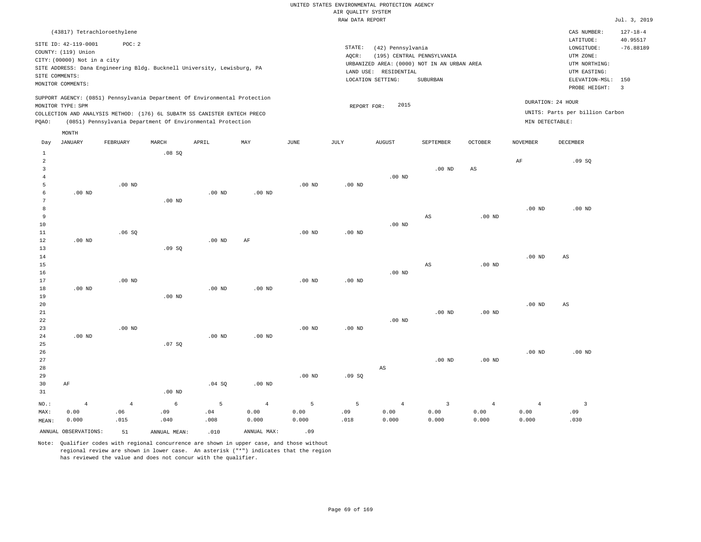|                        |                                                                                                                                                                                              |                |                   |                                                            |                   |                   | RAW DATA REPORT                                                                                                                                                                                                                                                                             |                |                        |                   |                   |                        | Jul. 3, 2019               |  |
|------------------------|----------------------------------------------------------------------------------------------------------------------------------------------------------------------------------------------|----------------|-------------------|------------------------------------------------------------|-------------------|-------------------|---------------------------------------------------------------------------------------------------------------------------------------------------------------------------------------------------------------------------------------------------------------------------------------------|----------------|------------------------|-------------------|-------------------|------------------------|----------------------------|--|
|                        | (43817) Tetrachloroethylene                                                                                                                                                                  |                |                   |                                                            |                   |                   |                                                                                                                                                                                                                                                                                             |                |                        |                   |                   | CAS NUMBER:            | $127 - 18 - 4$<br>40.95517 |  |
|                        | SITE ID: 42-119-0001<br>COUNTY: (119) Union<br>CITY: (00000) Not in a city<br>SITE ADDRESS: Dana Engineering Bldg. Bucknell University, Lewisburg, PA<br>SITE COMMENTS:<br>MONITOR COMMENTS: | POC: 2         |                   |                                                            |                   |                   | LATITUDE:<br>STATE:<br>(42) Pennsylvania<br>LONGITUDE:<br>AOCR:<br>(195) CENTRAL PENNSYLVANIA<br>UTM ZONE:<br>URBANIZED AREA: (0000) NOT IN AN URBAN AREA<br>UTM NORTHING:<br>LAND USE: RESIDENTIAL<br>UTM EASTING:<br>LOCATION SETTING:<br>SUBURBAN<br>ELEVATION-MSL: 150<br>PROBE HEIGHT: |                |                        |                   |                   |                        |                            |  |
|                        | SUPPORT AGENCY: (0851) Pennsylvania Department Of Environmental Protection                                                                                                                   |                |                   |                                                            |                   |                   |                                                                                                                                                                                                                                                                                             |                |                        |                   |                   |                        |                            |  |
|                        | MONITOR TYPE: SPM                                                                                                                                                                            |                |                   |                                                            |                   |                   | REPORT FOR:                                                                                                                                                                                                                                                                                 | 2015           |                        |                   |                   | DURATION: 24 HOUR      |                            |  |
|                        | COLLECTION AND ANALYSIS METHOD: (176) 6L SUBATM SS CANISTER ENTECH PRECO                                                                                                                     |                |                   |                                                            |                   |                   | UNITS: Parts per billion Carbon<br>MIN DETECTABLE:                                                                                                                                                                                                                                          |                |                        |                   |                   |                        |                            |  |
| PQAO:                  |                                                                                                                                                                                              |                |                   | (0851) Pennsylvania Department Of Environmental Protection |                   |                   |                                                                                                                                                                                                                                                                                             |                |                        |                   |                   |                        |                            |  |
|                        | MONTH                                                                                                                                                                                        |                |                   |                                                            |                   |                   |                                                                                                                                                                                                                                                                                             |                |                        |                   |                   |                        |                            |  |
| Day                    | <b>JANUARY</b>                                                                                                                                                                               | FEBRUARY       | MARCH             | APRIL                                                      | MAY               | <b>JUNE</b>       | JULY                                                                                                                                                                                                                                                                                        | <b>AUGUST</b>  | SEPTEMBER              | <b>OCTOBER</b>    | NOVEMBER          | DECEMBER               |                            |  |
| $\mathbf{1}$<br>2<br>3 |                                                                                                                                                                                              |                | .08SQ             |                                                            |                   |                   |                                                                                                                                                                                                                                                                                             |                | $.00$ ND               | AS                | $\rm{AF}$         | .09SQ                  |                            |  |
| 4                      |                                                                                                                                                                                              |                |                   |                                                            |                   |                   |                                                                                                                                                                                                                                                                                             | $.00$ ND       |                        |                   |                   |                        |                            |  |
| 5                      |                                                                                                                                                                                              | $.00$ ND       |                   |                                                            |                   | $.00$ ND          | $.00$ ND                                                                                                                                                                                                                                                                                    |                |                        |                   |                   |                        |                            |  |
| 6                      | $.00$ ND                                                                                                                                                                                     |                |                   | $.00$ ND                                                   | $.00$ ND          |                   |                                                                                                                                                                                                                                                                                             |                |                        |                   |                   |                        |                            |  |
| 7                      |                                                                                                                                                                                              |                | $.00$ ND          |                                                            |                   |                   |                                                                                                                                                                                                                                                                                             |                |                        |                   |                   |                        |                            |  |
| 8                      |                                                                                                                                                                                              |                |                   |                                                            |                   |                   |                                                                                                                                                                                                                                                                                             |                |                        |                   | .00 <sub>ND</sub> | $.00$ ND               |                            |  |
| 9                      |                                                                                                                                                                                              |                |                   |                                                            |                   |                   |                                                                                                                                                                                                                                                                                             |                | $\mathbb{A}\mathbb{S}$ | .00 <sub>ND</sub> |                   |                        |                            |  |
| 10<br>11               |                                                                                                                                                                                              | .06SQ          |                   |                                                            |                   | $.00$ ND          | $.00$ ND                                                                                                                                                                                                                                                                                    | $.00$ ND       |                        |                   |                   |                        |                            |  |
| 12                     | $.00$ ND                                                                                                                                                                                     |                |                   | $.00$ ND                                                   | AF                |                   |                                                                                                                                                                                                                                                                                             |                |                        |                   |                   |                        |                            |  |
| 13                     |                                                                                                                                                                                              |                | .09SQ             |                                                            |                   |                   |                                                                                                                                                                                                                                                                                             |                |                        |                   |                   |                        |                            |  |
| 14                     |                                                                                                                                                                                              |                |                   |                                                            |                   |                   |                                                                                                                                                                                                                                                                                             |                |                        |                   | .00 <sub>ND</sub> | $\mathbb{A}\mathbb{S}$ |                            |  |
| 15                     |                                                                                                                                                                                              |                |                   |                                                            |                   |                   |                                                                                                                                                                                                                                                                                             |                | $_{\rm AS}$            | .00 <sub>ND</sub> |                   |                        |                            |  |
| 16                     |                                                                                                                                                                                              |                |                   |                                                            |                   |                   |                                                                                                                                                                                                                                                                                             | $.00$ ND       |                        |                   |                   |                        |                            |  |
| 17                     |                                                                                                                                                                                              | $.00$ ND       |                   |                                                            |                   | $.00$ ND          | $.00$ ND                                                                                                                                                                                                                                                                                    |                |                        |                   |                   |                        |                            |  |
| 18                     | $.00$ ND                                                                                                                                                                                     |                |                   | .00 <sub>ND</sub>                                          | .00 <sub>ND</sub> |                   |                                                                                                                                                                                                                                                                                             |                |                        |                   |                   |                        |                            |  |
| 19<br>20               |                                                                                                                                                                                              |                | .00 <sub>ND</sub> |                                                            |                   |                   |                                                                                                                                                                                                                                                                                             |                |                        |                   | $.00$ ND          | AS                     |                            |  |
| 21                     |                                                                                                                                                                                              |                |                   |                                                            |                   |                   |                                                                                                                                                                                                                                                                                             |                | $.00$ ND               | .00 <sub>ND</sub> |                   |                        |                            |  |
| 22                     |                                                                                                                                                                                              |                |                   |                                                            |                   |                   |                                                                                                                                                                                                                                                                                             | $.00$ ND       |                        |                   |                   |                        |                            |  |
| 23                     |                                                                                                                                                                                              | $.00$ ND       |                   |                                                            |                   | .00 <sub>ND</sub> | $.00$ ND                                                                                                                                                                                                                                                                                    |                |                        |                   |                   |                        |                            |  |
| 24                     | $.00$ ND                                                                                                                                                                                     |                |                   | $.00$ ND                                                   | $.00$ ND          |                   |                                                                                                                                                                                                                                                                                             |                |                        |                   |                   |                        |                            |  |
| 25                     |                                                                                                                                                                                              |                | .07 SQ            |                                                            |                   |                   |                                                                                                                                                                                                                                                                                             |                |                        |                   |                   |                        |                            |  |
| 26                     |                                                                                                                                                                                              |                |                   |                                                            |                   |                   |                                                                                                                                                                                                                                                                                             |                |                        |                   | .00 <sub>ND</sub> | $.00$ ND               |                            |  |
| 27                     |                                                                                                                                                                                              |                |                   |                                                            |                   |                   |                                                                                                                                                                                                                                                                                             |                | $.00$ ND               | .00 <sub>ND</sub> |                   |                        |                            |  |
| 28<br>29               |                                                                                                                                                                                              |                |                   |                                                            |                   | .00 <sub>ND</sub> | .09SQ                                                                                                                                                                                                                                                                                       | AS             |                        |                   |                   |                        |                            |  |
| 30                     | AF                                                                                                                                                                                           |                |                   | .04SQ                                                      | $.00$ ND          |                   |                                                                                                                                                                                                                                                                                             |                |                        |                   |                   |                        |                            |  |
| 31                     |                                                                                                                                                                                              |                | $.00$ ND          |                                                            |                   |                   |                                                                                                                                                                                                                                                                                             |                |                        |                   |                   |                        |                            |  |
| NO.:                   | $\overline{4}$                                                                                                                                                                               | $\overline{4}$ | 6                 | 5                                                          | $\overline{4}$    | 5                 | 5                                                                                                                                                                                                                                                                                           | $\overline{4}$ | $\overline{3}$         | $\overline{4}$    | $\overline{4}$    | $\overline{3}$         |                            |  |
| MAX:                   | 0.00                                                                                                                                                                                         | .06            | .09               | .04                                                        | 0.00              | 0.00              | .09                                                                                                                                                                                                                                                                                         | 0.00           | 0.00                   | 0.00              | 0.00              | .09                    |                            |  |
| MEAN:                  | 0.000                                                                                                                                                                                        | .015           | .040              | .008                                                       | 0.000             | 0.000             | .018                                                                                                                                                                                                                                                                                        | 0.000          | 0.000                  | 0.000             | 0.000             | .030                   |                            |  |
|                        | ANNUAL OBSERVATIONS:                                                                                                                                                                         | 51             | ANNUAL MEAN:      | .010                                                       | ANNUAL MAX:       | .09               |                                                                                                                                                                                                                                                                                             |                |                        |                   |                   |                        |                            |  |
|                        |                                                                                                                                                                                              |                |                   |                                                            |                   |                   |                                                                                                                                                                                                                                                                                             |                |                        |                   |                   |                        |                            |  |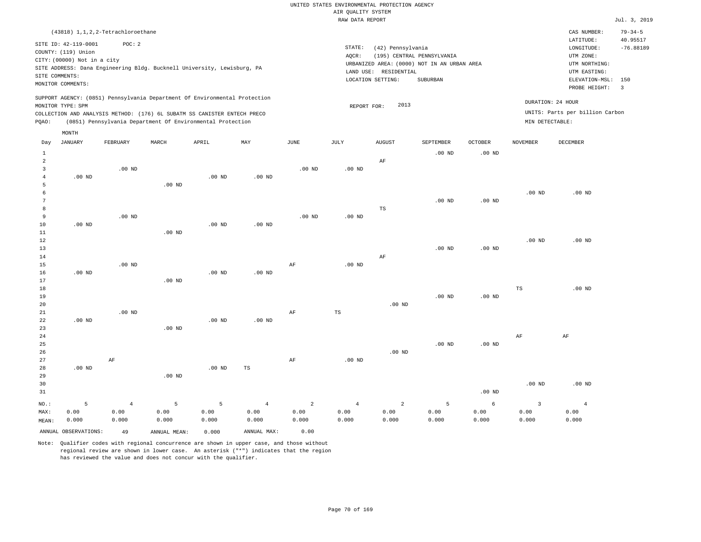|       |                             |                                      |                   |                                                                            |          |          | RAW DATA REPORT                                 |                               |                            |          |                   |                                 | Jul. 3, 2019            |  |
|-------|-----------------------------|--------------------------------------|-------------------|----------------------------------------------------------------------------|----------|----------|-------------------------------------------------|-------------------------------|----------------------------|----------|-------------------|---------------------------------|-------------------------|--|
|       |                             | (43818) 1, 1, 2, 2-Tetrachloroethane |                   |                                                                            |          |          |                                                 |                               |                            |          |                   | CAS NUMBER:                     | $79 - 34 - 5$           |  |
|       | SITE ID: 42-119-0001        | POC: 2                               |                   |                                                                            |          |          |                                                 |                               |                            |          |                   | LATITUDE:                       | 40.95517                |  |
|       | COUNTY: (119) Union         |                                      |                   |                                                                            |          |          | STATE:                                          | (42) Pennsylvania             | (195) CENTRAL PENNSYLVANIA |          |                   | LONGITUDE:                      | $-76.88189$             |  |
|       | CITY: (00000) Not in a city |                                      |                   |                                                                            |          |          | AOCR:                                           | UTM ZONE:                     |                            |          |                   |                                 |                         |  |
|       |                             |                                      |                   | SITE ADDRESS: Dana Engineering Bldg. Bucknell University, Lewisburg, PA    |          |          | URBANIZED AREA: (0000) NOT IN AN URBAN AREA     | UTM NORTHING:<br>UTM EASTING: |                            |          |                   |                                 |                         |  |
|       | SITE COMMENTS:              |                                      |                   |                                                                            |          |          | LAND USE: RESIDENTIAL                           |                               |                            |          |                   |                                 |                         |  |
|       | MONITOR COMMENTS:           |                                      |                   |                                                                            |          |          | LOCATION SETTING:<br>SUBURBAN<br>ELEVATION-MSL: |                               |                            |          |                   |                                 |                         |  |
|       |                             |                                      |                   |                                                                            |          |          |                                                 |                               |                            |          |                   | PROBE HEIGHT:                   | $\overline{\mathbf{3}}$ |  |
|       |                             |                                      |                   | SUPPORT AGENCY: (0851) Pennsylvania Department Of Environmental Protection |          |          |                                                 | 2013                          |                            |          |                   | DURATION: 24 HOUR               |                         |  |
|       | MONITOR TYPE: SPM           |                                      |                   |                                                                            |          |          | REPORT FOR:                                     |                               |                            |          |                   |                                 |                         |  |
|       |                             |                                      |                   | COLLECTION AND ANALYSIS METHOD: (176) 6L SUBATM SS CANISTER ENTECH PRECO   |          |          |                                                 |                               |                            |          |                   | UNITS: Parts per billion Carbon |                         |  |
| POAO: |                             |                                      |                   | (0851) Pennsylvania Department Of Environmental Protection                 |          |          |                                                 |                               |                            |          | MIN DETECTABLE:   |                                 |                         |  |
|       | MONTH                       |                                      |                   |                                                                            |          |          |                                                 |                               |                            |          |                   |                                 |                         |  |
| Day   | JANUARY                     | FEBRUARY                             | MARCH             | APRIL                                                                      | MAY      | JUNE     | JULY                                            | <b>AUGUST</b>                 | SEPTEMBER                  | OCTOBER  | NOVEMBER          | DECEMBER                        |                         |  |
| 1     |                             |                                      |                   |                                                                            |          |          |                                                 |                               | $.00$ ND                   | $.00$ ND |                   |                                 |                         |  |
| 2     |                             |                                      |                   |                                                                            |          |          |                                                 | AF                            |                            |          |                   |                                 |                         |  |
| 3     |                             | $.00$ ND                             |                   |                                                                            |          | $.00$ ND | $.00$ ND                                        |                               |                            |          |                   |                                 |                         |  |
|       | $.00$ ND                    |                                      |                   | $.00$ ND                                                                   | $.00$ ND |          |                                                 |                               |                            |          |                   |                                 |                         |  |
|       |                             |                                      | $.00$ ND          |                                                                            |          |          |                                                 |                               |                            |          |                   |                                 |                         |  |
|       |                             |                                      |                   |                                                                            |          |          |                                                 |                               |                            |          | .00 <sub>ND</sub> | $.00$ ND                        |                         |  |
|       |                             |                                      |                   |                                                                            |          |          |                                                 |                               | $.00$ ND                   | $.00$ ND |                   |                                 |                         |  |
| 8     |                             |                                      |                   |                                                                            |          |          |                                                 | TS                            |                            |          |                   |                                 |                         |  |
| 9     |                             | $.00$ ND                             |                   |                                                                            |          | $.00$ ND | $.00$ ND                                        |                               |                            |          |                   |                                 |                         |  |
| 10    | $.00$ ND                    |                                      |                   | $.00$ ND                                                                   | $.00$ ND |          |                                                 |                               |                            |          |                   |                                 |                         |  |
| 11    |                             |                                      | .00 <sub>ND</sub> |                                                                            |          |          |                                                 |                               |                            |          |                   |                                 |                         |  |
| 12    |                             |                                      |                   |                                                                            |          |          |                                                 |                               |                            |          | $.00$ ND          | $.00$ ND                        |                         |  |
| 13    |                             |                                      |                   |                                                                            |          |          |                                                 |                               | $.00$ ND                   | $.00$ ND |                   |                                 |                         |  |
| 14    |                             |                                      |                   |                                                                            |          |          |                                                 | AF                            |                            |          |                   |                                 |                         |  |
| 15    |                             | $.00$ ND                             |                   |                                                                            |          | AF       | $.00$ ND                                        |                               |                            |          |                   |                                 |                         |  |

17 18 19 20 21 22 23 24 .00 ND .00 ND .00 ND .00 ND .00 ND .00 ND AF TS .00 ND .00 ND .00 ND TS AF .00 ND AF

25 26 27 28 29 30 .00 ND AF .00 ND .00 ND TS AF .00 ND .00 ND .00 ND .00 ND .00 ND .00 ND

31 NO.: MAX: MEAN: 5 0.00 0.000 .00 ND 4 0.00 0.000 5 0.00 0.000 5 0.00 0.000 4 0.00 0.000 2 0.00 0.000 4 0.00 0.000 2 0.00 0.000 5 0.00 0.000 6 0.00 0.000 3 0.00 0.000 4 0.00 0.000

ANNUAL OBSERVATIONS: 49 ANNUAL MEAN: 0.000 ANNUAL MAX: 0.00

16

.00 ND

Note: Qualifier codes with regional concurrence are shown in upper case, and those without regional review are shown in lower case. An asterisk ("\*") indicates that the region has reviewed the value and does not concur with the qualifier.

.00 ND

.00 ND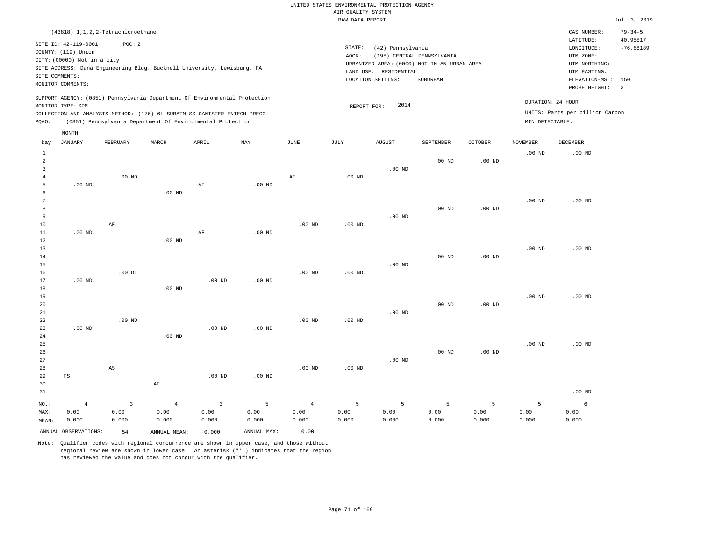RAW DATA REPORT Jul. 3, 2019 UNITED STATES ENVIRONMENTAL PROTECTION AGENCY AIR QUALITY SYSTEM (43818) 1,1,2,2-Tetrachloroethane STATE: (42) Pennsylvania CAS NUMBER: 79-34-5 SITE ID: 42-119-0001 POC: 2 AQCR: (195) CENTRAL PENNSYLVANIA COUNTY: (119) Union CITY: (00000) Not in a city LONGITUDE: -76.88189 LATITUDE: 40.95517 LOCATION SETTING: SUBURBAN SITE ADDRESS: Dana Engineering Bldg. Bucknell University, Lewisburg, PA LAND USE: RESIDENTIAL SITE COMMENTS: MONITOR COMMENTS: PROBE HEIGHT: 3 ELEVATION-MSL: 150 URBANIZED AREA: (0000) NOT IN AN URBAN AREA **URBAN SERIA UTM NORTHING**: UTM EASTING: UTM ZONE: SUPPORT AGENCY: (0851) Pennsylvania Department Of Environmental Protection MONITOR TYPE: SPM COLLECTION AND ANALYSIS METHOD: (176) 6L SUBATM SS CANISTER ENTECH PRECO REPORT FOR: 2014 UNITS: Parts per billion Carbon PQAO: (0851) Pennsylvania Department Of Environmental Protection MIN DETECTABLE: DURATION: 24 HOUR 1 2 3 4 5 6 7 8 9 10 11 12 13 14 15 16 17 18 19  $20$ 21 22 23 24 25 26 27 28 29 30 31 .00 ND .00 ND .00 ND .00 ND TS NO.: MAX: MEAN: 4 0.00 0.000 .00 ND AF .00 DI .00 ND AS .00 ND .00 ND .00 ND .00 ND AF AF AF .00 ND .00 ND .00 ND .00 ND .00 ND .00 ND .00 ND .00 ND AF .00 ND .00 ND .00 ND .00 ND .00 ND .00 ND .00 ND .00 ND .00 ND .00 ND .00 ND .00 ND .00 ND .00 ND .00 ND .00 ND .00 ND .00 ND .00 ND .00 ND .00 ND .00 ND .00 ND .00 ND .00 ND .00 ND .00 ND .00 ND .00 ND .00 ND .00 ND .00 ND .00 ND .00 ND .00 ND 3 0.00 0.000 4 0.00 0.000 3 0.00 0.000 5 0.00 0.000 4 0.00 0.000 5 0.00 0.000 5 0.00 0.000 5 0.00 0.000 5 0.00 0.000 5 0.00 0.000 6 0.00 0.000 ANNUAL OBSERVATIONS: 54 ANNUAL MEAN: 0.000 ANNUAL MAX: 0.00 Day JANUARY FEBRUARY MARCH APRIL MAY JUNE JULY AUGUST SEPTEMBER OCTOBER NOVEMBER DECEMBER MONTH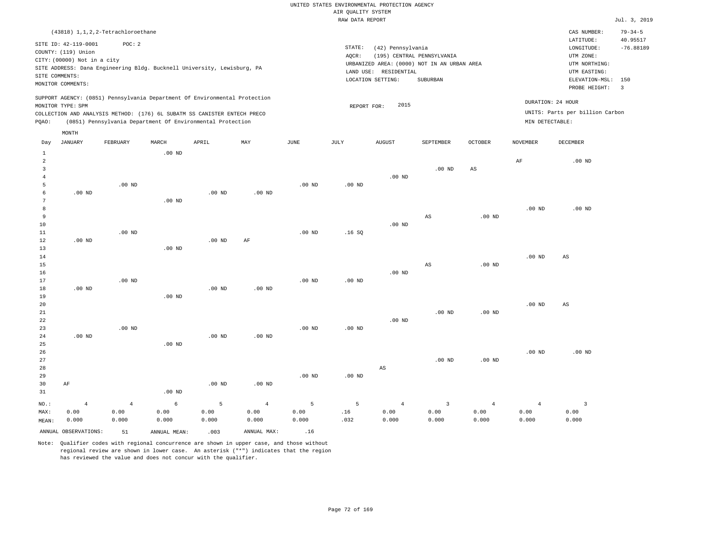|                |                                                                            |                |                                                            |          |                   |             | RAW DATA REPORT     |                       |                                             |                   |                   |                                     | Jul. 3, 2019   |
|----------------|----------------------------------------------------------------------------|----------------|------------------------------------------------------------|----------|-------------------|-------------|---------------------|-----------------------|---------------------------------------------|-------------------|-------------------|-------------------------------------|----------------|
|                | (43818) 1, 1, 2, 2-Tetrachloroethane                                       |                |                                                            |          |                   |             |                     |                       |                                             |                   |                   | CAS NUMBER:                         | $79 - 34 - 5$  |
|                | SITE ID: 42-119-0001                                                       | POC: 2         |                                                            |          |                   |             |                     |                       |                                             |                   |                   | LATITUDE:                           | 40.95517       |
|                | COUNTY: (119) Union                                                        |                |                                                            |          |                   |             | $\texttt{STATE}{}:$ | (42) Pennsylvania     |                                             |                   |                   | LONGITUDE:                          | $-76.88189$    |
|                | CITY: (00000) Not in a city                                                |                |                                                            |          |                   |             | AQCR:               |                       | (195) CENTRAL PENNSYLVANIA                  |                   |                   | UTM ZONE:                           |                |
|                | SITE ADDRESS: Dana Engineering Bldg. Bucknell University, Lewisburg, PA    |                |                                                            |          |                   |             |                     |                       | URBANIZED AREA: (0000) NOT IN AN URBAN AREA |                   |                   | UTM NORTHING:                       |                |
|                | SITE COMMENTS:                                                             |                |                                                            |          |                   |             |                     | LAND USE: RESIDENTIAL |                                             |                   |                   | UTM EASTING:                        |                |
|                | MONITOR COMMENTS:                                                          |                |                                                            |          |                   |             |                     | LOCATION SETTING:     | <b>SUBURBAN</b>                             |                   |                   | ELEVATION-MSL: 150<br>PROBE HEIGHT: | $\overline{3}$ |
|                | SUPPORT AGENCY: (0851) Pennsylvania Department Of Environmental Protection |                |                                                            |          |                   |             |                     |                       |                                             |                   |                   |                                     |                |
|                | MONITOR TYPE: SPM                                                          |                |                                                            |          |                   |             | REPORT FOR:         | 2015                  |                                             |                   |                   | DURATION: 24 HOUR                   |                |
|                | COLLECTION AND ANALYSIS METHOD: (176) 6L SUBATM SS CANISTER ENTECH PRECO   |                |                                                            |          |                   |             |                     |                       |                                             |                   |                   | UNITS: Parts per billion Carbon     |                |
| PQAO:          |                                                                            |                | (0851) Pennsylvania Department Of Environmental Protection |          |                   |             |                     |                       |                                             |                   | MIN DETECTABLE:   |                                     |                |
|                | MONTH                                                                      |                |                                                            |          |                   |             |                     |                       |                                             |                   |                   |                                     |                |
| Day            | <b>JANUARY</b>                                                             | FEBRUARY       | MARCH                                                      | APRIL    | MAY               | <b>JUNE</b> | JULY                | <b>AUGUST</b>         | SEPTEMBER                                   | <b>OCTOBER</b>    | <b>NOVEMBER</b>   | <b>DECEMBER</b>                     |                |
| 1              |                                                                            |                | $.00$ ND                                                   |          |                   |             |                     |                       |                                             |                   |                   |                                     |                |
| $\overline{a}$ |                                                                            |                |                                                            |          |                   |             |                     |                       |                                             |                   | AF                | $.00$ ND                            |                |
| 3              |                                                                            |                |                                                            |          |                   |             |                     |                       | $.00$ ND                                    | $_{\rm AS}$       |                   |                                     |                |
| $\overline{4}$ |                                                                            |                |                                                            |          |                   |             |                     | $.00$ ND              |                                             |                   |                   |                                     |                |
| 5              |                                                                            | $.00$ ND       |                                                            |          |                   | $.00$ ND    | .00 <sub>ND</sub>   |                       |                                             |                   |                   |                                     |                |
| 6              | $.00$ ND                                                                   |                |                                                            | $.00$ ND | $.00$ ND          |             |                     |                       |                                             |                   |                   |                                     |                |
| 7<br>8         |                                                                            |                | $.00$ ND                                                   |          |                   |             |                     |                       |                                             |                   |                   |                                     |                |
| 9              |                                                                            |                |                                                            |          |                   |             |                     |                       | $\mathbb{A}\mathbb{S}$                      | .00 <sub>ND</sub> | .00 <sub>ND</sub> | $.00$ ND                            |                |
| 10             |                                                                            |                |                                                            |          |                   |             |                     | $.00$ ND              |                                             |                   |                   |                                     |                |
| 11             |                                                                            | $.00$ ND       |                                                            |          |                   | $.00$ ND    | .16S                |                       |                                             |                   |                   |                                     |                |
| 12             | $.00$ ND                                                                   |                |                                                            | $.00$ ND | AF                |             |                     |                       |                                             |                   |                   |                                     |                |
| 13             |                                                                            |                | $.00$ ND                                                   |          |                   |             |                     |                       |                                             |                   |                   |                                     |                |
| 14             |                                                                            |                |                                                            |          |                   |             |                     |                       |                                             |                   | .00 <sub>ND</sub> | $_{\rm AS}$                         |                |
| 15             |                                                                            |                |                                                            |          |                   |             |                     |                       | $\mathbb{A}\mathbb{S}$                      | .00 <sub>ND</sub> |                   |                                     |                |
| 16             |                                                                            |                |                                                            |          |                   |             |                     | .00 <sub>ND</sub>     |                                             |                   |                   |                                     |                |
| 17             |                                                                            | $.00$ ND       |                                                            |          |                   | $.00$ ND    | $.00$ ND            |                       |                                             |                   |                   |                                     |                |
| 18             | $.00$ ND                                                                   |                |                                                            | $.00$ ND | .00 <sub>ND</sub> |             |                     |                       |                                             |                   |                   |                                     |                |
| 19             |                                                                            |                | .00 <sub>ND</sub>                                          |          |                   |             |                     |                       |                                             |                   |                   |                                     |                |
| 20             |                                                                            |                |                                                            |          |                   |             |                     |                       |                                             |                   | .00 <sub>ND</sub> | $_{\rm AS}$                         |                |
| 21             |                                                                            |                |                                                            |          |                   |             |                     |                       | $.00$ ND                                    | .00 <sub>ND</sub> |                   |                                     |                |
| 22             |                                                                            | $.00$ ND       |                                                            |          |                   | $.00$ ND    | $.00$ ND            | $.00$ ND              |                                             |                   |                   |                                     |                |
| 23<br>24       | .00 <sub>ND</sub>                                                          |                |                                                            | $.00$ ND | $.00$ ND          |             |                     |                       |                                             |                   |                   |                                     |                |
| 25             |                                                                            |                | .00 <sub>ND</sub>                                          |          |                   |             |                     |                       |                                             |                   |                   |                                     |                |
| 26             |                                                                            |                |                                                            |          |                   |             |                     |                       |                                             |                   | .00 <sub>ND</sub> | .00 <sub>ND</sub>                   |                |
| 27             |                                                                            |                |                                                            |          |                   |             |                     |                       | $.00$ ND                                    | $.00$ ND          |                   |                                     |                |
| 28             |                                                                            |                |                                                            |          |                   |             |                     | AS                    |                                             |                   |                   |                                     |                |
| 29             |                                                                            |                |                                                            |          |                   | $.00$ ND    | $.00$ ND            |                       |                                             |                   |                   |                                     |                |
| 30             | AF                                                                         |                |                                                            | $.00$ ND | .00 <sub>ND</sub> |             |                     |                       |                                             |                   |                   |                                     |                |
| 31             |                                                                            |                | $.00$ ND                                                   |          |                   |             |                     |                       |                                             |                   |                   |                                     |                |
| NO.:           | $\overline{4}$                                                             | $\overline{4}$ | 6                                                          | 5        | $\overline{4}$    | 5           | 5                   | $\overline{4}$        | $\overline{3}$                              | $\overline{4}$    | $\overline{4}$    | $\overline{3}$                      |                |
| MAX:           | 0.00                                                                       | 0.00           | 0.00                                                       | 0.00     | 0.00              | 0.00        | .16                 | 0.00                  | 0.00                                        | 0.00              | 0.00              | 0.00                                |                |
| MEAN:          | 0.000                                                                      | 0.000          | 0.000                                                      | 0.000    | 0.000             | 0.000       | .032                | 0.000                 | 0.000                                       | 0.000             | 0.000             | 0.000                               |                |
|                | ANNUAL OBSERVATIONS:                                                       | 51             | ANNUAL, MEAN:                                              | .003     | ANNUAL MAX:       | .16         |                     |                       |                                             |                   |                   |                                     |                |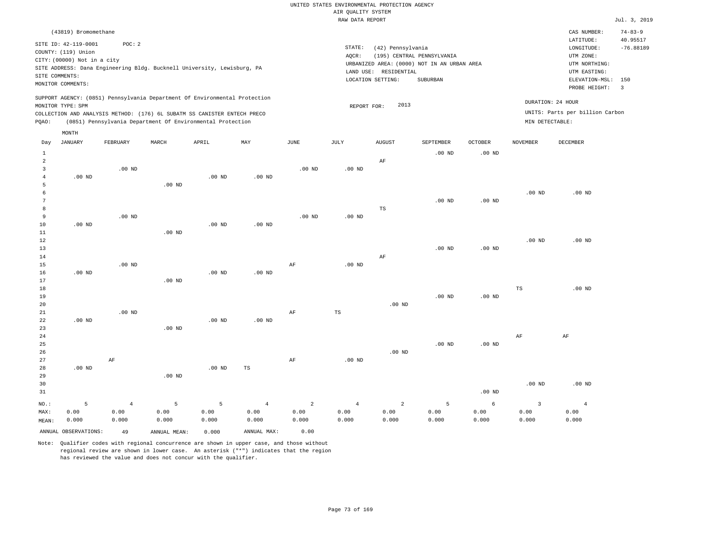|       |                                                                                                                   |          |       |                                                                                                                                                                                                                      |          |          |                 | RAW DATA REPORT                                                                                                   |                                        |                |                 |                                                                                                          | Jul. 3, 2019                                              |
|-------|-------------------------------------------------------------------------------------------------------------------|----------|-------|----------------------------------------------------------------------------------------------------------------------------------------------------------------------------------------------------------------------|----------|----------|-----------------|-------------------------------------------------------------------------------------------------------------------|----------------------------------------|----------------|-----------------|----------------------------------------------------------------------------------------------------------|-----------------------------------------------------------|
|       | (43819) Bromomethane                                                                                              |          |       |                                                                                                                                                                                                                      |          |          |                 |                                                                                                                   |                                        |                |                 | CAS NUMBER:                                                                                              | $74 - 83 - 9$                                             |
|       | SITE ID: 42-119-0001<br>COUNTY: (119) Union<br>CITY: (00000) Not in a city<br>SITE COMMENTS:<br>MONITOR COMMENTS: | POC:2    |       | SITE ADDRESS: Dana Engineering Bldg. Bucknell University, Lewisburg, PA                                                                                                                                              |          |          | STATE:<br>AQCR: | (42) Pennsylvania<br>URBANIZED AREA: (0000) NOT IN AN URBAN AREA<br>LAND USE:<br>RESIDENTIAL<br>LOCATION SETTING: | (195) CENTRAL PENNSYLVANIA<br>SUBURBAN |                |                 | LATITUDE:<br>LONGITUDE:<br>UTM ZONE:<br>UTM NORTHING:<br>UTM EASTING:<br>ELEVATION-MSL:<br>PROBE HEIGHT: | 40.95517<br>$-76.88189$<br>150<br>$\overline{\mathbf{3}}$ |
| POAO: | MONITOR TYPE: SPM                                                                                                 |          |       | SUPPORT AGENCY: (0851) Pennsylvania Department Of Environmental Protection<br>COLLECTION AND ANALYSIS METHOD: (176) 6L SUBATM SS CANISTER ENTECH PRECO<br>(0851) Pennsylvania Department Of Environmental Protection |          |          |                 | 2013<br>REPORT FOR:                                                                                               |                                        |                | MIN DETECTABLE: | DURATION: 24 HOUR<br>UNITS: Parts per billion Carbon                                                     |                                                           |
|       | MONTH                                                                                                             |          |       |                                                                                                                                                                                                                      |          |          |                 |                                                                                                                   |                                        |                |                 |                                                                                                          |                                                           |
| Day   | JANUARY                                                                                                           | FEBRUARY | MARCH | APRIL                                                                                                                                                                                                                | MAY      | JUNE     | JULY            | <b>AUGUST</b>                                                                                                     | SEPTEMBER                              | <b>OCTOBER</b> | NOVEMBER        | DECEMBER                                                                                                 |                                                           |
|       |                                                                                                                   |          |       |                                                                                                                                                                                                                      |          |          |                 |                                                                                                                   | $.00$ ND                               | $.00$ ND       |                 |                                                                                                          |                                                           |
| 2     |                                                                                                                   |          |       |                                                                                                                                                                                                                      |          |          |                 | AF                                                                                                                |                                        |                |                 |                                                                                                          |                                                           |
|       |                                                                                                                   | $.00$ ND |       |                                                                                                                                                                                                                      |          | $.00$ ND | $.00$ ND        |                                                                                                                   |                                        |                |                 |                                                                                                          |                                                           |
| 4     | $.00$ ND                                                                                                          |          |       | $.00$ ND                                                                                                                                                                                                             | $.00$ ND |          |                 |                                                                                                                   |                                        |                |                 |                                                                                                          |                                                           |

 5 6 7 8 9 10 .00 ND .00 ND .00 ND .00 ND .00 ND .00 ND .00 ND TS .00 ND .00 ND .00 ND .00 ND

| 11     |          |          | $.00$ ND |          |          |    |          |          |          |          |          |          |
|--------|----------|----------|----------|----------|----------|----|----------|----------|----------|----------|----------|----------|
| 12     |          |          |          |          |          |    |          |          |          |          | $.00$ ND | $.00$ ND |
| 13     |          |          |          |          |          |    |          |          | $.00$ ND | $.00$ ND |          |          |
| 14     |          |          |          |          |          |    |          | AF       |          |          |          |          |
| 15     |          | $.00$ ND |          |          |          | AF | $.00$ ND |          |          |          |          |          |
| 16     | $.00$ ND |          |          | $.00$ ND | $.00$ ND |    |          |          |          |          |          |          |
| 17     |          |          | $.00$ ND |          |          |    |          |          |          |          |          |          |
| 18     |          |          |          |          |          |    |          |          |          |          | TS       | $.00$ ND |
| 19     |          |          |          |          |          |    |          |          | $.00$ ND | $.00$ ND |          |          |
| 20     |          |          |          |          |          |    |          | $.00$ ND |          |          |          |          |
| $21\,$ |          | $.00$ ND |          |          |          | AF | TS       |          |          |          |          |          |
| 22     | $.00$ ND |          |          | $.00$ ND | $.00$ ND |    |          |          |          |          |          |          |
| 23     |          |          | $.00$ ND |          |          |    |          |          |          |          |          |          |
| 24     |          |          |          |          |          |    |          |          |          |          | AF       | AF       |

| 24 |          |             |    |                   |          |          |          | ΑF | ΑF |
|----|----------|-------------|----|-------------------|----------|----------|----------|----|----|
| 25 |          |             |    |                   |          | $.00$ ND | $.00$ ND |    |    |
| 26 |          |             |    |                   | $.00$ ND |          |          |    |    |
| 27 | AF       |             | AF | .00 <sub>ND</sub> |          |          |          |    |    |
| 28 | $.00$ ND | $.00$ ND TS |    |                   |          |          |          |    |    |

| 29<br>30 |       |       | $.00$ ND |       |       |                            |       |       |       |                   | .00 <sub>ND</sub> | $.00$ ND |
|----------|-------|-------|----------|-------|-------|----------------------------|-------|-------|-------|-------------------|-------------------|----------|
| 31       |       |       |          |       |       |                            |       |       |       | .00 <sub>ND</sub> |                   |          |
| $NO.$ :  |       |       |          |       | 4     | $\overline{\phantom{a}}$ 2 | 4     | 2     |       | 6                 |                   |          |
| MAX:     | 0.00  | 0.00  | 0.00     | 0.00  | 0.00  | 0.00                       | 0.00  | 0.00  | 0.00  | 0.00              | 0.00              | 0.00     |
| MEAN:    | 0.000 | 0.000 | 0.000    | 0.000 | 0.000 | 0.000                      | 0.000 | 0.000 | 0.000 | 0.000             | 0.000             | 0.000    |

ANNUAL OBSERVATIONS: 49 ANNUAL MEAN: 0.000 ANNUAL MAX: 0.00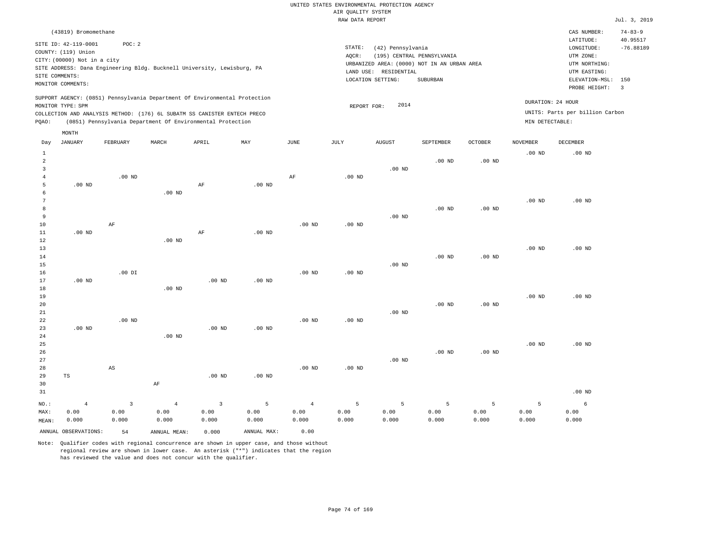|                                       |                                                                                                                   |                                 |                                                                                                                                        |                                 |                    |                                 |                                       | UNITED STATES ENVIRONMENTAL PROTECTION AGENCY                   |                                                                                       |                    |                    |                                                                                                          |                                                           |
|---------------------------------------|-------------------------------------------------------------------------------------------------------------------|---------------------------------|----------------------------------------------------------------------------------------------------------------------------------------|---------------------------------|--------------------|---------------------------------|---------------------------------------|-----------------------------------------------------------------|---------------------------------------------------------------------------------------|--------------------|--------------------|----------------------------------------------------------------------------------------------------------|-----------------------------------------------------------|
|                                       |                                                                                                                   |                                 |                                                                                                                                        |                                 |                    |                                 | AIR OUALITY SYSTEM<br>RAW DATA REPORT |                                                                 |                                                                                       |                    |                    |                                                                                                          | Jul. 3, 2019                                              |
|                                       | (43819) Bromomethane                                                                                              |                                 |                                                                                                                                        |                                 |                    |                                 |                                       |                                                                 |                                                                                       |                    |                    | CAS NUMBER:                                                                                              | $74 - 83 - 9$                                             |
|                                       | SITE ID: 42-119-0001<br>COUNTY: (119) Union<br>CITY: (00000) Not in a city<br>SITE COMMENTS:<br>MONITOR COMMENTS: | POC: 2                          | SITE ADDRESS: Dana Engineering Bldg. Bucknell University, Lewisburg, PA                                                                |                                 |                    |                                 | STATE:<br>AQCR:                       | (42) Pennsylvania<br>LAND USE: RESIDENTIAL<br>LOCATION SETTING: | (195) CENTRAL PENNSYLVANIA<br>URBANIZED AREA: (0000) NOT IN AN URBAN AREA<br>SUBURBAN |                    |                    | LATITUDE:<br>LONGITUDE:<br>UTM ZONE:<br>UTM NORTHING:<br>UTM EASTING:<br>ELEVATION-MSL:<br>PROBE HEIGHT: | 40.95517<br>$-76.88189$<br>150<br>$\overline{\mathbf{3}}$ |
|                                       |                                                                                                                   |                                 | SUPPORT AGENCY: (0851) Pennsylvania Department Of Environmental Protection                                                             |                                 |                    |                                 |                                       | 2014                                                            |                                                                                       |                    |                    | DURATION: 24 HOUR                                                                                        |                                                           |
| PQAO:                                 | MONITOR TYPE: SPM                                                                                                 |                                 | COLLECTION AND ANALYSIS METHOD: (176) 6L SUBATM SS CANISTER ENTECH PRECO<br>(0851) Pennsylvania Department Of Environmental Protection |                                 |                    |                                 | REPORT FOR:                           |                                                                 |                                                                                       |                    | MIN DETECTABLE:    | UNITS: Parts per billion Carbon                                                                          |                                                           |
|                                       | MONTH                                                                                                             |                                 |                                                                                                                                        |                                 |                    |                                 |                                       |                                                                 |                                                                                       |                    |                    |                                                                                                          |                                                           |
| Day                                   | JANUARY                                                                                                           | FEBRUARY                        | MARCH                                                                                                                                  | APRIL                           | MAY                | JUNE                            | $_{\rm JULY}$                         | <b>AUGUST</b>                                                   | SEPTEMBER                                                                             | <b>OCTOBER</b>     | <b>NOVEMBER</b>    | DECEMBER                                                                                                 |                                                           |
| $1\,$<br>$\sqrt{2}$                   |                                                                                                                   |                                 |                                                                                                                                        |                                 |                    |                                 |                                       |                                                                 | .00 <sub>ND</sub>                                                                     | .00 <sub>ND</sub>  | .00 <sub>ND</sub>  | $.00$ ND                                                                                                 |                                                           |
| $\overline{3}$<br>$\overline{4}$<br>5 | $.00$ ND                                                                                                          | $.00$ ND                        |                                                                                                                                        | AF                              | $.00$ ND           | AF                              | $.00$ ND                              | $.00$ ND                                                        |                                                                                       |                    |                    |                                                                                                          |                                                           |
| 6<br>$7\phantom{.0}$<br>8<br>9<br>10  |                                                                                                                   | AF                              | .00 <sub>ND</sub>                                                                                                                      |                                 |                    | $.00$ ND                        | $.00$ ND                              | .00 <sub>ND</sub>                                               | .00 <sub>ND</sub>                                                                     | .00 <sub>ND</sub>  | .00 <sub>ND</sub>  | $.00$ ND                                                                                                 |                                                           |
| $1\,1$<br>$1\,2$<br>13<br>14          | $.00$ ND                                                                                                          |                                 | .00 <sub>ND</sub>                                                                                                                      | $\rm AF$                        | $.00$ ND           |                                 |                                       |                                                                 | $.00$ ND                                                                              | .00 <sub>ND</sub>  | .00 <sub>ND</sub>  | $.00$ ND                                                                                                 |                                                           |
| 15<br>16<br>17<br>$18$                | $.00$ ND                                                                                                          | $.00$ DI                        | .00 <sub>ND</sub>                                                                                                                      | $.00$ ND                        | $.00$ ND           | .00 <sub>ND</sub>               | .00 <sub>ND</sub>                     | .00 <sub>ND</sub>                                               |                                                                                       |                    |                    |                                                                                                          |                                                           |
| 19<br>20<br>21<br>22                  |                                                                                                                   | .00 <sub>ND</sub>               |                                                                                                                                        |                                 |                    | .00 <sub>ND</sub>               | .00 <sub>ND</sub>                     | $.00$ ND                                                        | $.00$ ND                                                                              | $.00$ ND           | .00 <sub>ND</sub>  | .00 <sub>ND</sub>                                                                                        |                                                           |
| 23<br>24<br>25                        | $.00$ ND                                                                                                          |                                 | $.00$ ND                                                                                                                               | $.00$ ND                        | $.00$ ND           |                                 |                                       |                                                                 |                                                                                       |                    | .00 <sub>ND</sub>  | .00 <sub>ND</sub>                                                                                        |                                                           |
| 26<br>27<br>28<br>29<br>30            | $_{\rm TS}$                                                                                                       | AS                              | $\rm{AF}$                                                                                                                              | .00 <sub>ND</sub>               | .00 <sub>ND</sub>  | $.00$ ND                        | $.00$ ND                              | $.00$ ND                                                        | .00 <sub>ND</sub>                                                                     | .00 <sub>ND</sub>  |                    |                                                                                                          |                                                           |
| 31                                    |                                                                                                                   |                                 |                                                                                                                                        |                                 |                    |                                 |                                       |                                                                 |                                                                                       |                    |                    | $.00$ ND                                                                                                 |                                                           |
| $NO.$ :<br>MAX:<br>MEAN:              | $\overline{4}$<br>0.00<br>0.000                                                                                   | $\overline{3}$<br>0.00<br>0.000 | $\overline{4}$<br>0.00<br>0.000                                                                                                        | $\overline{3}$<br>0.00<br>0.000 | 5<br>0.00<br>0.000 | $\overline{4}$<br>0.00<br>0.000 | 5<br>0.00<br>0.000                    | 5<br>0.00<br>0.000                                              | 5<br>0.00<br>0.000                                                                    | 5<br>0.00<br>0.000 | 5<br>0.00<br>0.000 | 6<br>0.00<br>0.000                                                                                       |                                                           |
|                                       | ANNUAL OBSERVATIONS:                                                                                              | 54                              | ANNUAL MEAN:                                                                                                                           | 0.000                           | ANNUAL MAX:        | 0.00                            |                                       |                                                                 |                                                                                       |                    |                    |                                                                                                          |                                                           |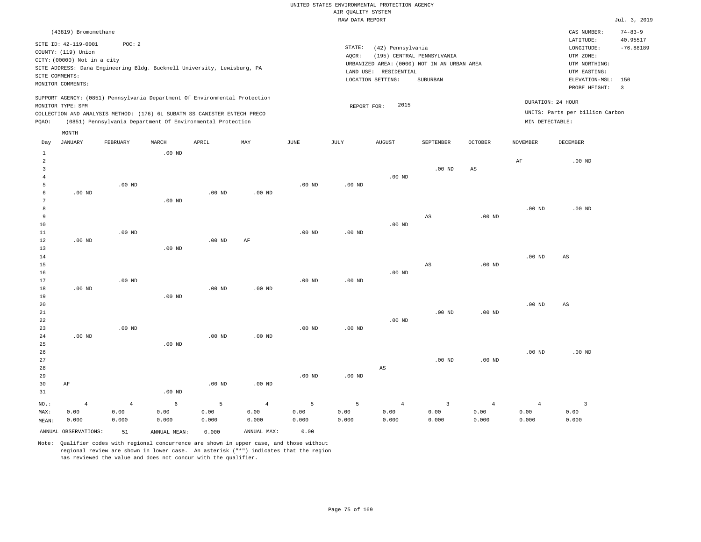|                |                                                                                                 |                |                   |                                                            |                |                   | RAW DATA REPORT    |                       |                                             |                        |                   |                                 | Jul. 3, 2019   |
|----------------|-------------------------------------------------------------------------------------------------|----------------|-------------------|------------------------------------------------------------|----------------|-------------------|--------------------|-----------------------|---------------------------------------------|------------------------|-------------------|---------------------------------|----------------|
|                | (43819) Bromomethane                                                                            |                |                   |                                                            |                |                   |                    |                       |                                             |                        |                   | CAS NUMBER:                     | $74 - 83 - 9$  |
|                | SITE ID: 42-119-0001                                                                            | POC: 2         |                   |                                                            |                |                   |                    |                       |                                             |                        |                   | LATITUDE:                       | 40.95517       |
|                | COUNTY: (119) Union                                                                             |                |                   |                                                            |                |                   | $\texttt{STATE}$ : | (42) Pennsylvania     |                                             |                        |                   | LONGITUDE:                      | $-76.88189$    |
|                | CITY: (00000) Not in a city                                                                     |                |                   |                                                            |                |                   | AQCR:              |                       | (195) CENTRAL PENNSYLVANIA                  |                        |                   | UTM ZONE:                       |                |
|                | SITE ADDRESS: Dana Engineering Bldg. Bucknell University, Lewisburg, PA                         |                |                   |                                                            |                |                   |                    |                       | URBANIZED AREA: (0000) NOT IN AN URBAN AREA |                        |                   | UTM NORTHING:                   |                |
|                | SITE COMMENTS:                                                                                  |                |                   |                                                            |                |                   |                    | LAND USE: RESIDENTIAL |                                             |                        |                   | UTM EASTING:                    |                |
|                | MONITOR COMMENTS:                                                                               |                |                   |                                                            |                |                   |                    | LOCATION SETTING:     | SUBURBAN                                    |                        |                   | ELEVATION-MSL: 150              |                |
|                |                                                                                                 |                |                   |                                                            |                |                   |                    |                       |                                             |                        |                   | PROBE HEIGHT:                   | $\overline{3}$ |
|                | SUPPORT AGENCY: (0851) Pennsylvania Department Of Environmental Protection<br>MONITOR TYPE: SPM |                |                   |                                                            |                |                   | REPORT FOR:        | 2015                  |                                             |                        |                   | DURATION: 24 HOUR               |                |
|                | COLLECTION AND ANALYSIS METHOD: (176) 6L SUBATM SS CANISTER ENTECH PRECO                        |                |                   |                                                            |                |                   |                    |                       |                                             |                        |                   | UNITS: Parts per billion Carbon |                |
| PQAO:          |                                                                                                 |                |                   | (0851) Pennsylvania Department Of Environmental Protection |                |                   |                    |                       |                                             |                        | MIN DETECTABLE:   |                                 |                |
|                | MONTH                                                                                           |                |                   |                                                            |                |                   |                    |                       |                                             |                        |                   |                                 |                |
| Day            | <b>JANUARY</b>                                                                                  | FEBRUARY       | MARCH             | APRIL                                                      | MAY            | <b>JUNE</b>       | <b>JULY</b>        | <b>AUGUST</b>         | SEPTEMBER                                   | <b>OCTOBER</b>         | <b>NOVEMBER</b>   | DECEMBER                        |                |
| 1              |                                                                                                 |                | $.00$ ND          |                                                            |                |                   |                    |                       |                                             |                        |                   |                                 |                |
| $\overline{a}$ |                                                                                                 |                |                   |                                                            |                |                   |                    |                       |                                             |                        | $\rm AF$          | $.00$ ND                        |                |
| 3              |                                                                                                 |                |                   |                                                            |                |                   |                    |                       | $.00$ ND                                    | $\mathbb{A}\mathbb{S}$ |                   |                                 |                |
| $\overline{4}$ |                                                                                                 |                |                   |                                                            |                |                   |                    | $.00$ ND              |                                             |                        |                   |                                 |                |
| 5              |                                                                                                 | $.00$ ND       |                   |                                                            |                | .00 <sub>ND</sub> | $.00$ ND           |                       |                                             |                        |                   |                                 |                |
| 6              | $.00$ ND                                                                                        |                |                   | .00 <sub>ND</sub>                                          | $.00$ ND       |                   |                    |                       |                                             |                        |                   |                                 |                |
| 7              |                                                                                                 |                | .00 <sub>ND</sub> |                                                            |                |                   |                    |                       |                                             |                        |                   |                                 |                |
| 8              |                                                                                                 |                |                   |                                                            |                |                   |                    |                       |                                             |                        | .00 <sub>ND</sub> | $.00$ ND                        |                |
| 9<br>$10$      |                                                                                                 |                |                   |                                                            |                |                   |                    | $.00$ ND              | $_{\rm AS}$                                 | .00 <sub>ND</sub>      |                   |                                 |                |
| $1\,1$         |                                                                                                 | $.00$ ND       |                   |                                                            |                | .00 <sub>ND</sub> | .00 <sub>ND</sub>  |                       |                                             |                        |                   |                                 |                |
| 12             | $.00$ ND                                                                                        |                |                   | .00 <sub>ND</sub>                                          | AF             |                   |                    |                       |                                             |                        |                   |                                 |                |
| 13             |                                                                                                 |                | $.00$ ND          |                                                            |                |                   |                    |                       |                                             |                        |                   |                                 |                |
| 14             |                                                                                                 |                |                   |                                                            |                |                   |                    |                       |                                             |                        | .00 <sub>ND</sub> | $_{\rm AS}$                     |                |
| 15             |                                                                                                 |                |                   |                                                            |                |                   |                    |                       | $_{\rm AS}$                                 | $.00$ ND               |                   |                                 |                |
| 16             |                                                                                                 |                |                   |                                                            |                |                   |                    | $.00$ ND              |                                             |                        |                   |                                 |                |
| 17             |                                                                                                 | $.00$ ND       |                   |                                                            |                | .00 <sub>ND</sub> | .00 <sub>ND</sub>  |                       |                                             |                        |                   |                                 |                |
| 18             | $.00$ ND                                                                                        |                |                   | $.00$ ND                                                   | $.00$ ND       |                   |                    |                       |                                             |                        |                   |                                 |                |
| 19             |                                                                                                 |                | $.00$ ND          |                                                            |                |                   |                    |                       |                                             |                        |                   |                                 |                |
| 20             |                                                                                                 |                |                   |                                                            |                |                   |                    |                       |                                             |                        | .00 <sub>ND</sub> | $_{\rm AS}$                     |                |
| $2\sqrt{1}$    |                                                                                                 |                |                   |                                                            |                |                   |                    |                       | $.00$ ND                                    | $.00$ ND               |                   |                                 |                |
| 22             |                                                                                                 |                |                   |                                                            |                |                   |                    | $.00$ ND              |                                             |                        |                   |                                 |                |
| 23             |                                                                                                 | $.00$ ND       |                   |                                                            |                | .00 <sub>ND</sub> | .00 <sub>ND</sub>  |                       |                                             |                        |                   |                                 |                |
| 24             | $.00$ ND                                                                                        |                |                   | $.00$ ND                                                   | $.00$ ND       |                   |                    |                       |                                             |                        |                   |                                 |                |
| 25             |                                                                                                 |                | $.00$ ND          |                                                            |                |                   |                    |                       |                                             |                        |                   |                                 |                |
| 26             |                                                                                                 |                |                   |                                                            |                |                   |                    |                       |                                             |                        | .00 <sub>ND</sub> | $.00$ ND                        |                |
| 27<br>28       |                                                                                                 |                |                   |                                                            |                |                   |                    |                       | $.00$ ND                                    | .00 <sub>ND</sub>      |                   |                                 |                |
| 29             |                                                                                                 |                |                   |                                                            |                | .00 <sub>ND</sub> | .00 <sub>ND</sub>  | AS                    |                                             |                        |                   |                                 |                |
|                |                                                                                                 |                |                   | $.00$ ND                                                   | $.00$ ND       |                   |                    |                       |                                             |                        |                   |                                 |                |
| 30<br>31       | AF                                                                                              |                | $.00$ ND          |                                                            |                |                   |                    |                       |                                             |                        |                   |                                 |                |
|                |                                                                                                 |                |                   |                                                            |                |                   |                    |                       |                                             |                        |                   |                                 |                |
| NO.:           | $\overline{4}$                                                                                  | $\overline{4}$ | 6                 | 5                                                          | $\overline{4}$ | 5                 | 5                  | $\overline{4}$        | $\overline{3}$                              | $\overline{4}$         | $\overline{4}$    | $\overline{3}$                  |                |
| MAX:           | 0.00                                                                                            | 0.00           | 0.00              | 0.00                                                       | 0.00           | 0.00              | 0.00               | 0.00                  | 0.00                                        | 0.00                   | 0.00              | 0.00                            |                |
| MEAN:          | 0.000                                                                                           | 0.000          | 0.000             | 0.000                                                      | 0.000          | 0.000             | 0.000              | 0.000                 | 0.000                                       | 0.000                  | 0.000             | 0.000                           |                |
|                | ANNUAL OBSERVATIONS:                                                                            | 51             | ANNUAL, MEAN:     | 0.000                                                      | ANNUAL MAX:    | 0.00              |                    |                       |                                             |                        |                   |                                 |                |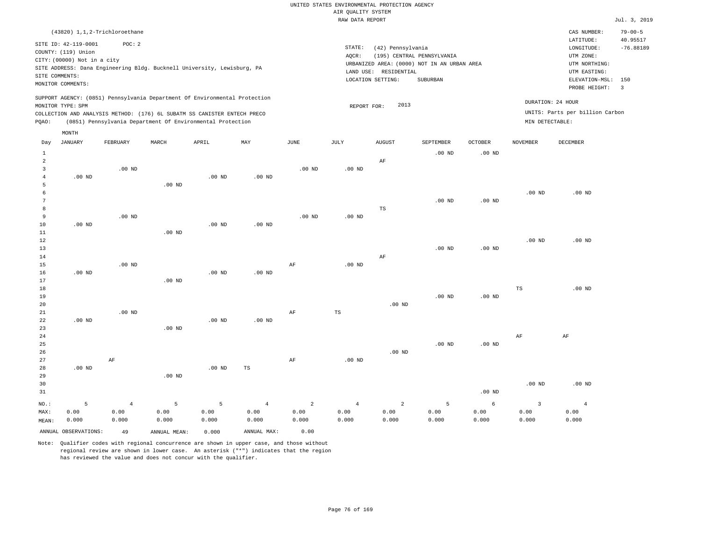|                                                         |                                                                                                                   |                                                                                                                                        |                   |                   |                |                   | RAW DATA REPORT   |                                                                 |                                                                                       |                   |                   |                                                                                             | Jul. 3, 2019                         |
|---------------------------------------------------------|-------------------------------------------------------------------------------------------------------------------|----------------------------------------------------------------------------------------------------------------------------------------|-------------------|-------------------|----------------|-------------------|-------------------|-----------------------------------------------------------------|---------------------------------------------------------------------------------------|-------------------|-------------------|---------------------------------------------------------------------------------------------|--------------------------------------|
|                                                         |                                                                                                                   | (43820) 1,1,2-Trichloroethane                                                                                                          |                   |                   |                |                   |                   |                                                                 |                                                                                       |                   |                   | CAS NUMBER:<br>LATITUDE:                                                                    | $79 - 00 - 5$<br>40.95517            |
|                                                         | SITE ID: 42-119-0001<br>COUNTY: (119) Union<br>CITY: (00000) Not in a city<br>SITE COMMENTS:<br>MONITOR COMMENTS: | POC: 2<br>SITE ADDRESS: Dana Engineering Bldg. Bucknell University, Lewisburg, PA                                                      |                   |                   |                |                   | STATE:<br>AQCR:   | (42) Pennsylvania<br>LAND USE: RESIDENTIAL<br>LOCATION SETTING: | (195) CENTRAL PENNSYLVANIA<br>URBANIZED AREA: (0000) NOT IN AN URBAN AREA<br>SUBURBAN |                   |                   | LONGITUDE:<br>UTM ZONE:<br>UTM NORTHING:<br>UTM EASTING:<br>ELEVATION-MSL:<br>PROBE HEIGHT: | $-76.88189$<br>150<br>$\overline{3}$ |
|                                                         |                                                                                                                   | SUPPORT AGENCY: (0851) Pennsylvania Department Of Environmental Protection                                                             |                   |                   |                |                   |                   |                                                                 |                                                                                       |                   |                   | DURATION: 24 HOUR                                                                           |                                      |
| PQAO:                                                   | MONITOR TYPE: SPM                                                                                                 | COLLECTION AND ANALYSIS METHOD: (176) 6L SUBATM SS CANISTER ENTECH PRECO<br>(0851) Pennsylvania Department Of Environmental Protection |                   |                   |                |                   | REPORT FOR:       | 2013                                                            |                                                                                       |                   | MIN DETECTABLE:   | UNITS: Parts per billion Carbon                                                             |                                      |
|                                                         | MONTH                                                                                                             |                                                                                                                                        |                   |                   |                |                   |                   |                                                                 |                                                                                       |                   |                   |                                                                                             |                                      |
| Day                                                     | <b>JANUARY</b>                                                                                                    | FEBRUARY                                                                                                                               | MARCH             | APRIL             | MAY            | $_{\rm JUNE}$     | JULY              | <b>AUGUST</b>                                                   | <b>SEPTEMBER</b>                                                                      | OCTOBER           | <b>NOVEMBER</b>   | DECEMBER                                                                                    |                                      |
| $\mathbf{1}$                                            |                                                                                                                   |                                                                                                                                        |                   |                   |                |                   |                   |                                                                 | $.00$ ND                                                                              | $.00$ ND          |                   |                                                                                             |                                      |
| $\overline{a}$<br>$\overline{3}$<br>$\overline{4}$<br>5 | $.00$ ND                                                                                                          | $.00$ ND                                                                                                                               | $.00$ ND          | $.00$ ND          | $.00$ ND       | $.00$ ND          | .00 <sub>ND</sub> | $\rm AF$                                                        |                                                                                       |                   |                   |                                                                                             |                                      |
| 6<br>$7\phantom{.0}$                                    |                                                                                                                   |                                                                                                                                        |                   |                   |                |                   |                   |                                                                 | .00 <sub>ND</sub>                                                                     | .00 <sub>ND</sub> | .00 <sub>ND</sub> | $.00$ ND                                                                                    |                                      |
| 8<br>9<br>10<br>11                                      | $.00$ ND                                                                                                          | $.00$ ND                                                                                                                               | $.00$ ND          | $.00$ ND          | $.00$ ND       | .00 <sub>ND</sub> | .00 <sub>ND</sub> | TS                                                              |                                                                                       |                   |                   |                                                                                             |                                      |
| 12<br>13<br>14                                          |                                                                                                                   |                                                                                                                                        |                   |                   |                |                   |                   | AF                                                              | .00 <sub>ND</sub>                                                                     | .00 <sub>ND</sub> | .00 <sub>ND</sub> | $.00$ ND                                                                                    |                                      |
| 15<br>16<br>17                                          | $.00$ ND                                                                                                          | $.00$ ND                                                                                                                               | $.00$ ND          | .00 <sub>ND</sub> | $.00$ ND       | $\rm{AF}$         | $.00$ ND          |                                                                 |                                                                                       |                   |                   |                                                                                             |                                      |
| 18<br>19<br>20                                          |                                                                                                                   |                                                                                                                                        |                   |                   |                |                   |                   | $.00$ ND                                                        | $.00$ ND                                                                              | $.00$ ND          | TS                | $.00$ ND                                                                                    |                                      |
| $2\sqrt{1}$<br>22<br>23                                 | $.00$ ND                                                                                                          | $.00$ ND                                                                                                                               | .00 <sub>ND</sub> | .00 <sub>ND</sub> | $.00$ ND       | $\rm{AF}$         | $\mathbb{TS}$     |                                                                 |                                                                                       |                   |                   |                                                                                             |                                      |
| 24<br>25<br>26                                          |                                                                                                                   |                                                                                                                                        |                   |                   |                |                   |                   | $.00$ ND                                                        | $.00$ ND                                                                              | $.00$ ND          | AF                | AF                                                                                          |                                      |
| 27<br>28<br>29                                          | $.00$ ND                                                                                                          | $\rm AF$                                                                                                                               | $.00$ ND          | .00 <sub>ND</sub> | $_{\rm TS}$    | $\rm{AF}$         | $.00$ ND          |                                                                 |                                                                                       |                   |                   |                                                                                             |                                      |
| 30<br>31                                                |                                                                                                                   |                                                                                                                                        |                   |                   |                |                   |                   |                                                                 |                                                                                       | .00 <sub>ND</sub> | .00 <sub>ND</sub> | $.00$ ND                                                                                    |                                      |
| NO.:                                                    | 5                                                                                                                 | $\overline{4}$                                                                                                                         | 5                 | 5                 | $\overline{4}$ | $\overline{2}$    | $\overline{4}$    | $\overline{a}$                                                  | 5                                                                                     | 6                 | $\overline{3}$    | $\overline{4}$                                                                              |                                      |
| MAX:<br>MEAN:                                           | 0.00<br>0.000                                                                                                     | 0.00<br>0.000                                                                                                                          | 0.00<br>0.000     | 0.00<br>0.000     | 0.00<br>0.000  | 0.00<br>0.000     | 0.00<br>0.000     | 0.00<br>0.000                                                   | 0.00<br>0.000                                                                         | 0.00<br>0.000     | 0.00<br>0.000     | 0.00<br>0.000                                                                               |                                      |

Note: Qualifier codes with regional concurrence are shown in upper case, and those without regional review are shown in lower case. An asterisk ("\*") indicates that the region has reviewed the value and does not concur with the qualifier.

ANNUAL OBSERVATIONS: 49 ANNUAL MEAN: 0.000 ANNUAL MAX: 0.00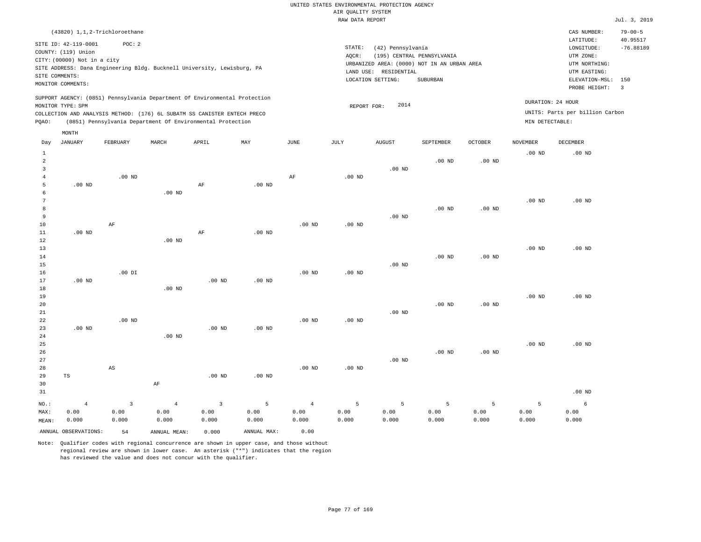|                |                                                                                                        |                   |                                                            |                         |                   |                   | RAW DATA REPORT   |                       |                                             |                   |                   |                                 | Jul. 3, 2019   |
|----------------|--------------------------------------------------------------------------------------------------------|-------------------|------------------------------------------------------------|-------------------------|-------------------|-------------------|-------------------|-----------------------|---------------------------------------------|-------------------|-------------------|---------------------------------|----------------|
|                | (43820) 1,1,2-Trichloroethane                                                                          |                   |                                                            |                         |                   |                   |                   |                       |                                             |                   |                   | CAS NUMBER:                     | $79 - 00 - 5$  |
|                |                                                                                                        |                   |                                                            |                         |                   |                   |                   |                       |                                             |                   |                   | LATITUDE:                       | 40.95517       |
|                | SITE ID: 42-119-0001<br>COUNTY: (119) Union                                                            | POC: 2            |                                                            |                         |                   |                   | STATE:            | (42) Pennsylvania     |                                             |                   |                   | LONGITUDE:                      | $-76.88189$    |
|                |                                                                                                        |                   |                                                            |                         |                   |                   | AQCR:             |                       | (195) CENTRAL PENNSYLVANIA                  |                   |                   | UTM ZONE:                       |                |
|                | CITY: (00000) Not in a city<br>SITE ADDRESS: Dana Engineering Bldg. Bucknell University, Lewisburg, PA |                   |                                                            |                         |                   |                   |                   |                       | URBANIZED AREA: (0000) NOT IN AN URBAN AREA |                   |                   | UTM NORTHING:                   |                |
|                | SITE COMMENTS:                                                                                         |                   |                                                            |                         |                   |                   |                   | LAND USE: RESIDENTIAL |                                             |                   |                   | UTM EASTING:                    |                |
|                | MONITOR COMMENTS:                                                                                      |                   |                                                            |                         |                   |                   |                   | LOCATION SETTING:     | SUBURBAN                                    |                   |                   | ELEVATION-MSL:                  | 150            |
|                |                                                                                                        |                   |                                                            |                         |                   |                   |                   |                       |                                             |                   |                   | PROBE HEIGHT:                   | $\overline{3}$ |
|                | SUPPORT AGENCY: (0851) Pennsylvania Department Of Environmental Protection                             |                   |                                                            |                         |                   |                   |                   |                       |                                             |                   |                   |                                 |                |
|                | MONITOR TYPE: SPM                                                                                      |                   |                                                            |                         |                   |                   | REPORT FOR:       | 2014                  |                                             |                   |                   | DURATION: 24 HOUR               |                |
|                | COLLECTION AND ANALYSIS METHOD: (176) 6L SUBATM SS CANISTER ENTECH PRECO                               |                   |                                                            |                         |                   |                   |                   |                       |                                             |                   |                   | UNITS: Parts per billion Carbon |                |
| PQAO:          |                                                                                                        |                   | (0851) Pennsylvania Department Of Environmental Protection |                         |                   |                   |                   |                       |                                             |                   | MIN DETECTABLE:   |                                 |                |
|                | MONTH                                                                                                  |                   |                                                            |                         |                   |                   |                   |                       |                                             |                   |                   |                                 |                |
| Day            | <b>JANUARY</b>                                                                                         | FEBRUARY          | MARCH                                                      | APRIL                   | MAY               | JUNE              | JULY              | <b>AUGUST</b>         | SEPTEMBER                                   | <b>OCTOBER</b>    | <b>NOVEMBER</b>   | DECEMBER                        |                |
| 1              |                                                                                                        |                   |                                                            |                         |                   |                   |                   |                       |                                             |                   | .00 <sub>ND</sub> | $.00$ ND                        |                |
| $\overline{a}$ |                                                                                                        |                   |                                                            |                         |                   |                   |                   |                       | .00 <sub>ND</sub>                           | .00 <sub>ND</sub> |                   |                                 |                |
| $\overline{3}$ |                                                                                                        |                   |                                                            |                         |                   |                   |                   | $.00$ ND              |                                             |                   |                   |                                 |                |
| $\overline{4}$ |                                                                                                        | .00 <sub>ND</sub> |                                                            |                         |                   | AF                | $.00$ ND          |                       |                                             |                   |                   |                                 |                |
| 5              | $.00$ ND                                                                                               |                   |                                                            | $\rm AF$                | .00 <sub>ND</sub> |                   |                   |                       |                                             |                   |                   |                                 |                |
| 6              |                                                                                                        |                   | $.00$ ND                                                   |                         |                   |                   |                   |                       |                                             |                   |                   |                                 |                |
| 7              |                                                                                                        |                   |                                                            |                         |                   |                   |                   |                       |                                             |                   | .00 <sub>ND</sub> | $.00$ ND                        |                |
| 8              |                                                                                                        |                   |                                                            |                         |                   |                   |                   |                       | $.00$ ND                                    | .00 <sub>ND</sub> |                   |                                 |                |
| 9              |                                                                                                        |                   |                                                            |                         |                   |                   |                   | $.00$ ND              |                                             |                   |                   |                                 |                |
| 10             |                                                                                                        | AF                |                                                            |                         |                   | $.00$ ND          | .00 <sub>ND</sub> |                       |                                             |                   |                   |                                 |                |
| $11\,$         | $.00$ ND                                                                                               |                   |                                                            | $\rm AF$                | .00 <sub>ND</sub> |                   |                   |                       |                                             |                   |                   |                                 |                |
| 12             |                                                                                                        |                   | .00 <sub>ND</sub>                                          |                         |                   |                   |                   |                       |                                             |                   |                   |                                 |                |
| 13             |                                                                                                        |                   |                                                            |                         |                   |                   |                   |                       |                                             |                   | .00 <sub>ND</sub> | $.00$ ND                        |                |
| 14<br>15       |                                                                                                        |                   |                                                            |                         |                   |                   |                   | $.00$ ND              | $.00$ ND                                    | .00 <sub>ND</sub> |                   |                                 |                |
| 16             |                                                                                                        | $.00$ DI          |                                                            |                         |                   | .00 <sub>ND</sub> | $.00$ ND          |                       |                                             |                   |                   |                                 |                |
| 17             | $.00$ ND                                                                                               |                   |                                                            | $.00$ ND                | $.00$ ND          |                   |                   |                       |                                             |                   |                   |                                 |                |
| 18             |                                                                                                        |                   | $.00$ ND                                                   |                         |                   |                   |                   |                       |                                             |                   |                   |                                 |                |
| 19             |                                                                                                        |                   |                                                            |                         |                   |                   |                   |                       |                                             |                   | .00 <sub>ND</sub> | $.00$ ND                        |                |
| 20             |                                                                                                        |                   |                                                            |                         |                   |                   |                   |                       | $.00$ ND                                    | .00 <sub>ND</sub> |                   |                                 |                |
| 21             |                                                                                                        |                   |                                                            |                         |                   |                   |                   | $.00$ ND              |                                             |                   |                   |                                 |                |
| 22             |                                                                                                        | $.00$ ND          |                                                            |                         |                   | .00 <sub>ND</sub> | $.00$ ND          |                       |                                             |                   |                   |                                 |                |
| 23             | $.00$ ND                                                                                               |                   |                                                            | $.00$ ND                | $.00$ ND          |                   |                   |                       |                                             |                   |                   |                                 |                |
| 24             |                                                                                                        |                   | $.00$ ND                                                   |                         |                   |                   |                   |                       |                                             |                   |                   |                                 |                |
| 25             |                                                                                                        |                   |                                                            |                         |                   |                   |                   |                       |                                             |                   | .00 <sub>ND</sub> | $.00$ ND                        |                |
| 26             |                                                                                                        |                   |                                                            |                         |                   |                   |                   |                       | .00 <sub>ND</sub>                           | $.00$ ND          |                   |                                 |                |
| 27             |                                                                                                        |                   |                                                            |                         |                   |                   |                   | $.00$ ND              |                                             |                   |                   |                                 |                |
| 28             |                                                                                                        | $_{\rm AS}$       |                                                            |                         |                   | .00 <sub>ND</sub> | $.00$ ND          |                       |                                             |                   |                   |                                 |                |
| 29             | $_{\rm TS}$                                                                                            |                   |                                                            | $.00$ ND                | $.00$ ND          |                   |                   |                       |                                             |                   |                   |                                 |                |
| 30             |                                                                                                        |                   | AF                                                         |                         |                   |                   |                   |                       |                                             |                   |                   |                                 |                |
| 31             |                                                                                                        |                   |                                                            |                         |                   |                   |                   |                       |                                             |                   |                   | $.00$ ND                        |                |
| NO.:           | $\overline{4}$                                                                                         | $\overline{3}$    | $\overline{4}$                                             | $\overline{\mathbf{3}}$ | 5                 | $\overline{4}$    | 5                 | 5                     | 5                                           | 5                 | 5                 | 6                               |                |
| MAX:           | 0.00                                                                                                   | 0.00              | 0.00                                                       | 0.00                    | 0.00              | 0.00              | 0.00              | 0.00                  | 0.00                                        | 0.00              | 0.00              | 0.00                            |                |
| MEAN:          | 0.000                                                                                                  | 0.000             | 0.000                                                      | 0.000                   | 0.000             | 0.000             | 0.000             | 0.000                 | 0.000                                       | 0.000             | 0.000             | 0.000                           |                |
|                | ANNUAL OBSERVATIONS:                                                                                   | 54                | ANNUAL MEAN:                                               | 0.000                   | ANNUAL MAX:       | 0.00              |                   |                       |                                             |                   |                   |                                 |                |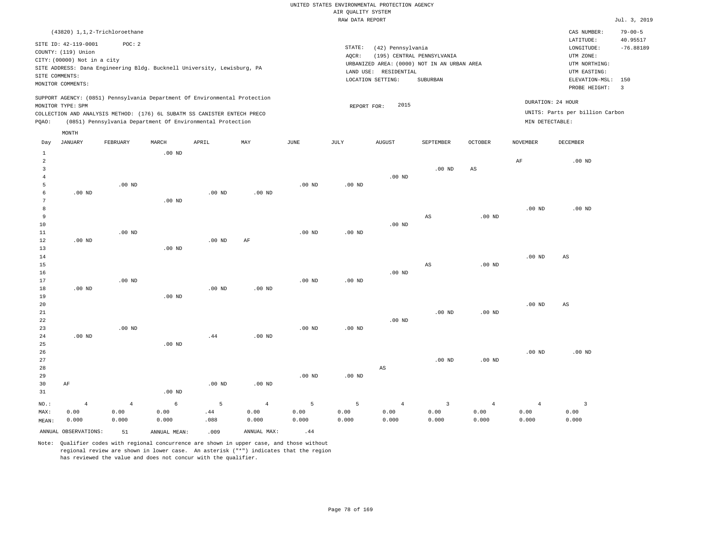|                |                                                                            |                |              |                                                            |                |                   | RAW DATA REPORT   |                       |                                             |                   |                   |                                 | Jul. 3, 2019   |
|----------------|----------------------------------------------------------------------------|----------------|--------------|------------------------------------------------------------|----------------|-------------------|-------------------|-----------------------|---------------------------------------------|-------------------|-------------------|---------------------------------|----------------|
|                | (43820) 1,1,2-Trichloroethane                                              |                |              |                                                            |                |                   |                   |                       |                                             |                   |                   | CAS NUMBER:                     | $79 - 00 - 5$  |
|                |                                                                            | POC: 2         |              |                                                            |                |                   |                   |                       |                                             |                   |                   | LATITUDE:                       | 40.95517       |
|                | SITE ID: 42-119-0001                                                       |                |              |                                                            |                |                   | STATE:            | (42) Pennsylvania     |                                             |                   |                   | LONGITUDE:                      | $-76.88189$    |
|                | COUNTY: (119) Union                                                        |                |              |                                                            |                |                   | AQCR:             |                       | (195) CENTRAL PENNSYLVANIA                  |                   |                   | UTM ZONE:                       |                |
|                | CITY: (00000) Not in a city                                                |                |              |                                                            |                |                   |                   |                       | URBANIZED AREA: (0000) NOT IN AN URBAN AREA |                   |                   | UTM NORTHING:                   |                |
|                | SITE ADDRESS: Dana Engineering Bldg. Bucknell University, Lewisburg, PA    |                |              |                                                            |                |                   |                   | LAND USE: RESIDENTIAL |                                             |                   |                   | UTM EASTING:                    |                |
|                | SITE COMMENTS:                                                             |                |              |                                                            |                |                   |                   | LOCATION SETTING:     | SUBURBAN                                    |                   |                   | ELEVATION-MSL:                  | 150            |
|                | MONITOR COMMENTS:                                                          |                |              |                                                            |                |                   |                   |                       |                                             |                   |                   | PROBE HEIGHT:                   | $\overline{3}$ |
|                | SUPPORT AGENCY: (0851) Pennsylvania Department Of Environmental Protection |                |              |                                                            |                |                   |                   |                       |                                             |                   |                   |                                 |                |
|                | MONITOR TYPE: SPM                                                          |                |              |                                                            |                |                   | REPORT FOR:       | 2015                  |                                             |                   |                   | DURATION: 24 HOUR               |                |
|                | COLLECTION AND ANALYSIS METHOD: (176) 6L SUBATM SS CANISTER ENTECH PRECO   |                |              |                                                            |                |                   |                   |                       |                                             |                   |                   | UNITS: Parts per billion Carbon |                |
| PQAO:          |                                                                            |                |              | (0851) Pennsylvania Department Of Environmental Protection |                |                   |                   |                       |                                             |                   | MIN DETECTABLE:   |                                 |                |
|                | MONTH                                                                      |                |              |                                                            |                |                   |                   |                       |                                             |                   |                   |                                 |                |
| Day            | JANUARY                                                                    | FEBRUARY       | MARCH        | APRIL                                                      | MAY            | $_{\rm JUNE}$     | JULY              | <b>AUGUST</b>         | SEPTEMBER                                   | OCTOBER           | <b>NOVEMBER</b>   | DECEMBER                        |                |
| $\mathbf{1}$   |                                                                            |                | $.00$ ND     |                                                            |                |                   |                   |                       |                                             |                   |                   |                                 |                |
| 2              |                                                                            |                |              |                                                            |                |                   |                   |                       |                                             |                   | AF                | $.00$ ND                        |                |
| 3              |                                                                            |                |              |                                                            |                |                   |                   |                       | $.00$ ND                                    | AS                |                   |                                 |                |
| $\overline{4}$ |                                                                            |                |              |                                                            |                |                   |                   | $.00$ ND              |                                             |                   |                   |                                 |                |
| 5              |                                                                            | $.00$ ND       |              |                                                            |                | $.00$ ND          | $.00$ ND          |                       |                                             |                   |                   |                                 |                |
| 6              | $.00$ ND                                                                   |                |              | .00 <sub>ND</sub>                                          | $.00$ ND       |                   |                   |                       |                                             |                   |                   |                                 |                |
| 7              |                                                                            |                | $.00$ ND     |                                                            |                |                   |                   |                       |                                             |                   |                   |                                 |                |
| 8              |                                                                            |                |              |                                                            |                |                   |                   |                       |                                             |                   | .00 <sub>ND</sub> | $.00$ ND                        |                |
| 9              |                                                                            |                |              |                                                            |                |                   |                   |                       | $_{\rm AS}$                                 | $.00$ ND          |                   |                                 |                |
| 10             |                                                                            |                |              |                                                            |                |                   |                   | $.00$ ND              |                                             |                   |                   |                                 |                |
| $1\,1$         |                                                                            | $.00$ ND       |              |                                                            |                | $.00$ ND          | .00 <sub>ND</sub> |                       |                                             |                   |                   |                                 |                |
| $1\,2$         | $.00$ ND                                                                   |                |              | $.00$ ND                                                   | $\rm AF$       |                   |                   |                       |                                             |                   |                   |                                 |                |
| 13             |                                                                            |                | $.00$ ND     |                                                            |                |                   |                   |                       |                                             |                   |                   |                                 |                |
| 14             |                                                                            |                |              |                                                            |                |                   |                   |                       |                                             |                   | .00 <sub>ND</sub> | AS                              |                |
| 15             |                                                                            |                |              |                                                            |                |                   |                   |                       | $_{\rm AS}$                                 | $.00$ ND          |                   |                                 |                |
| 16             |                                                                            |                |              |                                                            |                |                   |                   | $.00$ ND              |                                             |                   |                   |                                 |                |
| 17             |                                                                            | $.00$ ND       |              |                                                            |                | $.00$ ND          | $.00$ ND          |                       |                                             |                   |                   |                                 |                |
| 18             | $.00$ ND                                                                   |                |              | $.00$ ND                                                   | $.00$ ND       |                   |                   |                       |                                             |                   |                   |                                 |                |
| 19<br>20       |                                                                            |                | $.00$ ND     |                                                            |                |                   |                   |                       |                                             |                   | $.00$ ND          |                                 |                |
| 21             |                                                                            |                |              |                                                            |                |                   |                   |                       | $.00$ ND                                    | $.00$ ND          |                   | AS                              |                |
| 22             |                                                                            |                |              |                                                            |                |                   |                   | $.00$ ND              |                                             |                   |                   |                                 |                |
| 23             |                                                                            | $.00$ ND       |              |                                                            |                | .00 <sub>ND</sub> | $.00$ ND          |                       |                                             |                   |                   |                                 |                |
| 24             | $.00$ ND                                                                   |                |              | .44                                                        | $.00$ ND       |                   |                   |                       |                                             |                   |                   |                                 |                |
| 25             |                                                                            |                | $.00$ ND     |                                                            |                |                   |                   |                       |                                             |                   |                   |                                 |                |
| 26             |                                                                            |                |              |                                                            |                |                   |                   |                       |                                             |                   | .00 <sub>ND</sub> | $.00$ ND                        |                |
| 27             |                                                                            |                |              |                                                            |                |                   |                   |                       | $.00$ ND                                    | .00 <sub>ND</sub> |                   |                                 |                |
| 28             |                                                                            |                |              |                                                            |                |                   |                   | AS                    |                                             |                   |                   |                                 |                |
| 29             |                                                                            |                |              |                                                            |                | $.00$ ND          | $.00$ ND          |                       |                                             |                   |                   |                                 |                |
| 30             | AF                                                                         |                |              | $.00$ ND                                                   | $.00$ ND       |                   |                   |                       |                                             |                   |                   |                                 |                |
| 31             |                                                                            |                | $.00$ ND     |                                                            |                |                   |                   |                       |                                             |                   |                   |                                 |                |
| NO.:           | $\overline{4}$                                                             | $\overline{4}$ | 6            | 5                                                          | $\overline{4}$ | 5                 | 5                 | $\overline{4}$        | $\overline{3}$                              | $\overline{4}$    | $\overline{4}$    | $\overline{3}$                  |                |
| MAX:           | 0.00                                                                       | 0.00           | 0.00         | .44                                                        | 0.00           | 0.00              | 0.00              | 0.00                  | 0.00                                        | 0.00              | 0.00              | 0.00                            |                |
| MEAN:          | 0.000                                                                      | 0.000          | 0.000        | .088                                                       | 0.000          | 0.000             | 0.000             | 0.000                 | 0.000                                       | 0.000             | 0.000             | 0.000                           |                |
|                | ANNUAL OBSERVATIONS:                                                       | 51             | ANNUAL MEAN: | .009                                                       | ANNUAL MAX:    | .44               |                   |                       |                                             |                   |                   |                                 |                |
|                |                                                                            |                |              |                                                            |                |                   |                   |                       |                                             |                   |                   |                                 |                |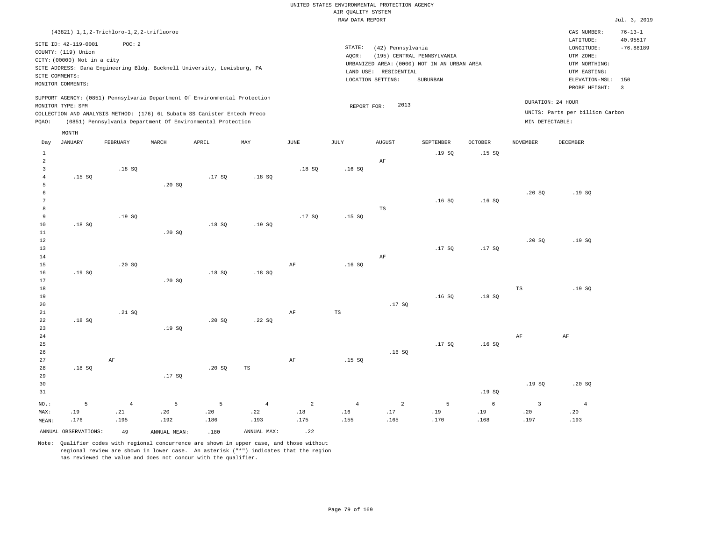RAW DATA REPORT Jul. 3, 2019 UNITED STATES ENVIRONMENTAL PROTECTION AGENCY AIR QUALITY SYSTEM

|                |                                             | (43821) 1, 1, 2-Trichloro-1, 2, 2-trifluoroe |        |                                                                            |                |                |                 |                       |                                             |                |                 | CAS NUMBER:                          | $76 - 13 - 1$           |
|----------------|---------------------------------------------|----------------------------------------------|--------|----------------------------------------------------------------------------|----------------|----------------|-----------------|-----------------------|---------------------------------------------|----------------|-----------------|--------------------------------------|-------------------------|
|                | SITE ID: 42-119-0001<br>COUNTY: (119) Union | POC: 2                                       |        |                                                                            |                |                | STATE:<br>AQCR: | (42) Pennsylvania     | (195) CENTRAL PENNSYLVANIA                  |                |                 | LATITUDE:<br>LONGITUDE:<br>UTM ZONE: | 40.95517<br>$-76.88189$ |
|                | CITY: (00000) Not in a city                 |                                              |        | SITE ADDRESS: Dana Engineering Bldg. Bucknell University, Lewisburg, PA    |                |                |                 |                       | URBANIZED AREA: (0000) NOT IN AN URBAN AREA |                |                 | UTM NORTHING:                        |                         |
|                | SITE COMMENTS:                              |                                              |        |                                                                            |                |                |                 | LAND USE: RESIDENTIAL |                                             |                |                 | UTM EASTING:                         |                         |
|                | MONITOR COMMENTS:                           |                                              |        |                                                                            |                |                |                 | LOCATION SETTING:     | SUBURBAN                                    |                |                 | ELEVATION-MSL:                       | 150                     |
|                |                                             |                                              |        |                                                                            |                |                |                 |                       |                                             |                |                 | PROBE HEIGHT:                        | $\overline{3}$          |
|                | MONITOR TYPE: SPM                           |                                              |        | SUPPORT AGENCY: (0851) Pennsylvania Department Of Environmental Protection |                |                | REPORT FOR:     | 2013                  |                                             |                |                 | DURATION: 24 HOUR                    |                         |
|                |                                             |                                              |        | COLLECTION AND ANALYSIS METHOD: (176) 6L Subatm SS Canister Entech Preco   |                |                |                 |                       |                                             |                |                 | UNITS: Parts per billion Carbon      |                         |
| PQAO:          |                                             |                                              |        | (0851) Pennsylvania Department Of Environmental Protection                 |                |                |                 |                       |                                             |                | MIN DETECTABLE: |                                      |                         |
|                | MONTH                                       |                                              |        |                                                                            |                |                |                 |                       |                                             |                |                 |                                      |                         |
| Day            | <b>JANUARY</b>                              | FEBRUARY                                     | MARCH  | APRIL                                                                      | MAY            | JUNE           | JULY            | <b>AUGUST</b>         | SEPTEMBER                                   | <b>OCTOBER</b> | NOVEMBER        | DECEMBER                             |                         |
| $\mathbf{1}$   |                                             |                                              |        |                                                                            |                |                |                 |                       | .19SQ                                       | .15SQ          |                 |                                      |                         |
| $\overline{a}$ |                                             |                                              |        |                                                                            |                |                |                 | $\rm{AF}$             |                                             |                |                 |                                      |                         |
| $\overline{3}$ |                                             | .18SQ                                        |        |                                                                            |                | .18SQ          | .16SQ           |                       |                                             |                |                 |                                      |                         |
| $\overline{4}$ | .15SQ                                       |                                              |        | .17SQ                                                                      | .18SQ          |                |                 |                       |                                             |                |                 |                                      |                         |
| 5              |                                             |                                              | .20SQ  |                                                                            |                |                |                 |                       |                                             |                |                 |                                      |                         |
| 6              |                                             |                                              |        |                                                                            |                |                |                 |                       |                                             |                | .20SQ           | .19SQ                                |                         |
| 7              |                                             |                                              |        |                                                                            |                |                |                 |                       | .16S                                        | .16S           |                 |                                      |                         |
| 8              |                                             |                                              |        |                                                                            |                |                |                 | $\mathbb{TS}$         |                                             |                |                 |                                      |                         |
| $\overline{9}$ |                                             | .19SQ                                        |        |                                                                            |                | .17SQ          | .15S            |                       |                                             |                |                 |                                      |                         |
| $10$           | .18S                                        |                                              |        | .18SQ                                                                      | .19SQ          |                |                 |                       |                                             |                |                 |                                      |                         |
| $11\,$         |                                             |                                              | .20 SQ |                                                                            |                |                |                 |                       |                                             |                |                 |                                      |                         |
| $1\,2$         |                                             |                                              |        |                                                                            |                |                |                 |                       |                                             |                | .20S            | .19S                                 |                         |
| 13             |                                             |                                              |        |                                                                            |                |                |                 |                       | .17SQ                                       | .17SQ          |                 |                                      |                         |
| 14             |                                             |                                              |        |                                                                            |                |                |                 | AF                    |                                             |                |                 |                                      |                         |
| 15<br>16       | .19SQ                                       | .20 SQ                                       |        | .18SQ                                                                      | .18SQ          | AF             | .16S            |                       |                                             |                |                 |                                      |                         |
| 17             |                                             |                                              | .20 SQ |                                                                            |                |                |                 |                       |                                             |                |                 |                                      |                         |
| 18             |                                             |                                              |        |                                                                            |                |                |                 |                       |                                             |                | TS              | .19S                                 |                         |
| 19             |                                             |                                              |        |                                                                            |                |                |                 |                       | .16S                                        | .18S           |                 |                                      |                         |
| 20             |                                             |                                              |        |                                                                            |                |                |                 | .17S                  |                                             |                |                 |                                      |                         |
| 21             |                                             | .21 S0                                       |        |                                                                            |                | AF             | TS              |                       |                                             |                |                 |                                      |                         |
| 22             | .18S                                        |                                              |        | .20S                                                                       | .22SQ          |                |                 |                       |                                             |                |                 |                                      |                         |
| 23             |                                             |                                              | .19S   |                                                                            |                |                |                 |                       |                                             |                |                 |                                      |                         |
| 24             |                                             |                                              |        |                                                                            |                |                |                 |                       |                                             |                | AF              | $\rm{AF}$                            |                         |
| 25             |                                             |                                              |        |                                                                            |                |                |                 |                       | .17SQ                                       | .16S           |                 |                                      |                         |
| 26             |                                             |                                              |        |                                                                            |                |                |                 | .16S                  |                                             |                |                 |                                      |                         |
| 27             |                                             | AF                                           |        |                                                                            |                | AF             | .15S            |                       |                                             |                |                 |                                      |                         |
| 28             | .18S                                        |                                              |        | .20S                                                                       | TS             |                |                 |                       |                                             |                |                 |                                      |                         |
| 29             |                                             |                                              | .17SQ  |                                                                            |                |                |                 |                       |                                             |                |                 |                                      |                         |
| 30             |                                             |                                              |        |                                                                            |                |                |                 |                       |                                             |                | .19S            | .20S                                 |                         |
| 31             |                                             |                                              |        |                                                                            |                |                |                 |                       |                                             | .19S           |                 |                                      |                         |
| NO.:           | 5                                           | $\overline{4}$                               | 5      | 5                                                                          | $\overline{4}$ | $\overline{a}$ | $\overline{4}$  | $\overline{a}$        | 5                                           | 6              | 3               | $\overline{4}$                       |                         |
| MAX:           | .19                                         | .21                                          | .20    | .20                                                                        | .22            | .18            | .16             | .17                   | .19                                         | .19            | .20             | .20                                  |                         |
| MEAN:          | .176                                        | .195                                         | .192   | .186                                                                       | .193           | .175           | .155            | .165                  | .170                                        | .168           | .197            | .193                                 |                         |

Note: Qualifier codes with regional concurrence are shown in upper case, and those without regional review are shown in lower case. An asterisk ("\*") indicates that the region has reviewed the value and does not concur with the qualifier.

ANNUAL OBSERVATIONS:  $\begin{array}{ccc} 49 & \text{ANNUAL MEAN:} \\ 180 & \text{ANNUAL MAX:} \end{array}$  .22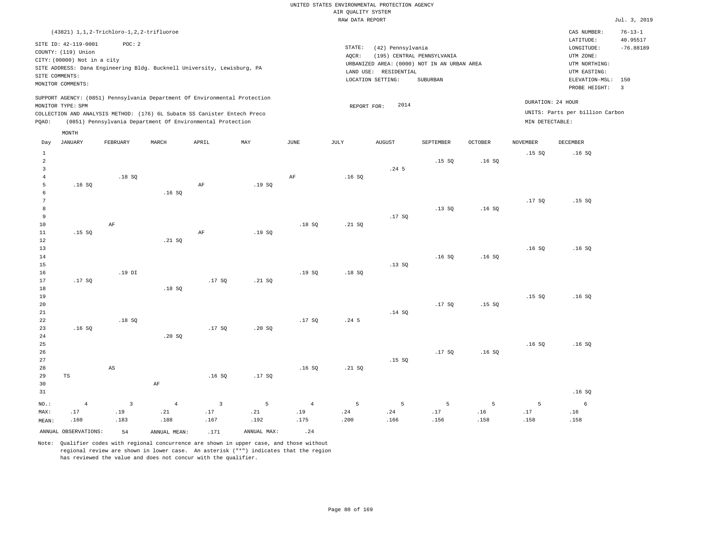RAW DATA REPORT Jul. 3, 2019 UNITED STATES ENVIRONMENTAL PROTECTION AGENCY AIR QUALITY SYSTEM (43821) 1,1,2-Trichloro-1,2,2-trifluoroe STATE: (42) Pennsylvania CAS NUMBER: 76-13-1 SITE ID: 42-119-0001 POC: 2 AQCR: (195) CENTRAL PENNSYLVANIA COUNTY: (119) Union CITY: (00000) Not in a city LONGITUDE: -76.88189 LATITUDE: 40.95517 LOCATION SETTING: SUBURBAN SITE ADDRESS: Dana Engineering Bldg. Bucknell University, Lewisburg, PA LAND USE: RESIDENTIAL SITE COMMENTS: MONITOR COMMENTS: PROBE HEIGHT: 3 ELEVATION-MSL: 150 URBANIZED AREA: (0000) NOT IN AN URBAN AREA **URBAN SERIA UTM NORTHING**: UTM EASTING: UTM ZONE: SUPPORT AGENCY: (0851) Pennsylvania Department Of Environmental Protection MONITOR TYPE: SPM COLLECTION AND ANALYSIS METHOD: (176) 6L Subatm SS Canister Entech Preco REPORT FOR: 2014 UNITS: Parts per billion Carbon PQAO: (0851) Pennsylvania Department Of Environmental Protection MIN DETECTABLE: DURATION: 24 HOUR 1 2 3 4 5 6 7 8 9 10 11 12 13 14 15 16 17 18 19  $20$ 21 22 23 24 25 26 27 28 29 30 31 .16 SQ .15 SQ .17 SQ .16 SQ TS NO.: MAX: MEAN: 4 .17 .160 .18 SQ AF .19 DI .18 SQ AS .16 SQ  $.21 S<sub>0</sub>$  .18 SQ .20 SQ AF AF AF .17 SQ .17 SQ .16 SQ .19 SQ .19 SQ  $.21$  SQ .20 SQ .17 SQ AF .18 SQ .19 SQ .17 SQ .16 SQ .16 SQ .21 SQ .18 SQ .24 5 .21 SQ .24 5 .17 SQ .13 SQ .14 SQ .15 SQ .15 SQ .13 SQ .16 SQ .17 SQ .17 SQ .16 SQ .16 SQ .16 SQ .15 SQ .16 SQ .15 SQ .17 SQ .16 SQ .15 SQ .16 SQ .16 SQ .15 SQ .16 SQ .16 SQ .16 SQ .16 SQ 3 .19 .183 4 .21 .188 3 .17 .167 5 .21 .192 4 .19 .175 5 .24 .200 5 .24 .166 5 .17 .156 5 .16 .158 5 .17 .158 6 .16 .158 ANNUAL OBSERVATIONS:  $54$  ANNUAL MEAN: .171 ANNUAL MAX: .24 Day JANUARY FEBRUARY MARCH APRIL MAY JUNE JULY AUGUST SEPTEMBER OCTOBER NOVEMBER DECEMBER MONTH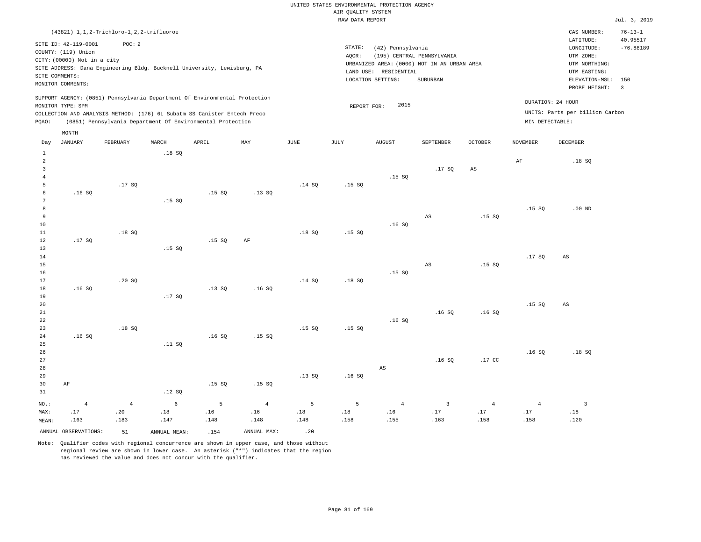RAW DATA REPORT Jul. 3, 2019 UNITED STATES ENVIRONMENTAL PROTECTION AGENCY AIR QUALITY SYSTEM

| SITE ID: 42-119-0001<br>POC: 2<br>STATE:<br>(42) Pennsylvania<br>$\texttt{LONGITUDE}$ :<br>COUNTY: (119) Union<br>AQCR:<br>(195) CENTRAL PENNSYLVANIA<br>UTM ZONE:<br>CITY: (00000) Not in a city<br>UTM NORTHING:<br>URBANIZED AREA: (0000) NOT IN AN URBAN AREA<br>SITE ADDRESS: Dana Engineering Bldg. Bucknell University, Lewisburg, PA<br>LAND USE: RESIDENTIAL<br>UTM EASTING:<br>SITE COMMENTS:<br>LOCATION SETTING:<br>SUBURBAN<br>ELEVATION-MSL:<br>150<br>MONITOR COMMENTS:<br>PROBE HEIGHT:<br>$\overline{\mathbf{3}}$<br>SUPPORT AGENCY: (0851) Pennsylvania Department Of Environmental Protection<br>DURATION: 24 HOUR<br>2015<br>MONITOR TYPE: SPM<br>REPORT FOR:<br>UNITS: Parts per billion Carbon<br>COLLECTION AND ANALYSIS METHOD: (176) 6L Subatm SS Canister Entech Preco<br>(0851) Pennsylvania Department Of Environmental Protection<br>PQAO:<br>MIN DETECTABLE:<br>MONTH<br><b>JANUARY</b><br>MARCH<br>APRIL<br>MAY<br>JUNE<br><b>JULY</b><br><b>AUGUST</b><br><b>OCTOBER</b><br><b>DECEMBER</b><br>Day<br>FEBRUARY<br>SEPTEMBER<br><b>NOVEMBER</b><br>$1\,$<br>.18S<br>$\overline{a}$<br>$\rm{AF}$<br>.18SQ<br>$\overline{3}$<br>.17SQ<br>$_{\rm AS}$<br>$\overline{4}$<br>.15SQ<br>5<br>.17S<br>.14 S0<br>.15S<br>6<br>.15S<br>.16S<br>.13S<br>7<br>.15SQ<br>8<br>.15S<br>$.00$ ND<br>9<br>.15S<br>AS<br>10<br>.16S<br>.18SQ<br>.18S<br>11<br>.15S<br>12<br>.17S<br>.15S<br>AF<br>13<br>.15S<br>14<br>.17SQ<br>AS<br>15<br>$\mathbb{A}\mathbb{S}$<br>.15S<br>16<br>.15S<br>17<br>.20S<br>.14S<br>.18S<br>18<br>.16S<br>.13SQ<br>.16S<br>19<br>.17SQ<br>20<br>.15S<br>AS<br>.16S<br>21<br>.16S<br>22<br>.16S<br>.18SQ<br>23<br>.15S<br>.15S<br>24<br>.16S<br>.16S<br>.15S<br>25<br>.11 S0<br>26<br>.16SQ<br>.18SQ<br>27<br>.16S<br>$.17$ CC<br>28<br>$_{\rm AS}$<br>29<br>.13S<br>.16S<br>.15S<br>.15S<br>30<br>AF<br>31<br>.12S<br>6<br>5<br>$NO.$ :<br>$\overline{4}$<br>$\overline{4}$<br>5<br>$\overline{4}$<br>5<br>$\overline{4}$<br>$\overline{3}$<br>$\overline{4}$<br>$\overline{4}$<br>$\overline{3}$<br>.20<br>.18<br>.16<br>.16<br>.18<br>.16<br>.17<br>.17<br>.17<br>.18<br>.17<br>.18<br>MAX: |       | (43821) 1, 1, 2-Trichloro-1, 2, 2-trifluoroe |      |      |      |      |      |      |      |      |      |      | CAS NUMBER: | $76 - 13 - 1$           |
|-----------------------------------------------------------------------------------------------------------------------------------------------------------------------------------------------------------------------------------------------------------------------------------------------------------------------------------------------------------------------------------------------------------------------------------------------------------------------------------------------------------------------------------------------------------------------------------------------------------------------------------------------------------------------------------------------------------------------------------------------------------------------------------------------------------------------------------------------------------------------------------------------------------------------------------------------------------------------------------------------------------------------------------------------------------------------------------------------------------------------------------------------------------------------------------------------------------------------------------------------------------------------------------------------------------------------------------------------------------------------------------------------------------------------------------------------------------------------------------------------------------------------------------------------------------------------------------------------------------------------------------------------------------------------------------------------------------------------------------------------------------------------------------------------------------------------------------------------------------------------------------------------------------------------------------------------------------------------------------------------------------------------------------------------------------------------------------------------------------------------------------------|-------|----------------------------------------------|------|------|------|------|------|------|------|------|------|------|-------------|-------------------------|
|                                                                                                                                                                                                                                                                                                                                                                                                                                                                                                                                                                                                                                                                                                                                                                                                                                                                                                                                                                                                                                                                                                                                                                                                                                                                                                                                                                                                                                                                                                                                                                                                                                                                                                                                                                                                                                                                                                                                                                                                                                                                                                                                         |       |                                              |      |      |      |      |      |      |      |      |      |      | LATITUDE:   | 40.95517<br>$-76.88189$ |
|                                                                                                                                                                                                                                                                                                                                                                                                                                                                                                                                                                                                                                                                                                                                                                                                                                                                                                                                                                                                                                                                                                                                                                                                                                                                                                                                                                                                                                                                                                                                                                                                                                                                                                                                                                                                                                                                                                                                                                                                                                                                                                                                         |       |                                              |      |      |      |      |      |      |      |      |      |      |             |                         |
|                                                                                                                                                                                                                                                                                                                                                                                                                                                                                                                                                                                                                                                                                                                                                                                                                                                                                                                                                                                                                                                                                                                                                                                                                                                                                                                                                                                                                                                                                                                                                                                                                                                                                                                                                                                                                                                                                                                                                                                                                                                                                                                                         |       |                                              |      |      |      |      |      |      |      |      |      |      |             |                         |
|                                                                                                                                                                                                                                                                                                                                                                                                                                                                                                                                                                                                                                                                                                                                                                                                                                                                                                                                                                                                                                                                                                                                                                                                                                                                                                                                                                                                                                                                                                                                                                                                                                                                                                                                                                                                                                                                                                                                                                                                                                                                                                                                         |       |                                              |      |      |      |      |      |      |      |      |      |      |             |                         |
|                                                                                                                                                                                                                                                                                                                                                                                                                                                                                                                                                                                                                                                                                                                                                                                                                                                                                                                                                                                                                                                                                                                                                                                                                                                                                                                                                                                                                                                                                                                                                                                                                                                                                                                                                                                                                                                                                                                                                                                                                                                                                                                                         |       |                                              |      |      |      |      |      |      |      |      |      |      |             |                         |
|                                                                                                                                                                                                                                                                                                                                                                                                                                                                                                                                                                                                                                                                                                                                                                                                                                                                                                                                                                                                                                                                                                                                                                                                                                                                                                                                                                                                                                                                                                                                                                                                                                                                                                                                                                                                                                                                                                                                                                                                                                                                                                                                         |       |                                              |      |      |      |      |      |      |      |      |      |      |             |                         |
|                                                                                                                                                                                                                                                                                                                                                                                                                                                                                                                                                                                                                                                                                                                                                                                                                                                                                                                                                                                                                                                                                                                                                                                                                                                                                                                                                                                                                                                                                                                                                                                                                                                                                                                                                                                                                                                                                                                                                                                                                                                                                                                                         |       |                                              |      |      |      |      |      |      |      |      |      |      |             |                         |
|                                                                                                                                                                                                                                                                                                                                                                                                                                                                                                                                                                                                                                                                                                                                                                                                                                                                                                                                                                                                                                                                                                                                                                                                                                                                                                                                                                                                                                                                                                                                                                                                                                                                                                                                                                                                                                                                                                                                                                                                                                                                                                                                         |       |                                              |      |      |      |      |      |      |      |      |      |      |             |                         |
|                                                                                                                                                                                                                                                                                                                                                                                                                                                                                                                                                                                                                                                                                                                                                                                                                                                                                                                                                                                                                                                                                                                                                                                                                                                                                                                                                                                                                                                                                                                                                                                                                                                                                                                                                                                                                                                                                                                                                                                                                                                                                                                                         |       |                                              |      |      |      |      |      |      |      |      |      |      |             |                         |
|                                                                                                                                                                                                                                                                                                                                                                                                                                                                                                                                                                                                                                                                                                                                                                                                                                                                                                                                                                                                                                                                                                                                                                                                                                                                                                                                                                                                                                                                                                                                                                                                                                                                                                                                                                                                                                                                                                                                                                                                                                                                                                                                         |       |                                              |      |      |      |      |      |      |      |      |      |      |             |                         |
|                                                                                                                                                                                                                                                                                                                                                                                                                                                                                                                                                                                                                                                                                                                                                                                                                                                                                                                                                                                                                                                                                                                                                                                                                                                                                                                                                                                                                                                                                                                                                                                                                                                                                                                                                                                                                                                                                                                                                                                                                                                                                                                                         |       |                                              |      |      |      |      |      |      |      |      |      |      |             |                         |
|                                                                                                                                                                                                                                                                                                                                                                                                                                                                                                                                                                                                                                                                                                                                                                                                                                                                                                                                                                                                                                                                                                                                                                                                                                                                                                                                                                                                                                                                                                                                                                                                                                                                                                                                                                                                                                                                                                                                                                                                                                                                                                                                         |       |                                              |      |      |      |      |      |      |      |      |      |      |             |                         |
|                                                                                                                                                                                                                                                                                                                                                                                                                                                                                                                                                                                                                                                                                                                                                                                                                                                                                                                                                                                                                                                                                                                                                                                                                                                                                                                                                                                                                                                                                                                                                                                                                                                                                                                                                                                                                                                                                                                                                                                                                                                                                                                                         |       |                                              |      |      |      |      |      |      |      |      |      |      |             |                         |
|                                                                                                                                                                                                                                                                                                                                                                                                                                                                                                                                                                                                                                                                                                                                                                                                                                                                                                                                                                                                                                                                                                                                                                                                                                                                                                                                                                                                                                                                                                                                                                                                                                                                                                                                                                                                                                                                                                                                                                                                                                                                                                                                         |       |                                              |      |      |      |      |      |      |      |      |      |      |             |                         |
|                                                                                                                                                                                                                                                                                                                                                                                                                                                                                                                                                                                                                                                                                                                                                                                                                                                                                                                                                                                                                                                                                                                                                                                                                                                                                                                                                                                                                                                                                                                                                                                                                                                                                                                                                                                                                                                                                                                                                                                                                                                                                                                                         |       |                                              |      |      |      |      |      |      |      |      |      |      |             |                         |
|                                                                                                                                                                                                                                                                                                                                                                                                                                                                                                                                                                                                                                                                                                                                                                                                                                                                                                                                                                                                                                                                                                                                                                                                                                                                                                                                                                                                                                                                                                                                                                                                                                                                                                                                                                                                                                                                                                                                                                                                                                                                                                                                         |       |                                              |      |      |      |      |      |      |      |      |      |      |             |                         |
|                                                                                                                                                                                                                                                                                                                                                                                                                                                                                                                                                                                                                                                                                                                                                                                                                                                                                                                                                                                                                                                                                                                                                                                                                                                                                                                                                                                                                                                                                                                                                                                                                                                                                                                                                                                                                                                                                                                                                                                                                                                                                                                                         |       |                                              |      |      |      |      |      |      |      |      |      |      |             |                         |
|                                                                                                                                                                                                                                                                                                                                                                                                                                                                                                                                                                                                                                                                                                                                                                                                                                                                                                                                                                                                                                                                                                                                                                                                                                                                                                                                                                                                                                                                                                                                                                                                                                                                                                                                                                                                                                                                                                                                                                                                                                                                                                                                         |       |                                              |      |      |      |      |      |      |      |      |      |      |             |                         |
|                                                                                                                                                                                                                                                                                                                                                                                                                                                                                                                                                                                                                                                                                                                                                                                                                                                                                                                                                                                                                                                                                                                                                                                                                                                                                                                                                                                                                                                                                                                                                                                                                                                                                                                                                                                                                                                                                                                                                                                                                                                                                                                                         |       |                                              |      |      |      |      |      |      |      |      |      |      |             |                         |
|                                                                                                                                                                                                                                                                                                                                                                                                                                                                                                                                                                                                                                                                                                                                                                                                                                                                                                                                                                                                                                                                                                                                                                                                                                                                                                                                                                                                                                                                                                                                                                                                                                                                                                                                                                                                                                                                                                                                                                                                                                                                                                                                         |       |                                              |      |      |      |      |      |      |      |      |      |      |             |                         |
|                                                                                                                                                                                                                                                                                                                                                                                                                                                                                                                                                                                                                                                                                                                                                                                                                                                                                                                                                                                                                                                                                                                                                                                                                                                                                                                                                                                                                                                                                                                                                                                                                                                                                                                                                                                                                                                                                                                                                                                                                                                                                                                                         |       |                                              |      |      |      |      |      |      |      |      |      |      |             |                         |
|                                                                                                                                                                                                                                                                                                                                                                                                                                                                                                                                                                                                                                                                                                                                                                                                                                                                                                                                                                                                                                                                                                                                                                                                                                                                                                                                                                                                                                                                                                                                                                                                                                                                                                                                                                                                                                                                                                                                                                                                                                                                                                                                         |       |                                              |      |      |      |      |      |      |      |      |      |      |             |                         |
|                                                                                                                                                                                                                                                                                                                                                                                                                                                                                                                                                                                                                                                                                                                                                                                                                                                                                                                                                                                                                                                                                                                                                                                                                                                                                                                                                                                                                                                                                                                                                                                                                                                                                                                                                                                                                                                                                                                                                                                                                                                                                                                                         |       |                                              |      |      |      |      |      |      |      |      |      |      |             |                         |
|                                                                                                                                                                                                                                                                                                                                                                                                                                                                                                                                                                                                                                                                                                                                                                                                                                                                                                                                                                                                                                                                                                                                                                                                                                                                                                                                                                                                                                                                                                                                                                                                                                                                                                                                                                                                                                                                                                                                                                                                                                                                                                                                         |       |                                              |      |      |      |      |      |      |      |      |      |      |             |                         |
|                                                                                                                                                                                                                                                                                                                                                                                                                                                                                                                                                                                                                                                                                                                                                                                                                                                                                                                                                                                                                                                                                                                                                                                                                                                                                                                                                                                                                                                                                                                                                                                                                                                                                                                                                                                                                                                                                                                                                                                                                                                                                                                                         |       |                                              |      |      |      |      |      |      |      |      |      |      |             |                         |
|                                                                                                                                                                                                                                                                                                                                                                                                                                                                                                                                                                                                                                                                                                                                                                                                                                                                                                                                                                                                                                                                                                                                                                                                                                                                                                                                                                                                                                                                                                                                                                                                                                                                                                                                                                                                                                                                                                                                                                                                                                                                                                                                         |       |                                              |      |      |      |      |      |      |      |      |      |      |             |                         |
|                                                                                                                                                                                                                                                                                                                                                                                                                                                                                                                                                                                                                                                                                                                                                                                                                                                                                                                                                                                                                                                                                                                                                                                                                                                                                                                                                                                                                                                                                                                                                                                                                                                                                                                                                                                                                                                                                                                                                                                                                                                                                                                                         |       |                                              |      |      |      |      |      |      |      |      |      |      |             |                         |
|                                                                                                                                                                                                                                                                                                                                                                                                                                                                                                                                                                                                                                                                                                                                                                                                                                                                                                                                                                                                                                                                                                                                                                                                                                                                                                                                                                                                                                                                                                                                                                                                                                                                                                                                                                                                                                                                                                                                                                                                                                                                                                                                         |       |                                              |      |      |      |      |      |      |      |      |      |      |             |                         |
|                                                                                                                                                                                                                                                                                                                                                                                                                                                                                                                                                                                                                                                                                                                                                                                                                                                                                                                                                                                                                                                                                                                                                                                                                                                                                                                                                                                                                                                                                                                                                                                                                                                                                                                                                                                                                                                                                                                                                                                                                                                                                                                                         |       |                                              |      |      |      |      |      |      |      |      |      |      |             |                         |
|                                                                                                                                                                                                                                                                                                                                                                                                                                                                                                                                                                                                                                                                                                                                                                                                                                                                                                                                                                                                                                                                                                                                                                                                                                                                                                                                                                                                                                                                                                                                                                                                                                                                                                                                                                                                                                                                                                                                                                                                                                                                                                                                         |       |                                              |      |      |      |      |      |      |      |      |      |      |             |                         |
|                                                                                                                                                                                                                                                                                                                                                                                                                                                                                                                                                                                                                                                                                                                                                                                                                                                                                                                                                                                                                                                                                                                                                                                                                                                                                                                                                                                                                                                                                                                                                                                                                                                                                                                                                                                                                                                                                                                                                                                                                                                                                                                                         |       |                                              |      |      |      |      |      |      |      |      |      |      |             |                         |
|                                                                                                                                                                                                                                                                                                                                                                                                                                                                                                                                                                                                                                                                                                                                                                                                                                                                                                                                                                                                                                                                                                                                                                                                                                                                                                                                                                                                                                                                                                                                                                                                                                                                                                                                                                                                                                                                                                                                                                                                                                                                                                                                         |       |                                              |      |      |      |      |      |      |      |      |      |      |             |                         |
|                                                                                                                                                                                                                                                                                                                                                                                                                                                                                                                                                                                                                                                                                                                                                                                                                                                                                                                                                                                                                                                                                                                                                                                                                                                                                                                                                                                                                                                                                                                                                                                                                                                                                                                                                                                                                                                                                                                                                                                                                                                                                                                                         |       |                                              |      |      |      |      |      |      |      |      |      |      |             |                         |
|                                                                                                                                                                                                                                                                                                                                                                                                                                                                                                                                                                                                                                                                                                                                                                                                                                                                                                                                                                                                                                                                                                                                                                                                                                                                                                                                                                                                                                                                                                                                                                                                                                                                                                                                                                                                                                                                                                                                                                                                                                                                                                                                         |       |                                              |      |      |      |      |      |      |      |      |      |      |             |                         |
|                                                                                                                                                                                                                                                                                                                                                                                                                                                                                                                                                                                                                                                                                                                                                                                                                                                                                                                                                                                                                                                                                                                                                                                                                                                                                                                                                                                                                                                                                                                                                                                                                                                                                                                                                                                                                                                                                                                                                                                                                                                                                                                                         |       |                                              |      |      |      |      |      |      |      |      |      |      |             |                         |
|                                                                                                                                                                                                                                                                                                                                                                                                                                                                                                                                                                                                                                                                                                                                                                                                                                                                                                                                                                                                                                                                                                                                                                                                                                                                                                                                                                                                                                                                                                                                                                                                                                                                                                                                                                                                                                                                                                                                                                                                                                                                                                                                         |       |                                              |      |      |      |      |      |      |      |      |      |      |             |                         |
|                                                                                                                                                                                                                                                                                                                                                                                                                                                                                                                                                                                                                                                                                                                                                                                                                                                                                                                                                                                                                                                                                                                                                                                                                                                                                                                                                                                                                                                                                                                                                                                                                                                                                                                                                                                                                                                                                                                                                                                                                                                                                                                                         |       |                                              |      |      |      |      |      |      |      |      |      |      |             |                         |
|                                                                                                                                                                                                                                                                                                                                                                                                                                                                                                                                                                                                                                                                                                                                                                                                                                                                                                                                                                                                                                                                                                                                                                                                                                                                                                                                                                                                                                                                                                                                                                                                                                                                                                                                                                                                                                                                                                                                                                                                                                                                                                                                         |       |                                              |      |      |      |      |      |      |      |      |      |      |             |                         |
|                                                                                                                                                                                                                                                                                                                                                                                                                                                                                                                                                                                                                                                                                                                                                                                                                                                                                                                                                                                                                                                                                                                                                                                                                                                                                                                                                                                                                                                                                                                                                                                                                                                                                                                                                                                                                                                                                                                                                                                                                                                                                                                                         | MEAN: | .163                                         | .183 | .147 | .148 | .148 | .148 | .158 | .155 | .163 | .158 | .158 | .120        |                         |
| ANNUAL OBSERVATIONS:<br>ANNUAL MAX:<br>.20<br>51<br>ANNUAL MEAN:<br>.154                                                                                                                                                                                                                                                                                                                                                                                                                                                                                                                                                                                                                                                                                                                                                                                                                                                                                                                                                                                                                                                                                                                                                                                                                                                                                                                                                                                                                                                                                                                                                                                                                                                                                                                                                                                                                                                                                                                                                                                                                                                                |       |                                              |      |      |      |      |      |      |      |      |      |      |             |                         |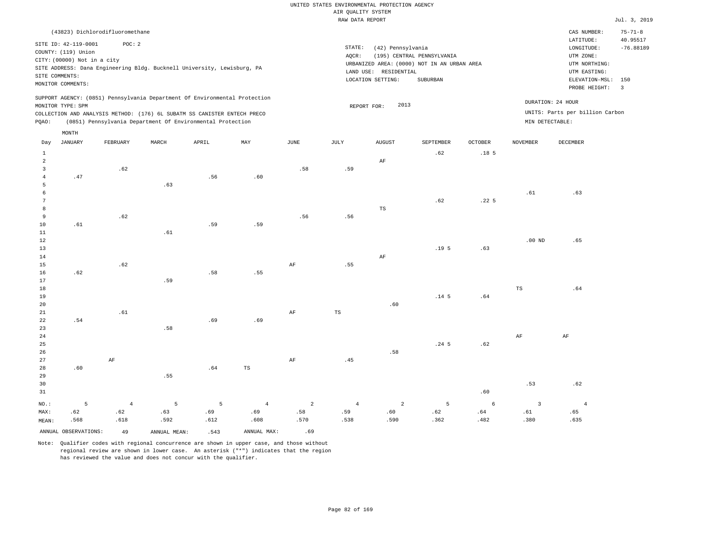RAW DATA REPORT Jul. 3, 2019 UNITED STATES ENVIRONMENTAL PROTECTION AGENCY AIR QUALITY SYSTEM

|                                                                                                                                                                             | CAS NUMBER:                                                                            | $75 - 71 - 8$                                         |
|-----------------------------------------------------------------------------------------------------------------------------------------------------------------------------|----------------------------------------------------------------------------------------|-------------------------------------------------------|
| STATE:<br>(42) Pennsylvania<br>(195) CENTRAL PENNSYLVANIA<br>AOCR:<br>URBANIZED AREA: (0000) NOT IN AN URBAN AREA<br>LAND USE: RESIDENTIAL<br>LOCATION SETTING:<br>SUBURBAN | LATITUDE:<br>LONGITUDE:<br>UTM ZONE:<br>UTM NORTHING:<br>UTM EASTING:<br>PROBE HEIGHT: | 40.95517<br>$-76.88189$<br>3                          |
| 2013<br>REPORT FOR:                                                                                                                                                         | DURATION: 24 HOUR<br>MIN DETECTABLE:                                                   |                                                       |
|                                                                                                                                                                             |                                                                                        | ELEVATION-MSL: 150<br>UNITS: Parts per billion Carbon |

| Day            | JANUARY              | FEBRUARY       | $\tt MARCH$                  | APRIL | MAY            | $_{\rm JUNE}$                | $_{\rm JULY}$                 | ${\tt AUGUST}$ | SEPTEMBER        | OCTOBER                       | NOVEMBER       | DECEMBER       |
|----------------|----------------------|----------------|------------------------------|-------|----------------|------------------------------|-------------------------------|----------------|------------------|-------------------------------|----------------|----------------|
| $\mathbf{1}$   |                      |                |                              |       |                |                              |                               |                | .62              | .18 <sub>5</sub>              |                |                |
| $\overline{a}$ |                      |                |                              |       |                |                              |                               | $\rm AF$       |                  |                               |                |                |
| 3              |                      | .62            |                              |       |                | .58                          | .59                           |                |                  |                               |                |                |
| 4              | $.47\,$              |                |                              | .56   | .60            |                              |                               |                |                  |                               |                |                |
| 5              |                      |                | .63                          |       |                |                              |                               |                |                  |                               |                |                |
| 6              |                      |                |                              |       |                |                              |                               |                |                  |                               | .61            | .63            |
| 7              |                      |                |                              |       |                |                              |                               |                | .62              | .22 <sub>5</sub>              |                |                |
| 8              |                      |                |                              |       |                |                              |                               | $_{\rm TS}$    |                  |                               |                |                |
| 9              |                      | $\sqrt{62}$    |                              |       |                | .56                          | .56                           |                |                  |                               |                |                |
| $10$           | .61                  |                |                              | .59   | .59            |                              |                               |                |                  |                               |                |                |
| $11\,$         |                      |                | $.61\,$                      |       |                |                              |                               |                |                  |                               |                |                |
| $12\,$         |                      |                |                              |       |                |                              |                               |                |                  |                               | .00 $ND$       | .65            |
| 13             |                      |                |                              |       |                |                              |                               |                | .19 <sub>5</sub> | .63                           |                |                |
| $14\,$         |                      |                |                              |       |                |                              |                               | $\rm AF$       |                  |                               |                |                |
| 15             |                      | .62            |                              |       |                | $\rm{AF}$                    | .55                           |                |                  |                               |                |                |
| 16             | .62                  |                |                              | .58   | .55            |                              |                               |                |                  |                               |                |                |
| $17\,$         |                      |                | .59                          |       |                |                              |                               |                |                  |                               |                |                |
| 18             |                      |                |                              |       |                |                              |                               |                |                  |                               | $_{\rm TS}$    | .64            |
| 19             |                      |                |                              |       |                |                              |                               |                | .14 <sub>5</sub> | .64                           |                |                |
| 20             |                      |                |                              |       |                |                              |                               | .60            |                  |                               |                |                |
| $2\sqrt{1}$    |                      | .61            |                              |       |                | $\rm{AF}$                    | $_{\rm TS}$                   |                |                  |                               |                |                |
| 22             | .54                  |                |                              | .69   | .69            |                              |                               |                |                  |                               |                |                |
| 23             |                      |                | $\footnotesize\substack{58}$ |       |                |                              |                               |                |                  |                               |                |                |
| $2\,4$         |                      |                |                              |       |                |                              |                               |                |                  |                               | $\rm{AF}$      | $\rm{AF}$      |
| 25             |                      |                |                              |       |                |                              |                               |                | $.24-5$          | .62                           |                |                |
| 26             |                      |                |                              |       |                |                              |                               | .58            |                  |                               |                |                |
| 27             |                      | $\rm{AF}$      |                              |       |                | $\rm{AF}$                    | $\footnotesize{\textbf{.45}}$ |                |                  |                               |                |                |
| 28             | .60                  |                |                              | .64   | $_{\rm TS}$    |                              |                               |                |                  |                               |                |                |
| 29             |                      |                | .55                          |       |                |                              |                               |                |                  |                               |                |                |
| 30             |                      |                |                              |       |                |                              |                               |                |                  |                               | .53            | .62            |
| 31             |                      |                |                              |       |                |                              |                               |                |                  | .60                           |                |                |
| $NO.$ :        | 5                    | $\overline{4}$ | 5                            | 5     | $\overline{4}$ | $\overline{a}$               | $\overline{4}$                | $\sqrt{2}$     | 5                | $\epsilon$                    | $\overline{3}$ | $\overline{4}$ |
| MAX:           | .62                  | .62            | .63                          | .69   | .69            | $\footnotesize\substack{58}$ | .59                           | .60            | $\sqrt{62}$      | $\footnotesize{\textbf{.64}}$ | .61            | .65            |
| MEAN:          | .568                 | .618           | .592                         | .612  | .608           | .570                         | .538                          | .590           | .362             | .482                          | .380           | .635           |
|                |                      |                |                              |       |                |                              |                               |                |                  |                               |                |                |
|                | ANNUAL OBSERVATIONS: | 49             | ANNUAL MEAN:                 | .543  | ANNUAL MAX:    | .69                          |                               |                |                  |                               |                |                |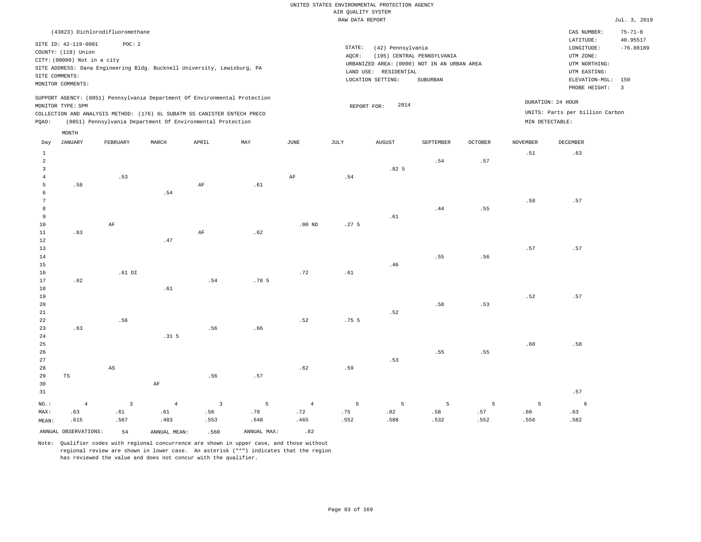|                                |                             |                                 |                                                                            |                       |                  |                   | RAW DATA REPORT  |                       |                                             |                |                 |                                     | Jul. 3, 2019   |
|--------------------------------|-----------------------------|---------------------------------|----------------------------------------------------------------------------|-----------------------|------------------|-------------------|------------------|-----------------------|---------------------------------------------|----------------|-----------------|-------------------------------------|----------------|
|                                |                             | (43823) Dichlorodifluoromethane |                                                                            |                       |                  |                   |                  |                       |                                             |                |                 | CAS NUMBER:                         | $75 - 71 - 8$  |
|                                | SITE ID: 42-119-0001        | POC: 2                          |                                                                            |                       |                  |                   |                  |                       |                                             |                |                 | LATITUDE:                           | 40.95517       |
|                                | COUNTY: (119) Union         |                                 |                                                                            |                       |                  |                   | STATE:           | (42) Pennsylvania     |                                             |                |                 | LONGITUDE:                          | $-76.88189$    |
|                                | CITY: (00000) Not in a city |                                 |                                                                            |                       |                  |                   | AQCR:            |                       | (195) CENTRAL PENNSYLVANIA                  |                |                 | UTM ZONE:                           |                |
|                                |                             |                                 | SITE ADDRESS: Dana Engineering Bldg. Bucknell University, Lewisburg, PA    |                       |                  |                   |                  |                       | URBANIZED AREA: (0000) NOT IN AN URBAN AREA |                |                 | UTM NORTHING:                       |                |
|                                | SITE COMMENTS:              |                                 |                                                                            |                       |                  |                   |                  | LAND USE: RESIDENTIAL |                                             |                |                 | UTM EASTING:                        |                |
|                                | MONITOR COMMENTS:           |                                 |                                                                            |                       |                  |                   |                  | LOCATION SETTING:     | SUBURBAN                                    |                |                 | ELEVATION-MSL: 150<br>PROBE HEIGHT: | $\overline{3}$ |
|                                |                             |                                 | SUPPORT AGENCY: (0851) Pennsylvania Department Of Environmental Protection |                       |                  |                   |                  |                       |                                             |                |                 |                                     |                |
|                                | MONITOR TYPE: SPM           |                                 |                                                                            |                       |                  |                   | REPORT FOR:      | 2014                  |                                             |                |                 | DURATION: 24 HOUR                   |                |
|                                |                             |                                 | COLLECTION AND ANALYSIS METHOD: (176) 6L SUBATM SS CANISTER ENTECH PRECO   |                       |                  |                   |                  |                       |                                             |                |                 | UNITS: Parts per billion Carbon     |                |
| PQAO:                          |                             |                                 | (0851) Pennsylvania Department Of Environmental Protection                 |                       |                  |                   |                  |                       |                                             |                |                 | MIN DETECTABLE:                     |                |
|                                | MONTH                       |                                 |                                                                            |                       |                  |                   |                  |                       |                                             |                |                 |                                     |                |
| Day                            | JANUARY                     | FEBRUARY                        | MARCH                                                                      | APRIL                 | MAY              | JUNE              | JULY             | AUGUST                | SEPTEMBER                                   | <b>OCTOBER</b> | <b>NOVEMBER</b> | DECEMBER                            |                |
| $\mathbf{1}$                   |                             |                                 |                                                                            |                       |                  |                   |                  |                       |                                             |                | .51             | .63                                 |                |
| $\overline{a}$                 |                             |                                 |                                                                            |                       |                  |                   |                  |                       | .54                                         | .57            |                 |                                     |                |
| $\mathbf{3}$<br>$\overline{4}$ |                             |                                 |                                                                            |                       |                  | AF                | .54              | .82 <sub>5</sub>      |                                             |                |                 |                                     |                |
| 5                              | .58                         | .53                             |                                                                            | AF                    | .61              |                   |                  |                       |                                             |                |                 |                                     |                |
| 6                              |                             |                                 | .54                                                                        |                       |                  |                   |                  |                       |                                             |                |                 |                                     |                |
| $\overline{7}$                 |                             |                                 |                                                                            |                       |                  |                   |                  |                       |                                             |                | .58             | .57                                 |                |
| 8                              |                             |                                 |                                                                            |                       |                  |                   |                  |                       | .44                                         | .55            |                 |                                     |                |
| 9                              |                             |                                 |                                                                            |                       |                  |                   |                  | .61                   |                                             |                |                 |                                     |                |
| 10                             |                             | $\rm AF$                        |                                                                            |                       |                  | .00 <sub>ND</sub> | .27 <sub>5</sub> |                       |                                             |                |                 |                                     |                |
| $11\,$<br>12                   | .63                         |                                 | .47                                                                        | $\rm AF$              | .62              |                   |                  |                       |                                             |                |                 |                                     |                |
| 13                             |                             |                                 |                                                                            |                       |                  |                   |                  |                       |                                             |                | .57             | .57                                 |                |
| 14                             |                             |                                 |                                                                            |                       |                  |                   |                  |                       | .55                                         | .56            |                 |                                     |                |
| 15                             |                             |                                 |                                                                            |                       |                  |                   |                  | .46                   |                                             |                |                 |                                     |                |
| 16                             |                             | $.61$ DI                        |                                                                            |                       |                  | .72               | .61              |                       |                                             |                |                 |                                     |                |
| 17                             | .62                         |                                 |                                                                            | .54                   | .78 <sub>5</sub> |                   |                  |                       |                                             |                |                 |                                     |                |
| 18                             |                             |                                 | .61                                                                        |                       |                  |                   |                  |                       |                                             |                |                 |                                     |                |
| 19                             |                             |                                 |                                                                            |                       |                  |                   |                  |                       |                                             |                | .52             | .57                                 |                |
| 20<br>21                       |                             |                                 |                                                                            |                       |                  |                   |                  | .52                   | .58                                         | .53            |                 |                                     |                |
| 22                             |                             | .56                             |                                                                            |                       |                  | .52               | .75 <sub>5</sub> |                       |                                             |                |                 |                                     |                |
| 23                             | .63                         |                                 |                                                                            | .56                   | .66              |                   |                  |                       |                                             |                |                 |                                     |                |
| 24                             |                             |                                 | .31 <sub>5</sub>                                                           |                       |                  |                   |                  |                       |                                             |                |                 |                                     |                |
| 25                             |                             |                                 |                                                                            |                       |                  |                   |                  |                       |                                             |                | .60             | .58                                 |                |
| 26                             |                             |                                 |                                                                            |                       |                  |                   |                  |                       | .55                                         | .55            |                 |                                     |                |
| 27                             |                             |                                 |                                                                            |                       |                  |                   |                  | .53                   |                                             |                |                 |                                     |                |
| 28                             |                             | $\mathbb{A}\mathbb{S}$          |                                                                            |                       |                  | .62               | .59              |                       |                                             |                |                 |                                     |                |
| 29                             | TS                          |                                 |                                                                            | .56                   | .57              |                   |                  |                       |                                             |                |                 |                                     |                |
| 30<br>31                       |                             |                                 | $\rm{AF}$                                                                  |                       |                  |                   |                  |                       |                                             |                |                 | .57                                 |                |
|                                |                             |                                 |                                                                            |                       |                  |                   |                  |                       |                                             |                |                 |                                     |                |
| NO.:                           | $\overline{4}$              | $\overline{3}$<br>.61           | $\overline{4}$                                                             | $\overline{3}$<br>.56 | 5<br>.78         | $\,4$<br>.72      | 5<br>.75         | 5<br>.82              | 5<br>.58                                    | 5<br>.57       | 5<br>.60        | 6                                   |                |
| MAX:<br>MEAN:                  | .63<br>.615                 | .567                            | .61<br>.483                                                                | .553                  | .648             | .465              | .552             | .588                  | .532                                        | .552           | .556            | .63<br>.582                         |                |
|                                |                             |                                 |                                                                            |                       |                  |                   |                  |                       |                                             |                |                 |                                     |                |
|                                | ANNUAL OBSERVATIONS:        | 54                              | ANNUAL MEAN:                                                               | .560                  | ANNUAL MAX:      | .82               |                  |                       |                                             |                |                 |                                     |                |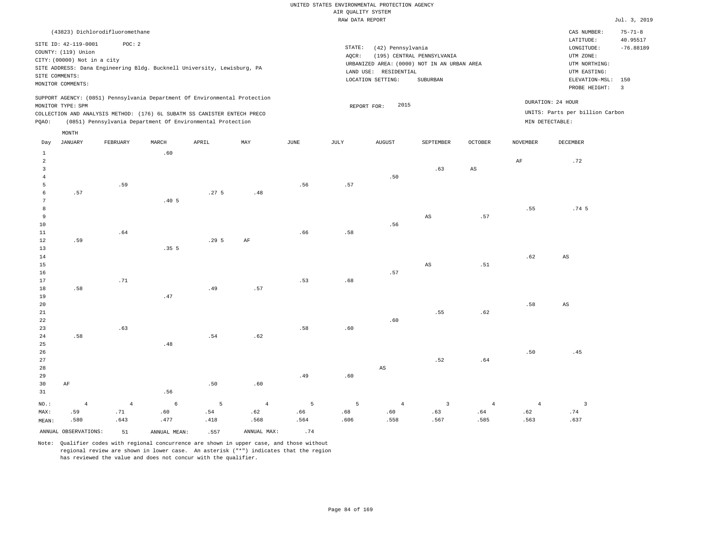|                                                                      |                                                                                                                   |                                 |                         |                                                                                                                                                                                                                      |           |      | RAW DATA REPORT |                                                                 |                                                                                       |                        |                 |                                                                                                          | Jul. 3, 2019                                               |
|----------------------------------------------------------------------|-------------------------------------------------------------------------------------------------------------------|---------------------------------|-------------------------|----------------------------------------------------------------------------------------------------------------------------------------------------------------------------------------------------------------------|-----------|------|-----------------|-----------------------------------------------------------------|---------------------------------------------------------------------------------------|------------------------|-----------------|----------------------------------------------------------------------------------------------------------|------------------------------------------------------------|
|                                                                      |                                                                                                                   | (43823) Dichlorodifluoromethane |                         |                                                                                                                                                                                                                      |           |      |                 |                                                                 |                                                                                       |                        |                 | CAS NUMBER:                                                                                              | $75 - 71 - 8$                                              |
|                                                                      | SITE ID: 42-119-0001<br>COUNTY: (119) Union<br>CITY: (00000) Not in a city<br>SITE COMMENTS:<br>MONITOR COMMENTS: | POC: 2                          |                         | SITE ADDRESS: Dana Engineering Bldg. Bucknell University, Lewisburg, PA                                                                                                                                              |           |      | STATE:<br>AQCR: | (42) Pennsylvania<br>LAND USE: RESIDENTIAL<br>LOCATION SETTING: | (195) CENTRAL PENNSYLVANIA<br>URBANIZED AREA: (0000) NOT IN AN URBAN AREA<br>SUBURBAN |                        |                 | LATITUDE:<br>LONGITUDE:<br>UTM ZONE:<br>UTM NORTHING:<br>UTM EASTING:<br>ELEVATION-MSL:<br>PROBE HEIGHT: | 40.95517<br>$-76.88189$<br>150<br>$\overline{\phantom{a}}$ |
| PQAO:                                                                | MONITOR TYPE: SPM                                                                                                 |                                 |                         | SUPPORT AGENCY: (0851) Pennsylvania Department Of Environmental Protection<br>COLLECTION AND ANALYSIS METHOD: (176) 6L SUBATM SS CANISTER ENTECH PRECO<br>(0851) Pennsylvania Department Of Environmental Protection |           |      |                 | 2015<br>REPORT FOR:                                             |                                                                                       |                        |                 | DURATION: 24 HOUR<br>UNITS: Parts per billion Carbon<br>MIN DETECTABLE:                                  |                                                            |
| Day                                                                  | MONTH<br><b>JANUARY</b>                                                                                           | FEBRUARY                        | MARCH                   | APRIL                                                                                                                                                                                                                | MAY       | JUNE | JULY            | <b>AUGUST</b>                                                   | SEPTEMBER                                                                             | OCTOBER                | <b>NOVEMBER</b> | <b>DECEMBER</b>                                                                                          |                                                            |
| $\mathbf{1}$<br>2<br>$\overline{3}$<br>$\overline{4}$<br>5<br>6<br>7 | .57                                                                                                               | .59                             | .60<br>.40 <sub>5</sub> | .27 <sub>5</sub>                                                                                                                                                                                                     | .48       | .56  | .57             | .50                                                             | .63                                                                                   | $\mathbb{A}\mathbb{S}$ | $\rm{AF}$       | .72                                                                                                      |                                                            |
| 8<br>9<br>10<br>11<br>12                                             | .59                                                                                                               | .64                             |                         | .295                                                                                                                                                                                                                 | $\rm{AF}$ | .66  | .58             | .56                                                             | $\mathbb{A}\mathbb{S}$                                                                | .57                    | .55             | .74 <sub>5</sub>                                                                                         |                                                            |
| 13<br>14<br>15<br>16<br>17<br>18                                     | .58                                                                                                               | .71                             | .355                    | .49                                                                                                                                                                                                                  | .57       | .53  | .68             | .57                                                             | AS                                                                                    | .51                    | .62             | $\mathbb{A}\mathbb{S}$                                                                                   |                                                            |
| 19<br>20<br>21<br>22<br>23                                           |                                                                                                                   | .63                             | .47                     |                                                                                                                                                                                                                      |           | .58  | .60             | .60                                                             | .55                                                                                   | .62                    | .58             | $\mathbb{A}\mathbb{S}$                                                                                   |                                                            |
| 24<br>25<br>26<br>27                                                 | .58                                                                                                               |                                 | .48                     | .54                                                                                                                                                                                                                  | .62       |      |                 |                                                                 | .52                                                                                   | .64                    | .50             | .45                                                                                                      |                                                            |

28 29 30 31 AF NO.: MAX: MEAN: 4 .59 .580 .56 .50 .60 .49 .60 AS 4 .71 .643 6 .60 .477 5 .54 .418 4 .62 .568 5 .66 .564 5 .68 .606 4 .60 .558 3 .63 .567 4 .64 .585 4 .62 .563 ANNUAL OBSERVATIONS:  $51$  ANNUAL MEAN: .557 ANNUAL MAX: .74

Note: Qualifier codes with regional concurrence are shown in upper case, and those without regional review are shown in lower case. An asterisk ("\*") indicates that the region has reviewed the value and does not concur with the qualifier.

3 .74 .637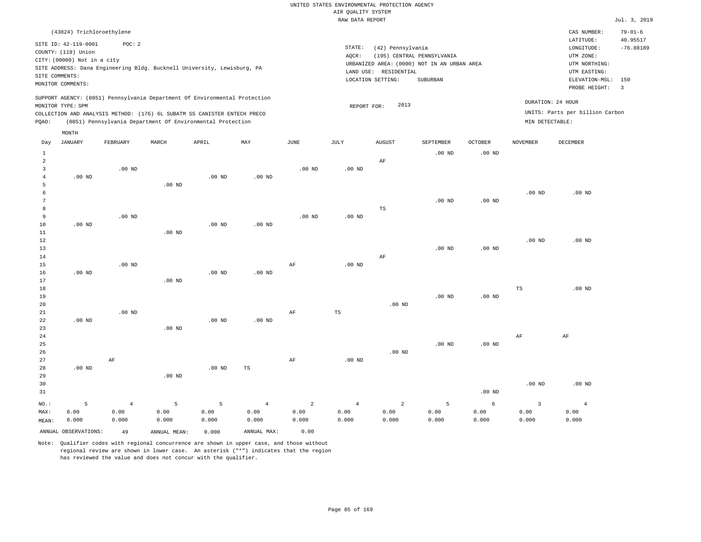|                                                                         |                                                                                                                   |                                                                                                                                                                                                                      |                   |                   |          |          | RAW DATA REPORT   |                                                                 |                                                                                       |                   |                   |                                                                                                          | Jul. 3, 2019                                              |
|-------------------------------------------------------------------------|-------------------------------------------------------------------------------------------------------------------|----------------------------------------------------------------------------------------------------------------------------------------------------------------------------------------------------------------------|-------------------|-------------------|----------|----------|-------------------|-----------------------------------------------------------------|---------------------------------------------------------------------------------------|-------------------|-------------------|----------------------------------------------------------------------------------------------------------|-----------------------------------------------------------|
|                                                                         | (43824) Trichloroethylene                                                                                         |                                                                                                                                                                                                                      |                   |                   |          |          |                   |                                                                 |                                                                                       |                   |                   | CAS NUMBER:                                                                                              | $79 - 01 - 6$                                             |
|                                                                         | SITE ID: 42-119-0001<br>COUNTY: (119) Union<br>CITY: (00000) Not in a city<br>SITE COMMENTS:<br>MONITOR COMMENTS: | POC: 2<br>SITE ADDRESS: Dana Engineering Bldg. Bucknell University, Lewisburg, PA                                                                                                                                    |                   |                   |          |          | STATE:<br>AOCR:   | (42) Pennsylvania<br>LAND USE: RESIDENTIAL<br>LOCATION SETTING: | (195) CENTRAL PENNSYLVANIA<br>URBANIZED AREA: (0000) NOT IN AN URBAN AREA<br>SUBURBAN |                   |                   | LATITUDE:<br>LONGITUDE:<br>UTM ZONE:<br>UTM NORTHING:<br>UTM EASTING:<br>ELEVATION-MSL:<br>PROBE HEIGHT: | 40.95517<br>$-76.88189$<br>150<br>$\overline{\mathbf{3}}$ |
| PQAO:                                                                   | MONITOR TYPE: SPM                                                                                                 | SUPPORT AGENCY: (0851) Pennsylvania Department Of Environmental Protection<br>COLLECTION AND ANALYSIS METHOD: (176) 6L SUBATM SS CANISTER ENTECH PRECO<br>(0851) Pennsylvania Department Of Environmental Protection |                   |                   |          |          | REPORT FOR:       | 2013                                                            |                                                                                       |                   | MIN DETECTABLE:   | DURATION: 24 HOUR<br>UNITS: Parts per billion Carbon                                                     |                                                           |
| Day                                                                     | MONTH<br>JANUARY                                                                                                  | FEBRUARY                                                                                                                                                                                                             | MARCH             | APRIL             | MAY      | JUNE     | JULY              | <b>AUGUST</b>                                                   | SEPTEMBER                                                                             | <b>OCTOBER</b>    | <b>NOVEMBER</b>   | $\tt DECEMBER$                                                                                           |                                                           |
| $\mathbf{1}$<br>$\overline{a}$<br>$\overline{3}$<br>$\overline{4}$<br>5 | $.00$ ND                                                                                                          | $.00$ ND                                                                                                                                                                                                             | $.00$ ND          | $.00$ ND          | $.00$ ND | $.00$ ND | .00 <sub>ND</sub> | $\rm AF$                                                        | $.00$ ND                                                                              | .00 <sub>ND</sub> |                   |                                                                                                          |                                                           |
| 6<br>7<br>8<br>9<br>10<br>11                                            | $.00$ ND                                                                                                          | $.00$ ND                                                                                                                                                                                                             | $.00$ ND          | $.00$ ND          | $.00$ ND | $.00$ ND | .00 <sub>ND</sub> | TS                                                              | $.00$ ND                                                                              | .00 <sub>ND</sub> | .00 <sub>ND</sub> | $.00$ ND                                                                                                 |                                                           |
| 12<br>13<br>14<br>15<br>16                                              | $.00$ ND                                                                                                          | $.00$ ND                                                                                                                                                                                                             |                   | .00 <sub>ND</sub> | $.00$ ND | AF       | .00 <sub>ND</sub> | AF                                                              | $.00$ ND                                                                              | .00 <sub>ND</sub> | .00 <sub>ND</sub> | $.00$ ND                                                                                                 |                                                           |
| 17<br>18<br>19<br>20<br>21                                              |                                                                                                                   | $.00$ ND                                                                                                                                                                                                             | $.00$ ND          |                   |          | AF       | TS                | $.00$ ND                                                        | .00 <sub>ND</sub>                                                                     | .00 <sub>ND</sub> | TS                | $.00$ ND                                                                                                 |                                                           |
| 22<br>23<br>24<br>25<br>26                                              | $.00$ ND                                                                                                          |                                                                                                                                                                                                                      | $.00$ ND          | $.00$ ND          | $.00$ ND |          |                   | $.00$ ND                                                        | $.00$ ND                                                                              | $.00$ ND          | AF                | AF                                                                                                       |                                                           |
| 27<br>28<br>29                                                          | $.00$ ND                                                                                                          | AF                                                                                                                                                                                                                   | .00 <sub>ND</sub> | .00 <sub>ND</sub> | TS       | AF       | $.00$ ND          |                                                                 |                                                                                       |                   |                   |                                                                                                          |                                                           |

30 31 NO.: MAX: MEAN: 5 0.00 0.000 .00 ND .00 ND .00 ND 4 0.00 0.000 5 0.00 0.000 5 0.00 0.000 4 0.00 0.000 2 0.00 0.000 4 0.00 0.000 2 0.00 0.000 5 0.00 0.000 6 0.00 0.000 3 0.00 0.000 4 0.00 0.000

ANNUAL OBSERVATIONS: 49 ANNUAL MEAN: 0.000 ANNUAL MAX: 0.00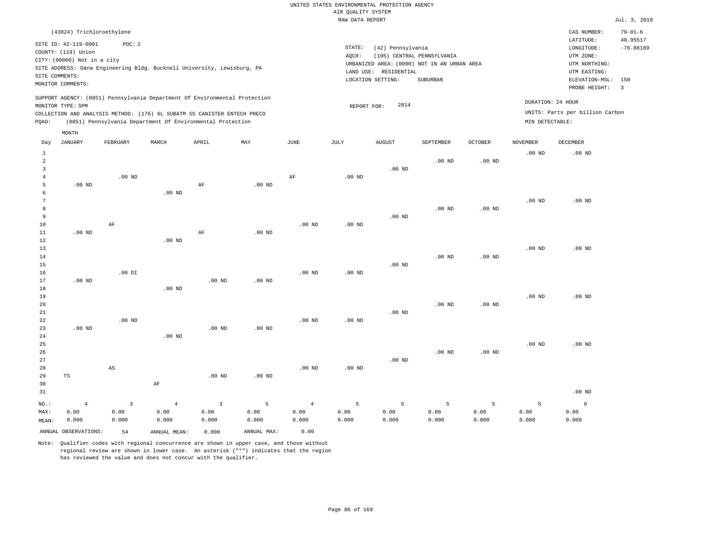|                                                         |                                                                                                                              |                                 |                                 |                                                                                                                                                        |                    |                                 | AIR QUALITY SYSTEM | UNITED STATES ENVIRONMENTAL PROTECTION AGENCY                   |                                                                                       |                    |                    |                                                                                                                    |                                                 |
|---------------------------------------------------------|------------------------------------------------------------------------------------------------------------------------------|---------------------------------|---------------------------------|--------------------------------------------------------------------------------------------------------------------------------------------------------|--------------------|---------------------------------|--------------------|-----------------------------------------------------------------|---------------------------------------------------------------------------------------|--------------------|--------------------|--------------------------------------------------------------------------------------------------------------------|-------------------------------------------------|
|                                                         |                                                                                                                              |                                 |                                 |                                                                                                                                                        |                    |                                 | RAW DATA REPORT    |                                                                 |                                                                                       |                    |                    |                                                                                                                    | Jul. 3, 2019                                    |
| SITE COMMENTS:                                          | (43824) Trichloroethylene<br>SITE ID: 42-119-0001<br>COUNTY: (119) Union<br>CITY: (00000) Not in a city<br>MONITOR COMMENTS: | POC: 2                          |                                 | SITE ADDRESS: Dana Engineering Bldg. Bucknell University, Lewisburg, PA                                                                                |                    |                                 | STATE:<br>AQCR:    | (42) Pennsylvania<br>LAND USE: RESIDENTIAL<br>LOCATION SETTING: | (195) CENTRAL PENNSYLVANIA<br>URBANIZED AREA: (0000) NOT IN AN URBAN AREA<br>SUBURBAN |                    |                    | CAS NUMBER:<br>LATITUDE:<br>$\texttt{LONGITUDE}$ :<br>UTM ZONE:<br>UTM NORTHING:<br>UTM EASTING:<br>ELEVATION-MSL: | $79 - 01 - 6$<br>40.95517<br>$-76.88189$<br>150 |
|                                                         | MONITOR TYPE: SPM                                                                                                            |                                 |                                 | SUPPORT AGENCY: (0851) Pennsylvania Department Of Environmental Protection<br>COLLECTION AND ANALYSIS METHOD: (176) 6L SUBATM SS CANISTER ENTECH PRECO |                    |                                 | REPORT FOR:        | 2014                                                            |                                                                                       |                    |                    | PROBE HEIGHT:<br>DURATION: 24 HOUR<br>UNITS: Parts per billion Carbon                                              | $\overline{3}$                                  |
| PQAO:                                                   |                                                                                                                              |                                 |                                 | (0851) Pennsylvania Department Of Environmental Protection                                                                                             |                    |                                 |                    |                                                                 |                                                                                       |                    | MIN DETECTABLE:    |                                                                                                                    |                                                 |
| Day                                                     | MONTH<br><b>JANUARY</b>                                                                                                      | FEBRUARY                        | MARCH                           | APRIL                                                                                                                                                  | MAY                | <b>JUNE</b>                     | <b>JULY</b>        | <b>AUGUST</b>                                                   | SEPTEMBER                                                                             | OCTOBER            | <b>NOVEMBER</b>    | DECEMBER                                                                                                           |                                                 |
| 1<br>$\overline{a}$<br>$\overline{3}$<br>$\overline{4}$ |                                                                                                                              | $.00$ ND                        |                                 |                                                                                                                                                        |                    | AF                              | $.00$ ND           | $.00$ ND                                                        | $.00$ ND                                                                              | $.00$ ND           | .00 <sub>ND</sub>  | $.00$ ND                                                                                                           |                                                 |
| 5<br>6<br>$7\phantom{.0}$<br>8                          | $.00$ ND                                                                                                                     |                                 | $.00$ ND                        | $\rm AF$                                                                                                                                               | .00 <sub>ND</sub>  |                                 |                    |                                                                 | .00 <sub>ND</sub>                                                                     | $.00$ ND           | $.00$ ND           | $.00$ ND                                                                                                           |                                                 |
| 9<br>10<br>$1\,1$<br>12<br>13                           | $.00$ ND                                                                                                                     | $\rm{AF}$                       | $.00$ ND                        | $\rm AF$                                                                                                                                               | $.00$ ND           | .00 <sub>ND</sub>               | $.00$ ND           | $.00$ ND                                                        |                                                                                       |                    | $.00$ ND           | $.00$ ND                                                                                                           |                                                 |
| 14<br>15<br>16<br>$17$                                  | $.00$ ND                                                                                                                     | $.00$ DI                        |                                 | .00 <sub>ND</sub>                                                                                                                                      | $.00$ ND           | .00 <sub>ND</sub>               | .00 <sub>ND</sub>  | $.00$ ND                                                        | .00 <sub>ND</sub>                                                                     | $.00$ ND           |                    |                                                                                                                    |                                                 |
| $1\,8$<br>19<br>20<br>21<br>22                          |                                                                                                                              | $.00$ ND                        | $.00$ ND                        |                                                                                                                                                        |                    | $.00$ ND                        | $.00$ ND           | $.00$ ND                                                        | $.00$ ND                                                                              | $.00$ ND           | .00 <sub>ND</sub>  | .00 <sub>ND</sub>                                                                                                  |                                                 |
| 23<br>24<br>25                                          | $.00$ ND                                                                                                                     |                                 | $.00$ ND                        | .00 <sub>ND</sub>                                                                                                                                      | $.00$ ND           |                                 |                    |                                                                 |                                                                                       |                    | .00 <sub>ND</sub>  | $.00$ ND                                                                                                           |                                                 |
| 26<br>27<br>28<br>29<br>30<br>31                        | $_{\rm TS}$                                                                                                                  | AS                              | AF                              | .00 <sub>ND</sub>                                                                                                                                      | $.00$ ND           | $.00$ ND                        | $.00$ ND           | $.00$ ND                                                        | $.00$ ND                                                                              | $.00$ ND           |                    | $.00$ ND                                                                                                           |                                                 |
| NO.:<br>MAX:<br>MEAN:                                   | $\overline{4}$<br>0.00<br>0.000                                                                                              | $\overline{3}$<br>0.00<br>0.000 | $\overline{4}$<br>0.00<br>0.000 | $\overline{3}$<br>0.00<br>0.000                                                                                                                        | 5<br>0.00<br>0.000 | $\overline{4}$<br>0.00<br>0.000 | 5<br>0.00<br>0.000 | 5<br>0.00<br>0.000                                              | 5<br>0.00<br>0.000                                                                    | 5<br>0.00<br>0.000 | 5<br>0.00<br>0.000 | 6<br>0.00<br>0.000                                                                                                 |                                                 |

Note: Qualifier codes with regional concurrence are shown in upper case, and those without regional review are shown in lower case. An asterisk ("\*") indicates that the region

ANNUAL OBSERVATIONS: 54 ANNUAL MEAN: 0.000 ANNUAL MAX: 0.00

has reviewed the value and does not concur with the qualifier.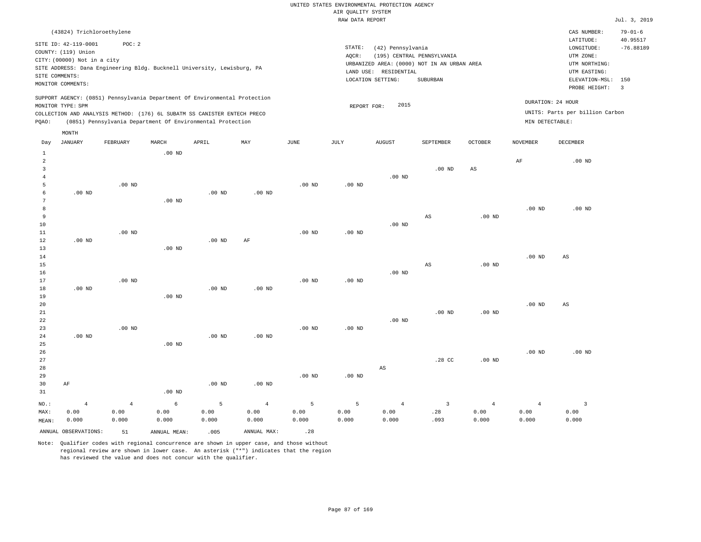|                   |                                                                                           |                |              |                                                            |                   |                   | RAW DATA REPORT   |                       |                                             |                        |                   |                                 | Jul. 3, 2019   |
|-------------------|-------------------------------------------------------------------------------------------|----------------|--------------|------------------------------------------------------------|-------------------|-------------------|-------------------|-----------------------|---------------------------------------------|------------------------|-------------------|---------------------------------|----------------|
|                   | (43824) Trichloroethylene                                                                 |                |              |                                                            |                   |                   |                   |                       |                                             |                        |                   | CAS NUMBER:                     | $79 - 01 - 6$  |
|                   | SITE ID: 42-119-0001                                                                      | POC: 2         |              |                                                            |                   |                   |                   |                       |                                             |                        |                   | LATITUDE:                       | 40.95517       |
|                   | COUNTY: (119) Union                                                                       |                |              |                                                            |                   |                   | STATE:            | (42) Pennsylvania     |                                             |                        |                   | LONGITUDE:                      | $-76.88189$    |
|                   | CITY: (00000) Not in a city                                                               |                |              |                                                            |                   |                   | AOCR:             |                       | (195) CENTRAL PENNSYLVANIA                  |                        |                   | UTM ZONE:                       |                |
|                   |                                                                                           |                |              |                                                            |                   |                   |                   |                       | URBANIZED AREA: (0000) NOT IN AN URBAN AREA |                        |                   | UTM NORTHING:                   |                |
|                   | SITE ADDRESS: Dana Engineering Bldg. Bucknell University, Lewisburg, PA<br>SITE COMMENTS: |                |              |                                                            |                   |                   |                   | LAND USE: RESIDENTIAL |                                             |                        |                   | UTM EASTING:                    |                |
|                   | MONITOR COMMENTS:                                                                         |                |              |                                                            |                   |                   |                   | LOCATION SETTING:     | SUBURBAN                                    |                        |                   | ELEVATION-MSL:                  | 150            |
|                   |                                                                                           |                |              |                                                            |                   |                   |                   |                       |                                             |                        |                   | PROBE HEIGHT:                   | $\overline{3}$ |
|                   | SUPPORT AGENCY: (0851) Pennsylvania Department Of Environmental Protection                |                |              |                                                            |                   |                   |                   |                       |                                             |                        |                   | DURATION: 24 HOUR               |                |
|                   | MONITOR TYPE: SPM                                                                         |                |              |                                                            |                   |                   | REPORT FOR:       | 2015                  |                                             |                        |                   |                                 |                |
|                   | COLLECTION AND ANALYSIS METHOD: (176) 6L SUBATM SS CANISTER ENTECH PRECO                  |                |              |                                                            |                   |                   |                   |                       |                                             |                        |                   | UNITS: Parts per billion Carbon |                |
| PQAO:             |                                                                                           |                |              | (0851) Pennsylvania Department Of Environmental Protection |                   |                   |                   |                       |                                             |                        | MIN DETECTABLE:   |                                 |                |
|                   | MONTH                                                                                     |                |              |                                                            |                   |                   |                   |                       |                                             |                        |                   |                                 |                |
| Day               | JANUARY                                                                                   | FEBRUARY       | MARCH        | APRIL                                                      | MAY               | <b>JUNE</b>       | JULY              | <b>AUGUST</b>         | SEPTEMBER                                   | <b>OCTOBER</b>         | <b>NOVEMBER</b>   | DECEMBER                        |                |
| $\mathbf{1}$<br>2 |                                                                                           |                | $.00$ ND     |                                                            |                   |                   |                   |                       |                                             |                        | $\rm{AF}$         | $.00$ ND                        |                |
| 3                 |                                                                                           |                |              |                                                            |                   |                   |                   |                       | $.00$ ND                                    | $\mathbb{A}\mathbb{S}$ |                   |                                 |                |
| $\overline{4}$    |                                                                                           |                |              |                                                            |                   |                   |                   | $.00$ ND              |                                             |                        |                   |                                 |                |
| 5                 |                                                                                           | $.00$ ND       |              |                                                            |                   | .00 <sub>ND</sub> | .00 <sub>ND</sub> |                       |                                             |                        |                   |                                 |                |
| 6                 | $.00$ ND                                                                                  |                |              | .00 <sub>ND</sub>                                          | .00 <sub>ND</sub> |                   |                   |                       |                                             |                        |                   |                                 |                |
| $7\phantom{.0}$   |                                                                                           |                | $.00$ ND     |                                                            |                   |                   |                   |                       |                                             |                        |                   |                                 |                |
| 8                 |                                                                                           |                |              |                                                            |                   |                   |                   |                       |                                             |                        | .00 <sub>ND</sub> | $.00$ ND                        |                |
| 9                 |                                                                                           |                |              |                                                            |                   |                   |                   |                       | $_{\rm AS}$                                 | .00 <sub>ND</sub>      |                   |                                 |                |
| 10                |                                                                                           |                |              |                                                            |                   |                   |                   | $.00$ ND              |                                             |                        |                   |                                 |                |
| 11                |                                                                                           | $.00$ ND       |              |                                                            |                   | $.00$ ND          | .00 <sub>ND</sub> |                       |                                             |                        |                   |                                 |                |
| 12                | $.00$ ND                                                                                  |                |              | .00 <sub>ND</sub>                                          | AF                |                   |                   |                       |                                             |                        |                   |                                 |                |
| 13                |                                                                                           |                | $.00$ ND     |                                                            |                   |                   |                   |                       |                                             |                        |                   |                                 |                |
| 14                |                                                                                           |                |              |                                                            |                   |                   |                   |                       |                                             |                        | $.00$ ND          | AS                              |                |
| 15                |                                                                                           |                |              |                                                            |                   |                   |                   |                       | $_{\rm AS}$                                 | .00 <sub>ND</sub>      |                   |                                 |                |
| 16                |                                                                                           |                |              |                                                            |                   |                   |                   | $.00$ ND              |                                             |                        |                   |                                 |                |
| 17                |                                                                                           | $.00$ ND       |              |                                                            |                   | .00 <sub>ND</sub> | .00 <sub>ND</sub> |                       |                                             |                        |                   |                                 |                |
| $1\,8$            | $.00$ ND                                                                                  |                |              | .00 <sub>ND</sub>                                          | $.00$ ND          |                   |                   |                       |                                             |                        |                   |                                 |                |
| 19                |                                                                                           |                | $.00$ ND     |                                                            |                   |                   |                   |                       |                                             |                        |                   |                                 |                |
| 20                |                                                                                           |                |              |                                                            |                   |                   |                   |                       |                                             |                        | .00 <sub>ND</sub> | $_{\rm AS}$                     |                |
| 21                |                                                                                           |                |              |                                                            |                   |                   |                   |                       | $.00$ ND                                    | $.00$ ND               |                   |                                 |                |
| 22                |                                                                                           |                |              |                                                            |                   |                   |                   | $.00$ ND              |                                             |                        |                   |                                 |                |
| 23                |                                                                                           | $.00$ ND       |              |                                                            |                   | $.00$ ND          | $.00$ ND          |                       |                                             |                        |                   |                                 |                |
| 24                | $.00$ ND                                                                                  |                |              | $.00$ ND                                                   | $.00$ ND          |                   |                   |                       |                                             |                        |                   |                                 |                |
| 25                |                                                                                           |                | $.00$ ND     |                                                            |                   |                   |                   |                       |                                             |                        |                   |                                 |                |
| 26                |                                                                                           |                |              |                                                            |                   |                   |                   |                       |                                             |                        | $.00$ ND          | $.00$ ND                        |                |
| 27                |                                                                                           |                |              |                                                            |                   |                   |                   |                       | .28 CC                                      | $.00$ ND               |                   |                                 |                |
| 28<br>29          |                                                                                           |                |              |                                                            |                   | $.00$ ND          | $.00$ ND          | AS                    |                                             |                        |                   |                                 |                |
| 30                | AF                                                                                        |                |              | $.00$ ND                                                   | $.00$ ND          |                   |                   |                       |                                             |                        |                   |                                 |                |
| 31                |                                                                                           |                | $.00$ ND     |                                                            |                   |                   |                   |                       |                                             |                        |                   |                                 |                |
|                   |                                                                                           |                |              |                                                            |                   |                   |                   |                       |                                             |                        |                   |                                 |                |
| NO.:              | $\overline{4}$                                                                            | $\overline{4}$ | 6            | 5                                                          | $\overline{4}$    | 5                 | 5                 | $\overline{4}$        | $\overline{3}$                              | $\overline{4}$         | $\overline{4}$    | $\overline{3}$                  |                |
| MAX:              | 0.00                                                                                      | 0.00           | 0.00         | 0.00                                                       | 0.00              | 0.00              | 0.00              | 0.00                  | .28                                         | 0.00                   | 0.00              | 0.00                            |                |
| MEAN:             | 0.000                                                                                     | 0.000          | 0.000        | 0.000                                                      | 0.000             | 0.000             | 0.000             | 0.000                 | .093                                        | 0.000                  | 0.000             | 0.000                           |                |
|                   | ANNUAL OBSERVATIONS:                                                                      | 51             | ANNUAL MEAN: | .005                                                       | ANNUAL MAX:       | .28               |                   |                       |                                             |                        |                   |                                 |                |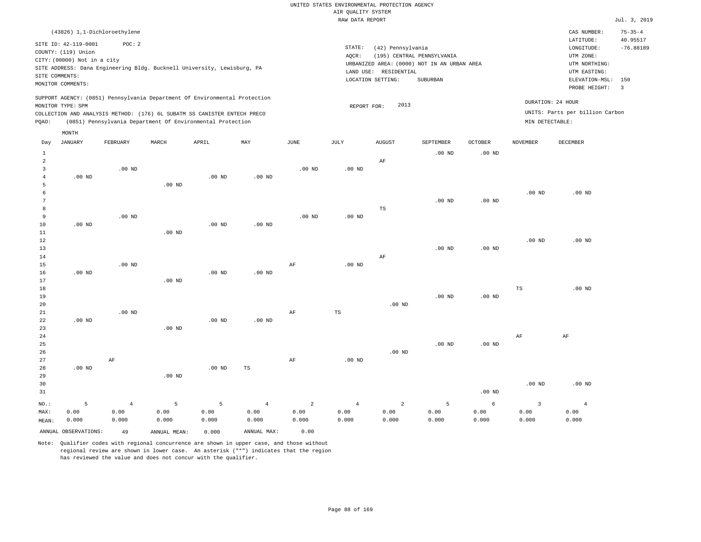|                                |                                                                            |                                                                                   |          |          |                   |                | RAW DATA REPORT |                       |                                                                           |                   |                         |                                                       | Jul. 3, 2019            |
|--------------------------------|----------------------------------------------------------------------------|-----------------------------------------------------------------------------------|----------|----------|-------------------|----------------|-----------------|-----------------------|---------------------------------------------------------------------------|-------------------|-------------------------|-------------------------------------------------------|-------------------------|
|                                | (43826) 1,1-Dichloroethylene                                               |                                                                                   |          |          |                   |                |                 |                       |                                                                           |                   |                         | CAS NUMBER:                                           | $75 - 35 - 4$           |
|                                | SITE ID: 42-119-0001<br>COUNTY: (119) Union<br>CITY: (00000) Not in a city | POC: 2<br>SITE ADDRESS: Dana Engineering Bldg. Bucknell University, Lewisburg, PA |          |          |                   |                | STATE:<br>AQCR: | (42) Pennsylvania     | (195) CENTRAL PENNSYLVANIA<br>URBANIZED AREA: (0000) NOT IN AN URBAN AREA |                   |                         | LATITUDE:<br>LONGITUDE:<br>UTM ZONE:<br>UTM NORTHING: | 40.95517<br>$-76.88189$ |
|                                | SITE COMMENTS:                                                             |                                                                                   |          |          |                   |                |                 | LAND USE: RESIDENTIAL |                                                                           |                   |                         | UTM EASTING:                                          |                         |
|                                | MONITOR COMMENTS:                                                          |                                                                                   |          |          |                   |                |                 | LOCATION SETTING:     | SUBURBAN                                                                  |                   |                         | ELEVATION-MSL:<br>PROBE HEIGHT:                       | 150<br>$\overline{3}$   |
|                                |                                                                            | SUPPORT AGENCY: (0851) Pennsylvania Department Of Environmental Protection        |          |          |                   |                |                 |                       |                                                                           |                   |                         |                                                       |                         |
|                                | MONITOR TYPE: SPM                                                          |                                                                                   |          |          |                   |                | REPORT FOR:     | 2013                  |                                                                           |                   |                         | DURATION: 24 HOUR                                     |                         |
|                                |                                                                            | COLLECTION AND ANALYSIS METHOD: (176) 6L SUBATM SS CANISTER ENTECH PRECO          |          |          |                   |                |                 |                       |                                                                           |                   |                         | UNITS: Parts per billion Carbon                       |                         |
| PQAO:                          |                                                                            | (0851) Pennsylvania Department Of Environmental Protection                        |          |          |                   |                |                 |                       |                                                                           |                   | MIN DETECTABLE:         |                                                       |                         |
|                                | MONTH                                                                      |                                                                                   |          |          |                   |                |                 |                       |                                                                           |                   |                         |                                                       |                         |
| Day                            | JANUARY                                                                    | FEBRUARY                                                                          | MARCH    | APRIL    | MAY               | JUNE           | JULY            | <b>AUGUST</b>         | SEPTEMBER                                                                 | <b>OCTOBER</b>    | <b>NOVEMBER</b>         | DECEMBER                                              |                         |
| $\mathbf{1}$<br>$\overline{a}$ |                                                                            |                                                                                   |          |          |                   |                |                 | AF                    | $.00$ ND                                                                  | $.00$ ND          |                         |                                                       |                         |
| $\overline{3}$                 |                                                                            | $.00$ ND                                                                          |          |          |                   | $.00$ ND       | $.00$ ND        |                       |                                                                           |                   |                         |                                                       |                         |
| $\overline{4}$                 | $.00$ ND                                                                   |                                                                                   |          | $.00$ ND | $.00$ ND          |                |                 |                       |                                                                           |                   |                         |                                                       |                         |
| 5                              |                                                                            |                                                                                   | $.00$ ND |          |                   |                |                 |                       |                                                                           |                   |                         |                                                       |                         |
| 6                              |                                                                            |                                                                                   |          |          |                   |                |                 |                       |                                                                           |                   | $.00$ ND                | $.00$ ND                                              |                         |
| 7                              |                                                                            |                                                                                   |          |          |                   |                |                 |                       | .00 <sub>ND</sub>                                                         | $.00$ ND          |                         |                                                       |                         |
| 8<br>9                         |                                                                            |                                                                                   |          |          |                   |                |                 | $_{\rm TS}$           |                                                                           |                   |                         |                                                       |                         |
| 10                             | $.00$ ND                                                                   | $.00$ ND                                                                          |          | $.00$ ND | .00 <sub>ND</sub> | $.00$ ND       | $.00$ ND        |                       |                                                                           |                   |                         |                                                       |                         |
| 11                             |                                                                            |                                                                                   | $.00$ ND |          |                   |                |                 |                       |                                                                           |                   |                         |                                                       |                         |
| 12                             |                                                                            |                                                                                   |          |          |                   |                |                 |                       |                                                                           |                   | $.00$ ND                | $.00$ ND                                              |                         |
| 13                             |                                                                            |                                                                                   |          |          |                   |                |                 |                       | $.00$ ND                                                                  | .00 <sub>ND</sub> |                         |                                                       |                         |
| 14                             |                                                                            |                                                                                   |          |          |                   |                |                 | $\rm AF$              |                                                                           |                   |                         |                                                       |                         |
| 15                             |                                                                            | $.00$ ND                                                                          |          |          |                   | AF             | $.00$ ND        |                       |                                                                           |                   |                         |                                                       |                         |
| 16                             | $.00$ ND                                                                   |                                                                                   |          | $.00$ ND | .00 <sub>ND</sub> |                |                 |                       |                                                                           |                   |                         |                                                       |                         |
| 17<br>18                       |                                                                            |                                                                                   | $.00$ ND |          |                   |                |                 |                       |                                                                           |                   | $_{\rm TS}$             | .00 <sub>ND</sub>                                     |                         |
| 19                             |                                                                            |                                                                                   |          |          |                   |                |                 |                       | $.00$ ND                                                                  | .00 <sub>ND</sub> |                         |                                                       |                         |
| 20                             |                                                                            |                                                                                   |          |          |                   |                |                 | $.00$ ND              |                                                                           |                   |                         |                                                       |                         |
| 21                             |                                                                            | $.00$ ND                                                                          |          |          |                   | AF             | TS              |                       |                                                                           |                   |                         |                                                       |                         |
| 22                             | $.00$ ND                                                                   |                                                                                   |          | $.00$ ND | $.00$ ND          |                |                 |                       |                                                                           |                   |                         |                                                       |                         |
| 23                             |                                                                            |                                                                                   | $.00$ ND |          |                   |                |                 |                       |                                                                           |                   |                         |                                                       |                         |
| 24                             |                                                                            |                                                                                   |          |          |                   |                |                 |                       |                                                                           |                   | $\rm{AF}$               | AF                                                    |                         |
| 25                             |                                                                            |                                                                                   |          |          |                   |                |                 | .00 <sub>ND</sub>     | $.00$ ND                                                                  | .00 <sub>ND</sub> |                         |                                                       |                         |
| 26<br>27                       |                                                                            | $\rm AF$                                                                          |          |          |                   | $\rm{AF}$      | $.00$ ND        |                       |                                                                           |                   |                         |                                                       |                         |
| 28                             | $.00$ ND                                                                   |                                                                                   |          | $.00$ ND | $\mathbb{TS}$     |                |                 |                       |                                                                           |                   |                         |                                                       |                         |
| 29                             |                                                                            |                                                                                   | $.00$ ND |          |                   |                |                 |                       |                                                                           |                   |                         |                                                       |                         |
| 30                             |                                                                            |                                                                                   |          |          |                   |                |                 |                       |                                                                           |                   | .00 <sub>ND</sub>       | $.00$ ND                                              |                         |
| 31                             |                                                                            |                                                                                   |          |          |                   |                |                 |                       |                                                                           | .00 <sub>ND</sub> |                         |                                                       |                         |
| NO.:                           | 5                                                                          | $\overline{4}$                                                                    | 5        | 5        | $\overline{4}$    | $\overline{a}$ | $\overline{4}$  | $\overline{a}$        | 5                                                                         | 6                 | $\overline{\mathbf{3}}$ | $\overline{4}$                                        |                         |
| MAX:                           | 0.00                                                                       | 0.00                                                                              | 0.00     | 0.00     | 0.00              | 0.00           | 0.00            | 0.00                  | 0.00                                                                      | 0.00              | 0.00                    | 0.00                                                  |                         |

MAX: MEAN: 0.00 0.000 0.00 0.000 0.00 0.000 0.00 0.000 0.00 0.000 0.00 0.000 0.00 0.000 0.00 0.000 0.00 0.000 0.00 0.000 0.00 0.000 ANNUAL OBSERVATIONS: 49 ANNUAL MEAN: 0.000 ANNUAL MAX: 0.00

Note: Qualifier codes with regional concurrence are shown in upper case, and those without regional review are shown in lower case. An asterisk ("\*") indicates that the region has reviewed the value and does not concur with the qualifier.

0.000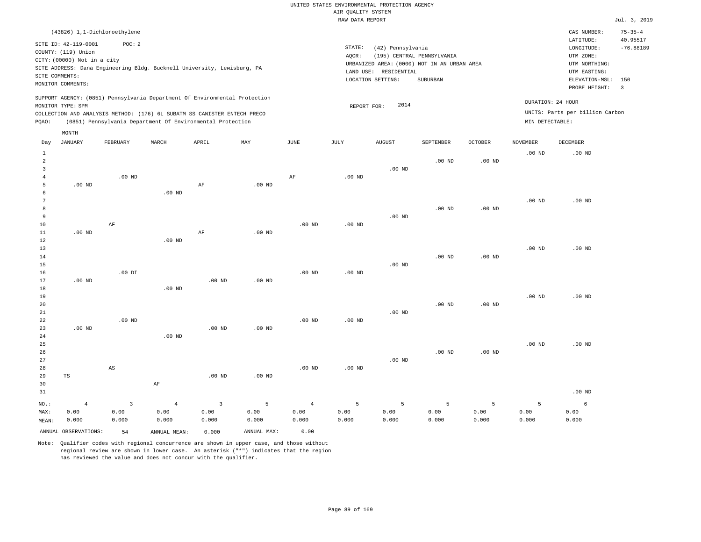|                 |                                                                                                                   |                        |                |                                                                            |          |                   | RAW DATA REPORT   |                                                                 |                                                                                       |                |                   |                                                                                                          | Jul. 3, 2019                                              |
|-----------------|-------------------------------------------------------------------------------------------------------------------|------------------------|----------------|----------------------------------------------------------------------------|----------|-------------------|-------------------|-----------------------------------------------------------------|---------------------------------------------------------------------------------------|----------------|-------------------|----------------------------------------------------------------------------------------------------------|-----------------------------------------------------------|
|                 | (43826) 1,1-Dichloroethylene                                                                                      |                        |                |                                                                            |          |                   |                   |                                                                 |                                                                                       |                |                   | CAS NUMBER:                                                                                              | $75 - 35 - 4$                                             |
|                 | SITE ID: 42-119-0001<br>COUNTY: (119) Union<br>CITY: (00000) Not in a city<br>SITE COMMENTS:<br>MONITOR COMMENTS: | POC: 2                 |                | SITE ADDRESS: Dana Engineering Bldg. Bucknell University, Lewisburg, PA    |          |                   | STATE:<br>AOCR:   | (42) Pennsylvania<br>LAND USE: RESIDENTIAL<br>LOCATION SETTING: | (195) CENTRAL PENNSYLVANIA<br>URBANIZED AREA: (0000) NOT IN AN URBAN AREA<br>SUBURBAN |                |                   | LATITUDE:<br>LONGITUDE:<br>UTM ZONE:<br>UTM NORTHING:<br>UTM EASTING:<br>ELEVATION-MSL:<br>PROBE HEIGHT: | 40.95517<br>$-76.88189$<br>150<br>$\overline{\mathbf{3}}$ |
|                 | MONITOR TYPE: SPM                                                                                                 |                        |                | SUPPORT AGENCY: (0851) Pennsylvania Department Of Environmental Protection |          |                   | REPORT FOR:       | 2014                                                            |                                                                                       |                |                   | DURATION: 24 HOUR                                                                                        |                                                           |
|                 |                                                                                                                   |                        |                | COLLECTION AND ANALYSIS METHOD: (176) 6L SUBATM SS CANISTER ENTECH PRECO   |          |                   |                   |                                                                 |                                                                                       |                |                   | UNITS: Parts per billion Carbon                                                                          |                                                           |
| PQAO:           |                                                                                                                   |                        |                | (0851) Pennsylvania Department Of Environmental Protection                 |          |                   |                   |                                                                 |                                                                                       |                | MIN DETECTABLE:   |                                                                                                          |                                                           |
|                 |                                                                                                                   |                        |                |                                                                            |          |                   |                   |                                                                 |                                                                                       |                |                   |                                                                                                          |                                                           |
| Day             | MONTH<br>JANUARY                                                                                                  | FEBRUARY               | MARCH          | APRIL                                                                      | MAY      | JUNE              | JULY              | <b>AUGUST</b>                                                   | SEPTEMBER                                                                             | <b>OCTOBER</b> | <b>NOVEMBER</b>   | <b>DECEMBER</b>                                                                                          |                                                           |
| $\mathbf{1}$    |                                                                                                                   |                        |                |                                                                            |          |                   |                   |                                                                 |                                                                                       |                | .00 <sub>ND</sub> | $.00$ ND                                                                                                 |                                                           |
| $\overline{a}$  |                                                                                                                   |                        |                |                                                                            |          |                   |                   |                                                                 | $.00$ ND                                                                              | $.00$ ND       |                   |                                                                                                          |                                                           |
| $\overline{3}$  |                                                                                                                   |                        |                |                                                                            |          |                   |                   | $.00$ ND                                                        |                                                                                       |                |                   |                                                                                                          |                                                           |
| $\overline{4}$  |                                                                                                                   | $.00$ ND               |                |                                                                            |          | $\rm{AF}$         | .00 <sub>ND</sub> |                                                                 |                                                                                       |                |                   |                                                                                                          |                                                           |
| 5               | $.00$ ND                                                                                                          |                        |                | $\rm{AF}$                                                                  | $.00$ ND |                   |                   |                                                                 |                                                                                       |                |                   |                                                                                                          |                                                           |
| 6               |                                                                                                                   |                        | $.00$ ND       |                                                                            |          |                   |                   |                                                                 |                                                                                       |                |                   |                                                                                                          |                                                           |
| $7\phantom{.0}$ |                                                                                                                   |                        |                |                                                                            |          |                   |                   |                                                                 |                                                                                       |                | .00 <sub>ND</sub> | $.00$ ND                                                                                                 |                                                           |
| 8               |                                                                                                                   |                        |                |                                                                            |          |                   |                   |                                                                 | $.00$ ND                                                                              | $.00$ ND       |                   |                                                                                                          |                                                           |
| 9               |                                                                                                                   |                        |                |                                                                            |          |                   |                   | $.00$ ND                                                        |                                                                                       |                |                   |                                                                                                          |                                                           |
| $10$            |                                                                                                                   | $\rm AF$               |                |                                                                            |          | .00 <sub>ND</sub> | .00 <sub>ND</sub> |                                                                 |                                                                                       |                |                   |                                                                                                          |                                                           |
| 11<br>12        | $.00$ ND                                                                                                          |                        |                | $\rm{AF}$                                                                  | $.00$ ND |                   |                   |                                                                 |                                                                                       |                |                   |                                                                                                          |                                                           |
| 13              |                                                                                                                   |                        | $.00$ ND       |                                                                            |          |                   |                   |                                                                 |                                                                                       |                | .00 <sub>ND</sub> | $.00$ ND                                                                                                 |                                                           |
| 14              |                                                                                                                   |                        |                |                                                                            |          |                   |                   |                                                                 | $.00$ ND                                                                              | $.00$ ND       |                   |                                                                                                          |                                                           |
| 15              |                                                                                                                   |                        |                |                                                                            |          |                   |                   | $.00$ ND                                                        |                                                                                       |                |                   |                                                                                                          |                                                           |
| 16              |                                                                                                                   | $.00$ DI               |                |                                                                            |          | .00 <sub>ND</sub> | .00 <sub>ND</sub> |                                                                 |                                                                                       |                |                   |                                                                                                          |                                                           |
| 17              | $.00$ ND                                                                                                          |                        |                | .00 <sub>ND</sub>                                                          | $.00$ ND |                   |                   |                                                                 |                                                                                       |                |                   |                                                                                                          |                                                           |
| 18              |                                                                                                                   |                        | $.00$ ND       |                                                                            |          |                   |                   |                                                                 |                                                                                       |                |                   |                                                                                                          |                                                           |
| 19              |                                                                                                                   |                        |                |                                                                            |          |                   |                   |                                                                 |                                                                                       |                | .00 <sub>ND</sub> | $.00$ ND                                                                                                 |                                                           |
| 20              |                                                                                                                   |                        |                |                                                                            |          |                   |                   |                                                                 | $.00$ ND                                                                              | $.00$ ND       |                   |                                                                                                          |                                                           |
| 21              |                                                                                                                   |                        |                |                                                                            |          |                   |                   | $.00$ ND                                                        |                                                                                       |                |                   |                                                                                                          |                                                           |
| 22              |                                                                                                                   | $.00$ ND               |                |                                                                            |          | $.00$ ND          | .00 <sub>ND</sub> |                                                                 |                                                                                       |                |                   |                                                                                                          |                                                           |
| 23              | $.00$ ND                                                                                                          |                        |                | $.00$ ND                                                                   | $.00$ ND |                   |                   |                                                                 |                                                                                       |                |                   |                                                                                                          |                                                           |
| 24              |                                                                                                                   |                        | $.00$ ND       |                                                                            |          |                   |                   |                                                                 |                                                                                       |                |                   |                                                                                                          |                                                           |
| 25              |                                                                                                                   |                        |                |                                                                            |          |                   |                   |                                                                 |                                                                                       |                | $.00$ ND          | $.00$ ND                                                                                                 |                                                           |
| 26              |                                                                                                                   |                        |                |                                                                            |          |                   |                   |                                                                 | $.00$ ND                                                                              | $.00$ ND       |                   |                                                                                                          |                                                           |
| 27              |                                                                                                                   |                        |                |                                                                            |          |                   |                   | $.00$ ND                                                        |                                                                                       |                |                   |                                                                                                          |                                                           |
| 28              |                                                                                                                   | $\mathbb{A}\mathbb{S}$ |                |                                                                            |          | .00 <sub>ND</sub> | .00 <sub>ND</sub> |                                                                 |                                                                                       |                |                   |                                                                                                          |                                                           |
| 29              | $_{\rm TS}$                                                                                                       |                        |                | .00 <sub>ND</sub>                                                          | $.00$ ND |                   |                   |                                                                 |                                                                                       |                |                   |                                                                                                          |                                                           |
| 30<br>31        |                                                                                                                   |                        | AF             |                                                                            |          |                   |                   |                                                                 |                                                                                       |                |                   | $.00$ ND                                                                                                 |                                                           |
| $NO.$ :         | $\overline{4}$                                                                                                    | $\overline{3}$         | $\overline{4}$ | $\overline{3}$                                                             | 5        | $\overline{4}$    | 5                 | 5                                                               | 5                                                                                     | 5              | 5                 | 6                                                                                                        |                                                           |
| MAX:            | 0.00                                                                                                              | 0.00                   | 0.00           | 0.00                                                                       | 0.00     | 0.00              | 0.00              | 0.00                                                            | 0.00                                                                                  | 0.00           | 0.00              | 0.00                                                                                                     |                                                           |
| MEAN:           | 0.000                                                                                                             | 0.000                  | 0.000          | 0.000                                                                      | 0.000    | 0.000             | 0.000             | 0.000                                                           | 0.000                                                                                 | 0.000          | 0.000             | 0.000                                                                                                    |                                                           |

ANNUAL OBSERVATIONS: 54 ANNUAL MEAN: 0.000 ANNUAL MAX: 0.00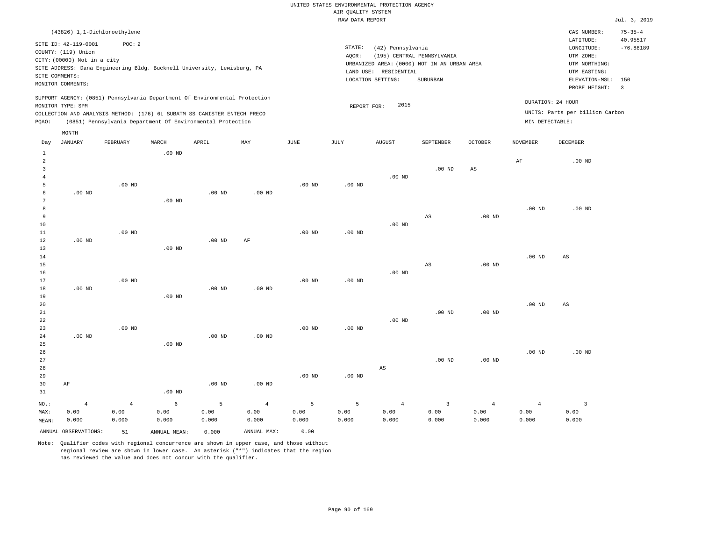|                |                                                                                                 |                |                   |                                                            |                   |                   | <br>Rosmers nenses<br>RAW DATA REPORT |                       |                                             |                        |                   |                                 | Jul. 3, 2019   |
|----------------|-------------------------------------------------------------------------------------------------|----------------|-------------------|------------------------------------------------------------|-------------------|-------------------|---------------------------------------|-----------------------|---------------------------------------------|------------------------|-------------------|---------------------------------|----------------|
|                | (43826) 1,1-Dichloroethylene                                                                    |                |                   |                                                            |                   |                   |                                       |                       |                                             |                        |                   | CAS NUMBER:                     | $75 - 35 - 4$  |
|                |                                                                                                 |                |                   |                                                            |                   |                   |                                       |                       |                                             |                        |                   | LATITUDE:                       | 40.95517       |
|                | SITE ID: 42-119-0001                                                                            | POC: 2         |                   |                                                            |                   |                   | STATE:                                | (42) Pennsylvania     |                                             |                        |                   | LONGITUDE:                      | $-76.88189$    |
|                | COUNTY: (119) Union                                                                             |                |                   |                                                            |                   |                   | AOCR:                                 |                       | (195) CENTRAL PENNSYLVANIA                  |                        |                   | UTM ZONE:                       |                |
|                | CITY: (00000) Not in a city                                                                     |                |                   |                                                            |                   |                   |                                       |                       | URBANIZED AREA: (0000) NOT IN AN URBAN AREA |                        |                   | UTM NORTHING:                   |                |
|                | SITE ADDRESS: Dana Engineering Bldg. Bucknell University, Lewisburg, PA                         |                |                   |                                                            |                   |                   |                                       | LAND USE: RESIDENTIAL |                                             |                        |                   | UTM EASTING:                    |                |
|                | SITE COMMENTS:<br>MONITOR COMMENTS:                                                             |                |                   |                                                            |                   |                   |                                       | LOCATION SETTING:     | SUBURBAN                                    |                        |                   | ELEVATION-MSL:                  | 150            |
|                |                                                                                                 |                |                   |                                                            |                   |                   |                                       |                       |                                             |                        |                   | PROBE HEIGHT:                   | $\overline{3}$ |
|                | SUPPORT AGENCY: (0851) Pennsylvania Department Of Environmental Protection<br>MONITOR TYPE: SPM |                |                   |                                                            |                   |                   | REPORT FOR:                           | 2015                  |                                             |                        |                   | DURATION: 24 HOUR               |                |
|                | COLLECTION AND ANALYSIS METHOD: (176) 6L SUBATM SS CANISTER ENTECH PRECO                        |                |                   |                                                            |                   |                   |                                       |                       |                                             |                        |                   | UNITS: Parts per billion Carbon |                |
| PQAO:          |                                                                                                 |                |                   | (0851) Pennsylvania Department Of Environmental Protection |                   |                   |                                       |                       |                                             |                        | MIN DETECTABLE:   |                                 |                |
|                | MONTH                                                                                           |                |                   |                                                            |                   |                   |                                       |                       |                                             |                        |                   |                                 |                |
| Day            | JANUARY                                                                                         | FEBRUARY       | MARCH             | APRIL                                                      | MAY               | JUNE              | JULY                                  | <b>AUGUST</b>         | SEPTEMBER                                   | OCTOBER                | NOVEMBER          | DECEMBER                        |                |
| $\mathbf{1}$   |                                                                                                 |                | $.00$ ND          |                                                            |                   |                   |                                       |                       |                                             |                        |                   |                                 |                |
| 2              |                                                                                                 |                |                   |                                                            |                   |                   |                                       |                       |                                             |                        | AF                | $.00$ ND                        |                |
| $\overline{3}$ |                                                                                                 |                |                   |                                                            |                   |                   |                                       |                       | .00 <sub>ND</sub>                           | $\mathbb{A}\mathbb{S}$ |                   |                                 |                |
| $\overline{4}$ |                                                                                                 |                |                   |                                                            |                   |                   |                                       | $.00$ ND              |                                             |                        |                   |                                 |                |
| 5              |                                                                                                 | $.00$ ND       |                   |                                                            |                   | $.00$ ND          | .00 <sub>ND</sub>                     |                       |                                             |                        |                   |                                 |                |
| 6              | $.00$ ND                                                                                        |                |                   | $.00$ ND                                                   | .00 <sub>ND</sub> |                   |                                       |                       |                                             |                        |                   |                                 |                |
| 7              |                                                                                                 |                | $.00$ ND          |                                                            |                   |                   |                                       |                       |                                             |                        |                   |                                 |                |
| 8              |                                                                                                 |                |                   |                                                            |                   |                   |                                       |                       |                                             |                        | .00 <sub>ND</sub> | $.00$ ND                        |                |
| 9              |                                                                                                 |                |                   |                                                            |                   |                   |                                       |                       | $\mathbb{A}\mathbb{S}$                      | .00 <sub>ND</sub>      |                   |                                 |                |
| 10             |                                                                                                 |                |                   |                                                            |                   |                   |                                       | $.00$ ND              |                                             |                        |                   |                                 |                |
| 11<br>12       | $.00$ ND                                                                                        | $.00$ ND       |                   | $.00$ ND                                                   | AF                | .00 <sub>ND</sub> | .00 <sub>ND</sub>                     |                       |                                             |                        |                   |                                 |                |
| 13             |                                                                                                 |                | .00 <sub>ND</sub> |                                                            |                   |                   |                                       |                       |                                             |                        |                   |                                 |                |
| 14             |                                                                                                 |                |                   |                                                            |                   |                   |                                       |                       |                                             |                        | .00 <sub>ND</sub> | $\mathbb{A}\mathbb{S}$          |                |
| 15             |                                                                                                 |                |                   |                                                            |                   |                   |                                       |                       | AS                                          | .00 <sub>ND</sub>      |                   |                                 |                |
| 16             |                                                                                                 |                |                   |                                                            |                   |                   |                                       | .00 <sub>ND</sub>     |                                             |                        |                   |                                 |                |
| 17             |                                                                                                 | $.00$ ND       |                   |                                                            |                   | $.00$ ND          | .00 <sub>ND</sub>                     |                       |                                             |                        |                   |                                 |                |
| 18             | $.00$ ND                                                                                        |                |                   | .00 <sub>ND</sub>                                          | .00 <sub>ND</sub> |                   |                                       |                       |                                             |                        |                   |                                 |                |
| 19             |                                                                                                 |                | $.00$ ND          |                                                            |                   |                   |                                       |                       |                                             |                        |                   |                                 |                |
| 20             |                                                                                                 |                |                   |                                                            |                   |                   |                                       |                       |                                             |                        | .00 <sub>ND</sub> | $_{\rm AS}$                     |                |
| $2\sqrt{1}$    |                                                                                                 |                |                   |                                                            |                   |                   |                                       |                       | $.00$ ND                                    | $.00$ ND               |                   |                                 |                |
| 22             |                                                                                                 |                |                   |                                                            |                   |                   |                                       | $.00$ ND              |                                             |                        |                   |                                 |                |
| 23             |                                                                                                 | $.00$ ND       |                   | $.00$ ND                                                   | $.00$ ND          | .00 <sub>ND</sub> | .00 <sub>ND</sub>                     |                       |                                             |                        |                   |                                 |                |
| 24<br>25       | $.00$ ND                                                                                        |                | $.00$ ND          |                                                            |                   |                   |                                       |                       |                                             |                        |                   |                                 |                |
| 26             |                                                                                                 |                |                   |                                                            |                   |                   |                                       |                       |                                             |                        | $.00$ ND          | $.00$ ND                        |                |
| 27             |                                                                                                 |                |                   |                                                            |                   |                   |                                       |                       | $.00$ ND                                    | .00 <sub>ND</sub>      |                   |                                 |                |
| 28             |                                                                                                 |                |                   |                                                            |                   |                   |                                       | AS                    |                                             |                        |                   |                                 |                |
| 29             |                                                                                                 |                |                   |                                                            |                   | .00 <sub>ND</sub> | $.00$ ND                              |                       |                                             |                        |                   |                                 |                |
| 30             | AF                                                                                              |                |                   | .00 <sub>ND</sub>                                          | $.00$ ND          |                   |                                       |                       |                                             |                        |                   |                                 |                |
| 31             |                                                                                                 |                | .00 <sub>ND</sub> |                                                            |                   |                   |                                       |                       |                                             |                        |                   |                                 |                |
| NO.:           | $\overline{4}$                                                                                  | $\overline{4}$ | 6                 | 5                                                          | $\overline{4}$    | 5                 | 5                                     | $\overline{4}$        | $\overline{3}$                              | $\overline{4}$         | $\overline{4}$    | $\overline{3}$                  |                |
| MAX:           | 0.00                                                                                            | 0.00           | 0.00              | 0.00                                                       | 0.00              | 0.00              | 0.00                                  | 0.00                  | 0.00                                        | 0.00                   | 0.00              | 0.00                            |                |
| MEAN:          | 0.000                                                                                           | 0.000          | 0.000             | 0.000                                                      | 0.000             | 0.000             | 0.000                                 | 0.000                 | 0.000                                       | 0.000                  | 0.000             | 0.000                           |                |
|                | ANNUAL OBSERVATIONS:                                                                            | 51             | ANNUAL MEAN:      | 0.000                                                      | ANNUAL MAX:       | 0.00              |                                       |                       |                                             |                        |                   |                                 |                |
|                |                                                                                                 |                |                   |                                                            |                   |                   |                                       |                       |                                             |                        |                   |                                 |                |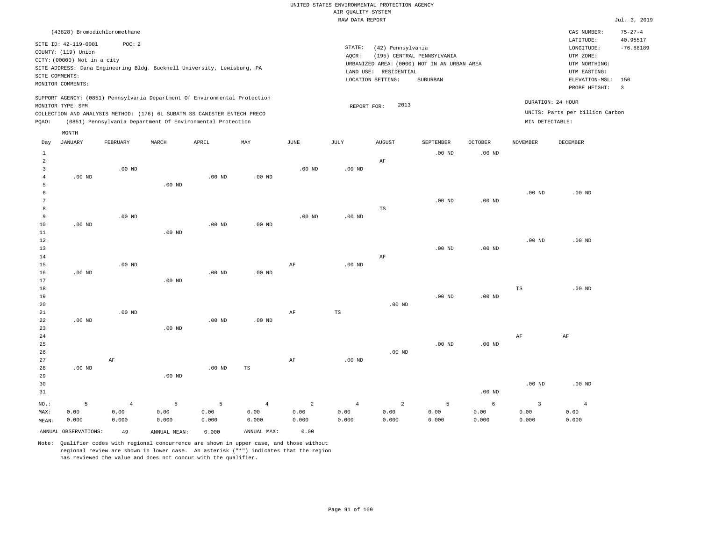RAW DATA REPORT Jul. 3, 2019 UNITED STATES ENVIRONMENTAL PROTECTION AGENCY AIR QUALITY SYSTEM

|                | (43828) Bromodichloromethane |                |                                                                            |          |                |                   |                   |                       |                                             |                   |                   | CAS NUMBER:                     | $75 - 27 - 4$  |
|----------------|------------------------------|----------------|----------------------------------------------------------------------------|----------|----------------|-------------------|-------------------|-----------------------|---------------------------------------------|-------------------|-------------------|---------------------------------|----------------|
|                | SITE ID: 42-119-0001         | POC: 2         |                                                                            |          |                |                   |                   |                       |                                             |                   |                   | LATITUDE:                       | 40.95517       |
|                | COUNTY: (119) Union          |                |                                                                            |          |                |                   | STATE:<br>AOCR:   | (42) Pennsylvania     | (195) CENTRAL PENNSYLVANIA                  |                   |                   | LONGITUDE:<br>UTM ZONE:         | $-76.88189$    |
|                | CITY: (00000) Not in a city  |                |                                                                            |          |                |                   |                   |                       | URBANIZED AREA: (0000) NOT IN AN URBAN AREA |                   |                   | UTM NORTHING:                   |                |
|                |                              |                | SITE ADDRESS: Dana Engineering Bldg. Bucknell University, Lewisburg, PA    |          |                |                   |                   | LAND USE: RESIDENTIAL |                                             |                   |                   | UTM EASTING:                    |                |
| SITE COMMENTS: |                              |                |                                                                            |          |                |                   |                   | LOCATION SETTING:     | SUBURBAN                                    |                   |                   | ELEVATION-MSL: 150              |                |
|                | MONITOR COMMENTS:            |                |                                                                            |          |                |                   |                   |                       |                                             |                   |                   | PROBE HEIGHT:                   | $\overline{3}$ |
|                |                              |                | SUPPORT AGENCY: (0851) Pennsylvania Department Of Environmental Protection |          |                |                   |                   | 2013                  |                                             |                   |                   | DURATION: 24 HOUR               |                |
|                | MONITOR TYPE: SPM            |                | COLLECTION AND ANALYSIS METHOD: (176) 6L SUBATM SS CANISTER ENTECH PRECO   |          |                |                   | REPORT FOR:       |                       |                                             |                   |                   | UNITS: Parts per billion Carbon |                |
| PQAO:          |                              |                | (0851) Pennsylvania Department Of Environmental Protection                 |          |                |                   |                   |                       |                                             |                   | MIN DETECTABLE:   |                                 |                |
|                | MONTH                        |                |                                                                            |          |                |                   |                   |                       |                                             |                   |                   |                                 |                |
| Day            | JANUARY                      | FEBRUARY       | MARCH                                                                      | APRIL    | MAY            | JUNE              | JULY              | AUGUST                | SEPTEMBER                                   | $OCTOBER$         | NOVEMBER          | DECEMBER                        |                |
| $\mathbf{1}$   |                              |                |                                                                            |          |                |                   |                   |                       | $.00$ ND                                    | .00 <sub>ND</sub> |                   |                                 |                |
| $\overline{a}$ |                              |                |                                                                            |          |                |                   |                   | $\rm AF$              |                                             |                   |                   |                                 |                |
| $\overline{3}$ |                              | $.00$ ND       |                                                                            |          |                | $.00$ ND          | $.00$ ND          |                       |                                             |                   |                   |                                 |                |
| $\overline{4}$ | $.00$ ND                     |                |                                                                            | $.00$ ND | $.00$ ND       |                   |                   |                       |                                             |                   |                   |                                 |                |
| 5              |                              |                | .00 <sub>ND</sub>                                                          |          |                |                   |                   |                       |                                             |                   |                   |                                 |                |
| 6<br>7         |                              |                |                                                                            |          |                |                   |                   |                       | $.00$ ND                                    | $.00$ ND          | .00 <sub>ND</sub> | $.00$ ND                        |                |
| 8              |                              |                |                                                                            |          |                |                   |                   | TS                    |                                             |                   |                   |                                 |                |
| 9              |                              | $.00$ ND       |                                                                            |          |                | .00 <sub>ND</sub> | .00 <sub>ND</sub> |                       |                                             |                   |                   |                                 |                |
| 10             | $.00$ ND                     |                |                                                                            | $.00$ ND | $.00$ ND       |                   |                   |                       |                                             |                   |                   |                                 |                |
| $11\,$         |                              |                | .00 <sub>ND</sub>                                                          |          |                |                   |                   |                       |                                             |                   |                   |                                 |                |
| 12             |                              |                |                                                                            |          |                |                   |                   |                       |                                             |                   | $.00$ ND          | $.00$ ND                        |                |
| 13             |                              |                |                                                                            |          |                |                   |                   |                       | $.00$ ND                                    | .00 <sub>ND</sub> |                   |                                 |                |
| 14             |                              |                |                                                                            |          |                |                   |                   | $\rm AF$              |                                             |                   |                   |                                 |                |
| 15             |                              | $.00$ ND       |                                                                            |          |                | $\rm{AF}$         | .00 <sub>ND</sub> |                       |                                             |                   |                   |                                 |                |
| 16             | $.00$ ND                     |                |                                                                            | $.00$ ND | $.00$ ND       |                   |                   |                       |                                             |                   |                   |                                 |                |
| 17             |                              |                | $.00$ ND                                                                   |          |                |                   |                   |                       |                                             |                   |                   |                                 |                |
| 18<br>19       |                              |                |                                                                            |          |                |                   |                   |                       | $.00$ ND                                    | $.00$ ND          | TS                | $.00$ ND                        |                |
| 20             |                              |                |                                                                            |          |                |                   |                   | $.00$ ND              |                                             |                   |                   |                                 |                |
| 21             |                              | $.00$ ND       |                                                                            |          |                | $\rm{AF}$         | $_{\rm TS}$       |                       |                                             |                   |                   |                                 |                |
| 22             | $.00$ ND                     |                |                                                                            | $.00$ ND | $.00$ ND       |                   |                   |                       |                                             |                   |                   |                                 |                |
| 23             |                              |                | $.00$ ND                                                                   |          |                |                   |                   |                       |                                             |                   |                   |                                 |                |
| 24             |                              |                |                                                                            |          |                |                   |                   |                       |                                             |                   | AF                | AF                              |                |
| 25             |                              |                |                                                                            |          |                |                   |                   |                       | $.00$ ND                                    | .00 <sub>ND</sub> |                   |                                 |                |
| 26             |                              |                |                                                                            |          |                |                   |                   | .00 <sub>ND</sub>     |                                             |                   |                   |                                 |                |
| 27             |                              | AF             |                                                                            |          |                | $\rm{AF}$         | $.00$ ND          |                       |                                             |                   |                   |                                 |                |
| 28             | $.00$ ND                     |                |                                                                            | $.00$ ND | $_{\rm TS}$    |                   |                   |                       |                                             |                   |                   |                                 |                |
| 29             |                              |                | $.00$ ND                                                                   |          |                |                   |                   |                       |                                             |                   |                   |                                 |                |
| 30             |                              |                |                                                                            |          |                |                   |                   |                       |                                             |                   | $.00$ ND          | $.00$ ND                        |                |
| 31             |                              |                |                                                                            |          |                |                   |                   |                       |                                             | $.00$ ND          |                   |                                 |                |
| NO.:           | 5                            | $\overline{4}$ | 5                                                                          | 5        | $\overline{4}$ | $\overline{2}$    | $\overline{4}$    | 2                     | 5                                           | 6                 | $\overline{3}$    | $\overline{4}$                  |                |
| MAX:           | 0.00                         | 0.00           | 0.00                                                                       | 0.00     | 0.00           | 0.00              | 0.00              | 0.00                  | 0.00                                        | 0.00              | 0.00              | 0.00                            |                |
| MEAN:          | 0.000                        | 0.000          | 0.000                                                                      | 0.000    | 0.000          | 0.000             | 0.000             | 0.000                 | 0.000                                       | 0.000             | 0.000             | 0.000                           |                |
|                | ANNUAL OBSERVATIONS:         | 49             | ANNUAL MEAN:                                                               | 0.000    | ANNUAL MAX:    | 0.00              |                   |                       |                                             |                   |                   |                                 |                |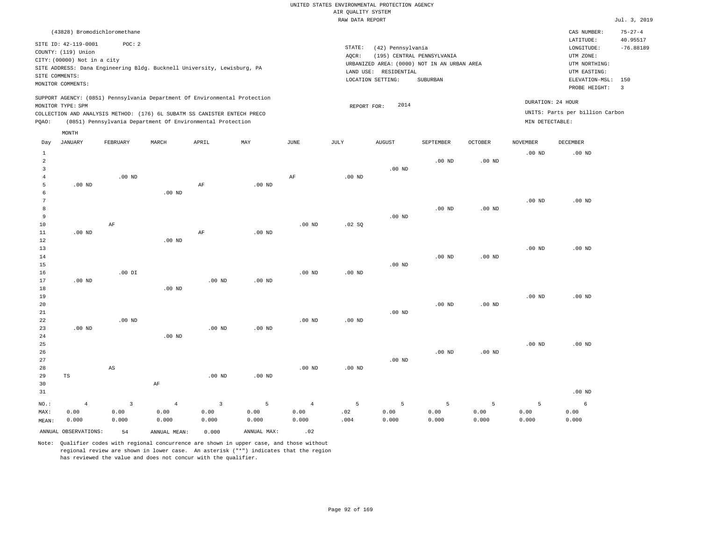|                                     |                                                                            |                                          |                                 |                                                                                                                                                                                                                      |                                 |                                 | AIR QUALITY SYSTEM           | UNITED STATES ENVIRONMENTAL PROTECTION AGENCY         |                                                                                       |                    |                    |                                                                                                        |                                                 |
|-------------------------------------|----------------------------------------------------------------------------|------------------------------------------|---------------------------------|----------------------------------------------------------------------------------------------------------------------------------------------------------------------------------------------------------------------|---------------------------------|---------------------------------|------------------------------|-------------------------------------------------------|---------------------------------------------------------------------------------------|--------------------|--------------------|--------------------------------------------------------------------------------------------------------|-------------------------------------------------|
|                                     |                                                                            |                                          |                                 |                                                                                                                                                                                                                      |                                 |                                 | RAW DATA REPORT              |                                                       |                                                                                       |                    |                    |                                                                                                        | Jul. 3, 2019                                    |
| SITE COMMENTS:                      | SITE ID: 42-119-0001<br>COUNTY: (119) Union<br>CITY: (00000) Not in a city | (43828) Bromodichloromethane<br>POC: 2   |                                 | SITE ADDRESS: Dana Engineering Bldg. Bucknell University, Lewisburg, PA                                                                                                                                              |                                 |                                 | STATE:<br>AOCR:<br>LAND USE: | (42) Pennsylvania<br>RESIDENTIAL<br>LOCATION SETTING: | (195) CENTRAL PENNSYLVANIA<br>URBANIZED AREA: (0000) NOT IN AN URBAN AREA<br>SUBURBAN |                    |                    | CAS NUMBER:<br>LATITUDE:<br>LONGITUDE:<br>UTM ZONE:<br>UTM NORTHING:<br>UTM EASTING:<br>ELEVATION-MSL: | $75 - 27 - 4$<br>40.95517<br>$-76.88189$<br>150 |
|                                     | MONITOR COMMENTS:                                                          |                                          |                                 |                                                                                                                                                                                                                      |                                 |                                 |                              |                                                       |                                                                                       |                    |                    | PROBE HEIGHT:                                                                                          | $\overline{3}$                                  |
| PQAO:                               | MONITOR TYPE: SPM                                                          |                                          |                                 | SUPPORT AGENCY: (0851) Pennsylvania Department Of Environmental Protection<br>COLLECTION AND ANALYSIS METHOD: (176) 6L SUBATM SS CANISTER ENTECH PRECO<br>(0851) Pennsylvania Department Of Environmental Protection |                                 |                                 | REPORT FOR:                  | 2014                                                  |                                                                                       |                    | MIN DETECTABLE:    | DURATION: 24 HOUR<br>UNITS: Parts per billion Carbon                                                   |                                                 |
|                                     | MONTH                                                                      |                                          |                                 |                                                                                                                                                                                                                      |                                 |                                 |                              |                                                       |                                                                                       |                    |                    |                                                                                                        |                                                 |
| Day                                 | <b>JANUARY</b>                                                             | FEBRUARY                                 | MARCH                           | APRIL                                                                                                                                                                                                                | MAY                             | JUNE                            | JULY                         | <b>AUGUST</b>                                         | SEPTEMBER                                                                             | OCTOBER            | <b>NOVEMBER</b>    | <b>DECEMBER</b>                                                                                        |                                                 |
| $\mathbf{1}$<br>2<br>$\overline{3}$ |                                                                            |                                          |                                 |                                                                                                                                                                                                                      |                                 |                                 |                              | $.00$ ND                                              | $.00$ ND                                                                              | $.00$ ND           | .00 <sub>ND</sub>  | $.00$ ND                                                                                               |                                                 |
| $\overline{4}$<br>5<br>6            | $.00$ ND                                                                   | $.00$ ND                                 | $.00$ ND                        | $\rm{AF}$                                                                                                                                                                                                            | $.00$ ND                        | AF                              | $.00$ ND                     |                                                       |                                                                                       |                    |                    |                                                                                                        |                                                 |
| 7<br>8<br>9<br>10                   |                                                                            | $\rm{AF}$                                |                                 |                                                                                                                                                                                                                      |                                 | $.00~\mathrm{ND}$               | .02 SQ                       | $.00$ ND                                              | $.00$ ND                                                                              | $.00$ ND           | $.00$ ND           | $.00$ ND                                                                                               |                                                 |
| 11<br>12<br>13                      | .00 <sub>ND</sub>                                                          |                                          | $.00$ ND                        | AF                                                                                                                                                                                                                   | .00 <sub>ND</sub>               |                                 |                              |                                                       |                                                                                       |                    | .00 <sub>ND</sub>  | $.00$ ND                                                                                               |                                                 |
| 14<br>15<br>16<br>17                | $.00$ ND                                                                   | $.00$ DI                                 |                                 | $.00$ ND                                                                                                                                                                                                             | $.00$ ND                        | $.00$ ND                        | $.00$ ND                     | $.00$ ND                                              | .00 <sub>ND</sub>                                                                     | $.00$ ND           |                    |                                                                                                        |                                                 |
| 18<br>19<br>20                      |                                                                            |                                          | $.00$ ND                        |                                                                                                                                                                                                                      |                                 |                                 |                              |                                                       | $.00$ ND                                                                              | $.00$ ND           | $.00$ ND           | $.00$ ND                                                                                               |                                                 |
| 21<br>22<br>23<br>24                | $.00$ ND                                                                   | $.00$ ND                                 | .00 <sub>ND</sub>               | $.00$ ND                                                                                                                                                                                                             | $.00$ ND                        | $.00$ ND                        | .00 <sub>ND</sub>            | $.00$ ND                                              |                                                                                       |                    |                    |                                                                                                        |                                                 |
| 25<br>26<br>27                      |                                                                            |                                          |                                 |                                                                                                                                                                                                                      |                                 |                                 |                              | $.00$ ND                                              | $.00$ ND                                                                              | $.00$ ND           | .00 <sub>ND</sub>  | $.00$ ND                                                                                               |                                                 |
| 28<br>29<br>30<br>31                | TS                                                                         | $_{\rm AS}$                              | AF                              | $.00$ ND                                                                                                                                                                                                             | .00 <sub>ND</sub>               | $.00$ ND                        | .00 <sub>ND</sub>            |                                                       |                                                                                       |                    |                    | $.00$ ND                                                                                               |                                                 |
| NO.:<br>MAX:<br>MEAN:               | $\overline{4}$<br>0.00<br>0.000                                            | $\overline{\mathbf{3}}$<br>0.00<br>0.000 | $\overline{4}$<br>0.00<br>0.000 | $\overline{3}$<br>0.00<br>0.000                                                                                                                                                                                      | $\overline{5}$<br>0.00<br>0.000 | $\overline{4}$<br>0.00<br>0.000 | 5<br>.02<br>.004             | 5<br>0.00<br>0.000                                    | 5<br>0.00<br>0.000                                                                    | 5<br>0.00<br>0.000 | 5<br>0.00<br>0.000 | 6<br>0.00<br>0.000                                                                                     |                                                 |

ANNUAL OBSERVATIONS:  $54$  ANNUAL MEAN: 0.000 ANNUAL MAX: .02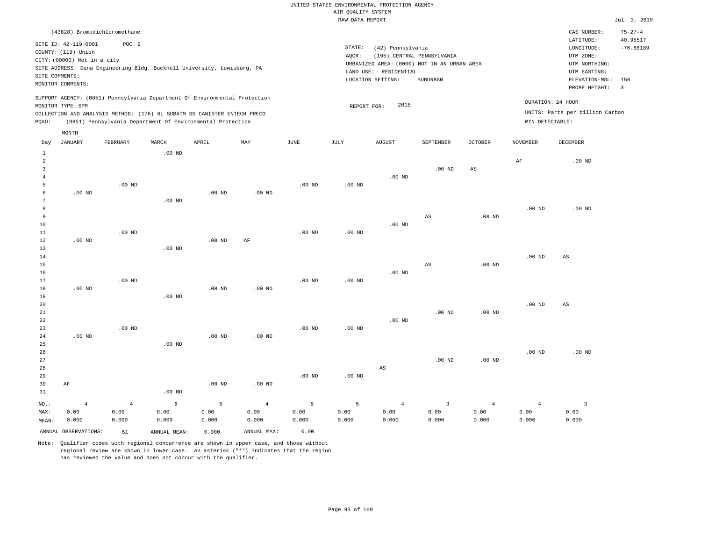|                |                                                                            |                        |                                                            |           |                        |                   | <br>Rosmers nenses<br>RAW DATA REPORT |                        |                                             |                        |                        |                                 | Jul. 3, 2019   |
|----------------|----------------------------------------------------------------------------|------------------------|------------------------------------------------------------|-----------|------------------------|-------------------|---------------------------------------|------------------------|---------------------------------------------|------------------------|------------------------|---------------------------------|----------------|
|                | (43828) Bromodichloromethane                                               |                        |                                                            |           |                        |                   |                                       |                        |                                             |                        |                        | CAS NUMBER:                     | $75 - 27 - 4$  |
|                |                                                                            |                        |                                                            |           |                        |                   |                                       |                        |                                             |                        |                        | LATITUDE:                       | 40.95517       |
|                | SITE ID: 42-119-0001                                                       | POC: 2                 |                                                            |           |                        |                   | STATE:                                | (42) Pennsylvania      |                                             |                        |                        | LONGITUDE:                      | $-76.88189$    |
|                | COUNTY: (119) Union                                                        |                        |                                                            |           |                        |                   | AQCR:                                 |                        | (195) CENTRAL PENNSYLVANIA                  |                        |                        | UTM ZONE:                       |                |
|                | CITY: (00000) Not in a city                                                |                        |                                                            |           |                        |                   |                                       |                        | URBANIZED AREA: (0000) NOT IN AN URBAN AREA |                        |                        | UTM NORTHING:                   |                |
|                | SITE ADDRESS: Dana Engineering Bldg. Bucknell University, Lewisburg, PA    |                        |                                                            |           |                        |                   |                                       | LAND USE: RESIDENTIAL  |                                             |                        |                        | UTM EASTING:                    |                |
|                | SITE COMMENTS:<br>MONITOR COMMENTS:                                        |                        |                                                            |           |                        |                   |                                       | LOCATION SETTING:      | SUBURBAN                                    |                        |                        | ELEVATION-MSL:                  | 150            |
|                |                                                                            |                        |                                                            |           |                        |                   |                                       |                        |                                             |                        |                        | PROBE HEIGHT:                   | $\overline{3}$ |
|                | SUPPORT AGENCY: (0851) Pennsylvania Department Of Environmental Protection |                        |                                                            |           |                        |                   |                                       |                        |                                             |                        |                        |                                 |                |
|                | MONITOR TYPE: SPM                                                          |                        |                                                            |           |                        |                   | REPORT FOR:                           | 2015                   |                                             |                        |                        | DURATION: 24 HOUR               |                |
|                | COLLECTION AND ANALYSIS METHOD: (176) 6L SUBATM SS CANISTER ENTECH PRECO   |                        |                                                            |           |                        |                   |                                       |                        |                                             |                        |                        | UNITS: Parts per billion Carbon |                |
| PQAO:          |                                                                            |                        | (0851) Pennsylvania Department Of Environmental Protection |           |                        |                   |                                       |                        |                                             |                        | MIN DETECTABLE:        |                                 |                |
|                | MONTH                                                                      |                        |                                                            |           |                        |                   |                                       |                        |                                             |                        |                        |                                 |                |
| Day            | <b>JANUARY</b>                                                             | FEBRUARY               | MARCH                                                      | APRIL     | MAY                    | JUNE              | JULY                                  | <b>AUGUST</b>          | SEPTEMBER                                   | <b>OCTOBER</b>         | <b>NOVEMBER</b>        | DECEMBER                        |                |
| $\mathbf{1}$   |                                                                            |                        | $.00$ ND                                                   |           |                        |                   |                                       |                        |                                             |                        |                        |                                 |                |
| $\overline{c}$ |                                                                            |                        |                                                            |           |                        |                   |                                       |                        |                                             |                        | AF                     | $.00$ ND                        |                |
| $\overline{3}$ |                                                                            |                        |                                                            |           |                        |                   |                                       |                        | $.00$ ND                                    | AS                     |                        |                                 |                |
| $\overline{4}$ |                                                                            |                        |                                                            |           |                        |                   |                                       | $.00$ ND               |                                             |                        |                        |                                 |                |
| 5              |                                                                            | .00 <sub>ND</sub>      |                                                            |           |                        | .00 <sub>ND</sub> | .00 <sub>ND</sub>                     |                        |                                             |                        |                        |                                 |                |
| 6              | $.00$ ND                                                                   |                        |                                                            | $.00$ ND  | $.00$ ND               |                   |                                       |                        |                                             |                        |                        |                                 |                |
| $\overline{7}$ |                                                                            |                        | .00 <sub>ND</sub>                                          |           |                        |                   |                                       |                        |                                             |                        |                        |                                 |                |
| 8              |                                                                            |                        |                                                            |           |                        |                   |                                       |                        |                                             |                        | .00 <sub>ND</sub>      | $.00$ ND                        |                |
| $\overline{9}$ |                                                                            |                        |                                                            |           |                        |                   |                                       |                        | AS                                          | .00 <sub>ND</sub>      |                        |                                 |                |
| 10             |                                                                            |                        |                                                            |           |                        |                   |                                       | $.00$ ND               |                                             |                        |                        |                                 |                |
| 11             |                                                                            | $.00$ ND               |                                                            |           |                        | $.00$ ND          | $.00$ ND                              |                        |                                             |                        |                        |                                 |                |
| 12<br>13       | $.00$ ND                                                                   |                        | $.00$ ND                                                   | $.00$ ND  | AF                     |                   |                                       |                        |                                             |                        |                        |                                 |                |
| 14             |                                                                            |                        |                                                            |           |                        |                   |                                       |                        |                                             |                        | $.00$ ND               | AS                              |                |
| 15             |                                                                            |                        |                                                            |           |                        |                   |                                       |                        | $\mathbb{A}\mathbb{S}$                      | .00 <sub>ND</sub>      |                        |                                 |                |
| 16             |                                                                            |                        |                                                            |           |                        |                   |                                       | $.00$ ND               |                                             |                        |                        |                                 |                |
| 17             |                                                                            | $.00$ ND               |                                                            |           |                        | $.00$ ND          | .00 <sub>ND</sub>                     |                        |                                             |                        |                        |                                 |                |
| 18             | $.00$ ND                                                                   |                        |                                                            | $.00$ ND  | .00 <sub>ND</sub>      |                   |                                       |                        |                                             |                        |                        |                                 |                |
| 19             |                                                                            |                        | $.00$ ND                                                   |           |                        |                   |                                       |                        |                                             |                        |                        |                                 |                |
| 20             |                                                                            |                        |                                                            |           |                        |                   |                                       |                        |                                             |                        | $.00$ ND               | $_{\rm AS}$                     |                |
| 21             |                                                                            |                        |                                                            |           |                        |                   |                                       |                        | $.00$ ND                                    | $.00$ ND               |                        |                                 |                |
| 22             |                                                                            |                        |                                                            |           |                        |                   |                                       | $.00$ ND               |                                             |                        |                        |                                 |                |
| 23             |                                                                            | $.00$ ND               |                                                            |           |                        | $.00$ ND          | $.00$ ND                              |                        |                                             |                        |                        |                                 |                |
| 24             | $.00$ ND                                                                   |                        |                                                            | $.00$ ND  | $.00$ ND               |                   |                                       |                        |                                             |                        |                        |                                 |                |
| 25             |                                                                            |                        | $.00$ ND                                                   |           |                        |                   |                                       |                        |                                             |                        |                        |                                 |                |
| 26<br>27       |                                                                            |                        |                                                            |           |                        |                   |                                       |                        | $.00$ ND                                    | $.00$ ND               | .00 <sub>ND</sub>      | $.00$ ND                        |                |
| 28             |                                                                            |                        |                                                            |           |                        |                   |                                       | AS                     |                                             |                        |                        |                                 |                |
| 29             |                                                                            |                        |                                                            |           |                        | .00 <sub>ND</sub> | $.00$ ND                              |                        |                                             |                        |                        |                                 |                |
| 30             | AF                                                                         |                        |                                                            | $.00$ ND  | $.00$ ND               |                   |                                       |                        |                                             |                        |                        |                                 |                |
| 31             |                                                                            |                        | $.00$ ND                                                   |           |                        |                   |                                       |                        |                                             |                        |                        |                                 |                |
|                |                                                                            |                        |                                                            |           |                        |                   |                                       |                        |                                             |                        |                        |                                 |                |
| NO.:<br>MAX:   | $\overline{4}$<br>0.00                                                     | $\overline{4}$<br>0.00 | 6<br>0.00                                                  | 5<br>0.00 | $\overline{4}$<br>0.00 | 5<br>0.00         | 5<br>0.00                             | $\overline{4}$<br>0.00 | $\overline{3}$<br>0.00                      | $\overline{4}$<br>0.00 | $\overline{4}$<br>0.00 | $\overline{3}$<br>0.00          |                |
| MEAN:          | 0.000                                                                      | 0.000                  | 0.000                                                      | 0.000     | 0.000                  | 0.000             | 0.000                                 | 0.000                  | 0.000                                       | 0.000                  | 0.000                  | 0.000                           |                |
|                |                                                                            |                        |                                                            |           |                        |                   |                                       |                        |                                             |                        |                        |                                 |                |
|                | ANNUAL OBSERVATIONS:                                                       | 51                     | ANNUAL MEAN:                                               | 0.000     | ANNUAL MAX:            | 0.00              |                                       |                        |                                             |                        |                        |                                 |                |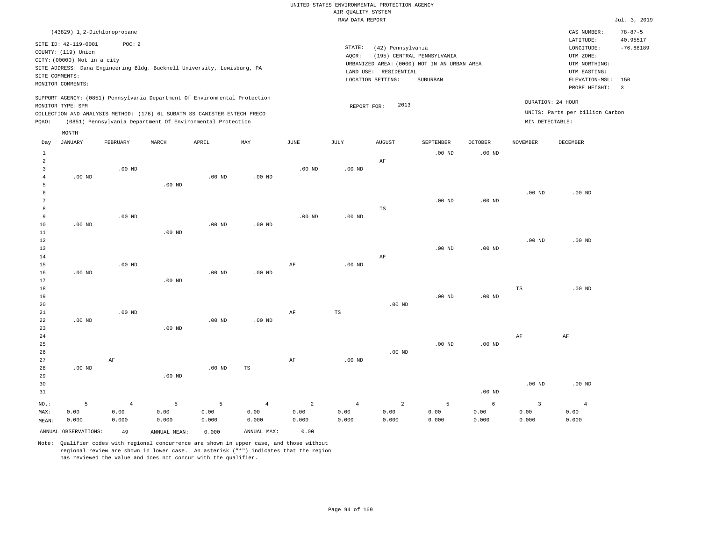|                     |                             |                                                                                                                                        |                   |                   |                   |                | RAW DATA REPORT   |                       |                                             |                   |                   |                                 | Jul. 3, 2019   |
|---------------------|-----------------------------|----------------------------------------------------------------------------------------------------------------------------------------|-------------------|-------------------|-------------------|----------------|-------------------|-----------------------|---------------------------------------------|-------------------|-------------------|---------------------------------|----------------|
|                     | (43829) 1,2-Dichloropropane |                                                                                                                                        |                   |                   |                   |                |                   |                       |                                             |                   |                   | CAS NUMBER:                     | $78 - 87 - 5$  |
|                     | SITE ID: 42-119-0001        | POC: 2                                                                                                                                 |                   |                   |                   |                |                   |                       |                                             |                   |                   | LATITUDE:                       | 40.95517       |
|                     | COUNTY: (119) Union         |                                                                                                                                        |                   |                   |                   |                | STATE:            | (42) Pennsylvania     |                                             |                   |                   | LONGITUDE:                      | $-76.88189$    |
|                     | CITY: (00000) Not in a city |                                                                                                                                        |                   |                   |                   |                | AQCR:             |                       | (195) CENTRAL PENNSYLVANIA                  |                   |                   | UTM ZONE:                       |                |
|                     |                             | SITE ADDRESS: Dana Engineering Bldg. Bucknell University, Lewisburg, PA                                                                |                   |                   |                   |                |                   |                       | URBANIZED AREA: (0000) NOT IN AN URBAN AREA |                   |                   | UTM NORTHING:                   |                |
|                     | SITE COMMENTS:              |                                                                                                                                        |                   |                   |                   |                |                   | LAND USE: RESIDENTIAL |                                             |                   |                   | UTM EASTING:                    |                |
|                     | MONITOR COMMENTS:           |                                                                                                                                        |                   |                   |                   |                |                   | LOCATION SETTING:     | <b>SUBURBAN</b>                             |                   |                   | ELEVATION-MSL:                  | 150            |
|                     |                             |                                                                                                                                        |                   |                   |                   |                |                   |                       |                                             |                   |                   | PROBE HEIGHT:                   | $\overline{3}$ |
|                     |                             | SUPPORT AGENCY: (0851) Pennsylvania Department Of Environmental Protection                                                             |                   |                   |                   |                |                   |                       |                                             |                   |                   | DURATION: 24 HOUR               |                |
|                     | MONITOR TYPE: SPM           |                                                                                                                                        |                   |                   |                   |                | REPORT FOR:       | 2013                  |                                             |                   |                   | UNITS: Parts per billion Carbon |                |
| PQAO:               |                             | COLLECTION AND ANALYSIS METHOD: (176) 6L SUBATM SS CANISTER ENTECH PRECO<br>(0851) Pennsylvania Department Of Environmental Protection |                   |                   |                   |                |                   |                       |                                             |                   | MIN DETECTABLE:   |                                 |                |
|                     |                             |                                                                                                                                        |                   |                   |                   |                |                   |                       |                                             |                   |                   |                                 |                |
| Day                 | MONTH<br><b>JANUARY</b>     | FEBRUARY                                                                                                                               | MARCH             | APRIL             | MAY               | JUNE           | JULY              | <b>AUGUST</b>         | SEPTEMBER                                   | <b>OCTOBER</b>    | <b>NOVEMBER</b>   | <b>DECEMBER</b>                 |                |
|                     |                             |                                                                                                                                        |                   |                   |                   |                |                   |                       |                                             |                   |                   |                                 |                |
| $\mathbf{1}$        |                             |                                                                                                                                        |                   |                   |                   |                |                   |                       | $.00$ ND                                    | .00 <sub>ND</sub> |                   |                                 |                |
| $\overline{a}$      |                             |                                                                                                                                        |                   |                   |                   |                |                   | AF                    |                                             |                   |                   |                                 |                |
| 3                   |                             | $.00$ ND                                                                                                                               |                   |                   |                   | $.00$ ND       | $.00$ ND          |                       |                                             |                   |                   |                                 |                |
| $\overline{4}$<br>5 | $.00$ ND                    |                                                                                                                                        | $.00$ ND          | $.00$ ND          | $.00$ ND          |                |                   |                       |                                             |                   |                   |                                 |                |
| 6                   |                             |                                                                                                                                        |                   |                   |                   |                |                   |                       |                                             |                   | .00 <sub>ND</sub> | $.00$ ND                        |                |
| $\overline{7}$      |                             |                                                                                                                                        |                   |                   |                   |                |                   |                       | .00 <sub>ND</sub>                           | $.00$ ND          |                   |                                 |                |
| 8                   |                             |                                                                                                                                        |                   |                   |                   |                |                   | $_{\rm TS}$           |                                             |                   |                   |                                 |                |
| 9                   |                             | $.00$ ND                                                                                                                               |                   |                   |                   | $.00$ ND       | $.00$ ND          |                       |                                             |                   |                   |                                 |                |
| 10                  | $.00$ ND                    |                                                                                                                                        |                   | .00 <sub>ND</sub> | .00 <sub>ND</sub> |                |                   |                       |                                             |                   |                   |                                 |                |
| 11                  |                             |                                                                                                                                        | $.00$ ND          |                   |                   |                |                   |                       |                                             |                   |                   |                                 |                |
| 12                  |                             |                                                                                                                                        |                   |                   |                   |                |                   |                       |                                             |                   | .00 <sub>ND</sub> | $.00$ ND                        |                |
| 13                  |                             |                                                                                                                                        |                   |                   |                   |                |                   |                       | $.00$ ND                                    | .00 <sub>ND</sub> |                   |                                 |                |
| 14                  |                             |                                                                                                                                        |                   |                   |                   |                |                   | AF                    |                                             |                   |                   |                                 |                |
| 15                  |                             | $.00$ ND                                                                                                                               |                   |                   |                   | AF             | $.00$ ND          |                       |                                             |                   |                   |                                 |                |
| 16                  | $.00$ ND                    |                                                                                                                                        |                   | $.00$ ND          | $.00$ ND          |                |                   |                       |                                             |                   |                   |                                 |                |
| 17                  |                             |                                                                                                                                        | .00 <sub>ND</sub> |                   |                   |                |                   |                       |                                             |                   |                   |                                 |                |
| 18                  |                             |                                                                                                                                        |                   |                   |                   |                |                   |                       |                                             |                   | $_{\rm TS}$       | $.00$ ND                        |                |
| 19                  |                             |                                                                                                                                        |                   |                   |                   |                |                   |                       | $.00$ ND                                    | .00 <sub>ND</sub> |                   |                                 |                |
| 20                  |                             |                                                                                                                                        |                   |                   |                   |                |                   | $.00$ ND              |                                             |                   |                   |                                 |                |
| 21                  |                             | $.00$ ND                                                                                                                               |                   |                   |                   | $\rm{AF}$      | $\mathbb{TS}$     |                       |                                             |                   |                   |                                 |                |
| 22                  | $.00$ ND                    |                                                                                                                                        |                   | $.00$ ND          | .00 <sub>ND</sub> |                |                   |                       |                                             |                   |                   |                                 |                |
| 23                  |                             |                                                                                                                                        | $.00$ ND          |                   |                   |                |                   |                       |                                             |                   |                   |                                 |                |
| 24                  |                             |                                                                                                                                        |                   |                   |                   |                |                   |                       |                                             |                   | AF                | AF                              |                |
| 25                  |                             |                                                                                                                                        |                   |                   |                   |                |                   |                       | $.00$ ND                                    | .00 <sub>ND</sub> |                   |                                 |                |
| 26                  |                             |                                                                                                                                        |                   |                   |                   |                |                   | $.00$ ND              |                                             |                   |                   |                                 |                |
| 27                  |                             | AF                                                                                                                                     |                   |                   |                   | AF             | .00 <sub>ND</sub> |                       |                                             |                   |                   |                                 |                |
| 28                  | $.00$ ND                    |                                                                                                                                        |                   | $.00$ ND          | TS                |                |                   |                       |                                             |                   |                   |                                 |                |
| 29                  |                             |                                                                                                                                        | $.00$ ND          |                   |                   |                |                   |                       |                                             |                   |                   |                                 |                |
| 30                  |                             |                                                                                                                                        |                   |                   |                   |                |                   |                       |                                             |                   | .00 <sub>ND</sub> | $.00$ ND                        |                |
| 31                  |                             |                                                                                                                                        |                   |                   |                   |                |                   |                       |                                             | $.00$ ND          |                   |                                 |                |
| NO.:                | 5                           | $\overline{4}$                                                                                                                         | 5                 | 5                 | $\overline{4}$    | $\overline{2}$ | $\overline{4}$    | $\overline{a}$        | 5                                           | 6                 | 3                 | $\overline{4}$                  |                |
| MAX:                | 0.00                        | 0.00                                                                                                                                   | 0.00              | 0.00              | 0.00              | 0.00           | 0.00              | 0.00                  | 0.00                                        | 0.00              | 0.00              | 0.00                            |                |
| MEAN:               | 0.000                       | 0.000                                                                                                                                  | 0.000             | 0.000             | 0.000             | 0.000          | 0.000             | 0.000                 | 0.000                                       | 0.000             | 0.000             | 0.000                           |                |

Note: Qualifier codes with regional concurrence are shown in upper case, and those without regional review are shown in lower case. An asterisk ("\*") indicates that the region has reviewed the value and does not concur with the qualifier.

ANNUAL OBSERVATIONS: 49 ANNUAL MEAN: 0.000 ANNUAL MAX: 0.00

MEAN: 0.000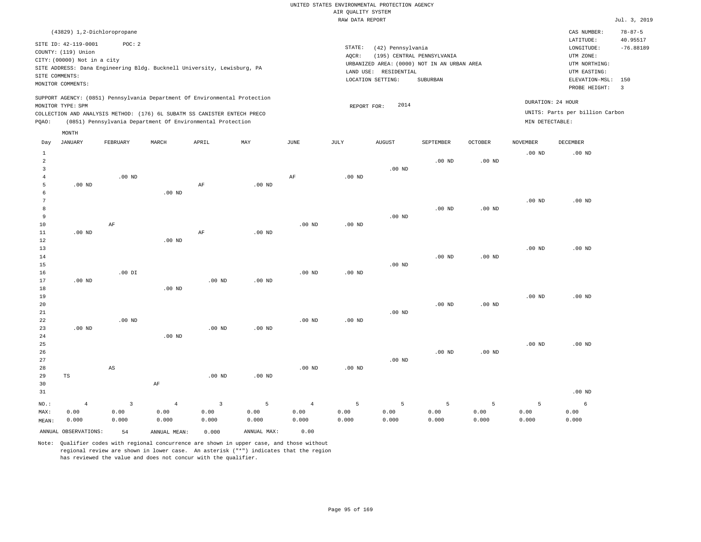|                                  |                                             |                   |                                                                            |                         |                   |                   | RAW DATA REPORT   |                       |                                             |                   |                   |                                 | Jul. 3, 2019   |
|----------------------------------|---------------------------------------------|-------------------|----------------------------------------------------------------------------|-------------------------|-------------------|-------------------|-------------------|-----------------------|---------------------------------------------|-------------------|-------------------|---------------------------------|----------------|
|                                  | (43829) 1,2-Dichloropropane                 |                   |                                                                            |                         |                   |                   |                   |                       |                                             |                   |                   | CAS NUMBER:                     | $78 - 87 - 5$  |
|                                  |                                             |                   |                                                                            |                         |                   |                   |                   |                       |                                             |                   |                   | LATITUDE:                       | 40.95517       |
|                                  | SITE ID: 42-119-0001<br>COUNTY: (119) Union | POC: 2            |                                                                            |                         |                   |                   | STATE:            | (42) Pennsylvania     |                                             |                   |                   | LONGITUDE:                      | $-76.88189$    |
|                                  | CITY: (00000) Not in a city                 |                   |                                                                            |                         |                   |                   | AQCR:             |                       | (195) CENTRAL PENNSYLVANIA                  |                   |                   | UTM ZONE:                       |                |
|                                  |                                             |                   | SITE ADDRESS: Dana Engineering Bldg. Bucknell University, Lewisburg, PA    |                         |                   |                   |                   |                       | URBANIZED AREA: (0000) NOT IN AN URBAN AREA |                   |                   | UTM NORTHING:                   |                |
|                                  | SITE COMMENTS:                              |                   |                                                                            |                         |                   |                   |                   | LAND USE: RESIDENTIAL |                                             |                   |                   | UTM EASTING:                    |                |
|                                  | MONITOR COMMENTS:                           |                   |                                                                            |                         |                   |                   |                   | LOCATION SETTING:     | SUBURBAN                                    |                   |                   | ELEVATION-MSL:                  | 150            |
|                                  |                                             |                   |                                                                            |                         |                   |                   |                   |                       |                                             |                   |                   | PROBE HEIGHT:                   | $\overline{3}$ |
|                                  |                                             |                   | SUPPORT AGENCY: (0851) Pennsylvania Department Of Environmental Protection |                         |                   |                   |                   | 2014                  |                                             |                   |                   | DURATION: 24 HOUR               |                |
|                                  | MONITOR TYPE: SPM                           |                   | COLLECTION AND ANALYSIS METHOD: (176) 6L SUBATM SS CANISTER ENTECH PRECO   |                         |                   |                   | REPORT FOR:       |                       |                                             |                   |                   | UNITS: Parts per billion Carbon |                |
| PQAO:                            |                                             |                   | (0851) Pennsylvania Department Of Environmental Protection                 |                         |                   |                   |                   |                       |                                             |                   | MIN DETECTABLE:   |                                 |                |
|                                  |                                             |                   |                                                                            |                         |                   |                   |                   |                       |                                             |                   |                   |                                 |                |
|                                  | MONTH                                       |                   |                                                                            |                         |                   |                   |                   |                       |                                             |                   |                   |                                 |                |
| Day                              | <b>JANUARY</b>                              | FEBRUARY          | MARCH                                                                      | APRIL                   | MAY               | $\mathtt{JUNE}$   | JULY              | AUGUST                | SEPTEMBER                                   | OCTOBER           | <b>NOVEMBER</b>   | DECEMBER                        |                |
| $\mathbf{1}$                     |                                             |                   |                                                                            |                         |                   |                   |                   |                       |                                             |                   | .00 <sub>ND</sub> | $.00$ ND                        |                |
| $\overline{a}$<br>$\overline{3}$ |                                             |                   |                                                                            |                         |                   |                   |                   | $.00$ ND              | $.00$ ND                                    | $.00$ ND          |                   |                                 |                |
| $\overline{4}$                   |                                             | $.00$ ND          |                                                                            |                         |                   | AF                | $.00$ ND          |                       |                                             |                   |                   |                                 |                |
| 5                                | $.00$ ND                                    |                   |                                                                            | AF                      | .00 <sub>ND</sub> |                   |                   |                       |                                             |                   |                   |                                 |                |
| 6                                |                                             |                   | .00 <sub>ND</sub>                                                          |                         |                   |                   |                   |                       |                                             |                   |                   |                                 |                |
| 7                                |                                             |                   |                                                                            |                         |                   |                   |                   |                       |                                             |                   | .00 <sub>ND</sub> | $.00$ ND                        |                |
| 8                                |                                             |                   |                                                                            |                         |                   |                   |                   |                       | $.00$ ND                                    | $.00$ ND          |                   |                                 |                |
| 9                                |                                             |                   |                                                                            |                         |                   |                   |                   | $.00$ ND              |                                             |                   |                   |                                 |                |
| $10$                             |                                             | $\rm AF$          |                                                                            |                         |                   | .00 <sub>ND</sub> | .00 <sub>ND</sub> |                       |                                             |                   |                   |                                 |                |
| 11                               | .00 <sub>ND</sub>                           |                   |                                                                            | AF                      | .00 <sub>ND</sub> |                   |                   |                       |                                             |                   |                   |                                 |                |
| 12                               |                                             |                   | $.00$ ND                                                                   |                         |                   |                   |                   |                       |                                             |                   |                   |                                 |                |
| 13<br>14                         |                                             |                   |                                                                            |                         |                   |                   |                   |                       | $.00$ ND                                    | .00 <sub>ND</sub> | .00 <sub>ND</sub> | $.00$ ND                        |                |
| 15                               |                                             |                   |                                                                            |                         |                   |                   |                   | $.00$ ND              |                                             |                   |                   |                                 |                |
| 16                               |                                             | $.00$ DI          |                                                                            |                         |                   | .00 <sub>ND</sub> | .00 <sub>ND</sub> |                       |                                             |                   |                   |                                 |                |
| 17                               | $.00$ ND                                    |                   |                                                                            | $.00$ ND                | $.00$ ND          |                   |                   |                       |                                             |                   |                   |                                 |                |
| 18                               |                                             |                   | $.00$ ND                                                                   |                         |                   |                   |                   |                       |                                             |                   |                   |                                 |                |
| 19                               |                                             |                   |                                                                            |                         |                   |                   |                   |                       |                                             |                   | .00 <sub>ND</sub> | $.00$ ND                        |                |
| 20                               |                                             |                   |                                                                            |                         |                   |                   |                   |                       | .00 <sub>ND</sub>                           | $.00$ ND          |                   |                                 |                |
| 21                               |                                             |                   |                                                                            |                         |                   |                   |                   | $.00$ ND              |                                             |                   |                   |                                 |                |
| 22                               |                                             | .00 <sub>ND</sub> |                                                                            |                         |                   | $.00$ ND          | .00 <sub>ND</sub> |                       |                                             |                   |                   |                                 |                |
| 23                               | $.00$ ND                                    |                   |                                                                            | $.00$ ND                | $.00$ ND          |                   |                   |                       |                                             |                   |                   |                                 |                |
| 24<br>25                         |                                             |                   | $.00$ ND                                                                   |                         |                   |                   |                   |                       |                                             |                   | .00 <sub>ND</sub> | $.00$ ND                        |                |
| 26                               |                                             |                   |                                                                            |                         |                   |                   |                   |                       | $.00$ ND                                    | .00 <sub>ND</sub> |                   |                                 |                |
| 27                               |                                             |                   |                                                                            |                         |                   |                   |                   | $.00$ ND              |                                             |                   |                   |                                 |                |
| 28                               |                                             | $_{\rm AS}$       |                                                                            |                         |                   | .00 <sub>ND</sub> | .00 <sub>ND</sub> |                       |                                             |                   |                   |                                 |                |
| 29                               | $_{\rm TS}$                                 |                   |                                                                            | $.00$ ND                | $.00$ ND          |                   |                   |                       |                                             |                   |                   |                                 |                |
| 30                               |                                             |                   | AF                                                                         |                         |                   |                   |                   |                       |                                             |                   |                   |                                 |                |
| 31                               |                                             |                   |                                                                            |                         |                   |                   |                   |                       |                                             |                   |                   | $.00$ ND                        |                |
| $NO.$ :                          | $\overline{4}$                              | $\overline{3}$    | $\overline{4}$                                                             | $\overline{\mathbf{3}}$ | 5                 | $\overline{4}$    | 5                 | 5                     | 5                                           | 5                 | 5                 | 6                               |                |
| MAX:                             | 0.00                                        | 0.00              | 0.00                                                                       | 0.00                    | 0.00              | 0.00              | 0.00              | 0.00                  | 0.00                                        | 0.00              | 0.00              | 0.00                            |                |
| MEAN:                            | 0.000                                       | 0.000             | 0.000                                                                      | 0.000                   | 0.000             | 0.000             | 0.000             | 0.000                 | 0.000                                       | 0.000             | 0.000             | 0.000                           |                |
|                                  | ANNUAL OBSERVATIONS:                        | 54                | ANNUAL MEAN:                                                               | 0.000                   | ANNUAL MAX:       | 0.00              |                   |                       |                                             |                   |                   |                                 |                |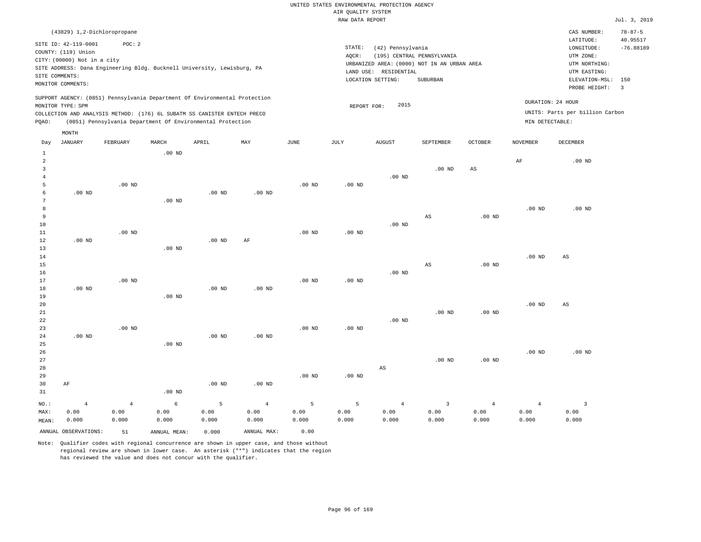|                |                                                                            |                |                                                            |                   |                   |                   | RAW DATA REPORT   |                       |                                             |                |                   |                                 | Jul. 3, 2019   |
|----------------|----------------------------------------------------------------------------|----------------|------------------------------------------------------------|-------------------|-------------------|-------------------|-------------------|-----------------------|---------------------------------------------|----------------|-------------------|---------------------------------|----------------|
|                | (43829) 1,2-Dichloropropane                                                |                |                                                            |                   |                   |                   |                   |                       |                                             |                |                   | CAS NUMBER:                     | $78 - 87 - 5$  |
|                | SITE ID: 42-119-0001                                                       | POC: 2         |                                                            |                   |                   |                   |                   |                       |                                             |                |                   | LATITUDE:                       | 40.95517       |
|                | COUNTY: (119) Union                                                        |                |                                                            |                   |                   |                   | STATE:            | (42) Pennsylvania     |                                             |                |                   | LONGITUDE:                      | $-76.88189$    |
|                | CITY: (00000) Not in a city                                                |                |                                                            |                   |                   |                   | AQCR:             |                       | (195) CENTRAL PENNSYLVANIA                  |                |                   | UTM ZONE:                       |                |
|                |                                                                            |                |                                                            |                   |                   |                   |                   |                       | URBANIZED AREA: (0000) NOT IN AN URBAN AREA |                |                   | UTM NORTHING:                   |                |
|                | SITE ADDRESS: Dana Engineering Bldg. Bucknell University, Lewisburg, PA    |                |                                                            |                   |                   |                   |                   | LAND USE: RESIDENTIAL |                                             |                |                   | UTM EASTING:                    |                |
|                | SITE COMMENTS:                                                             |                |                                                            |                   |                   |                   |                   | LOCATION SETTING:     | SUBURBAN                                    |                |                   | ELEVATION-MSL:                  | 150            |
|                | MONITOR COMMENTS:                                                          |                |                                                            |                   |                   |                   |                   |                       |                                             |                |                   | PROBE HEIGHT:                   | $\overline{3}$ |
|                | SUPPORT AGENCY: (0851) Pennsylvania Department Of Environmental Protection |                |                                                            |                   |                   |                   |                   |                       |                                             |                |                   |                                 |                |
|                | MONITOR TYPE: SPM                                                          |                |                                                            |                   |                   |                   | REPORT FOR:       | 2015                  |                                             |                |                   | DURATION: 24 HOUR               |                |
|                | COLLECTION AND ANALYSIS METHOD: (176) 6L SUBATM SS CANISTER ENTECH PRECO   |                |                                                            |                   |                   |                   |                   |                       |                                             |                |                   | UNITS: Parts per billion Carbon |                |
| PQAO:          |                                                                            |                | (0851) Pennsylvania Department Of Environmental Protection |                   |                   |                   |                   |                       |                                             |                | MIN DETECTABLE:   |                                 |                |
|                | MONTH                                                                      |                |                                                            |                   |                   |                   |                   |                       |                                             |                |                   |                                 |                |
| Day            | JANUARY                                                                    | FEBRUARY       | MARCH                                                      | APRIL             | MAY               | JUNE              | JULY              | <b>AUGUST</b>         | SEPTEMBER                                   | OCTOBER        | <b>NOVEMBER</b>   | DECEMBER                        |                |
| $\mathbf{1}$   |                                                                            |                | .00 <sub>ND</sub>                                          |                   |                   |                   |                   |                       |                                             |                |                   |                                 |                |
| 2              |                                                                            |                |                                                            |                   |                   |                   |                   |                       |                                             |                | AF                | $.00$ ND                        |                |
| $\overline{3}$ |                                                                            |                |                                                            |                   |                   |                   |                   |                       | $.00$ ND                                    | AS             |                   |                                 |                |
| $\overline{4}$ |                                                                            |                |                                                            |                   |                   |                   |                   | $.00$ ND              |                                             |                |                   |                                 |                |
| 5              |                                                                            | $.00$ ND       |                                                            |                   |                   | $.00$ ND          | .00 <sub>ND</sub> |                       |                                             |                |                   |                                 |                |
| 6              | $.00$ ND                                                                   |                |                                                            | .00 <sub>ND</sub> | $.00$ ND          |                   |                   |                       |                                             |                |                   |                                 |                |
| 7              |                                                                            |                | $.00$ ND                                                   |                   |                   |                   |                   |                       |                                             |                |                   |                                 |                |
| 8              |                                                                            |                |                                                            |                   |                   |                   |                   |                       |                                             |                | .00 <sub>ND</sub> | $.00$ ND                        |                |
| 9              |                                                                            |                |                                                            |                   |                   |                   |                   |                       | AS                                          | $.00$ ND       |                   |                                 |                |
| 10             |                                                                            |                |                                                            |                   |                   |                   |                   | $.00$ ND              |                                             |                |                   |                                 |                |
| $11\,$         |                                                                            | $.00$ ND       |                                                            |                   |                   | .00 <sub>ND</sub> | .00 <sub>ND</sub> |                       |                                             |                |                   |                                 |                |
| $12$           | $.00$ ND                                                                   |                |                                                            | $.00$ ND          | AF                |                   |                   |                       |                                             |                |                   |                                 |                |
| 13             |                                                                            |                | $.00$ ND                                                   |                   |                   |                   |                   |                       |                                             |                |                   |                                 |                |
| 14             |                                                                            |                |                                                            |                   |                   |                   |                   |                       |                                             |                | .00 <sub>ND</sub> | AS                              |                |
| 15             |                                                                            |                |                                                            |                   |                   |                   |                   |                       | $_{\rm AS}$                                 | $.00$ ND       |                   |                                 |                |
| 16             |                                                                            |                |                                                            |                   |                   |                   |                   | $.00$ ND              |                                             |                |                   |                                 |                |
| 17             |                                                                            | $.00$ ND       |                                                            |                   |                   | .00 <sub>ND</sub> | $.00$ ND          |                       |                                             |                |                   |                                 |                |
| 18             | $.00$ ND                                                                   |                |                                                            | .00 <sub>ND</sub> | .00 <sub>ND</sub> |                   |                   |                       |                                             |                |                   |                                 |                |
| 19             |                                                                            |                | $.00$ ND                                                   |                   |                   |                   |                   |                       |                                             |                | .00 <sub>ND</sub> |                                 |                |
| 20<br>21       |                                                                            |                |                                                            |                   |                   |                   |                   |                       | $.00$ ND                                    | $.00$ ND       |                   | AS                              |                |
| 22             |                                                                            |                |                                                            |                   |                   |                   |                   | $.00$ ND              |                                             |                |                   |                                 |                |
| 23             |                                                                            | $.00$ ND       |                                                            |                   |                   | $.00$ ND          | .00 <sub>ND</sub> |                       |                                             |                |                   |                                 |                |
| 24             | $.00$ ND                                                                   |                |                                                            | $.00$ ND          | $.00$ ND          |                   |                   |                       |                                             |                |                   |                                 |                |
| 25             |                                                                            |                | $.00$ ND                                                   |                   |                   |                   |                   |                       |                                             |                |                   |                                 |                |
| 26             |                                                                            |                |                                                            |                   |                   |                   |                   |                       |                                             |                | .00 <sub>ND</sub> | $.00$ ND                        |                |
| 27             |                                                                            |                |                                                            |                   |                   |                   |                   |                       | $.00$ ND                                    | $.00$ ND       |                   |                                 |                |
| 28             |                                                                            |                |                                                            |                   |                   |                   |                   | $_{\rm AS}$           |                                             |                |                   |                                 |                |
| 29             |                                                                            |                |                                                            |                   |                   | $.00$ ND          | .00 <sub>ND</sub> |                       |                                             |                |                   |                                 |                |
| 30             | AF                                                                         |                |                                                            | $.00$ ND          | $.00$ ND          |                   |                   |                       |                                             |                |                   |                                 |                |
| 31             |                                                                            |                | $.00$ ND                                                   |                   |                   |                   |                   |                       |                                             |                |                   |                                 |                |
| NO.:           | $\overline{4}$                                                             | $\overline{4}$ | $\epsilon$                                                 | 5                 | $\overline{4}$    | 5                 | 5                 | $\overline{4}$        | $\overline{3}$                              | $\overline{4}$ | $\overline{4}$    | $\overline{3}$                  |                |
| MAX:           | 0.00                                                                       | 0.00           | 0.00                                                       | 0.00              | 0.00              | 0.00              | 0.00              | 0.00                  | 0.00                                        | 0.00           | 0.00              | 0.00                            |                |
| MEAN:          | 0.000                                                                      | 0.000          | 0.000                                                      | 0.000             | 0.000             | 0.000             | 0.000             | 0.000                 | 0.000                                       | 0.000          | 0.000             | 0.000                           |                |
|                | ANNUAL OBSERVATIONS:                                                       | 51             | ANNUAL MEAN:                                               | 0.000             | ANNUAL MAX:       | 0.00              |                   |                       |                                             |                |                   |                                 |                |
|                |                                                                            |                |                                                            |                   |                   |                   |                   |                       |                                             |                |                   |                                 |                |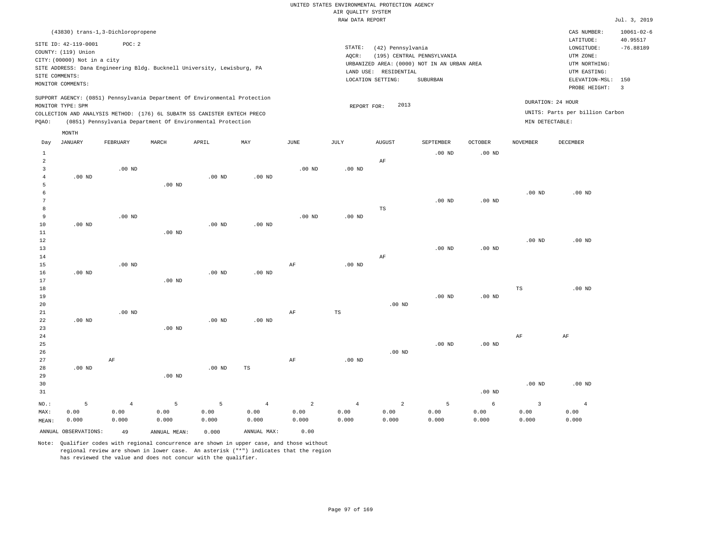|       | RAW DATA REPORT                                                                                                   |                                                                                                                                                                                                                      |          |                   |          |          |                              |                                                                |                                                                                 |                            |          |                                                                                                          |                                                           |  |
|-------|-------------------------------------------------------------------------------------------------------------------|----------------------------------------------------------------------------------------------------------------------------------------------------------------------------------------------------------------------|----------|-------------------|----------|----------|------------------------------|----------------------------------------------------------------|---------------------------------------------------------------------------------|----------------------------|----------|----------------------------------------------------------------------------------------------------------|-----------------------------------------------------------|--|
|       |                                                                                                                   | (43830) trans-1,3-Dichloropropene                                                                                                                                                                                    |          |                   |          |          |                              |                                                                |                                                                                 |                            |          | CAS NUMBER:                                                                                              | $10061 - 02 - 6$                                          |  |
|       | SITE ID: 42-119-0001<br>COUNTY: (119) Union<br>CITY: (00000) Not in a city<br>SITE COMMENTS:<br>MONITOR COMMENTS: | POC:2<br>SITE ADDRESS: Dana Engineering Bldg. Bucknell University, Lewisburg, PA                                                                                                                                     |          |                   |          |          | STATE:<br>AQCR:<br>LAND USE: | (42) Pennsylvania<br>(195)<br>RESIDENTIAL<br>LOCATION SETTING: | CENTRAL PENNSYLVANIA<br>URBANIZED AREA: (0000) NOT IN AN URBAN AREA<br>SUBURBAN |                            |          | LATITUDE:<br>LONGITUDE:<br>UTM ZONE:<br>UTM NORTHING:<br>UTM EASTING:<br>ELEVATION-MSL:<br>PROBE HEIGHT: | 40.95517<br>$-76.88189$<br>150<br>$\overline{\mathbf{3}}$ |  |
| POAO: | MONITOR TYPE: SPM<br>MONTH                                                                                        | SUPPORT AGENCY: (0851) Pennsylvania Department Of Environmental Protection<br>COLLECTION AND ANALYSIS METHOD: (176) 6L SUBATM SS CANISTER ENTECH PRECO<br>(0851) Pennsylvania Department Of Environmental Protection |          |                   |          |          | MIN DETECTABLE:              | DURATION: 24 HOUR<br>UNITS: Parts per billion Carbon           |                                                                                 |                            |          |                                                                                                          |                                                           |  |
| Day   | JANUARY                                                                                                           | FEBRUARY                                                                                                                                                                                                             | MARCH    | APRIL             | MAY      | JUNE     | JULY                         | AUGUST<br>AF                                                   | SEPTEMBER<br>$.00$ ND                                                           | <b>OCTOBER</b><br>$.00$ ND | NOVEMBER | DECEMBER                                                                                                 |                                                           |  |
|       | $.00$ ND                                                                                                          | .00 <sub>ND</sub>                                                                                                                                                                                                    | $.00$ ND | .00 <sub>ND</sub> | $.00$ ND | $.00$ ND | .00 <sub>ND</sub>            |                                                                |                                                                                 |                            |          |                                                                                                          |                                                           |  |

| 6               |          |          |                   |          |          |          |          |    |          |          | $.00$ ND | $.00$ ND |
|-----------------|----------|----------|-------------------|----------|----------|----------|----------|----|----------|----------|----------|----------|
| $7\overline{ }$ |          |          |                   |          |          |          |          |    | $.00$ ND | $.00$ ND |          |          |
| 8 <sup>2</sup>  |          |          |                   |          |          |          |          | TS |          |          |          |          |
| 9               |          | $.00$ ND |                   |          |          | $.00$ ND | $.00$ ND |    |          |          |          |          |
| 10              | $.00$ ND |          |                   | $.00$ ND | $.00$ ND |          |          |    |          |          |          |          |
| 11              |          |          | .00 <sub>ND</sub> |          |          |          |          |    |          |          |          |          |

| 12 |          |          |          |          |          |    |          |          |          |          | $.00$ ND | $.00$ ND |
|----|----------|----------|----------|----------|----------|----|----------|----------|----------|----------|----------|----------|
| 13 |          |          |          |          |          |    |          |          | $.00$ ND | $.00$ ND |          |          |
| 14 |          |          |          |          |          |    |          | AF       |          |          |          |          |
| 15 |          | $.00$ ND |          |          |          | AF | $.00$ ND |          |          |          |          |          |
| 16 | $.00$ ND |          |          | $.00$ ND | $.00$ ND |    |          |          |          |          |          |          |
| 17 |          |          | $.00$ ND |          |          |    |          |          |          |          |          |          |
| 18 |          |          |          |          |          |    |          |          |          |          | TS       | $.00$ ND |
| 19 |          |          |          |          |          |    |          |          | $.00$ ND | $.00$ ND |          |          |
| 20 |          |          |          |          |          |    |          | $.00$ ND |          |          |          |          |
| 21 |          | $.00$ ND |          |          |          | AF | TS       |          |          |          |          |          |

| 22     | $.00$ ND |    |          | $.00$ ND | $.00$ ND |    |          |          |          |          |          |          |
|--------|----------|----|----------|----------|----------|----|----------|----------|----------|----------|----------|----------|
| 23     |          |    | $.00$ ND |          |          |    |          |          |          |          |          |          |
| 24     |          |    |          |          |          |    |          |          |          |          | AF       | AF       |
| $25\,$ |          |    |          |          |          |    |          |          | $.00$ ND | $.00$ ND |          |          |
| 26     |          |    |          |          |          |    |          | $.00$ ND |          |          |          |          |
| 27     |          | AF |          |          |          | AF | $.00$ ND |          |          |          |          |          |
| 28     | $.00$ ND |    |          | $.00$ ND | TS       |    |          |          |          |          |          |          |
| 29     |          |    | $.00$ ND |          |          |    |          |          |          |          |          |          |
| 30     |          |    |          |          |          |    |          |          |          |          | $.00$ ND | $.00$ ND |
| 31     |          |    |          |          |          |    |          |          |          | $.00$ ND |          |          |
|        |          |    |          |          |          |    |          |          |          |          |          |          |

| NO.:  |                      | $\sim$ 4 and $\sim$ 4 and $\sim$ 4 and $\sim$ 4 and $\sim$ | $\overline{5}$ $\overline{5}$ | $-5$ $-7$ |             | $4$ 2 | $4\overline{ }$ | $\sim$ 2 |       |       |        |       |
|-------|----------------------|------------------------------------------------------------|-------------------------------|-----------|-------------|-------|-----------------|----------|-------|-------|--------|-------|
| MAX:  | 0.00                 | 0.00                                                       | 0.00                          | 0.00      | 0.00        | 0.00  | 0.00            | 0.00     | 0.00  | 0.00  | ა. იი  | 0.00  |
| MEAN: | 0.000                | 0.000                                                      | 0.000                         | 0.000     | 0.000       | 0.000 | 0.000           | 0.000    | 0.000 | 0.000 | 000. ( | 0.000 |
|       | ANNUAL OBSERVATIONS: | 49                                                         | ANNUAL MEAN:                  | 0.000     | ANNUAL MAX: | 0.00  |                 |          |       |       |        |       |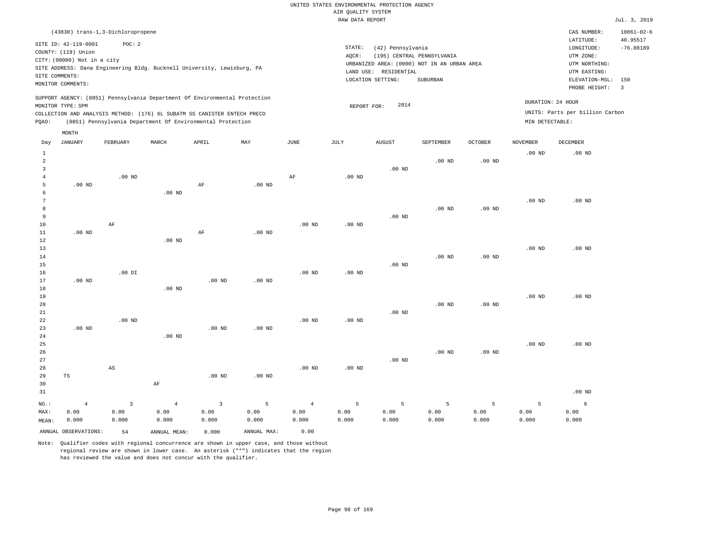RAW DATA REPORT Jul. 3, 2019 UNITED STATES ENVIRONMENTAL PROTECTION AGENCY AIR QUALITY SYSTEM (43830) trans-1,3-Dichloropropene STATE: (42) Pennsylvania CAS NUMBER: 10061-02-6 SITE ID: 42-119-0001 POC: 2 AQCR: (195) CENTRAL PENNSYLVANIA COUNTY: (119) Union CITY: (00000) Not in a city  $LONGITUDE: -76.88189$ LATITUDE: 40.95517 LOCATION SETTING: SUBURBAN SITE ADDRESS: Dana Engineering Bldg. Bucknell University, Lewisburg, PA LAND USE: RESIDENTIAL SITE COMMENTS: MONITOR COMMENTS: PROBE HEIGHT: 3 ELEVATION-MSL: 150 URBANIZED AREA: (0000) NOT IN AN URBAN AREA **URBAN SERIA UTM NORTHING**: UTM EASTING: UTM ZONE: SUPPORT AGENCY: (0851) Pennsylvania Department Of Environmental Protection MONITOR TYPE: SPM COLLECTION AND ANALYSIS METHOD: (176) 6L SUBATM SS CANISTER ENTECH PRECO REPORT FOR: 2014 UNITS: Parts per billion Carbon PQAO: (0851) Pennsylvania Department Of Environmental Protection MIN DETECTABLE: DURATION: 24 HOUR 1 2 3 4 5 6 7 8 9 10 11 12 13 14 15 16 17 18 19  $20$ 21 22 23 24 25 26 27 28 29 30 31 .00 ND .00 ND .00 ND .00 ND TS NO.: MAX: MEAN: 4 0.00 0.000 .00 ND AF .00 DI .00 ND AS .00 ND .00 ND .00 ND .00 ND AF AF AF .00 ND .00 ND .00 ND .00 ND .00 ND .00 ND .00 ND .00 ND AF .00 ND .00 ND .00 ND .00 ND .00 ND .00 ND .00 ND .00 ND .00 ND .00 ND .00 ND .00 ND .00 ND .00 ND .00 ND .00 ND .00 ND .00 ND .00 ND .00 ND .00 ND .00 ND .00 ND .00 ND .00 ND .00 ND .00 ND .00 ND .00 ND .00 ND .00 ND .00 ND .00 ND .00 ND .00 ND 3 0.00 0.000 4 0.00 0.000 3 0.00 0.000 5 0.00 0.000 4 0.00 0.000 5 0.00 0.000 5 0.00 0.000 5 0.00 0.000 5 0.00 0.000 5 0.00 0.000 6 0.00 0.000 ANNUAL OBSERVATIONS: 54 ANNUAL MEAN: 0.000 ANNUAL MAX: 0.00 Day JANUARY FEBRUARY MARCH APRIL MAY JUNE JULY AUGUST SEPTEMBER OCTOBER NOVEMBER DECEMBER MONTH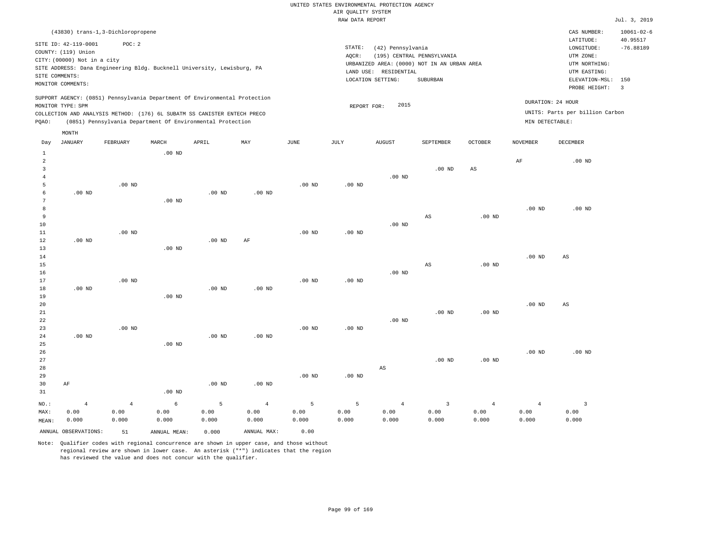|                     |                             |                                                                            |                   |                   |                   |          | RAW DATA REPORT   |                        |                                             |                        |                   |                                 | Jul. 3, 2019                   |
|---------------------|-----------------------------|----------------------------------------------------------------------------|-------------------|-------------------|-------------------|----------|-------------------|------------------------|---------------------------------------------|------------------------|-------------------|---------------------------------|--------------------------------|
|                     |                             | (43830) trans-1,3-Dichloropropene                                          |                   |                   |                   |          |                   |                        |                                             |                        |                   | CAS NUMBER:                     | $10061 - 02 - 6$               |
|                     | SITE ID: 42-119-0001        | POC: 2                                                                     |                   |                   |                   |          |                   |                        |                                             |                        |                   | LATITUDE:                       | 40.95517                       |
|                     | COUNTY: (119) Union         |                                                                            |                   |                   |                   |          | STATE:            | (42) Pennsylvania      |                                             |                        |                   | LONGITUDE:                      | $-76.88189$                    |
|                     | CITY: (00000) Not in a city |                                                                            |                   |                   |                   |          | AQCR:             |                        | (195) CENTRAL PENNSYLVANIA                  |                        |                   | UTM ZONE:                       |                                |
|                     |                             | SITE ADDRESS: Dana Engineering Bldg. Bucknell University, Lewisburg, PA    |                   |                   |                   |          |                   |                        | URBANIZED AREA: (0000) NOT IN AN URBAN AREA |                        |                   | UTM NORTHING:                   |                                |
|                     | SITE COMMENTS:              |                                                                            |                   |                   |                   |          | LAND USE:         | RESIDENTIAL            |                                             |                        |                   | UTM EASTING:                    |                                |
|                     | MONITOR COMMENTS:           |                                                                            |                   |                   |                   |          |                   | LOCATION SETTING:      | SUBURBAN                                    |                        |                   | ELEVATION-MSL:<br>PROBE HEIGHT: | 150<br>$\overline{\mathbf{3}}$ |
|                     |                             | SUPPORT AGENCY: (0851) Pennsylvania Department Of Environmental Protection |                   |                   |                   |          |                   |                        |                                             |                        |                   |                                 |                                |
|                     | MONITOR TYPE: SPM           |                                                                            |                   |                   |                   |          | REPORT FOR:       | 2015                   |                                             |                        |                   | DURATION: 24 HOUR               |                                |
|                     |                             | COLLECTION AND ANALYSIS METHOD: (176) 6L SUBATM SS CANISTER ENTECH PRECO   |                   |                   |                   |          |                   |                        |                                             |                        |                   | UNITS: Parts per billion Carbon |                                |
| PQAO:               |                             | (0851) Pennsylvania Department Of Environmental Protection                 |                   |                   |                   |          |                   |                        |                                             |                        | MIN DETECTABLE:   |                                 |                                |
|                     | MONTH                       |                                                                            |                   |                   |                   |          |                   |                        |                                             |                        |                   |                                 |                                |
| Day                 | <b>JANUARY</b>              | FEBRUARY                                                                   | MARCH             | APRIL             | MAY               | JUNE     | JULY              | <b>AUGUST</b>          | SEPTEMBER                                   | <b>OCTOBER</b>         | <b>NOVEMBER</b>   | <b>DECEMBER</b>                 |                                |
| $\mathbf{1}$        |                             |                                                                            | $.00$ ND          |                   |                   |          |                   |                        |                                             |                        |                   |                                 |                                |
| $\overline{a}$      |                             |                                                                            |                   |                   |                   |          |                   |                        |                                             |                        | $\rm{AF}$         | $.00$ ND                        |                                |
| 3                   |                             |                                                                            |                   |                   |                   |          |                   |                        | $.00$ ND                                    | $\mathbb{A}\mathbb{S}$ |                   |                                 |                                |
| $\overline{4}$      |                             |                                                                            |                   |                   |                   |          |                   | $.00$ ND               |                                             |                        |                   |                                 |                                |
| 5                   |                             | $.00$ ND                                                                   |                   |                   |                   | $.00$ ND | .00 <sub>ND</sub> |                        |                                             |                        |                   |                                 |                                |
| 6                   | $.00$ ND                    |                                                                            |                   | $.00$ ND          | $.00$ ND          |          |                   |                        |                                             |                        |                   |                                 |                                |
| 7                   |                             |                                                                            | $.00$ ND          |                   |                   |          |                   |                        |                                             |                        |                   |                                 |                                |
| 8<br>$\overline{9}$ |                             |                                                                            |                   |                   |                   |          |                   |                        |                                             |                        | $.00$ ND          | $.00$ ND                        |                                |
| 10                  |                             |                                                                            |                   |                   |                   |          |                   | $.00$ ND               | AS                                          | $.00$ ND               |                   |                                 |                                |
| $11\,$              |                             | $.00$ ND                                                                   |                   |                   |                   | $.00$ ND | $.00$ ND          |                        |                                             |                        |                   |                                 |                                |
| $1\,2$              | $.00$ ND                    |                                                                            |                   | $.00$ ND          | AF                |          |                   |                        |                                             |                        |                   |                                 |                                |
| 13                  |                             |                                                                            | .00 <sub>ND</sub> |                   |                   |          |                   |                        |                                             |                        |                   |                                 |                                |
| 14                  |                             |                                                                            |                   |                   |                   |          |                   |                        |                                             |                        | $.00$ ND          | AS                              |                                |
| 15                  |                             |                                                                            |                   |                   |                   |          |                   |                        | $_{\rm AS}$                                 | $.00$ ND               |                   |                                 |                                |
| 16                  |                             |                                                                            |                   |                   |                   |          |                   | $.00$ ND               |                                             |                        |                   |                                 |                                |
| 17                  |                             | $.00$ ND                                                                   |                   |                   |                   | $.00$ ND | .00 <sub>ND</sub> |                        |                                             |                        |                   |                                 |                                |
| 18                  | $.00$ ND                    |                                                                            |                   | $.00$ ND          | $.00$ ND          |          |                   |                        |                                             |                        |                   |                                 |                                |
| 19                  |                             |                                                                            | $.00$ ND          |                   |                   |          |                   |                        |                                             |                        |                   |                                 |                                |
| 20                  |                             |                                                                            |                   |                   |                   |          |                   |                        |                                             |                        | .00 <sub>ND</sub> | AS                              |                                |
| 21                  |                             |                                                                            |                   |                   |                   |          |                   |                        | $.00$ ND                                    | $.00$ ND               |                   |                                 |                                |
| 22                  |                             |                                                                            |                   |                   |                   |          |                   | $.00$ ND               |                                             |                        |                   |                                 |                                |
| 23                  |                             | $.00$ ND                                                                   |                   |                   |                   | $.00$ ND | $.00$ ND          |                        |                                             |                        |                   |                                 |                                |
| 24                  | $.00$ ND                    |                                                                            |                   | .00 <sub>ND</sub> | .00 <sub>ND</sub> |          |                   |                        |                                             |                        |                   |                                 |                                |
| 25                  |                             |                                                                            | $.00$ ND          |                   |                   |          |                   |                        |                                             |                        |                   |                                 |                                |
| 26                  |                             |                                                                            |                   |                   |                   |          |                   |                        |                                             |                        | .00 <sub>ND</sub> | $.00$ ND                        |                                |
| 27                  |                             |                                                                            |                   |                   |                   |          |                   |                        | $.00$ ND                                    | $.00$ ND               |                   |                                 |                                |
| 28<br>29            |                             |                                                                            |                   |                   |                   | $.00$ ND | $.00$ ND          | $\mathbb{A}\mathbb{S}$ |                                             |                        |                   |                                 |                                |
| 30                  | AF                          |                                                                            |                   | $.00$ ND          | $.00$ ND          |          |                   |                        |                                             |                        |                   |                                 |                                |
| 31                  |                             |                                                                            | $.00$ ND          |                   |                   |          |                   |                        |                                             |                        |                   |                                 |                                |
| NO.:                | $\overline{4}$              | $\overline{4}$                                                             | 6                 | 5                 | $\overline{4}$    | 5        | 5                 | $\overline{4}$         | $\overline{\mathbf{3}}$                     | $\overline{4}$         | $\overline{4}$    | $\overline{3}$                  |                                |
| MAX:                | 0.00                        | 0.00                                                                       | 0.00              | 0.00              | 0.00              | 0.00     | 0.00              | 0.00                   | 0.00                                        | 0.00                   | 0.00              | 0.00                            |                                |
| MEAN:               | 0.000                       | 0.000                                                                      | 0.000             | 0.000             | 0.000             | 0.000    | 0.000             | 0.000                  | 0.000                                       | 0.000                  | 0.000             | 0.000                           |                                |

Note: Qualifier codes with regional concurrence are shown in upper case, and those without regional review are shown in lower case. An asterisk ("\*") indicates that the region

ANNUAL OBSERVATIONS: 51 ANNUAL MEAN: 0.000 ANNUAL MAX: 0.00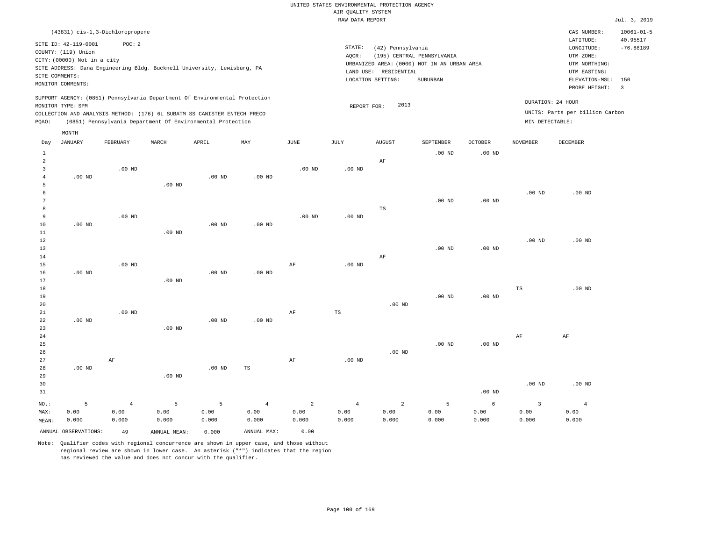|       |                             |                                 |          |                                                                                                                                                                                                                      |          |             | RAW DATA REPORT |                     |                                             |                   |                 |                                                      | Jul. 3, 2019             |
|-------|-----------------------------|---------------------------------|----------|----------------------------------------------------------------------------------------------------------------------------------------------------------------------------------------------------------------------|----------|-------------|-----------------|---------------------|---------------------------------------------|-------------------|-----------------|------------------------------------------------------|--------------------------|
|       |                             | (43831) cis-1,3-Dichloropropene |          |                                                                                                                                                                                                                      |          |             |                 |                     |                                             |                   |                 | CAS NUMBER:                                          | $10061 - 01 - 5$         |
|       | SITE ID: 42-119-0001        | POC: 2                          |          |                                                                                                                                                                                                                      |          |             |                 |                     |                                             |                   |                 | LATITUDE:                                            | 40.95517                 |
|       | COUNTY: (119) Union         |                                 |          |                                                                                                                                                                                                                      |          |             | STATE:          | (42) Pennsylvania   |                                             |                   |                 | LONGITUDE:                                           | $-76.88189$              |
|       | CITY: (00000) Not in a city |                                 |          |                                                                                                                                                                                                                      |          |             | AOCR:           |                     | (195) CENTRAL PENNSYLVANIA                  |                   |                 | UTM ZONE:                                            |                          |
|       |                             |                                 |          | SITE ADDRESS: Dana Engineering Bldg. Bucknell University, Lewisburg, PA                                                                                                                                              |          |             |                 |                     | URBANIZED AREA: (0000) NOT IN AN URBAN AREA |                   |                 | UTM NORTHING:                                        |                          |
|       | SITE COMMENTS:              |                                 |          |                                                                                                                                                                                                                      |          |             | LAND USE:       | RESIDENTIAL         |                                             |                   |                 | UTM EASTING:                                         |                          |
|       | MONITOR COMMENTS:           |                                 |          |                                                                                                                                                                                                                      |          |             |                 | LOCATION SETTING:   | SUBURBAN                                    |                   |                 | ELEVATION-MSL:                                       | 150                      |
|       |                             |                                 |          |                                                                                                                                                                                                                      |          |             |                 |                     |                                             |                   |                 | PROBE HEIGHT:                                        | $\overline{\phantom{a}}$ |
| POAO: | MONITOR TYPE: SPM           |                                 |          | SUPPORT AGENCY: (0851) Pennsylvania Department Of Environmental Protection<br>COLLECTION AND ANALYSIS METHOD: (176) 6L SUBATM SS CANISTER ENTECH PRECO<br>(0851) Pennsylvania Department Of Environmental Protection |          |             |                 | 2013<br>REPORT FOR: |                                             |                   | MIN DETECTABLE: | DURATION: 24 HOUR<br>UNITS: Parts per billion Carbon |                          |
|       | MONTH                       |                                 |          |                                                                                                                                                                                                                      |          |             |                 |                     |                                             |                   |                 |                                                      |                          |
| Day   | JANUARY                     | FEBRUARY                        | MARCH    | APRIL                                                                                                                                                                                                                | MAY      | <b>JUNE</b> | JULY            | <b>AUGUST</b>       | <b>SEPTEMBER</b>                            | <b>OCTOBER</b>    | NOVEMBER        | DECEMBER                                             |                          |
|       |                             |                                 |          |                                                                                                                                                                                                                      |          |             |                 |                     | $.00$ ND                                    | $.00$ ND          |                 |                                                      |                          |
|       |                             |                                 |          |                                                                                                                                                                                                                      |          |             |                 | AF                  |                                             |                   |                 |                                                      |                          |
|       |                             | $.00$ ND                        |          |                                                                                                                                                                                                                      |          | $.00$ ND    | $.00$ ND        |                     |                                             |                   |                 |                                                      |                          |
|       | $.00$ ND                    |                                 |          | .00 <sub>ND</sub>                                                                                                                                                                                                    | $.00$ ND |             |                 |                     |                                             |                   |                 |                                                      |                          |
|       |                             |                                 | $.00$ ND |                                                                                                                                                                                                                      |          |             |                 |                     |                                             |                   |                 |                                                      |                          |
|       |                             |                                 |          |                                                                                                                                                                                                                      |          |             |                 |                     |                                             |                   | $.00$ ND        | $.00$ ND                                             |                          |
|       |                             |                                 |          |                                                                                                                                                                                                                      |          |             |                 |                     | $.00$ ND                                    | .00 <sub>ND</sub> |                 |                                                      |                          |

| 8           |          |          |          |          |             |           |                   | TS       |          |          |          |          |
|-------------|----------|----------|----------|----------|-------------|-----------|-------------------|----------|----------|----------|----------|----------|
| 9           |          | .00 $ND$ |          |          |             | $.00$ ND  | $.00$ ND          |          |          |          |          |          |
| 10          | $.00$ ND |          |          | .00 $ND$ | $.00$ ND    |           |                   |          |          |          |          |          |
| $11\,$      |          |          | $.00$ ND |          |             |           |                   |          |          |          |          |          |
| 12          |          |          |          |          |             |           |                   |          |          |          | $.00$ ND | $.00$ ND |
| 13          |          |          |          |          |             |           |                   |          | $.00$ ND | .00 $ND$ |          |          |
| $14$        |          |          |          |          |             |           |                   | $\rm AF$ |          |          |          |          |
| $15\,$      |          | .00 $ND$ |          |          |             | AF        | $.00~\mathrm{ND}$ |          |          |          |          |          |
| $16$        | .00 $ND$ |          |          | .00 $ND$ | .00 $ND$    |           |                   |          |          |          |          |          |
| $17\,$      |          |          | .00 $ND$ |          |             |           |                   |          |          |          |          |          |
| $18\,$      |          |          |          |          |             |           |                   |          |          |          | TS       | .00 $ND$ |
| 19          |          |          |          |          |             |           |                   |          | $.00$ ND | $.00$ ND |          |          |
| $20$        |          |          |          |          |             |           |                   | .00 $ND$ |          |          |          |          |
| $21\,$      |          | .00 $ND$ |          |          |             | AF        | $_{\rm TS}$       |          |          |          |          |          |
| 22          | .00 $ND$ |          |          | .00 $ND$ | .00 $ND$    |           |                   |          |          |          |          |          |
| 23          |          |          | $.00$ ND |          |             |           |                   |          |          |          |          |          |
| $2\sqrt{4}$ |          |          |          |          |             |           |                   |          |          |          | AF       | $\rm AF$ |
| $25\,$      |          |          |          |          |             |           |                   |          | $.00$ ND | $.00$ ND |          |          |
| 26          |          |          |          |          |             |           |                   | $.00$ ND |          |          |          |          |
| 27          |          | $\rm AF$ |          |          |             | $\rm{AF}$ | .00 $ND$          |          |          |          |          |          |
| 28          | $.00$ ND |          |          | .00 $ND$ | $_{\rm TS}$ |           |                   |          |          |          |          |          |
| 29          |          |          | $.00$ ND |          |             |           |                   |          |          |          |          |          |
| 30          |          |          |          |          |             |           |                   |          |          |          | $.00$ ND | $.00$ ND |
| 31          |          |          |          |          |             |           |                   |          |          | .00 $ND$ |          |          |

NO.: MAX: MEAN: 5 0.00 0.000 4 0.00 0.000 5 0.00 0.000 5 0.00 0.000 4 0.00 0.000 2 0.00 0.000 4 0.00 0.000 2 0.00 0.000 5 0.00 0.000 6 0.00 0.000 3 0.00 0.000 4 0.00 0.000

ANNUAL OBSERVATIONS: 49 ANNUAL MEAN: 0.000 ANNUAL MAX: 0.00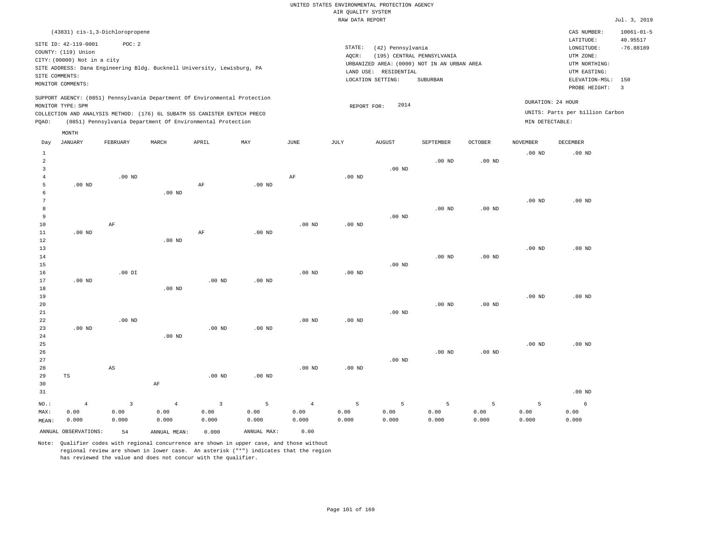RAW DATA REPORT Jul. 3, 2019 UNITED STATES ENVIRONMENTAL PROTECTION AGENCY AIR QUALITY SYSTEM (43831) cis-1,3-Dichloropropene STATE: (42) Pennsylvania CAS NUMBER: 10061-01-5 SITE ID: 42-119-0001 POC: 2 AQCR: (195) CENTRAL PENNSYLVANIA COUNTY: (119) Union CITY: (00000) Not in a city  $LONGITUDE: -76.88189$ LATITUDE: 40.95517 LOCATION SETTING: SUBURBAN SITE ADDRESS: Dana Engineering Bldg. Bucknell University, Lewisburg, PA LAND USE: RESIDENTIAL SITE COMMENTS: MONITOR COMMENTS: PROBE HEIGHT: 3 ELEVATION-MSL: 150 URBANIZED AREA: (0000) NOT IN AN URBAN AREA **URBAN SERIA UTM NORTHING**: UTM EASTING: UTM ZONE: SUPPORT AGENCY: (0851) Pennsylvania Department Of Environmental Protection MONITOR TYPE: SPM COLLECTION AND ANALYSIS METHOD: (176) 6L SUBATM SS CANISTER ENTECH PRECO REPORT FOR: 2014 UNITS: Parts per billion Carbon PQAO: (0851) Pennsylvania Department Of Environmental Protection MIN DETECTABLE: DURATION: 24 HOUR 1 2 3 4 5 6 7 8 9 10 11 12 13 14 15 16 17 18 19  $20$ 21 22 23 24 25 26 27 28 29 30 31 .00 ND .00 ND .00 ND .00 ND TS NO.: MAX: MEAN: 4 0.00 0.000 .00 ND AF .00 DI .00 ND AS .00 ND .00 ND .00 ND .00 ND AF AF AF .00 ND .00 ND .00 ND .00 ND .00 ND .00 ND .00 ND .00 ND AF .00 ND .00 ND .00 ND .00 ND .00 ND .00 ND .00 ND .00 ND .00 ND .00 ND .00 ND .00 ND .00 ND .00 ND .00 ND .00 ND .00 ND .00 ND .00 ND .00 ND .00 ND .00 ND .00 ND .00 ND .00 ND .00 ND .00 ND .00 ND .00 ND .00 ND .00 ND .00 ND .00 ND .00 ND .00 ND 3 0.00 0.000 4 0.00 0.000 3 0.00 0.000 5 0.00 0.000 4 0.00 0.000 5 0.00 0.000 5 0.00 0.000 5 0.00 0.000 5 0.00 0.000 5 0.00 0.000 6 0.00 0.000 ANNUAL OBSERVATIONS: 54 ANNUAL MEAN: 0.000 ANNUAL MAX: 0.00 Day JANUARY FEBRUARY MARCH APRIL MAY JUNE JULY AUGUST SEPTEMBER OCTOBER NOVEMBER DECEMBER MONTH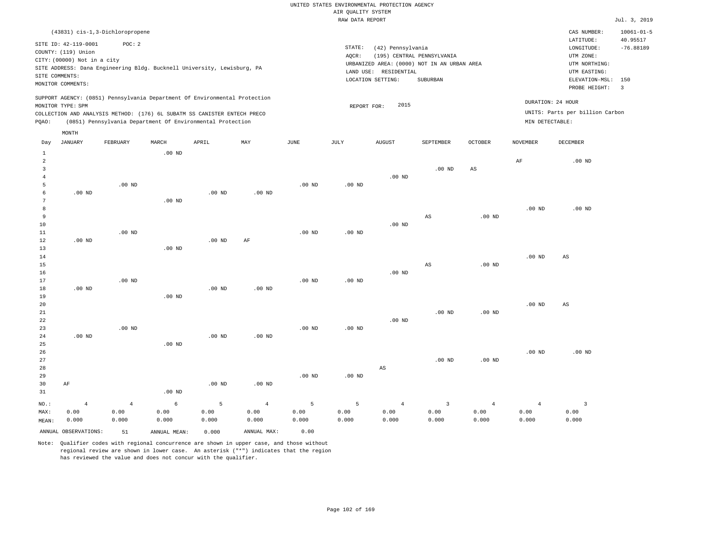|                 |                                 |                |                                                                            |                   |                   |                   | <br>Rothers nensen<br>RAW DATA REPORT       |                        |                         |                        |                   |                                 | Jul. 3, 2019     |
|-----------------|---------------------------------|----------------|----------------------------------------------------------------------------|-------------------|-------------------|-------------------|---------------------------------------------|------------------------|-------------------------|------------------------|-------------------|---------------------------------|------------------|
|                 | (43831) cis-1,3-Dichloropropene |                |                                                                            |                   |                   |                   |                                             |                        |                         |                        |                   | CAS NUMBER:                     | $10061 - 01 - 5$ |
|                 |                                 |                |                                                                            |                   |                   |                   |                                             |                        |                         |                        |                   | LATITUDE:                       | 40.95517         |
|                 | SITE ID: 42-119-0001            | POC: 2         |                                                                            |                   |                   |                   | STATE:                                      | (42) Pennsylvania      |                         |                        |                   | LONGITUDE:                      | $-76.88189$      |
|                 | COUNTY: (119) Union             |                |                                                                            |                   |                   |                   | AQCR:                                       | UTM ZONE:              |                         |                        |                   |                                 |                  |
|                 | CITY: (00000) Not in a city     |                |                                                                            |                   |                   |                   | URBANIZED AREA: (0000) NOT IN AN URBAN AREA | UTM NORTHING:          |                         |                        |                   |                                 |                  |
|                 |                                 |                | SITE ADDRESS: Dana Engineering Bldg. Bucknell University, Lewisburg, PA    |                   |                   |                   | LAND USE: RESIDENTIAL                       | UTM EASTING:           |                         |                        |                   |                                 |                  |
| SITE COMMENTS:  |                                 |                |                                                                            |                   |                   |                   |                                             | LOCATION SETTING:      | SUBURBAN                |                        |                   | ELEVATION-MSL:                  | 150              |
|                 | MONITOR COMMENTS:               |                |                                                                            |                   |                   |                   |                                             | PROBE HEIGHT:          | $\overline{\mathbf{3}}$ |                        |                   |                                 |                  |
|                 |                                 |                | SUPPORT AGENCY: (0851) Pennsylvania Department Of Environmental Protection |                   |                   |                   |                                             |                        |                         |                        |                   |                                 |                  |
|                 | MONITOR TYPE: SPM               |                |                                                                            |                   |                   |                   | REPORT FOR:                                 | 2015                   |                         |                        |                   | DURATION: 24 HOUR               |                  |
|                 |                                 |                | COLLECTION AND ANALYSIS METHOD: (176) 6L SUBATM SS CANISTER ENTECH PRECO   |                   |                   |                   |                                             |                        |                         |                        |                   | UNITS: Parts per billion Carbon |                  |
| PQAO:           |                                 |                | (0851) Pennsylvania Department Of Environmental Protection                 |                   |                   |                   |                                             |                        |                         |                        | MIN DETECTABLE:   |                                 |                  |
|                 | MONTH                           |                |                                                                            |                   |                   |                   |                                             |                        |                         |                        |                   |                                 |                  |
| Day             | <b>JANUARY</b>                  | FEBRUARY       | MARCH                                                                      | APRIL             | MAY               | <b>JUNE</b>       | JULY                                        | <b>AUGUST</b>          | SEPTEMBER               | <b>OCTOBER</b>         | <b>NOVEMBER</b>   | DECEMBER                        |                  |
| $\mathbf{1}$    |                                 |                | $.00$ ND                                                                   |                   |                   |                   |                                             |                        |                         |                        |                   |                                 |                  |
| $\overline{a}$  |                                 |                |                                                                            |                   |                   |                   |                                             |                        |                         |                        | $\rm AF$          | $.00$ ND                        |                  |
| 3               |                                 |                |                                                                            |                   |                   |                   |                                             |                        | .00 <sub>ND</sub>       | $\mathbb{A}\mathbb{S}$ |                   |                                 |                  |
| $\overline{4}$  |                                 |                |                                                                            |                   |                   |                   |                                             | .00 <sub>ND</sub>      |                         |                        |                   |                                 |                  |
| 5               |                                 | $.00$ ND       |                                                                            |                   |                   | .00 <sub>ND</sub> | $.00$ ND                                    |                        |                         |                        |                   |                                 |                  |
| 6               | $.00$ ND                        |                |                                                                            | .00 <sub>ND</sub> | .00 <sub>ND</sub> |                   |                                             |                        |                         |                        |                   |                                 |                  |
| $7\phantom{.0}$ |                                 |                | $.00$ ND                                                                   |                   |                   |                   |                                             |                        |                         |                        |                   |                                 |                  |
| 8               |                                 |                |                                                                            |                   |                   |                   |                                             |                        |                         |                        | .00 <sub>ND</sub> | $.00$ ND                        |                  |
| 9               |                                 |                |                                                                            |                   |                   |                   |                                             |                        | AS                      | $.00$ ND               |                   |                                 |                  |
| 10              |                                 |                |                                                                            |                   |                   |                   |                                             | $.00$ ND               |                         |                        |                   |                                 |                  |
| 11              |                                 | $.00$ ND       |                                                                            |                   |                   | $.00$ ND          | $.00$ ND                                    |                        |                         |                        |                   |                                 |                  |
| 12              | $.00$ ND                        |                |                                                                            | .00 <sub>ND</sub> | AF                |                   |                                             |                        |                         |                        |                   |                                 |                  |
| 13              |                                 |                | $.00$ ND                                                                   |                   |                   |                   |                                             |                        |                         |                        |                   |                                 |                  |
| 14              |                                 |                |                                                                            |                   |                   |                   |                                             |                        |                         |                        | .00 <sub>ND</sub> | AS                              |                  |
| 15              |                                 |                |                                                                            |                   |                   |                   |                                             |                        | AS                      | .00 <sub>ND</sub>      |                   |                                 |                  |
| 16              |                                 | $.00$ ND       |                                                                            |                   |                   |                   |                                             | $.00$ ND               |                         |                        |                   |                                 |                  |
| 17<br>18        | $.00$ ND                        |                |                                                                            | $.00$ ND          | $.00$ ND          | .00 <sub>ND</sub> | $.00$ ND                                    |                        |                         |                        |                   |                                 |                  |
| 19              |                                 |                | .00 <sub>ND</sub>                                                          |                   |                   |                   |                                             |                        |                         |                        |                   |                                 |                  |
| 20              |                                 |                |                                                                            |                   |                   |                   |                                             |                        |                         |                        | $.00$ ND          | $_{\rm AS}$                     |                  |
| 21              |                                 |                |                                                                            |                   |                   |                   |                                             |                        | $.00$ ND                | .00 <sub>ND</sub>      |                   |                                 |                  |
| 22              |                                 |                |                                                                            |                   |                   |                   |                                             | $.00$ ND               |                         |                        |                   |                                 |                  |
| 23              |                                 | $.00$ ND       |                                                                            |                   |                   | .00 <sub>ND</sub> | $.00$ ND                                    |                        |                         |                        |                   |                                 |                  |
| 24              | $.00$ ND                        |                |                                                                            | $.00$ ND          | $.00$ ND          |                   |                                             |                        |                         |                        |                   |                                 |                  |
| 25              |                                 |                | .00 <sub>ND</sub>                                                          |                   |                   |                   |                                             |                        |                         |                        |                   |                                 |                  |
| 26              |                                 |                |                                                                            |                   |                   |                   |                                             |                        |                         |                        | .00 <sub>ND</sub> | $.00$ ND                        |                  |
| 27              |                                 |                |                                                                            |                   |                   |                   |                                             |                        | .00 <sub>ND</sub>       | .00 <sub>ND</sub>      |                   |                                 |                  |
| 28              |                                 |                |                                                                            |                   |                   |                   |                                             | $\mathbb{A}\mathbb{S}$ |                         |                        |                   |                                 |                  |
| 29              |                                 |                |                                                                            |                   |                   | $.00$ ND          | $.00$ ND                                    |                        |                         |                        |                   |                                 |                  |
| 30              | AF                              |                |                                                                            | .00 <sub>ND</sub> | $.00$ ND          |                   |                                             |                        |                         |                        |                   |                                 |                  |
| 31              |                                 |                | $.00$ ND                                                                   |                   |                   |                   |                                             |                        |                         |                        |                   |                                 |                  |
| NO.:            | $\overline{4}$                  | $\overline{4}$ | 6                                                                          | 5                 | $\,4\,$           | 5                 | 5                                           | $\overline{4}$         | $\overline{3}$          | $\overline{4}$         | $\overline{4}$    | $\overline{3}$                  |                  |
| MAX:            | 0.00                            | 0.00           | 0.00                                                                       | 0.00              | 0.00              | 0.00              | 0.00                                        | 0.00                   | 0.00                    | 0.00                   | 0.00              | 0.00                            |                  |
| MEAN:           | 0.000                           | 0.000          | 0.000                                                                      | 0.000             | 0.000             | 0.000             | 0.000                                       | 0.000                  | 0.000                   | 0.000                  | 0.000             | 0.000                           |                  |
|                 | ANNUAL OBSERVATIONS:            | 51             | ANNUAL MEAN:                                                               | 0.000             | ANNUAL MAX:       | 0.00              |                                             |                        |                         |                        |                   |                                 |                  |
|                 |                                 |                |                                                                            |                   |                   |                   |                                             |                        |                         |                        |                   |                                 |                  |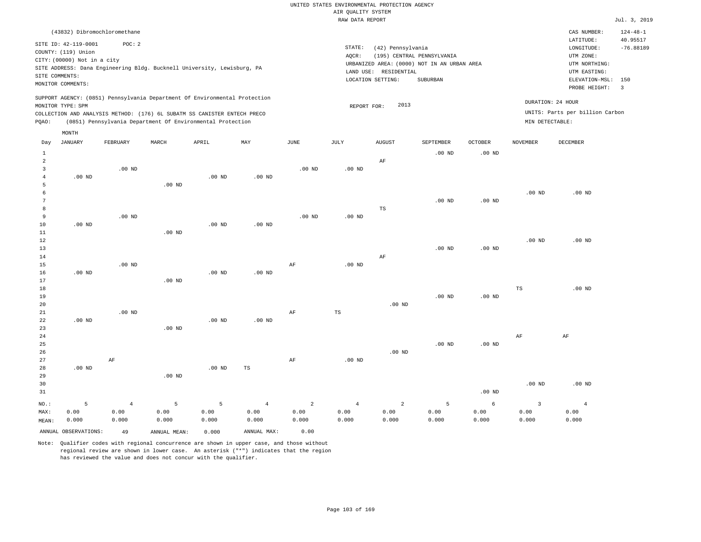|                |                             |                              |          |                                                                            |                   |             | RAW DATA REPORT                                              |                       |                  |                |                   |                                 | Jul. 3, 2019                   |  |
|----------------|-----------------------------|------------------------------|----------|----------------------------------------------------------------------------|-------------------|-------------|--------------------------------------------------------------|-----------------------|------------------|----------------|-------------------|---------------------------------|--------------------------------|--|
|                |                             | (43832) Dibromochloromethane |          |                                                                            |                   |             |                                                              |                       |                  |                |                   | CAS NUMBER:                     | $124 - 48 - 1$                 |  |
|                | SITE ID: 42-119-0001        | POC: 2                       |          |                                                                            |                   |             |                                                              |                       |                  |                |                   | LATITUDE:                       | 40.95517<br>$-76.88189$        |  |
|                | COUNTY: (119) Union         |                              |          |                                                                            |                   |             | STATE:<br>(42) Pennsylvania<br>LONGITUDE:                    |                       |                  |                |                   |                                 |                                |  |
|                | CITY: (00000) Not in a city |                              |          |                                                                            |                   |             | (195) CENTRAL PENNSYLVANIA<br>UTM ZONE:<br>AOCR:             |                       |                  |                |                   |                                 |                                |  |
|                |                             |                              |          | SITE ADDRESS: Dana Engineering Bldg. Bucknell University, Lewisburg, PA    |                   |             | URBANIZED AREA: (0000) NOT IN AN URBAN AREA<br>UTM NORTHING: |                       |                  |                |                   |                                 |                                |  |
|                | SITE COMMENTS:              |                              |          |                                                                            |                   |             |                                                              | LAND USE: RESIDENTIAL |                  |                |                   | UTM EASTING:                    |                                |  |
|                | MONITOR COMMENTS:           |                              |          |                                                                            |                   |             |                                                              | LOCATION SETTING:     | <b>SUBURBAN</b>  |                |                   | ELEVATION-MSL:<br>PROBE HEIGHT: | 150<br>$\overline{\mathbf{3}}$ |  |
|                |                             |                              |          | SUPPORT AGENCY: (0851) Pennsylvania Department Of Environmental Protection |                   |             |                                                              |                       |                  |                |                   |                                 |                                |  |
|                | MONITOR TYPE: SPM           |                              |          |                                                                            |                   |             | REPORT FOR:                                                  | 2013                  |                  |                |                   | DURATION: 24 HOUR               |                                |  |
|                |                             |                              |          | COLLECTION AND ANALYSIS METHOD: (176) 6L SUBATM SS CANISTER ENTECH PRECO   |                   |             |                                                              |                       |                  |                |                   | UNITS: Parts per billion Carbon |                                |  |
| PQAO:          |                             |                              |          | (0851) Pennsylvania Department Of Environmental Protection                 |                   |             |                                                              |                       |                  |                | MIN DETECTABLE:   |                                 |                                |  |
|                | MONTH                       |                              |          |                                                                            |                   |             |                                                              |                       |                  |                |                   |                                 |                                |  |
| Day            | <b>JANUARY</b>              | FEBRUARY                     | MARCH    | APRIL                                                                      | MAY               | <b>JUNE</b> | JULY                                                         | <b>AUGUST</b>         | <b>SEPTEMBER</b> | <b>OCTOBER</b> | <b>NOVEMBER</b>   | <b>DECEMBER</b>                 |                                |  |
| 1              |                             |                              |          |                                                                            |                   |             |                                                              |                       | $.00$ ND         | $.00$ ND       |                   |                                 |                                |  |
| 2              |                             |                              |          |                                                                            |                   |             |                                                              | AF                    |                  |                |                   |                                 |                                |  |
| $\overline{3}$ |                             | $.00$ ND                     |          |                                                                            |                   | $.00$ ND    | $.00$ ND                                                     |                       |                  |                |                   |                                 |                                |  |
| $\overline{4}$ | $.00$ ND                    |                              |          | $.00$ ND                                                                   | .00 <sub>ND</sub> |             |                                                              |                       |                  |                |                   |                                 |                                |  |
| 5              |                             |                              | $.00$ ND |                                                                            |                   |             |                                                              |                       |                  |                |                   |                                 |                                |  |
| 6<br>7         |                             |                              |          |                                                                            |                   |             |                                                              |                       | $.00$ ND         | $.00$ ND       | .00 <sub>ND</sub> | $.00$ ND                        |                                |  |
| 8              |                             |                              |          |                                                                            |                   |             |                                                              | TS                    |                  |                |                   |                                 |                                |  |
| 9              |                             | $.00$ ND                     |          |                                                                            |                   | $.00$ ND    | $.00$ ND                                                     |                       |                  |                |                   |                                 |                                |  |
| 10             | $.00$ ND                    |                              |          | .00 <sub>ND</sub>                                                          | $.00$ ND          |             |                                                              |                       |                  |                |                   |                                 |                                |  |
| 11             |                             |                              | $.00$ ND |                                                                            |                   |             |                                                              |                       |                  |                |                   |                                 |                                |  |
| 12             |                             |                              |          |                                                                            |                   |             |                                                              |                       |                  |                | .00 <sub>ND</sub> | $.00$ ND                        |                                |  |
| 13             |                             |                              |          |                                                                            |                   |             |                                                              |                       | $.00$ ND         | $.00$ ND       |                   |                                 |                                |  |
| 14             |                             |                              |          |                                                                            |                   |             |                                                              | AF                    |                  |                |                   |                                 |                                |  |
| 15             |                             | $.00$ ND                     |          |                                                                            |                   | AF          | $.00$ ND                                                     |                       |                  |                |                   |                                 |                                |  |
| 16             | $.00$ ND                    |                              |          | $.00$ ND                                                                   | $.00$ ND          |             |                                                              |                       |                  |                |                   |                                 |                                |  |
| 17             |                             |                              | $.00$ ND |                                                                            |                   |             |                                                              |                       |                  |                |                   |                                 |                                |  |
| 18             |                             |                              |          |                                                                            |                   |             |                                                              |                       |                  |                | $_{\rm TS}$       | $.00$ ND                        |                                |  |
| 19             |                             |                              |          |                                                                            |                   |             |                                                              |                       | $.00$ ND         | $.00$ ND       |                   |                                 |                                |  |
| 20             |                             |                              |          |                                                                            |                   |             |                                                              | $.00$ ND              |                  |                |                   |                                 |                                |  |
| 21             |                             | $.00$ ND                     |          |                                                                            |                   | $\rm AF$    | TS                                                           |                       |                  |                |                   |                                 |                                |  |
| 22             | $.00$ ND                    |                              |          | $.00$ ND                                                                   | $.00$ ND          |             |                                                              |                       |                  |                |                   |                                 |                                |  |
| 23             |                             |                              | $.00$ ND |                                                                            |                   |             |                                                              |                       |                  |                |                   |                                 |                                |  |
| 24             |                             |                              |          |                                                                            |                   |             |                                                              |                       |                  |                | AF                | $\rm AF$                        |                                |  |
| 25             |                             |                              |          |                                                                            |                   |             |                                                              |                       | $.00$ ND         | $.00$ ND       |                   |                                 |                                |  |
| 26             |                             |                              |          |                                                                            |                   |             |                                                              | $.00$ ND              |                  |                |                   |                                 |                                |  |

27 28 29 30 31 .00 ND NO.: MAX: MEAN: 5 0.00 0.000 AF .00 ND .00 ND TS AF .00 ND .00 ND .00 ND .00 ND 4 0.00 0.000 5 0.00 0.000 5 0.00 0.000 4 0.00 0.000 2 0.00 0.000 4 0.00 0.000 2 0.00 0.000 5 0.00 0.000 6 0.00 0.000 3 0.00 0.000 4 0.00 0.000

ANNUAL OBSERVATIONS: 49 ANNUAL MEAN: 0.000 ANNUAL MAX: 0.00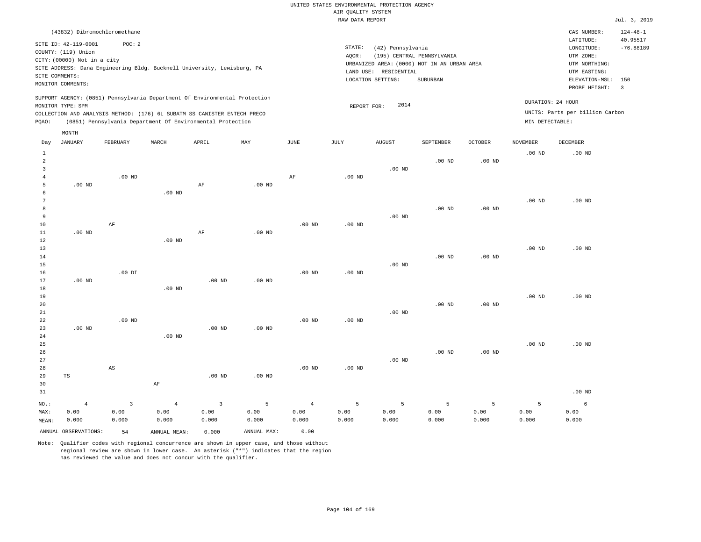|                              |                                                                                                                   |                        |                                                                            |                   |                   |                   | RAW DATA REPORT   |                                                                 |                                                                                       |                   |                   |                                                                                         | Jul. 3, 2019                   |
|------------------------------|-------------------------------------------------------------------------------------------------------------------|------------------------|----------------------------------------------------------------------------|-------------------|-------------------|-------------------|-------------------|-----------------------------------------------------------------|---------------------------------------------------------------------------------------|-------------------|-------------------|-----------------------------------------------------------------------------------------|--------------------------------|
|                              | (43832) Dibromochloromethane                                                                                      |                        |                                                                            |                   |                   |                   |                   |                                                                 |                                                                                       |                   |                   | CAS NUMBER:                                                                             | $124 - 48 - 1$                 |
|                              | SITE ID: 42-119-0001<br>COUNTY: (119) Union<br>CITY: (00000) Not in a city<br>SITE COMMENTS:<br>MONITOR COMMENTS: | POC: 2                 | SITE ADDRESS: Dana Engineering Bldg. Bucknell University, Lewisburg, PA    |                   |                   |                   | STATE:<br>AOCR:   | (42) Pennsylvania<br>LAND USE: RESIDENTIAL<br>LOCATION SETTING: | (195) CENTRAL PENNSYLVANIA<br>URBANIZED AREA: (0000) NOT IN AN URBAN AREA<br>SUBURBAN |                   |                   | LATITUDE:<br>LONGITUDE:<br>UTM ZONE:<br>UTM NORTHING:<br>UTM EASTING:<br>ELEVATION-MSL: | 40.95517<br>$-76.88189$<br>150 |
|                              |                                                                                                                   |                        |                                                                            |                   |                   |                   |                   |                                                                 |                                                                                       |                   |                   | PROBE HEIGHT:                                                                           | $\overline{3}$                 |
|                              | MONITOR TYPE: SPM                                                                                                 |                        | SUPPORT AGENCY: (0851) Pennsylvania Department Of Environmental Protection |                   |                   |                   | REPORT FOR:       | 2014                                                            |                                                                                       |                   |                   | DURATION: 24 HOUR                                                                       |                                |
|                              |                                                                                                                   |                        | COLLECTION AND ANALYSIS METHOD: (176) 6L SUBATM SS CANISTER ENTECH PRECO   |                   |                   |                   |                   |                                                                 |                                                                                       |                   |                   | UNITS: Parts per billion Carbon                                                         |                                |
| PQAO:                        |                                                                                                                   |                        | (0851) Pennsylvania Department Of Environmental Protection                 |                   |                   |                   |                   |                                                                 |                                                                                       |                   | MIN DETECTABLE:   |                                                                                         |                                |
|                              | MONTH                                                                                                             |                        |                                                                            |                   |                   |                   |                   |                                                                 |                                                                                       |                   |                   |                                                                                         |                                |
| Day                          | <b>JANUARY</b>                                                                                                    | FEBRUARY               | MARCH                                                                      | APRIL             | MAY               | JUNE              | JULY              | AUGUST                                                          | SEPTEMBER                                                                             | <b>OCTOBER</b>    | NOVEMBER          | DECEMBER                                                                                |                                |
| $1\,$<br>2<br>$\overline{3}$ |                                                                                                                   |                        |                                                                            |                   |                   |                   |                   | $.00$ ND                                                        | $.00$ ND                                                                              | $.00$ ND          | .00 <sub>ND</sub> | $.00$ ND                                                                                |                                |
| $\overline{4}$               |                                                                                                                   | $.00$ ND               |                                                                            |                   |                   | AF                | $.00$ ND          |                                                                 |                                                                                       |                   |                   |                                                                                         |                                |
| 5                            | $.00$ ND                                                                                                          |                        |                                                                            | AF                | $.00$ ND          |                   |                   |                                                                 |                                                                                       |                   |                   |                                                                                         |                                |
| $\epsilon$<br>7              |                                                                                                                   |                        | $.00$ ND                                                                   |                   |                   |                   |                   |                                                                 |                                                                                       |                   | $.00$ ND          | $.00$ ND                                                                                |                                |
| 8                            |                                                                                                                   |                        |                                                                            |                   |                   |                   |                   |                                                                 | $.00$ ND                                                                              | .00 <sub>ND</sub> |                   |                                                                                         |                                |
| 9                            |                                                                                                                   |                        |                                                                            |                   |                   |                   |                   | $.00$ ND                                                        |                                                                                       |                   |                   |                                                                                         |                                |
| 10                           |                                                                                                                   | AF                     |                                                                            |                   |                   | $.00$ ND          | .00 <sub>ND</sub> |                                                                 |                                                                                       |                   |                   |                                                                                         |                                |
| $1\,1$<br>12                 | $.00$ ND                                                                                                          |                        | $.00$ ND                                                                   | AF                | .00 <sub>ND</sub> |                   |                   |                                                                 |                                                                                       |                   |                   |                                                                                         |                                |
| 13                           |                                                                                                                   |                        |                                                                            |                   |                   |                   |                   |                                                                 |                                                                                       |                   | .00 <sub>ND</sub> | $.00$ ND                                                                                |                                |
| 14                           |                                                                                                                   |                        |                                                                            |                   |                   |                   |                   |                                                                 | $.00$ ND                                                                              | .00 <sub>ND</sub> |                   |                                                                                         |                                |
| 15                           |                                                                                                                   |                        |                                                                            |                   |                   |                   |                   | .00 <sub>ND</sub>                                               |                                                                                       |                   |                   |                                                                                         |                                |
| 16<br>17                     | .00 <sub>ND</sub>                                                                                                 | $.00$ DI               |                                                                            | .00 <sub>ND</sub> | .00 <sub>ND</sub> | .00 <sub>ND</sub> | $.00$ ND          |                                                                 |                                                                                       |                   |                   |                                                                                         |                                |
| 18                           |                                                                                                                   |                        | $.00$ ND                                                                   |                   |                   |                   |                   |                                                                 |                                                                                       |                   |                   |                                                                                         |                                |
| 19                           |                                                                                                                   |                        |                                                                            |                   |                   |                   |                   |                                                                 |                                                                                       |                   | $.00$ ND          | $.00$ ND                                                                                |                                |
| 20                           |                                                                                                                   |                        |                                                                            |                   |                   |                   |                   |                                                                 | .00 <sub>ND</sub>                                                                     | .00 <sub>ND</sub> |                   |                                                                                         |                                |
| $21\,$<br>22                 |                                                                                                                   | $.00$ ND               |                                                                            |                   |                   | $.00$ ND          | $.00$ ND          | .00 <sub>ND</sub>                                               |                                                                                       |                   |                   |                                                                                         |                                |
| 23                           | .00 <sub>ND</sub>                                                                                                 |                        |                                                                            | .00 <sub>ND</sub> | .00 <sub>ND</sub> |                   |                   |                                                                 |                                                                                       |                   |                   |                                                                                         |                                |
| 24                           |                                                                                                                   |                        | $.00$ ND                                                                   |                   |                   |                   |                   |                                                                 |                                                                                       |                   |                   |                                                                                         |                                |
| 25                           |                                                                                                                   |                        |                                                                            |                   |                   |                   |                   |                                                                 |                                                                                       |                   | $.00$ ND          | $.00$ ND                                                                                |                                |
| 26<br>27                     |                                                                                                                   |                        |                                                                            |                   |                   |                   |                   | .00 <sub>ND</sub>                                               | $.00$ ND                                                                              | $.00$ ND          |                   |                                                                                         |                                |
| 28                           |                                                                                                                   | $\mathbb{A}\mathbb{S}$ |                                                                            |                   |                   | .00 <sub>ND</sub> | $.00$ ND          |                                                                 |                                                                                       |                   |                   |                                                                                         |                                |
| 29                           | TS                                                                                                                |                        |                                                                            | $.00$ ND          | $.00$ ND          |                   |                   |                                                                 |                                                                                       |                   |                   |                                                                                         |                                |
| 30                           |                                                                                                                   |                        | AF                                                                         |                   |                   |                   |                   |                                                                 |                                                                                       |                   |                   |                                                                                         |                                |
| 31                           |                                                                                                                   |                        |                                                                            |                   |                   |                   |                   |                                                                 |                                                                                       |                   |                   | $.00$ ND                                                                                |                                |
| NO.:                         | $\overline{4}$                                                                                                    | $\overline{3}$         | $\overline{4}$                                                             | $\overline{3}$    | 5                 | $\overline{4}$    | 5                 | 5                                                               | 5                                                                                     | 5                 | 5                 | 6                                                                                       |                                |
| MAX:<br>MEAN:                | 0.00<br>0.000                                                                                                     | 0.00<br>0.000          | 0.00<br>0.000                                                              | 0.00<br>0.000     | 0.00<br>0.000     | 0.00<br>0.000     | 0.00<br>0.000     | 0.00<br>0.000                                                   | 0.00<br>0.000                                                                         | 0.00<br>0.000     | 0.00<br>0.000     | 0.00<br>0.000                                                                           |                                |
|                              | ANNUAL OBSERVATIONS:                                                                                              | 54                     |                                                                            | 0.000             | ANNUAL MAX:       | 0.00              |                   |                                                                 |                                                                                       |                   |                   |                                                                                         |                                |
|                              |                                                                                                                   |                        | ANNUAL MEAN:                                                               |                   |                   |                   |                   |                                                                 |                                                                                       |                   |                   |                                                                                         |                                |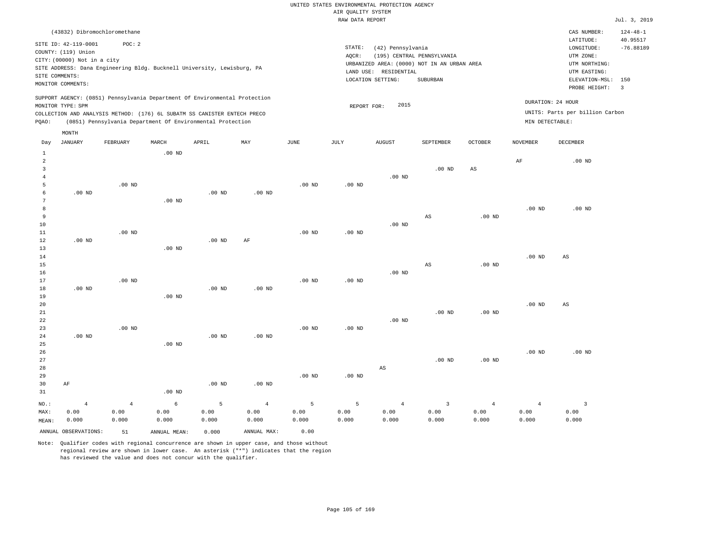|                         |                              |                |                                                                            |                   |                |                                                              | RAW DATA REPORT |                        |                         |                   |                 |                                 | Jul. 3, 2019            |
|-------------------------|------------------------------|----------------|----------------------------------------------------------------------------|-------------------|----------------|--------------------------------------------------------------|-----------------|------------------------|-------------------------|-------------------|-----------------|---------------------------------|-------------------------|
|                         | (43832) Dibromochloromethane |                |                                                                            |                   |                |                                                              |                 |                        |                         |                   |                 | CAS NUMBER:                     | $124 - 48 - 1$          |
|                         |                              |                |                                                                            |                   |                |                                                              |                 |                        |                         |                   |                 | LATITUDE:                       | 40.95517                |
|                         | SITE ID: 42-119-0001         | POC: 2         |                                                                            |                   |                |                                                              | STATE:          | (42) Pennsylvania      |                         |                   |                 | LONGITUDE:                      | $-76.88189$             |
|                         | COUNTY: (119) Union          |                |                                                                            |                   |                | AQCR:<br>(195) CENTRAL PENNSYLVANIA<br>UTM ZONE:             |                 |                        |                         |                   |                 |                                 |                         |
|                         | CITY: (00000) Not in a city  |                |                                                                            |                   |                | URBANIZED AREA: (0000) NOT IN AN URBAN AREA<br>UTM NORTHING: |                 |                        |                         |                   |                 |                                 |                         |
|                         |                              |                | SITE ADDRESS: Dana Engineering Bldg. Bucknell University, Lewisburg, PA    |                   |                |                                                              |                 | LAND USE: RESIDENTIAL  |                         |                   |                 | UTM EASTING:                    |                         |
|                         | SITE COMMENTS:               |                |                                                                            |                   |                |                                                              |                 | LOCATION SETTING:      | SUBURBAN                |                   |                 | ELEVATION-MSL:                  | 150                     |
|                         | MONITOR COMMENTS:            |                |                                                                            |                   |                |                                                              |                 |                        |                         |                   |                 | PROBE HEIGHT:                   | $\overline{\mathbf{3}}$ |
|                         |                              |                | SUPPORT AGENCY: (0851) Pennsylvania Department Of Environmental Protection |                   |                |                                                              |                 |                        |                         |                   |                 |                                 |                         |
|                         | MONITOR TYPE: SPM            |                |                                                                            |                   |                |                                                              | REPORT FOR:     | 2015                   |                         |                   |                 | DURATION: 24 HOUR               |                         |
|                         |                              |                | COLLECTION AND ANALYSIS METHOD: (176) 6L SUBATM SS CANISTER ENTECH PRECO   |                   |                |                                                              |                 |                        |                         |                   |                 | UNITS: Parts per billion Carbon |                         |
| PQAO:                   |                              |                | (0851) Pennsylvania Department Of Environmental Protection                 |                   |                |                                                              |                 |                        |                         |                   | MIN DETECTABLE: |                                 |                         |
|                         | MONTH                        |                |                                                                            |                   |                |                                                              |                 |                        |                         |                   |                 |                                 |                         |
| Day                     | JANUARY                      | FEBRUARY       | MARCH                                                                      | APRIL             | MAY            | JUNE                                                         | JULY            | <b>AUGUST</b>          | SEPTEMBER               | OCTOBER           | NOVEMBER        | <b>DECEMBER</b>                 |                         |
| $\,$ 1                  |                              |                | $.00$ ND                                                                   |                   |                |                                                              |                 |                        |                         |                   |                 |                                 |                         |
| $\overline{a}$          |                              |                |                                                                            |                   |                |                                                              |                 |                        |                         |                   | AF              | .00 <sub>ND</sub>               |                         |
| $\overline{\mathbf{3}}$ |                              |                |                                                                            |                   |                |                                                              |                 |                        | $.00$ ND                | AS                |                 |                                 |                         |
| $\overline{4}$          |                              |                |                                                                            |                   |                |                                                              |                 | $.00$ ND               |                         |                   |                 |                                 |                         |
| 5                       |                              | $.00$ ND       |                                                                            |                   |                | .00 <sub>ND</sub>                                            | $.00$ ND        |                        |                         |                   |                 |                                 |                         |
| 6                       | $.00$ ND                     |                |                                                                            | $.00$ ND          | $.00$ ND       |                                                              |                 |                        |                         |                   |                 |                                 |                         |
| 7                       |                              |                | $.00$ ND                                                                   |                   |                |                                                              |                 |                        |                         |                   |                 |                                 |                         |
| 8                       |                              |                |                                                                            |                   |                |                                                              |                 |                        |                         |                   | $.00$ ND        | $.00$ ND                        |                         |
| 9                       |                              |                |                                                                            |                   |                |                                                              |                 |                        | AS                      | $.00$ ND          |                 |                                 |                         |
| 10                      |                              |                |                                                                            |                   |                |                                                              |                 | $.00$ ND               |                         |                   |                 |                                 |                         |
| $1\,1$                  |                              | $.00$ ND       |                                                                            |                   |                | $.00$ ND                                                     | $.00$ ND        |                        |                         |                   |                 |                                 |                         |
| 12                      | $.00$ ND                     |                |                                                                            | $.00$ ND          | $\rm{AF}$      |                                                              |                 |                        |                         |                   |                 |                                 |                         |
| 13                      |                              |                | $.00$ ND                                                                   |                   |                |                                                              |                 |                        |                         |                   |                 |                                 |                         |
| 14                      |                              |                |                                                                            |                   |                |                                                              |                 |                        |                         |                   | $.00$ ND        | $\mathbb{A}\mathbb{S}$          |                         |
| 15                      |                              |                |                                                                            |                   |                |                                                              |                 |                        | $\mathbb{A}\mathbb{S}$  | .00 <sub>ND</sub> |                 |                                 |                         |
| 16                      |                              |                |                                                                            |                   |                |                                                              |                 | $.00$ ND               |                         |                   |                 |                                 |                         |
| 17                      |                              | $.00$ ND       |                                                                            |                   | $.00$ ND       | $.00$ ND                                                     | $.00$ ND        |                        |                         |                   |                 |                                 |                         |
| 18<br>19                | $.00$ ND                     |                | $.00$ ND                                                                   | .00 <sub>ND</sub> |                |                                                              |                 |                        |                         |                   |                 |                                 |                         |
| 20                      |                              |                |                                                                            |                   |                |                                                              |                 |                        |                         |                   | $.00$ ND        | AS                              |                         |
| 21                      |                              |                |                                                                            |                   |                |                                                              |                 |                        | $.00$ ND                | .00 <sub>ND</sub> |                 |                                 |                         |
| 22                      |                              |                |                                                                            |                   |                |                                                              |                 | $.00$ ND               |                         |                   |                 |                                 |                         |
| 23                      |                              | $.00$ ND       |                                                                            |                   |                | .00 <sub>ND</sub>                                            | $.00$ ND        |                        |                         |                   |                 |                                 |                         |
| 24                      | .00 <sub>ND</sub>            |                |                                                                            | $.00$ ND          | $.00$ ND       |                                                              |                 |                        |                         |                   |                 |                                 |                         |
| 25                      |                              |                | .00 <sub>ND</sub>                                                          |                   |                |                                                              |                 |                        |                         |                   |                 |                                 |                         |
| 26                      |                              |                |                                                                            |                   |                |                                                              |                 |                        |                         |                   | $.00$ ND        | $.00$ ND                        |                         |
| 27                      |                              |                |                                                                            |                   |                |                                                              |                 |                        | .00 <sub>ND</sub>       | $.00$ ND          |                 |                                 |                         |
| 28                      |                              |                |                                                                            |                   |                |                                                              |                 | $\mathbb{A}\mathbb{S}$ |                         |                   |                 |                                 |                         |
| 29                      |                              |                |                                                                            |                   |                | .00 <sub>ND</sub>                                            | $.00$ ND        |                        |                         |                   |                 |                                 |                         |
| 30                      | AF                           |                |                                                                            | .00 <sub>ND</sub> | $.00$ ND       |                                                              |                 |                        |                         |                   |                 |                                 |                         |
| 31                      |                              |                | $.00$ ND                                                                   |                   |                |                                                              |                 |                        |                         |                   |                 |                                 |                         |
| $NO.$ :                 | $\overline{4}$               | $\overline{4}$ | 6                                                                          | 5                 | $\overline{4}$ | 5                                                            | 5               | $\overline{4}$         | $\overline{\mathbf{3}}$ | $\overline{4}$    | $\overline{4}$  | $\overline{\mathbf{3}}$         |                         |
| MAX:                    | 0.00                         | 0.00           | 0.00                                                                       | 0.00              | 0.00           | 0.00                                                         | 0.00            | 0.00                   | 0.00                    | 0.00              | 0.00            | 0.00                            |                         |
| MEAN:                   | 0.000                        | 0.000          | 0.000                                                                      | 0.000             | 0.000          | 0.000                                                        | 0.000           | 0.000                  | 0.000                   | 0.000             | 0.000           | 0.000                           |                         |
|                         | ANNUAL OBSERVATIONS:         |                |                                                                            |                   | ANNUAL MAX:    | 0.00                                                         |                 |                        |                         |                   |                 |                                 |                         |
|                         |                              | 51             | ANNUAL MEAN:                                                               | 0.000             |                |                                                              |                 |                        |                         |                   |                 |                                 |                         |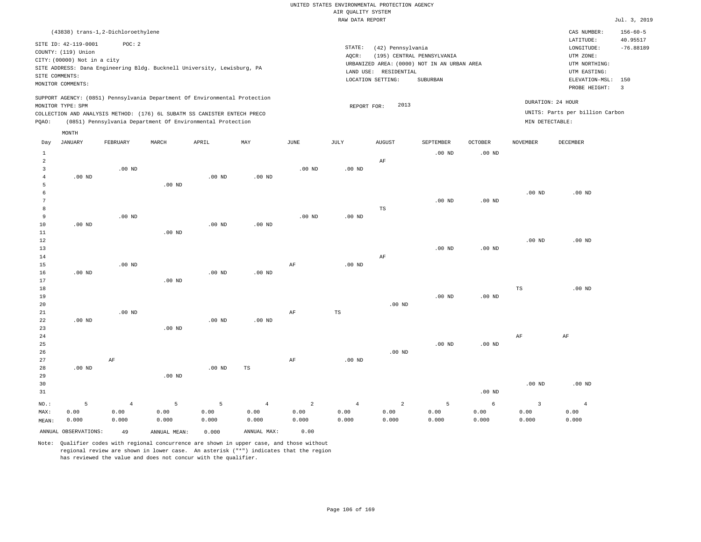|                |                             |                                                                            |          |          |          |                 | RAW DATA REPORT |                            |                                             |                |                   |                                 | Jul. 3, 2019            |
|----------------|-----------------------------|----------------------------------------------------------------------------|----------|----------|----------|-----------------|-----------------|----------------------------|---------------------------------------------|----------------|-------------------|---------------------------------|-------------------------|
|                |                             | (43838) trans-1,2-Dichloroethylene                                         |          |          |          |                 |                 |                            |                                             |                |                   | CAS NUMBER:                     | $156 - 60 - 5$          |
|                | SITE ID: 42-119-0001        | POC: 2                                                                     |          |          |          |                 |                 |                            | LATITUDE:                                   | 40.95517       |                   |                                 |                         |
|                | COUNTY: (119) Union         |                                                                            |          |          |          |                 | STATE:          | (42) Pennsylvania          | LONGITUDE:                                  | $-76.88189$    |                   |                                 |                         |
|                | CITY: (00000) Not in a city |                                                                            |          |          |          |                 | AOCR:           | (195) CENTRAL PENNSYLVANIA | UTM ZONE:                                   |                |                   |                                 |                         |
|                |                             | SITE ADDRESS: Dana Engineering Bldg. Bucknell University, Lewisburg, PA    |          |          |          |                 |                 |                            | URBANIZED AREA: (0000) NOT IN AN URBAN AREA |                |                   | UTM NORTHING:                   |                         |
|                | SITE COMMENTS:              |                                                                            |          |          |          |                 | LAND USE:       | RESIDENTIAL                |                                             |                |                   | UTM EASTING:                    |                         |
|                | MONITOR COMMENTS:           |                                                                            |          |          |          |                 |                 | LOCATION SETTING:          | SUBURBAN                                    |                |                   | ELEVATION-MSL:                  | 150                     |
|                |                             |                                                                            |          |          |          |                 |                 |                            |                                             |                |                   | PROBE HEIGHT:                   | $\overline{\mathbf{3}}$ |
|                |                             | SUPPORT AGENCY: (0851) Pennsylvania Department Of Environmental Protection |          |          |          |                 |                 |                            |                                             |                |                   | DURATION: 24 HOUR               |                         |
|                | MONITOR TYPE: SPM           |                                                                            |          |          |          |                 |                 | 2013<br>REPORT FOR:        |                                             |                |                   |                                 |                         |
|                |                             | COLLECTION AND ANALYSIS METHOD: (176) 6L SUBATM SS CANISTER ENTECH PRECO   |          |          |          |                 |                 |                            |                                             |                |                   | UNITS: Parts per billion Carbon |                         |
| POAO:          |                             | (0851) Pennsylvania Department Of Environmental Protection                 |          |          |          |                 |                 |                            |                                             |                | MIN DETECTABLE:   |                                 |                         |
|                | MONTH                       |                                                                            |          |          |          |                 |                 |                            |                                             |                |                   |                                 |                         |
| Day            | JANUARY                     | FEBRUARY                                                                   | MARCH    | APRIL    | MAY      | JUNE            | JULY            | <b>AUGUST</b>              | SEPTEMBER                                   | <b>OCTOBER</b> | <b>NOVEMBER</b>   | DECEMBER                        |                         |
|                |                             |                                                                            |          |          |          |                 |                 |                            | $.00$ ND                                    | $.00$ ND       |                   |                                 |                         |
| $\mathfrak{D}$ |                             |                                                                            |          |          |          |                 |                 | AF                         |                                             |                |                   |                                 |                         |
|                |                             | $.00$ ND                                                                   |          |          |          | $.00$ ND        | $.00$ ND        |                            |                                             |                |                   |                                 |                         |
|                | $.00$ ND                    |                                                                            |          | $.00$ ND | $.00$ ND |                 |                 |                            |                                             |                |                   |                                 |                         |
|                |                             |                                                                            | $.00$ ND |          |          |                 |                 |                            |                                             |                |                   |                                 |                         |
|                |                             |                                                                            |          |          |          |                 |                 |                            |                                             |                | .00 <sub>ND</sub> | $.00$ ND                        |                         |
|                |                             |                                                                            |          |          |          |                 |                 |                            | $.00$ ND                                    | $.00$ ND       |                   |                                 |                         |
| 8              |                             |                                                                            |          |          |          |                 |                 | TS                         |                                             |                |                   |                                 |                         |
|                |                             | 00 <sub>1</sub>                                                            |          |          |          | 00 <sub>1</sub> | 00 <sub>1</sub> |                            |                                             |                |                   |                                 |                         |

| 9           |          | .00 <sub>ND</sub> |          |          |             | $.00$ ND  | $.00$ ND    |          |          |          |          |          |
|-------------|----------|-------------------|----------|----------|-------------|-----------|-------------|----------|----------|----------|----------|----------|
| 10          | $.00$ ND |                   |          | $.00$ ND | $.00$ ND    |           |             |          |          |          |          |          |
| $11\,$      |          |                   | $.00$ ND |          |             |           |             |          |          |          |          |          |
| 12          |          |                   |          |          |             |           |             |          |          |          | $.00$ ND | $.00$ ND |
| 13          |          |                   |          |          |             |           |             |          | $.00$ ND | $.00$ ND |          |          |
| 14          |          |                   |          |          |             |           |             | $\rm AF$ |          |          |          |          |
| 15          |          | $.00$ ND          |          |          |             | AF        | .00 $ND$    |          |          |          |          |          |
| 16          | $.00$ ND |                   |          | $.00$ ND | $.00$ ND    |           |             |          |          |          |          |          |
| 17          |          |                   | $.00$ ND |          |             |           |             |          |          |          |          |          |
| 18          |          |                   |          |          |             |           |             |          |          |          | TS       | $.00$ ND |
| 19          |          |                   |          |          |             |           |             |          | $.00$ ND | $.00$ ND |          |          |
| 20          |          |                   |          |          |             |           |             | .00 $ND$ |          |          |          |          |
| $2\sqrt{1}$ |          | $.00$ ND          |          |          |             | AF        | $_{\rm TS}$ |          |          |          |          |          |
| 22          | $.00$ ND |                   |          | $.00$ ND | $.00$ ND    |           |             |          |          |          |          |          |
| 23          |          |                   | $.00$ ND |          |             |           |             |          |          |          |          |          |
| 24          |          |                   |          |          |             |           |             |          |          |          | AF       | AF       |
| $25\,$      |          |                   |          |          |             |           |             |          | $.00$ ND | $.00$ ND |          |          |
| 26          |          |                   |          |          |             |           |             | .00 $ND$ |          |          |          |          |
| 27          |          | $\rm AF$          |          |          |             | $\rm{AF}$ | .00 $ND$    |          |          |          |          |          |
| 28          | $.00$ ND |                   |          | $.00$ ND | $_{\rm TS}$ |           |             |          |          |          |          |          |
| 29          |          |                   | $.00$ ND |          |             |           |             |          |          |          |          |          |
| 30          |          |                   |          |          |             |           |             |          |          |          | $.00$ ND | $.00$ ND |
| 31          |          |                   |          |          |             |           |             |          |          | $.00$ ND |          |          |

|  |  |  |  |  | NO.: 5 4 5 5 4 2 4 2 5 6 3                                                                                                                                                                                                                                                                                                                                                       |  |
|--|--|--|--|--|----------------------------------------------------------------------------------------------------------------------------------------------------------------------------------------------------------------------------------------------------------------------------------------------------------------------------------------------------------------------------------|--|
|  |  |  |  |  | $\mathtt{MAX:}\qquad\quad 0.00\qquad \qquad 0.00\qquad \qquad 0.00\qquad \qquad 0.00\qquad \qquad 0.00\qquad \qquad 0.00\qquad \qquad 0.00\qquad \qquad 0.00\qquad \qquad 0.00\qquad \qquad 0.00\qquad \qquad 0.00\qquad \qquad 0.00\qquad \qquad 0.00\qquad \qquad 0.00\qquad \qquad 0.00\qquad \qquad 0.00\qquad \qquad 0.00\qquad \qquad 0.00\qquad \qquad 0.00\qquad \qquad$ |  |
|  |  |  |  |  | MEAN: 0.000 0.000 0.000 0.000 0.000 0.000 0.000 0.000 0.000 0.000 0.000 0.000 0.000 0.000                                                                                                                                                                                                                                                                                        |  |

ANNUAL OBSERVATIONS: 49 ANNUAL MEAN: 0.000 ANNUAL MAX: 0.00

Note: Qualifier codes with regional concurrence are shown in upper case, and those without regional review are shown in lower case. An asterisk ("\*") indicates that the region has reviewed the value and does not concur with the qualifier.

4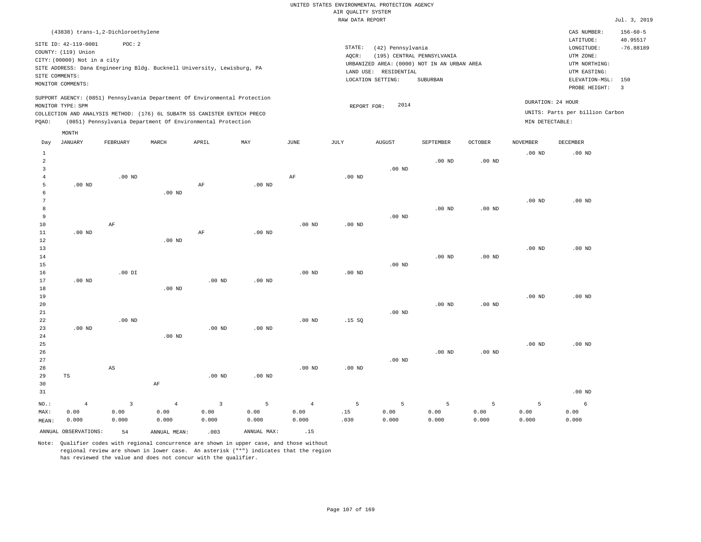RAW DATA REPORT Jul. 3, 2019 UNITED STATES ENVIRONMENTAL PROTECTION AGENCY AIR QUALITY SYSTEM

|                 | (43838) trans-1,2-Dichloroethylene          |                |                                                                            |                         |                   |                   |                                                      |                    |                            |                   |                   | CAS NUMBER:                          | $156 - 60 - 5$          |
|-----------------|---------------------------------------------|----------------|----------------------------------------------------------------------------|-------------------------|-------------------|-------------------|------------------------------------------------------|--------------------|----------------------------|-------------------|-------------------|--------------------------------------|-------------------------|
|                 | SITE ID: 42-119-0001<br>COUNTY: (119) Union | POC: 2         |                                                                            |                         |                   |                   | STATE:<br>AQCR:                                      | (42) Pennsylvania  | (195) CENTRAL PENNSYLVANIA |                   |                   | LATITUDE:<br>LONGITUDE:<br>UTM ZONE: | 40.95517<br>$-76.88189$ |
|                 | CITY: (00000) Not in a city                 |                | SITE ADDRESS: Dana Engineering Bldg. Bucknell University, Lewisburg, PA    |                         |                   |                   | URBANIZED AREA: (0000) NOT IN AN URBAN AREA          | UTM NORTHING:      |                            |                   |                   |                                      |                         |
| SITE COMMENTS:  |                                             |                |                                                                            |                         |                   |                   | LAND USE:<br>RESIDENTIAL<br>UTM EASTING:<br>SUBURBAN |                    |                            |                   |                   |                                      |                         |
|                 | MONITOR COMMENTS:                           |                |                                                                            |                         |                   |                   | LOCATION SETTING:                                    | ELEVATION-MSL: 150 |                            |                   |                   |                                      |                         |
|                 |                                             |                |                                                                            |                         |                   |                   |                                                      |                    |                            |                   |                   | PROBE HEIGHT:                        | $\overline{\mathbf{3}}$ |
|                 | MONITOR TYPE: SPM                           |                | SUPPORT AGENCY: (0851) Pennsylvania Department Of Environmental Protection |                         |                   |                   | REPORT FOR:                                          | 2014               |                            |                   | DURATION: 24 HOUR |                                      |                         |
|                 |                                             |                | COLLECTION AND ANALYSIS METHOD: (176) 6L SUBATM SS CANISTER ENTECH PRECO   |                         |                   |                   |                                                      |                    |                            |                   |                   | UNITS: Parts per billion Carbon      |                         |
| PQAO:           |                                             |                | (0851) Pennsylvania Department Of Environmental Protection                 |                         |                   |                   |                                                      |                    |                            |                   | MIN DETECTABLE:   |                                      |                         |
|                 | MONTH                                       |                |                                                                            |                         |                   |                   |                                                      |                    |                            |                   |                   |                                      |                         |
| Day             | <b>JANUARY</b>                              | FEBRUARY       | MARCH                                                                      | APRIL                   | MAX               | JUNE              | $\mathtt{JULY}$                                      | <b>AUGUST</b>      | SEPTEMBER                  | <b>OCTOBER</b>    | <b>NOVEMBER</b>   | <b>DECEMBER</b>                      |                         |
| $\mathbf{1}$    |                                             |                |                                                                            |                         |                   |                   |                                                      |                    |                            |                   | .00 <sub>ND</sub> | $.00$ ND                             |                         |
| $\overline{a}$  |                                             |                |                                                                            |                         |                   |                   |                                                      |                    | $.00$ ND                   | $.00$ ND          |                   |                                      |                         |
| $\overline{3}$  |                                             |                |                                                                            |                         |                   |                   |                                                      | .00 <sub>ND</sub>  |                            |                   |                   |                                      |                         |
| $\overline{4}$  |                                             | $.00$ ND       |                                                                            |                         |                   | AF                | $.00$ ND                                             |                    |                            |                   |                   |                                      |                         |
| 5               | $.00$ ND                                    |                |                                                                            | AF                      | $.00$ ND          |                   |                                                      |                    |                            |                   |                   |                                      |                         |
| 6               |                                             |                | $.00$ ND                                                                   |                         |                   |                   |                                                      |                    |                            |                   |                   |                                      |                         |
| $7\phantom{.0}$ |                                             |                |                                                                            |                         |                   |                   |                                                      |                    |                            |                   | .00 <sub>ND</sub> | $.00$ ND                             |                         |
| 8               |                                             |                |                                                                            |                         |                   |                   |                                                      |                    | .00 <sub>ND</sub>          | $.00$ ND          |                   |                                      |                         |
| 9               |                                             |                |                                                                            |                         |                   |                   |                                                      | $.00$ ND           |                            |                   |                   |                                      |                         |
| 10              |                                             | AF             |                                                                            |                         |                   | .00 <sub>ND</sub> | $.00$ ND                                             |                    |                            |                   |                   |                                      |                         |
| 11              | $.00$ ND                                    |                |                                                                            | AF                      | $.00$ ND          |                   |                                                      |                    |                            |                   |                   |                                      |                         |
| 12              |                                             |                | $.00$ ND                                                                   |                         |                   |                   |                                                      |                    |                            |                   |                   |                                      |                         |
| 13<br>14        |                                             |                |                                                                            |                         |                   |                   |                                                      |                    | $.00$ ND                   | $.00$ ND          | $.00$ ND          | $.00$ ND                             |                         |
| 15              |                                             |                |                                                                            |                         |                   |                   |                                                      | $.00$ ND           |                            |                   |                   |                                      |                         |
| 16              |                                             | $.00$ DI       |                                                                            |                         |                   | .00 <sub>ND</sub> | $.00$ ND                                             |                    |                            |                   |                   |                                      |                         |
| 17              | $.00$ ND                                    |                |                                                                            | $.00$ ND                | $.00$ ND          |                   |                                                      |                    |                            |                   |                   |                                      |                         |
| 18              |                                             |                | $.00$ ND                                                                   |                         |                   |                   |                                                      |                    |                            |                   |                   |                                      |                         |
| 19              |                                             |                |                                                                            |                         |                   |                   |                                                      |                    |                            |                   | $.00$ ND          | $.00$ ND                             |                         |
| 20              |                                             |                |                                                                            |                         |                   |                   |                                                      |                    | $.00$ ND                   | $.00$ ND          |                   |                                      |                         |
| 21              |                                             |                |                                                                            |                         |                   |                   |                                                      | $.00$ ND           |                            |                   |                   |                                      |                         |
| 22              |                                             | $.00$ ND       |                                                                            |                         |                   | $.00$ ND          | .15S                                                 |                    |                            |                   |                   |                                      |                         |
| 23              | $.00$ ND                                    |                |                                                                            | $.00$ ND                | $.00$ ND          |                   |                                                      |                    |                            |                   |                   |                                      |                         |
| 24              |                                             |                | $.00$ ND                                                                   |                         |                   |                   |                                                      |                    |                            |                   |                   |                                      |                         |
| 25              |                                             |                |                                                                            |                         |                   |                   |                                                      |                    |                            |                   | $.00$ ND          | $.00$ ND                             |                         |
| 26              |                                             |                |                                                                            |                         |                   |                   |                                                      |                    | $.00$ ND                   | .00 <sub>ND</sub> |                   |                                      |                         |
| 27<br>28        |                                             | AS             |                                                                            |                         |                   | .00 <sub>ND</sub> | .00 <sub>ND</sub>                                    | $.00$ ND           |                            |                   |                   |                                      |                         |
| 29              | TS                                          |                |                                                                            | $.00$ ND                | .00 <sub>ND</sub> |                   |                                                      |                    |                            |                   |                   |                                      |                         |
| 30              |                                             |                | AF                                                                         |                         |                   |                   |                                                      |                    |                            |                   |                   |                                      |                         |
| 31              |                                             |                |                                                                            |                         |                   |                   |                                                      |                    |                            |                   |                   | $.00$ ND                             |                         |
|                 |                                             |                |                                                                            |                         |                   |                   |                                                      |                    |                            |                   |                   |                                      |                         |
| $NO.$ :         | $\overline{4}$                              | $\overline{3}$ | $\overline{4}$                                                             | $\overline{\mathbf{3}}$ | 5                 | $\overline{4}$    | 5                                                    | 5                  | 5                          | 5                 | 5                 | 6                                    |                         |
| MAX:            | 0.00                                        | 0.00           | 0.00                                                                       | 0.00                    | 0.00              | 0.00              | .15                                                  | 0.00               | 0.00                       | 0.00              | 0.00              | 0.00                                 |                         |
| MEAN:           | 0.000                                       | 0.000          | 0.000                                                                      | 0.000                   | 0.000             | 0.000             | .030                                                 | 0.000              | 0.000                      | 0.000             | 0.000             | 0.000                                |                         |
|                 | ANNUAL OBSERVATIONS:                        | 54             | ANNUAL MEAN:                                                               | .003                    | ANNUAL MAX:       | .15               |                                                      |                    |                            |                   |                   |                                      |                         |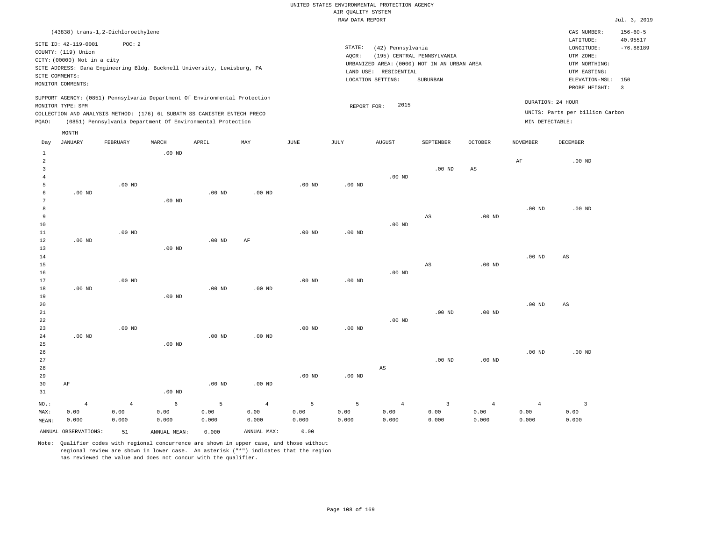|                |                                     |                |                                                                            |                   |                |             | RAW DATA REPORT   |                        |                                             |                   |                   |                                 | Jul. 3, 2019            |
|----------------|-------------------------------------|----------------|----------------------------------------------------------------------------|-------------------|----------------|-------------|-------------------|------------------------|---------------------------------------------|-------------------|-------------------|---------------------------------|-------------------------|
|                | (43838) trans-1,2-Dichloroethylene  |                |                                                                            |                   |                |             |                   |                        |                                             |                   |                   | CAS NUMBER:                     | $156 - 60 - 5$          |
|                | SITE ID: 42-119-0001                | POC: 2         |                                                                            |                   |                |             | STATE:            | (42) Pennsylvania      |                                             |                   |                   | LATITUDE:<br>LONGITUDE:         | 40.95517<br>$-76.88189$ |
|                | COUNTY: (119) Union                 |                |                                                                            |                   |                |             | AQCR:             |                        | (195) CENTRAL PENNSYLVANIA                  |                   |                   | UTM ZONE:                       |                         |
|                | CITY: (00000) Not in a city         |                |                                                                            |                   |                |             |                   |                        | URBANIZED AREA: (0000) NOT IN AN URBAN AREA |                   |                   | UTM NORTHING:                   |                         |
|                |                                     |                | SITE ADDRESS: Dana Engineering Bldg. Bucknell University, Lewisburg, PA    |                   |                |             |                   | LAND USE: RESIDENTIAL  |                                             |                   |                   | UTM EASTING:                    |                         |
|                | SITE COMMENTS:<br>MONITOR COMMENTS: |                |                                                                            |                   |                |             |                   | LOCATION SETTING:      | SUBURBAN                                    |                   |                   | ELEVATION-MSL: 150              |                         |
|                |                                     |                |                                                                            |                   |                |             |                   |                        |                                             |                   |                   | PROBE HEIGHT:                   | $\overline{3}$          |
|                |                                     |                | SUPPORT AGENCY: (0851) Pennsylvania Department Of Environmental Protection |                   |                |             |                   | 2015                   |                                             |                   |                   | DURATION: 24 HOUR               |                         |
|                | MONITOR TYPE: SPM                   |                | COLLECTION AND ANALYSIS METHOD: (176) 6L SUBATM SS CANISTER ENTECH PRECO   |                   |                |             | REPORT FOR:       |                        |                                             |                   |                   | UNITS: Parts per billion Carbon |                         |
| PQAO:          |                                     |                | (0851) Pennsylvania Department Of Environmental Protection                 |                   |                |             |                   |                        |                                             |                   | MIN DETECTABLE:   |                                 |                         |
|                | MONTH                               |                |                                                                            |                   |                |             |                   |                        |                                             |                   |                   |                                 |                         |
| Day            | JANUARY                             | FEBRUARY       | MARCH                                                                      | APRIL             | MAY            | <b>JUNE</b> | JULY              | <b>AUGUST</b>          | SEPTEMBER                                   | OCTOBER           | <b>NOVEMBER</b>   | DECEMBER                        |                         |
| $\mathbf{1}$   |                                     |                | $.00$ ND                                                                   |                   |                |             |                   |                        |                                             |                   |                   |                                 |                         |
| $\overline{a}$ |                                     |                |                                                                            |                   |                |             |                   |                        |                                             |                   | $\rm AF$          | $.00$ ND                        |                         |
| 3              |                                     |                |                                                                            |                   |                |             |                   |                        | $.00$ ND                                    | AS                |                   |                                 |                         |
| $\overline{4}$ |                                     |                |                                                                            |                   |                |             |                   | $.00$ ND               |                                             |                   |                   |                                 |                         |
| 5              |                                     | $.00$ ND       |                                                                            |                   |                | $.00$ ND    | .00 <sub>ND</sub> |                        |                                             |                   |                   |                                 |                         |
| 6              | $.00$ ND                            |                |                                                                            | .00 <sub>ND</sub> | $.00$ ND       |             |                   |                        |                                             |                   |                   |                                 |                         |
| 7              |                                     |                | $.00$ ND                                                                   |                   |                |             |                   |                        |                                             |                   |                   |                                 |                         |
| 8              |                                     |                |                                                                            |                   |                |             |                   |                        |                                             |                   | $.00$ ND          | $.00$ ND                        |                         |
| 9              |                                     |                |                                                                            |                   |                |             |                   |                        | $_{\rm AS}$                                 | .00 <sub>ND</sub> |                   |                                 |                         |
| 10             |                                     |                |                                                                            |                   |                |             |                   | $.00$ ND               |                                             |                   |                   |                                 |                         |
| 11             |                                     | $.00$ ND       |                                                                            |                   |                | $.00$ ND    | .00 <sub>ND</sub> |                        |                                             |                   |                   |                                 |                         |
| 12<br>13       | .00 <sub>ND</sub>                   |                | $.00$ ND                                                                   | .00 <sub>ND</sub> | AF             |             |                   |                        |                                             |                   |                   |                                 |                         |
| 14             |                                     |                |                                                                            |                   |                |             |                   |                        |                                             |                   | $.00$ ND          | AS                              |                         |
| 15             |                                     |                |                                                                            |                   |                |             |                   |                        | $_{\rm AS}$                                 | .00 <sub>ND</sub> |                   |                                 |                         |
| 16             |                                     |                |                                                                            |                   |                |             |                   | $.00$ ND               |                                             |                   |                   |                                 |                         |
| 17             |                                     | $.00$ ND       |                                                                            |                   |                | $.00$ ND    | .00 <sub>ND</sub> |                        |                                             |                   |                   |                                 |                         |
| 18             | $.00$ ND                            |                |                                                                            | .00 <sub>ND</sub> | $.00$ ND       |             |                   |                        |                                             |                   |                   |                                 |                         |
| 19             |                                     |                | $.00$ ND                                                                   |                   |                |             |                   |                        |                                             |                   |                   |                                 |                         |
| 20             |                                     |                |                                                                            |                   |                |             |                   |                        |                                             |                   | .00 <sub>ND</sub> | AS                              |                         |
| 21             |                                     |                |                                                                            |                   |                |             |                   |                        | $.00$ ND                                    | .00 <sub>ND</sub> |                   |                                 |                         |
| 22             |                                     |                |                                                                            |                   |                |             |                   | $.00$ ND               |                                             |                   |                   |                                 |                         |
| 23             |                                     | $.00$ ND       |                                                                            |                   |                | .00 $ND$    | .00 <sub>ND</sub> |                        |                                             |                   |                   |                                 |                         |
| 24             | $.00$ ND                            |                | $.00$ ND                                                                   | $.00$ ND          | $.00$ ND       |             |                   |                        |                                             |                   |                   |                                 |                         |
| 25<br>26       |                                     |                |                                                                            |                   |                |             |                   |                        |                                             |                   | .00 <sub>ND</sub> | $.00$ ND                        |                         |
| 27             |                                     |                |                                                                            |                   |                |             |                   |                        | $.00$ ND                                    | $.00$ ND          |                   |                                 |                         |
| 28             |                                     |                |                                                                            |                   |                |             |                   | $\mathbb{A}\mathbb{S}$ |                                             |                   |                   |                                 |                         |
| 29             |                                     |                |                                                                            |                   |                | $.00$ ND    | .00 <sub>ND</sub> |                        |                                             |                   |                   |                                 |                         |
| 30             | AF                                  |                |                                                                            | $.00$ ND          | $.00$ ND       |             |                   |                        |                                             |                   |                   |                                 |                         |
| 31             |                                     |                | .00 <sub>ND</sub>                                                          |                   |                |             |                   |                        |                                             |                   |                   |                                 |                         |
| NO.:           | $\overline{4}$                      | $\overline{4}$ | $\epsilon$                                                                 | 5                 | $\overline{4}$ | 5           | 5                 | $\overline{4}$         | $\overline{\mathbf{3}}$                     | $\overline{4}$    | $\overline{4}$    | $\overline{\mathbf{3}}$         |                         |
| MAX:           | 0.00                                | 0.00           | 0.00                                                                       | 0.00              | 0.00           | 0.00        | 0.00              | 0.00                   | 0.00                                        | 0.00              | 0.00              | 0.00                            |                         |
| MEAN:          | 0.000                               | 0.000          | 0.000                                                                      | 0.000             | 0.000          | 0.000       | 0.000             | 0.000                  | 0.000                                       | 0.000             | 0.000             | 0.000                           |                         |
|                | ANNUAL OBSERVATIONS:                | 51             | ANNUAL MEAN:                                                               | 0.000             | ANNUAL MAX:    | 0.00        |                   |                        |                                             |                   |                   |                                 |                         |
|                |                                     |                |                                                                            |                   |                |             |                   |                        |                                             |                   |                   |                                 |                         |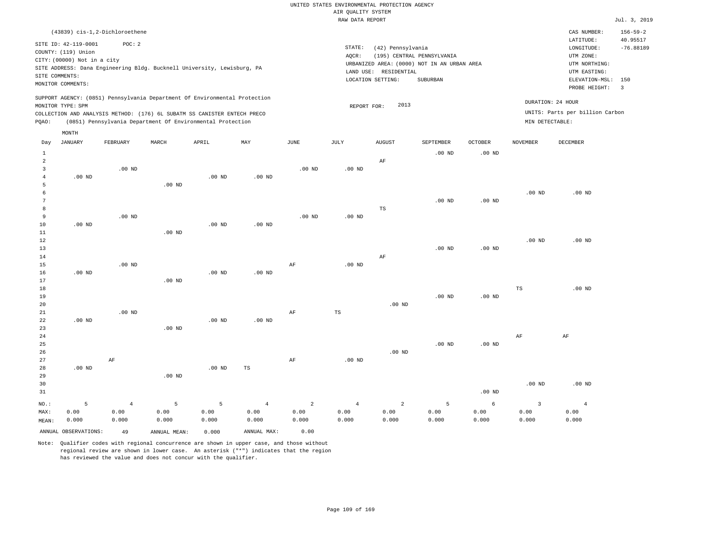|                |                             |                                                                                                                                        |                   |          |                   |                | RAW DATA REPORT   |                       |                                             |                   |                   |                                 | Jul. 3, 2019   |
|----------------|-----------------------------|----------------------------------------------------------------------------------------------------------------------------------------|-------------------|----------|-------------------|----------------|-------------------|-----------------------|---------------------------------------------|-------------------|-------------------|---------------------------------|----------------|
|                |                             | (43839) cis-1,2-Dichloroethene                                                                                                         |                   |          |                   |                |                   |                       |                                             |                   |                   | CAS NUMBER:                     | $156 - 59 - 2$ |
|                | SITE ID: 42-119-0001        | POC: 2                                                                                                                                 |                   |          |                   |                |                   |                       |                                             |                   |                   | LATITUDE:                       | 40.95517       |
|                | COUNTY: (119) Union         |                                                                                                                                        |                   |          |                   |                | STATE:            | (42) Pennsylvania     |                                             |                   |                   | LONGITUDE:                      | $-76.88189$    |
|                | CITY: (00000) Not in a city |                                                                                                                                        |                   |          |                   |                | AOCR:             |                       | (195) CENTRAL PENNSYLVANIA                  |                   |                   | UTM ZONE:                       |                |
|                |                             | SITE ADDRESS: Dana Engineering Bldg. Bucknell University, Lewisburg, PA                                                                |                   |          |                   |                |                   |                       | URBANIZED AREA: (0000) NOT IN AN URBAN AREA |                   |                   | UTM NORTHING:                   |                |
|                | SITE COMMENTS:              |                                                                                                                                        |                   |          |                   |                |                   | LAND USE: RESIDENTIAL |                                             |                   |                   | UTM EASTING:                    |                |
|                | MONITOR COMMENTS:           |                                                                                                                                        |                   |          |                   |                |                   | LOCATION SETTING:     | SUBURBAN                                    |                   |                   | ELEVATION-MSL:                  | 150            |
|                |                             |                                                                                                                                        |                   |          |                   |                |                   |                       |                                             |                   |                   | PROBE HEIGHT:                   | $\overline{3}$ |
|                |                             | SUPPORT AGENCY: (0851) Pennsylvania Department Of Environmental Protection                                                             |                   |          |                   |                |                   |                       |                                             |                   |                   | DURATION: 24 HOUR               |                |
|                | MONITOR TYPE: SPM           |                                                                                                                                        |                   |          |                   |                | REPORT FOR:       | 2013                  |                                             |                   |                   | UNITS: Parts per billion Carbon |                |
| PQAO:          |                             | COLLECTION AND ANALYSIS METHOD: (176) 6L SUBATM SS CANISTER ENTECH PRECO<br>(0851) Pennsylvania Department Of Environmental Protection |                   |          |                   |                |                   |                       |                                             |                   | MIN DETECTABLE:   |                                 |                |
|                | MONTH                       |                                                                                                                                        |                   |          |                   |                |                   |                       |                                             |                   |                   |                                 |                |
| Day            | <b>JANUARY</b>              | FEBRUARY                                                                                                                               | MARCH             | APRIL    | MAY               | JUNE           | JULY              | <b>AUGUST</b>         | <b>SEPTEMBER</b>                            | <b>OCTOBER</b>    | <b>NOVEMBER</b>   | <b>DECEMBER</b>                 |                |
| $\mathbf{1}$   |                             |                                                                                                                                        |                   |          |                   |                |                   |                       | $.00$ ND                                    | .00 <sub>ND</sub> |                   |                                 |                |
| $\overline{a}$ |                             |                                                                                                                                        |                   |          |                   |                |                   | $\rm AF$              |                                             |                   |                   |                                 |                |
| $\overline{3}$ |                             | $.00$ ND                                                                                                                               |                   |          |                   | $.00$ ND       | .00 <sub>ND</sub> |                       |                                             |                   |                   |                                 |                |
| $\overline{4}$ | $.00$ ND                    |                                                                                                                                        |                   | $.00$ ND | .00 <sub>ND</sub> |                |                   |                       |                                             |                   |                   |                                 |                |
| 5              |                             |                                                                                                                                        | .00 <sub>ND</sub> |          |                   |                |                   |                       |                                             |                   |                   |                                 |                |
| 6              |                             |                                                                                                                                        |                   |          |                   |                |                   |                       |                                             |                   | .00 <sub>ND</sub> | $.00$ ND                        |                |
| 7              |                             |                                                                                                                                        |                   |          |                   |                |                   |                       | $.00$ ND                                    | $.00$ ND          |                   |                                 |                |
| 8<br>9         |                             | $.00$ ND                                                                                                                               |                   |          |                   | $.00$ ND       | $.00$ ND          | $_{\rm TS}$           |                                             |                   |                   |                                 |                |
| 10             | $.00$ ND                    |                                                                                                                                        |                   | $.00$ ND | $.00$ ND          |                |                   |                       |                                             |                   |                   |                                 |                |
| 11             |                             |                                                                                                                                        | $.00$ ND          |          |                   |                |                   |                       |                                             |                   |                   |                                 |                |
| 12             |                             |                                                                                                                                        |                   |          |                   |                |                   |                       |                                             |                   | .00 <sub>ND</sub> | $.00$ ND                        |                |
| 13             |                             |                                                                                                                                        |                   |          |                   |                |                   |                       | $.00$ ND                                    | .00 <sub>ND</sub> |                   |                                 |                |
| 14             |                             |                                                                                                                                        |                   |          |                   |                |                   | AF                    |                                             |                   |                   |                                 |                |
| 15             |                             | $.00$ ND                                                                                                                               |                   |          |                   | $\rm{AF}$      | .00 <sub>ND</sub> |                       |                                             |                   |                   |                                 |                |
| 16             | $.00$ ND                    |                                                                                                                                        |                   | $.00$ ND | $.00$ ND          |                |                   |                       |                                             |                   |                   |                                 |                |
| 17             |                             |                                                                                                                                        | $.00$ ND          |          |                   |                |                   |                       |                                             |                   |                   |                                 |                |
| 18             |                             |                                                                                                                                        |                   |          |                   |                |                   |                       | $.00$ ND                                    |                   | $_{\rm TS}$       | $.00$ ND                        |                |
| 19<br>20       |                             |                                                                                                                                        |                   |          |                   |                |                   | $.00$ ND              |                                             | $.00$ ND          |                   |                                 |                |
| 21             |                             | .00 <sub>ND</sub>                                                                                                                      |                   |          |                   | AF             | TS                |                       |                                             |                   |                   |                                 |                |
| 22             | $.00$ ND                    |                                                                                                                                        |                   | $.00$ ND | $.00$ ND          |                |                   |                       |                                             |                   |                   |                                 |                |
| 23             |                             |                                                                                                                                        | $.00$ ND          |          |                   |                |                   |                       |                                             |                   |                   |                                 |                |
| 24             |                             |                                                                                                                                        |                   |          |                   |                |                   |                       |                                             |                   | AF                | AF                              |                |
| 25             |                             |                                                                                                                                        |                   |          |                   |                |                   |                       | $.00$ ND                                    | .00 <sub>ND</sub> |                   |                                 |                |
| 26             |                             |                                                                                                                                        |                   |          |                   |                |                   | $.00$ ND              |                                             |                   |                   |                                 |                |
| 27             |                             | AF                                                                                                                                     |                   |          |                   | AF             | $.00$ ND          |                       |                                             |                   |                   |                                 |                |
| 28             | $.00$ ND                    |                                                                                                                                        |                   | $.00$ ND | TS                |                |                   |                       |                                             |                   |                   |                                 |                |
| 29             |                             |                                                                                                                                        | $.00$ ND          |          |                   |                |                   |                       |                                             |                   |                   |                                 |                |
| 30<br>31       |                             |                                                                                                                                        |                   |          |                   |                |                   |                       |                                             | .00 <sub>ND</sub> | .00 <sub>ND</sub> | $.00$ ND                        |                |
|                |                             |                                                                                                                                        |                   |          |                   |                |                   |                       |                                             |                   |                   |                                 |                |
| $NO.$ :        | 5                           | $\overline{4}$                                                                                                                         | 5                 | 5        | $\overline{4}$    | $\overline{a}$ | $\overline{4}$    | $\overline{a}$        | 5                                           | 6                 | $\overline{3}$    | $\overline{4}$                  |                |
| MAX:           | 0.00                        | 0.00                                                                                                                                   | 0.00              | 0.00     | 0.00              | 0.00           | 0.00              | 0.00                  | 0.00                                        | 0.00              | 0.00              | 0.00                            |                |

ANNUAL OBSERVATIONS: 49 ANNUAL MEAN: 0.000 ANNUAL MAX: 0.00 Note: Qualifier codes with regional concurrence are shown in upper case, and those without

0.000

0.000

0.000

regional review are shown in lower case. An asterisk ("\*") indicates that the region

has reviewed the value and does not concur with the qualifier.

0.000

MEAN:

0.000

0.000

0.000

0.000

0.000

0.000

0.000

0.000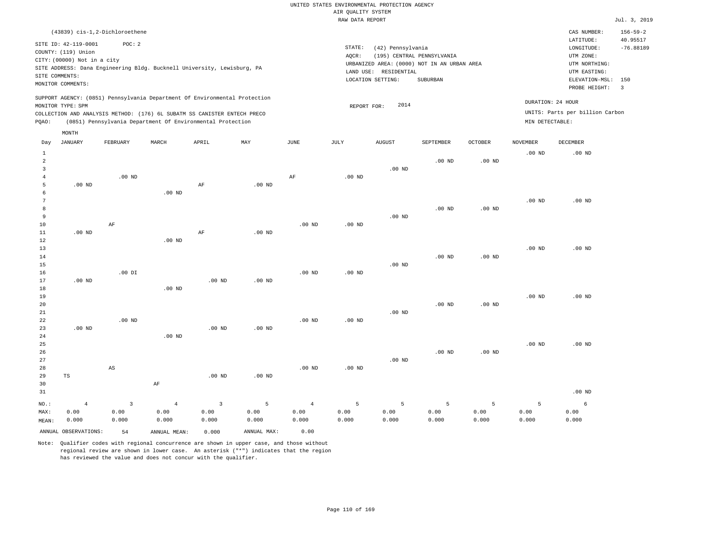|                |                                |                        |                                                                            |                |             |                   | RAW DATA REPORT   |                       |                                             |                   |                   |                                 | Jul. 3, 2019            |
|----------------|--------------------------------|------------------------|----------------------------------------------------------------------------|----------------|-------------|-------------------|-------------------|-----------------------|---------------------------------------------|-------------------|-------------------|---------------------------------|-------------------------|
|                | (43839) cis-1,2-Dichloroethene |                        |                                                                            |                |             |                   |                   |                       |                                             |                   |                   | CAS NUMBER:                     | $156 - 59 - 2$          |
|                | SITE ID: 42-119-0001           | POC: 2                 |                                                                            |                |             |                   | STATE:            | (42) Pennsylvania     |                                             |                   |                   | LATITUDE:<br>LONGITUDE:         | 40.95517<br>$-76.88189$ |
|                | COUNTY: (119) Union            |                        |                                                                            |                |             |                   | AOCR:             |                       | (195) CENTRAL PENNSYLVANIA                  |                   |                   | UTM ZONE:                       |                         |
|                | CITY: (00000) Not in a city    |                        |                                                                            |                |             |                   |                   |                       | URBANIZED AREA: (0000) NOT IN AN URBAN AREA |                   |                   | UTM NORTHING:                   |                         |
|                |                                |                        | SITE ADDRESS: Dana Engineering Bldg. Bucknell University, Lewisburg, PA    |                |             |                   |                   | LAND USE: RESIDENTIAL |                                             |                   |                   | UTM EASTING:                    |                         |
|                | SITE COMMENTS:                 |                        |                                                                            |                |             |                   |                   | LOCATION SETTING:     | SUBURBAN                                    |                   |                   | ELEVATION-MSL:                  | 150                     |
|                | MONITOR COMMENTS:              |                        |                                                                            |                |             |                   |                   |                       |                                             |                   |                   | PROBE HEIGHT:                   | $\overline{\mathbf{3}}$ |
|                | MONITOR TYPE: SPM              |                        | SUPPORT AGENCY: (0851) Pennsylvania Department Of Environmental Protection |                |             |                   | REPORT FOR:       | 2014                  |                                             |                   |                   | DURATION: 24 HOUR               |                         |
|                |                                |                        | COLLECTION AND ANALYSIS METHOD: (176) 6L SUBATM SS CANISTER ENTECH PRECO   |                |             |                   |                   |                       |                                             |                   |                   | UNITS: Parts per billion Carbon |                         |
| PQAO:          |                                |                        | (0851) Pennsylvania Department Of Environmental Protection                 |                |             |                   |                   |                       |                                             |                   | MIN DETECTABLE:   |                                 |                         |
|                | MONTH                          |                        |                                                                            |                |             |                   |                   |                       |                                             |                   |                   |                                 |                         |
| Day            | JANUARY                        | FEBRUARY               | MARCH                                                                      | APRIL          | MAY         | JUNE              | JULY              | AUGUST                | SEPTEMBER                                   | <b>OCTOBER</b>    | NOVEMBER          | <b>DECEMBER</b>                 |                         |
| $\,$ 1         |                                |                        |                                                                            |                |             |                   |                   |                       |                                             |                   | .00 <sub>ND</sub> | $.00$ ND                        |                         |
| $\overline{2}$ |                                |                        |                                                                            |                |             |                   |                   |                       | .00 <sub>ND</sub>                           | $.00$ ND          |                   |                                 |                         |
| $\overline{3}$ |                                |                        |                                                                            |                |             |                   |                   | $.00$ ND              |                                             |                   |                   |                                 |                         |
| $\bf 4$        |                                | $.00$ ND               |                                                                            |                |             | $\rm{AF}$         | $.00$ ND          |                       |                                             |                   |                   |                                 |                         |
| 5              | $.00$ ND                       |                        |                                                                            | AF             | $.00$ ND    |                   |                   |                       |                                             |                   |                   |                                 |                         |
| 6              |                                |                        | $.00$ ND                                                                   |                |             |                   |                   |                       |                                             |                   |                   |                                 |                         |
| 7<br>8         |                                |                        |                                                                            |                |             |                   |                   |                       | $.00$ ND                                    | .00 <sub>ND</sub> | .00 <sub>ND</sub> | .00 <sub>ND</sub>               |                         |
| 9              |                                |                        |                                                                            |                |             |                   |                   | $.00$ ND              |                                             |                   |                   |                                 |                         |
| $10$           |                                | $\rm AF$               |                                                                            |                |             | .00 <sub>ND</sub> | .00 <sub>ND</sub> |                       |                                             |                   |                   |                                 |                         |
| $11\,$         | $.00$ ND                       |                        |                                                                            | $\rm AF$       | $.00$ ND    |                   |                   |                       |                                             |                   |                   |                                 |                         |
| 12             |                                |                        | $.00$ ND                                                                   |                |             |                   |                   |                       |                                             |                   |                   |                                 |                         |
| 13             |                                |                        |                                                                            |                |             |                   |                   |                       |                                             |                   | .00 <sub>ND</sub> | .00 <sub>ND</sub>               |                         |
| 14             |                                |                        |                                                                            |                |             |                   |                   |                       | $.00$ ND                                    | .00 <sub>ND</sub> |                   |                                 |                         |
| 15             |                                |                        |                                                                            |                |             |                   |                   | $.00$ ND              |                                             |                   |                   |                                 |                         |
| 16             |                                | $.00$ DI               |                                                                            |                |             | .00 <sub>ND</sub> | .00 <sub>ND</sub> |                       |                                             |                   |                   |                                 |                         |
| 17             | $.00$ ND                       |                        |                                                                            | $.00$ ND       | $.00$ ND    |                   |                   |                       |                                             |                   |                   |                                 |                         |
| 18             |                                |                        | $.00$ ND                                                                   |                |             |                   |                   |                       |                                             |                   |                   |                                 |                         |
| 19             |                                |                        |                                                                            |                |             |                   |                   |                       |                                             |                   | .00 <sub>ND</sub> | $.00$ ND                        |                         |
| 20             |                                |                        |                                                                            |                |             |                   |                   |                       | $.00$ ND                                    | .00 <sub>ND</sub> |                   |                                 |                         |
| 21             |                                |                        |                                                                            |                |             |                   |                   | $.00$ ND              |                                             |                   |                   |                                 |                         |
| 22             |                                | $.00$ ND               |                                                                            |                |             | $.00$ ND          | $.00$ ND          |                       |                                             |                   |                   |                                 |                         |
| 23             | $.00$ ND                       |                        |                                                                            | $.00$ ND       | $.00$ ND    |                   |                   |                       |                                             |                   |                   |                                 |                         |
| 24             |                                |                        | $.00$ ND                                                                   |                |             |                   |                   |                       |                                             |                   |                   |                                 |                         |
| 25             |                                |                        |                                                                            |                |             |                   |                   |                       |                                             |                   | .00 <sub>ND</sub> | $.00$ ND                        |                         |
| 26             |                                |                        |                                                                            |                |             |                   |                   |                       | $.00$ ND                                    | $.00$ ND          |                   |                                 |                         |
| 27             |                                |                        |                                                                            |                |             |                   |                   | $.00$ ND              |                                             |                   |                   |                                 |                         |
| 28             |                                | $\mathbb{A}\mathbb{S}$ |                                                                            |                |             | $.00$ ND          | $.00$ ND          |                       |                                             |                   |                   |                                 |                         |
| 29             | TS                             |                        |                                                                            | $.00$ ND       | $.00$ ND    |                   |                   |                       |                                             |                   |                   |                                 |                         |
| 30             |                                |                        | $\rm AF$                                                                   |                |             |                   |                   |                       |                                             |                   |                   |                                 |                         |
| 31             |                                |                        |                                                                            |                |             |                   |                   |                       |                                             |                   |                   | $.00$ ND                        |                         |
| NO.:           | $\overline{4}$                 | $\overline{3}$         | $\overline{4}$                                                             | $\overline{3}$ | 5           | $\overline{4}$    | 5                 | 5                     | 5                                           | 5                 | 5                 | 6                               |                         |
| MAX:           | 0.00                           | 0.00                   | 0.00                                                                       | 0.00           | 0.00        | 0.00              | 0.00              | 0.00                  | 0.00                                        | 0.00              | 0.00              | 0.00                            |                         |
| MEAN:          | 0.000                          | 0.000                  | 0.000                                                                      | 0.000          | 0.000       | 0.000             | 0.000             | 0.000                 | 0.000                                       | 0.000             | 0.000             | 0.000                           |                         |
|                | ANNUAL OBSERVATIONS:           | 54                     | ANNUAL MEAN:                                                               | 0.000          | ANNUAL MAX: | 0.00              |                   |                       |                                             |                   |                   |                                 |                         |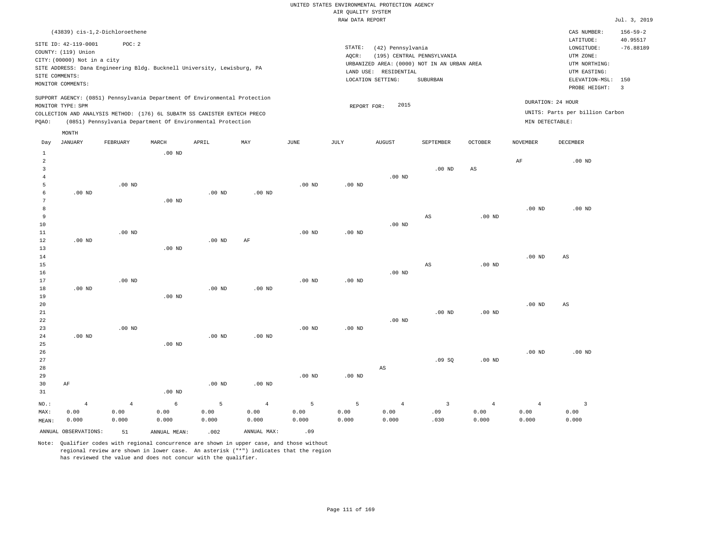|                 |                             |                                                                            |                    |                   |                    |             | RAW DATA REPORT   |                                             |                                |                        |                        |                                 | Jul. 3, 2019   |
|-----------------|-----------------------------|----------------------------------------------------------------------------|--------------------|-------------------|--------------------|-------------|-------------------|---------------------------------------------|--------------------------------|------------------------|------------------------|---------------------------------|----------------|
|                 |                             | (43839) cis-1,2-Dichloroethene                                             |                    |                   |                    |             |                   |                                             |                                |                        |                        | CAS NUMBER:                     | $156 - 59 - 2$ |
|                 | SITE ID: 42-119-0001        | POC: 2                                                                     |                    |                   |                    |             |                   |                                             |                                |                        |                        | LATITUDE:                       | 40.95517       |
|                 | COUNTY: (119) Union         |                                                                            |                    |                   |                    |             | STATE:            | (42) Pennsylvania                           |                                |                        |                        | LONGITUDE:                      | $-76.88189$    |
|                 | CITY: (00000) Not in a city |                                                                            |                    |                   |                    |             | AQCR:             |                                             | (195) CENTRAL PENNSYLVANIA     |                        |                        | UTM ZONE:                       |                |
|                 |                             | SITE ADDRESS: Dana Engineering Bldg. Bucknell University, Lewisburg, PA    |                    |                   |                    |             |                   | URBANIZED AREA: (0000) NOT IN AN URBAN AREA |                                |                        |                        | UTM NORTHING:                   |                |
|                 | SITE COMMENTS:              |                                                                            |                    |                   |                    |             | LAND USE:         | RESIDENTIAL                                 |                                |                        |                        | UTM EASTING:                    |                |
|                 | MONITOR COMMENTS:           |                                                                            |                    |                   |                    |             |                   | LOCATION SETTING:                           | SUBURBAN                       |                        |                        | ELEVATION-MSL:                  | 150            |
|                 |                             |                                                                            |                    |                   |                    |             |                   |                                             |                                |                        |                        | PROBE HEIGHT:                   | $\overline{3}$ |
|                 |                             | SUPPORT AGENCY: (0851) Pennsylvania Department Of Environmental Protection |                    |                   |                    |             |                   |                                             |                                |                        |                        | DURATION: 24 HOUR               |                |
|                 | MONITOR TYPE: SPM           |                                                                            |                    |                   |                    |             | REPORT FOR:       | 2015                                        |                                |                        |                        |                                 |                |
|                 |                             | COLLECTION AND ANALYSIS METHOD: (176) 6L SUBATM SS CANISTER ENTECH PRECO   |                    |                   |                    |             |                   |                                             |                                |                        |                        | UNITS: Parts per billion Carbon |                |
| PQAO:           |                             | (0851) Pennsylvania Department Of Environmental Protection                 |                    |                   |                    |             |                   |                                             |                                |                        | MIN DETECTABLE:        |                                 |                |
|                 | MONTH                       |                                                                            |                    |                   |                    |             |                   |                                             |                                |                        |                        |                                 |                |
| Day             | <b>JANUARY</b>              | FEBRUARY                                                                   | MARCH              | APRIL             | MAY                | <b>JUNE</b> | JULY              | <b>AUGUST</b>                               | SEPTEMBER                      | <b>OCTOBER</b>         | <b>NOVEMBER</b>        | DECEMBER                        |                |
| $\mathbf{1}$    |                             |                                                                            | $.00$ ND           |                   |                    |             |                   |                                             |                                |                        |                        |                                 |                |
| $\overline{a}$  |                             |                                                                            |                    |                   |                    |             |                   |                                             |                                |                        | AF                     | $.00$ ND                        |                |
| $\overline{3}$  |                             |                                                                            |                    |                   |                    |             |                   |                                             | $.00$ ND                       | AS                     |                        |                                 |                |
| $\overline{4}$  |                             |                                                                            |                    |                   |                    |             |                   | $.00$ ND                                    |                                |                        |                        |                                 |                |
| 5               |                             | $.00$ ND                                                                   |                    |                   |                    | $.00$ ND    | $.00$ ND          |                                             |                                |                        |                        |                                 |                |
| $\epsilon$      | $.00$ ND                    |                                                                            |                    | .00 <sub>ND</sub> | .00 <sub>ND</sub>  |             |                   |                                             |                                |                        |                        |                                 |                |
| $7\phantom{.0}$ |                             |                                                                            | $.00$ ND           |                   |                    |             |                   |                                             |                                |                        |                        |                                 |                |
| 8               |                             |                                                                            |                    |                   |                    |             |                   |                                             |                                |                        | .00 <sub>ND</sub>      | $.00$ ND                        |                |
| 9<br>10         |                             |                                                                            |                    |                   |                    |             |                   | $.00$ ND                                    | $\mathbb{A}\mathbb{S}$         | .00 <sub>ND</sub>      |                        |                                 |                |
| 11              |                             | $.00$ ND                                                                   |                    |                   |                    | $.00$ ND    | .00 <sub>ND</sub> |                                             |                                |                        |                        |                                 |                |
| 12              | $.00$ ND                    |                                                                            |                    | $.00$ ND          | AF                 |             |                   |                                             |                                |                        |                        |                                 |                |
| $13$            |                             |                                                                            | $.00$ ND           |                   |                    |             |                   |                                             |                                |                        |                        |                                 |                |
| 14              |                             |                                                                            |                    |                   |                    |             |                   |                                             |                                |                        | .00 <sub>ND</sub>      | $\mathbb{A}\mathbb{S}$          |                |
| 15              |                             |                                                                            |                    |                   |                    |             |                   |                                             | $\mathbb{A}\mathbb{S}$         | .00 <sub>ND</sub>      |                        |                                 |                |
| 16              |                             |                                                                            |                    |                   |                    |             |                   | $.00$ ND                                    |                                |                        |                        |                                 |                |
| 17              |                             | $.00$ ND                                                                   |                    |                   |                    | $.00$ ND    | $.00$ ND          |                                             |                                |                        |                        |                                 |                |
| 18              | $.00$ ND                    |                                                                            |                    | $.00$ ND          | $.00$ ND           |             |                   |                                             |                                |                        |                        |                                 |                |
| 19              |                             |                                                                            | $.00$ ND           |                   |                    |             |                   |                                             |                                |                        |                        |                                 |                |
| 20              |                             |                                                                            |                    |                   |                    |             |                   |                                             |                                |                        | .00 <sub>ND</sub>      | AS                              |                |
| 21              |                             |                                                                            |                    |                   |                    |             |                   |                                             | $.00$ ND                       | .00 <sub>ND</sub>      |                        |                                 |                |
| 22              |                             |                                                                            |                    |                   |                    |             |                   | $.00$ ND                                    |                                |                        |                        |                                 |                |
| 23              |                             | $.00$ ND                                                                   |                    |                   |                    | $.00$ ND    | $.00$ ND          |                                             |                                |                        |                        |                                 |                |
| 24              | $.00$ ND                    |                                                                            |                    | .00 <sub>ND</sub> | .00 <sub>ND</sub>  |             |                   |                                             |                                |                        |                        |                                 |                |
| 25              |                             |                                                                            | $.00$ ND           |                   |                    |             |                   |                                             |                                |                        |                        |                                 |                |
| 26              |                             |                                                                            |                    |                   |                    |             |                   |                                             |                                |                        | .00 <sub>ND</sub>      | $.00$ ND                        |                |
| 27              |                             |                                                                            |                    |                   |                    |             |                   |                                             | .09SQ                          | .00 <sub>ND</sub>      |                        |                                 |                |
| 28<br>29        |                             |                                                                            |                    |                   |                    | $.00$ ND    | $.00$ ND          | AS                                          |                                |                        |                        |                                 |                |
| 30              | AF                          |                                                                            |                    | $.00$ ND          | $.00$ ND           |             |                   |                                             |                                |                        |                        |                                 |                |
| 31              |                             |                                                                            | .00 <sub>ND</sub>  |                   |                    |             |                   |                                             |                                |                        |                        |                                 |                |
|                 |                             |                                                                            |                    |                   |                    |             |                   |                                             |                                |                        |                        |                                 |                |
| NO.:            | $\overline{4}$<br>0.00      | $\overline{4}$<br>0.00                                                     | $\epsilon$<br>0.00 | 5<br>0.00         | $\sqrt{4}$<br>0.00 | 5<br>0.00   | 5                 | $\overline{4}$<br>0.00                      | $\overline{\mathbf{3}}$<br>.09 | $\overline{4}$<br>0.00 | $\overline{4}$<br>0.00 | $\overline{\mathbf{3}}$<br>0.00 |                |
| MAX:<br>MEAN:   | 0.000                       | 0.000                                                                      | 0.000              | 0.000             | 0.000              | 0.000       | 0.00<br>0.000     | 0.000                                       | .030                           | 0.000                  | 0.000                  | 0.000                           |                |
|                 |                             |                                                                            |                    |                   |                    |             |                   |                                             |                                |                        |                        |                                 |                |

ANNUAL OBSERVATIONS:  $51$  ANNUAL MEAN: .002 ANNUAL MAX: .09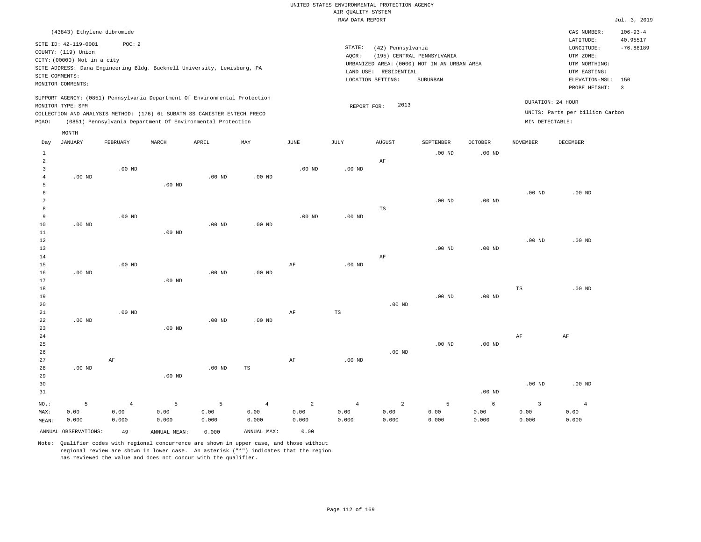|                                                     |                                                                                                                   |                                                                                                                                                                                                                      |          |                   |          |          | RAW DATA REPORT |                                                                 |                                                                                       |                   |                   |                                                                                                          | Jul. 3, 2019                                               |
|-----------------------------------------------------|-------------------------------------------------------------------------------------------------------------------|----------------------------------------------------------------------------------------------------------------------------------------------------------------------------------------------------------------------|----------|-------------------|----------|----------|-----------------|-----------------------------------------------------------------|---------------------------------------------------------------------------------------|-------------------|-------------------|----------------------------------------------------------------------------------------------------------|------------------------------------------------------------|
|                                                     | (43843) Ethylene dibromide                                                                                        |                                                                                                                                                                                                                      |          |                   |          |          |                 |                                                                 |                                                                                       |                   |                   | CAS NUMBER:                                                                                              | $106 - 93 - 4$                                             |
|                                                     | SITE ID: 42-119-0001<br>COUNTY: (119) Union<br>CITY: (00000) Not in a city<br>SITE COMMENTS:<br>MONITOR COMMENTS: | POC: 2<br>SITE ADDRESS: Dana Engineering Bldg. Bucknell University, Lewisburg, PA                                                                                                                                    |          |                   |          |          | STATE:<br>AQCR: | (42) Pennsylvania<br>LAND USE: RESIDENTIAL<br>LOCATION SETTING: | (195) CENTRAL PENNSYLVANIA<br>URBANIZED AREA: (0000) NOT IN AN URBAN AREA<br>SUBURBAN |                   |                   | LATITUDE:<br>LONGITUDE:<br>UTM ZONE:<br>UTM NORTHING:<br>UTM EASTING:<br>ELEVATION-MSL:<br>PROBE HEIGHT: | 40.95517<br>$-76.88189$<br>150<br>$\overline{\phantom{a}}$ |
| PQAO:                                               | MONITOR TYPE: SPM                                                                                                 | SUPPORT AGENCY: (0851) Pennsylvania Department Of Environmental Protection<br>COLLECTION AND ANALYSIS METHOD: (176) 6L SUBATM SS CANISTER ENTECH PRECO<br>(0851) Pennsylvania Department Of Environmental Protection |          |                   |          |          | REPORT FOR:     | 2013                                                            |                                                                                       |                   | MIN DETECTABLE:   | DURATION: 24 HOUR<br>UNITS: Parts per billion Carbon                                                     |                                                            |
|                                                     | MONTH                                                                                                             |                                                                                                                                                                                                                      |          |                   |          |          |                 |                                                                 |                                                                                       |                   |                   |                                                                                                          |                                                            |
| Day                                                 | <b>JANUARY</b>                                                                                                    | FEBRUARY                                                                                                                                                                                                             | MARCH    | APRIL             | MAY      | JUNE     | JULY            | <b>AUGUST</b>                                                   | SEPTEMBER                                                                             | <b>OCTOBER</b>    | <b>NOVEMBER</b>   | <b>DECEMBER</b>                                                                                          |                                                            |
| $1\,$<br>$\overline{a}$<br>$\overline{3}$<br>4<br>5 | $.00$ ND                                                                                                          | $.00$ ND                                                                                                                                                                                                             | $.00$ ND | .00 <sub>ND</sub> | $.00$ ND | $.00$ ND | $.00$ ND        | $\rm AF$                                                        | $.00$ ND                                                                              | $.00$ ND          |                   |                                                                                                          |                                                            |
| 6<br>7<br>8<br>9<br>10                              | $.00$ ND                                                                                                          | $.00$ ND                                                                                                                                                                                                             |          | $.00$ ND          | $.00$ ND | $.00$ ND | $.00$ ND        | $_{\rm TS}$                                                     | .00 <sub>ND</sub>                                                                     | $.00$ ND          | .00 <sub>ND</sub> | $.00$ ND                                                                                                 |                                                            |
| 11<br>12<br>13<br>14                                |                                                                                                                   |                                                                                                                                                                                                                      | $.00$ ND |                   |          |          |                 | $\rm AF$                                                        | $.00$ ND                                                                              | .00 <sub>ND</sub> | .00 <sub>ND</sub> | $.00$ ND                                                                                                 |                                                            |
| 15<br>16<br>17<br>18<br>19                          | .00 <sub>ND</sub>                                                                                                 | $.00$ ND                                                                                                                                                                                                             | $.00$ ND | $.00$ ND          | $.00$ ND | AF       | $.00$ ND        |                                                                 | $.00$ ND                                                                              | $.00$ ND          | TS                | $.00$ ND                                                                                                 |                                                            |
| 20<br>21<br>22<br>23                                | $.00$ ND                                                                                                          | $.00$ ND                                                                                                                                                                                                             | $.00$ ND | $.00$ ND          | $.00$ ND | AF       | TS              | $.00$ ND                                                        |                                                                                       |                   |                   |                                                                                                          |                                                            |
| 24<br>25<br>26<br>27                                |                                                                                                                   | $\rm{AF}$                                                                                                                                                                                                            |          |                   |          | AF       | $.00$ ND        | $.00$ ND                                                        | $.00$ ND                                                                              | .00 <sub>ND</sub> | AF                | AF                                                                                                       |                                                            |
| 28<br>29                                            | $.00$ ND                                                                                                          |                                                                                                                                                                                                                      | $.00$ ND | $.00$ ND          | TS       |          |                 |                                                                 |                                                                                       |                   |                   |                                                                                                          |                                                            |

| 30    |                      |       |              |       |             |        |       |       |       |          | $.00$ ND | $.00$ ND |
|-------|----------------------|-------|--------------|-------|-------------|--------|-------|-------|-------|----------|----------|----------|
| 31    |                      |       |              |       |             |        |       |       |       | $.00$ ND |          |          |
| NO.:  |                      |       |              |       |             | $\sim$ |       | 2     |       |          |          |          |
| MAX:  | 0.00                 | 0.00  | 0.00         | 0.00  | 0.00        | 0.00   | 0.00  | 0.00  | 0.00  | 0.00     | 0.00     | 0.00     |
| MEAN: | 0.000                | 0.000 | 0.000        | 0.000 | 0.000       | 0.000  | 0.000 | 0.000 | 0.000 | 0.000    | 0.000    | 0.000    |
|       | ANNUAL OBSERVATIONS: | 49    | ANNUAL MEAN: | 0.000 | ANNUAL MAX: | 0.00   |       |       |       |          |          |          |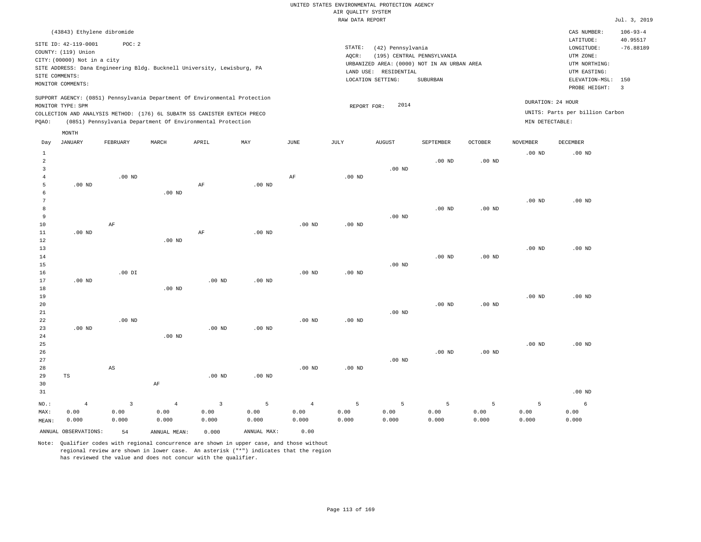|                     |                                                                                                 |                        |                |                                                                            |                   |                   | RAW DATA REPORT    |                                                                 |                                                                                       |                   |                   |                                                                                                 | Jul. 3, 2019                  |
|---------------------|-------------------------------------------------------------------------------------------------|------------------------|----------------|----------------------------------------------------------------------------|-------------------|-------------------|--------------------|-----------------------------------------------------------------|---------------------------------------------------------------------------------------|-------------------|-------------------|-------------------------------------------------------------------------------------------------|-------------------------------|
|                     | (43843) Ethylene dibromide                                                                      |                        |                |                                                                            |                   |                   |                    |                                                                 |                                                                                       |                   |                   | CAS NUMBER:<br>LATITUDE:                                                                        | $106 - 93 - 4$<br>40.95517    |
| SITE COMMENTS:      | SITE ID: 42-119-0001<br>COUNTY: (119) Union<br>CITY: (00000) Not in a city<br>MONITOR COMMENTS: | POC: 2                 |                | SITE ADDRESS: Dana Engineering Bldg. Bucknell University, Lewisburg, PA    |                   |                   | STATE:<br>$AQCR$ : | (42) Pennsylvania<br>LAND USE: RESIDENTIAL<br>LOCATION SETTING: | (195) CENTRAL PENNSYLVANIA<br>URBANIZED AREA: (0000) NOT IN AN URBAN AREA<br>SUBURBAN |                   |                   | LONGITUDE:<br>UTM ZONE:<br>UTM NORTHING:<br>UTM EASTING:<br>ELEVATION-MSL: 150<br>PROBE HEIGHT: | $-76.88189$<br>$\overline{3}$ |
|                     |                                                                                                 |                        |                | SUPPORT AGENCY: (0851) Pennsylvania Department Of Environmental Protection |                   |                   |                    |                                                                 |                                                                                       |                   |                   | DURATION: 24 HOUR                                                                               |                               |
|                     | MONITOR TYPE: SPM                                                                               |                        |                |                                                                            |                   |                   | REPORT FOR:        | 2014                                                            |                                                                                       |                   |                   |                                                                                                 |                               |
|                     |                                                                                                 |                        |                | COLLECTION AND ANALYSIS METHOD: (176) 6L SUBATM SS CANISTER ENTECH PRECO   |                   |                   |                    |                                                                 |                                                                                       |                   |                   | UNITS: Parts per billion Carbon                                                                 |                               |
| PQAO:               |                                                                                                 |                        |                | (0851) Pennsylvania Department Of Environmental Protection                 |                   |                   |                    |                                                                 |                                                                                       |                   | MIN DETECTABLE:   |                                                                                                 |                               |
|                     | MONTH                                                                                           |                        |                |                                                                            |                   |                   |                    |                                                                 |                                                                                       |                   |                   |                                                                                                 |                               |
| Day                 | JANUARY                                                                                         | FEBRUARY               | MARCH          | APRIL                                                                      | MAY               | JUNE              | JULY               | AUGUST                                                          | SEPTEMBER                                                                             | <b>OCTOBER</b>    | NOVEMBER          | DECEMBER                                                                                        |                               |
| $\mathbf{1}$        |                                                                                                 |                        |                |                                                                            |                   |                   |                    |                                                                 |                                                                                       |                   | .00 <sub>ND</sub> | $.00$ ND                                                                                        |                               |
| $\overline{2}$      |                                                                                                 |                        |                |                                                                            |                   |                   |                    |                                                                 | $.00$ ND                                                                              | .00 <sub>ND</sub> |                   |                                                                                                 |                               |
| 3<br>$\overline{4}$ |                                                                                                 | $.00$ ND               |                |                                                                            |                   | $\rm AF$          | .00 <sub>ND</sub>  | $.00$ ND                                                        |                                                                                       |                   |                   |                                                                                                 |                               |
| 5                   | $.00$ ND                                                                                        |                        |                | AF                                                                         | $.00$ ND          |                   |                    |                                                                 |                                                                                       |                   |                   |                                                                                                 |                               |
| 6                   |                                                                                                 |                        | $.00$ ND       |                                                                            |                   |                   |                    |                                                                 |                                                                                       |                   |                   |                                                                                                 |                               |
| 7                   |                                                                                                 |                        |                |                                                                            |                   |                   |                    |                                                                 |                                                                                       |                   | .00 <sub>ND</sub> | $.00$ ND                                                                                        |                               |
| 8                   |                                                                                                 |                        |                |                                                                            |                   |                   |                    |                                                                 | $.00$ ND                                                                              | .00 <sub>ND</sub> |                   |                                                                                                 |                               |
| 9                   |                                                                                                 |                        |                |                                                                            |                   |                   |                    | $.00$ ND                                                        |                                                                                       |                   |                   |                                                                                                 |                               |
| 10                  |                                                                                                 | AF                     |                |                                                                            |                   | $.00$ ND          | .00 <sub>ND</sub>  |                                                                 |                                                                                       |                   |                   |                                                                                                 |                               |
| $11\,$              | .00 <sub>ND</sub>                                                                               |                        |                | AF                                                                         | .00 <sub>ND</sub> |                   |                    |                                                                 |                                                                                       |                   |                   |                                                                                                 |                               |
| 12                  |                                                                                                 |                        | $.00$ ND       |                                                                            |                   |                   |                    |                                                                 |                                                                                       |                   |                   |                                                                                                 |                               |
| 13<br>14            |                                                                                                 |                        |                |                                                                            |                   |                   |                    |                                                                 | .00 <sub>ND</sub>                                                                     | .00 <sub>ND</sub> | .00 <sub>ND</sub> | $.00$ ND                                                                                        |                               |
| 15                  |                                                                                                 |                        |                |                                                                            |                   |                   |                    | $.00$ ND                                                        |                                                                                       |                   |                   |                                                                                                 |                               |
| 16                  |                                                                                                 | $.00$ DI               |                |                                                                            |                   | $.00$ ND          | .00 <sub>ND</sub>  |                                                                 |                                                                                       |                   |                   |                                                                                                 |                               |
| 17                  | .00 <sub>ND</sub>                                                                               |                        |                | .00 <sub>ND</sub>                                                          | $.00$ ND          |                   |                    |                                                                 |                                                                                       |                   |                   |                                                                                                 |                               |
| 18                  |                                                                                                 |                        | $.00$ ND       |                                                                            |                   |                   |                    |                                                                 |                                                                                       |                   |                   |                                                                                                 |                               |
| 19                  |                                                                                                 |                        |                |                                                                            |                   |                   |                    |                                                                 |                                                                                       |                   | .00 <sub>ND</sub> | $.00$ ND                                                                                        |                               |
| 20                  |                                                                                                 |                        |                |                                                                            |                   |                   |                    |                                                                 | $.00$ ND                                                                              | .00 <sub>ND</sub> |                   |                                                                                                 |                               |
| 21                  |                                                                                                 |                        |                |                                                                            |                   |                   |                    | $.00$ ND                                                        |                                                                                       |                   |                   |                                                                                                 |                               |
| 22                  | $.00$ ND                                                                                        | $.00$ ND               |                | $.00$ ND                                                                   | $.00$ ND          | .00 <sub>ND</sub> | $.00$ ND           |                                                                 |                                                                                       |                   |                   |                                                                                                 |                               |
| 23<br>24            |                                                                                                 |                        | $.00$ ND       |                                                                            |                   |                   |                    |                                                                 |                                                                                       |                   |                   |                                                                                                 |                               |
| 25                  |                                                                                                 |                        |                |                                                                            |                   |                   |                    |                                                                 |                                                                                       |                   | .00 <sub>ND</sub> | $.00$ ND                                                                                        |                               |
| 26                  |                                                                                                 |                        |                |                                                                            |                   |                   |                    |                                                                 | $.00$ ND                                                                              | .00 <sub>ND</sub> |                   |                                                                                                 |                               |
| 27                  |                                                                                                 |                        |                |                                                                            |                   |                   |                    | $.00$ ND                                                        |                                                                                       |                   |                   |                                                                                                 |                               |
| 28                  |                                                                                                 | $\mathbb{A}\mathbb{S}$ |                |                                                                            |                   | .00 <sub>ND</sub> | $.00$ ND           |                                                                 |                                                                                       |                   |                   |                                                                                                 |                               |
| 29                  | TS                                                                                              |                        |                | $.00$ ND                                                                   | $.00$ ND          |                   |                    |                                                                 |                                                                                       |                   |                   |                                                                                                 |                               |
| 30                  |                                                                                                 |                        | AF             |                                                                            |                   |                   |                    |                                                                 |                                                                                       |                   |                   |                                                                                                 |                               |
| 31                  |                                                                                                 |                        |                |                                                                            |                   |                   |                    |                                                                 |                                                                                       |                   |                   | $.00$ ND                                                                                        |                               |
| NO.:                | $\overline{4}$                                                                                  | $\overline{3}$         | $\overline{4}$ | $\overline{3}$                                                             | 5                 | $\overline{4}$    | 5                  | 5                                                               | 5                                                                                     | 5                 | 5                 | 6                                                                                               |                               |
| MAX:                | 0.00                                                                                            | 0.00                   | 0.00           | 0.00                                                                       | 0.00              | 0.00              | 0.00               | 0.00                                                            | 0.00                                                                                  | 0.00              | 0.00              | 0.00                                                                                            |                               |
| MEAN:               | 0.000                                                                                           | 0.000                  | 0.000          | 0.000                                                                      | 0.000             | 0.000             | 0.000              | 0.000                                                           | 0.000                                                                                 | 0.000             | 0.000             | 0.000                                                                                           |                               |
|                     | ANNUAL OBSERVATIONS:                                                                            | 54                     | ANNUAL MEAN:   | 0.000                                                                      | ANNUAL MAX:       | 0.00              |                    |                                                                 |                                                                                       |                   |                   |                                                                                                 |                               |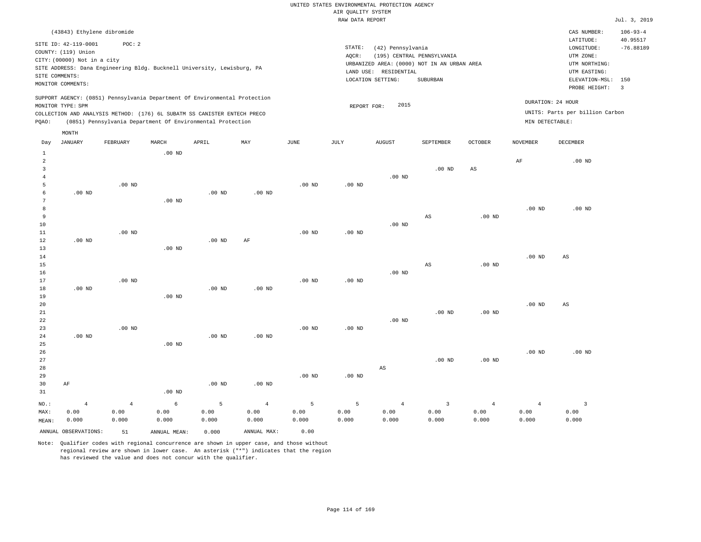|                |                             |                                                                            |          |                   |                   |                   | RAW DATA REPORT   |                        |                                             |                   |                   |                                 | Jul. 3, 2019               |
|----------------|-----------------------------|----------------------------------------------------------------------------|----------|-------------------|-------------------|-------------------|-------------------|------------------------|---------------------------------------------|-------------------|-------------------|---------------------------------|----------------------------|
|                | (43843) Ethylene dibromide  |                                                                            |          |                   |                   |                   |                   |                        |                                             |                   |                   | CAS NUMBER:<br>LATITUDE:        | $106 - 93 - 4$<br>40.95517 |
|                | SITE ID: 42-119-0001        | POC: 2                                                                     |          |                   |                   |                   | STATE:            | (42) Pennsylvania      |                                             |                   |                   | LONGITUDE:                      | $-76.88189$                |
|                | COUNTY: (119) Union         |                                                                            |          |                   |                   |                   | AQCR:             |                        | (195) CENTRAL PENNSYLVANIA                  |                   |                   | UTM ZONE:                       |                            |
|                | CITY: (00000) Not in a city |                                                                            |          |                   |                   |                   |                   |                        | URBANIZED AREA: (0000) NOT IN AN URBAN AREA |                   |                   | UTM NORTHING:                   |                            |
|                |                             | SITE ADDRESS: Dana Engineering Bldg. Bucknell University, Lewisburg, PA    |          |                   |                   |                   |                   | LAND USE: RESIDENTIAL  |                                             |                   |                   | UTM EASTING:                    |                            |
|                | SITE COMMENTS:              |                                                                            |          |                   |                   |                   |                   | LOCATION SETTING:      | SUBURBAN                                    |                   |                   | ELEVATION-MSL:                  | 150                        |
|                | MONITOR COMMENTS:           |                                                                            |          |                   |                   |                   |                   |                        |                                             |                   |                   | PROBE HEIGHT:                   | $\overline{\mathbf{3}}$    |
|                |                             | SUPPORT AGENCY: (0851) Pennsylvania Department Of Environmental Protection |          |                   |                   |                   |                   |                        |                                             |                   |                   | DURATION: 24 HOUR               |                            |
|                | MONITOR TYPE: SPM           | COLLECTION AND ANALYSIS METHOD: (176) 6L SUBATM SS CANISTER ENTECH PRECO   |          |                   |                   |                   | REPORT FOR:       | 2015                   |                                             |                   |                   | UNITS: Parts per billion Carbon |                            |
| PQAO:          |                             | (0851) Pennsylvania Department Of Environmental Protection                 |          |                   |                   |                   |                   |                        |                                             |                   | MIN DETECTABLE:   |                                 |                            |
|                | MONTH                       |                                                                            |          |                   |                   |                   |                   |                        |                                             |                   |                   |                                 |                            |
| Day            | <b>JANUARY</b>              | FEBRUARY                                                                   | MARCH    | APRIL             | MAY               | <b>JUNE</b>       | JULY              | <b>AUGUST</b>          | SEPTEMBER                                   | <b>OCTOBER</b>    | <b>NOVEMBER</b>   | DECEMBER                        |                            |
| $\mathbf{1}$   |                             |                                                                            | $.00$ ND |                   |                   |                   |                   |                        |                                             |                   |                   |                                 |                            |
| $\overline{a}$ |                             |                                                                            |          |                   |                   |                   |                   |                        |                                             |                   | AF                | $.00$ ND                        |                            |
| $\overline{3}$ |                             |                                                                            |          |                   |                   |                   |                   |                        | $.00$ ND                                    | $_{\rm AS}$       |                   |                                 |                            |
| $\overline{4}$ |                             |                                                                            |          |                   |                   |                   |                   | $.00$ ND               |                                             |                   |                   |                                 |                            |
| -5             |                             | $.00$ ND                                                                   |          |                   |                   | $.00$ ND          | .00 <sub>ND</sub> |                        |                                             |                   |                   |                                 |                            |
| 6<br>7         | $.00$ ND                    |                                                                            | $.00$ ND | $.00$ ND          | $.00$ ND          |                   |                   |                        |                                             |                   |                   |                                 |                            |
| 8              |                             |                                                                            |          |                   |                   |                   |                   |                        |                                             |                   | .00 <sub>ND</sub> | $.00$ ND                        |                            |
| 9              |                             |                                                                            |          |                   |                   |                   |                   |                        | $\mathbb{A}\mathbb{S}$                      | .00 <sub>ND</sub> |                   |                                 |                            |
| 10             |                             |                                                                            |          |                   |                   |                   |                   | $.00$ ND               |                                             |                   |                   |                                 |                            |
| 11             |                             | $.00$ ND                                                                   |          |                   |                   | .00 <sub>ND</sub> | .00 <sub>ND</sub> |                        |                                             |                   |                   |                                 |                            |
| 12             | $.00$ ND                    |                                                                            |          | $.00$ ND          | AF                |                   |                   |                        |                                             |                   |                   |                                 |                            |
| 13             |                             |                                                                            | $.00$ ND |                   |                   |                   |                   |                        |                                             |                   |                   |                                 |                            |
| 14             |                             |                                                                            |          |                   |                   |                   |                   |                        |                                             |                   | .00 <sub>ND</sub> | AS                              |                            |
| 15             |                             |                                                                            |          |                   |                   |                   |                   |                        | AS                                          | .00 <sub>ND</sub> |                   |                                 |                            |
| 16             |                             |                                                                            |          |                   |                   |                   |                   | $.00$ ND               |                                             |                   |                   |                                 |                            |
| 17             |                             | $.00$ ND                                                                   |          |                   |                   | $.00$ ND          | $.00$ ND          |                        |                                             |                   |                   |                                 |                            |
| 18             | $.00$ ND                    |                                                                            |          | .00 <sub>ND</sub> | $.00$ ND          |                   |                   |                        |                                             |                   |                   |                                 |                            |
| 19             |                             |                                                                            | $.00$ ND |                   |                   |                   |                   |                        |                                             |                   | .00 <sub>ND</sub> |                                 |                            |
| 20<br>21       |                             |                                                                            |          |                   |                   |                   |                   |                        | $.00$ ND                                    | .00 <sub>ND</sub> |                   | $\mathbb{A}\mathbb{S}$          |                            |
| 22             |                             |                                                                            |          |                   |                   |                   |                   | $.00$ ND               |                                             |                   |                   |                                 |                            |
| 23             |                             | $.00$ ND                                                                   |          |                   |                   | .00 <sub>ND</sub> | .00 <sub>ND</sub> |                        |                                             |                   |                   |                                 |                            |
| 24             | $.00$ ND                    |                                                                            |          | $.00$ ND          | $.00$ ND          |                   |                   |                        |                                             |                   |                   |                                 |                            |
| 25             |                             |                                                                            | $.00$ ND |                   |                   |                   |                   |                        |                                             |                   |                   |                                 |                            |
| 26             |                             |                                                                            |          |                   |                   |                   |                   |                        |                                             |                   | .00 <sub>ND</sub> | $.00$ ND                        |                            |
| 27             |                             |                                                                            |          |                   |                   |                   |                   |                        | .00 <sub>ND</sub>                           | .00 <sub>ND</sub> |                   |                                 |                            |
| 28             |                             |                                                                            |          |                   |                   |                   |                   | $\mathbb{A}\mathbb{S}$ |                                             |                   |                   |                                 |                            |
| 29             |                             |                                                                            |          |                   |                   | $.00$ ND          | .00 <sub>ND</sub> |                        |                                             |                   |                   |                                 |                            |
| 30             | AF                          |                                                                            |          | .00 <sub>ND</sub> | .00 <sub>ND</sub> |                   |                   |                        |                                             |                   |                   |                                 |                            |
| 31             |                             |                                                                            | $.00$ ND |                   |                   |                   |                   |                        |                                             |                   |                   |                                 |                            |
| NO.:           | $\overline{4}$              | $\overline{4}$                                                             | 6        | 5                 | $\overline{4}$    | 5                 | 5                 | $\overline{4}$         | $\overline{\mathbf{3}}$                     | $\overline{4}$    | $\overline{4}$    | $\overline{\mathbf{3}}$         |                            |

ANNUAL OBSERVATIONS: 51 ANNUAL MEAN: 0.000 ANNUAL MAX: 0.00

 0.00 0.000

MAX: MEAN:

 0.00 0.000  0.00 0.000

Note: Qualifier codes with regional concurrence are shown in upper case, and those without regional review are shown in lower case. An asterisk ("\*") indicates that the region has reviewed the value and does not concur with the qualifier.

 0.00 0.000  0.00 0.000  0.00 0.000  0.00 0.000  0.00 0.000

 0.00 0.000  0.00 0.000  0.00 0.000

 0.00 0.000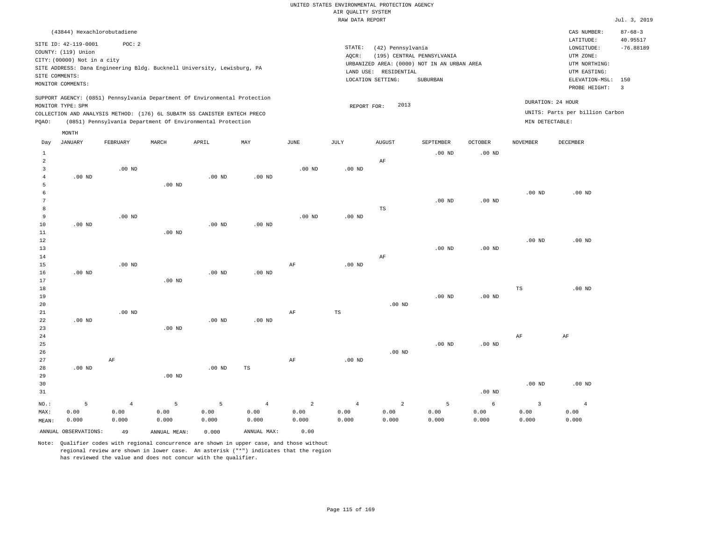|                |                             |                                                                            |                   |                   |                   |                | RAW DATA REPORT   |                       |                                             |                   |                   |                                 | Jul. 3, 2019          |
|----------------|-----------------------------|----------------------------------------------------------------------------|-------------------|-------------------|-------------------|----------------|-------------------|-----------------------|---------------------------------------------|-------------------|-------------------|---------------------------------|-----------------------|
|                | (43844) Hexachlorobutadiene |                                                                            |                   |                   |                   |                |                   |                       |                                             |                   |                   | CAS NUMBER:                     | $87 - 68 - 3$         |
|                | SITE ID: 42-119-0001        | POC: 2                                                                     |                   |                   |                   |                |                   |                       |                                             |                   |                   | LATITUDE:                       | 40.95517              |
|                | COUNTY: (119) Union         |                                                                            |                   |                   |                   |                | STATE:            | (42) Pennsylvania     |                                             |                   |                   | LONGITUDE:                      | $-76.88189$           |
|                | CITY: (00000) Not in a city |                                                                            |                   |                   |                   |                | AQCR:             |                       | (195) CENTRAL PENNSYLVANIA                  |                   |                   | UTM ZONE:                       |                       |
|                |                             | SITE ADDRESS: Dana Engineering Bldg. Bucknell University, Lewisburg, PA    |                   |                   |                   |                |                   |                       | URBANIZED AREA: (0000) NOT IN AN URBAN AREA |                   |                   | UTM NORTHING:                   |                       |
|                | SITE COMMENTS:              |                                                                            |                   |                   |                   |                |                   | LAND USE: RESIDENTIAL |                                             |                   |                   | UTM EASTING:                    |                       |
|                | MONITOR COMMENTS:           |                                                                            |                   |                   |                   |                |                   | LOCATION SETTING:     | SUBURBAN                                    |                   |                   | ELEVATION-MSL:<br>PROBE HEIGHT: | 150<br>$\overline{3}$ |
|                |                             | SUPPORT AGENCY: (0851) Pennsylvania Department Of Environmental Protection |                   |                   |                   |                |                   |                       |                                             |                   |                   |                                 |                       |
|                | MONITOR TYPE: SPM           |                                                                            |                   |                   |                   |                | REPORT FOR:       | 2013                  |                                             |                   |                   | DURATION: 24 HOUR               |                       |
|                |                             | COLLECTION AND ANALYSIS METHOD: (176) 6L SUBATM SS CANISTER ENTECH PRECO   |                   |                   |                   |                |                   |                       |                                             |                   |                   | UNITS: Parts per billion Carbon |                       |
| PQAO:          |                             | (0851) Pennsylvania Department Of Environmental Protection                 |                   |                   |                   |                |                   |                       |                                             |                   | MIN DETECTABLE:   |                                 |                       |
|                | MONTH                       |                                                                            |                   |                   |                   |                |                   |                       |                                             |                   |                   |                                 |                       |
| Day            | <b>JANUARY</b>              | FEBRUARY                                                                   | MARCH             | APRIL             | MAY               | JUNE           | JULY              | <b>AUGUST</b>         | SEPTEMBER                                   | <b>OCTOBER</b>    | <b>NOVEMBER</b>   | <b>DECEMBER</b>                 |                       |
| $\mathbf{1}$   |                             |                                                                            |                   |                   |                   |                |                   |                       | $.00$ ND                                    | $.00$ ND          |                   |                                 |                       |
| $\overline{a}$ |                             |                                                                            |                   |                   |                   |                |                   | $\rm{AF}$             |                                             |                   |                   |                                 |                       |
| 3              |                             | $.00$ ND                                                                   |                   |                   |                   | $.00$ ND       | $.00$ ND          |                       |                                             |                   |                   |                                 |                       |
| $\overline{4}$ | .00 <sub>ND</sub>           |                                                                            |                   | .00 <sub>ND</sub> | $.00$ ND          |                |                   |                       |                                             |                   |                   |                                 |                       |
| 5              |                             |                                                                            | $.00$ ND          |                   |                   |                |                   |                       |                                             |                   |                   |                                 |                       |
| 6              |                             |                                                                            |                   |                   |                   |                |                   |                       |                                             |                   | $.00$ ND          | $.00$ ND                        |                       |
| $\overline{7}$ |                             |                                                                            |                   |                   |                   |                |                   |                       | $.00$ ND                                    | .00 <sub>ND</sub> |                   |                                 |                       |
| 8              |                             |                                                                            |                   |                   |                   |                |                   | $_{\rm TS}$           |                                             |                   |                   |                                 |                       |
| 9              |                             | $.00$ ND                                                                   |                   |                   |                   | $.00$ ND       | .00 <sub>ND</sub> |                       |                                             |                   |                   |                                 |                       |
| 10             | $.00$ ND                    |                                                                            |                   | .00 <sub>ND</sub> | .00 <sub>ND</sub> |                |                   |                       |                                             |                   |                   |                                 |                       |
| $11\,$         |                             |                                                                            | .00 <sub>ND</sub> |                   |                   |                |                   |                       |                                             |                   |                   |                                 |                       |
| 12             |                             |                                                                            |                   |                   |                   |                |                   |                       |                                             |                   | .00 <sub>ND</sub> | .00 <sub>ND</sub>               |                       |
| 13             |                             |                                                                            |                   |                   |                   |                |                   |                       | $.00$ ND                                    | .00 <sub>ND</sub> |                   |                                 |                       |
| 14<br>15       |                             | $.00$ ND                                                                   |                   |                   |                   |                | $.00$ ND          | AF                    |                                             |                   |                   |                                 |                       |
| 16             | $.00$ ND                    |                                                                            |                   | $.00$ ND          | $.00$ ND          | AF             |                   |                       |                                             |                   |                   |                                 |                       |
| $17$           |                             |                                                                            | .00 <sub>ND</sub> |                   |                   |                |                   |                       |                                             |                   |                   |                                 |                       |
| 18             |                             |                                                                            |                   |                   |                   |                |                   |                       |                                             |                   | $_{\rm TS}$       | .00 <sub>ND</sub>               |                       |
| 19             |                             |                                                                            |                   |                   |                   |                |                   |                       | $.00$ ND                                    | .00 <sub>ND</sub> |                   |                                 |                       |
| 20             |                             |                                                                            |                   |                   |                   |                |                   | $.00$ ND              |                                             |                   |                   |                                 |                       |
| 21             |                             | $.00$ ND                                                                   |                   |                   |                   | $\rm{AF}$      | $_{\rm TS}$       |                       |                                             |                   |                   |                                 |                       |
| 22             | $.00$ ND                    |                                                                            |                   | $.00$ ND          | $.00$ ND          |                |                   |                       |                                             |                   |                   |                                 |                       |
| 23             |                             |                                                                            | $.00$ ND          |                   |                   |                |                   |                       |                                             |                   |                   |                                 |                       |
| 24             |                             |                                                                            |                   |                   |                   |                |                   |                       |                                             |                   | AF                | AF                              |                       |
| 25             |                             |                                                                            |                   |                   |                   |                |                   |                       | $.00$ ND                                    | .00 <sub>ND</sub> |                   |                                 |                       |
| 26             |                             |                                                                            |                   |                   |                   |                |                   | $.00$ ND              |                                             |                   |                   |                                 |                       |
| 27             |                             | AF                                                                         |                   |                   |                   | AF             | $.00$ ND          |                       |                                             |                   |                   |                                 |                       |
| 28             | $.00$ ND                    |                                                                            |                   | $.00$ ND          | TS                |                |                   |                       |                                             |                   |                   |                                 |                       |
| 29             |                             |                                                                            | .00 <sub>ND</sub> |                   |                   |                |                   |                       |                                             |                   |                   |                                 |                       |
| 30             |                             |                                                                            |                   |                   |                   |                |                   |                       |                                             |                   | .00 <sub>ND</sub> | $.00$ ND                        |                       |
| 31             |                             |                                                                            |                   |                   |                   |                |                   |                       |                                             | .00 <sub>ND</sub> |                   |                                 |                       |
| NO.:           | 5                           | $\overline{4}$                                                             | 5                 | 5                 | $\overline{4}$    | $\overline{a}$ | $\overline{4}$    | $\overline{a}$        | 5                                           | 6                 | $\overline{3}$    | $\overline{4}$                  |                       |
| MAX:           | 0.00                        | 0.00                                                                       | 0.00              | 0.00              | 0.00              | 0.00           | 0.00              | 0.00                  | 0.00                                        | 0.00              | 0.00              | 0.00                            |                       |
| MEAN:          | 0.000                       | 0.000                                                                      | 0.000             | 0.000             | 0.000             | 0.000          | 0.000             | 0.000                 | 0.000                                       | 0.000             | 0.000             | 0.000                           |                       |

Note: Qualifier codes with regional concurrence are shown in upper case, and those without regional review are shown in lower case. An asterisk ("\*") indicates that the region has reviewed the value and does not concur with the qualifier.

ANNUAL OBSERVATIONS: 49 ANNUAL MEAN: 0.000 ANNUAL MAX: 0.00

MEAN: 0.000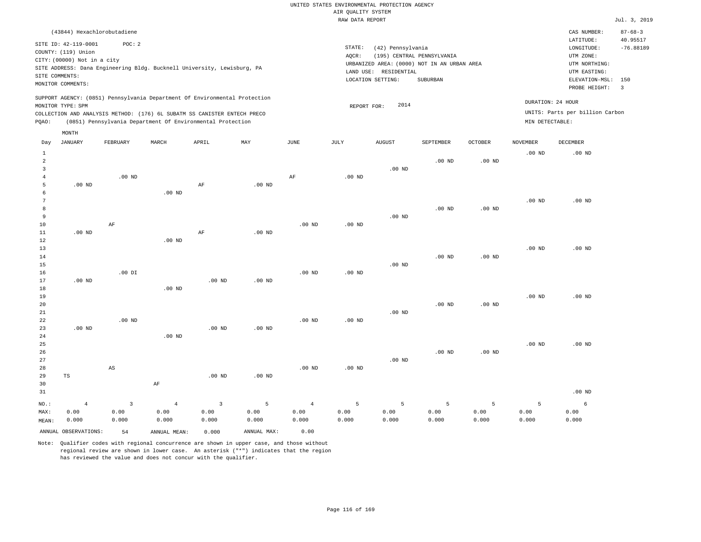|                                           |                                                                            |                                          |                                 |                                                                                                                                                                                                                      |                    |                                 | AIR QUALITY SYSTEM<br>RAW DATA REPORT | UNITED STATES ENVIRONMENTAL PROTECTION AGENCY                   |                                                                                       |                    |                                      |                                                                                                        | Jul. 3, 2019                                    |
|-------------------------------------------|----------------------------------------------------------------------------|------------------------------------------|---------------------------------|----------------------------------------------------------------------------------------------------------------------------------------------------------------------------------------------------------------------|--------------------|---------------------------------|---------------------------------------|-----------------------------------------------------------------|---------------------------------------------------------------------------------------|--------------------|--------------------------------------|--------------------------------------------------------------------------------------------------------|-------------------------------------------------|
|                                           |                                                                            |                                          |                                 |                                                                                                                                                                                                                      |                    |                                 |                                       |                                                                 |                                                                                       |                    |                                      |                                                                                                        |                                                 |
| SITE COMMENTS:                            | SITE ID: 42-119-0001<br>COUNTY: (119) Union<br>CITY: (00000) Not in a city | (43844) Hexachlorobutadiene<br>POC: 2    |                                 | SITE ADDRESS: Dana Engineering Bldg. Bucknell University, Lewisburg, PA                                                                                                                                              |                    |                                 | STATE:<br>AQCR:                       | (42) Pennsylvania<br>LAND USE: RESIDENTIAL<br>LOCATION SETTING: | (195) CENTRAL PENNSYLVANIA<br>URBANIZED AREA: (0000) NOT IN AN URBAN AREA<br>SUBURBAN |                    |                                      | CAS NUMBER:<br>LATITUDE:<br>LONGITUDE:<br>UTM ZONE:<br>UTM NORTHING:<br>UTM EASTING:<br>ELEVATION-MSL: | $87 - 68 - 3$<br>40.95517<br>$-76.88189$<br>150 |
|                                           | MONITOR COMMENTS:                                                          |                                          |                                 |                                                                                                                                                                                                                      |                    |                                 |                                       |                                                                 |                                                                                       |                    |                                      | PROBE HEIGHT:                                                                                          | $\overline{3}$                                  |
| PQAO:                                     | MONITOR TYPE: SPM                                                          |                                          |                                 | SUPPORT AGENCY: (0851) Pennsylvania Department Of Environmental Protection<br>COLLECTION AND ANALYSIS METHOD: (176) 6L SUBATM SS CANISTER ENTECH PRECO<br>(0851) Pennsylvania Department Of Environmental Protection |                    |                                 | REPORT FOR:                           | 2014                                                            |                                                                                       |                    | DURATION: 24 HOUR<br>MIN DETECTABLE: | UNITS: Parts per billion Carbon                                                                        |                                                 |
|                                           | MONTH                                                                      |                                          |                                 |                                                                                                                                                                                                                      |                    |                                 |                                       |                                                                 |                                                                                       |                    |                                      |                                                                                                        |                                                 |
| Day                                       | <b>JANUARY</b>                                                             | FEBRUARY                                 | MARCH                           | APRIL                                                                                                                                                                                                                | MAY                | <b>JUNE</b>                     | JULY                                  | <b>AUGUST</b>                                                   | SEPTEMBER                                                                             | OCTOBER            | <b>NOVEMBER</b>                      | DECEMBER                                                                                               |                                                 |
| $1\,$<br>$\overline{a}$<br>$\overline{3}$ |                                                                            |                                          |                                 |                                                                                                                                                                                                                      |                    |                                 |                                       | $.00$ ND                                                        | $.00$ ND                                                                              | $.00$ ND           | $.00$ ND                             | $.00$ ND                                                                                               |                                                 |
| $\overline{4}$<br>5<br>6                  | $.00$ ND                                                                   | $.00$ ND                                 | $.00$ ND                        | AF                                                                                                                                                                                                                   | $.00$ ND           | $\rm{AF}$                       | .00 <sub>ND</sub>                     |                                                                 |                                                                                       |                    |                                      |                                                                                                        |                                                 |
| $7\phantom{.0}$<br>8<br>9                 |                                                                            |                                          |                                 |                                                                                                                                                                                                                      |                    |                                 |                                       | $.00$ ND                                                        | $.00$ ND                                                                              | $.00$ ND           | .00 <sub>ND</sub>                    | $.00$ ND                                                                                               |                                                 |
| 10<br>11<br>12<br>13                      | $.00$ ND                                                                   | $\rm{AF}$                                | $.00$ ND                        | $\rm AF$                                                                                                                                                                                                             | $.00$ ND           | .00 <sub>ND</sub>               | .00 <sub>ND</sub>                     |                                                                 |                                                                                       |                    | .00 <sub>ND</sub>                    | $.00$ ND                                                                                               |                                                 |
| $14$<br>15<br>16                          |                                                                            | $.00$ DI                                 |                                 |                                                                                                                                                                                                                      |                    | $.00$ ND                        | $.00$ ND                              | $.00$ ND                                                        | $.00$ ND                                                                              | $.00$ ND           |                                      |                                                                                                        |                                                 |
| $17$<br>18<br>19<br>20                    | $.00$ ND                                                                   |                                          | $.00$ ND                        | $.00$ ND                                                                                                                                                                                                             | $.00$ ND           |                                 |                                       |                                                                 | $.00$ ND                                                                              | $.00$ ND           | .00 <sub>ND</sub>                    | $.00$ ND                                                                                               |                                                 |
| 21<br>22<br>23<br>24                      | $.00$ ND                                                                   | $.00$ ND                                 | $.00$ ND                        | $.00$ ND                                                                                                                                                                                                             | .00 <sub>ND</sub>  | $.00$ ND                        | $.00$ ND                              | $.00$ ND                                                        |                                                                                       |                    |                                      |                                                                                                        |                                                 |
| 25<br>26<br>27<br>28                      |                                                                            | $\mathbb{A}\mathbb{S}$                   |                                 |                                                                                                                                                                                                                      |                    | $.00$ ND                        | .00 <sub>ND</sub>                     | $.00$ ND                                                        | .00 <sub>ND</sub>                                                                     | $.00$ ND           | .00 <sub>ND</sub>                    | $.00$ ND                                                                                               |                                                 |
| 29<br>30<br>31                            | TS                                                                         |                                          | $\rm{AF}$                       | $.00$ ND                                                                                                                                                                                                             | $.00$ ND           |                                 |                                       |                                                                 |                                                                                       |                    |                                      | $.00$ ND                                                                                               |                                                 |
| NO.:<br>MAX:<br>MEAN:                     | $\overline{4}$<br>0.00<br>0.000                                            | $\overline{\mathbf{3}}$<br>0.00<br>0.000 | $\overline{4}$<br>0.00<br>0.000 | $\overline{3}$<br>0.00<br>0.000                                                                                                                                                                                      | 5<br>0.00<br>0.000 | $\overline{4}$<br>0.00<br>0.000 | 5<br>0.00<br>0.000                    | 5<br>0.00<br>0.000                                              | 5<br>0.00<br>0.000                                                                    | 5<br>0.00<br>0.000 | 5<br>0.00<br>0.000                   | 6<br>0.00<br>0.000                                                                                     |                                                 |

ANNUAL OBSERVATIONS: 54 ANNUAL MEAN: 0.000 ANNUAL MAX: 0.00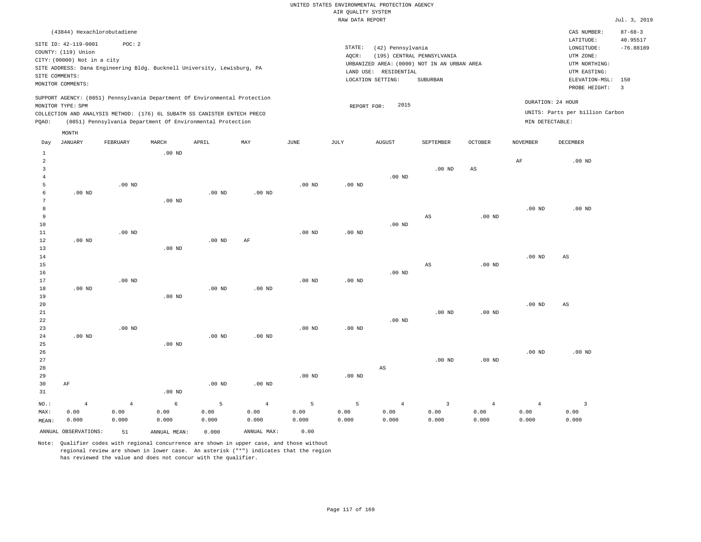|                     |                                                                            |                |                                                            |                   |                   |                   | RAW DATA REPORT   |                       |                                             |                        |                   |                                 | Jul. 3, 2019   |
|---------------------|----------------------------------------------------------------------------|----------------|------------------------------------------------------------|-------------------|-------------------|-------------------|-------------------|-----------------------|---------------------------------------------|------------------------|-------------------|---------------------------------|----------------|
|                     | (43844) Hexachlorobutadiene                                                |                |                                                            |                   |                   |                   |                   |                       |                                             |                        |                   | CAS NUMBER:                     | $87 - 68 - 3$  |
|                     | SITE ID: 42-119-0001                                                       | POC: 2         |                                                            |                   |                   |                   |                   |                       |                                             |                        |                   | LATITUDE:                       | 40.95517       |
|                     | COUNTY: (119) Union                                                        |                |                                                            |                   |                   |                   | STATE:            | (42) Pennsylvania     |                                             |                        |                   | LONGITUDE:                      | $-76.88189$    |
|                     | CITY: (00000) Not in a city                                                |                |                                                            |                   |                   |                   | AQCR:             |                       | (195) CENTRAL PENNSYLVANIA                  |                        |                   | UTM ZONE:                       |                |
|                     | SITE ADDRESS: Dana Engineering Bldg. Bucknell University, Lewisburg, PA    |                |                                                            |                   |                   |                   |                   |                       | URBANIZED AREA: (0000) NOT IN AN URBAN AREA |                        |                   | UTM NORTHING:                   |                |
|                     | SITE COMMENTS:                                                             |                |                                                            |                   |                   |                   |                   | LAND USE: RESIDENTIAL |                                             |                        |                   | UTM EASTING:                    |                |
|                     | MONITOR COMMENTS:                                                          |                |                                                            |                   |                   |                   |                   | LOCATION SETTING:     | SUBURBAN                                    |                        |                   | ELEVATION-MSL:                  | 150            |
|                     |                                                                            |                |                                                            |                   |                   |                   |                   |                       |                                             |                        |                   | PROBE HEIGHT:                   | $\overline{3}$ |
|                     | SUPPORT AGENCY: (0851) Pennsylvania Department Of Environmental Protection |                |                                                            |                   |                   |                   |                   |                       |                                             |                        |                   | DURATION: 24 HOUR               |                |
|                     | MONITOR TYPE: SPM                                                          |                |                                                            |                   |                   |                   | REPORT FOR:       | 2015                  |                                             |                        |                   |                                 |                |
|                     | COLLECTION AND ANALYSIS METHOD: (176) 6L SUBATM SS CANISTER ENTECH PRECO   |                |                                                            |                   |                   |                   |                   |                       |                                             |                        |                   | UNITS: Parts per billion Carbon |                |
| PQAO:               |                                                                            |                | (0851) Pennsylvania Department Of Environmental Protection |                   |                   |                   |                   |                       |                                             |                        | MIN DETECTABLE:   |                                 |                |
|                     | MONTH                                                                      |                |                                                            |                   |                   |                   |                   |                       |                                             |                        |                   |                                 |                |
| Day                 | <b>JANUARY</b>                                                             | FEBRUARY       | MARCH                                                      | APRIL             | MAY               | $\mathtt{JUNE}$   | JULY              | <b>AUGUST</b>         | SEPTEMBER                                   | OCTOBER                | <b>NOVEMBER</b>   | DECEMBER                        |                |
| $\mathbf{1}$        |                                                                            |                | .00 <sub>ND</sub>                                          |                   |                   |                   |                   |                       |                                             |                        |                   |                                 |                |
| 2                   |                                                                            |                |                                                            |                   |                   |                   |                   |                       |                                             |                        | AF                | $.00$ ND                        |                |
| 3                   |                                                                            |                |                                                            |                   |                   |                   |                   |                       | $.00$ ND                                    | $\mathbb{A}\mathbb{S}$ |                   |                                 |                |
| $\overline{4}$<br>5 |                                                                            |                |                                                            |                   |                   |                   |                   | $.00$ ND              |                                             |                        |                   |                                 |                |
| 6                   | $.00$ ND                                                                   | $.00$ ND       |                                                            | .00 <sub>ND</sub> | .00 <sub>ND</sub> | .00 <sub>ND</sub> | .00 <sub>ND</sub> |                       |                                             |                        |                   |                                 |                |
| 7                   |                                                                            |                | $.00$ ND                                                   |                   |                   |                   |                   |                       |                                             |                        |                   |                                 |                |
| 8                   |                                                                            |                |                                                            |                   |                   |                   |                   |                       |                                             |                        | .00 <sub>ND</sub> | $.00$ ND                        |                |
| 9                   |                                                                            |                |                                                            |                   |                   |                   |                   |                       | $_{\rm AS}$                                 | $.00$ ND               |                   |                                 |                |
| 10                  |                                                                            |                |                                                            |                   |                   |                   |                   | $.00$ ND              |                                             |                        |                   |                                 |                |
| 11                  |                                                                            | $.00$ ND       |                                                            |                   |                   | $.00$ ND          | $.00$ ND          |                       |                                             |                        |                   |                                 |                |
| 12                  | $.00$ ND                                                                   |                |                                                            | $.00$ ND          | AF                |                   |                   |                       |                                             |                        |                   |                                 |                |
| 13                  |                                                                            |                | $.00$ ND                                                   |                   |                   |                   |                   |                       |                                             |                        |                   |                                 |                |
| 14                  |                                                                            |                |                                                            |                   |                   |                   |                   |                       |                                             |                        | .00 <sub>ND</sub> | AS                              |                |
| 15                  |                                                                            |                |                                                            |                   |                   |                   |                   |                       | AS                                          | $.00$ ND               |                   |                                 |                |
| 16                  |                                                                            |                |                                                            |                   |                   |                   |                   | $.00$ ND              |                                             |                        |                   |                                 |                |
| 17                  |                                                                            | $.00$ ND       |                                                            |                   |                   | .00 <sub>ND</sub> | .00 <sub>ND</sub> |                       |                                             |                        |                   |                                 |                |
| 18                  | $.00$ ND                                                                   |                |                                                            | $.00$ ND          | $.00$ ND          |                   |                   |                       |                                             |                        |                   |                                 |                |
| 19                  |                                                                            |                | $.00$ ND                                                   |                   |                   |                   |                   |                       |                                             |                        |                   |                                 |                |
| 20                  |                                                                            |                |                                                            |                   |                   |                   |                   |                       |                                             |                        | .00 <sub>ND</sub> | AS                              |                |
| $2\sqrt{1}$         |                                                                            |                |                                                            |                   |                   |                   |                   |                       | .00 <sub>ND</sub>                           | $.00$ ND               |                   |                                 |                |
| 22<br>23            |                                                                            | $.00$ ND       |                                                            |                   |                   | .00 <sub>ND</sub> | .00 <sub>ND</sub> | $.00$ ND              |                                             |                        |                   |                                 |                |
| 24                  | $.00$ ND                                                                   |                |                                                            | $.00$ ND          | $.00$ ND          |                   |                   |                       |                                             |                        |                   |                                 |                |
| 25                  |                                                                            |                | $.00$ ND                                                   |                   |                   |                   |                   |                       |                                             |                        |                   |                                 |                |
| 26                  |                                                                            |                |                                                            |                   |                   |                   |                   |                       |                                             |                        | .00 <sub>ND</sub> | $.00$ ND                        |                |
| 27                  |                                                                            |                |                                                            |                   |                   |                   |                   |                       | $.00$ ND                                    | $.00$ ND               |                   |                                 |                |
| 28                  |                                                                            |                |                                                            |                   |                   |                   |                   | AS                    |                                             |                        |                   |                                 |                |
| 29                  |                                                                            |                |                                                            |                   |                   | .00 <sub>ND</sub> | $.00$ ND          |                       |                                             |                        |                   |                                 |                |
| 30                  | AF                                                                         |                |                                                            | $.00$ ND          | $.00$ ND          |                   |                   |                       |                                             |                        |                   |                                 |                |
| 31                  |                                                                            |                | $.00$ ND                                                   |                   |                   |                   |                   |                       |                                             |                        |                   |                                 |                |
| NO.:                | $\overline{4}$                                                             | $\overline{4}$ | 6                                                          | 5                 | $\overline{4}$    | 5                 | 5                 | $\overline{4}$        | $\overline{3}$                              | $\overline{4}$         | $\overline{4}$    | $\overline{3}$                  |                |
| MAX:                | 0.00                                                                       | 0.00           | 0.00                                                       | 0.00              | 0.00              | 0.00              | 0.00              | 0.00                  | 0.00                                        | 0.00                   | 0.00              | 0.00                            |                |
| MEAN:               | 0.000                                                                      | 0.000          | 0.000                                                      | 0.000             | 0.000             | 0.000             | 0.000             | 0.000                 | 0.000                                       | 0.000                  | 0.000             | 0.000                           |                |
|                     | ANNUAL OBSERVATIONS:                                                       | 51             | ANNUAL MEAN:                                               | 0.000             | ANNUAL MAX:       | 0.00              |                   |                       |                                             |                        |                   |                                 |                |
|                     |                                                                            |                |                                                            |                   |                   |                   |                   |                       |                                             |                        |                   |                                 |                |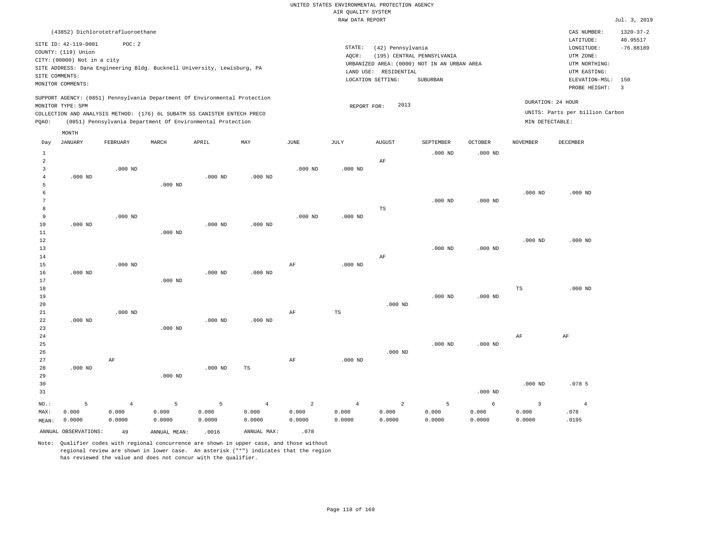|                                                                    |                                                                                                                   |                                   |                                                                                                                                                        |                      |                                   |                                   | RAW DATA REPORT                   |                                                                                                                                              |                      |                      |                                            |                                                                                                          | Jul. 3, 2019                                     |
|--------------------------------------------------------------------|-------------------------------------------------------------------------------------------------------------------|-----------------------------------|--------------------------------------------------------------------------------------------------------------------------------------------------------|----------------------|-----------------------------------|-----------------------------------|-----------------------------------|----------------------------------------------------------------------------------------------------------------------------------------------|----------------------|----------------------|--------------------------------------------|----------------------------------------------------------------------------------------------------------|--------------------------------------------------|
|                                                                    | (43852) Dichlorotetrafluoroethane                                                                                 |                                   |                                                                                                                                                        |                      |                                   |                                   |                                   |                                                                                                                                              |                      |                      |                                            | CAS NUMBER:                                                                                              | $1320 - 37 - 2$                                  |
|                                                                    | SITE ID: 42-119-0001<br>COUNTY: (119) Union<br>CITY: (00000) Not in a city<br>SITE COMMENTS:<br>MONITOR COMMENTS: | POC: 2                            | SITE ADDRESS: Dana Engineering Bldg. Bucknell University, Lewisburg, PA                                                                                |                      |                                   |                                   | STATE:<br>AOCR:                   | (42) Pennsylvania<br>(195) CENTRAL PENNSYLVANIA<br>URBANIZED AREA: (0000) NOT IN AN URBAN AREA<br>LAND USE: RESIDENTIAL<br>LOCATION SETTING: | SUBURBAN             |                      |                                            | LATITUDE:<br>LONGITUDE:<br>UTM ZONE:<br>UTM NORTHING:<br>UTM EASTING:<br>ELEVATION-MSL:<br>PROBE HEIGHT: | 40.95517<br>$-76.88189$<br>150<br>$\overline{3}$ |
|                                                                    | MONITOR TYPE: SPM                                                                                                 |                                   | SUPPORT AGENCY: (0851) Pennsylvania Department Of Environmental Protection<br>COLLECTION AND ANALYSIS METHOD: (176) 6L SUBATM SS CANISTER ENTECH PRECO |                      |                                   |                                   | REPORT FOR:                       | 2013                                                                                                                                         |                      |                      |                                            | DURATION: 24 HOUR<br>UNITS: Parts per billion Carbon                                                     |                                                  |
| PQAO:                                                              |                                                                                                                   |                                   | (0851) Pennsylvania Department Of Environmental Protection                                                                                             |                      |                                   |                                   |                                   |                                                                                                                                              |                      |                      | MIN DETECTABLE:                            |                                                                                                          |                                                  |
|                                                                    | MONTH                                                                                                             |                                   |                                                                                                                                                        |                      |                                   |                                   |                                   |                                                                                                                                              |                      |                      |                                            |                                                                                                          |                                                  |
| Day                                                                | <b>JANUARY</b>                                                                                                    | FEBRUARY                          | MARCH                                                                                                                                                  | APRIL                | $\ensuremath{\text{MAX}}$         | JUNE                              | JULY                              | <b>AUGUST</b>                                                                                                                                | SEPTEMBER            | <b>OCTOBER</b>       | <b>NOVEMBER</b>                            | DECEMBER                                                                                                 |                                                  |
| $\mathbf{1}$<br>$\overline{a}$<br>$\overline{3}$<br>$\overline{4}$ | $.000$ ND                                                                                                         | $.000$ ND                         |                                                                                                                                                        | $.000$ ND            | $.000$ ND                         | $.000$ ND                         | $.000$ ND                         | AF                                                                                                                                           | $.000$ ND            | $.000$ ND            |                                            |                                                                                                          |                                                  |
| 5<br>6<br>7                                                        |                                                                                                                   |                                   | $.000$ ND                                                                                                                                              |                      |                                   |                                   |                                   |                                                                                                                                              | $.000$ ND            | $.000$ ND            | $.000$ ND                                  | $.000$ ND                                                                                                |                                                  |
| 8<br>9<br>$10$<br>11                                               | $.000$ ND                                                                                                         | $.000$ ND                         | $.000$ ND                                                                                                                                              | $.000$ ND            | $.000$ ND                         | $.000$ ND                         | $.000$ ND                         | $\mathbb{TS}$                                                                                                                                |                      |                      |                                            |                                                                                                          |                                                  |
| 12<br>13<br>14                                                     |                                                                                                                   |                                   |                                                                                                                                                        |                      |                                   |                                   |                                   | AF                                                                                                                                           | $.000$ ND            | $.000$ ND            | $.000$ ND                                  | $.000$ ND                                                                                                |                                                  |
| 15<br>16<br>17<br>18                                               | $.000$ ND                                                                                                         | $.000$ ND                         | $.000$ ND                                                                                                                                              | $.000$ ND            | $.000$ ND                         | AF                                | $.000$ ND                         |                                                                                                                                              |                      |                      | $_{\rm TS}$                                | $.000$ ND                                                                                                |                                                  |
| 19<br>20<br>21<br>22                                               | $.000$ ND                                                                                                         | $.000$ ND                         |                                                                                                                                                        | $.000$ ND            | $.000$ ND                         | AF                                | TS                                | $.000$ ND                                                                                                                                    | $.000$ ND            | $.000$ ND            |                                            |                                                                                                          |                                                  |
| 23<br>24<br>25<br>26                                               |                                                                                                                   |                                   | $.000$ ND                                                                                                                                              |                      |                                   |                                   |                                   | $.000$ ND                                                                                                                                    | $.000$ ND            | $.000$ ND            | AF                                         | AF                                                                                                       |                                                  |
| 27<br>28<br>29<br>30                                               | $.000$ ND                                                                                                         | AF                                | $.000$ ND                                                                                                                                              | $.000$ ND            | TS                                | AF                                | $.000$ ND                         |                                                                                                                                              |                      |                      | $.000$ ND                                  | .0785                                                                                                    |                                                  |
| 31                                                                 |                                                                                                                   |                                   |                                                                                                                                                        |                      |                                   |                                   |                                   |                                                                                                                                              |                      | $.000$ ND            |                                            |                                                                                                          |                                                  |
| $NO.$ :<br>MAX:<br>MEAN:                                           | 5<br>0.000<br>0.0000                                                                                              | $\overline{4}$<br>0.000<br>0.0000 | 5<br>0.000<br>0.0000                                                                                                                                   | 5<br>0.000<br>0.0000 | $\overline{4}$<br>0.000<br>0.0000 | $\overline{2}$<br>0.000<br>0.0000 | $\overline{4}$<br>0.000<br>0.0000 | $\overline{a}$<br>0.000<br>0.0000                                                                                                            | 5<br>0.000<br>0.0000 | 6<br>0.000<br>0.0000 | $\overline{\mathbf{3}}$<br>0.000<br>0.0000 | $\overline{4}$<br>.078<br>.0195                                                                          |                                                  |
|                                                                    | ANNUAL OBSERVATIONS:                                                                                              | 49                                | ANNUAL MEAN:                                                                                                                                           | .0016                | ANNUAL MAX:                       | .078                              |                                   |                                                                                                                                              |                      |                      |                                            |                                                                                                          |                                                  |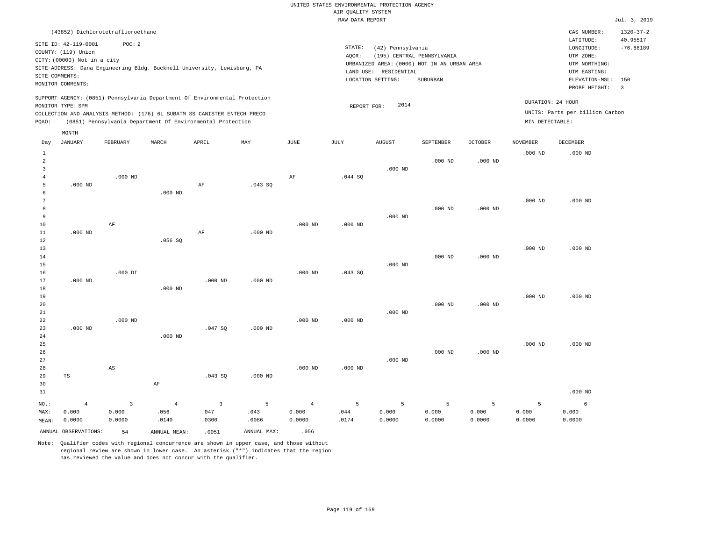|                |                                   |                        |                |                                                                            |                |                | RAW DATA REPORT |                       |                                             |                |                 |                                 | Jul. 3, 2019    |
|----------------|-----------------------------------|------------------------|----------------|----------------------------------------------------------------------------|----------------|----------------|-----------------|-----------------------|---------------------------------------------|----------------|-----------------|---------------------------------|-----------------|
|                | (43852) Dichlorotetrafluoroethane |                        |                |                                                                            |                |                |                 |                       |                                             |                |                 | CAS NUMBER:                     | $1320 - 37 - 2$ |
|                |                                   |                        |                |                                                                            |                |                |                 |                       |                                             |                |                 | LATITUDE:                       | 40.95517        |
|                | SITE ID: 42-119-0001              | POC: 2                 |                |                                                                            |                |                | STATE:          | (42) Pennsylvania     |                                             |                |                 | LONGITUDE:                      | $-76.88189$     |
|                | COUNTY: (119) Union               |                        |                |                                                                            |                |                | AQCR:           |                       | (195) CENTRAL PENNSYLVANIA                  |                |                 | UTM ZONE:                       |                 |
|                | CITY: (00000) Not in a city       |                        |                |                                                                            |                |                |                 |                       | URBANIZED AREA: (0000) NOT IN AN URBAN AREA |                |                 | UTM NORTHING:                   |                 |
|                |                                   |                        |                | SITE ADDRESS: Dana Engineering Bldg. Bucknell University, Lewisburg, PA    |                |                |                 | LAND USE: RESIDENTIAL |                                             |                |                 | UTM EASTING:                    |                 |
|                | SITE COMMENTS:                    |                        |                |                                                                            |                |                |                 | LOCATION SETTING:     | SUBURBAN                                    |                |                 | ELEVATION-MSL:                  | 150             |
|                | MONITOR COMMENTS:                 |                        |                |                                                                            |                |                |                 |                       |                                             |                |                 | PROBE HEIGHT:                   | $\overline{3}$  |
|                |                                   |                        |                | SUPPORT AGENCY: (0851) Pennsylvania Department Of Environmental Protection |                |                |                 |                       |                                             |                |                 |                                 |                 |
|                | MONITOR TYPE: SPM                 |                        |                |                                                                            |                |                | REPORT FOR:     | 2014                  |                                             |                |                 | DURATION: 24 HOUR               |                 |
|                |                                   |                        |                | COLLECTION AND ANALYSIS METHOD: (176) 6L SUBATM SS CANISTER ENTECH PRECO   |                |                |                 |                       |                                             |                |                 | UNITS: Parts per billion Carbon |                 |
| PQAO:          |                                   |                        |                | (0851) Pennsylvania Department Of Environmental Protection                 |                |                |                 |                       |                                             |                | MIN DETECTABLE: |                                 |                 |
|                | MONTH                             |                        |                |                                                                            |                |                |                 |                       |                                             |                |                 |                                 |                 |
| Day            | <b>JANUARY</b>                    | FEBRUARY               | MARCH          | APRIL                                                                      | MAY            | $_{\rm JUNE}$  | <b>JULY</b>     | <b>AUGUST</b>         | SEPTEMBER                                   | <b>OCTOBER</b> | <b>NOVEMBER</b> | <b>DECEMBER</b>                 |                 |
| $\mathbf{1}$   |                                   |                        |                |                                                                            |                |                |                 |                       |                                             |                | $.000$ ND       | $.000$ ND                       |                 |
| $\overline{2}$ |                                   |                        |                |                                                                            |                |                |                 |                       | $.000$ ND                                   | $.000$ ND      |                 |                                 |                 |
| $\overline{3}$ |                                   |                        |                |                                                                            |                |                |                 | $.000$ ND             |                                             |                |                 |                                 |                 |
| $\overline{4}$ |                                   | $.000$ ND              |                |                                                                            |                | AF             | .044S           |                       |                                             |                |                 |                                 |                 |
| 5              | $.000$ ND                         |                        |                | AF                                                                         | .043SQ         |                |                 |                       |                                             |                |                 |                                 |                 |
| 6              |                                   |                        | $.000$ ND      |                                                                            |                |                |                 |                       |                                             |                |                 |                                 |                 |
| $\overline{7}$ |                                   |                        |                |                                                                            |                |                |                 |                       |                                             |                | $.000$ ND       | $.000$ ND                       |                 |
| 8              |                                   |                        |                |                                                                            |                |                |                 |                       | $.000$ ND                                   | $.000$ ND      |                 |                                 |                 |
| 9              |                                   |                        |                |                                                                            |                |                |                 | $.000$ ND             |                                             |                |                 |                                 |                 |
| 10             |                                   | $\rm AF$               |                |                                                                            |                | $.000$ ND      | $.000$ ND       |                       |                                             |                |                 |                                 |                 |
| 11             | $.000$ ND                         |                        |                | AF                                                                         | $.000$ ND      |                |                 |                       |                                             |                |                 |                                 |                 |
| 12             |                                   |                        | .056SQ         |                                                                            |                |                |                 |                       |                                             |                |                 |                                 |                 |
| 13             |                                   |                        |                |                                                                            |                |                |                 |                       |                                             |                | $.000$ ND       | $.000$ ND                       |                 |
| 14             |                                   |                        |                |                                                                            |                |                |                 |                       | $.000$ ND                                   | $.000$ ND      |                 |                                 |                 |
| 15             |                                   |                        |                |                                                                            |                |                |                 | $.000$ ND             |                                             |                |                 |                                 |                 |
| 16             |                                   | $.000$ DI              |                |                                                                            |                | $.000$ ND      | .043SQ          |                       |                                             |                |                 |                                 |                 |
| 17             | $.000$ ND                         |                        |                | $.000$ ND                                                                  | $.000$ ND      |                |                 |                       |                                             |                |                 |                                 |                 |
| 18             |                                   |                        | $.000$ ND      |                                                                            |                |                |                 |                       |                                             |                |                 |                                 |                 |
| 19             |                                   |                        |                |                                                                            |                |                |                 |                       | $.000$ ND                                   | $.000$ ND      | $.000$ ND       | $.000$ ND                       |                 |
| 20<br>21       |                                   |                        |                |                                                                            |                |                |                 | $.000$ ND             |                                             |                |                 |                                 |                 |
| 22             |                                   | $.000$ ND              |                |                                                                            |                | $.000$ ND      | $.000$ ND       |                       |                                             |                |                 |                                 |                 |
| 23             | $.000$ ND                         |                        |                | .047SQ                                                                     | $.000$ ND      |                |                 |                       |                                             |                |                 |                                 |                 |
| 24             |                                   |                        | $.000$ ND      |                                                                            |                |                |                 |                       |                                             |                |                 |                                 |                 |
| 25             |                                   |                        |                |                                                                            |                |                |                 |                       |                                             |                | $.000$ ND       | $.000$ ND                       |                 |
| 26             |                                   |                        |                |                                                                            |                |                |                 |                       | $.000$ ND                                   | $.000$ ND      |                 |                                 |                 |
| 27             |                                   |                        |                |                                                                            |                |                |                 | $.000$ ND             |                                             |                |                 |                                 |                 |
| 28             |                                   | $\mathbb{A}\mathbb{S}$ |                |                                                                            |                | $.000$ ND      | $.000$ ND       |                       |                                             |                |                 |                                 |                 |
| 29             | $_{\rm TS}$                       |                        |                | .043SQ                                                                     | $.000$ ND      |                |                 |                       |                                             |                |                 |                                 |                 |
| 30             |                                   |                        | $\rm AF$       |                                                                            |                |                |                 |                       |                                             |                |                 |                                 |                 |
| 31             |                                   |                        |                |                                                                            |                |                |                 |                       |                                             |                |                 | $.000$ ND                       |                 |
|                |                                   |                        |                |                                                                            |                |                |                 |                       |                                             |                |                 |                                 |                 |
| NO.:           | $\overline{4}$                    | $\overline{3}$         | $\overline{4}$ | $\overline{3}$                                                             | $\overline{5}$ | $\overline{4}$ | 5               | 5                     | 5                                           | 5              | $\overline{5}$  | $\epsilon$                      |                 |
| MAX:           | 0.000                             | 0.000                  | .056           | .047                                                                       | .043           | 0.000          | .044            | 0.000                 | 0.000                                       | 0.000          | 0.000           | 0.000                           |                 |
| MEAN:          | 0.0000                            | 0.0000                 | .0140          | .0300                                                                      | .0086          | 0.0000         | .0174           | 0.0000                | 0.0000                                      | 0.0000         | 0.0000          | 0.0000                          |                 |
|                | ANNUAL OBSERVATIONS:              | 54                     | ANNUAL MEAN:   | .0051                                                                      | ANNUAL MAX:    | .056           |                 |                       |                                             |                |                 |                                 |                 |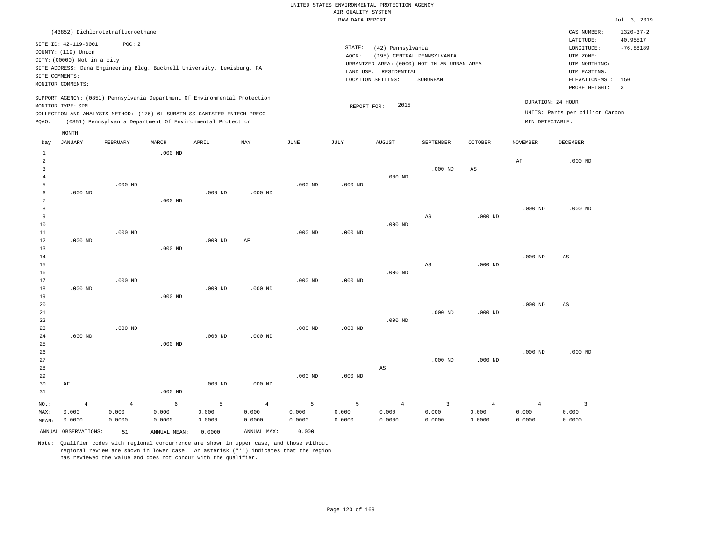|                |                                                                                                                   |                |                    |                                                                            |                |               | RAW DATA REPORT |                                                                 |                                                                                       |                        |                 |                                                                                                              | Jul. 3, 2019                              |
|----------------|-------------------------------------------------------------------------------------------------------------------|----------------|--------------------|----------------------------------------------------------------------------|----------------|---------------|-----------------|-----------------------------------------------------------------|---------------------------------------------------------------------------------------|------------------------|-----------------|--------------------------------------------------------------------------------------------------------------|-------------------------------------------|
|                | (43852) Dichlorotetrafluoroethane                                                                                 |                |                    |                                                                            |                |               |                 |                                                                 |                                                                                       |                        |                 | CAS NUMBER:                                                                                                  | $1320 - 37 - 2$                           |
|                | SITE ID: 42-119-0001<br>COUNTY: (119) Union<br>CITY: (00000) Not in a city<br>SITE COMMENTS:<br>MONITOR COMMENTS: | POC: 2         |                    | SITE ADDRESS: Dana Engineering Bldg. Bucknell University, Lewisburg, PA    |                |               | STATE:<br>AQCR: | (42) Pennsylvania<br>LAND USE: RESIDENTIAL<br>LOCATION SETTING: | (195) CENTRAL PENNSYLVANIA<br>URBANIZED AREA: (0000) NOT IN AN URBAN AREA<br>SUBURBAN |                        |                 | LATITUDE:<br>LONGITUDE:<br>UTM ZONE:<br>UTM NORTHING:<br>UTM EASTING:<br>ELEVATION-MSL: 150<br>PROBE HEIGHT: | 40.95517<br>$-76.88189$<br>$\overline{3}$ |
|                |                                                                                                                   |                |                    | SUPPORT AGENCY: (0851) Pennsylvania Department Of Environmental Protection |                |               |                 |                                                                 |                                                                                       |                        |                 | DURATION: 24 HOUR                                                                                            |                                           |
|                | MONITOR TYPE: SPM                                                                                                 |                |                    |                                                                            |                |               | REPORT FOR:     | 2015                                                            |                                                                                       |                        |                 |                                                                                                              |                                           |
|                |                                                                                                                   |                |                    | COLLECTION AND ANALYSIS METHOD: (176) 6L SUBATM SS CANISTER ENTECH PRECO   |                |               |                 |                                                                 |                                                                                       |                        | MIN DETECTABLE: | UNITS: Parts per billion Carbon                                                                              |                                           |
| PQAO:          |                                                                                                                   |                |                    | (0851) Pennsylvania Department Of Environmental Protection                 |                |               |                 |                                                                 |                                                                                       |                        |                 |                                                                                                              |                                           |
|                | MONTH                                                                                                             |                |                    |                                                                            |                |               |                 |                                                                 |                                                                                       |                        |                 |                                                                                                              |                                           |
| Day            | <b>JANUARY</b>                                                                                                    | FEBRUARY       | MARCH              | APRIL                                                                      | MAY            | $_{\rm JUNE}$ | JULY            | <b>AUGUST</b>                                                   | SEPTEMBER                                                                             | <b>OCTOBER</b>         | <b>NOVEMBER</b> | DECEMBER                                                                                                     |                                           |
| $\mathbf{1}$   |                                                                                                                   |                | .000 <sub>ND</sub> |                                                                            |                |               |                 |                                                                 |                                                                                       |                        |                 |                                                                                                              |                                           |
| $\overline{a}$ |                                                                                                                   |                |                    |                                                                            |                |               |                 |                                                                 |                                                                                       |                        | AF              | $.000$ ND                                                                                                    |                                           |
| $\overline{3}$ |                                                                                                                   |                |                    |                                                                            |                |               |                 |                                                                 | $.000$ ND                                                                             | $\mathbb{A}\mathbb{S}$ |                 |                                                                                                              |                                           |
| $\overline{4}$ |                                                                                                                   |                |                    |                                                                            |                |               |                 | $.000$ ND                                                       |                                                                                       |                        |                 |                                                                                                              |                                           |
| 5              |                                                                                                                   | $.000$ ND      |                    |                                                                            |                | $.000$ ND     | $.000$ ND       |                                                                 |                                                                                       |                        |                 |                                                                                                              |                                           |
| 6<br>7         | $.000$ ND                                                                                                         |                |                    | $.000$ ND                                                                  | $.000$ ND      |               |                 |                                                                 |                                                                                       |                        |                 |                                                                                                              |                                           |
| 8              |                                                                                                                   |                | $.000$ ND          |                                                                            |                |               |                 |                                                                 |                                                                                       |                        | $.000$ ND       | $.000$ ND                                                                                                    |                                           |
| 9              |                                                                                                                   |                |                    |                                                                            |                |               |                 |                                                                 | AS                                                                                    | $.000$ ND              |                 |                                                                                                              |                                           |
| 10             |                                                                                                                   |                |                    |                                                                            |                |               |                 | $.000$ ND                                                       |                                                                                       |                        |                 |                                                                                                              |                                           |
| 11             |                                                                                                                   | $.000$ ND      |                    |                                                                            |                | $.000$ ND     | $.000$ ND       |                                                                 |                                                                                       |                        |                 |                                                                                                              |                                           |
| 12             | $.000$ ND                                                                                                         |                |                    | $.000$ ND                                                                  | AF             |               |                 |                                                                 |                                                                                       |                        |                 |                                                                                                              |                                           |
| 13             |                                                                                                                   |                | $.000$ ND          |                                                                            |                |               |                 |                                                                 |                                                                                       |                        |                 |                                                                                                              |                                           |
| 14             |                                                                                                                   |                |                    |                                                                            |                |               |                 |                                                                 |                                                                                       |                        | $.000$ ND       | AS                                                                                                           |                                           |
| 15             |                                                                                                                   |                |                    |                                                                            |                |               |                 |                                                                 | AS                                                                                    | $.000$ ND              |                 |                                                                                                              |                                           |
| 16             |                                                                                                                   |                |                    |                                                                            |                |               |                 | $.000$ ND                                                       |                                                                                       |                        |                 |                                                                                                              |                                           |
| 17             |                                                                                                                   | $.000$ ND      |                    |                                                                            |                | $.000$ ND     | $.000$ ND       |                                                                 |                                                                                       |                        |                 |                                                                                                              |                                           |
| 18             | $.000$ ND                                                                                                         |                |                    | $.000$ ND                                                                  | $.000$ ND      |               |                 |                                                                 |                                                                                       |                        |                 |                                                                                                              |                                           |
| 19<br>20       |                                                                                                                   |                | $.000$ ND          |                                                                            |                |               |                 |                                                                 |                                                                                       |                        | $.000$ ND       | $\mathbb{A}\mathbb{S}$                                                                                       |                                           |
| 21             |                                                                                                                   |                |                    |                                                                            |                |               |                 |                                                                 | $.000$ ND                                                                             | $.000$ ND              |                 |                                                                                                              |                                           |
| 22             |                                                                                                                   |                |                    |                                                                            |                |               |                 | $.000$ ND                                                       |                                                                                       |                        |                 |                                                                                                              |                                           |
| 23             |                                                                                                                   | $.000$ ND      |                    |                                                                            |                | $.000$ ND     | $.000$ ND       |                                                                 |                                                                                       |                        |                 |                                                                                                              |                                           |
| 24             | $.000$ ND                                                                                                         |                |                    | $.000$ ND                                                                  | $.000$ ND      |               |                 |                                                                 |                                                                                       |                        |                 |                                                                                                              |                                           |
| 25             |                                                                                                                   |                | $.000$ ND          |                                                                            |                |               |                 |                                                                 |                                                                                       |                        |                 |                                                                                                              |                                           |
| 26             |                                                                                                                   |                |                    |                                                                            |                |               |                 |                                                                 |                                                                                       |                        | $.000$ ND       | $.000$ ND                                                                                                    |                                           |
| 27             |                                                                                                                   |                |                    |                                                                            |                |               |                 |                                                                 | $.000$ ND                                                                             | $.000$ ND              |                 |                                                                                                              |                                           |
| 28             |                                                                                                                   |                |                    |                                                                            |                |               |                 | $_{\rm AS}$                                                     |                                                                                       |                        |                 |                                                                                                              |                                           |
| 29             |                                                                                                                   |                |                    |                                                                            |                | $.000$ ND     | $.000$ ND       |                                                                 |                                                                                       |                        |                 |                                                                                                              |                                           |
| 30             | AF                                                                                                                |                |                    | $.000$ ND                                                                  | $.000$ ND      |               |                 |                                                                 |                                                                                       |                        |                 |                                                                                                              |                                           |
| 31             |                                                                                                                   |                | $.000$ ND          |                                                                            |                |               |                 |                                                                 |                                                                                       |                        |                 |                                                                                                              |                                           |
| $NO.$ :        | $\overline{4}$                                                                                                    | $\overline{4}$ | 6                  | 5                                                                          | $\overline{4}$ | 5             | 5               | $\overline{4}$                                                  | 3                                                                                     | $\overline{4}$         | $\overline{4}$  | $\overline{3}$                                                                                               |                                           |
| MAX:           | 0.000                                                                                                             | 0.000          | 0.000              | 0.000                                                                      | 0.000          | 0.000         | 0.000           | 0.000                                                           | 0.000                                                                                 | 0.000                  | 0.000           | 0.000                                                                                                        |                                           |
| MEAN:          | 0.0000                                                                                                            | 0.0000         | 0.0000             | 0.0000                                                                     | 0.0000         | 0.0000        | 0.0000          | 0.0000                                                          | 0.0000                                                                                | 0.0000                 | 0.0000          | 0.0000                                                                                                       |                                           |
|                | ANNUAL OBSERVATIONS:                                                                                              | 51             | ANNUAL MEAN:       | 0.0000                                                                     | ANNUAL MAX:    | 0.000         |                 |                                                                 |                                                                                       |                        |                 |                                                                                                              |                                           |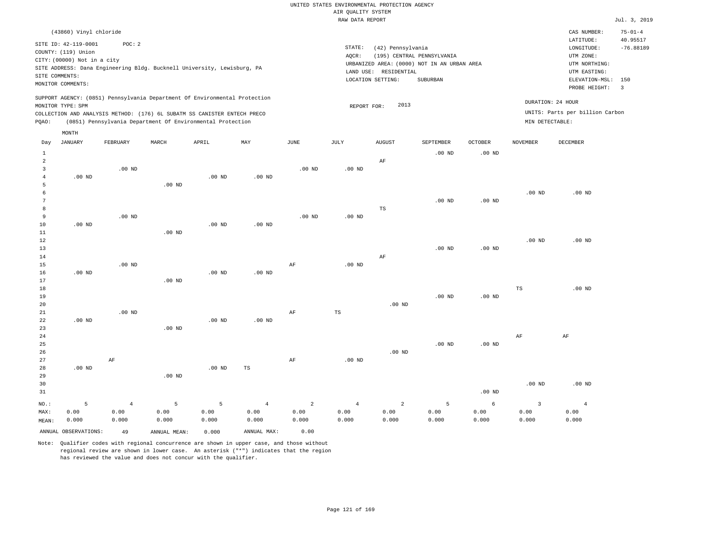RAW DATA REPORT Jul. 3, 2019 UNITED STATES ENVIRONMENTAL PROTECTION AGENCY AIR QUALITY SYSTEM

|                                                                                                                                                                                                                                                                                      | (43860) Vinyl chloride |          |       |                                                                                                                                        |     |          |          |                                                                                                                                      |                                        |                |          | CAS NUMBER:                                                                                              | $75 - 01 - 4$                         |
|--------------------------------------------------------------------------------------------------------------------------------------------------------------------------------------------------------------------------------------------------------------------------------------|------------------------|----------|-------|----------------------------------------------------------------------------------------------------------------------------------------|-----|----------|----------|--------------------------------------------------------------------------------------------------------------------------------------|----------------------------------------|----------------|----------|----------------------------------------------------------------------------------------------------------|---------------------------------------|
| SITE ID: 42-119-0001<br>POC: 2<br>COUNTY: (119) Union<br>CITY: (00000) Not in a city<br>SITE ADDRESS: Dana Engineering Bldg. Bucknell University, Lewisburg, PA<br>SITE COMMENTS:<br>MONITOR COMMENTS:<br>SUPPORT AGENCY: (0851) Pennsylvania Department Of Environmental Protection |                        |          |       |                                                                                                                                        |     |          |          | STATE:<br>(42) Pennsylvania<br>AQCR:<br>URBANIZED AREA: (0000) NOT IN AN URBAN AREA<br>LAND USE:<br>RESIDENTIAL<br>LOCATION SETTING: | (195) CENTRAL PENNSYLVANIA<br>SUBURBAN |                |          | LATITUDE:<br>LONGITUDE:<br>UTM ZONE:<br>UTM NORTHING:<br>UTM EASTING:<br>ELEVATION-MSL:<br>PROBE HEIGHT: | 40.95517<br>$-76.88189$<br>150<br>- 3 |
| POAO:                                                                                                                                                                                                                                                                                | MONITOR TYPE: SPM      |          |       | COLLECTION AND ANALYSIS METHOD: (176) 6L SUBATM SS CANISTER ENTECH PRECO<br>(0851) Pennsylvania Department Of Environmental Protection |     |          |          | 2013<br>REPORT FOR:                                                                                                                  |                                        |                |          | DURATION: 24 HOUR<br>UNITS: Parts per billion Carbon<br>MIN DETECTABLE:                                  |                                       |
|                                                                                                                                                                                                                                                                                      | MONTH                  |          |       |                                                                                                                                        |     |          |          |                                                                                                                                      |                                        |                |          |                                                                                                          |                                       |
| Day                                                                                                                                                                                                                                                                                  | JANUARY                | FEBRUARY | MARCH | APRIL                                                                                                                                  | MAY | JUNE     | JULY     | <b>AUGUST</b>                                                                                                                        | SEPTEMBER                              | <b>OCTOBER</b> | NOVEMBER | <b>DECEMBER</b>                                                                                          |                                       |
|                                                                                                                                                                                                                                                                                      |                        |          |       |                                                                                                                                        |     |          |          |                                                                                                                                      | $.00$ ND                               | $.00$ ND       |          |                                                                                                          |                                       |
|                                                                                                                                                                                                                                                                                      |                        |          |       |                                                                                                                                        |     |          |          | AF                                                                                                                                   |                                        |                |          |                                                                                                          |                                       |
|                                                                                                                                                                                                                                                                                      |                        | $.00$ ND |       |                                                                                                                                        |     | $.00$ ND | $.00$ ND |                                                                                                                                      |                                        |                |          |                                                                                                          |                                       |

| 4  | $.00$ ND |          |          | $.00$ ND | $.00$ ND |          |          |    |          |          |          |          |
|----|----------|----------|----------|----------|----------|----------|----------|----|----------|----------|----------|----------|
| 5  |          |          | $.00$ ND |          |          |          |          |    |          |          |          |          |
| b  |          |          |          |          |          |          |          |    |          |          | $.00$ ND | $.00$ ND |
| 7  |          |          |          |          |          |          |          |    | $.00$ ND | $.00$ ND |          |          |
| 8  |          |          |          |          |          |          |          | TS |          |          |          |          |
| 9  |          | $.00$ ND |          |          |          | $.00$ ND | $.00$ ND |    |          |          |          |          |
| 10 | $.00$ ND |          |          | $.00$ ND | $.00$ ND |          |          |    |          |          |          |          |
| 11 |          |          | $.00$ ND |          |          |          |          |    |          |          |          |          |

| $- -$ |          |          | $\cdots$ |          |          |    |          |          |          |          |          |          |
|-------|----------|----------|----------|----------|----------|----|----------|----------|----------|----------|----------|----------|
| 12    |          |          |          |          |          |    |          |          |          |          | $.00$ ND | $.00$ ND |
| 13    |          |          |          |          |          |    |          |          | $.00$ ND | $.00$ ND |          |          |
| 14    |          |          |          |          |          |    |          | AF       |          |          |          |          |
| 15    |          | $.00$ ND |          |          |          | AF | $.00$ ND |          |          |          |          |          |
| 16    | $.00$ ND |          |          | $.00$ ND | $.00$ ND |    |          |          |          |          |          |          |
| 17    |          |          | $.00$ ND |          |          |    |          |          |          |          |          |          |
| 18    |          |          |          |          |          |    |          |          |          |          | TS       | $.00$ ND |
| 19    |          |          |          |          |          |    |          |          | $.00$ ND | $.00$ ND |          |          |
| 20    |          |          |          |          |          |    |          | $.00$ ND |          |          |          |          |
| 21    |          | $.00$ ND |          |          |          | AF | TS       |          |          |          |          |          |

|        |          | .  |          |          |          |    |          |          |          |          |    |    |
|--------|----------|----|----------|----------|----------|----|----------|----------|----------|----------|----|----|
| 22     | $.00$ ND |    |          | $.00$ ND | $.00$ ND |    |          |          |          |          |    |    |
| 23     |          |    | $.00$ ND |          |          |    |          |          |          |          |    |    |
| $2\,4$ |          |    |          |          |          |    |          |          |          |          | AF | AF |
| 25     |          |    |          |          |          |    |          |          | $.00$ ND | $.00$ ND |    |    |
| 26     |          |    |          |          |          |    |          | $.00$ ND |          |          |    |    |
| 27     |          | AF |          |          |          | AF | $.00$ ND |          |          |          |    |    |
| 28     | $.00$ ND |    |          | $.00$ ND | TS       |    |          |          |          |          |    |    |
| 29     |          |    | $.00$ ND |          |          |    |          |          |          |          |    |    |
|        |          |    |          |          |          |    |          |          |          |          |    |    |

| 30    |                      |       |              |            |             |       |       |       |              |                   | .00 <sub>ND</sub> | $.00$ ND |
|-------|----------------------|-------|--------------|------------|-------------|-------|-------|-------|--------------|-------------------|-------------------|----------|
| 31    |                      |       |              |            |             |       |       |       |              | .00 <sub>ND</sub> |                   |          |
| NO.:  |                      | Δ     | Б.           | $\sqrt{2}$ | 4           | 2     | 4     |       | $\mathbf{R}$ |                   |                   |          |
| MAX:  | 0.00                 | 0.00  | 0.00         | 0.00       | 0.00        | 0.00  | 0.00  | 0.00  | 0.00         | 0.00              | 0.00              | 0.00     |
| MEAN: | 0.000                | 0.000 | 0.000        | 0.000      | 0.000       | 0.000 | 0.000 | 0.000 | 0.000        | 0.000             | 0.000             | 0.000    |
|       | ANNUAL OBSERVATIONS: | 49    | ANNUAL MEAN: | 0.000      | ANNUAL MAX: | 0.00  |       |       |              |                   |                   |          |

Note: Qualifier codes with regional concurrence are shown in upper case, and those without regional review are shown in lower case. An asterisk ("\*") indicates that the region

has reviewed the value and does not concur with the qualifier.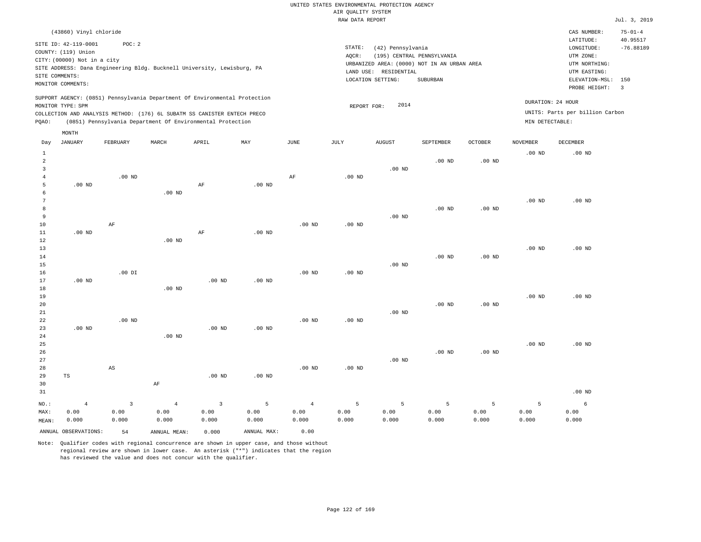|                                |                                                                       |                |                                                                            |                         |                   |                |                                       | UNITED STATES ENVIRONMENTAL PROTECTION AGENCY |                                                                           |                   |                   |                                        |                                          |
|--------------------------------|-----------------------------------------------------------------------|----------------|----------------------------------------------------------------------------|-------------------------|-------------------|----------------|---------------------------------------|-----------------------------------------------|---------------------------------------------------------------------------|-------------------|-------------------|----------------------------------------|------------------------------------------|
|                                |                                                                       |                |                                                                            |                         |                   |                | AIR QUALITY SYSTEM<br>RAW DATA REPORT |                                               |                                                                           |                   |                   |                                        | Jul. 3, 2019                             |
|                                |                                                                       |                |                                                                            |                         |                   |                |                                       |                                               |                                                                           |                   |                   |                                        |                                          |
|                                | (43860) Vinyl chloride<br>SITE ID: 42-119-0001<br>COUNTY: (119) Union | POC: 2         |                                                                            |                         |                   |                | STATE:                                | (42) Pennsylvania                             |                                                                           |                   |                   | CAS NUMBER:<br>LATITUDE:<br>LONGITUDE: | $75 - 01 - 4$<br>40.95517<br>$-76.88189$ |
|                                | CITY: (00000) Not in a city                                           |                |                                                                            |                         |                   |                | AQCR:                                 |                                               | (195) CENTRAL PENNSYLVANIA<br>URBANIZED AREA: (0000) NOT IN AN URBAN AREA |                   |                   | UTM ZONE:<br>UTM NORTHING:             |                                          |
|                                | SITE COMMENTS:                                                        |                | SITE ADDRESS: Dana Engineering Bldg. Bucknell University, Lewisburg, PA    |                         |                   |                |                                       | LAND USE: RESIDENTIAL                         |                                                                           |                   |                   | UTM EASTING:                           |                                          |
|                                | MONITOR COMMENTS:                                                     |                |                                                                            |                         |                   |                |                                       | LOCATION SETTING:                             | SUBURBAN                                                                  |                   |                   | ELEVATION-MSL:<br>PROBE HEIGHT:        | 150<br>$\overline{3}$                    |
|                                | MONITOR TYPE: SPM                                                     |                | SUPPORT AGENCY: (0851) Pennsylvania Department Of Environmental Protection |                         |                   |                |                                       | 2014                                          |                                                                           |                   |                   | DURATION: 24 HOUR                      |                                          |
|                                |                                                                       |                | COLLECTION AND ANALYSIS METHOD: (176) 6L SUBATM SS CANISTER ENTECH PRECO   |                         |                   |                | REPORT FOR:                           |                                               |                                                                           |                   |                   | UNITS: Parts per billion Carbon        |                                          |
| PQAO:                          |                                                                       |                | (0851) Pennsylvania Department Of Environmental Protection                 |                         |                   |                |                                       |                                               |                                                                           |                   | MIN DETECTABLE:   |                                        |                                          |
|                                | MONTH                                                                 |                |                                                                            |                         |                   |                |                                       |                                               |                                                                           |                   |                   |                                        |                                          |
| Day                            | JANUARY                                                               | FEBRUARY       | MARCH                                                                      | ${\tt APRIL}$           | MAY               | $_{\rm JUNE}$  | $\mathtt{JULY}$                       | AUGUST                                        | SEPTEMBER                                                                 | <b>OCTOBER</b>    | <b>NOVEMBER</b>   | <b>DECEMBER</b>                        |                                          |
| $\mathbf{1}$<br>$\overline{2}$ |                                                                       |                |                                                                            |                         |                   |                |                                       |                                               | $.00$ ND                                                                  | .00 <sub>ND</sub> | .00 <sub>ND</sub> | $.00$ ND                               |                                          |
| 3                              |                                                                       |                |                                                                            |                         |                   |                |                                       | $.00$ ND                                      |                                                                           |                   |                   |                                        |                                          |
| $\overline{4}$                 |                                                                       | $.00$ ND       |                                                                            |                         |                   | $\rm{AF}$      | .00 <sub>ND</sub>                     |                                               |                                                                           |                   |                   |                                        |                                          |
| 5<br>6                         | .00 <sub>ND</sub>                                                     |                | $.00$ ND                                                                   | AF                      | $.00$ ND          |                |                                       |                                               |                                                                           |                   |                   |                                        |                                          |
| $\overline{7}$                 |                                                                       |                |                                                                            |                         |                   |                |                                       |                                               |                                                                           |                   | .00 <sub>ND</sub> | $.00$ ND                               |                                          |
| 8                              |                                                                       |                |                                                                            |                         |                   |                |                                       |                                               | .00 <sub>ND</sub>                                                         | .00 <sub>ND</sub> |                   |                                        |                                          |
| 9                              |                                                                       |                |                                                                            |                         |                   |                |                                       | $.00$ ND                                      |                                                                           |                   |                   |                                        |                                          |
| 10<br>11                       | $.00$ ND                                                              | AF             |                                                                            | $\rm AF$                | $.00$ ND          | $.00$ ND       | $.00$ ND                              |                                               |                                                                           |                   |                   |                                        |                                          |
| 12                             |                                                                       |                | $.00$ ND                                                                   |                         |                   |                |                                       |                                               |                                                                           |                   |                   |                                        |                                          |
| 13                             |                                                                       |                |                                                                            |                         |                   |                |                                       |                                               |                                                                           |                   | .00 <sub>ND</sub> | $.00$ ND                               |                                          |
| 14                             |                                                                       |                |                                                                            |                         |                   |                |                                       |                                               | $.00$ ND                                                                  | $.00$ ND          |                   |                                        |                                          |
| 15                             |                                                                       |                |                                                                            |                         |                   |                |                                       | $.00$ ND                                      |                                                                           |                   |                   |                                        |                                          |
| 16                             |                                                                       | $.00$ DI       |                                                                            |                         |                   | $.00$ ND       | $.00$ ND                              |                                               |                                                                           |                   |                   |                                        |                                          |
| 17<br>18                       | $.00$ ND                                                              |                | $.00$ ND                                                                   | .00 <sub>ND</sub>       | $.00$ ND          |                |                                       |                                               |                                                                           |                   |                   |                                        |                                          |
| 19                             |                                                                       |                |                                                                            |                         |                   |                |                                       |                                               |                                                                           |                   | .00 <sub>ND</sub> | $.00$ ND                               |                                          |
| 20                             |                                                                       |                |                                                                            |                         |                   |                |                                       |                                               | .00 <sub>ND</sub>                                                         | $.00$ ND          |                   |                                        |                                          |
| 21                             |                                                                       |                |                                                                            |                         |                   |                |                                       | $.00$ ND                                      |                                                                           |                   |                   |                                        |                                          |
| 22                             |                                                                       | $.00$ ND       |                                                                            |                         |                   | $.00$ ND       | $.00$ ND                              |                                               |                                                                           |                   |                   |                                        |                                          |
| 23<br>24                       | $.00$ ND                                                              |                | $.00$ ND                                                                   | $.00$ ND                | .00 <sub>ND</sub> |                |                                       |                                               |                                                                           |                   |                   |                                        |                                          |
| 25                             |                                                                       |                |                                                                            |                         |                   |                |                                       |                                               |                                                                           |                   | .00 <sub>ND</sub> | $.00$ ND                               |                                          |
| 26                             |                                                                       |                |                                                                            |                         |                   |                |                                       |                                               | $.00$ ND                                                                  | .00 <sub>ND</sub> |                   |                                        |                                          |
| 27                             |                                                                       |                |                                                                            |                         |                   |                |                                       | $.00$ ND                                      |                                                                           |                   |                   |                                        |                                          |
| 28                             |                                                                       | AS             |                                                                            |                         |                   | $.00$ ND       | $.00$ ND                              |                                               |                                                                           |                   |                   |                                        |                                          |
| 29                             | TS                                                                    |                |                                                                            | $.00$ ND                | $.00$ ND          |                |                                       |                                               |                                                                           |                   |                   |                                        |                                          |
| 30                             |                                                                       |                | $\rm{AF}$                                                                  |                         |                   |                |                                       |                                               |                                                                           |                   |                   |                                        |                                          |
| 31                             |                                                                       |                |                                                                            |                         |                   |                |                                       |                                               |                                                                           |                   |                   | $.00$ ND                               |                                          |
| $NO.$ :                        | $\overline{4}$                                                        | $\overline{3}$ | $\overline{4}$                                                             | $\overline{\mathbf{3}}$ | 5                 | $\overline{4}$ | $\overline{5}$                        | 5                                             | 5                                                                         | 5                 | 5                 | $\epsilon$                             |                                          |
| MAX:                           | 0.00<br>0.000                                                         | 0.00<br>0.000  | 0.00<br>0.000                                                              | 0.00<br>0.000           | 0.00<br>0.000     | 0.00<br>0.000  | 0.00<br>0.000                         | 0.00<br>0.000                                 | 0.00<br>0.000                                                             | 0.00<br>0.000     | 0.00<br>0.000     | 0.00<br>0.000                          |                                          |
| MEAN:                          |                                                                       |                |                                                                            |                         |                   |                |                                       |                                               |                                                                           |                   |                   |                                        |                                          |
|                                | ANNUAL OBSERVATIONS:                                                  | 54             | ANNUAL, MEAN:                                                              | 0.000                   | ANNUAL MAX:       | 0.00           |                                       |                                               |                                                                           |                   |                   |                                        |                                          |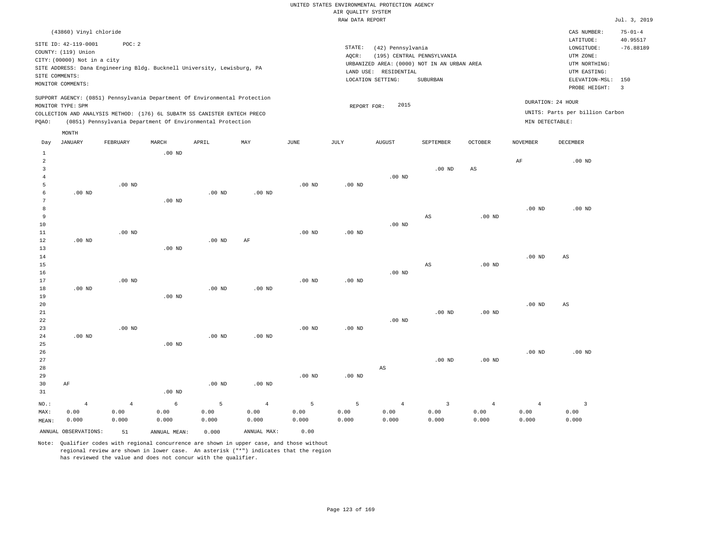|                                     |                                                                                                                        |          |                   |                                                                                                                                                                                                                      |          |          | RAW DATA REPORT   |                                                                                                                                              |                        |                   |                   |                                                                                                            | Jul. 3, 2019                             |
|-------------------------------------|------------------------------------------------------------------------------------------------------------------------|----------|-------------------|----------------------------------------------------------------------------------------------------------------------------------------------------------------------------------------------------------------------|----------|----------|-------------------|----------------------------------------------------------------------------------------------------------------------------------------------|------------------------|-------------------|-------------------|------------------------------------------------------------------------------------------------------------|------------------------------------------|
|                                     | (43860) Vinyl chloride<br>SITE ID: 42-119-0001<br>COUNTY: (119) Union<br>CITY: (00000) Not in a city<br>SITE COMMENTS: | POC: 2   |                   | SITE ADDRESS: Dana Engineering Bldg. Bucknell University, Lewisburg, PA                                                                                                                                              |          |          | STATE:<br>AQCR:   | (42) Pennsylvania<br>(195) CENTRAL PENNSYLVANIA<br>URBANIZED AREA: (0000) NOT IN AN URBAN AREA<br>LAND USE: RESIDENTIAL<br>LOCATION SETTING: | SUBURBAN               |                   |                   | CAS NUMBER:<br>LATITUDE:<br>LONGITUDE:<br>UTM ZONE:<br>UTM NORTHING:<br>UTM EASTING:<br>ELEVATION-MSL: 150 | $75 - 01 - 4$<br>40.95517<br>$-76.88189$ |
| POAO:                               | MONITOR COMMENTS:<br>MONITOR TYPE: SPM                                                                                 |          |                   | SUPPORT AGENCY: (0851) Pennsylvania Department Of Environmental Protection<br>COLLECTION AND ANALYSIS METHOD: (176) 6L SUBATM SS CANISTER ENTECH PRECO<br>(0851) Pennsylvania Department Of Environmental Protection |          |          | REPORT FOR:       | 2015                                                                                                                                         |                        |                   | MIN DETECTABLE:   | PROBE HEIGHT:<br>DURATION: 24 HOUR<br>UNITS: Parts per billion Carbon                                      | $\overline{\phantom{a}}$                 |
| Day                                 | MONTH<br><b>JANUARY</b>                                                                                                | FEBRUARY | MARCH             | APRIL                                                                                                                                                                                                                | MAY      | JUNE     | JULY              | <b>AUGUST</b>                                                                                                                                | SEPTEMBER              | <b>OCTOBER</b>    | <b>NOVEMBER</b>   | DECEMBER                                                                                                   |                                          |
| $\mathbf{1}$<br>$\overline{2}$<br>3 |                                                                                                                        |          | $.00$ ND          |                                                                                                                                                                                                                      |          |          |                   | $.00$ ND                                                                                                                                     | $.00$ ND               | AS                | AF                | $.00$ ND                                                                                                   |                                          |
| 5<br>-6<br>7<br>8                   | $.00$ ND                                                                                                               | $.00$ ND | .00 <sub>ND</sub> | $.00$ ND                                                                                                                                                                                                             | $.00$ ND | $.00$ ND | $.00$ ND          |                                                                                                                                              |                        |                   | $.00$ ND          | $.00$ ND                                                                                                   |                                          |
| 9<br>10<br>11<br>12<br>13           | $.00$ ND                                                                                                               | $.00$ ND | $.00$ ND          | .00 <sub>ND</sub>                                                                                                                                                                                                    | AF       | $.00$ ND | .00 <sub>ND</sub> | $.00$ ND                                                                                                                                     | AS                     | .00 <sub>ND</sub> |                   |                                                                                                            |                                          |
| 14<br>15<br>16<br>17                |                                                                                                                        | $.00$ ND |                   |                                                                                                                                                                                                                      |          | $.00$ ND | .00 <sub>ND</sub> | $.00$ ND                                                                                                                                     | $\mathbb{A}\mathbb{S}$ | .00 <sub>ND</sub> | .00 <sub>ND</sub> | AS                                                                                                         |                                          |
| 18<br>19<br>20                      | $.00$ ND                                                                                                               |          | $.00$ ND          | .00 <sub>ND</sub>                                                                                                                                                                                                    | $.00$ ND |          |                   |                                                                                                                                              |                        |                   | $.00$ ND          | AS                                                                                                         |                                          |

| 21             |          |                |          |          |                |          |          |                | $.00$ ND | $.00$ ND       |                |          |
|----------------|----------|----------------|----------|----------|----------------|----------|----------|----------------|----------|----------------|----------------|----------|
| 22             |          |                |          |          |                |          |          | $.00$ ND       |          |                |                |          |
| 23             |          | $.00$ ND       |          |          |                | $.00$ ND | $.00$ ND |                |          |                |                |          |
| 24             | $.00$ ND |                |          | $.00$ ND | $.00$ ND       |          |          |                |          |                |                |          |
| 25             |          |                | $.00$ ND |          |                |          |          |                |          |                |                |          |
| 26             |          |                |          |          |                |          |          |                |          |                | $.00$ ND       | $.00$ ND |
| 27             |          |                |          |          |                |          |          |                | $.00$ ND | $.00$ ND       |                |          |
| 28             |          |                |          |          |                |          |          | AS             |          |                |                |          |
| 29             |          |                |          |          |                | $.00$ ND | $.00$ ND |                |          |                |                |          |
| 30             | AF       |                |          | $.00$ ND | $.00$ ND       |          |          |                |          |                |                |          |
| 31             |          |                | $.00$ ND |          |                |          |          |                |          |                |                |          |
| $_{\rm NO.}$ : | 4        | $\overline{4}$ | 6        | 5        | $\overline{4}$ | 5        | 5        | $\overline{4}$ | 3        | $\overline{4}$ | $\overline{4}$ | 3        |
| MAX:           | 0.00     | 0.00           | 0.00     | 0.00     | 0.00           | 0.00     | 0.00     | 0.00           | 0.00     | 0.00           | 0.00           | 0.00     |
| MEAN:          | 0.000    | 0.000          | 0.000    | 0.000    | 0.000          | 0.000    | 0.000    | 0.000          | 0.000    | 0.000          | 0.000          | 0.000    |

ANNUAL OBSERVATIONS: 51 ANNUAL MEAN: 0.000 ANNUAL MAX: 0.00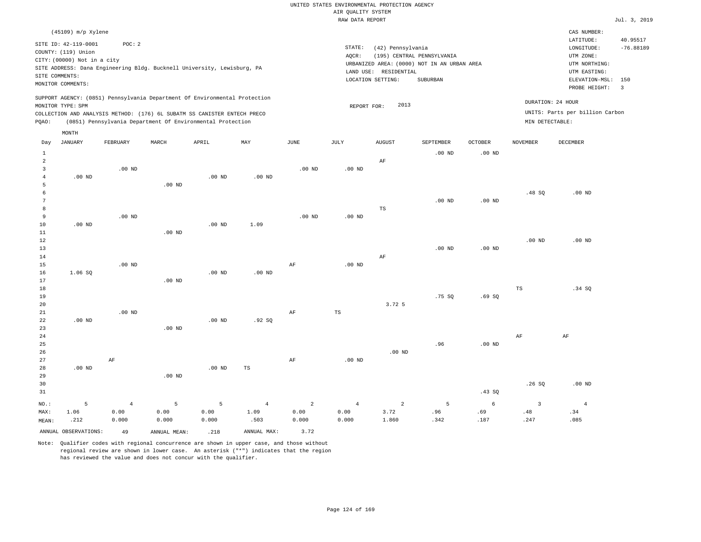#### RAW DATA REPORT Jul. 3, 2019 UNITED STATES ENVIRONMENTAL PROTECTION AGENCY AIR QUALITY SYSTEM

|                                             | CAS NUMBER:                     |
|---------------------------------------------|---------------------------------|
|                                             | LATITUDE:<br>40.95517           |
| STATE:<br>(42) Pennsylvania                 | $-76.88189$<br>LONGITUDE:       |
| (195) CENTRAL PENNSYLVANIA<br>AOCR:         | UTM ZONE:                       |
| URBANIZED AREA: (0000) NOT IN AN URBAN AREA | UTM NORTHING:                   |
| LAND USE:<br>RESIDENTIAL                    | UTM EASTING:                    |
| SUBURBAN<br>LOCATION SETTING:               | ELEVATION-MSL: 150              |
|                                             | PROBE HEIGHT:                   |
|                                             |                                 |
| 2013<br>REPORT FOR:                         | DURATION: 24 HOUR               |
|                                             | UNITS: Parts per billion Carbon |
|                                             | MIN DETECTABLE:                 |
|                                             |                                 |

| Day            | <b>JANUARY</b>       | FEBRUARY       | MARCH        | APRIL    | MAY            | $\mathtt{JUNE}$ | JULY           | <b>AUGUST</b>  | SEPTEMBER         | OCTOBER           | <b>NOVEMBER</b>         | DECEMBER       |
|----------------|----------------------|----------------|--------------|----------|----------------|-----------------|----------------|----------------|-------------------|-------------------|-------------------------|----------------|
| $\mathbf{1}$   |                      |                |              |          |                |                 |                |                | .00 <sub>ND</sub> | .00 <sub>ND</sub> |                         |                |
| $\overline{c}$ |                      |                |              |          |                |                 |                | $\rm AF$       |                   |                   |                         |                |
| 3              |                      | $.00$ ND       |              |          |                | $.00$ ND        | $.00$ ND       |                |                   |                   |                         |                |
| $\overline{4}$ | $.00$ ND             |                |              | $.00$ ND | $.00$ ND       |                 |                |                |                   |                   |                         |                |
| 5              |                      |                | $.00$ ND     |          |                |                 |                |                |                   |                   | .48SQ                   | $.00$ ND       |
| 6<br>7         |                      |                |              |          |                |                 |                |                | $.00$ ND          | .00 <sub>ND</sub> |                         |                |
| 8              |                      |                |              |          |                |                 |                | $_{\rm TS}$    |                   |                   |                         |                |
| 9              |                      | $.00$ ND       |              |          |                | $.00$ ND        | $.00$ ND       |                |                   |                   |                         |                |
| 10             | .00 <sub>ND</sub>    |                |              | $.00$ ND | 1.09           |                 |                |                |                   |                   |                         |                |
| 11             |                      |                | $.00$ ND     |          |                |                 |                |                |                   |                   |                         |                |
| 12             |                      |                |              |          |                |                 |                |                |                   |                   | $.00$ ND                | $.00$ ND       |
| 13             |                      |                |              |          |                |                 |                |                | $.00$ ND          | $.00$ ND          |                         |                |
| 14             |                      |                |              |          |                |                 |                | $\rm AF$       |                   |                   |                         |                |
| 15             |                      | $.00$ ND       |              |          |                | AF              | $.00$ ND       |                |                   |                   |                         |                |
| 16             | 1.06 SQ              |                |              | $.00$ ND | $.00$ ND       |                 |                |                |                   |                   |                         |                |
| 17             |                      |                | $.00$ ND     |          |                |                 |                |                |                   |                   |                         |                |
| 18             |                      |                |              |          |                |                 |                |                |                   |                   | TS                      | .34 SQ         |
| 19             |                      |                |              |          |                |                 |                |                | .75SQ             | .69SQ             |                         |                |
| 20             |                      |                |              |          |                |                 |                | 3.72 5         |                   |                   |                         |                |
| 21             |                      | $.00$ ND       |              |          |                | $\rm{AF}$       | $_{\rm TS}$    |                |                   |                   |                         |                |
| 22             | $.00$ ND             |                |              | $.00$ ND | .92SQ          |                 |                |                |                   |                   |                         |                |
| 23             |                      |                | $.00$ ND     |          |                |                 |                |                |                   |                   |                         |                |
| $2\sqrt{4}$    |                      |                |              |          |                |                 |                |                |                   |                   | $\rm AF$                | $\rm AF$       |
| 25             |                      |                |              |          |                |                 |                |                | .96               | .00 <sub>ND</sub> |                         |                |
| 26             |                      |                |              |          |                |                 |                | $.00$ ND       |                   |                   |                         |                |
| 27             |                      | $\rm AF$       |              |          |                | $\rm{AF}$       | $.00$ ND       |                |                   |                   |                         |                |
| 28             | $.00$ ND             |                |              | $.00$ ND | TS             |                 |                |                |                   |                   |                         |                |
| 29             |                      |                | $.00$ ND     |          |                |                 |                |                |                   |                   |                         |                |
| 30             |                      |                |              |          |                |                 |                |                |                   |                   | .26SQ                   | $.00$ ND       |
| 31             |                      |                |              |          |                |                 |                |                |                   | .43SQ             |                         |                |
| $NO.$ :        | 5                    | $\overline{4}$ | 5            | 5        | $\overline{4}$ | $\sqrt{2}$      | $\overline{4}$ | $\overline{a}$ | 5                 | $\sqrt{6}$        | $\overline{\mathbf{3}}$ | $\overline{4}$ |
| MAX:           | 1.06                 | 0.00           | 0.00         | 0.00     | 1.09           | 0.00            | 0.00           | 3.72           | .96               | .69               | .48                     | .34            |
| MEAN:          | .212                 | 0.000          | 0.000        | 0.000    | .503           | 0.000           | 0.000          | 1.860          | .342              | .187              | .247                    | .085           |
|                | ANNUAL OBSERVATIONS: | 49             | ANNUAL MEAN: | .218     | ANNUAL MAX:    | 3.72            |                |                |                   |                   |                         |                |

Note: Qualifier codes with regional concurrence are shown in upper case, and those without regional review are shown in lower case. An asterisk ("\*") indicates that the region has reviewed the value and does not concur with the qualifier.

MONTH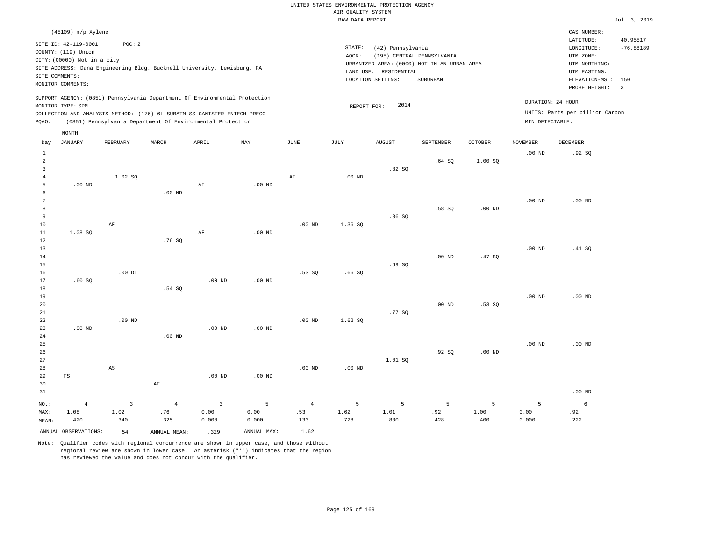|  |                    |                 | UNITED STATES ENVIRONMENTAL PROTECTION AGENCY |  |
|--|--------------------|-----------------|-----------------------------------------------|--|
|  | AIR OUALITY SYSTEM |                 |                                               |  |
|  |                    | RAW DATA REPORT |                                               |  |

|  | Jul. 3, 2019 |
|--|--------------|

| SITE COMMENTS:           | (45109) m/p Xylene<br>SITE ID: 42-119-0001<br>COUNTY: (119) Union<br>CITY: (00000) Not in a city<br>MONITOR COMMENTS: | POC: 2                  | SITE ADDRESS: Dana Engineering Bldg. Bucknell University, Lewisburg, PA                                                                                                                                              |                   |                   |                | STATE:<br>AQCR:   | (42) Pennsylvania<br>URBANIZED AREA: (0000) NOT IN AN URBAN AREA<br>LAND USE: RESIDENTIAL<br>LOCATION SETTING: | (195) CENTRAL PENNSYLVANIA<br><b>SUBURBAN</b> |                   |                   | CAS NUMBER:<br>LATITUDE:<br>LONGITUDE:<br>UTM ZONE:<br>UTM NORTHING:<br>UTM EASTING:<br>ELEVATION-MSL:<br>PROBE HEIGHT: | 40.95517<br>$-76.88189$<br>150<br>$\overline{3}$ |
|--------------------------|-----------------------------------------------------------------------------------------------------------------------|-------------------------|----------------------------------------------------------------------------------------------------------------------------------------------------------------------------------------------------------------------|-------------------|-------------------|----------------|-------------------|----------------------------------------------------------------------------------------------------------------|-----------------------------------------------|-------------------|-------------------|-------------------------------------------------------------------------------------------------------------------------|--------------------------------------------------|
| PQAO:                    | MONITOR TYPE: SPM                                                                                                     |                         | SUPPORT AGENCY: (0851) Pennsylvania Department Of Environmental Protection<br>COLLECTION AND ANALYSIS METHOD: (176) 6L SUBATM SS CANISTER ENTECH PRECO<br>(0851) Pennsylvania Department Of Environmental Protection |                   |                   |                | REPORT FOR:       | 2014                                                                                                           |                                               |                   | MIN DETECTABLE:   | DURATION: 24 HOUR<br>UNITS: Parts per billion Carbon                                                                    |                                                  |
|                          | MONTH                                                                                                                 |                         |                                                                                                                                                                                                                      |                   |                   |                |                   |                                                                                                                |                                               |                   |                   |                                                                                                                         |                                                  |
| Day                      | JANUARY                                                                                                               | FEBRUARY                | MARCH                                                                                                                                                                                                                | APRIL             | MAY               | JUNE           | $\mathtt{JULY}$   | AUGUST                                                                                                         | SEPTEMBER                                     | <b>OCTOBER</b>    | <b>NOVEMBER</b>   | <b>DECEMBER</b>                                                                                                         |                                                  |
| 1<br>$\overline{a}$<br>3 |                                                                                                                       |                         |                                                                                                                                                                                                                      |                   |                   |                |                   | .82SQ                                                                                                          | .64SQ                                         | 1.00 SQ           | .00 <sub>ND</sub> | .92SQ                                                                                                                   |                                                  |
| $\overline{4}$           |                                                                                                                       | 1.02 SQ                 |                                                                                                                                                                                                                      |                   |                   | AF             | .00 <sub>ND</sub> |                                                                                                                |                                               |                   |                   |                                                                                                                         |                                                  |
| 5                        | .00 <sub>ND</sub>                                                                                                     |                         |                                                                                                                                                                                                                      | AF                | $.00$ ND          |                |                   |                                                                                                                |                                               |                   |                   |                                                                                                                         |                                                  |
| 6<br>$7\phantom{.0}$     |                                                                                                                       |                         | .00 <sub>ND</sub>                                                                                                                                                                                                    |                   |                   |                |                   |                                                                                                                |                                               |                   | .00 <sub>ND</sub> | $.00$ ND                                                                                                                |                                                  |
| 8                        |                                                                                                                       |                         |                                                                                                                                                                                                                      |                   |                   |                |                   |                                                                                                                | .58S                                          | .00 <sub>ND</sub> |                   |                                                                                                                         |                                                  |
| 9                        |                                                                                                                       |                         |                                                                                                                                                                                                                      |                   |                   |                |                   | .86SQ                                                                                                          |                                               |                   |                   |                                                                                                                         |                                                  |
| $10$                     |                                                                                                                       | AF                      |                                                                                                                                                                                                                      |                   |                   | $.00$ ND       | 1.36 SQ           |                                                                                                                |                                               |                   |                   |                                                                                                                         |                                                  |
| $11\,$                   | 1.08S                                                                                                                 |                         |                                                                                                                                                                                                                      | $\rm AF$          | .00 <sub>ND</sub> |                |                   |                                                                                                                |                                               |                   |                   |                                                                                                                         |                                                  |
| 12                       |                                                                                                                       |                         | .76SQ                                                                                                                                                                                                                |                   |                   |                |                   |                                                                                                                |                                               |                   |                   |                                                                                                                         |                                                  |
| 13                       |                                                                                                                       |                         |                                                                                                                                                                                                                      |                   |                   |                |                   |                                                                                                                |                                               |                   | .00 <sub>ND</sub> | .41 SQ                                                                                                                  |                                                  |
| 14<br>15                 |                                                                                                                       |                         |                                                                                                                                                                                                                      |                   |                   |                |                   | .69SQ                                                                                                          | $.00$ ND                                      | .47SQ             |                   |                                                                                                                         |                                                  |
| 16                       |                                                                                                                       | $.00$ DI                |                                                                                                                                                                                                                      |                   |                   | $.53$ SO       | .66SQ             |                                                                                                                |                                               |                   |                   |                                                                                                                         |                                                  |
| 17                       | .60SQ                                                                                                                 |                         |                                                                                                                                                                                                                      | $.00$ ND          | .00 <sub>ND</sub> |                |                   |                                                                                                                |                                               |                   |                   |                                                                                                                         |                                                  |
| $1\,8$                   |                                                                                                                       |                         | .54S                                                                                                                                                                                                                 |                   |                   |                |                   |                                                                                                                |                                               |                   |                   |                                                                                                                         |                                                  |
| 19                       |                                                                                                                       |                         |                                                                                                                                                                                                                      |                   |                   |                |                   |                                                                                                                |                                               |                   | .00 <sub>ND</sub> | $.00$ ND                                                                                                                |                                                  |
| 20                       |                                                                                                                       |                         |                                                                                                                                                                                                                      |                   |                   |                |                   |                                                                                                                | $.00$ ND                                      | .53 SO            |                   |                                                                                                                         |                                                  |
| 21                       |                                                                                                                       |                         |                                                                                                                                                                                                                      |                   |                   |                |                   | .77 SQ                                                                                                         |                                               |                   |                   |                                                                                                                         |                                                  |
| 22<br>23                 | $.00$ ND                                                                                                              | $.00$ ND                |                                                                                                                                                                                                                      | .00 <sub>ND</sub> | $.00$ ND          | .00 $ND$       | 1.62 SQ           |                                                                                                                |                                               |                   |                   |                                                                                                                         |                                                  |
| 24                       |                                                                                                                       |                         | .00 <sub>ND</sub>                                                                                                                                                                                                    |                   |                   |                |                   |                                                                                                                |                                               |                   |                   |                                                                                                                         |                                                  |
| 25                       |                                                                                                                       |                         |                                                                                                                                                                                                                      |                   |                   |                |                   |                                                                                                                |                                               |                   | .00 <sub>ND</sub> | $.00$ ND                                                                                                                |                                                  |
| 26                       |                                                                                                                       |                         |                                                                                                                                                                                                                      |                   |                   |                |                   |                                                                                                                | .92 SO                                        | .00 <sub>ND</sub> |                   |                                                                                                                         |                                                  |
| 27                       |                                                                                                                       |                         |                                                                                                                                                                                                                      |                   |                   |                |                   | 1.01SQ                                                                                                         |                                               |                   |                   |                                                                                                                         |                                                  |
| 28                       |                                                                                                                       | AS                      |                                                                                                                                                                                                                      |                   |                   | $.00$ ND       | $.00$ ND          |                                                                                                                |                                               |                   |                   |                                                                                                                         |                                                  |
| 29                       | $\mathbb{TS}$                                                                                                         |                         |                                                                                                                                                                                                                      | .00 <sub>ND</sub> | .00 <sub>ND</sub> |                |                   |                                                                                                                |                                               |                   |                   |                                                                                                                         |                                                  |
| 30<br>31                 |                                                                                                                       |                         | $\rm AF$                                                                                                                                                                                                             |                   |                   |                |                   |                                                                                                                |                                               |                   |                   |                                                                                                                         |                                                  |
|                          |                                                                                                                       |                         |                                                                                                                                                                                                                      |                   |                   |                |                   |                                                                                                                |                                               |                   |                   | $.00$ ND                                                                                                                |                                                  |
| NO.:                     | $\overline{4}$                                                                                                        | $\overline{\mathbf{3}}$ | $\overline{4}$                                                                                                                                                                                                       | $\overline{3}$    | 5                 | $\overline{4}$ | 5                 | 5                                                                                                              | 5                                             | 5                 | 5                 | $6\overline{6}$                                                                                                         |                                                  |
| MAX:                     | 1.08                                                                                                                  | 1.02                    | .76                                                                                                                                                                                                                  | 0.00              | 0.00              | .53            | 1.62              | 1.01                                                                                                           | .92                                           | 1.00              | 0.00              | .92                                                                                                                     |                                                  |
| MEAN:                    | .420                                                                                                                  | .340                    | .325                                                                                                                                                                                                                 | 0.000             | 0.000             | .133           | .728              | .830                                                                                                           | .428                                          | .400              | 0.000             | .222                                                                                                                    |                                                  |
|                          | ANNUAL OBSERVATIONS:                                                                                                  | 54                      | ANNUAL MEAN:                                                                                                                                                                                                         | .329              | ANNUAL MAX:       | 1.62           |                   |                                                                                                                |                                               |                   |                   |                                                                                                                         |                                                  |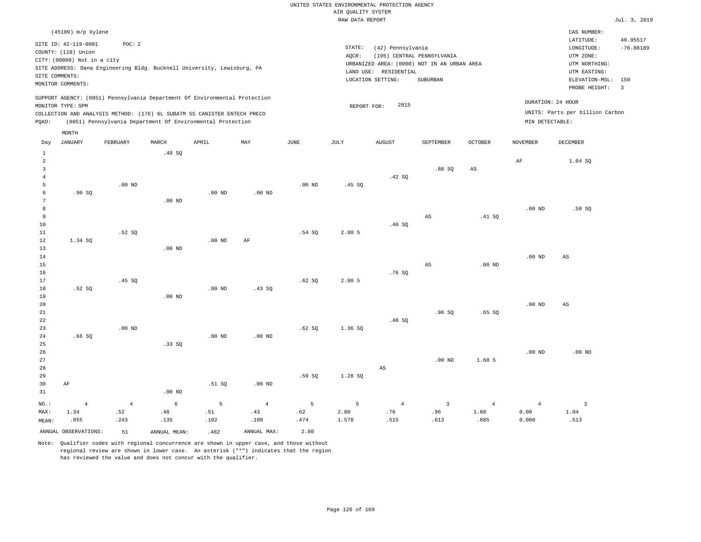| --              |  |      |      |
|-----------------|--|------|------|
| RAW DATA REPORT |  | Jul. | 2019 |

|                     | (45109) m/p Xylene          |                   |                                                                            |                   |                |          |             |                        |                                                                           |                |                   | CAS NUMBER:                     |             |
|---------------------|-----------------------------|-------------------|----------------------------------------------------------------------------|-------------------|----------------|----------|-------------|------------------------|---------------------------------------------------------------------------|----------------|-------------------|---------------------------------|-------------|
|                     | SITE ID: 42-119-0001        | POC: 2            |                                                                            |                   |                |          |             |                        |                                                                           |                |                   | LATITUDE:                       | 40.95517    |
|                     | COUNTY: (119) Union         |                   |                                                                            |                   |                |          | STATE:      | (42) Pennsylvania      |                                                                           |                |                   | LONGITUDE:<br>UTM ZONE:         | $-76.88189$ |
|                     | CITY: (00000) Not in a city |                   |                                                                            |                   |                |          | AQCR:       |                        | (195) CENTRAL PENNSYLVANIA<br>URBANIZED AREA: (0000) NOT IN AN URBAN AREA |                |                   | UTM NORTHING:                   |             |
|                     |                             |                   | SITE ADDRESS: Dana Engineering Bldg. Bucknell University, Lewisburg, PA    |                   |                |          |             | LAND USE: RESIDENTIAL  |                                                                           |                |                   | UTM EASTING:                    |             |
| SITE COMMENTS:      |                             |                   |                                                                            |                   |                |          |             | LOCATION SETTING:      | SUBURBAN                                                                  |                |                   | ELEVATION-MSL: 150              |             |
|                     | MONITOR COMMENTS:           |                   |                                                                            |                   |                |          |             |                        |                                                                           |                |                   | PROBE HEIGHT: 3                 |             |
|                     |                             |                   | SUPPORT AGENCY: (0851) Pennsylvania Department Of Environmental Protection |                   |                |          |             |                        |                                                                           |                | DURATION: 24 HOUR |                                 |             |
|                     | MONITOR TYPE: SPM           |                   |                                                                            |                   |                |          | REPORT FOR: | 2015                   |                                                                           |                |                   | UNITS: Parts per billion Carbon |             |
|                     |                             |                   | COLLECTION AND ANALYSIS METHOD: (176) 6L SUBATM SS CANISTER ENTECH PRECO   |                   |                |          |             |                        |                                                                           |                | MIN DETECTABLE:   |                                 |             |
| PQAO:               |                             |                   | (0851) Pennsylvania Department Of Environmental Protection                 |                   |                |          |             |                        |                                                                           |                |                   |                                 |             |
|                     | MONTH                       |                   |                                                                            |                   |                |          |             |                        |                                                                           |                |                   |                                 |             |
| Day                 | <b>JANUARY</b>              | FEBRUARY          | MARCH                                                                      | APRIL             | MAX            | JUNE     | JULY        | <b>AUGUST</b>          | SEPTEMBER                                                                 | OCTOBER        | <b>NOVEMBER</b>   | <b>DECEMBER</b>                 |             |
| $\mathbf{1}$        |                             |                   | .48SQ                                                                      |                   |                |          |             |                        |                                                                           |                |                   |                                 |             |
| $\overline{2}$      |                             |                   |                                                                            |                   |                |          |             |                        |                                                                           |                | AF                | 1.04 SO                         |             |
| 3                   |                             |                   |                                                                            |                   |                |          |             |                        | .88SQ                                                                     | $_{\rm AS}$    |                   |                                 |             |
| $\overline{4}$<br>5 |                             | $.00$ ND          |                                                                            |                   |                | $.00$ ND | .45SQ       | .42 S0                 |                                                                           |                |                   |                                 |             |
| 6                   | .90SQ                       |                   |                                                                            | .00 <sub>ND</sub> | $.00$ ND       |          |             |                        |                                                                           |                |                   |                                 |             |
| $7\phantom{.0}$     |                             |                   | $.00$ ND                                                                   |                   |                |          |             |                        |                                                                           |                |                   |                                 |             |
| 8                   |                             |                   |                                                                            |                   |                |          |             |                        |                                                                           |                | $.00$ ND          | .50S                            |             |
| 9                   |                             |                   |                                                                            |                   |                |          |             |                        | AS                                                                        | .41 S0         |                   |                                 |             |
| $10$                |                             |                   |                                                                            |                   |                |          |             | .40 SQ                 |                                                                           |                |                   |                                 |             |
| $11\,$              |                             | .52S              |                                                                            |                   |                | .54S     | 2.80 5      |                        |                                                                           |                |                   |                                 |             |
| 12                  | 1.34 SQ                     |                   |                                                                            | $.00$ ND          | AF             |          |             |                        |                                                                           |                |                   |                                 |             |
| 13                  |                             |                   | $.00$ ND                                                                   |                   |                |          |             |                        |                                                                           |                |                   |                                 |             |
| 14                  |                             |                   |                                                                            |                   |                |          |             |                        |                                                                           |                | $.00$ ND          | AS                              |             |
| 15                  |                             |                   |                                                                            |                   |                |          |             |                        | AS                                                                        | $.00$ ND       |                   |                                 |             |
| 16<br>17            |                             | .45 SQ            |                                                                            |                   |                | .62SQ    | 2.005       | .76SQ                  |                                                                           |                |                   |                                 |             |
| 18                  | .52S                        |                   |                                                                            | .00 <sub>ND</sub> | .43SQ          |          |             |                        |                                                                           |                |                   |                                 |             |
| 19                  |                             |                   | $.00$ ND                                                                   |                   |                |          |             |                        |                                                                           |                |                   |                                 |             |
| 20                  |                             |                   |                                                                            |                   |                |          |             |                        |                                                                           |                | .00 <sub>ND</sub> | AS                              |             |
| 21                  |                             |                   |                                                                            |                   |                |          |             |                        | .96SQ                                                                     | .65SQ          |                   |                                 |             |
| 22                  |                             |                   |                                                                            |                   |                |          |             | .48SQ                  |                                                                           |                |                   |                                 |             |
| 23                  |                             | .00 <sub>ND</sub> |                                                                            |                   |                | .62SQ    | 1.36 SQ     |                        |                                                                           |                |                   |                                 |             |
| 24                  | .66SQ                       |                   |                                                                            | $.00$ ND          | $.00$ ND       |          |             |                        |                                                                           |                |                   |                                 |             |
| 25                  |                             |                   | .33SQ                                                                      |                   |                |          |             |                        |                                                                           |                |                   |                                 |             |
| 26                  |                             |                   |                                                                            |                   |                |          |             |                        |                                                                           |                | .00 <sub>ND</sub> | $.00$ ND                        |             |
| 27                  |                             |                   |                                                                            |                   |                |          |             |                        | .00 <sub>ND</sub>                                                         | 1.68 5         |                   |                                 |             |
| 28                  |                             |                   |                                                                            |                   |                |          |             | $\mathbb{A}\mathbb{S}$ |                                                                           |                |                   |                                 |             |
| 29                  |                             |                   |                                                                            |                   |                | .59SQ    | 1.28 SQ     |                        |                                                                           |                |                   |                                 |             |
| 30                  | AF                          |                   |                                                                            | .51 SQ            | $.00$ ND       |          |             |                        |                                                                           |                |                   |                                 |             |
| 31                  |                             |                   | $.00$ ND                                                                   |                   |                |          |             |                        |                                                                           |                |                   |                                 |             |
| NO.:                | $\overline{4}$              | $\overline{4}$    | 6                                                                          | 5                 | $\overline{4}$ | 5        | 5           | $\overline{4}$         | $\overline{3}$                                                            | $\overline{4}$ | $\overline{4}$    | $\overline{\mathbf{3}}$         |             |
| MAX:                | 1.34                        | .52               | .48                                                                        | .51               | .43            | .62      | 2.80        | .76                    | .96                                                                       | 1.68           | 0.00              | 1.04                            |             |
| MEAN:               | .855                        | .243              | .135                                                                       | .102              | .108           | .474     | 1.578       | .515                   | .613                                                                      | .685           | 0.000             | .513                            |             |
|                     | ANNUAL OBSERVATIONS:        | 51                | ANNUAL MEAN:                                                               | .482              | ANNUAL MAX:    | 2.80     |             |                        |                                                                           |                |                   |                                 |             |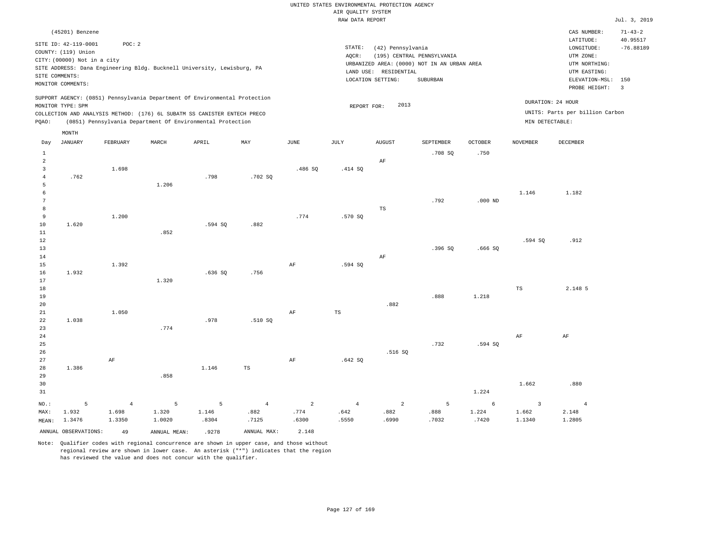|                                                            |                                                                                               |                                         |                                                                                                                                                                                                                      |                              |                                                |                                          |                             | UNITED STATES ENVIRONMENTAL PROTECTION AGENCY |                                                                           |                              |                                            |                                                                                      |                                          |
|------------------------------------------------------------|-----------------------------------------------------------------------------------------------|-----------------------------------------|----------------------------------------------------------------------------------------------------------------------------------------------------------------------------------------------------------------------|------------------------------|------------------------------------------------|------------------------------------------|-----------------------------|-----------------------------------------------|---------------------------------------------------------------------------|------------------------------|--------------------------------------------|--------------------------------------------------------------------------------------|------------------------------------------|
|                                                            |                                                                                               |                                         |                                                                                                                                                                                                                      |                              |                                                |                                          | AIR QUALITY SYSTEM          |                                               |                                                                           |                              |                                            |                                                                                      |                                          |
|                                                            |                                                                                               |                                         |                                                                                                                                                                                                                      |                              |                                                |                                          | RAW DATA REPORT             |                                               |                                                                           |                              |                                            |                                                                                      | Jul. 3, 2019                             |
|                                                            | (45201) Benzene<br>SITE ID: 42-119-0001<br>COUNTY: (119) Union<br>CITY: (00000) Not in a city | POC: 2                                  | SITE ADDRESS: Dana Engineering Bldg. Bucknell University, Lewisburg, PA                                                                                                                                              |                              |                                                |                                          | $\texttt{STATE}$ :<br>AQCR: | (42) Pennsylvania<br>LAND USE: RESIDENTIAL    | (195) CENTRAL PENNSYLVANIA<br>URBANIZED AREA: (0000) NOT IN AN URBAN AREA |                              |                                            | CAS NUMBER:<br>LATITUDE:<br>LONGITUDE:<br>UTM ZONE:<br>UTM NORTHING:<br>UTM EASTING: | $71 - 43 - 2$<br>40.95517<br>$-76.88189$ |
|                                                            | SITE COMMENTS:<br>MONITOR COMMENTS:                                                           |                                         |                                                                                                                                                                                                                      |                              |                                                |                                          |                             | LOCATION SETTING:                             | SUBURBAN                                                                  |                              |                                            | ELEVATION-MSL:<br>PROBE HEIGHT:                                                      | 150<br>$\overline{3}$                    |
| POAO:                                                      | MONITOR TYPE: SPM                                                                             |                                         | SUPPORT AGENCY: (0851) Pennsylvania Department Of Environmental Protection<br>COLLECTION AND ANALYSIS METHOD: (176) 6L SUBATM SS CANISTER ENTECH PRECO<br>(0851) Pennsylvania Department Of Environmental Protection |                              |                                                |                                          | REPORT FOR:                 | 2013                                          |                                                                           |                              | MIN DETECTABLE:                            | DURATION: 24 HOUR<br>UNITS: Parts per billion Carbon                                 |                                          |
| Day                                                        | MONTH<br><b>JANUARY</b>                                                                       | FEBRUARY                                | MARCH                                                                                                                                                                                                                | APRIL                        | MAY                                            | <b>JUNE</b>                              | JULY                        | <b>AUGUST</b>                                 | SEPTEMBER                                                                 | <b>OCTOBER</b>               | <b>NOVEMBER</b>                            | DECEMBER                                                                             |                                          |
| $\mathbf{1}$<br>$\overline{2}$<br>3<br>$\overline{4}$<br>5 | .762                                                                                          | 1.698                                   | 1.206                                                                                                                                                                                                                | .798                         | .702 SO                                        | .486 SQ                                  | .414 SQ                     | AF                                            | .708SQ                                                                    | .750                         |                                            |                                                                                      |                                          |
| 6<br>$\overline{7}$<br>8<br>9<br>10                        | 1.620                                                                                         | 1.200                                   |                                                                                                                                                                                                                      | .594 SQ                      | .882                                           | .774                                     | .570 SQ                     | $_{\rm TS}$                                   | .792                                                                      | $.000$ ND                    | 1.146                                      | 1.182                                                                                |                                          |
| 11<br>$1\,2$<br>13<br>14<br>15                             |                                                                                               | 1.392                                   | .852                                                                                                                                                                                                                 |                              |                                                | AF                                       | .594 SQ                     | $\rm AF$                                      | .396 SO                                                                   | .666 SO                      | .594 SQ                                    | .912                                                                                 |                                          |
| 16<br>17<br>18<br>19                                       | 1.932                                                                                         |                                         | 1.320                                                                                                                                                                                                                | .636SQ                       | .756                                           |                                          |                             |                                               | .888                                                                      | 1.218                        | <b>TS</b>                                  | 2.148 5                                                                              |                                          |
| 20<br>21<br>22<br>23                                       | 1.038                                                                                         | 1.050                                   | .774                                                                                                                                                                                                                 | .978                         | .510S                                          | AF                                       | $\mathbb{TS}$               | .882                                          |                                                                           |                              |                                            |                                                                                      |                                          |
| 24<br>25<br>26<br>27<br>28                                 | 1.386                                                                                         | AF                                      |                                                                                                                                                                                                                      | 1.146                        | $_{\rm TS}$                                    | AF                                       | .642SQ                      | .516 SQ                                       | .732                                                                      | .594 SO                      | AF                                         | AF                                                                                   |                                          |
| 29<br>30<br>31                                             |                                                                                               |                                         | .858                                                                                                                                                                                                                 |                              |                                                |                                          |                             |                                               |                                                                           | 1.224                        | 1.662                                      | .880                                                                                 |                                          |
| NO.:<br>MAX:<br>MEAN:                                      | 5<br>1.932<br>1.3476<br>ANNUAL OBSERVATIONS:                                                  | $\overline{4}$<br>1.698<br>1.3350<br>49 | $\overline{5}$<br>1.320<br>1.0020<br>ANNUAL MEAN:                                                                                                                                                                    | 5<br>1.146<br>.8304<br>.9278 | $\overline{4}$<br>.882<br>.7125<br>ANNUAL MAX: | $\overline{a}$<br>.774<br>.6300<br>2.148 | $\sqrt{4}$<br>.642<br>.5550 | 2<br>.882<br>.6990                            | 5<br>.888<br>.7032                                                        | $\epsilon$<br>1.224<br>.7420 | $\overline{\mathbf{3}}$<br>1.662<br>1.1340 | $\overline{4}$<br>2.148<br>1.2805                                                    |                                          |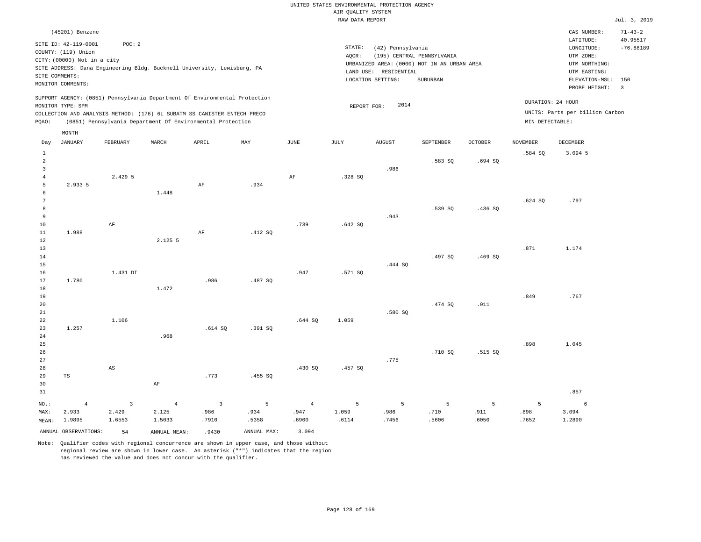|                                            |                                                                                                                                                                                      |                                         |                                                            |                                                   |                                   |                                          | UNITED STATES ENVIRONMENTAL PROTECTION AGENCY<br>AIR QUALITY SYSTEM |                                            |                                                                           |                    |                    |                                                                       |                         |
|--------------------------------------------|--------------------------------------------------------------------------------------------------------------------------------------------------------------------------------------|-----------------------------------------|------------------------------------------------------------|---------------------------------------------------|-----------------------------------|------------------------------------------|---------------------------------------------------------------------|--------------------------------------------|---------------------------------------------------------------------------|--------------------|--------------------|-----------------------------------------------------------------------|-------------------------|
|                                            |                                                                                                                                                                                      |                                         |                                                            |                                                   |                                   |                                          | RAW DATA REPORT                                                     |                                            |                                                                           |                    |                    |                                                                       | Jul. 3, 2019            |
|                                            | (45201) Benzene                                                                                                                                                                      |                                         |                                                            |                                                   |                                   |                                          |                                                                     |                                            |                                                                           |                    |                    | CAS NUMBER:                                                           | $71 - 43 - 2$           |
|                                            | SITE ID: 42-119-0001<br>COUNTY: (119) Union<br>CITY: (00000) Not in a city<br>SITE ADDRESS: Dana Engineering Bldg. Bucknell University, Lewisburg, PA<br>SITE COMMENTS:              | POC: 2                                  |                                                            |                                                   |                                   |                                          | STATE:<br>AQCR:                                                     | (42) Pennsylvania<br>LAND USE: RESIDENTIAL | (195) CENTRAL PENNSYLVANIA<br>URBANIZED AREA: (0000) NOT IN AN URBAN AREA |                    |                    | LATITUDE:<br>LONGITUDE:<br>UTM ZONE:<br>UTM NORTHING:<br>UTM EASTING: | 40.95517<br>$-76.88189$ |
|                                            | MONITOR COMMENTS:                                                                                                                                                                    |                                         |                                                            |                                                   |                                   |                                          |                                                                     | LOCATION SETTING:                          | SUBURBAN                                                                  |                    |                    | ELEVATION-MSL: 150<br>PROBE HEIGHT:                                   | $\overline{\mathbf{3}}$ |
| PQAO:                                      | SUPPORT AGENCY: (0851) Pennsylvania Department Of Environmental Protection<br>MONITOR TYPE: SPM<br>COLLECTION AND ANALYSIS METHOD: (176) 6L SUBATM SS CANISTER ENTECH PRECO<br>MONTH |                                         | (0851) Pennsylvania Department Of Environmental Protection |                                                   |                                   |                                          | REPORT FOR:                                                         | 2014                                       |                                                                           |                    | MIN DETECTABLE:    | DURATION: 24 HOUR<br>UNITS: Parts per billion Carbon                  |                         |
| Day                                        | <b>JANUARY</b>                                                                                                                                                                       | FEBRUARY                                | MARCH                                                      | APRIL                                             | MAY                               | JUNE                                     | <b>JULY</b>                                                         | <b>AUGUST</b>                              | SEPTEMBER                                                                 | <b>OCTOBER</b>     | <b>NOVEMBER</b>    | <b>DECEMBER</b>                                                       |                         |
| $\,$ 1<br>$\sqrt{2}$<br>$\overline{3}$     |                                                                                                                                                                                      |                                         |                                                            |                                                   |                                   |                                          |                                                                     | .986                                       | .583 SQ                                                                   | .694SQ             | .584 SQ            | 3.094 5                                                               |                         |
| $\overline{4}$<br>5<br>6<br>$\overline{7}$ | 2.933 5                                                                                                                                                                              | 2.429 5                                 | 1.448                                                      | AF                                                | .934                              | $\rm{AF}$                                | .328 SQ                                                             |                                            |                                                                           |                    | .624SQ             | .797                                                                  |                         |
| 8<br>$\overline{9}$<br>10<br>$1\,1$        | 1.988                                                                                                                                                                                | $\rm{AF}$                               |                                                            | $\rm AF$                                          | .412SQ                            | .739                                     | .642SQ                                                              | .943                                       | .539 SQ                                                                   | .436 SO            |                    |                                                                       |                         |
| $1\,2$<br>13<br>14<br>15<br>16             |                                                                                                                                                                                      | 1.431 DI                                | 2.125 5                                                    |                                                   |                                   | .947                                     | .571 SQ                                                             | .444 SQ                                    | .497 SQ                                                                   | .469SQ             | .871               | 1.174                                                                 |                         |
| 17<br>18<br>19<br>20                       | 1.780                                                                                                                                                                                |                                         | 1.472                                                      | .986                                              | .487 SO                           |                                          |                                                                     |                                            | .474 SO                                                                   | .911               | .849               | .767                                                                  |                         |
| $2\sqrt{1}$<br>22<br>23<br>24              | 1.257                                                                                                                                                                                | 1.106                                   | .968                                                       | .614S                                             | .391S                             | .644S                                    | 1.059                                                               | .580 SQ                                    |                                                                           |                    |                    |                                                                       |                         |
| 25<br>26<br>27<br>28<br>29                 | $_{\rm TS}$                                                                                                                                                                          | $\mathbb{A}\mathbb{S}$                  |                                                            | .773                                              | .455 SQ                           | .430 SQ                                  | .457 SQ                                                             | .775                                       | .710 SQ                                                                   | .515 SQ            | .898               | 1.045                                                                 |                         |
| 30<br>31                                   |                                                                                                                                                                                      |                                         | $\rm AF$                                                   |                                                   |                                   |                                          |                                                                     |                                            |                                                                           |                    |                    | .857                                                                  |                         |
| NO.:<br>MAX:<br>MEAN:                      | $\overline{4}$<br>2.933<br>1.9895<br>ANNUAL OBSERVATIONS:                                                                                                                            | $\overline{3}$<br>2.429<br>1.6553<br>54 | $\overline{4}$<br>2.125<br>1.5033<br>ANNUAL MEAN:          | $\overline{\mathbf{3}}$<br>.986<br>.7910<br>.9430 | 5<br>.934<br>.5358<br>ANNUAL MAX: | $\overline{4}$<br>.947<br>.6900<br>3.094 | 5<br>1.059<br>.6114                                                 | 5<br>.986<br>.7456                         | 5<br>.710<br>.5606                                                        | 5<br>.911<br>.6050 | 5<br>.898<br>.7652 | 6<br>3.094<br>1.2890                                                  |                         |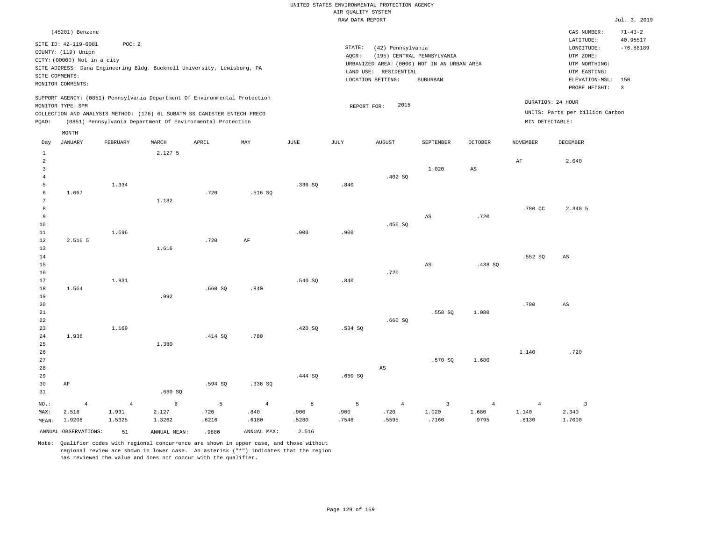|                                |                                                                            |                |                                                                            |         |                |                | Rosmers nensen<br>RAW DATA REPORT |                                            |                                                                           |                        |                 |                                                       | Jul. 3, 2019            |
|--------------------------------|----------------------------------------------------------------------------|----------------|----------------------------------------------------------------------------|---------|----------------|----------------|-----------------------------------|--------------------------------------------|---------------------------------------------------------------------------|------------------------|-----------------|-------------------------------------------------------|-------------------------|
|                                | (45201) Benzene                                                            |                |                                                                            |         |                |                |                                   |                                            |                                                                           |                        |                 | CAS NUMBER:                                           | $71 - 43 - 2$           |
|                                | SITE ID: 42-119-0001<br>COUNTY: (119) Union<br>CITY: (00000) Not in a city | POC: 2         |                                                                            |         |                |                | STATE:<br>AQCR:                   | (42) Pennsylvania                          | (195) CENTRAL PENNSYLVANIA<br>URBANIZED AREA: (0000) NOT IN AN URBAN AREA |                        |                 | LATITUDE:<br>LONGITUDE:<br>UTM ZONE:<br>UTM NORTHING: | 40.95517<br>$-76.88189$ |
|                                | SITE COMMENTS:<br>MONITOR COMMENTS:                                        |                | SITE ADDRESS: Dana Engineering Bldg. Bucknell University, Lewisburg, PA    |         |                |                |                                   | LAND USE: RESIDENTIAL<br>LOCATION SETTING: | SUBURBAN                                                                  |                        |                 | UTM EASTING:<br>ELEVATION-MSL:                        | 150                     |
|                                |                                                                            |                |                                                                            |         |                |                |                                   |                                            |                                                                           |                        |                 | PROBE HEIGHT:                                         | $\overline{3}$          |
|                                | MONITOR TYPE: SPM                                                          |                | SUPPORT AGENCY: (0851) Pennsylvania Department Of Environmental Protection |         |                |                | REPORT FOR:                       | 2015                                       |                                                                           |                        |                 | DURATION: 24 HOUR                                     |                         |
|                                |                                                                            |                | COLLECTION AND ANALYSIS METHOD: (176) 6L SUBATM SS CANISTER ENTECH PRECO   |         |                |                |                                   |                                            |                                                                           |                        |                 | UNITS: Parts per billion Carbon                       |                         |
| PQAO:                          |                                                                            |                | (0851) Pennsylvania Department Of Environmental Protection                 |         |                |                |                                   |                                            |                                                                           |                        | MIN DETECTABLE: |                                                       |                         |
|                                | MONTH                                                                      |                |                                                                            |         |                |                |                                   |                                            |                                                                           |                        |                 |                                                       |                         |
| Day                            | JANUARY                                                                    | FEBRUARY       | MARCH                                                                      | APRIL   | MAY            | JUNE           | JULY                              | <b>AUGUST</b>                              | SEPTEMBER                                                                 | OCTOBER                | <b>NOVEMBER</b> | <b>DECEMBER</b>                                       |                         |
| $\mathbf{1}$<br>$\overline{a}$ |                                                                            |                | 2.127 5                                                                    |         |                |                |                                   |                                            |                                                                           |                        | $\rm AF$        | 2.040                                                 |                         |
| $\overline{3}$                 |                                                                            |                |                                                                            |         |                |                |                                   |                                            | 1.020                                                                     | $\mathbb{A}\mathbb{S}$ |                 |                                                       |                         |
| $\overline{4}$                 |                                                                            |                |                                                                            |         |                |                |                                   | .402SQ                                     |                                                                           |                        |                 |                                                       |                         |
| 5                              |                                                                            | 1.334          |                                                                            |         |                | .336S          | .840                              |                                            |                                                                           |                        |                 |                                                       |                         |
| 6                              | 1.667                                                                      |                |                                                                            | .720    | .516S          |                |                                   |                                            |                                                                           |                        |                 |                                                       |                         |
| $7\phantom{.0}$                |                                                                            |                | 1.182                                                                      |         |                |                |                                   |                                            |                                                                           |                        |                 |                                                       |                         |
| 8<br>9                         |                                                                            |                |                                                                            |         |                |                |                                   |                                            | AS                                                                        | .720                   | .780 CC         | 2.340 5                                               |                         |
| 10                             |                                                                            |                |                                                                            |         |                |                |                                   | .456SQ                                     |                                                                           |                        |                 |                                                       |                         |
| $11\,$                         |                                                                            | 1.696          |                                                                            |         |                | .900           | .900                              |                                            |                                                                           |                        |                 |                                                       |                         |
| 12                             | 2.516 5                                                                    |                |                                                                            | .720    | $\rm{AF}$      |                |                                   |                                            |                                                                           |                        |                 |                                                       |                         |
| 13                             |                                                                            |                | 1.616                                                                      |         |                |                |                                   |                                            |                                                                           |                        |                 |                                                       |                         |
| 14                             |                                                                            |                |                                                                            |         |                |                |                                   |                                            |                                                                           |                        | .552 SQ         | $\mathbb{A}\mathbb{S}$                                |                         |
| 15<br>16                       |                                                                            |                |                                                                            |         |                |                |                                   | .720                                       | $\mathbb{A}\mathbb{S}$                                                    | .438S                  |                 |                                                       |                         |
| 17                             |                                                                            | 1.931          |                                                                            |         |                | .540 SQ        | .840                              |                                            |                                                                           |                        |                 |                                                       |                         |
| 18                             | 1.564                                                                      |                |                                                                            | .660SQ  | .840           |                |                                   |                                            |                                                                           |                        |                 |                                                       |                         |
| 19                             |                                                                            |                | .992                                                                       |         |                |                |                                   |                                            |                                                                           |                        |                 |                                                       |                         |
| 20                             |                                                                            |                |                                                                            |         |                |                |                                   |                                            |                                                                           |                        | .780            | $_{\rm AS}$                                           |                         |
| 21                             |                                                                            |                |                                                                            |         |                |                |                                   |                                            | .558 SQ                                                                   | 1.080                  |                 |                                                       |                         |
| 22<br>23                       |                                                                            | 1.169          |                                                                            |         |                | .420SQ         | .534 SQ                           | .660SQ                                     |                                                                           |                        |                 |                                                       |                         |
| 24                             | 1.936                                                                      |                |                                                                            | .414 SQ | .780           |                |                                   |                                            |                                                                           |                        |                 |                                                       |                         |
| 25                             |                                                                            |                | 1.380                                                                      |         |                |                |                                   |                                            |                                                                           |                        |                 |                                                       |                         |
| 26                             |                                                                            |                |                                                                            |         |                |                |                                   |                                            |                                                                           |                        | 1.140           | .720                                                  |                         |
| 27                             |                                                                            |                |                                                                            |         |                |                |                                   |                                            | .570 SQ                                                                   | 1.680                  |                 |                                                       |                         |
| 28                             |                                                                            |                |                                                                            |         |                |                |                                   | $\mathbb{A}\mathbb{S}$                     |                                                                           |                        |                 |                                                       |                         |
| 29<br>30                       | AF                                                                         |                |                                                                            | .594 SQ | .336SQ         | .444 SQ        | .660SQ                            |                                            |                                                                           |                        |                 |                                                       |                         |
| 31                             |                                                                            |                | .660SQ                                                                     |         |                |                |                                   |                                            |                                                                           |                        |                 |                                                       |                         |
| NO.:                           | $\overline{4}$                                                             | $\overline{4}$ | 6                                                                          | 5       | $\overline{4}$ | $\overline{5}$ | 5                                 | $\overline{4}$                             | $\overline{3}$                                                            | $\overline{4}$         | $\overline{4}$  | $\overline{3}$                                        |                         |
| MAX:                           | 2.516                                                                      | 1.931          | 2.127                                                                      | .720    | .840           | .900           | .900                              | .720                                       | 1.020                                                                     | 1.680                  | 1.140           | 2.340                                                 |                         |
| MEAN:                          | 1.9208                                                                     | 1.5325         | 1.3262                                                                     | .6216   | .6180          | .5280          | .7548                             | .5595                                      | .7160                                                                     | .9795                  | .8130           | 1.7000                                                |                         |
|                                | ANNUAL OBSERVATIONS:                                                       | 51             | ANNUAL MEAN:                                                               | .9886   | ANNUAL MAX:    | 2.516          |                                   |                                            |                                                                           |                        |                 |                                                       |                         |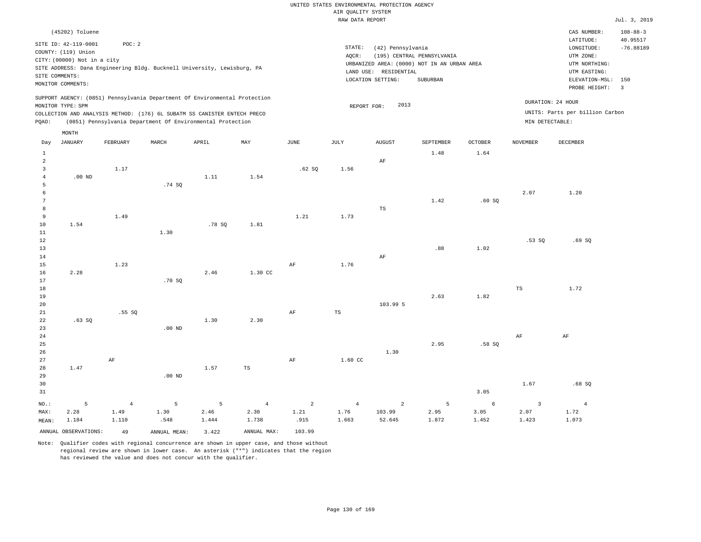|                                                                                                                                                                 | UNITED STATES ENVIRONMENTAL PROTECTION AGENCY<br>AIR OUALITY SYSTEM                                                                        |
|-----------------------------------------------------------------------------------------------------------------------------------------------------------------|--------------------------------------------------------------------------------------------------------------------------------------------|
|                                                                                                                                                                 | RAW DATA REPORT                                                                                                                            |
| (45202) Toluene                                                                                                                                                 |                                                                                                                                            |
| SITE ID: 42-119-0001<br>POC: 2<br>COUNTY: (119) Union<br>CITY: (00000) Not in a city<br>SITE ADDRESS: Dana Engineering Bldg. Bucknell University, Lewisburg, PA | STATE:<br>(42) Pennsylvania<br>(195) CENTRAL PENNSYLVANIA<br>AOCR:<br>URBANIZED AREA: (0000) NOT IN AN URBAN AREA<br>LAND USE: RESIDENTIAL |

LOCATION SETTING: SUBURBAN

 $Jul. 3, 2019$ 

CAS NUMBER: 108-88-3

LONGITUDE: -76.88189 LATITUDE: 40.95517

PROBE HEIGHT: 3 ELEVATION-MSL: 150

UTM NORTHING: UTM EASTING:

UTM ZONE:

DURATION: 24 HOUR

SUPPORT AGENCY: (0851) Pennsylvania Department Of Environmental Protection MONITOR TYPE: SPM

MONTH

SITE COMMENTS: MONITOR COMMENTS:

COLLECTION AND ANALYSIS METHOD: (176) 6L SUBATM SS CANISTER ENTECH PRECO REPORT FOR: 2013 UNITS: Parts per billion Carbon PQAO: (0851) Pennsylvania Department Of Environmental Protection MIN DETECTABLE:

| Day             | <b>JANUARY</b>       | FEBRUARY   | MARCH        | APRIL  | $\mathtt{MAX}$ | $_{\rm JUNE}$  | JULY           | ${\tt AUGUST}$ | SEPTEMBER | $\mathtt{OCTOBER}$ | NOVEMBER                 | DECEMBER       |
|-----------------|----------------------|------------|--------------|--------|----------------|----------------|----------------|----------------|-----------|--------------------|--------------------------|----------------|
| $\mathbf{1}$    |                      |            |              |        |                |                |                |                | 1.48      | 1.64               |                          |                |
| $\overline{a}$  |                      |            |              |        |                |                |                | $\rm AF$       |           |                    |                          |                |
| 3               |                      | 1.17       |              |        |                | .62SQ          | 1.56           |                |           |                    |                          |                |
| $\overline{4}$  | $.00$ ND             |            |              | 1.11   | 1.54           |                |                |                |           |                    |                          |                |
| 5               |                      |            | .74 SQ       |        |                |                |                |                |           |                    |                          |                |
| 6               |                      |            |              |        |                |                |                |                |           |                    | 2.07                     | 1.20           |
| $7\phantom{.0}$ |                      |            |              |        |                |                |                |                | 1.42      | .60SQ              |                          |                |
| 8               |                      |            |              |        |                |                |                | TS             |           |                    |                          |                |
| 9               |                      | 1.49       |              |        |                | 1.21           | 1.73           |                |           |                    |                          |                |
| 10              | 1.54                 |            |              | .78 SQ | 1.81           |                |                |                |           |                    |                          |                |
| 11              |                      |            | 1.30         |        |                |                |                |                |           |                    |                          |                |
| 12              |                      |            |              |        |                |                |                |                |           |                    | .53SQ                    | .69SQ          |
| 13              |                      |            |              |        |                |                |                |                | .88       | 1.02               |                          |                |
| 14              |                      |            |              |        |                |                |                | $\rm AF$       |           |                    |                          |                |
| 15              |                      | 1.23       |              |        |                | AF             | 1.76           |                |           |                    |                          |                |
| 16              | 2.28                 |            |              | 2.46   | 1.30 CC        |                |                |                |           |                    |                          |                |
| 17              |                      |            | .70SQ        |        |                |                |                |                |           |                    |                          |                |
| 18              |                      |            |              |        |                |                |                |                |           |                    | $_{\rm TS}$              | 1.72           |
| 19              |                      |            |              |        |                |                |                |                | 2.63      | 1.82               |                          |                |
| 20              |                      |            |              |        |                |                |                | 103.99 5       |           |                    |                          |                |
| 21              |                      | .55SQ      |              |        |                | $\rm{AF}$      | $_{\rm TS}$    |                |           |                    |                          |                |
| 22              | .63SQ                |            |              | 1.30   | 2.30           |                |                |                |           |                    |                          |                |
| 23              |                      |            | $.00$ ND     |        |                |                |                |                |           |                    |                          |                |
| 24              |                      |            |              |        |                |                |                |                |           |                    | $\rm{AF}$                | $\rm{AF}$      |
| 25              |                      |            |              |        |                |                |                |                | 2.95      | .58SQ              |                          |                |
| 26              |                      |            |              |        |                |                |                | 1.30           |           |                    |                          |                |
| 27              |                      | $\rm{AF}$  |              |        |                | $\rm{AF}$      | 1.60 CC        |                |           |                    |                          |                |
| 28              | 1.47                 |            |              | 1.57   | $_{\rm TS}$    |                |                |                |           |                    |                          |                |
| 29              |                      |            | .00 $ND$     |        |                |                |                |                |           |                    |                          |                |
| 30              |                      |            |              |        |                |                |                |                |           |                    | 1.67                     | .68 SQ         |
| 31              |                      |            |              |        |                |                |                |                |           | 3.05               |                          |                |
| $NO.$ :         | 5                    | $\sqrt{4}$ | 5            | 5      | $\overline{4}$ | $\overline{a}$ | $\overline{4}$ | $\overline{a}$ | 5         | $\sqrt{6}$         | $\overline{\phantom{a}}$ | $\overline{4}$ |
| MAX:            | 2.28                 | 1.49       | 1.30         | 2.46   | 2.30           | 1.21           | 1.76           | 103.99         | 2.95      | 3.05               | 2.07                     | 1.72           |
| MEAN:           | 1.184                | 1.110      | .548         | 1.444  | 1.738          | .915           | 1.663          | 52.645         | 1.872     | 1.452              | 1.423                    | 1.073          |
|                 | ANNUAL OBSERVATIONS: | 49         | ANNUAL MEAN: | 3.422  | ANNUAL MAX:    | 103.99         |                |                |           |                    |                          |                |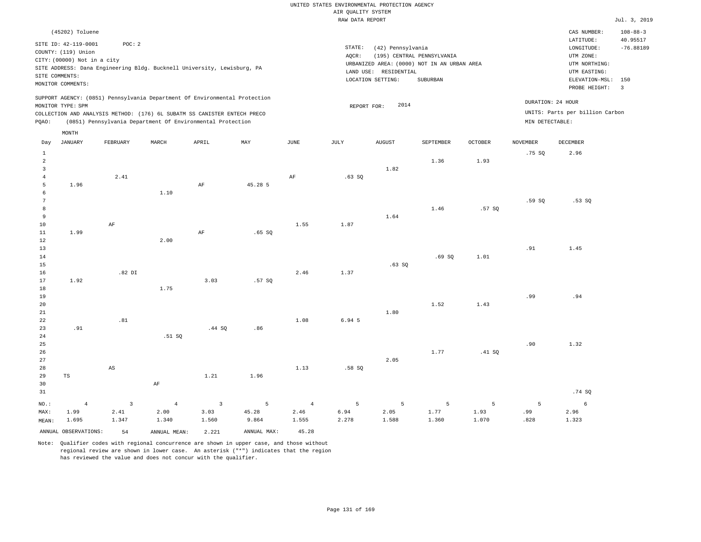|                                  |                                             |              |                                                                            |                |                |                | UNITED STATES ENVIRONMENTAL PROTECTION AGENCY |                       |                                             |                |                 |                                 |                                 |
|----------------------------------|---------------------------------------------|--------------|----------------------------------------------------------------------------|----------------|----------------|----------------|-----------------------------------------------|-----------------------|---------------------------------------------|----------------|-----------------|---------------------------------|---------------------------------|
|                                  |                                             |              |                                                                            |                |                |                | AIR QUALITY SYSTEM                            |                       |                                             |                |                 |                                 |                                 |
|                                  |                                             |              |                                                                            |                |                |                | RAW DATA REPORT                               |                       |                                             |                |                 |                                 | Jul. 3, 2019                    |
|                                  | (45202) Toluene                             |              |                                                                            |                |                |                |                                               |                       |                                             |                |                 | CAS NUMBER:<br>LATITUDE:        | $108 - 88 - 3$<br>40.95517      |
|                                  | SITE ID: 42-119-0001<br>COUNTY: (119) Union | POC: 2       |                                                                            |                |                |                | STATE:                                        | (42) Pennsylvania     |                                             |                |                 | LONGITUDE:                      | $-76.88189$                     |
|                                  | CITY: (00000) Not in a city                 |              |                                                                            |                |                |                | AQCR:                                         |                       | (195) CENTRAL PENNSYLVANIA                  |                |                 | UTM ZONE:                       |                                 |
|                                  |                                             |              | SITE ADDRESS: Dana Engineering Bldg. Bucknell University, Lewisburg, PA    |                |                |                |                                               |                       | URBANIZED AREA: (0000) NOT IN AN URBAN AREA |                |                 | UTM NORTHING:                   |                                 |
|                                  | SITE COMMENTS:                              |              |                                                                            |                |                |                |                                               | LAND USE: RESIDENTIAL |                                             |                |                 | UTM EASTING:                    |                                 |
|                                  | MONITOR COMMENTS:                           |              |                                                                            |                |                |                |                                               | LOCATION SETTING:     | ${\tt SUBURBAN}$                            |                |                 | ELEVATION-MSL:<br>PROBE HEIGHT: | 150<br>$\overline{\phantom{a}}$ |
|                                  |                                             |              | SUPPORT AGENCY: (0851) Pennsylvania Department Of Environmental Protection |                |                |                |                                               | 2014                  |                                             |                |                 | DURATION: 24 HOUR               |                                 |
|                                  | MONITOR TYPE: SPM                           |              | COLLECTION AND ANALYSIS METHOD: (176) 6L SUBATM SS CANISTER ENTECH PRECO   |                |                |                | REPORT FOR:                                   |                       |                                             |                |                 | UNITS: Parts per billion Carbon |                                 |
| PQAO:                            |                                             |              | (0851) Pennsylvania Department Of Environmental Protection                 |                |                |                |                                               |                       |                                             |                | MIN DETECTABLE: |                                 |                                 |
|                                  | MONTH                                       |              |                                                                            |                |                |                |                                               |                       |                                             |                |                 |                                 |                                 |
| Day                              | <b>JANUARY</b>                              | FEBRUARY     | MARCH                                                                      | APRIL          | $\texttt{MAX}$ | JUNE           | $\mathtt{JULY}$                               | <b>AUGUST</b>         | SEPTEMBER                                   | <b>OCTOBER</b> | <b>NOVEMBER</b> | DECEMBER                        |                                 |
| $\mathbf{1}$                     |                                             |              |                                                                            |                |                |                |                                               |                       |                                             |                | .75 SO          | 2.96                            |                                 |
| $\overline{a}$                   |                                             |              |                                                                            |                |                |                |                                               |                       | 1.36                                        | 1.93           |                 |                                 |                                 |
| $\overline{3}$<br>$\overline{4}$ |                                             | 2.41         |                                                                            |                |                | AF             | .63SQ                                         | 1.82                  |                                             |                |                 |                                 |                                 |
| 5                                | 1.96                                        |              |                                                                            | AF             | 45.28 5        |                |                                               |                       |                                             |                |                 |                                 |                                 |
| 6                                |                                             |              | 1.10                                                                       |                |                |                |                                               |                       |                                             |                |                 |                                 |                                 |
| $7\phantom{.0}$                  |                                             |              |                                                                            |                |                |                |                                               |                       |                                             |                | .59SQ           | .53S                            |                                 |
| 8                                |                                             |              |                                                                            |                |                |                |                                               |                       | 1.46                                        | .57 SO         |                 |                                 |                                 |
| $\overline{9}$                   |                                             |              |                                                                            |                |                |                |                                               | 1.64                  |                                             |                |                 |                                 |                                 |
| 10                               |                                             | AF           |                                                                            |                |                | 1.55           | 1.87                                          |                       |                                             |                |                 |                                 |                                 |
| 11<br>12                         | 1.99                                        |              | 2.00                                                                       | $\rm{AF}$      | .65 S0         |                |                                               |                       |                                             |                |                 |                                 |                                 |
| 13                               |                                             |              |                                                                            |                |                |                |                                               |                       |                                             |                | .91             | 1.45                            |                                 |
| 14                               |                                             |              |                                                                            |                |                |                |                                               |                       | .69SQ                                       | 1.01           |                 |                                 |                                 |
| 15                               |                                             |              |                                                                            |                |                |                |                                               | .63SQ                 |                                             |                |                 |                                 |                                 |
| 16                               |                                             | $.82$ DI     |                                                                            |                |                | 2.46           | 1.37                                          |                       |                                             |                |                 |                                 |                                 |
| 17                               | 1.92                                        |              |                                                                            | 3.03           | .57SQ          |                |                                               |                       |                                             |                |                 |                                 |                                 |
| 18                               |                                             |              | 1.75                                                                       |                |                |                |                                               |                       |                                             |                |                 |                                 |                                 |
| 19<br>20                         |                                             |              |                                                                            |                |                |                |                                               |                       | 1.52                                        | 1.43           | .99             | .94                             |                                 |
| $21\,$                           |                                             |              |                                                                            |                |                |                |                                               | 1.80                  |                                             |                |                 |                                 |                                 |
| 22                               |                                             | .81          |                                                                            |                |                | 1.08           | 6.94 5                                        |                       |                                             |                |                 |                                 |                                 |
| 23                               | .91                                         |              |                                                                            | .44 SO         | .86            |                |                                               |                       |                                             |                |                 |                                 |                                 |
| $2\sqrt{4}$                      |                                             |              | .51 SQ                                                                     |                |                |                |                                               |                       |                                             |                |                 |                                 |                                 |
| 25                               |                                             |              |                                                                            |                |                |                |                                               |                       |                                             |                | .90             | 1.32                            |                                 |
| 26                               |                                             |              |                                                                            |                |                |                |                                               |                       | 1.77                                        | .41 SQ         |                 |                                 |                                 |
| 27<br>28                         |                                             | AS           |                                                                            |                |                | 1.13           |                                               | 2.05                  |                                             |                |                 |                                 |                                 |
| 29                               | $\operatorname{TS}$                         |              |                                                                            | 1.21           | 1.96           |                | .58SQ                                         |                       |                                             |                |                 |                                 |                                 |
| 30                               |                                             |              | $\rm{AF}$                                                                  |                |                |                |                                               |                       |                                             |                |                 |                                 |                                 |
| 31                               |                                             |              |                                                                            |                |                |                |                                               |                       |                                             |                |                 | .74 SQ                          |                                 |
| NO.:                             | $\overline{4}$                              | $\mathbf{3}$ | $\sqrt{4}$                                                                 | $\overline{3}$ | $\mathsf S$    | $\overline{4}$ | 5                                             | 5                     | $\overline{5}$                              | 5              | 5               | 6                               |                                 |
| MAX:                             | 1.99                                        | 2.41         | 2.00                                                                       | 3.03           | 45.28          | 2.46           | 6.94                                          | 2.05                  | 1.77                                        | 1.93           | .99             | 2.96                            |                                 |
| MEAN:                            | 1.695                                       | 1.347        | 1.340                                                                      | 1.560          | 9.864          | 1.555          | 2.278                                         | 1.588                 | 1.360                                       | 1.070          | .828            | 1.323                           |                                 |
|                                  | ANNUAL OBSERVATIONS:                        | 54           | ANNUAL, MEAN:                                                              | 2.221          | ANNUAL MAX:    | 45.28          |                                               |                       |                                             |                |                 |                                 |                                 |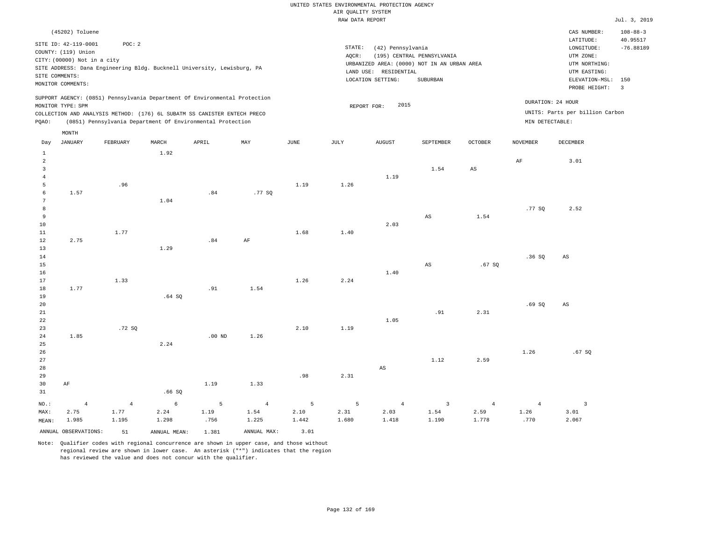|                     |                             |                                                                            |        |          |           |      | RAW DATA REPORT |                       |                                             |             |                 |                                 | Jul. 3, 2019             |
|---------------------|-----------------------------|----------------------------------------------------------------------------|--------|----------|-----------|------|-----------------|-----------------------|---------------------------------------------|-------------|-----------------|---------------------------------|--------------------------|
|                     | (45202) Toluene             |                                                                            |        |          |           |      |                 |                       |                                             |             |                 | CAS NUMBER:                     | $108 - 88 - 3$           |
|                     | SITE ID: 42-119-0001        | POC: 2                                                                     |        |          |           |      |                 |                       |                                             |             |                 | LATITUDE:                       | 40.95517                 |
|                     | COUNTY: (119) Union         |                                                                            |        |          |           |      | STATE:          | (42) Pennsylvania     |                                             |             |                 | LONGITUDE:                      | $-76.88189$              |
|                     | CITY: (00000) Not in a city |                                                                            |        |          |           |      | AOCR:           |                       | (195) CENTRAL PENNSYLVANIA                  |             |                 | UTM ZONE:                       |                          |
|                     |                             | SITE ADDRESS: Dana Engineering Bldg. Bucknell University, Lewisburg, PA    |        |          |           |      |                 |                       | URBANIZED AREA: (0000) NOT IN AN URBAN AREA |             |                 | UTM NORTHING:                   |                          |
|                     | SITE COMMENTS:              |                                                                            |        |          |           |      |                 | LAND USE: RESIDENTIAL |                                             |             |                 | UTM EASTING:                    |                          |
|                     | MONITOR COMMENTS:           |                                                                            |        |          |           |      |                 | LOCATION SETTING:     | SUBURBAN                                    |             |                 | ELEVATION-MSL:                  | 150                      |
|                     |                             |                                                                            |        |          |           |      |                 |                       |                                             |             |                 | PROBE HEIGHT:                   | $\overline{\phantom{a}}$ |
|                     |                             | SUPPORT AGENCY: (0851) Pennsylvania Department Of Environmental Protection |        |          |           |      |                 |                       |                                             |             |                 | DURATION: 24 HOUR               |                          |
|                     | MONITOR TYPE: SPM           |                                                                            |        |          |           |      |                 | 2015<br>REPORT FOR:   |                                             |             |                 |                                 |                          |
|                     |                             | COLLECTION AND ANALYSIS METHOD: (176) 6L SUBATM SS CANISTER ENTECH PRECO   |        |          |           |      |                 |                       |                                             |             |                 | UNITS: Parts per billion Carbon |                          |
| PQAO:               |                             | (0851) Pennsylvania Department Of Environmental Protection                 |        |          |           |      |                 |                       |                                             |             |                 | MIN DETECTABLE:                 |                          |
|                     | MONTH                       |                                                                            |        |          |           |      |                 |                       |                                             |             |                 |                                 |                          |
| Day                 | JANUARY                     | FEBRUARY                                                                   | MARCH  | APRIL    | MAY       | JUNE | JULY            | <b>AUGUST</b>         | SEPTEMBER                                   | OCTOBER     | <b>NOVEMBER</b> | DECEMBER                        |                          |
| 1                   |                             |                                                                            | 1.92   |          |           |      |                 |                       |                                             |             |                 |                                 |                          |
| 2                   |                             |                                                                            |        |          |           |      |                 |                       |                                             |             | AF              | 3.01                            |                          |
| $\overline{3}$      |                             |                                                                            |        |          |           |      |                 |                       | 1.54                                        | $_{\rm AS}$ |                 |                                 |                          |
| $\overline{4}$      |                             |                                                                            |        |          |           |      |                 | 1.19                  |                                             |             |                 |                                 |                          |
| 5                   |                             | .96                                                                        |        |          |           | 1.19 | 1.26            |                       |                                             |             |                 |                                 |                          |
| 6                   | 1.57                        |                                                                            |        | .84      | .77SQ     |      |                 |                       |                                             |             |                 |                                 |                          |
| 7                   |                             |                                                                            | 1.04   |          |           |      |                 |                       |                                             |             |                 |                                 |                          |
| 8<br>$\overline{9}$ |                             |                                                                            |        |          |           |      |                 |                       | AS                                          | 1.54        | .77 SQ          | 2.52                            |                          |
| 10                  |                             |                                                                            |        |          |           |      |                 | 2.03                  |                                             |             |                 |                                 |                          |
| 11                  |                             | 1.77                                                                       |        |          |           | 1.68 | 1.40            |                       |                                             |             |                 |                                 |                          |
| 12                  | 2.75                        |                                                                            |        | .84      | $\rm{AF}$ |      |                 |                       |                                             |             |                 |                                 |                          |
| 13                  |                             |                                                                            | 1.29   |          |           |      |                 |                       |                                             |             |                 |                                 |                          |
| 14                  |                             |                                                                            |        |          |           |      |                 |                       |                                             |             | .36SQ           | $\mathbb{A}\mathbb{S}$          |                          |
| 15                  |                             |                                                                            |        |          |           |      |                 |                       | AS                                          | .67SQ       |                 |                                 |                          |
| 16                  |                             |                                                                            |        |          |           |      |                 | 1.40                  |                                             |             |                 |                                 |                          |
| 17                  |                             | 1.33                                                                       |        |          |           | 1.26 | 2.24            |                       |                                             |             |                 |                                 |                          |
| 18                  | 1.77                        |                                                                            |        | .91      | 1.54      |      |                 |                       |                                             |             |                 |                                 |                          |
| 19                  |                             |                                                                            | .64 SQ |          |           |      |                 |                       |                                             |             |                 |                                 |                          |
| 20                  |                             |                                                                            |        |          |           |      |                 |                       |                                             |             | .69S            | AS                              |                          |
| 21                  |                             |                                                                            |        |          |           |      |                 |                       | .91                                         | 2.31        |                 |                                 |                          |
| 22                  |                             |                                                                            |        |          |           |      |                 | 1.05                  |                                             |             |                 |                                 |                          |
| 23                  |                             | .72 SQ                                                                     |        |          |           | 2.10 | 1.19            |                       |                                             |             |                 |                                 |                          |
| 24                  | 1.85                        |                                                                            |        | $.00$ ND | 1.26      |      |                 |                       |                                             |             |                 |                                 |                          |
| 25                  |                             |                                                                            | 2.24   |          |           |      |                 |                       |                                             |             |                 |                                 |                          |
| 26                  |                             |                                                                            |        |          |           |      |                 |                       |                                             |             | 1.26            | .67SQ                           |                          |
| 27                  |                             |                                                                            |        |          |           |      |                 |                       | 1.12                                        | 2.59        |                 |                                 |                          |

27 28 29 30 31 AF NO.: MAX: MEAN: 4 2.75 1.985 .66 SQ 1.19 1.33 .98 2.31 AS 1.12 2.59 4 1.77 1.195 6 2.24 1.298 5 1.19 .756 4 1.54 1.225 5 2.10 1.442 5 2.31 1.680 4 2.03 1.418 3 1.54 1.190 4 2.59 1.778 4 1.26 .770 3 3.01 2.067

ANNUAL OBSERVATIONS: 51 ANNUAL MEAN: 1.381 ANNUAL MAX: 3.01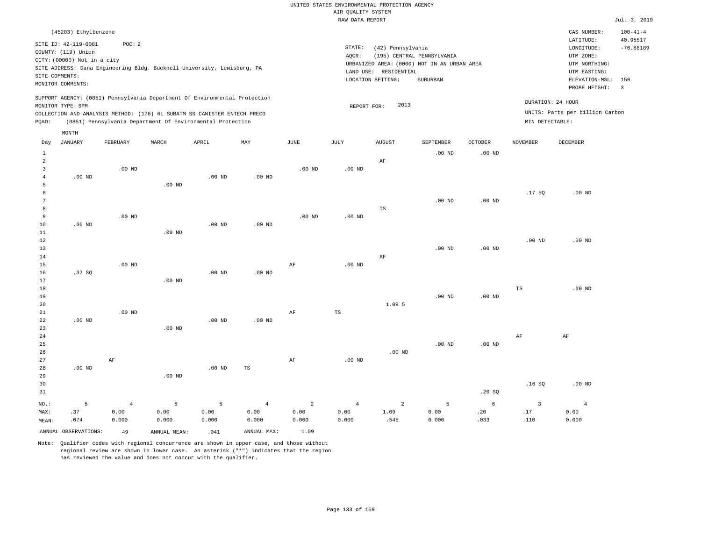#### RAW DATA REPORT Jul. 3, 2019 UNITED STATES ENVIRONMENTAL PROTECTION AGENCY AIR QUALITY SYSTEM

| (45203) Ethylbenzene                                                                                                                                                                                                                               |                                                                                                                                                                                | CAS NUMBER:<br>$100 - 41 - 4$                                                                                                           |
|----------------------------------------------------------------------------------------------------------------------------------------------------------------------------------------------------------------------------------------------------|--------------------------------------------------------------------------------------------------------------------------------------------------------------------------------|-----------------------------------------------------------------------------------------------------------------------------------------|
| SITE ID: 42-119-0001<br>POC:2<br>COUNTY: (119) Union<br>CITY: (00000) Not in a city<br>SITE ADDRESS: Dana Engineering Bldg. Bucknell University, Lewisburg, PA<br>SITE COMMENTS:<br>MONITOR COMMENTS:                                              | STATE:<br>(42) Pennsylvania<br>(195) CENTRAL PENNSYLVANIA<br>AOCR:<br>URBANIZED AREA: (0000) NOT IN AN URBAN AREA<br>RESIDENTIAL<br>LAND USE:<br>LOCATION SETTING:<br>SUBURBAN | 40.95517<br>LATITUDE:<br>$-76.88189$<br>LONGITUDE:<br>UTM ZONE:<br>UTM NORTHING:<br>UTM EASTING:<br>ELEVATION-MSL: 150<br>PROBE HEIGHT: |
| SUPPORT AGENCY: (0851) Pennsylvania Department Of Environmental Protection<br>MONITOR TYPE: SPM<br>COLLECTION AND ANALYSIS METHOD: (176) 6L SUBATM SS CANISTER ENTECH PRECO<br>(0851) Pennsylvania Department Of Environmental Protection<br>POAO: | 2013<br>REPORT FOR:<br>MIN DETECTABLE:                                                                                                                                         | DURATION: 24 HOUR<br>UNITS: Parts per billion Carbon                                                                                    |

|                | MONTH                |           |                |          |             |               |             |                |                   |                   |                         |                |
|----------------|----------------------|-----------|----------------|----------|-------------|---------------|-------------|----------------|-------------------|-------------------|-------------------------|----------------|
| Day            | <b>JANUARY</b>       | FEBRUARY  | MARCH          | APRIL    | MAY         | $_{\rm JUNE}$ | JULY        | <b>AUGUST</b>  | SEPTEMBER         | OCTOBER           | <b>NOVEMBER</b>         | DECEMBER       |
| $\mathbf{1}$   |                      |           |                |          |             |               |             |                | $.00$ ND          | $.00$ ND          |                         |                |
| $\overline{c}$ |                      |           |                |          |             |               |             | AF             |                   |                   |                         |                |
| 3              |                      | $.00$ ND  |                |          |             | $.00$ ND      | $.00$ ND    |                |                   |                   |                         |                |
| $\overline{4}$ | $.00$ ND             |           |                | $.00$ ND | $.00$ ND    |               |             |                |                   |                   |                         |                |
| 5              |                      |           | $.00$ ND       |          |             |               |             |                |                   |                   |                         |                |
| 6              |                      |           |                |          |             |               |             |                |                   |                   | .17SQ                   | $.00$ ND       |
| 7              |                      |           |                |          |             |               |             |                | .00 <sub>ND</sub> | $.00$ ND          |                         |                |
| 8              |                      |           |                |          |             |               |             | $_{\rm TS}$    |                   |                   |                         |                |
| 9              |                      | $.00$ ND  |                |          |             | $.00$ ND      | $.00$ ND    |                |                   |                   |                         |                |
| 10             | $.00$ ND             |           |                | $.00$ ND | $.00$ ND    |               |             |                |                   |                   |                         |                |
| 11             |                      |           | $.00$ ND       |          |             |               |             |                |                   |                   |                         |                |
| 12             |                      |           |                |          |             |               |             |                |                   |                   | $.00$ ND                | $.00$ ND       |
| 13             |                      |           |                |          |             |               |             |                | $.00$ ND          | .00 <sub>ND</sub> |                         |                |
| 14             |                      |           |                |          |             |               |             | $\rm AF$       |                   |                   |                         |                |
| 15             |                      | $.00$ ND  |                |          |             | AF            | $.00$ ND    |                |                   |                   |                         |                |
| 16             | .37SQ                |           |                | $.00$ ND | $.00$ ND    |               |             |                |                   |                   |                         |                |
| 17             |                      |           | $.00$ ND       |          |             |               |             |                |                   |                   |                         |                |
| 18             |                      |           |                |          |             |               |             |                |                   |                   | TS                      | $.00$ ND       |
| 19             |                      |           |                |          |             |               |             |                | $.00$ ND          | $.00$ ND          |                         |                |
| 20             |                      |           |                |          |             |               |             | 1.095          |                   |                   |                         |                |
| 21             |                      | $.00$ ND  |                |          |             | AF            | $_{\rm TS}$ |                |                   |                   |                         |                |
| 22             | $.00$ ND             |           |                | $.00$ ND | $.00$ ND    |               |             |                |                   |                   |                         |                |
| 23             |                      |           | $.00$ ND       |          |             |               |             |                |                   |                   | $\rm{AF}$               | $\rm AF$       |
| 24<br>25       |                      |           |                |          |             |               |             |                | $.00$ ND          | .00 <sub>ND</sub> |                         |                |
| 26             |                      |           |                |          |             |               |             | $.00$ ND       |                   |                   |                         |                |
| 27             |                      | $\rm{AF}$ |                |          |             | AF            | $.00$ ND    |                |                   |                   |                         |                |
| 28             | $.00$ ND             |           |                | $.00$ ND | TS          |               |             |                |                   |                   |                         |                |
| 29             |                      |           | $.00$ ND       |          |             |               |             |                |                   |                   |                         |                |
| 30             |                      |           |                |          |             |               |             |                |                   |                   | .16SQ                   | $.00$ ND       |
| 31             |                      |           |                |          |             |               |             |                |                   | .20SQ             |                         |                |
|                |                      |           |                |          |             |               |             |                |                   |                   |                         |                |
| $NO.$ :        | $\mathsf S$          | $\,4$     | $\overline{5}$ | 5        | $\,4\,$     | $\sqrt{2}$    | $\sqrt{4}$  | $\overline{a}$ | $\overline{5}$    | $\epsilon$        | $\overline{\mathbf{3}}$ | $\overline{4}$ |
| MAX:           | .37                  | 0.00      | 0.00           | 0.00     | 0.00        | 0.00          | 0.00        | 1.09           | 0.00              | .20               | .17                     | 0.00           |
| MEAN:          | .074                 | 0.000     | 0.000          | 0.000    | 0.000       | 0.000         | 0.000       | .545           | 0.000             | .033              | .110                    | 0.000          |
|                | ANNUAL OBSERVATIONS: | 49        | ANNUAL MEAN:   | .041     | ANNUAL MAX: | 1.09          |             |                |                   |                   |                         |                |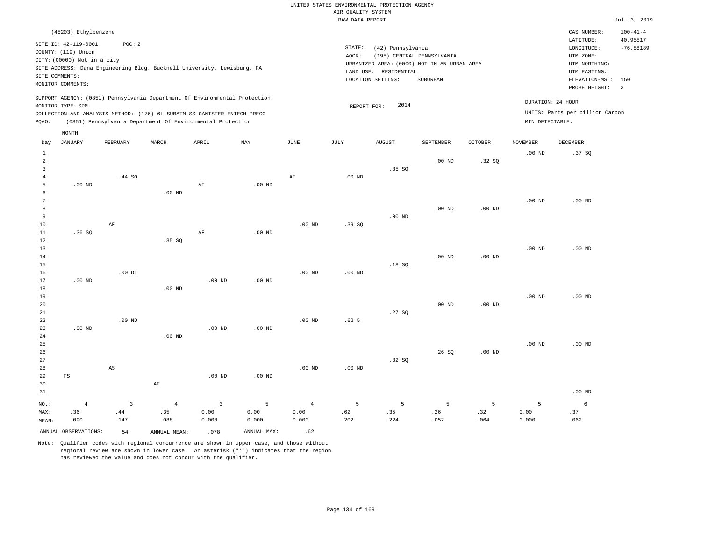|                                           |                                                    |                |                                                                            |                |                   |                |                    | UNITED STATES ENVIRONMENTAL PROTECTION AGENCY |                                             |                   |                   |                                 |                                |
|-------------------------------------------|----------------------------------------------------|----------------|----------------------------------------------------------------------------|----------------|-------------------|----------------|--------------------|-----------------------------------------------|---------------------------------------------|-------------------|-------------------|---------------------------------|--------------------------------|
|                                           |                                                    |                |                                                                            |                |                   |                | AIR OUALITY SYSTEM |                                               |                                             |                   |                   |                                 |                                |
|                                           |                                                    |                |                                                                            |                |                   |                | RAW DATA REPORT    |                                               |                                             |                   |                   |                                 | Jul. 3, 2019                   |
|                                           | (45203) Ethylbenzene                               |                |                                                                            |                |                   |                |                    |                                               |                                             |                   |                   | CAS NUMBER:<br>LATITUDE:        | $100 - 41 - 4$<br>40.95517     |
|                                           | SITE ID: 42-119-0001                               | POC: 2         |                                                                            |                |                   |                | STATE:             | (42) Pennsylvania                             |                                             |                   |                   | LONGITUDE:                      | $-76.88189$                    |
|                                           | COUNTY: (119) Union<br>CITY: (00000) Not in a city |                |                                                                            |                |                   |                | AQCR:              |                                               | (195) CENTRAL PENNSYLVANIA                  |                   |                   | UTM ZONE:                       |                                |
|                                           |                                                    |                | SITE ADDRESS: Dana Engineering Bldg. Bucknell University, Lewisburg, PA    |                |                   |                |                    |                                               | URBANIZED AREA: (0000) NOT IN AN URBAN AREA |                   |                   | UTM NORTHING:                   |                                |
|                                           | SITE COMMENTS:                                     |                |                                                                            |                |                   |                |                    | LAND USE: RESIDENTIAL                         |                                             |                   |                   | UTM EASTING:                    |                                |
|                                           | MONITOR COMMENTS:                                  |                |                                                                            |                |                   |                |                    | LOCATION SETTING:                             | SUBURBAN                                    |                   |                   | ELEVATION-MSL:<br>PROBE HEIGHT: | 150<br>$\overline{\mathbf{3}}$ |
|                                           |                                                    |                | SUPPORT AGENCY: (0851) Pennsylvania Department Of Environmental Protection |                |                   |                |                    |                                               |                                             |                   |                   | DURATION: 24 HOUR               |                                |
|                                           | MONITOR TYPE: SPM                                  |                | COLLECTION AND ANALYSIS METHOD: (176) 6L SUBATM SS CANISTER ENTECH PRECO   |                |                   |                | REPORT FOR:        | 2014                                          |                                             |                   |                   | UNITS: Parts per billion Carbon |                                |
| PQAO:                                     |                                                    |                | (0851) Pennsylvania Department Of Environmental Protection                 |                |                   |                |                    |                                               |                                             |                   | MIN DETECTABLE:   |                                 |                                |
|                                           | MONTH                                              |                |                                                                            |                |                   |                |                    |                                               |                                             |                   |                   |                                 |                                |
| Day                                       | <b>JANUARY</b>                                     | FEBRUARY       | MARCH                                                                      | APRIL          | MAY               | JUNE           | JULY               | <b>AUGUST</b>                                 | SEPTEMBER                                   | <b>OCTOBER</b>    | <b>NOVEMBER</b>   | DECEMBER                        |                                |
| $\mathbf{1}$                              |                                                    |                |                                                                            |                |                   |                |                    |                                               |                                             |                   | .00 <sub>ND</sub> | .37 SO                          |                                |
| $\overline{a}$                            |                                                    |                |                                                                            |                |                   |                |                    |                                               | $.00$ ND                                    | .32SQ             |                   |                                 |                                |
| $\overline{\mathbf{3}}$<br>$\overline{4}$ |                                                    |                |                                                                            |                |                   |                |                    | .35S                                          |                                             |                   |                   |                                 |                                |
| 5                                         | $.00$ ND                                           | .44 SQ         |                                                                            | $\rm AF$       | $.00$ ND          | AF             | $.00$ ND           |                                               |                                             |                   |                   |                                 |                                |
| 6                                         |                                                    |                | $.00$ ND                                                                   |                |                   |                |                    |                                               |                                             |                   |                   |                                 |                                |
| $\overline{7}$                            |                                                    |                |                                                                            |                |                   |                |                    |                                               |                                             |                   | .00 <sub>ND</sub> | $.00$ ND                        |                                |
| 8                                         |                                                    |                |                                                                            |                |                   |                |                    |                                               | $.00$ ND                                    | .00 <sub>ND</sub> |                   |                                 |                                |
| 9                                         |                                                    |                |                                                                            |                |                   |                |                    | $.00$ ND                                      |                                             |                   |                   |                                 |                                |
| 10                                        |                                                    | AF             |                                                                            |                |                   | $.00$ ND       | .39SQ              |                                               |                                             |                   |                   |                                 |                                |
| 11                                        | .36S                                               |                |                                                                            | AF             | .00 <sub>ND</sub> |                |                    |                                               |                                             |                   |                   |                                 |                                |
| 12                                        |                                                    |                | .35 SQ                                                                     |                |                   |                |                    |                                               |                                             |                   |                   |                                 |                                |
| 13                                        |                                                    |                |                                                                            |                |                   |                |                    |                                               | .00 <sub>ND</sub>                           |                   | .00 <sub>ND</sub> | $.00$ ND                        |                                |
| 14<br>15                                  |                                                    |                |                                                                            |                |                   |                |                    | .18S                                          |                                             | .00 <sub>ND</sub> |                   |                                 |                                |
| 16                                        |                                                    | $.00$ DI       |                                                                            |                |                   | $.00$ ND       | $.00$ ND           |                                               |                                             |                   |                   |                                 |                                |
| 17                                        | $.00$ ND                                           |                |                                                                            | $.00$ ND       | $.00$ ND          |                |                    |                                               |                                             |                   |                   |                                 |                                |
| 18                                        |                                                    |                | .00 <sub>ND</sub>                                                          |                |                   |                |                    |                                               |                                             |                   |                   |                                 |                                |
| 19                                        |                                                    |                |                                                                            |                |                   |                |                    |                                               |                                             |                   | .00 <sub>ND</sub> | $.00$ ND                        |                                |
| 20                                        |                                                    |                |                                                                            |                |                   |                |                    |                                               | $.00$ ND                                    | $.00$ ND          |                   |                                 |                                |
| 21                                        |                                                    |                |                                                                            |                |                   |                |                    | .27SQ                                         |                                             |                   |                   |                                 |                                |
| 22                                        |                                                    | $.00$ ND       |                                                                            |                |                   | $.00$ ND       | .62 <sub>5</sub>   |                                               |                                             |                   |                   |                                 |                                |
| 23<br>$2\,4$                              | $.00$ ND                                           |                | $.00$ ND                                                                   | $.00$ ND       | .00 <sub>ND</sub> |                |                    |                                               |                                             |                   |                   |                                 |                                |
| 25                                        |                                                    |                |                                                                            |                |                   |                |                    |                                               |                                             |                   | .00 <sub>ND</sub> | $.00$ ND                        |                                |
| 26                                        |                                                    |                |                                                                            |                |                   |                |                    |                                               | .26SQ                                       | .00 <sub>ND</sub> |                   |                                 |                                |
| 27                                        |                                                    |                |                                                                            |                |                   |                |                    | .32SQ                                         |                                             |                   |                   |                                 |                                |
| 28                                        |                                                    | AS             |                                                                            |                |                   | $.00$ ND       | $.00$ ND           |                                               |                                             |                   |                   |                                 |                                |
| 29                                        | TS                                                 |                |                                                                            | $.00$ ND       | $.00$ ND          |                |                    |                                               |                                             |                   |                   |                                 |                                |
| 30                                        |                                                    |                | $\rm{AF}$                                                                  |                |                   |                |                    |                                               |                                             |                   |                   |                                 |                                |
| 31                                        |                                                    |                |                                                                            |                |                   |                |                    |                                               |                                             |                   |                   | $.00$ ND                        |                                |
| NO.:                                      | $\overline{4}$                                     | $\overline{3}$ | $\sqrt{4}$                                                                 | $\overline{3}$ | $\overline{5}$    | $\overline{4}$ | 5                  | 5                                             | 5                                           | 5                 | 5                 | 6                               |                                |
| MAX:                                      | .36                                                | .44            | .35                                                                        | 0.00           | 0.00              | 0.00           | .62                | .35                                           | .26                                         | .32               | 0.00              | .37                             |                                |
| MEAN:                                     | .090                                               | .147           | .088                                                                       | 0.000          | 0.000             | 0.000          | .202               | .224                                          | .052                                        | .064              | 0.000             | .062                            |                                |
|                                           | ANNUAL OBSERVATIONS:                               | 54             | ANNUAL, MEAN:                                                              | .078           | ANNUAL MAX:       | .62            |                    |                                               |                                             |                   |                   |                                 |                                |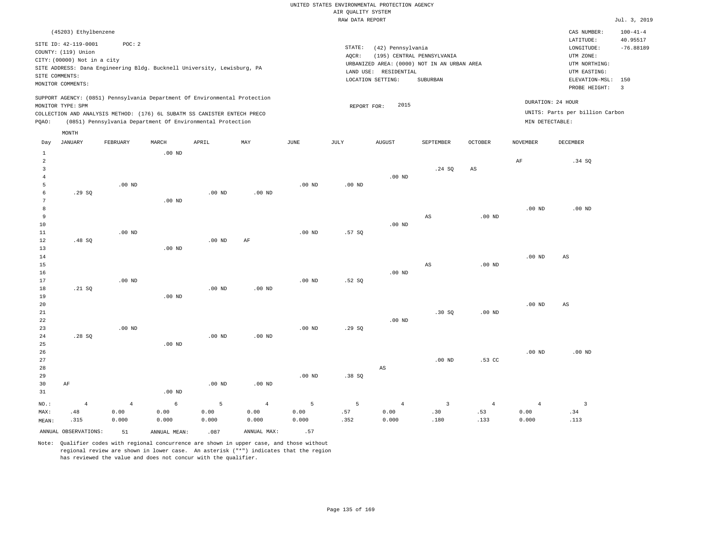|          |                                              |          |          |                                                                            |          |          | RAW DATA REPORT |                       |                                             |                   |                   |                                 | Jul. 3, 2019               |
|----------|----------------------------------------------|----------|----------|----------------------------------------------------------------------------|----------|----------|-----------------|-----------------------|---------------------------------------------|-------------------|-------------------|---------------------------------|----------------------------|
|          | (45203) Ethylbenzene<br>SITE ID: 42-119-0001 | POC: 2   |          |                                                                            |          |          |                 |                       |                                             |                   |                   | CAS NUMBER:<br>LATITUDE:        | $100 - 41 - 4$<br>40.95517 |
|          | COUNTY: (119) Union                          |          |          |                                                                            |          |          | STATE:          | (42) Pennsylvania     |                                             |                   |                   | LONGITUDE:                      | $-76.88189$                |
|          | CITY: (00000) Not in a city                  |          |          |                                                                            |          |          | AQCR:           |                       | (195) CENTRAL PENNSYLVANIA                  |                   |                   | UTM ZONE:                       |                            |
|          |                                              |          |          | SITE ADDRESS: Dana Engineering Bldg. Bucknell University, Lewisburg, PA    |          |          |                 |                       | URBANIZED AREA: (0000) NOT IN AN URBAN AREA |                   |                   | UTM NORTHING:                   |                            |
|          | SITE COMMENTS:                               |          |          |                                                                            |          |          |                 | LAND USE: RESIDENTIAL |                                             |                   |                   | UTM EASTING:                    |                            |
|          | MONITOR COMMENTS:                            |          |          |                                                                            |          |          |                 | LOCATION SETTING:     | SUBURBAN                                    |                   |                   | ELEVATION-MSL:                  | 150                        |
|          |                                              |          |          |                                                                            |          |          |                 |                       |                                             |                   |                   | PROBE HEIGHT:                   | $\overline{\phantom{a}}$   |
|          | MONITOR TYPE: SPM                            |          |          | SUPPORT AGENCY: (0851) Pennsylvania Department Of Environmental Protection |          |          | REPORT FOR:     | 2015                  |                                             |                   |                   | DURATION: 24 HOUR               |                            |
|          |                                              |          |          | COLLECTION AND ANALYSIS METHOD: (176) 6L SUBATM SS CANISTER ENTECH PRECO   |          |          |                 |                       |                                             |                   |                   | UNITS: Parts per billion Carbon |                            |
| POAO:    |                                              |          |          | (0851) Pennsylvania Department Of Environmental Protection                 |          |          |                 |                       |                                             |                   | MIN DETECTABLE:   |                                 |                            |
|          | MONTH                                        |          |          |                                                                            |          |          |                 |                       |                                             |                   |                   |                                 |                            |
| Day      | JANUARY                                      | FEBRUARY | MARCH    | APRIL                                                                      | MAY      | JUNE     | JULY            | AUGUST                | SEPTEMBER                                   | <b>OCTOBER</b>    | <b>NOVEMBER</b>   | DECEMBER                        |                            |
| 1        |                                              |          | $.00$ ND |                                                                            |          |          |                 |                       |                                             |                   |                   |                                 |                            |
| 2        |                                              |          |          |                                                                            |          |          |                 |                       |                                             |                   | AF                | .34 SQ                          |                            |
| 3        |                                              |          |          |                                                                            |          |          |                 |                       | .24 SQ                                      | AS                |                   |                                 |                            |
|          |                                              |          |          |                                                                            |          |          |                 | $.00$ ND              |                                             |                   |                   |                                 |                            |
| 5        |                                              | $.00$ ND |          |                                                                            |          | $.00$ ND | $.00$ ND        |                       |                                             |                   |                   |                                 |                            |
| 6        | .29SQ                                        |          |          | $.00$ ND                                                                   | $.00$ ND |          |                 |                       |                                             |                   |                   |                                 |                            |
|          |                                              |          | $.00$ ND |                                                                            |          |          |                 |                       |                                             |                   |                   |                                 |                            |
| 8        |                                              |          |          |                                                                            |          |          |                 |                       |                                             |                   | .00 <sub>ND</sub> | $.00$ ND                        |                            |
| 9        |                                              |          |          |                                                                            |          |          |                 |                       | AS                                          | $.00$ ND          |                   |                                 |                            |
| 10       |                                              |          |          |                                                                            |          |          |                 | $.00$ ND              |                                             |                   |                   |                                 |                            |
| 11<br>12 |                                              | $.00$ ND |          | $.00$ ND                                                                   | AF       | $.00$ ND | .57S            |                       |                                             |                   |                   |                                 |                            |
| 13       | .48SQ                                        |          | $.00$ ND |                                                                            |          |          |                 |                       |                                             |                   |                   |                                 |                            |
| 14       |                                              |          |          |                                                                            |          |          |                 |                       |                                             |                   | .00 <sub>ND</sub> | AS                              |                            |
| 15       |                                              |          |          |                                                                            |          |          |                 |                       | AS                                          | .00 <sub>ND</sub> |                   |                                 |                            |

16 17 18 19 20 21 22 23 24 25 26 27 .21 SQ .28 SQ .00 ND .00 ND .00 ND .00 ND .00 ND .00 ND .00 ND .00 ND .00 ND .00 ND .52 SQ .29 SQ .00 ND .00 ND .30 SQ .00 ND .00 ND .53 CC .00 ND .00 ND AS .00 ND

| 28    |      |                |          |          |                   |          |                | AS    |      |                |       |      |
|-------|------|----------------|----------|----------|-------------------|----------|----------------|-------|------|----------------|-------|------|
| 29    |      |                |          |          |                   | $.00$ ND | .38SQ          |       |      |                |       |      |
| 30    | AF   |                |          | $.00$ ND | .00 <sub>ND</sub> |          |                |       |      |                |       |      |
| 31    |      |                | $.00$ ND |          |                   |          |                |       |      |                |       |      |
| NO.:  | 4    | $\overline{4}$ | 6        | 5        | 4                 | $5 -$    | 5 <sup>1</sup> | 4     |      | $\overline{4}$ |       |      |
| MAX:  | .48  | 0.00           | 0.00     | 0.00     | 0.00              | 0.00     | .57            | 0.00  | .30  | .53            | 0.00  | .34  |
| MEAN: | .315 | 0.000          | 0.000    | 0.000    | 0.000             | 0.000    | .352           | 0.000 | .180 | .133           | 0.000 | .113 |

ANNUAL OBSERVATIONS:  $51$  ANNUAL MEAN: .087 ANNUAL MAX: .57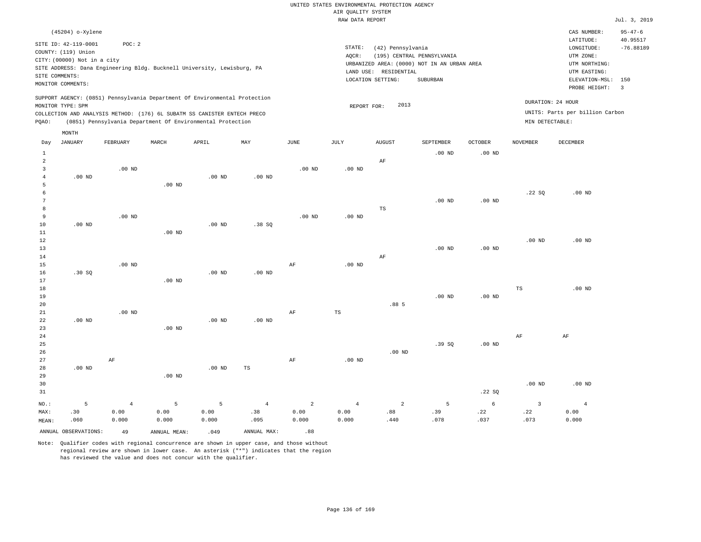#### RAW DATA REPORT Jul. 3, 2019 UNITED STATES ENVIRONMENTAL PROTECTION AGENCY AIR QUALITY SYSTEM

| (45204) o-Xylene                                                                                                                                                                                                                                            |                                                                                                                                                                             | CAS NUMBER:                                                                                                  | $95 - 47 - 6$           |
|-------------------------------------------------------------------------------------------------------------------------------------------------------------------------------------------------------------------------------------------------------------|-----------------------------------------------------------------------------------------------------------------------------------------------------------------------------|--------------------------------------------------------------------------------------------------------------|-------------------------|
| SITE ID: 42-119-0001<br>POC:2<br>COUNTY: (119) Union<br>CITY: (00000) Not in a city<br>SITE ADDRESS: Dana Engineering Bldg. Bucknell University, Lewisburg, PA<br>SITE COMMENTS:<br>MONITOR COMMENTS:                                                       | STATE:<br>(42) Pennsylvania<br>(195) CENTRAL PENNSYLVANIA<br>AOCR:<br>URBANIZED AREA: (0000) NOT IN AN URBAN AREA<br>LAND USE: RESIDENTIAL<br>LOCATION SETTING:<br>SUBURBAN | LATITUDE:<br>LONGITUDE:<br>UTM ZONE:<br>UTM NORTHING:<br>UTM EASTING:<br>ELEVATION-MSL: 150<br>PROBE HEIGHT: | 40.95517<br>$-76.88189$ |
| SUPPORT AGENCY: (0851) Pennsylvania Department Of Environmental Protection<br>MONITOR TYPE: SPM<br>COLLECTION AND ANALYSIS METHOD: (176) 6L SUBATM SS CANISTER ENTECH PRECO<br>(0851) Pennsylvania Department Of Environmental Protection<br>POAO:<br>MONTH | 2013<br>REPORT FOR:<br>MIN DETECTABLE:                                                                                                                                      | DURATION: 24 HOUR<br>UNITS: Parts per billion Carbon                                                         |                         |

| Day                     | JANUARY  | FEBRUARY       | MARCH             | APRIL    | MAY               | $_{\rm JUNE}$  | JULY           | AUGUST         | SEPTEMBER | OCTOBER           | NOVEMBER          | DECEMBER       |
|-------------------------|----------|----------------|-------------------|----------|-------------------|----------------|----------------|----------------|-----------|-------------------|-------------------|----------------|
| $\mathbf{1}$            |          |                |                   |          |                   |                |                |                | $.00$ ND  | $.00$ ND          |                   |                |
| $\overline{\mathbf{c}}$ |          |                |                   |          |                   |                |                | $\rm AF$       |           |                   |                   |                |
| 3                       |          | $.00$ ND       |                   |          |                   | $.00$ ND       | $.00$ ND       |                |           |                   |                   |                |
| 4                       | $.00$ ND |                |                   | $.00$ ND | .00 <sub>ND</sub> |                |                |                |           |                   |                   |                |
| 5                       |          |                | .00 <sub>ND</sub> |          |                   |                |                |                |           |                   |                   |                |
| 6                       |          |                |                   |          |                   |                |                |                |           |                   | .22SQ             | $.00$ ND       |
| 7                       |          |                |                   |          |                   |                |                |                | $.00$ ND  | $.00$ ND          |                   |                |
| 8                       |          |                |                   |          |                   |                |                | $_{\rm TS}$    |           |                   |                   |                |
| 9                       |          | $.00$ ND       |                   |          |                   | $.00$ ND       | $.00$ ND       |                |           |                   |                   |                |
| $10$                    | $.00$ ND |                |                   | $.00$ ND | .38 SQ            |                |                |                |           |                   |                   |                |
| $11\,$                  |          |                | .00 <sub>ND</sub> |          |                   |                |                |                |           |                   |                   |                |
| 12                      |          |                |                   |          |                   |                |                |                |           |                   | .00 <sub>ND</sub> | $.00$ ND       |
| 13                      |          |                |                   |          |                   |                |                |                | $.00$ ND  | .00 $ND$          |                   |                |
| 14                      |          |                |                   |          |                   |                |                | $\rm{AF}$      |           |                   |                   |                |
| 15                      |          | $.00$ ND       |                   |          |                   | AF             | $.00$ ND       |                |           |                   |                   |                |
| 16                      | .30SQ    |                |                   | $.00$ ND | $.00$ ND          |                |                |                |           |                   |                   |                |
| 17                      |          |                | .00 <sub>ND</sub> |          |                   |                |                |                |           |                   |                   |                |
| 18                      |          |                |                   |          |                   |                |                |                |           |                   | TS                | $.00$ ND       |
| 19                      |          |                |                   |          |                   |                |                |                | $.00$ ND  | $.00$ ND          |                   |                |
| 20                      |          |                |                   |          |                   |                |                | .88 5          |           |                   |                   |                |
| $21\,$                  |          | $.00$ ND       |                   |          |                   | $\rm{AF}$      | $_{\rm TS}$    |                |           |                   |                   |                |
| 22                      | $.00$ ND |                |                   | $.00$ ND | .00 <sub>ND</sub> |                |                |                |           |                   |                   |                |
| 23                      |          |                | .00 <sub>ND</sub> |          |                   |                |                |                |           |                   |                   |                |
| $2\,4$                  |          |                |                   |          |                   |                |                |                |           |                   | $\rm AF$          | $\rm{AF}$      |
| $25\,$                  |          |                |                   |          |                   |                |                |                | .39SQ     | $.00~\mathrm{ND}$ |                   |                |
| 26                      |          |                |                   |          |                   |                |                | $.00$ ND       |           |                   |                   |                |
| 27                      |          | $\rm AF$       |                   |          |                   | AF             | $.00$ ND       |                |           |                   |                   |                |
| 28                      | .00 $ND$ |                |                   | $.00$ ND | TS                |                |                |                |           |                   |                   |                |
| 29                      |          |                | $.00$ ND          |          |                   |                |                |                |           |                   |                   |                |
| 30                      |          |                |                   |          |                   |                |                |                |           |                   | .00 <sub>ND</sub> | $.00$ ND       |
| 31                      |          |                |                   |          |                   |                |                |                |           | .22SQ             |                   |                |
| $NO.$ :                 | 5        | $\overline{4}$ | 5                 | 5        | $\overline{4}$    | $\overline{a}$ | $\overline{4}$ | $\overline{a}$ | 5         | 6                 | 3                 | $\overline{4}$ |
| MAX:                    | .30      | 0.00           | 0.00              | 0.00     | .38               | 0.00           | 0.00           | .88            | .39       | .22               | .22               | 0.00           |
| MEAN:                   | .060     | 0.000          | 0.000             | 0.000    | .095              | 0.000          | 0.000          | .440           | .078      | .037              | .073              | 0.000          |
|                         |          |                |                   |          |                   |                |                |                |           |                   |                   |                |

ANNUAL OBSERVATIONS:  $\begin{array}{ccc} 49 & \quad \quad \text{ANNUAL} & \text{MENI:} \end{array}$  .049 ANNUAL MAX: . .88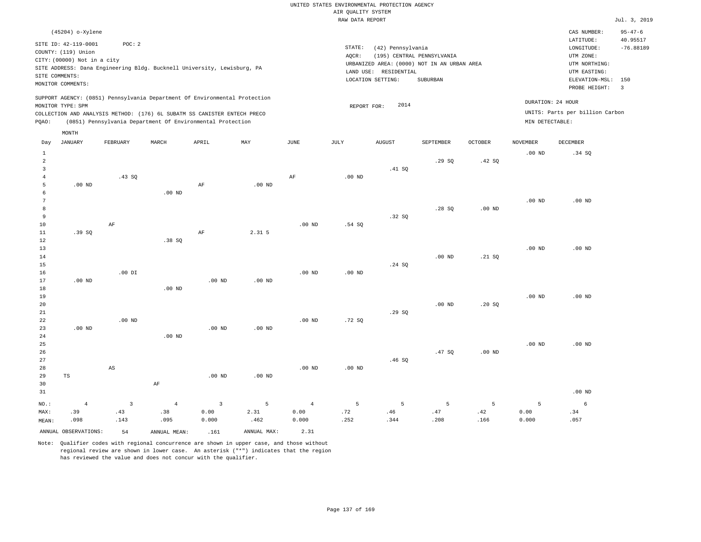|                                                      |                                                                                                                   |                        |                       |                                                                                                                                                        |                   |                        | UNITED STATES ENVIRONMENTAL PROTECTION AGENCY<br>AIR QUALITY SYSTEM |                                                                 |                                                                                       |                   |                   |                                                                                                          |                                                  |
|------------------------------------------------------|-------------------------------------------------------------------------------------------------------------------|------------------------|-----------------------|--------------------------------------------------------------------------------------------------------------------------------------------------------|-------------------|------------------------|---------------------------------------------------------------------|-----------------------------------------------------------------|---------------------------------------------------------------------------------------|-------------------|-------------------|----------------------------------------------------------------------------------------------------------|--------------------------------------------------|
|                                                      |                                                                                                                   |                        |                       |                                                                                                                                                        |                   |                        | RAW DATA REPORT                                                     |                                                                 |                                                                                       |                   |                   |                                                                                                          | Jul. 3, 2019                                     |
|                                                      | (45204) o-Xylene                                                                                                  |                        |                       |                                                                                                                                                        |                   |                        |                                                                     |                                                                 |                                                                                       |                   |                   | CAS NUMBER:                                                                                              | $95 - 47 - 6$                                    |
|                                                      | SITE ID: 42-119-0001<br>COUNTY: (119) Union<br>CITY: (00000) Not in a city<br>SITE COMMENTS:<br>MONITOR COMMENTS: | POC: 2                 |                       | SITE ADDRESS: Dana Engineering Bldg. Bucknell University, Lewisburg, PA                                                                                |                   |                        | STATE:<br>AQCR:                                                     | (42) Pennsylvania<br>LAND USE: RESIDENTIAL<br>LOCATION SETTING: | (195) CENTRAL PENNSYLVANIA<br>URBANIZED AREA: (0000) NOT IN AN URBAN AREA<br>SUBURBAN |                   |                   | LATITUDE:<br>LONGITUDE:<br>UTM ZONE:<br>UTM NORTHING:<br>UTM EASTING:<br>ELEVATION-MSL:<br>PROBE HEIGHT: | 40.95517<br>$-76.88189$<br>150<br>$\overline{3}$ |
|                                                      | MONITOR TYPE: SPM                                                                                                 |                        |                       | SUPPORT AGENCY: (0851) Pennsylvania Department Of Environmental Protection<br>COLLECTION AND ANALYSIS METHOD: (176) 6L SUBATM SS CANISTER ENTECH PRECO |                   |                        | REPORT FOR:                                                         | 2014                                                            |                                                                                       |                   |                   | DURATION: 24 HOUR<br>UNITS: Parts per billion Carbon                                                     |                                                  |
| PQAO:                                                |                                                                                                                   |                        |                       | (0851) Pennsylvania Department Of Environmental Protection                                                                                             |                   |                        |                                                                     |                                                                 |                                                                                       |                   | MIN DETECTABLE:   |                                                                                                          |                                                  |
| Day                                                  | MONTH<br><b>JANUARY</b>                                                                                           | FEBRUARY               | MARCH                 | APRIL                                                                                                                                                  | MAY               | <b>JUNE</b>            | <b>JULY</b>                                                         | <b>AUGUST</b>                                                   | <b>SEPTEMBER</b>                                                                      | <b>OCTOBER</b>    | <b>NOVEMBER</b>   | DECEMBER                                                                                                 |                                                  |
| $\mathbf{1}$<br>$\overline{a}$                       |                                                                                                                   |                        |                       |                                                                                                                                                        |                   |                        |                                                                     |                                                                 | .29S                                                                                  | .42 S0            | .00 <sub>ND</sub> | .34 SQ                                                                                                   |                                                  |
| $\overline{\mathbf{3}}$<br>$\,4\,$<br>$\overline{5}$ | $.00$ ND                                                                                                          | .43 S0                 |                       | AF                                                                                                                                                     | .00 <sub>ND</sub> | AF                     | $.00$ ND                                                            | .41 SQ                                                          |                                                                                       |                   |                   |                                                                                                          |                                                  |
| 6<br>$7\phantom{.0}$<br>8                            |                                                                                                                   |                        | $.00$ ND              |                                                                                                                                                        |                   |                        |                                                                     |                                                                 | .28S                                                                                  | $.00$ ND          | $.00$ ND          | $.00$ ND                                                                                                 |                                                  |
| 9<br>10<br>$1\,1$                                    | .39SQ                                                                                                             | AF                     |                       | AF                                                                                                                                                     | 2.31 5            | $.00$ ND               | .54S                                                                | .32S                                                            |                                                                                       |                   |                   |                                                                                                          |                                                  |
| 12<br>13<br>14                                       |                                                                                                                   |                        | .38SQ                 |                                                                                                                                                        |                   |                        |                                                                     |                                                                 | $.00$ ND                                                                              | .21 SQ            | .00 <sub>ND</sub> | $.00$ ND                                                                                                 |                                                  |
| 15<br>16<br>17                                       | $.00$ ND                                                                                                          | $.00$ DI               |                       | $.00$ ND                                                                                                                                               | .00 <sub>ND</sub> | $.00$ ND               | $.00$ ND                                                            | .24 SQ                                                          |                                                                                       |                   |                   |                                                                                                          |                                                  |
| 18<br>19<br>20<br>21                                 |                                                                                                                   |                        | $.00$ ND              |                                                                                                                                                        |                   |                        |                                                                     | .29SQ                                                           | $.00$ ND                                                                              | .20SQ             | .00 <sub>ND</sub> | .00 <sub>ND</sub>                                                                                        |                                                  |
| 22<br>23<br>24                                       | $.00$ ND                                                                                                          | $.00$ ND               | $.00$ ND              | $.00$ ND                                                                                                                                               | $.00$ ND          | $.00$ ND               | .72S                                                                |                                                                 |                                                                                       |                   |                   |                                                                                                          |                                                  |
| 25<br>26<br>27                                       |                                                                                                                   |                        |                       |                                                                                                                                                        |                   |                        |                                                                     | .46S                                                            | .47SQ                                                                                 | .00 <sub>ND</sub> | $.00$ ND          | $.00$ ND                                                                                                 |                                                  |
| 28<br>29<br>30<br>31                                 | $\operatorname{TS}$                                                                                               | $\mathbb{A}\mathbb{S}$ | $\rm AF$              | .00 <sub>ND</sub>                                                                                                                                      | .00 <sub>ND</sub> | .00 <sub>ND</sub>      | $.00$ ND                                                            |                                                                 |                                                                                       |                   |                   | $.00$ ND                                                                                                 |                                                  |
| $NO.$ :<br>MAX:                                      | $\overline{4}$<br>.39                                                                                             | $\overline{3}$<br>.43  | $\overline{4}$<br>.38 | 3<br>0.00                                                                                                                                              | 5<br>2.31         | $\overline{4}$<br>0.00 | 5<br>.72                                                            | 5<br>.46                                                        | 5<br>.47                                                                              | 5<br>.42          | 5<br>0.00         | 6<br>.34                                                                                                 |                                                  |
| MEAN:                                                | .098                                                                                                              | .143                   | .095                  | 0.000                                                                                                                                                  | .462              | 0.000                  | .252                                                                | .344                                                            | .208                                                                                  | .166              | 0.000             | .057                                                                                                     |                                                  |
|                                                      | ANNUAL OBSERVATIONS:                                                                                              | 54                     | ANNUAL MEAN:          | .161                                                                                                                                                   | ANNUAL MAX:       | 2.31                   |                                                                     |                                                                 |                                                                                       |                   |                   |                                                                                                          |                                                  |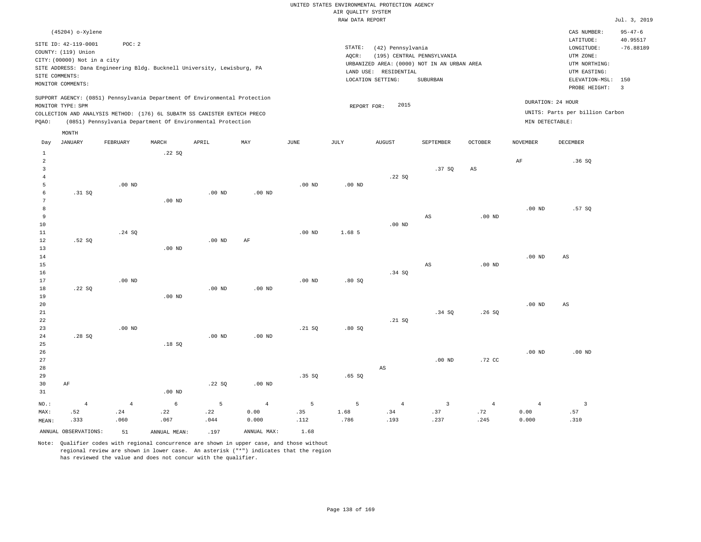|                   |                                             |                   |          |                                                                            |                   |                       | RAW DATA REPORT   |                        |                                             |                   |                   |                                 | Jul. 3, 2019             |
|-------------------|---------------------------------------------|-------------------|----------|----------------------------------------------------------------------------|-------------------|-----------------------|-------------------|------------------------|---------------------------------------------|-------------------|-------------------|---------------------------------|--------------------------|
|                   | (45204) o-Xylene                            |                   |          |                                                                            |                   |                       |                   |                        |                                             |                   |                   | CAS NUMBER:                     | $95 - 47 - 6$            |
|                   | SITE ID: 42-119-0001<br>COUNTY: (119) Union | POC: 2            |          |                                                                            |                   |                       | STATE:            | (42) Pennsylvania      |                                             |                   |                   | LATITUDE:<br>LONGITUDE:         | 40.95517<br>$-76.88189$  |
|                   | CITY: (00000) Not in a city                 |                   |          |                                                                            |                   |                       | AQCR:             |                        | (195) CENTRAL PENNSYLVANIA                  |                   |                   | UTM ZONE:<br>UTM NORTHING:      |                          |
|                   |                                             |                   |          | SITE ADDRESS: Dana Engineering Bldg. Bucknell University, Lewisburg, PA    |                   |                       |                   | LAND USE: RESIDENTIAL  | URBANIZED AREA: (0000) NOT IN AN URBAN AREA |                   |                   | UTM EASTING:                    |                          |
|                   | SITE COMMENTS:                              |                   |          |                                                                            |                   |                       |                   | LOCATION SETTING:      | SUBURBAN                                    |                   |                   | ELEVATION-MSL:                  | 150                      |
|                   | MONITOR COMMENTS:                           |                   |          |                                                                            |                   |                       |                   |                        |                                             |                   |                   | PROBE HEIGHT:                   | $\overline{\phantom{a}}$ |
|                   |                                             |                   |          | SUPPORT AGENCY: (0851) Pennsylvania Department Of Environmental Protection |                   |                       |                   | 2015                   |                                             |                   |                   | DURATION: 24 HOUR               |                          |
|                   | MONITOR TYPE: SPM                           |                   |          | COLLECTION AND ANALYSIS METHOD: (176) 6L SUBATM SS CANISTER ENTECH PRECO   |                   |                       | REPORT FOR:       |                        |                                             |                   |                   | UNITS: Parts per billion Carbon |                          |
| PQAO:             |                                             |                   |          | (0851) Pennsylvania Department Of Environmental Protection                 |                   |                       |                   |                        |                                             |                   | MIN DETECTABLE:   |                                 |                          |
|                   | MONTH                                       |                   |          |                                                                            |                   |                       |                   |                        |                                             |                   |                   |                                 |                          |
| Day               | <b>JANUARY</b>                              | FEBRUARY          | MARCH    | APRIL                                                                      | MAY               | $\operatorname{JUNE}$ | JULY              | <b>AUGUST</b>          | SEPTEMBER                                   | OCTOBER           | <b>NOVEMBER</b>   | DECEMBER                        |                          |
| $\mathbf{1}$<br>2 |                                             |                   | .22SQ    |                                                                            |                   |                       |                   |                        |                                             |                   | AF                | .36S                            |                          |
| $\overline{3}$    |                                             |                   |          |                                                                            |                   |                       |                   |                        | .37SQ                                       | AS                |                   |                                 |                          |
| $\overline{4}$    |                                             |                   |          |                                                                            |                   |                       |                   | .22 SQ                 |                                             |                   |                   |                                 |                          |
| 5                 |                                             | $.00$ ND          |          |                                                                            |                   | $.00$ ND              | .00 <sub>ND</sub> |                        |                                             |                   |                   |                                 |                          |
| 6                 | .31 SQ                                      |                   |          | $.00$ ND                                                                   | $.00$ ND          |                       |                   |                        |                                             |                   |                   |                                 |                          |
| $7\phantom{.0}$   |                                             |                   | $.00$ ND |                                                                            |                   |                       |                   |                        |                                             |                   |                   |                                 |                          |
| 8                 |                                             |                   |          |                                                                            |                   |                       |                   |                        |                                             |                   | .00 <sub>ND</sub> | .57SQ                           |                          |
| 9                 |                                             |                   |          |                                                                            |                   |                       |                   |                        | AS                                          | .00 <sub>ND</sub> |                   |                                 |                          |
| 10                |                                             |                   |          |                                                                            |                   |                       |                   | $.00$ ND               |                                             |                   |                   |                                 |                          |
| 11<br>12          | .52S                                        | .24 SQ            |          | $.00$ ND                                                                   | AF                | $.00$ ND              | 1.68 5            |                        |                                             |                   |                   |                                 |                          |
| 13                |                                             |                   | $.00$ ND |                                                                            |                   |                       |                   |                        |                                             |                   |                   |                                 |                          |
| 14                |                                             |                   |          |                                                                            |                   |                       |                   |                        |                                             |                   | .00 <sub>ND</sub> | $\mathbb{A}\mathbb{S}$          |                          |
| 15                |                                             |                   |          |                                                                            |                   |                       |                   |                        | AS                                          | .00 <sub>ND</sub> |                   |                                 |                          |
| 16                |                                             |                   |          |                                                                            |                   |                       |                   | .34S                   |                                             |                   |                   |                                 |                          |
| 17                |                                             | .00 <sub>ND</sub> |          |                                                                            |                   | .00 <sub>ND</sub>     | .80S              |                        |                                             |                   |                   |                                 |                          |
| $18\,$            | .22SQ                                       |                   |          | .00 <sub>ND</sub>                                                          | .00 <sub>ND</sub> |                       |                   |                        |                                             |                   |                   |                                 |                          |
| 19                |                                             |                   | $.00$ ND |                                                                            |                   |                       |                   |                        |                                             |                   |                   |                                 |                          |
| 20                |                                             |                   |          |                                                                            |                   |                       |                   |                        |                                             |                   | .00 <sub>ND</sub> | AS                              |                          |
| 21                |                                             |                   |          |                                                                            |                   |                       |                   |                        | .34 SQ                                      | .26SQ             |                   |                                 |                          |
| 22                |                                             |                   |          |                                                                            |                   |                       |                   | .21 SQ                 |                                             |                   |                   |                                 |                          |
| 23<br>24          | .28SQ                                       | .00 <sub>ND</sub> |          | .00 <sub>ND</sub>                                                          | $.00$ ND          | .21 SQ                | .80S              |                        |                                             |                   |                   |                                 |                          |
| 25                |                                             |                   | .18S     |                                                                            |                   |                       |                   |                        |                                             |                   |                   |                                 |                          |
| 26                |                                             |                   |          |                                                                            |                   |                       |                   |                        |                                             |                   | .00 <sub>ND</sub> | $.00$ ND                        |                          |
| 27                |                                             |                   |          |                                                                            |                   |                       |                   |                        | .00 <sub>ND</sub>                           | .72 CC            |                   |                                 |                          |
| 28                |                                             |                   |          |                                                                            |                   |                       |                   | $\mathbb{A}\mathbb{S}$ |                                             |                   |                   |                                 |                          |
| 29                |                                             |                   |          |                                                                            |                   | .35SQ                 | .65SQ             |                        |                                             |                   |                   |                                 |                          |
| 30                | AF                                          |                   |          | .22SQ                                                                      | .00 <sub>ND</sub> |                       |                   |                        |                                             |                   |                   |                                 |                          |
| 31                |                                             |                   | $.00$ ND |                                                                            |                   |                       |                   |                        |                                             |                   |                   |                                 |                          |

|       |                      |           | NO.: $4$ $4$ $6$ $5$ $4$ $5$ $5$ $4$ $3$ $4$ $4$ $3$ |      |                  |                 |                                          |      |       |      |             |      |
|-------|----------------------|-----------|------------------------------------------------------|------|------------------|-----------------|------------------------------------------|------|-------|------|-------------|------|
| MAX:  |                      |           | $.52$ $.24$ $.22$ $.22$                              |      |                  |                 | $0.00$ . 35 . $1.68$ . 34 . 37 . 72 . 72 |      |       |      | $0.00$ . 57 |      |
| MEAN: | .333                 | .060      | .067                                                 | .044 | 0.000            | $\cdots$ $.112$ | .786                                     | .193 | . 237 | .245 | 0.000       | .310 |
|       | ANNUAL OBSERVATIONS: | $\sim$ 51 | ANNUAL MEAN:                                         | .197 | ANNUAL MAX: 1.68 |                 |                                          |      |       |      |             |      |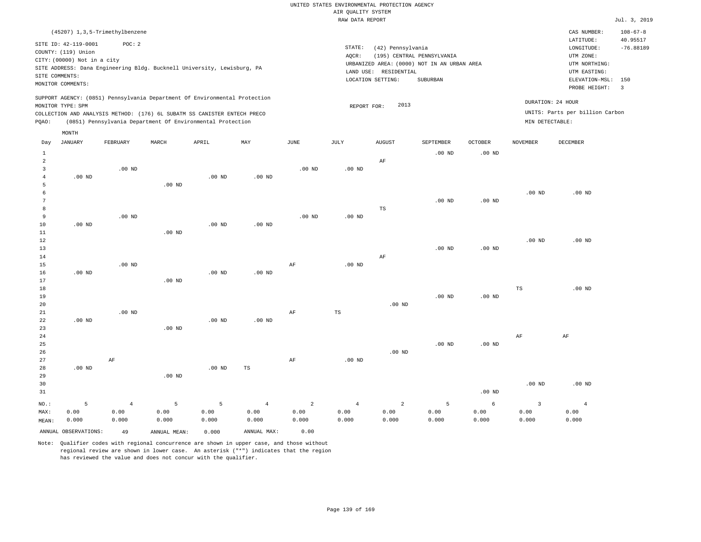|                     |                             |                                                                            |                   |          |                   |                | RAW DATA REPORT |                       |                                             |                   |                         |                                 | Jul. 3, 2019   |
|---------------------|-----------------------------|----------------------------------------------------------------------------|-------------------|----------|-------------------|----------------|-----------------|-----------------------|---------------------------------------------|-------------------|-------------------------|---------------------------------|----------------|
|                     |                             | (45207) 1, 3, 5-Trimethylbenzene                                           |                   |          |                   |                |                 |                       |                                             |                   |                         | CAS NUMBER:                     | $108 - 67 - 8$ |
|                     | SITE ID: 42-119-0001        | POC: 2                                                                     |                   |          |                   |                |                 |                       |                                             |                   |                         | LATITUDE:                       | 40.95517       |
|                     | COUNTY: (119) Union         |                                                                            |                   |          |                   |                | STATE:          | (42) Pennsylvania     |                                             |                   |                         | LONGITUDE:                      | $-76.88189$    |
|                     | CITY: (00000) Not in a city |                                                                            |                   |          |                   |                | AQCR:           |                       | (195) CENTRAL PENNSYLVANIA                  |                   |                         | UTM ZONE:                       |                |
|                     |                             | SITE ADDRESS: Dana Engineering Bldg. Bucknell University, Lewisburg, PA    |                   |          |                   |                |                 |                       | URBANIZED AREA: (0000) NOT IN AN URBAN AREA |                   |                         | UTM NORTHING:                   |                |
|                     | SITE COMMENTS:              |                                                                            |                   |          |                   |                |                 | LAND USE: RESIDENTIAL |                                             |                   |                         | UTM EASTING:                    |                |
|                     | MONITOR COMMENTS:           |                                                                            |                   |          |                   |                |                 | LOCATION SETTING:     | SUBURBAN                                    |                   |                         | ELEVATION-MSL:                  | 150            |
|                     |                             |                                                                            |                   |          |                   |                |                 |                       |                                             |                   |                         | PROBE HEIGHT:                   | $\overline{3}$ |
|                     |                             | SUPPORT AGENCY: (0851) Pennsylvania Department Of Environmental Protection |                   |          |                   |                |                 |                       |                                             |                   |                         | DURATION: 24 HOUR               |                |
|                     | MONITOR TYPE: SPM           |                                                                            |                   |          |                   |                | REPORT FOR:     | 2013                  |                                             |                   |                         |                                 |                |
|                     |                             | COLLECTION AND ANALYSIS METHOD: (176) 6L SUBATM SS CANISTER ENTECH PRECO   |                   |          |                   |                |                 |                       |                                             |                   |                         | UNITS: Parts per billion Carbon |                |
| PQAO:               |                             | (0851) Pennsylvania Department Of Environmental Protection                 |                   |          |                   |                |                 |                       |                                             |                   | MIN DETECTABLE:         |                                 |                |
|                     | MONTH                       |                                                                            |                   |          |                   |                |                 |                       |                                             |                   |                         |                                 |                |
| Day                 | JANUARY                     | FEBRUARY                                                                   | MARCH             | APRIL    | MAY               | JUNE           | JULY            | <b>AUGUST</b>         | SEPTEMBER                                   | <b>OCTOBER</b>    | <b>NOVEMBER</b>         | DECEMBER                        |                |
| $\mathbf{1}$        |                             |                                                                            |                   |          |                   |                |                 |                       | $.00$ ND                                    | .00 <sub>ND</sub> |                         |                                 |                |
| $\overline{a}$      |                             |                                                                            |                   |          |                   |                |                 | $\rm{AF}$             |                                             |                   |                         |                                 |                |
| $\overline{3}$      | $.00$ ND                    | $.00$ ND                                                                   |                   | $.00$ ND |                   | $.00$ ND       | $.00$ ND        |                       |                                             |                   |                         |                                 |                |
| $\overline{4}$<br>5 |                             |                                                                            | $.00$ ND          |          | $.00$ ND          |                |                 |                       |                                             |                   |                         |                                 |                |
| 6                   |                             |                                                                            |                   |          |                   |                |                 |                       |                                             |                   | $.00$ ND                | $.00$ ND                        |                |
| 7                   |                             |                                                                            |                   |          |                   |                |                 |                       | .00 <sub>ND</sub>                           | $.00$ ND          |                         |                                 |                |
| 8                   |                             |                                                                            |                   |          |                   |                |                 | $_{\rm TS}$           |                                             |                   |                         |                                 |                |
| 9                   |                             | $.00$ ND                                                                   |                   |          |                   | $.00$ ND       | $.00$ ND        |                       |                                             |                   |                         |                                 |                |
| 10                  | $.00$ ND                    |                                                                            |                   | $.00$ ND | .00 <sub>ND</sub> |                |                 |                       |                                             |                   |                         |                                 |                |
| 11                  |                             |                                                                            | $.00$ ND          |          |                   |                |                 |                       |                                             |                   |                         |                                 |                |
| 12                  |                             |                                                                            |                   |          |                   |                |                 |                       |                                             |                   | $.00$ ND                | $.00$ ND                        |                |
| 13                  |                             |                                                                            |                   |          |                   |                |                 |                       | $.00$ ND                                    | .00 <sub>ND</sub> |                         |                                 |                |
| 14                  |                             |                                                                            |                   |          |                   |                |                 | $\rm AF$              |                                             |                   |                         |                                 |                |
| 15                  |                             | $.00$ ND                                                                   |                   |          |                   | AF             | $.00$ ND        |                       |                                             |                   |                         |                                 |                |
| 16                  | $.00$ ND                    |                                                                            |                   | $.00$ ND | .00 <sub>ND</sub> |                |                 |                       |                                             |                   |                         |                                 |                |
| 17<br>18            |                             |                                                                            | .00 <sub>ND</sub> |          |                   |                |                 |                       |                                             |                   | $_{\rm TS}$             | $.00$ ND                        |                |
| 19                  |                             |                                                                            |                   |          |                   |                |                 |                       | $.00$ ND                                    | .00 <sub>ND</sub> |                         |                                 |                |
| 20                  |                             |                                                                            |                   |          |                   |                |                 | $.00$ ND              |                                             |                   |                         |                                 |                |
| 21                  |                             | $.00$ ND                                                                   |                   |          |                   | AF             | TS              |                       |                                             |                   |                         |                                 |                |
| 22                  | $.00$ ND                    |                                                                            |                   | $.00$ ND | $.00$ ND          |                |                 |                       |                                             |                   |                         |                                 |                |
| 23                  |                             |                                                                            | $.00$ ND          |          |                   |                |                 |                       |                                             |                   |                         |                                 |                |
| 24                  |                             |                                                                            |                   |          |                   |                |                 |                       |                                             |                   | $\rm{AF}$               | AF                              |                |
| 25                  |                             |                                                                            |                   |          |                   |                |                 |                       | $.00$ ND                                    | .00 <sub>ND</sub> |                         |                                 |                |
| 26                  |                             |                                                                            |                   |          |                   |                |                 | .00 <sub>ND</sub>     |                                             |                   |                         |                                 |                |
| 27                  |                             | $\rm AF$                                                                   |                   |          |                   | $\rm{AF}$      | $.00$ ND        |                       |                                             |                   |                         |                                 |                |
| 28                  | $.00$ ND                    |                                                                            |                   | $.00$ ND | $\mathbb{TS}$     |                |                 |                       |                                             |                   |                         |                                 |                |
| 29                  |                             |                                                                            | $.00$ ND          |          |                   |                |                 |                       |                                             |                   |                         |                                 |                |
| 30<br>31            |                             |                                                                            |                   |          |                   |                |                 |                       |                                             | .00 <sub>ND</sub> | .00 <sub>ND</sub>       | $.00$ ND                        |                |
|                     |                             |                                                                            |                   |          |                   |                |                 |                       |                                             |                   |                         |                                 |                |
| NO.:                | 5                           | $\overline{4}$                                                             | 5                 | 5        | $\overline{4}$    | $\overline{a}$ | $\overline{4}$  | $\overline{a}$        | 5                                           | 6                 | $\overline{\mathbf{3}}$ | $\overline{4}$                  |                |
| MAX:                | 0.00                        | 0.00                                                                       | 0.00              | 0.00     | 0.00              | 0.00           | 0.00            | 0.00                  | 0.00                                        | 0.00              | 0.00                    | 0.00                            |                |

Note: Qualifier codes with regional concurrence are shown in upper case, and those without regional review are shown in lower case. An asterisk ("\*") indicates that the region has reviewed the value and does not concur with the qualifier.

ANNUAL OBSERVATIONS: 49 ANNUAL MEAN: 0.000 ANNUAL MAX: 0.00

0.000

0.000

0.000

0.000

MEAN:

0.000

0.000

0.000

0.000

0.000

0.000

0.000

0.000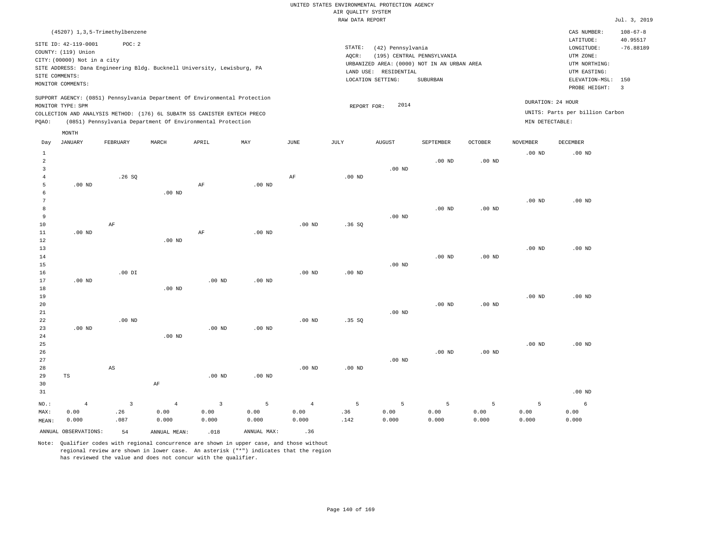|                |                                                                                                                   |                                  |                                                                                                                                                        |                         |                   |                 | RAW DATA REPORT |                                                                 |                                                                                       |                   |                   |                                                                                                              | Jul. 3, 2019                              |
|----------------|-------------------------------------------------------------------------------------------------------------------|----------------------------------|--------------------------------------------------------------------------------------------------------------------------------------------------------|-------------------------|-------------------|-----------------|-----------------|-----------------------------------------------------------------|---------------------------------------------------------------------------------------|-------------------|-------------------|--------------------------------------------------------------------------------------------------------------|-------------------------------------------|
|                |                                                                                                                   | (45207) 1, 3, 5-Trimethylbenzene |                                                                                                                                                        |                         |                   |                 |                 |                                                                 |                                                                                       |                   |                   | CAS NUMBER:                                                                                                  | $108 - 67 - 8$                            |
|                | SITE ID: 42-119-0001<br>COUNTY: (119) Union<br>CITY: (00000) Not in a city<br>SITE COMMENTS:<br>MONITOR COMMENTS: | POC: 2                           | SITE ADDRESS: Dana Engineering Bldg. Bucknell University, Lewisburg, PA                                                                                |                         |                   |                 | STATE:<br>AQCR: | (42) Pennsylvania<br>LAND USE: RESIDENTIAL<br>LOCATION SETTING: | (195) CENTRAL PENNSYLVANIA<br>URBANIZED AREA: (0000) NOT IN AN URBAN AREA<br>SUBURBAN |                   |                   | LATITUDE:<br>LONGITUDE:<br>UTM ZONE:<br>UTM NORTHING:<br>UTM EASTING:<br>ELEVATION-MSL: 150<br>PROBE HEIGHT: | 40.95517<br>$-76.88189$<br>$\overline{3}$ |
|                | MONITOR TYPE: SPM                                                                                                 |                                  | SUPPORT AGENCY: (0851) Pennsylvania Department Of Environmental Protection<br>COLLECTION AND ANALYSIS METHOD: (176) 6L SUBATM SS CANISTER ENTECH PRECO |                         |                   |                 | REPORT FOR:     | 2014                                                            |                                                                                       |                   |                   | DURATION: 24 HOUR<br>UNITS: Parts per billion Carbon                                                         |                                           |
| POAO:          |                                                                                                                   |                                  | (0851) Pennsylvania Department Of Environmental Protection                                                                                             |                         |                   |                 |                 |                                                                 |                                                                                       |                   | MIN DETECTABLE:   |                                                                                                              |                                           |
|                | MONTH                                                                                                             |                                  |                                                                                                                                                        |                         |                   |                 |                 |                                                                 |                                                                                       |                   |                   |                                                                                                              |                                           |
| Day            | <b>JANUARY</b>                                                                                                    | FEBRUARY                         | MARCH                                                                                                                                                  | APRIL                   | MAY               | $\mathtt{JUNE}$ | JULY            | <b>AUGUST</b>                                                   | SEPTEMBER                                                                             | OCTOBER           | <b>NOVEMBER</b>   | DECEMBER                                                                                                     |                                           |
| $\mathbf{1}$   |                                                                                                                   |                                  |                                                                                                                                                        |                         |                   |                 |                 |                                                                 |                                                                                       |                   | .00 <sub>ND</sub> | $.00$ ND                                                                                                     |                                           |
| $\overline{a}$ |                                                                                                                   |                                  |                                                                                                                                                        |                         |                   |                 |                 |                                                                 | $.00$ ND                                                                              | .00 <sub>ND</sub> |                   |                                                                                                              |                                           |
| 3              |                                                                                                                   |                                  |                                                                                                                                                        |                         |                   |                 |                 | $.00$ ND                                                        |                                                                                       |                   |                   |                                                                                                              |                                           |
| $\overline{4}$ |                                                                                                                   | .26S                             |                                                                                                                                                        |                         |                   | AF              | $.00$ ND        |                                                                 |                                                                                       |                   |                   |                                                                                                              |                                           |
| 5<br>6         | .00 <sub>ND</sub>                                                                                                 |                                  | .00 <sub>ND</sub>                                                                                                                                      | AF                      | .00 <sub>ND</sub> |                 |                 |                                                                 |                                                                                       |                   |                   |                                                                                                              |                                           |
| 7              |                                                                                                                   |                                  |                                                                                                                                                        |                         |                   |                 |                 |                                                                 |                                                                                       |                   | .00 <sub>ND</sub> | $.00$ ND                                                                                                     |                                           |
| 8              |                                                                                                                   |                                  |                                                                                                                                                        |                         |                   |                 |                 |                                                                 | $.00$ ND                                                                              | .00 <sub>ND</sub> |                   |                                                                                                              |                                           |
| $\overline{9}$ |                                                                                                                   |                                  |                                                                                                                                                        |                         |                   |                 |                 | $.00$ ND                                                        |                                                                                       |                   |                   |                                                                                                              |                                           |
| 10             |                                                                                                                   | $\rm{AF}$                        |                                                                                                                                                        |                         |                   | $.00$ ND        | .36S            |                                                                 |                                                                                       |                   |                   |                                                                                                              |                                           |
| $11\,$         | .00 <sub>ND</sub>                                                                                                 |                                  |                                                                                                                                                        | AF                      | $.00$ ND          |                 |                 |                                                                 |                                                                                       |                   |                   |                                                                                                              |                                           |
| 12             |                                                                                                                   |                                  | $.00$ ND                                                                                                                                               |                         |                   |                 |                 |                                                                 |                                                                                       |                   |                   |                                                                                                              |                                           |
| 13             |                                                                                                                   |                                  |                                                                                                                                                        |                         |                   |                 |                 |                                                                 |                                                                                       |                   | $.00$ ND          | $.00$ ND                                                                                                     |                                           |
| 14             |                                                                                                                   |                                  |                                                                                                                                                        |                         |                   |                 |                 |                                                                 | $.00$ ND                                                                              | .00 <sub>ND</sub> |                   |                                                                                                              |                                           |
| 15             |                                                                                                                   |                                  |                                                                                                                                                        |                         |                   |                 |                 | $.00$ ND                                                        |                                                                                       |                   |                   |                                                                                                              |                                           |
| 16             |                                                                                                                   | $.00$ DI                         |                                                                                                                                                        |                         |                   | $.00$ ND        | $.00$ ND        |                                                                 |                                                                                       |                   |                   |                                                                                                              |                                           |
| 17             | $.00$ ND                                                                                                          |                                  |                                                                                                                                                        | $.00$ ND                | $.00$ ND          |                 |                 |                                                                 |                                                                                       |                   |                   |                                                                                                              |                                           |
| 18             |                                                                                                                   |                                  | $.00$ ND                                                                                                                                               |                         |                   |                 |                 |                                                                 |                                                                                       |                   |                   |                                                                                                              |                                           |
| 19             |                                                                                                                   |                                  |                                                                                                                                                        |                         |                   |                 |                 |                                                                 |                                                                                       |                   | .00 <sub>ND</sub> | $.00$ ND                                                                                                     |                                           |
| 20<br>21       |                                                                                                                   |                                  |                                                                                                                                                        |                         |                   |                 |                 | $.00$ ND                                                        | $.00$ ND                                                                              | $.00$ ND          |                   |                                                                                                              |                                           |
| 22             |                                                                                                                   | $.00$ ND                         |                                                                                                                                                        |                         |                   | $.00$ ND        | .35SQ           |                                                                 |                                                                                       |                   |                   |                                                                                                              |                                           |
| 23             | $.00$ ND                                                                                                          |                                  |                                                                                                                                                        | $.00$ ND                | $.00$ ND          |                 |                 |                                                                 |                                                                                       |                   |                   |                                                                                                              |                                           |
| 24             |                                                                                                                   |                                  | $.00$ ND                                                                                                                                               |                         |                   |                 |                 |                                                                 |                                                                                       |                   |                   |                                                                                                              |                                           |
| 25             |                                                                                                                   |                                  |                                                                                                                                                        |                         |                   |                 |                 |                                                                 |                                                                                       |                   | .00 <sub>ND</sub> | $.00$ ND                                                                                                     |                                           |
| 26             |                                                                                                                   |                                  |                                                                                                                                                        |                         |                   |                 |                 |                                                                 | $.00$ ND                                                                              | $.00$ ND          |                   |                                                                                                              |                                           |
| 27             |                                                                                                                   |                                  |                                                                                                                                                        |                         |                   |                 |                 | $.00$ ND                                                        |                                                                                       |                   |                   |                                                                                                              |                                           |
| 28             |                                                                                                                   | $\mathbb{A}\mathbb{S}$           |                                                                                                                                                        |                         |                   | $.00$ ND        | $.00$ ND        |                                                                 |                                                                                       |                   |                   |                                                                                                              |                                           |
| 29             | TS                                                                                                                |                                  |                                                                                                                                                        | $.00$ ND                | .00 <sub>ND</sub> |                 |                 |                                                                 |                                                                                       |                   |                   |                                                                                                              |                                           |
| 30             |                                                                                                                   |                                  | $\rm AF$                                                                                                                                               |                         |                   |                 |                 |                                                                 |                                                                                       |                   |                   |                                                                                                              |                                           |
| 31             |                                                                                                                   |                                  |                                                                                                                                                        |                         |                   |                 |                 |                                                                 |                                                                                       |                   |                   | $.00$ ND                                                                                                     |                                           |
| NO.:           | $\overline{4}$                                                                                                    | $\overline{3}$                   | $\overline{4}$                                                                                                                                         | $\overline{\mathbf{3}}$ | 5                 | $\overline{4}$  | 5               | 5                                                               | 5                                                                                     | 5                 | 5                 | 6                                                                                                            |                                           |
| MAX:           | 0.00                                                                                                              | .26                              | 0.00                                                                                                                                                   | 0.00                    | 0.00              | 0.00            | .36             | 0.00                                                            | 0.00                                                                                  | 0.00              | 0.00              | 0.00                                                                                                         |                                           |
| MEAN:          | 0.000                                                                                                             | .087                             | 0.000                                                                                                                                                  | 0.000                   | 0.000             | 0.000           | .142            | 0.000                                                           | 0.000                                                                                 | 0.000             | 0.000             | 0.000                                                                                                        |                                           |
|                | ANNUAL OBSERVATIONS:                                                                                              | 54                               | ANNUAL MEAN:                                                                                                                                           | .018                    | ANNUAL MAX:       | .36             |                 |                                                                 |                                                                                       |                   |                   |                                                                                                              |                                           |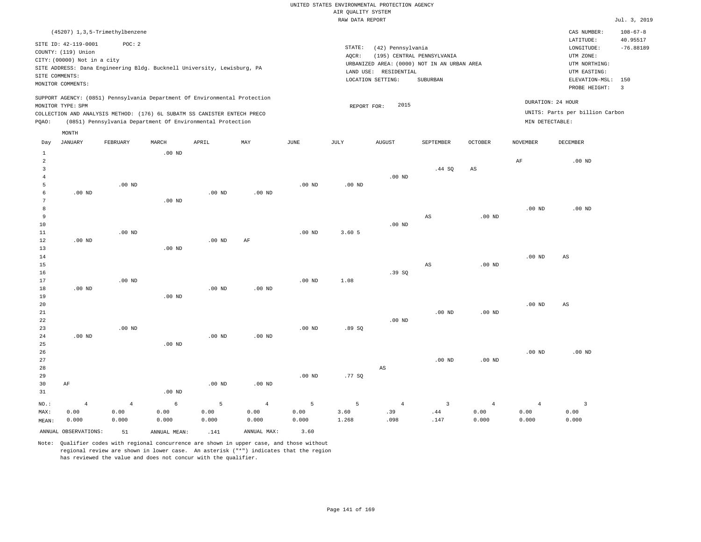|                                                                         |                                                                            |                   |                                                            |                   |                   |                   | RAW DATA REPORT   |                                 |                                             |                   |                   |                   | Jul. 3, 2019   |
|-------------------------------------------------------------------------|----------------------------------------------------------------------------|-------------------|------------------------------------------------------------|-------------------|-------------------|-------------------|-------------------|---------------------------------|---------------------------------------------|-------------------|-------------------|-------------------|----------------|
|                                                                         | (45207) 1, 3, 5-Trimethylbenzene                                           |                   |                                                            |                   |                   |                   |                   |                                 |                                             |                   |                   | CAS NUMBER:       | $108 - 67 - 8$ |
|                                                                         |                                                                            | POC: 2            |                                                            |                   |                   |                   |                   |                                 |                                             |                   |                   | LATITUDE:         | 40.95517       |
| SITE ID: 42-119-0001<br>COUNTY: (119) Union                             |                                                                            |                   |                                                            |                   |                   |                   | STATE:            | LONGITUDE:                      | $-76.88189$                                 |                   |                   |                   |                |
| CITY: (00000) Not in a city                                             |                                                                            |                   |                                                            |                   |                   |                   | AQCR:             |                                 | (195) CENTRAL PENNSYLVANIA                  |                   |                   | UTM ZONE:         |                |
| SITE ADDRESS: Dana Engineering Bldg. Bucknell University, Lewisburg, PA |                                                                            |                   |                                                            |                   |                   |                   |                   |                                 | URBANIZED AREA: (0000) NOT IN AN URBAN AREA |                   |                   | UTM NORTHING:     |                |
|                                                                         | SITE COMMENTS:                                                             |                   |                                                            |                   |                   |                   |                   | LAND USE: RESIDENTIAL           |                                             |                   |                   | UTM EASTING:      |                |
|                                                                         | MONITOR COMMENTS:                                                          |                   |                                                            |                   |                   |                   |                   | LOCATION SETTING:               | SUBURBAN                                    |                   |                   | ELEVATION-MSL:    | 150            |
|                                                                         |                                                                            |                   |                                                            |                   |                   |                   |                   |                                 |                                             |                   |                   | PROBE HEIGHT:     | $\overline{3}$ |
|                                                                         | SUPPORT AGENCY: (0851) Pennsylvania Department Of Environmental Protection |                   |                                                            |                   |                   |                   |                   | 2015                            |                                             |                   |                   | DURATION: 24 HOUR |                |
|                                                                         | MONITOR TYPE: SPM                                                          |                   |                                                            |                   |                   |                   | REPORT FOR:       | UNITS: Parts per billion Carbon |                                             |                   |                   |                   |                |
|                                                                         | COLLECTION AND ANALYSIS METHOD: (176) 6L SUBATM SS CANISTER ENTECH PRECO   |                   |                                                            |                   |                   |                   |                   |                                 |                                             |                   |                   |                   |                |
| PQAO:                                                                   |                                                                            |                   | (0851) Pennsylvania Department Of Environmental Protection |                   |                   |                   |                   |                                 |                                             |                   | MIN DETECTABLE:   |                   |                |
|                                                                         | MONTH                                                                      | FEBRUARY          | MARCH                                                      | APRIL             | MAY               | <b>JUNE</b>       |                   |                                 | SEPTEMBER                                   | <b>OCTOBER</b>    | <b>NOVEMBER</b>   | DECEMBER          |                |
| Day                                                                     | JANUARY                                                                    |                   |                                                            |                   |                   |                   | JULY              | AUGUST                          |                                             |                   |                   |                   |                |
| $\mathbf{1}$<br>$\overline{2}$                                          |                                                                            |                   | $.00$ ND                                                   |                   |                   |                   |                   |                                 |                                             |                   | $\rm AF$          | $.00$ ND          |                |
| 3                                                                       |                                                                            |                   |                                                            |                   |                   |                   |                   |                                 | .44 SQ                                      | AS                |                   |                   |                |
| $\overline{4}$                                                          |                                                                            |                   |                                                            |                   |                   |                   |                   | $.00$ ND                        |                                             |                   |                   |                   |                |
| 5                                                                       |                                                                            | .00 <sub>ND</sub> |                                                            |                   |                   | $.00$ ND          | .00 <sub>ND</sub> |                                 |                                             |                   |                   |                   |                |
| 6                                                                       | $.00$ ND                                                                   |                   |                                                            | $.00$ ND          | $.00$ ND          |                   |                   |                                 |                                             |                   |                   |                   |                |
| 7                                                                       |                                                                            |                   | $.00$ ND                                                   |                   |                   |                   |                   |                                 |                                             |                   |                   |                   |                |
| 8                                                                       |                                                                            |                   |                                                            |                   |                   |                   |                   |                                 |                                             |                   | $.00$ ND          | $.00$ ND          |                |
| 9                                                                       |                                                                            |                   |                                                            |                   |                   |                   |                   |                                 | $_{\rm AS}$                                 | $.00$ ND          |                   |                   |                |
| 10                                                                      |                                                                            |                   |                                                            |                   |                   |                   |                   | $.00$ ND                        |                                             |                   |                   |                   |                |
| 11                                                                      |                                                                            | $.00$ ND          |                                                            |                   |                   | $.00$ ND          | 3.60 5            |                                 |                                             |                   |                   |                   |                |
| 12                                                                      | $.00$ ND                                                                   |                   |                                                            | $.00$ ND          | AF                |                   |                   |                                 |                                             |                   |                   |                   |                |
| 13                                                                      |                                                                            |                   | $.00$ ND                                                   |                   |                   |                   |                   |                                 |                                             |                   |                   |                   |                |
| 14                                                                      |                                                                            |                   |                                                            |                   |                   |                   |                   |                                 |                                             |                   | $.00$ ND          | $_{\rm AS}$       |                |
| 15                                                                      |                                                                            |                   |                                                            |                   |                   |                   |                   |                                 | AS                                          | $.00$ ND          |                   |                   |                |
| 16                                                                      |                                                                            |                   |                                                            |                   |                   |                   |                   | .39SQ                           |                                             |                   |                   |                   |                |
| 17                                                                      |                                                                            | $.00$ ND          |                                                            |                   |                   | .00 <sub>ND</sub> | 1.08              |                                 |                                             |                   |                   |                   |                |
| 18                                                                      | $.00$ ND                                                                   |                   |                                                            | .00 <sub>ND</sub> | .00 <sub>ND</sub> |                   |                   |                                 |                                             |                   |                   |                   |                |
| 19                                                                      |                                                                            |                   | $.00$ ND                                                   |                   |                   |                   |                   |                                 |                                             |                   |                   |                   |                |
| 20                                                                      |                                                                            |                   |                                                            |                   |                   |                   |                   |                                 |                                             |                   | $.00$ ND          | AS                |                |
| $2\sqrt{1}$                                                             |                                                                            |                   |                                                            |                   |                   |                   |                   |                                 | .00 <sub>ND</sub>                           | .00 <sub>ND</sub> |                   |                   |                |
| 22<br>23                                                                |                                                                            | $.00$ ND          |                                                            |                   |                   | .00 <sub>ND</sub> | .89S              | $.00$ ND                        |                                             |                   |                   |                   |                |
| 24                                                                      | $.00$ ND                                                                   |                   |                                                            | .00 <sub>ND</sub> | $.00$ ND          |                   |                   |                                 |                                             |                   |                   |                   |                |
| 25                                                                      |                                                                            |                   | .00 <sub>ND</sub>                                          |                   |                   |                   |                   |                                 |                                             |                   |                   |                   |                |
| 26                                                                      |                                                                            |                   |                                                            |                   |                   |                   |                   |                                 |                                             |                   | .00 <sub>ND</sub> | $.00$ ND          |                |
| $2\,7$                                                                  |                                                                            |                   |                                                            |                   |                   |                   |                   |                                 | $.00$ ND                                    | $.00$ ND          |                   |                   |                |
| 28                                                                      |                                                                            |                   |                                                            |                   |                   |                   |                   | AS                              |                                             |                   |                   |                   |                |
| 29                                                                      |                                                                            |                   |                                                            |                   |                   | .00 <sub>ND</sub> | .77 SQ            |                                 |                                             |                   |                   |                   |                |
| 30                                                                      | AF                                                                         |                   |                                                            | $.00$ ND          | $.00$ ND          |                   |                   |                                 |                                             |                   |                   |                   |                |
| 31                                                                      |                                                                            |                   | $.00$ ND                                                   |                   |                   |                   |                   |                                 |                                             |                   |                   |                   |                |
| NO.:                                                                    | $\overline{4}$                                                             | $\overline{4}$    | 6                                                          | 5                 | $\overline{4}$    | 5                 | 5                 | $\overline{4}$                  | $\overline{3}$                              | $\overline{4}$    | $\overline{4}$    | $\overline{3}$    |                |
| MAX:                                                                    | 0.00                                                                       | 0.00              | 0.00                                                       | 0.00              | 0.00              | 0.00              | 3.60              | .39                             | .44                                         | 0.00              | 0.00              | 0.00              |                |
| MEAN:                                                                   | 0.000                                                                      | 0.000             | 0.000                                                      | 0.000             | 0.000             | 0.000             | 1.268             | .098                            | .147                                        | 0.000             | 0.000             | 0.000             |                |
|                                                                         | ANNUAL OBSERVATIONS:                                                       | 51                | ANNUAL MEAN:                                               | .141              | ANNUAL MAX:       | 3.60              |                   |                                 |                                             |                   |                   |                   |                |
|                                                                         |                                                                            |                   |                                                            |                   |                   |                   |                   |                                 |                                             |                   |                   |                   |                |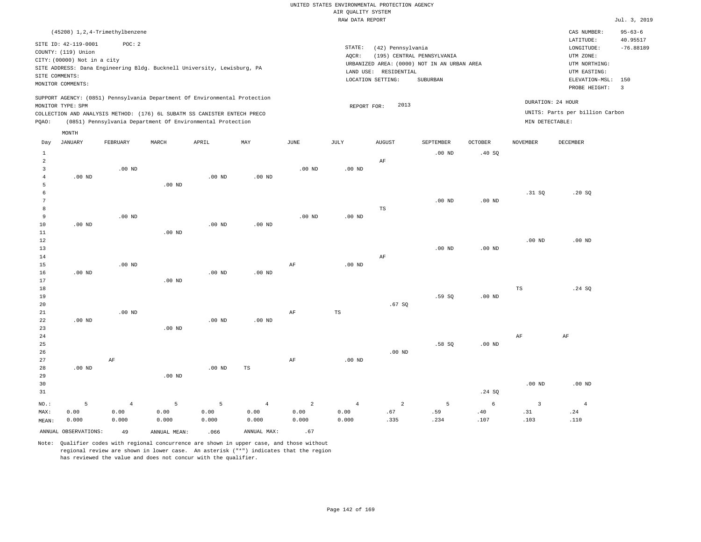|                                                                         |                      |                                  |          |                                                                            |                   |                | RAW DATA REPORT                             |                   |           |                   |                 |                                 | Jul. 3, 2019              |
|-------------------------------------------------------------------------|----------------------|----------------------------------|----------|----------------------------------------------------------------------------|-------------------|----------------|---------------------------------------------|-------------------|-----------|-------------------|-----------------|---------------------------------|---------------------------|
|                                                                         |                      | (45208) 1, 2, 4-Trimethylbenzene |          |                                                                            |                   |                |                                             |                   |           |                   |                 | CAS NUMBER:                     | $95 - 63 - 6$<br>40.95517 |
|                                                                         | SITE ID: 42-119-0001 | POC: 2                           |          |                                                                            |                   |                | STATE:                                      | (42) Pennsylvania |           |                   |                 | LATITUDE:<br>LONGITUDE:         | $-76.88189$               |
| COUNTY: (119) Union                                                     |                      |                                  |          |                                                                            |                   |                | AQCR:                                       | UTM ZONE:         |           |                   |                 |                                 |                           |
| CITY: (00000) Not in a city                                             |                      |                                  |          |                                                                            |                   |                | URBANIZED AREA: (0000) NOT IN AN URBAN AREA | UTM NORTHING:     |           |                   |                 |                                 |                           |
| SITE ADDRESS: Dana Engineering Bldg. Bucknell University, Lewisburg, PA |                      |                                  |          |                                                                            |                   |                | LAND USE: RESIDENTIAL                       | UTM EASTING:      |           |                   |                 |                                 |                           |
| SITE COMMENTS:<br>MONITOR COMMENTS:                                     |                      |                                  |          |                                                                            |                   |                |                                             | LOCATION SETTING: | SUBURBAN  |                   |                 | ELEVATION-MSL:                  | 150                       |
|                                                                         |                      |                                  |          |                                                                            |                   |                |                                             |                   |           |                   |                 | PROBE HEIGHT:                   | $\overline{\mathbf{3}}$   |
|                                                                         | MONITOR TYPE: SPM    |                                  |          | SUPPORT AGENCY: (0851) Pennsylvania Department Of Environmental Protection |                   |                | REPORT FOR:                                 | 2013              |           |                   |                 | DURATION: 24 HOUR               |                           |
|                                                                         |                      |                                  |          | COLLECTION AND ANALYSIS METHOD: (176) 6L SUBATM SS CANISTER ENTECH PRECO   |                   |                |                                             |                   |           |                   |                 | UNITS: Parts per billion Carbon |                           |
| PQAO:                                                                   |                      |                                  |          | (0851) Pennsylvania Department Of Environmental Protection                 |                   |                |                                             |                   |           |                   | MIN DETECTABLE: |                                 |                           |
|                                                                         | MONTH                |                                  |          |                                                                            |                   |                |                                             |                   |           |                   |                 |                                 |                           |
| Day                                                                     | JANUARY              | FEBRUARY                         | MARCH    | APRIL                                                                      | MAY               | JUNE           | JULY                                        | <b>AUGUST</b>     | SEPTEMBER | <b>OCTOBER</b>    | <b>NOVEMBER</b> | <b>DECEMBER</b>                 |                           |
| $\mathbf{1}$                                                            |                      |                                  |          |                                                                            |                   |                |                                             |                   | $.00$ ND  | .40SQ             |                 |                                 |                           |
| $\overline{a}$                                                          |                      |                                  |          |                                                                            |                   |                |                                             | AF                |           |                   |                 |                                 |                           |
| $\overline{3}$<br>$\overline{4}$                                        |                      | $.00$ ND                         |          |                                                                            |                   | $.00$ ND       | $.00$ ND                                    |                   |           |                   |                 |                                 |                           |
| 5                                                                       | $.00$ ND             |                                  | $.00$ ND | $.00$ ND                                                                   | $.00$ ND          |                |                                             |                   |           |                   |                 |                                 |                           |
| 6                                                                       |                      |                                  |          |                                                                            |                   |                |                                             |                   |           |                   | .31 SQ          | .20S                            |                           |
| 7                                                                       |                      |                                  |          |                                                                            |                   |                |                                             |                   | $.00$ ND  | $.00$ ND          |                 |                                 |                           |
| 8                                                                       |                      |                                  |          |                                                                            |                   |                |                                             | TS                |           |                   |                 |                                 |                           |
| 9                                                                       |                      | $.00$ ND                         |          |                                                                            |                   | $.00$ ND       | .00 <sub>ND</sub>                           |                   |           |                   |                 |                                 |                           |
| 10                                                                      | $.00$ ND             |                                  |          | $.00$ ND                                                                   | .00 <sub>ND</sub> |                |                                             |                   |           |                   |                 |                                 |                           |
| 11                                                                      |                      |                                  | $.00$ ND |                                                                            |                   |                |                                             |                   |           |                   |                 |                                 |                           |
| 12<br>13                                                                |                      |                                  |          |                                                                            |                   |                |                                             |                   | $.00$ ND  | .00 <sub>ND</sub> | $.00$ ND        | $.00$ ND                        |                           |
| 14                                                                      |                      |                                  |          |                                                                            |                   |                |                                             | AF                |           |                   |                 |                                 |                           |
| 15                                                                      |                      | $.00$ ND                         |          |                                                                            |                   | AF             | .00 <sub>ND</sub>                           |                   |           |                   |                 |                                 |                           |
| 16                                                                      | $.00$ ND             |                                  |          | $.00$ ND                                                                   | $.00$ ND          |                |                                             |                   |           |                   |                 |                                 |                           |
| 17                                                                      |                      |                                  | $.00$ ND |                                                                            |                   |                |                                             |                   |           |                   |                 |                                 |                           |
| 18                                                                      |                      |                                  |          |                                                                            |                   |                |                                             |                   |           |                   | $_{\rm TS}$     | .24 SQ                          |                           |
| 19<br>20                                                                |                      |                                  |          |                                                                            |                   |                |                                             |                   | .59SQ     | $.00$ ND          |                 |                                 |                           |
| 21                                                                      |                      | $.00$ ND                         |          |                                                                            |                   | AF             | $_{\rm TS}$                                 | .67SQ             |           |                   |                 |                                 |                           |
| 22                                                                      | $.00$ ND             |                                  |          | $.00$ ND                                                                   | $.00$ ND          |                |                                             |                   |           |                   |                 |                                 |                           |
| 23                                                                      |                      |                                  | $.00$ ND |                                                                            |                   |                |                                             |                   |           |                   |                 |                                 |                           |
| 24                                                                      |                      |                                  |          |                                                                            |                   |                |                                             |                   |           |                   | $\rm{AF}$       | $\rm AF$                        |                           |
| 25                                                                      |                      |                                  |          |                                                                            |                   |                |                                             |                   | .58S      | $.00$ ND          |                 |                                 |                           |
| 26                                                                      |                      |                                  |          |                                                                            |                   |                |                                             | $.00$ ND          |           |                   |                 |                                 |                           |
| 27                                                                      |                      | AF                               |          |                                                                            |                   | AF             | $.00$ ND                                    |                   |           |                   |                 |                                 |                           |
| 28<br>29                                                                | $.00$ ND             |                                  | $.00$ ND | $.00$ ND                                                                   | TS                |                |                                             |                   |           |                   |                 |                                 |                           |
| 30                                                                      |                      |                                  |          |                                                                            |                   |                |                                             |                   |           |                   | $.00$ ND        | .00 <sub>ND</sub>               |                           |
| 31                                                                      |                      |                                  |          |                                                                            |                   |                |                                             |                   |           | .24SQ             |                 |                                 |                           |
| $NO.$ :                                                                 | 5                    | $\overline{4}$                   | 5        | 5                                                                          | $\overline{4}$    | $\overline{a}$ | $\overline{4}$                              | $\overline{a}$    | 5         | 6                 | $\overline{3}$  | $\overline{4}$                  |                           |
| MAX:                                                                    | 0.00                 | 0.00                             | 0.00     | 0.00                                                                       | 0.00              | 0.00           | 0.00                                        | .67               | .59       | .40               | .31             | .24                             |                           |
| MEAN:                                                                   | 0.000                | 0.000                            | 0.000    | 0.000                                                                      | 0.000             | 0.000          | 0.000                                       | .335              | .234      | .107              | .103            | .110                            |                           |

ANNUAL OBSERVATIONS:  $49$  ANNUAL MEAN: .066 ANNUAL MAX: .67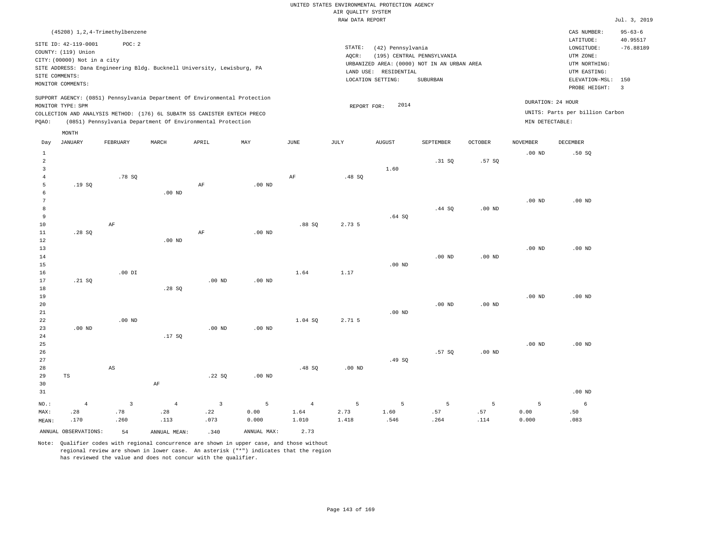|                                                                                                 |                                  |                        |                   |                                                                          |                   |                |                                                      | UNITED STATES ENVIRONMENTAL PROTECTION AGENCY |             |                   |                   |                 |                |
|-------------------------------------------------------------------------------------------------|----------------------------------|------------------------|-------------------|--------------------------------------------------------------------------|-------------------|----------------|------------------------------------------------------|-----------------------------------------------|-------------|-------------------|-------------------|-----------------|----------------|
|                                                                                                 |                                  |                        |                   |                                                                          |                   |                | AIR QUALITY SYSTEM                                   |                                               |             |                   |                   |                 |                |
|                                                                                                 |                                  |                        |                   |                                                                          |                   |                | RAW DATA REPORT                                      |                                               |             |                   |                   |                 | Jul. 3, 2019   |
|                                                                                                 | (45208) 1, 2, 4-Trimethylbenzene |                        |                   |                                                                          |                   |                |                                                      |                                               |             |                   |                   | CAS NUMBER:     | $95 - 63 - 6$  |
|                                                                                                 | SITE ID: 42-119-0001             | POC: 2                 |                   |                                                                          |                   |                |                                                      | (42) Pennsylvania                             |             |                   |                   | LATITUDE:       | 40.95517       |
| COUNTY: (119) Union                                                                             |                                  |                        |                   |                                                                          |                   |                | STATE:                                               | LONGITUDE:                                    | $-76.88189$ |                   |                   |                 |                |
| CITY: (00000) Not in a city                                                                     |                                  |                        |                   |                                                                          |                   |                | AQCR:<br>URBANIZED AREA: (0000) NOT IN AN URBAN AREA | UTM ZONE:<br>UTM NORTHING:                    |             |                   |                   |                 |                |
| SITE ADDRESS: Dana Engineering Bldg. Bucknell University, Lewisburg, PA                         |                                  |                        |                   |                                                                          |                   |                | LAND USE: RESIDENTIAL                                | UTM EASTING:                                  |             |                   |                   |                 |                |
| SITE COMMENTS:                                                                                  |                                  |                        |                   |                                                                          |                   |                | LOCATION SETTING:                                    | ELEVATION-MSL:                                | 150         |                   |                   |                 |                |
|                                                                                                 | MONITOR COMMENTS:                |                        |                   |                                                                          |                   |                |                                                      |                                               | SUBURBAN    |                   |                   | PROBE HEIGHT:   | $\overline{3}$ |
| SUPPORT AGENCY: (0851) Pennsylvania Department Of Environmental Protection<br>MONITOR TYPE: SPM |                                  |                        |                   |                                                                          |                   |                | REPORT FOR:                                          | DURATION: 24 HOUR                             |             |                   |                   |                 |                |
|                                                                                                 |                                  |                        |                   | COLLECTION AND ANALYSIS METHOD: (176) 6L SUBATM SS CANISTER ENTECH PRECO |                   |                |                                                      | UNITS: Parts per billion Carbon               |             |                   |                   |                 |                |
| PQAO:                                                                                           |                                  |                        |                   | (0851) Pennsylvania Department Of Environmental Protection               |                   |                |                                                      |                                               |             |                   | MIN DETECTABLE:   |                 |                |
|                                                                                                 | MONTH                            |                        |                   |                                                                          |                   |                |                                                      |                                               |             |                   |                   |                 |                |
| Day                                                                                             | <b>JANUARY</b>                   | FEBRUARY               | MARCH             | APRIL                                                                    | MAY               | JUNE           | JULY                                                 | <b>AUGUST</b>                                 | SEPTEMBER   | <b>OCTOBER</b>    | <b>NOVEMBER</b>   | <b>DECEMBER</b> |                |
| $\mathbf{1}$                                                                                    |                                  |                        |                   |                                                                          |                   |                |                                                      |                                               |             |                   | .00 <sub>ND</sub> | .50S            |                |
| $\overline{a}$<br>$\overline{3}$                                                                |                                  |                        |                   |                                                                          |                   |                |                                                      | 1.60                                          | .31 SQ      | .57SQ             |                   |                 |                |
| $\overline{4}$                                                                                  |                                  | .78 SQ                 |                   |                                                                          |                   | AF             | .48 SQ                                               |                                               |             |                   |                   |                 |                |
| 5                                                                                               | .19S                             |                        |                   | AF                                                                       | $.00$ ND          |                |                                                      |                                               |             |                   |                   |                 |                |
| 6                                                                                               |                                  |                        | $.00$ ND          |                                                                          |                   |                |                                                      |                                               |             |                   |                   |                 |                |
| $7\phantom{.0}$                                                                                 |                                  |                        |                   |                                                                          |                   |                |                                                      |                                               |             |                   | .00 <sub>ND</sub> | $.00$ ND        |                |
| 8                                                                                               |                                  |                        |                   |                                                                          |                   |                |                                                      |                                               | .44 S0      | $.00$ ND          |                   |                 |                |
| 9                                                                                               |                                  |                        |                   |                                                                          |                   |                |                                                      | .64SQ                                         |             |                   |                   |                 |                |
| $10$                                                                                            |                                  | AF                     |                   |                                                                          |                   | .88SQ          | 2.73 5                                               |                                               |             |                   |                   |                 |                |
| 11                                                                                              | .28S                             |                        |                   | AF                                                                       | .00 <sub>ND</sub> |                |                                                      |                                               |             |                   |                   |                 |                |
| 12                                                                                              |                                  |                        | .00 <sub>ND</sub> |                                                                          |                   |                |                                                      |                                               |             |                   |                   |                 |                |
| 13                                                                                              |                                  |                        |                   |                                                                          |                   |                |                                                      |                                               | $.00$ ND    | $.00$ ND          | .00 <sub>ND</sub> | $.00$ ND        |                |
| 14<br>15                                                                                        |                                  |                        |                   |                                                                          |                   |                |                                                      | $.00$ ND                                      |             |                   |                   |                 |                |
| 16                                                                                              |                                  | $.00$ DI               |                   |                                                                          |                   | 1.64           | 1.17                                                 |                                               |             |                   |                   |                 |                |
| $17\,$                                                                                          | .21 SQ                           |                        |                   | $.00$ ND                                                                 | $.00$ ND          |                |                                                      |                                               |             |                   |                   |                 |                |
| $1\,8$                                                                                          |                                  |                        | .28SQ             |                                                                          |                   |                |                                                      |                                               |             |                   |                   |                 |                |
| 19                                                                                              |                                  |                        |                   |                                                                          |                   |                |                                                      |                                               |             |                   | $.00$ ND          | $.00$ ND        |                |
| 20                                                                                              |                                  |                        |                   |                                                                          |                   |                |                                                      |                                               | $.00$ ND    | $.00$ ND          |                   |                 |                |
| 21                                                                                              |                                  |                        |                   |                                                                          |                   |                |                                                      | $.00$ ND                                      |             |                   |                   |                 |                |
| 22                                                                                              |                                  | $.00$ ND               |                   |                                                                          |                   | 1.04 SQ        | 2.71.5                                               |                                               |             |                   |                   |                 |                |
| 23                                                                                              | $.00$ ND                         |                        |                   | $.00$ ND                                                                 | $.00$ ND          |                |                                                      |                                               |             |                   |                   |                 |                |
| 24<br>25                                                                                        |                                  |                        | .17SQ             |                                                                          |                   |                |                                                      |                                               |             |                   | .00 <sub>ND</sub> | $.00$ ND        |                |
| 26                                                                                              |                                  |                        |                   |                                                                          |                   |                |                                                      |                                               | .57SQ       | .00 <sub>ND</sub> |                   |                 |                |
| 27                                                                                              |                                  |                        |                   |                                                                          |                   |                |                                                      | .49 SO                                        |             |                   |                   |                 |                |
| 28                                                                                              |                                  | $\mathbb{A}\mathbb{S}$ |                   |                                                                          |                   | .48 SQ         | .00 <sub>ND</sub>                                    |                                               |             |                   |                   |                 |                |
| 29                                                                                              | TS                               |                        |                   | .22S                                                                     | $.00$ ND          |                |                                                      |                                               |             |                   |                   |                 |                |
| 30                                                                                              |                                  |                        | $\rm AF$          |                                                                          |                   |                |                                                      |                                               |             |                   |                   |                 |                |
| 31                                                                                              |                                  |                        |                   |                                                                          |                   |                |                                                      |                                               |             |                   |                   | $.00$ ND        |                |
| NO.:                                                                                            | $\overline{4}$                   | $\overline{3}$         | $\overline{4}$    | $\overline{3}$                                                           | 5                 | $\overline{4}$ | 5                                                    | 5                                             | 5           | 5                 | $\overline{5}$    | $\epsilon$      |                |
| MAX:                                                                                            | .28                              | .78                    | .28               | .22                                                                      | 0.00              | 1.64           | 2.73                                                 | 1.60                                          | .57         | .57               | 0.00              | .50             |                |
| MEAN:                                                                                           | .170                             | .260                   | .113              | .073                                                                     | 0.000             | 1.010          | 1.418                                                | .546                                          | .264        | .114              | 0.000             | .083            |                |
|                                                                                                 | ANNUAL OBSERVATIONS:             | 54                     | ANNUAL, MEAN:     | .340                                                                     | ANNUAL MAX:       | 2.73           |                                                      |                                               |             |                   |                   |                 |                |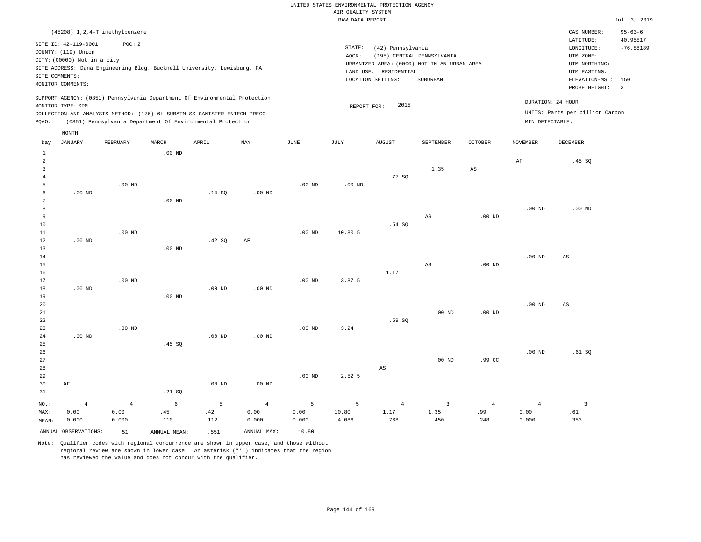|                                                            |                                                                                                                   |                                                                                                                                                                                                                      |                   |          |          |          | RAW DATA REPORT |                                                                 |                                                                                       |                   |                   |                                                                                             | Jul. 3, 2019                                  |
|------------------------------------------------------------|-------------------------------------------------------------------------------------------------------------------|----------------------------------------------------------------------------------------------------------------------------------------------------------------------------------------------------------------------|-------------------|----------|----------|----------|-----------------|-----------------------------------------------------------------|---------------------------------------------------------------------------------------|-------------------|-------------------|---------------------------------------------------------------------------------------------|-----------------------------------------------|
|                                                            |                                                                                                                   | (45208) 1, 2, 4-Trimethylbenzene                                                                                                                                                                                     |                   |          |          |          |                 |                                                                 |                                                                                       |                   |                   | CAS NUMBER:<br>LATITUDE:                                                                    | $95 - 63 - 6$<br>40.95517                     |
|                                                            | SITE ID: 42-119-0001<br>COUNTY: (119) Union<br>CITY: (00000) Not in a city<br>SITE COMMENTS:<br>MONITOR COMMENTS: | POC: 2<br>SITE ADDRESS: Dana Engineering Bldg. Bucknell University, Lewisburg, PA                                                                                                                                    |                   |          |          |          | STATE:<br>AOCR: | (42) Pennsylvania<br>LAND USE: RESIDENTIAL<br>LOCATION SETTING: | (195) CENTRAL PENNSYLVANIA<br>URBANIZED AREA: (0000) NOT IN AN URBAN AREA<br>SUBURBAN |                   |                   | LONGITUDE:<br>UTM ZONE:<br>UTM NORTHING:<br>UTM EASTING:<br>ELEVATION-MSL:<br>PROBE HEIGHT: | $-76.88189$<br>150<br>$\overline{\mathbf{3}}$ |
| PQAO:                                                      | MONITOR TYPE: SPM                                                                                                 | SUPPORT AGENCY: (0851) Pennsylvania Department Of Environmental Protection<br>COLLECTION AND ANALYSIS METHOD: (176) 6L SUBATM SS CANISTER ENTECH PRECO<br>(0851) Pennsylvania Department Of Environmental Protection |                   |          |          |          | REPORT FOR:     | 2015                                                            |                                                                                       |                   | MIN DETECTABLE:   | DURATION: 24 HOUR<br>UNITS: Parts per billion Carbon                                        |                                               |
| Day                                                        | MONTH<br><b>JANUARY</b>                                                                                           | FEBRUARY                                                                                                                                                                                                             | MARCH             | APRIL    | MAY      | JUNE     | JULY            | <b>AUGUST</b>                                                   | SEPTEMBER                                                                             | <b>OCTOBER</b>    | <b>NOVEMBER</b>   | <b>DECEMBER</b>                                                                             |                                               |
| $\mathbf{1}$<br>$\overline{a}$<br>3<br>$\overline{4}$<br>5 |                                                                                                                   | $.00$ ND                                                                                                                                                                                                             | .00 <sub>ND</sub> |          |          | $.00$ ND | $.00$ ND        | .77 SQ                                                          | 1.35                                                                                  | $_{\rm AS}$       | AF                | .45SQ                                                                                       |                                               |
| 6<br>$7\phantom{.0}$<br>8<br>9                             | $.00$ ND                                                                                                          |                                                                                                                                                                                                                      | $.00$ ND          | .14S     | $.00$ ND |          |                 |                                                                 | $\mathbb{A}\mathbb{S}$                                                                | .00 <sub>ND</sub> | .00 <sub>ND</sub> | $.00$ ND                                                                                    |                                               |
| 10<br>11<br>12<br>13                                       | $.00$ ND                                                                                                          | $.00$ ND                                                                                                                                                                                                             | $.00$ ND          | .42SQ    | AF       | $.00$ ND | 10.80 5         | .54 SQ                                                          |                                                                                       |                   |                   |                                                                                             |                                               |
| 14<br>15<br>16<br>17                                       |                                                                                                                   | $.00$ ND                                                                                                                                                                                                             |                   |          |          | $.00$ ND | 3.87 5          | 1.17                                                            | AS                                                                                    | .00 <sub>ND</sub> | .00 <sub>ND</sub> | $\mathbb{A}\mathbb{S}$                                                                      |                                               |
| 18<br>19<br>20<br>21                                       | $.00$ ND                                                                                                          |                                                                                                                                                                                                                      | $.00$ ND          | $.00$ ND | $.00$ ND |          |                 |                                                                 | $.00$ ND                                                                              | .00 <sub>ND</sub> | .00 <sub>ND</sub> | AS                                                                                          |                                               |
| 22<br>23<br>24<br>25                                       | $.00$ ND                                                                                                          | $.00$ ND                                                                                                                                                                                                             | .45 SQ            | $.00$ ND | $.00$ ND | $.00$ ND | 3.24            | .59 SO                                                          |                                                                                       |                   |                   |                                                                                             |                                               |
| 26<br>27<br>28<br>29                                       |                                                                                                                   |                                                                                                                                                                                                                      |                   |          |          | $.00$ ND | 2.52 5          | AS                                                              | $.00$ ND                                                                              | .99 <sub>c</sub>  | .00 <sub>ND</sub> | .61SQ                                                                                       |                                               |
| 30<br>31                                                   | AF                                                                                                                |                                                                                                                                                                                                                      | .21 SQ            | $.00$ ND | $.00$ ND |          |                 |                                                                 |                                                                                       |                   |                   |                                                                                             |                                               |

NO.: MAX: MEAN: 4 0.00 0.000 4 0.00 0.000 6 .45 .110 5 .42 .112 4 0.00 0.000 5 0.00 0.000 5 10.80 4.086 4 1.17 .768 3 1.35 .450 4 .99 .248 4 0.00 0.000 3 .61 .353 ANNUAL OBSERVATIONS: 51 ANNUAL MEAN: .551 ANNUAL MAX: 10.80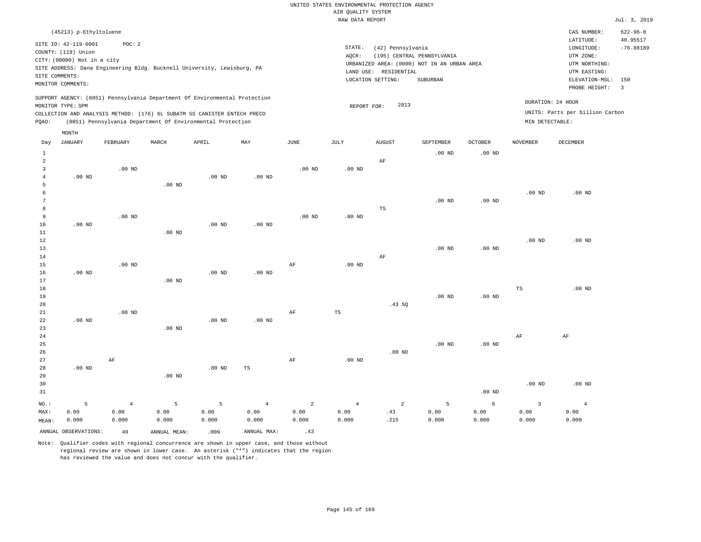RAW DATA REPORT Jul. 3, 2019 UNITED STATES ENVIRONMENTAL PROTECTION AGENCY AIR QUALITY SYSTEM

| (45213) p-Ethyltoluene                                                                                                                                                                                                                             |                                                                                                                                                                                | $622 - 96 - 8$<br>CAS NUMBER:                                                                                                           |
|----------------------------------------------------------------------------------------------------------------------------------------------------------------------------------------------------------------------------------------------------|--------------------------------------------------------------------------------------------------------------------------------------------------------------------------------|-----------------------------------------------------------------------------------------------------------------------------------------|
| SITE ID: 42-119-0001<br>POC: 2<br>COUNTY: (119) Union<br>CITY: (00000) Not in a city<br>SITE ADDRESS: Dana Engineering Bldg. Bucknell University, Lewisburg, PA<br>SITE COMMENTS:<br>MONITOR COMMENTS:                                             | STATE:<br>(42) Pennsylvania<br>(195) CENTRAL PENNSYLVANIA<br>AOCR:<br>URBANIZED AREA: (0000) NOT IN AN URBAN AREA<br>LAND USE:<br>RESIDENTIAL<br>SUBURBAN<br>LOCATION SETTING: | 40.95517<br>LATITUDE:<br>$-76.88189$<br>LONGITUDE:<br>UTM ZONE:<br>UTM NORTHING:<br>UTM EASTING:<br>ELEVATION-MSL: 150<br>PROBE HEIGHT: |
| SUPPORT AGENCY: (0851) Pennsylvania Department Of Environmental Protection<br>MONITOR TYPE: SPM<br>COLLECTION AND ANALYSIS METHOD: (176) 6L SUBATM SS CANISTER ENTECH PRECO<br>(0851) Pennsylvania Department Of Environmental Protection<br>POAO: | 2013<br>REPORT FOR:                                                                                                                                                            | DURATION: 24 HOUR<br>UNITS: Parts per billion Carbon<br>MIN DETECTABLE:                                                                 |

|                 | MONTH                |                |                   |          |                   |                         |                |                |           |                   |                |                |
|-----------------|----------------------|----------------|-------------------|----------|-------------------|-------------------------|----------------|----------------|-----------|-------------------|----------------|----------------|
| Day             | <b>JANUARY</b>       | FEBRUARY       | MARCH             | APRIL    | MAY               | JUNE                    | JULY           | <b>AUGUST</b>  | SEPTEMBER | OCTOBER           | NOVEMBER       | DECEMBER       |
| $\mathbf{1}$    |                      |                |                   |          |                   |                         |                |                | $.00$ ND  | $.00$ ND          |                |                |
| $\overline{a}$  |                      |                |                   |          |                   |                         |                | $\rm AF$       |           |                   |                |                |
| 3               |                      | $.00$ ND       |                   |          |                   | $.00$ ND                | .00 $ND$       |                |           |                   |                |                |
| 4               | $.00$ ND             |                |                   | .00 $ND$ | $.00$ ND          |                         |                |                |           |                   |                |                |
| 5               |                      |                | $.00$ ND          |          |                   |                         |                |                |           |                   |                |                |
| 6               |                      |                |                   |          |                   |                         |                |                |           |                   | $.00$ ND       | $.00$ ND       |
| $7\phantom{.0}$ |                      |                |                   |          |                   |                         |                |                | $.00$ ND  | $.00$ ND          |                |                |
| 8               |                      |                |                   |          |                   |                         |                | TS             |           |                   |                |                |
| 9               |                      | $.00$ ND       |                   |          |                   | $.00$ ND                | $.00$ ND       |                |           |                   |                |                |
| 10              | $.00$ ND             |                |                   | $.00$ ND | $.00$ ND          |                         |                |                |           |                   |                |                |
| $11\,$          |                      |                | .00 <sub>ND</sub> |          |                   |                         |                |                |           |                   |                |                |
| 12              |                      |                |                   |          |                   |                         |                |                |           |                   | $.00$ ND       | $.00$ ND       |
| 13              |                      |                |                   |          |                   |                         |                |                | $.00$ ND  | .00 <sub>ND</sub> |                |                |
| 14              |                      |                |                   |          |                   |                         |                | $\rm AF$       |           |                   |                |                |
| 15              |                      | $.00$ ND       |                   |          |                   | AF                      | $.00$ ND       |                |           |                   |                |                |
| 16<br>17        | $.00$ ND             |                | $.00$ ND          | $.00$ ND | .00 <sub>ND</sub> |                         |                |                |           |                   |                |                |
| 18              |                      |                |                   |          |                   |                         |                |                |           |                   | $_{\rm TS}$    | $.00$ ND       |
| 19              |                      |                |                   |          |                   |                         |                |                | $.00$ ND  | .00 $ND$          |                |                |
| 20              |                      |                |                   |          |                   |                         |                | .43 SQ         |           |                   |                |                |
| 21              |                      | $.00$ ND       |                   |          |                   | AF                      | $_{\rm TS}$    |                |           |                   |                |                |
| 22              | $.00$ ND             |                |                   | $.00$ ND | $.00$ ND          |                         |                |                |           |                   |                |                |
| 23              |                      |                | $.00$ ND          |          |                   |                         |                |                |           |                   |                |                |
| 24              |                      |                |                   |          |                   |                         |                |                |           |                   | $\rm{AF}$      | $\rm AF$       |
| 25              |                      |                |                   |          |                   |                         |                |                | $.00$ ND  | $.00$ ND          |                |                |
| 26              |                      |                |                   |          |                   |                         |                | $.00$ ND       |           |                   |                |                |
| 27              |                      | $\rm AF$       |                   |          |                   | AF                      | $.00$ ND       |                |           |                   |                |                |
| 28              | $.00$ ND             |                |                   | $.00$ ND | $_{\rm TS}$       |                         |                |                |           |                   |                |                |
| 29              |                      |                | $.00$ ND          |          |                   |                         |                |                |           |                   |                |                |
| 30              |                      |                |                   |          |                   |                         |                |                |           |                   | $.00$ ND       | $.00$ ND       |
| 31              |                      |                |                   |          |                   |                         |                |                |           | $.00$ ND          |                |                |
| $_{\rm NO.}$ :  | 5                    | $\overline{4}$ | 5                 | 5        | $\,4\,$           | $\overline{\mathbf{c}}$ | $\overline{4}$ | $\overline{a}$ | 5         | $\epsilon$        | $\overline{3}$ | $\overline{4}$ |
| MAX:            | 0.00                 | 0.00           | 0.00              | 0.00     | 0.00              | 0.00                    | 0.00           | .43            | 0.00      | 0.00              | 0.00           | 0.00           |
| MEAN:           | 0.000                | 0.000          | 0.000             | 0.000    | 0.000             | 0.000                   | 0.000          | .215           | 0.000     | 0.000             | 0.000          | 0.000          |
|                 | ANNUAL OBSERVATIONS: | 49             | ANNUAL MEAN:      | .009     | ANNUAL MAX:       | .43                     |                |                |           |                   |                |                |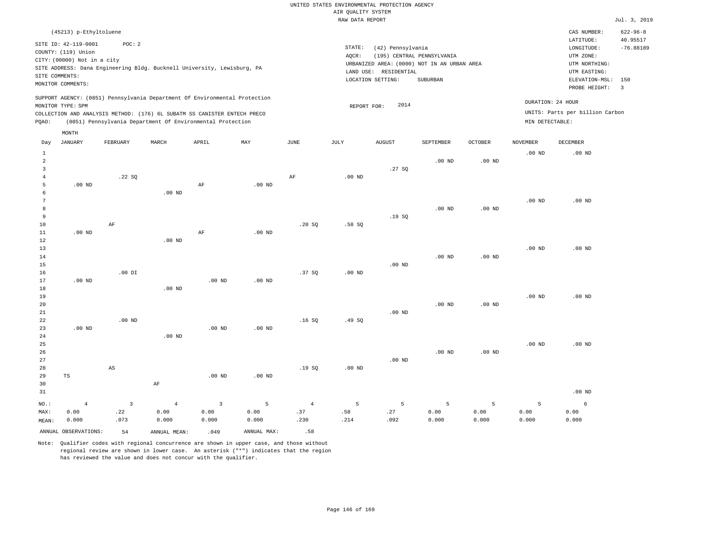|                |                             |                        |                                                                                                                                        |                         |                   |                |                    | UNITED STATES ENVIRONMENTAL PROTECTION AGENCY |                                             |                   |                   |                                 |                       |
|----------------|-----------------------------|------------------------|----------------------------------------------------------------------------------------------------------------------------------------|-------------------------|-------------------|----------------|--------------------|-----------------------------------------------|---------------------------------------------|-------------------|-------------------|---------------------------------|-----------------------|
|                |                             |                        |                                                                                                                                        |                         |                   |                | AIR QUALITY SYSTEM |                                               |                                             |                   |                   |                                 |                       |
|                |                             |                        |                                                                                                                                        |                         |                   |                | RAW DATA REPORT    |                                               |                                             |                   |                   |                                 | Jul. 3, 2019          |
|                | (45213) p-Ethyltoluene      |                        |                                                                                                                                        |                         |                   |                |                    |                                               |                                             |                   |                   | CAS NUMBER:                     | $622 - 96 - 8$        |
|                | SITE ID: 42-119-0001        | POC: 2                 |                                                                                                                                        |                         |                   |                |                    |                                               |                                             |                   |                   | LATITUDE:                       | 40.95517              |
|                | COUNTY: (119) Union         |                        |                                                                                                                                        |                         |                   |                | STATE:             | (42) Pennsylvania                             |                                             |                   |                   | LONGITUDE:                      | $-76.88189$           |
|                | CITY: (00000) Not in a city |                        |                                                                                                                                        |                         |                   |                | AQCR:              |                                               | (195) CENTRAL PENNSYLVANIA                  |                   |                   | UTM ZONE:                       |                       |
|                |                             |                        | SITE ADDRESS: Dana Engineering Bldg. Bucknell University, Lewisburg, PA                                                                |                         |                   |                |                    |                                               | URBANIZED AREA: (0000) NOT IN AN URBAN AREA |                   |                   | UTM NORTHING:                   |                       |
|                | SITE COMMENTS:              |                        |                                                                                                                                        |                         |                   |                |                    | LAND USE: RESIDENTIAL                         |                                             |                   |                   | UTM EASTING:                    |                       |
|                | MONITOR COMMENTS:           |                        |                                                                                                                                        |                         |                   |                |                    | LOCATION SETTING:                             | SUBURBAN                                    |                   |                   | ELEVATION-MSL:<br>PROBE HEIGHT: | 150<br>$\overline{3}$ |
|                |                             |                        | SUPPORT AGENCY: (0851) Pennsylvania Department Of Environmental Protection                                                             |                         |                   |                |                    |                                               |                                             |                   |                   |                                 |                       |
|                | MONITOR TYPE: SPM           |                        |                                                                                                                                        |                         |                   |                | REPORT FOR:        | 2014                                          |                                             |                   |                   | DURATION: 24 HOUR               |                       |
| PQAO:          |                             |                        | COLLECTION AND ANALYSIS METHOD: (176) 6L SUBATM SS CANISTER ENTECH PRECO<br>(0851) Pennsylvania Department Of Environmental Protection |                         |                   |                |                    |                                               |                                             |                   | MIN DETECTABLE:   | UNITS: Parts per billion Carbon |                       |
|                | MONTH                       |                        |                                                                                                                                        |                         |                   |                |                    |                                               |                                             |                   |                   |                                 |                       |
| Day            | <b>JANUARY</b>              | FEBRUARY               | MARCH                                                                                                                                  | APRIL                   | MAY               | JUNE           | JULY               | <b>AUGUST</b>                                 | SEPTEMBER                                   | <b>OCTOBER</b>    | <b>NOVEMBER</b>   | DECEMBER                        |                       |
| 1              |                             |                        |                                                                                                                                        |                         |                   |                |                    |                                               |                                             |                   | .00 <sub>ND</sub> | $.00$ ND                        |                       |
| $\overline{a}$ |                             |                        |                                                                                                                                        |                         |                   |                |                    |                                               | $.00$ ND                                    | .00 <sub>ND</sub> |                   |                                 |                       |
| $\overline{3}$ |                             |                        |                                                                                                                                        |                         |                   |                |                    | .27SQ                                         |                                             |                   |                   |                                 |                       |
| $\overline{4}$ |                             | .22 SO                 |                                                                                                                                        |                         |                   | AF             | $.00$ ND           |                                               |                                             |                   |                   |                                 |                       |
| 5              | $.00$ ND                    |                        |                                                                                                                                        | $\rm AF$                | .00 <sub>ND</sub> |                |                    |                                               |                                             |                   |                   |                                 |                       |
| 6              |                             |                        | $.00$ ND                                                                                                                               |                         |                   |                |                    |                                               |                                             |                   |                   |                                 |                       |
| $\overline{7}$ |                             |                        |                                                                                                                                        |                         |                   |                |                    |                                               |                                             |                   | .00 <sub>ND</sub> | $.00$ ND                        |                       |
| 8              |                             |                        |                                                                                                                                        |                         |                   |                |                    |                                               | $.00$ ND                                    | .00 $ND$          |                   |                                 |                       |
| 9              |                             |                        |                                                                                                                                        |                         |                   |                |                    | .19SQ                                         |                                             |                   |                   |                                 |                       |
| 10             |                             | AF                     |                                                                                                                                        |                         |                   | .20 SQ         | .58SQ              |                                               |                                             |                   |                   |                                 |                       |
| $11\,$<br>12   | $.00$ ND                    |                        | $.00$ ND                                                                                                                               | $\rm AF$                | $.00$ ND          |                |                    |                                               |                                             |                   |                   |                                 |                       |
| 13             |                             |                        |                                                                                                                                        |                         |                   |                |                    |                                               |                                             |                   | .00 <sub>ND</sub> | $.00$ ND                        |                       |
| 14             |                             |                        |                                                                                                                                        |                         |                   |                |                    |                                               | .00 <sub>ND</sub>                           | $.00$ ND          |                   |                                 |                       |
| 15             |                             |                        |                                                                                                                                        |                         |                   |                |                    | $.00$ ND                                      |                                             |                   |                   |                                 |                       |
| 16             |                             | $.00$ DI               |                                                                                                                                        |                         |                   | .37S           | $.00$ ND           |                                               |                                             |                   |                   |                                 |                       |
| 17             | $.00$ ND                    |                        |                                                                                                                                        | $.00$ ND                | $.00$ ND          |                |                    |                                               |                                             |                   |                   |                                 |                       |
| 18             |                             |                        | $.00$ ND                                                                                                                               |                         |                   |                |                    |                                               |                                             |                   |                   |                                 |                       |
| 19             |                             |                        |                                                                                                                                        |                         |                   |                |                    |                                               |                                             |                   | .00 <sub>ND</sub> | $.00$ ND                        |                       |
| 20             |                             |                        |                                                                                                                                        |                         |                   |                |                    |                                               | .00 <sub>ND</sub>                           | .00 <sub>ND</sub> |                   |                                 |                       |
| $2\sqrt{1}$    |                             |                        |                                                                                                                                        |                         |                   |                |                    | $.00$ ND                                      |                                             |                   |                   |                                 |                       |
| 22             |                             | $.00$ ND               |                                                                                                                                        |                         |                   | .16S           | .49 SO             |                                               |                                             |                   |                   |                                 |                       |
| 23             | $.00$ ND                    |                        |                                                                                                                                        | $.00$ ND                | $.00$ ND          |                |                    |                                               |                                             |                   |                   |                                 |                       |
| 24             |                             |                        | $.00$ ND                                                                                                                               |                         |                   |                |                    |                                               |                                             |                   |                   |                                 |                       |
| 25             |                             |                        |                                                                                                                                        |                         |                   |                |                    |                                               |                                             |                   | .00 <sub>ND</sub> | $.00$ ND                        |                       |
| 26             |                             |                        |                                                                                                                                        |                         |                   |                |                    |                                               | $.00$ ND                                    | $.00$ ND          |                   |                                 |                       |
| 27             |                             |                        |                                                                                                                                        |                         |                   |                |                    | $.00$ ND                                      |                                             |                   |                   |                                 |                       |
| 28             |                             | $\mathbb{A}\mathbb{S}$ |                                                                                                                                        |                         |                   | .19SQ          | $.00$ ND           |                                               |                                             |                   |                   |                                 |                       |
| 29<br>30       | TS                          |                        | $\rm{AF}$                                                                                                                              | .00 <sub>ND</sub>       | .00 <sub>ND</sub> |                |                    |                                               |                                             |                   |                   |                                 |                       |
|                |                             |                        |                                                                                                                                        |                         |                   |                |                    |                                               |                                             |                   |                   |                                 |                       |
| 31             |                             |                        |                                                                                                                                        |                         |                   |                |                    |                                               |                                             |                   |                   | $.00$ ND                        |                       |
| $NO.$ :        | $\overline{4}$              | $\overline{3}$         | $\overline{4}$                                                                                                                         | $\overline{\mathbf{3}}$ | 5                 | $\overline{4}$ | 5                  | 5                                             | 5                                           | 5                 | 5                 | 6                               |                       |
| MAX:           | 0.00                        | .22                    | 0.00                                                                                                                                   | 0.00                    | 0.00              | .37            | .58                | .27                                           | 0.00                                        | 0.00              | 0.00              | 0.00                            |                       |
| MEAN:          | 0.000                       | .073                   | 0.000                                                                                                                                  | 0.000                   | 0.000             | .230           | .214               | .092                                          | 0.000                                       | 0.000             | 0.000             | 0.000                           |                       |
|                | ANNUAL OBSERVATIONS:        | 54                     | ANNUAL, MEAN:                                                                                                                          | .049                    | ANNUAL MAX:       | .58            |                    |                                               |                                             |                   |                   |                                 |                       |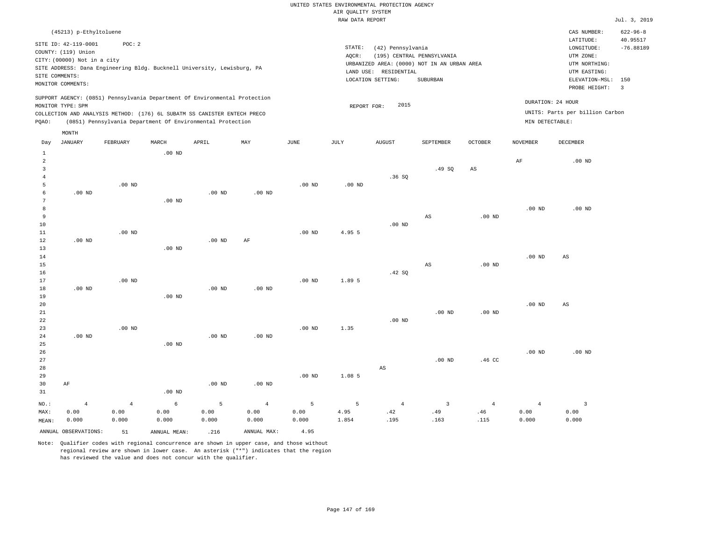|                |                             |                                                                                                                                        |                   |                   |                   |                   | RAW DATA REPORT |                       |                                             |                   |                   |                                 | Jul. 3, 2019            |
|----------------|-----------------------------|----------------------------------------------------------------------------------------------------------------------------------------|-------------------|-------------------|-------------------|-------------------|-----------------|-----------------------|---------------------------------------------|-------------------|-------------------|---------------------------------|-------------------------|
|                | (45213) p-Ethyltoluene      |                                                                                                                                        |                   |                   |                   |                   |                 |                       |                                             |                   |                   | CAS NUMBER:                     | $622 - 96 - 8$          |
|                |                             |                                                                                                                                        |                   |                   |                   |                   |                 |                       |                                             |                   |                   | LATITUDE:                       | 40.95517                |
|                | SITE ID: 42-119-0001        | POC: 2                                                                                                                                 |                   |                   |                   |                   | STATE:          | (42) Pennsylvania     |                                             |                   |                   | LONGITUDE:                      | $-76.88189$             |
|                | COUNTY: (119) Union         |                                                                                                                                        |                   |                   |                   |                   | AQCR:           |                       | (195) CENTRAL PENNSYLVANIA                  |                   |                   | UTM ZONE:                       |                         |
|                | CITY: (00000) Not in a city |                                                                                                                                        |                   |                   |                   |                   |                 |                       | URBANIZED AREA: (0000) NOT IN AN URBAN AREA |                   |                   | UTM NORTHING:                   |                         |
|                |                             | SITE ADDRESS: Dana Engineering Bldg. Bucknell University, Lewisburg, PA                                                                |                   |                   |                   |                   |                 | LAND USE: RESIDENTIAL |                                             |                   |                   | UTM EASTING:                    |                         |
|                | SITE COMMENTS:              |                                                                                                                                        |                   |                   |                   |                   |                 | LOCATION SETTING:     | SUBURBAN                                    |                   |                   | ELEVATION-MSL:                  | 150                     |
|                | MONITOR COMMENTS:           |                                                                                                                                        |                   |                   |                   |                   |                 |                       |                                             |                   |                   | PROBE HEIGHT:                   | $\overline{\mathbf{3}}$ |
|                |                             | SUPPORT AGENCY: (0851) Pennsylvania Department Of Environmental Protection                                                             |                   |                   |                   |                   |                 |                       |                                             |                   |                   | DURATION: 24 HOUR               |                         |
|                | MONITOR TYPE: SPM           |                                                                                                                                        |                   |                   |                   |                   | REPORT FOR:     | 2015                  |                                             |                   |                   | UNITS: Parts per billion Carbon |                         |
| PQAO:          |                             | COLLECTION AND ANALYSIS METHOD: (176) 6L SUBATM SS CANISTER ENTECH PRECO<br>(0851) Pennsylvania Department Of Environmental Protection |                   |                   |                   |                   |                 |                       |                                             |                   | MIN DETECTABLE:   |                                 |                         |
|                |                             |                                                                                                                                        |                   |                   |                   |                   |                 |                       |                                             |                   |                   |                                 |                         |
| Day            | MONTH<br><b>JANUARY</b>     | FEBRUARY                                                                                                                               | MARCH             | APRIL             | MAY               | JUNE              | JULY            | AUGUST                | SEPTEMBER                                   | <b>OCTOBER</b>    | <b>NOVEMBER</b>   | DECEMBER                        |                         |
| $\mathbf{1}$   |                             |                                                                                                                                        | $.00$ ND          |                   |                   |                   |                 |                       |                                             |                   |                   |                                 |                         |
| $\overline{2}$ |                             |                                                                                                                                        |                   |                   |                   |                   |                 |                       |                                             |                   | $\rm{AF}$         | $.00$ ND                        |                         |
| $\overline{3}$ |                             |                                                                                                                                        |                   |                   |                   |                   |                 |                       | .49SQ                                       | AS                |                   |                                 |                         |
| $\overline{4}$ |                             |                                                                                                                                        |                   |                   |                   |                   |                 | .36SQ                 |                                             |                   |                   |                                 |                         |
| 5              |                             | $.00$ ND                                                                                                                               |                   |                   |                   | .00 <sub>ND</sub> | $.00$ ND        |                       |                                             |                   |                   |                                 |                         |
| 6              | $.00$ ND                    |                                                                                                                                        |                   | $.00$ ND          | $.00$ ND          |                   |                 |                       |                                             |                   |                   |                                 |                         |
| 7              |                             |                                                                                                                                        | $.00$ ND          |                   |                   |                   |                 |                       |                                             |                   |                   |                                 |                         |
| 8              |                             |                                                                                                                                        |                   |                   |                   |                   |                 |                       |                                             |                   | $.00$ ND          | $.00$ ND                        |                         |
| 9              |                             |                                                                                                                                        |                   |                   |                   |                   |                 |                       | $_{\rm AS}$                                 | .00 <sub>ND</sub> |                   |                                 |                         |
| 10             |                             |                                                                                                                                        |                   |                   |                   |                   |                 | .00 <sub>ND</sub>     |                                             |                   |                   |                                 |                         |
| 11             |                             | $.00$ ND                                                                                                                               |                   |                   |                   | $.00$ ND          | 4.95 5          |                       |                                             |                   |                   |                                 |                         |
| 12             | $.00$ ND                    |                                                                                                                                        |                   | $.00$ ND          | $\rm{AF}$         |                   |                 |                       |                                             |                   |                   |                                 |                         |
| 13             |                             |                                                                                                                                        | $.00$ ND          |                   |                   |                   |                 |                       |                                             |                   |                   |                                 |                         |
| 14             |                             |                                                                                                                                        |                   |                   |                   |                   |                 |                       |                                             |                   | .00 <sub>ND</sub> | $\mathbb{A}\mathbb{S}$          |                         |
| 15             |                             |                                                                                                                                        |                   |                   |                   |                   |                 |                       | $\mathbb{A}\mathbb{S}$                      | .00 <sub>ND</sub> |                   |                                 |                         |
| 16             |                             |                                                                                                                                        |                   |                   |                   |                   |                 | .42 SQ                |                                             |                   |                   |                                 |                         |
| 17             |                             | $.00$ ND                                                                                                                               |                   |                   |                   | $.00$ ND          | 1.89 5          |                       |                                             |                   |                   |                                 |                         |
| 18             | $.00$ ND                    |                                                                                                                                        |                   | .00 <sub>ND</sub> | .00 <sub>ND</sub> |                   |                 |                       |                                             |                   |                   |                                 |                         |
| 19             |                             |                                                                                                                                        | $.00$ ND          |                   |                   |                   |                 |                       |                                             |                   |                   |                                 |                         |
| 20             |                             |                                                                                                                                        |                   |                   |                   |                   |                 |                       |                                             |                   | .00 <sub>ND</sub> | $_{\rm AS}$                     |                         |
| 21             |                             |                                                                                                                                        |                   |                   |                   |                   |                 |                       | .00 <sub>ND</sub>                           | .00 <sub>ND</sub> |                   |                                 |                         |
| 22             |                             |                                                                                                                                        |                   |                   |                   |                   |                 | $.00$ ND              |                                             |                   |                   |                                 |                         |
| 23             |                             | $.00$ ND                                                                                                                               |                   |                   |                   | .00 <sub>ND</sub> | 1.35            |                       |                                             |                   |                   |                                 |                         |
| 24             | $.00$ ND                    |                                                                                                                                        |                   | $.00$ ND          | $.00$ ND          |                   |                 |                       |                                             |                   |                   |                                 |                         |
| 25             |                             |                                                                                                                                        | .00 <sub>ND</sub> |                   |                   |                   |                 |                       |                                             |                   |                   |                                 |                         |
| 26             |                             |                                                                                                                                        |                   |                   |                   |                   |                 |                       |                                             |                   | .00 <sub>ND</sub> | .00 <sub>ND</sub>               |                         |
| 27             |                             |                                                                                                                                        |                   |                   |                   |                   |                 |                       | $.00$ ND                                    | .46 <sub>C</sub>  |                   |                                 |                         |
| 28             |                             |                                                                                                                                        |                   |                   |                   |                   |                 | AS                    |                                             |                   |                   |                                 |                         |
| 29             |                             |                                                                                                                                        |                   |                   |                   | $.00$ ND          | 1.08 5          |                       |                                             |                   |                   |                                 |                         |
| 30             | AF                          |                                                                                                                                        |                   | $.00$ ND          | $.00$ ND          |                   |                 |                       |                                             |                   |                   |                                 |                         |

31 NO.: MAX: MEAN: 4 0.00 0.000 .00 ND 4 0.00 0.000 6 0.00 0.000 5 0.00 0.000 4 0.00 0.000 5 0.00 0.000 5 4.95 1.854 4 .42 .195 3 .49 .163 4 .46 .115 4 0.00 0.000 3 0.00 0.000 ANNUAL OBSERVATIONS: 51 ANNUAL MEAN: .216 ANNUAL MAX: 4.95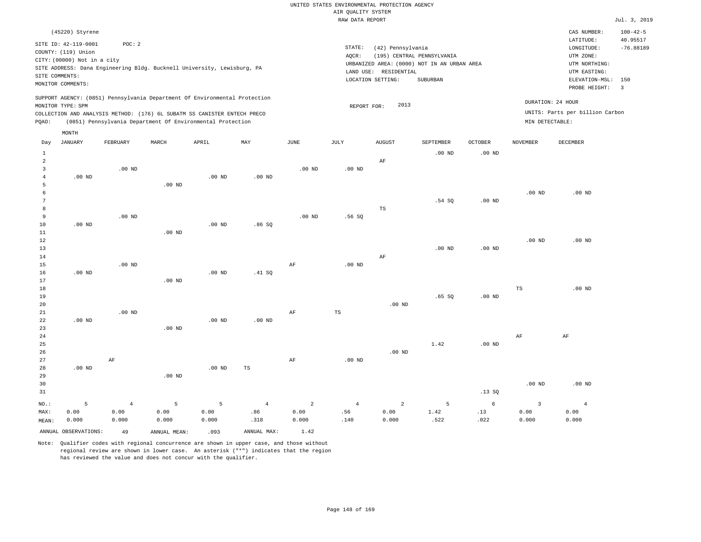### RAW DATA REPORT Jul. 3, 2019 UNITED STATES ENVIRONMENTAL PROTECTION AGENCY AIR QUALITY SYSTEM

| (45220) Styrene                                                                                                                                                                                                                                             |                                                                                                                                                                                | CAS NUMBER:                                                                                                  | $100 - 42 - 5$          |
|-------------------------------------------------------------------------------------------------------------------------------------------------------------------------------------------------------------------------------------------------------------|--------------------------------------------------------------------------------------------------------------------------------------------------------------------------------|--------------------------------------------------------------------------------------------------------------|-------------------------|
| SITE ID: 42-119-0001<br>POC: 2<br>COUNTY: (119) Union<br>CITY: (00000) Not in a city<br>SITE ADDRESS: Dana Engineering Bldg. Bucknell University, Lewisburg, PA<br>SITE COMMENTS:<br>MONITOR COMMENTS:                                                      | STATE:<br>(42) Pennsylvania<br>AQCR:<br>(195) CENTRAL PENNSYLVANIA<br>URBANIZED AREA: (0000) NOT IN AN URBAN AREA<br>RESIDENTIAL<br>LAND USE:<br>LOCATION SETTING:<br>SUBURBAN | LATITUDE:<br>LONGITUDE:<br>UTM ZONE:<br>UTM NORTHING:<br>UTM EASTING:<br>ELEVATION-MSL: 150<br>PROBE HEIGHT: | 40.95517<br>$-76.88189$ |
| SUPPORT AGENCY: (0851) Pennsylvania Department Of Environmental Protection<br>MONITOR TYPE: SPM<br>COLLECTION AND ANALYSIS METHOD: (176) 6L SUBATM SS CANISTER ENTECH PRECO<br>(0851) Pennsylvania Department Of Environmental Protection<br>POAO:<br>MONTH | 2013<br>REPORT FOR:                                                                                                                                                            | DURATION: 24 HOUR<br>UNITS: Parts per billion Carbon<br>MIN DETECTABLE:                                      | - 3                     |

| Day            | <b>JANUARY</b>       | FEBRUARY       | MARCH           | APRIL    | MAY            | $_{\rm JUNE}$ | JULY           | AUGUST         | SEPTEMBER      | OCTOBER    | NOVEMBER                | DECEMBER       |
|----------------|----------------------|----------------|-----------------|----------|----------------|---------------|----------------|----------------|----------------|------------|-------------------------|----------------|
| $\mathbf{1}$   |                      |                |                 |          |                |               |                |                | $.00$ ND       | $.00$ ND   |                         |                |
| $\overline{a}$ |                      |                |                 |          |                |               |                | AF             |                |            |                         |                |
| 3              |                      | $.00$ ND       |                 |          |                | $.00$ ND      | $.00$ ND       |                |                |            |                         |                |
| 4              | $.00$ ND             |                |                 | $.00$ ND | $.00$ ND       |               |                |                |                |            |                         |                |
| 5              |                      |                | $.00$ ND        |          |                |               |                |                |                |            |                         |                |
| 6              |                      |                |                 |          |                |               |                |                |                |            | $.00$ ND                | $.00$ ND       |
| 7              |                      |                |                 |          |                |               |                |                | .54 SQ         | $.00$ ND   |                         |                |
| 8              |                      |                |                 |          |                |               |                | TS             |                |            |                         |                |
| 9              |                      | $.00$ ND       |                 |          |                | $.00$ ND      | .56SQ          |                |                |            |                         |                |
| 10             | $.00$ ND             |                |                 | $.00$ ND | .86SQ          |               |                |                |                |            |                         |                |
| 11             |                      |                | $.00$ ND        |          |                |               |                |                |                |            |                         |                |
| 12             |                      |                |                 |          |                |               |                |                |                |            | $.00$ ND                | $.00$ ND       |
| 13             |                      |                |                 |          |                |               |                |                | $.00$ ND       | $.00$ ND   |                         |                |
| 14             |                      |                |                 |          |                |               |                | $\rm AF$       |                |            |                         |                |
| 15             |                      | $.00$ ND       |                 |          |                | $\rm{AF}$     | $.00$ ND       |                |                |            |                         |                |
| 16             | $.00$ ND             |                |                 | $.00$ ND | .41 SQ         |               |                |                |                |            |                         |                |
| 17             |                      |                | $.00$ ND        |          |                |               |                |                |                |            |                         |                |
| 18<br>19       |                      |                |                 |          |                |               |                |                | .65SQ          | $.00$ ND   | TS                      | .00 $ND$       |
| 20             |                      |                |                 |          |                |               |                | $.00$ ND       |                |            |                         |                |
| $2\sqrt{1}$    |                      | $.00$ ND       |                 |          |                | AF            | $_{\rm TS}$    |                |                |            |                         |                |
| 22             | $.00$ ND             |                |                 | $.00$ ND | $.00$ ND       |               |                |                |                |            |                         |                |
| 23             |                      |                | $.00$ ND        |          |                |               |                |                |                |            |                         |                |
| 24             |                      |                |                 |          |                |               |                |                |                |            | AF                      | AF             |
| 25             |                      |                |                 |          |                |               |                |                | 1.42           | $.00$ ND   |                         |                |
| 26             |                      |                |                 |          |                |               |                | $.00$ ND       |                |            |                         |                |
| 27             |                      | $\rm AF$       |                 |          |                | AF            | $.00$ ND       |                |                |            |                         |                |
| 28             | $.00$ ND             |                |                 | .00 $ND$ | TS             |               |                |                |                |            |                         |                |
| 29             |                      |                | $.00$ ND        |          |                |               |                |                |                |            |                         |                |
| 30             |                      |                |                 |          |                |               |                |                |                |            | $.00$ ND                | $.00$ ND       |
| 31             |                      |                |                 |          |                |               |                |                |                | .13SQ      |                         |                |
| $NO.$ :        | 5                    | $\overline{4}$ | $5\phantom{.0}$ | 5        | $\overline{4}$ | $\sqrt{2}$    | $\overline{4}$ | $\overline{a}$ | $\overline{5}$ | $\epsilon$ | $\overline{\mathbf{3}}$ | $\overline{4}$ |
| MAX:           | 0.00                 | 0.00           | 0.00            | 0.00     | .86            | 0.00          | .56            | 0.00           | 1.42           | .13        | 0.00                    | 0.00           |
| MEAN:          | 0.000                | 0.000          | 0.000           | 0.000    | .318           | 0.000         | .140           | 0.000          | .522           | .022       | 0.000                   | 0.000          |
|                | ANNUAL OBSERVATIONS: | 49             | ANNUAL MEAN:    | .093     | ANNUAL MAX:    | 1.42          |                |                |                |            |                         |                |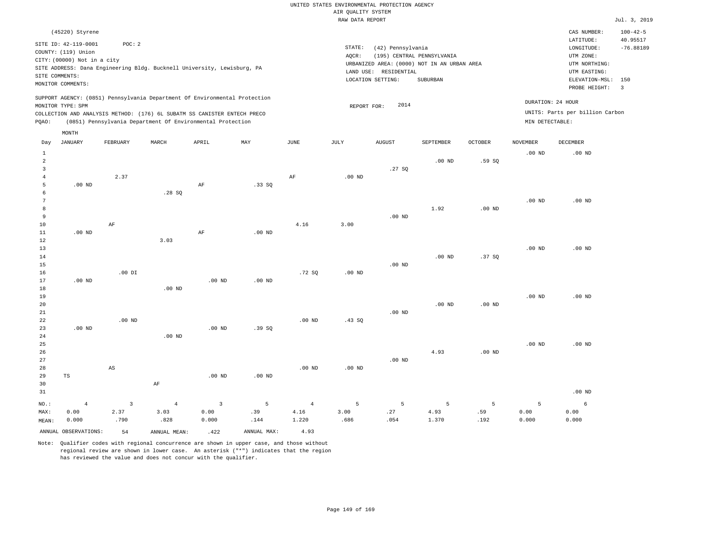|                                       |                                                    |                         |                                                                                                                                        |                         |                   |                |                    | UNITED STATES ENVIRONMENTAL PROTECTION AGENCY |                                                                           |                   |                   |                                                 |                            |
|---------------------------------------|----------------------------------------------------|-------------------------|----------------------------------------------------------------------------------------------------------------------------------------|-------------------------|-------------------|----------------|--------------------|-----------------------------------------------|---------------------------------------------------------------------------|-------------------|-------------------|-------------------------------------------------|----------------------------|
|                                       |                                                    |                         |                                                                                                                                        |                         |                   |                | AIR QUALITY SYSTEM |                                               |                                                                           |                   |                   |                                                 |                            |
|                                       |                                                    |                         |                                                                                                                                        |                         |                   |                | RAW DATA REPORT    |                                               |                                                                           |                   |                   |                                                 | Jul. 3, 2019               |
|                                       | (45220) Styrene<br>SITE ID: 42-119-0001            | POC: 2                  |                                                                                                                                        |                         |                   |                |                    |                                               |                                                                           |                   |                   | CAS NUMBER:<br>LATITUDE:                        | $100 - 42 - 5$<br>40.95517 |
|                                       | COUNTY: (119) Union<br>CITY: (00000) Not in a city |                         | SITE ADDRESS: Dana Engineering Bldg. Bucknell University, Lewisburg, PA                                                                |                         |                   |                | STATE:<br>AQCR:    | (42) Pennsylvania                             | (195) CENTRAL PENNSYLVANIA<br>URBANIZED AREA: (0000) NOT IN AN URBAN AREA |                   |                   | LONGITUDE:<br>UTM ZONE:<br>UTM NORTHING:        | $-76.88189$                |
|                                       | SITE COMMENTS:<br>MONITOR COMMENTS:                |                         |                                                                                                                                        |                         |                   |                |                    | LAND USE: RESIDENTIAL<br>LOCATION SETTING:    | SUBURBAN                                                                  |                   |                   | UTM EASTING:<br>ELEVATION-MSL:<br>PROBE HEIGHT: | 150<br>$\overline{3}$      |
|                                       | MONITOR TYPE: SPM                                  |                         | SUPPORT AGENCY: (0851) Pennsylvania Department Of Environmental Protection                                                             |                         |                   |                | REPORT FOR:        | 2014                                          |                                                                           |                   |                   | DURATION: 24 HOUR                               |                            |
| PQAO:                                 |                                                    |                         | COLLECTION AND ANALYSIS METHOD: (176) 6L SUBATM SS CANISTER ENTECH PRECO<br>(0851) Pennsylvania Department Of Environmental Protection |                         |                   |                |                    |                                               |                                                                           |                   | MIN DETECTABLE:   | UNITS: Parts per billion Carbon                 |                            |
|                                       | MONTH                                              |                         |                                                                                                                                        |                         |                   |                |                    |                                               |                                                                           |                   |                   |                                                 |                            |
| Day                                   | <b>JANUARY</b>                                     | FEBRUARY                | MARCH                                                                                                                                  | APRIL                   | MAY               | $_{\rm JUNE}$  | JULY               | ${\tt AUGUST}$                                | SEPTEMBER                                                                 | <b>OCTOBER</b>    | <b>NOVEMBER</b>   | DECEMBER                                        |                            |
| $\,1\,$<br>$\overline{2}$             |                                                    |                         |                                                                                                                                        |                         |                   |                |                    |                                               | $.00$ ND                                                                  | .59SQ             | .00 <sub>ND</sub> | $.00$ ND                                        |                            |
| $\overline{3}$<br>$\overline{4}$<br>5 | $.00$ ND                                           | 2.37                    |                                                                                                                                        | $\rm AF$                | .33SQ             | AF             | .00 <sub>ND</sub>  | .27SQ                                         |                                                                           |                   |                   |                                                 |                            |
| 6<br>$7\phantom{.0}$                  |                                                    |                         | .28S                                                                                                                                   |                         |                   |                |                    |                                               |                                                                           |                   | .00 <sub>ND</sub> | $.00$ ND                                        |                            |
| 8<br>9                                |                                                    |                         |                                                                                                                                        |                         |                   |                |                    | $.00$ ND                                      | 1.92                                                                      | $.00$ ND          |                   |                                                 |                            |
| 10<br>$11\,$                          | $.00$ ND                                           | AF                      |                                                                                                                                        | AF                      | .00 <sub>ND</sub> | 4.16           | 3.00               |                                               |                                                                           |                   |                   |                                                 |                            |
| 12<br>13                              |                                                    |                         | 3.03                                                                                                                                   |                         |                   |                |                    |                                               |                                                                           |                   | .00 <sub>ND</sub> | $.00$ ND                                        |                            |
| 14<br>15                              |                                                    | $.00$ DI                |                                                                                                                                        |                         |                   |                | $.00$ ND           | $.00$ ND                                      | $.00$ ND                                                                  | .37SQ             |                   |                                                 |                            |
| 16<br>$17$<br>18                      | $.00$ ND                                           |                         | $.00$ ND                                                                                                                               | $.00$ ND                | .00 <sub>ND</sub> | .72SQ          |                    |                                               |                                                                           |                   |                   |                                                 |                            |
| 19<br>20                              |                                                    |                         |                                                                                                                                        |                         |                   |                |                    |                                               | .00 <sub>ND</sub>                                                         | .00 <sub>ND</sub> | .00 <sub>ND</sub> | $.00$ ND                                        |                            |
| $21\,$<br>22                          |                                                    | $.00$ ND                |                                                                                                                                        |                         |                   | $.00$ ND       | .43S               | $.00$ ND                                      |                                                                           |                   |                   |                                                 |                            |
| 23<br>24                              | $.00$ ND                                           |                         | $.00$ ND                                                                                                                               | $.00$ ND                | .39SQ             |                |                    |                                               |                                                                           |                   |                   |                                                 |                            |
| 25<br>26<br>27                        |                                                    |                         |                                                                                                                                        |                         |                   |                |                    | $.00$ ND                                      | 4.93                                                                      | .00 <sub>ND</sub> | $.00$ ND          | $.00$ ND                                        |                            |
| 28<br>29                              | $_{\rm TS}$                                        | AS                      |                                                                                                                                        | $.00$ ND                | $.00$ ND          | $.00$ ND       | $.00$ ND           |                                               |                                                                           |                   |                   |                                                 |                            |
| 30<br>31                              |                                                    |                         | $\rm AF$                                                                                                                               |                         |                   |                |                    |                                               |                                                                           |                   |                   | $.00$ ND                                        |                            |
| NO.:                                  | $\,4$                                              | $\overline{\mathbf{3}}$ | $\overline{4}$                                                                                                                         | $\overline{\mathbf{3}}$ | 5                 | $\overline{4}$ | 5                  | $\overline{5}$                                | 5                                                                         | 5                 | 5                 | $\epsilon$                                      |                            |
| MAX:<br>MEAN:                         | 0.00<br>0.000                                      | 2.37<br>.790            | 3.03<br>.828                                                                                                                           | 0.00<br>0.000           | .39<br>.144       | 4.16<br>1.220  | 3.00<br>.686       | .27<br>.054                                   | 4.93<br>1.370                                                             | .59<br>.192       | 0.00<br>0.000     | 0.00<br>0.000                                   |                            |
|                                       | ANNUAL OBSERVATIONS:                               | 54                      | ANNUAL MEAN:                                                                                                                           | .422                    | ANNUAL MAX:       | 4.93           |                    |                                               |                                                                           |                   |                   |                                                 |                            |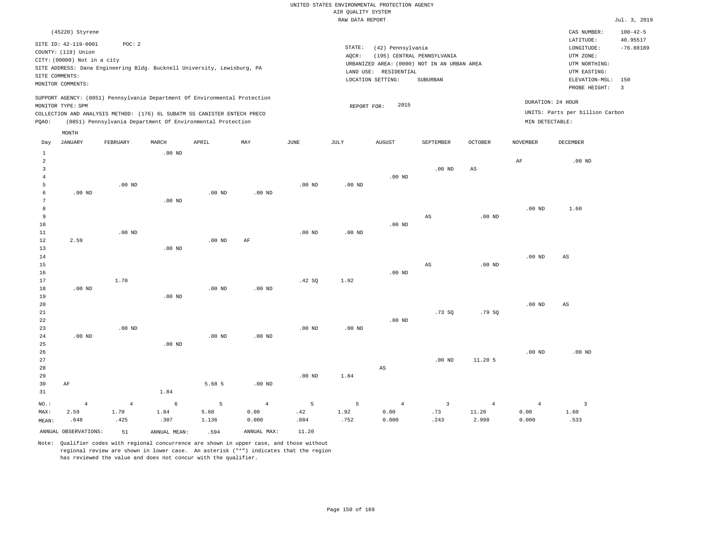|       |                             |                                                                            |          |          |          |          | RAW DATA REPORT |                                             |                            |                |                   |                                 | Jul. 3, 2019             |
|-------|-----------------------------|----------------------------------------------------------------------------|----------|----------|----------|----------|-----------------|---------------------------------------------|----------------------------|----------------|-------------------|---------------------------------|--------------------------|
|       | (45220) Styrene             |                                                                            |          |          |          |          |                 |                                             |                            |                |                   | CAS NUMBER:                     | $100 - 42 - 5$           |
|       | SITE ID: 42-119-0001        | POC: 2                                                                     |          |          |          |          |                 |                                             |                            |                |                   | LATITUDE:                       | 40.95517                 |
|       | COUNTY: (119) Union         |                                                                            |          |          |          |          | STATE:          | (42) Pennsylvania                           |                            |                |                   | LONGITUDE:                      | $-76.88189$              |
|       | CITY: (00000) Not in a city |                                                                            |          |          |          |          | AOCR:           |                                             | (195) CENTRAL PENNSYLVANIA |                |                   | UTM ZONE:                       |                          |
|       |                             | SITE ADDRESS: Dana Engineering Bldg. Bucknell University, Lewisburg, PA    |          |          |          |          |                 | URBANIZED AREA: (0000) NOT IN AN URBAN AREA |                            |                |                   | UTM NORTHING:                   |                          |
|       | SITE COMMENTS:              |                                                                            |          |          |          |          |                 | LAND USE: RESIDENTIAL                       |                            |                |                   | UTM EASTING:                    |                          |
|       | MONITOR COMMENTS:           |                                                                            |          |          |          |          |                 | LOCATION SETTING:                           | SUBURBAN                   |                |                   | ELEVATION-MSL:                  | 150                      |
|       |                             |                                                                            |          |          |          |          |                 |                                             |                            |                |                   | PROBE HEIGHT:                   | $\overline{\phantom{a}}$ |
|       | MONITOR TYPE: SPM           | SUPPORT AGENCY: (0851) Pennsylvania Department Of Environmental Protection |          |          |          |          | REPORT FOR:     | 2015                                        |                            |                | DURATION: 24 HOUR |                                 |                          |
|       |                             | COLLECTION AND ANALYSIS METHOD: (176) 6L SUBATM SS CANISTER ENTECH PRECO   |          |          |          |          |                 |                                             |                            |                |                   | UNITS: Parts per billion Carbon |                          |
| PQAO: |                             | (0851) Pennsylvania Department Of Environmental Protection                 |          |          |          |          |                 |                                             |                            |                | MIN DETECTABLE:   |                                 |                          |
|       |                             |                                                                            |          |          |          |          |                 |                                             |                            |                |                   |                                 |                          |
|       | MONTH                       |                                                                            |          |          |          |          |                 |                                             |                            |                |                   |                                 |                          |
| Day   | JANUARY                     | FEBRUARY                                                                   | MARCH    | APRIL    | MAY      | JUNE     | JULY            | <b>AUGUST</b>                               | SEPTEMBER                  | <b>OCTOBER</b> | <b>NOVEMBER</b>   | DECEMBER                        |                          |
|       |                             |                                                                            | $.00$ ND |          |          |          |                 |                                             |                            |                |                   |                                 |                          |
| 2     |                             |                                                                            |          |          |          |          |                 |                                             |                            |                | AF                | $.00$ ND                        |                          |
| 3     |                             |                                                                            |          |          |          |          |                 |                                             | $.00$ ND                   | AS             |                   |                                 |                          |
|       |                             |                                                                            |          |          |          |          |                 | $.00$ ND                                    |                            |                |                   |                                 |                          |
| 5     |                             | $.00$ ND                                                                   |          |          |          | $.00$ ND | $.00$ ND        |                                             |                            |                |                   |                                 |                          |
| 6     | $.00$ ND                    |                                                                            |          | $.00$ ND | $.00$ ND |          |                 |                                             |                            |                |                   |                                 |                          |
|       |                             |                                                                            | $.00$ ND |          |          |          |                 |                                             |                            |                |                   |                                 |                          |
| 8     |                             |                                                                            |          |          |          |          |                 |                                             |                            |                | $.00$ ND          | 1.60                            |                          |
| 9     |                             |                                                                            |          |          |          |          |                 |                                             | AS                         | $.00$ ND       |                   |                                 |                          |
| 10    |                             |                                                                            |          |          |          |          |                 | $.00$ ND                                    |                            |                |                   |                                 |                          |
| 11    |                             | $.00$ ND                                                                   |          |          |          | $.00$ ND | $.00$ ND        |                                             |                            |                |                   |                                 |                          |
| 12    | 2.59                        |                                                                            |          | $.00$ ND | AF       |          |                 |                                             |                            |                |                   |                                 |                          |
| 13    |                             |                                                                            | $.00$ ND |          |          |          |                 |                                             |                            |                |                   |                                 |                          |

14 15 16 17 18 19 20 .00 ND 1.70 .00 ND .00 ND .00 ND .42 SQ 1.92 .00 ND AS .00 ND .00 ND .00 ND AS AS

| 21   |                |                |          |          |                |          |          |                | .73 SQ         | .79 SQ         |          |          |
|------|----------------|----------------|----------|----------|----------------|----------|----------|----------------|----------------|----------------|----------|----------|
| 22   |                |                |          |          |                |          |          | $.00$ ND       |                |                |          |          |
| 23   |                | $.00$ ND       |          |          |                | $.00$ ND | $.00$ ND |                |                |                |          |          |
| 24   | $.00$ ND       |                |          | $.00$ ND | $.00$ ND       |          |          |                |                |                |          |          |
| 25   |                |                | $.00$ ND |          |                |          |          |                |                |                |          |          |
| 26   |                |                |          |          |                |          |          |                |                |                | $.00$ ND | $.00$ ND |
| 27   |                |                |          |          |                |          |          |                | $.00$ ND       | 11.20 5        |          |          |
| 28   |                |                |          |          |                |          |          | AS             |                |                |          |          |
| 29   |                |                |          |          |                | $.00$ ND | 1.84     |                |                |                |          |          |
| 30   | AF             |                |          | 5.68 5   | $.00$ ND       |          |          |                |                |                |          |          |
| 31   |                |                | 1.84     |          |                |          |          |                |                |                |          |          |
| NO.: | $\overline{4}$ | $\overline{4}$ | 6        | 5        | $\overline{4}$ | 5        | 5        | $\overline{4}$ | $\overline{3}$ | $\overline{4}$ | 4        |          |

MAX: MEAN: 4 2.59 .648 4 1.70 .425 6 1.84 .307 5 5.68 1.136 4 0.00 0.000 5 .42 .084 5 1.92 .752 4 0.00 0.000 3 .73 .243 4 11.20 2.998 4 0.00 0.000 1.60 .533 ANNUAL OBSERVATIONS: 51 ANNUAL MEAN: .594 ANNUAL MAX: 11.20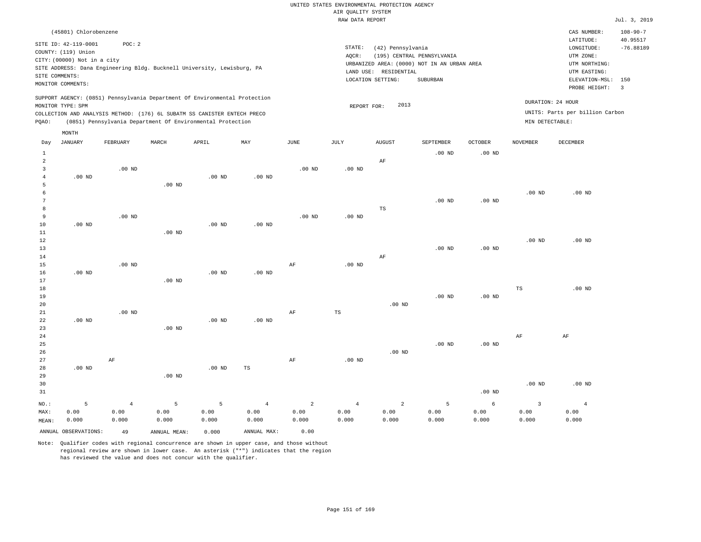### RAW DATA REPORT Jul. 3, 2019 UNITED STATES ENVIRONMENTAL PROTECTION AGENCY AIR QUALITY SYSTEM

| (45801) Chlorobenzene                                                                                                                                                                                                                                       |                                                                                                                                                                             | CAS NUMBER:                                                                                                  | $108 - 90 - 7$          |
|-------------------------------------------------------------------------------------------------------------------------------------------------------------------------------------------------------------------------------------------------------------|-----------------------------------------------------------------------------------------------------------------------------------------------------------------------------|--------------------------------------------------------------------------------------------------------------|-------------------------|
| SITE ID: 42-119-0001<br>POC: 2<br>COUNTY: (119) Union<br>CITY: (00000) Not in a city<br>SITE ADDRESS: Dana Engineering Bldg. Bucknell University, Lewisburg, PA<br>SITE COMMENTS:<br>MONITOR COMMENTS:                                                      | STATE:<br>(42) Pennsylvania<br>(195) CENTRAL PENNSYLVANIA<br>AOCR:<br>URBANIZED AREA: (0000) NOT IN AN URBAN AREA<br>LAND USE: RESIDENTIAL<br>LOCATION SETTING:<br>SUBURBAN | LATITUDE:<br>LONGITUDE:<br>UTM ZONE:<br>UTM NORTHING:<br>UTM EASTING:<br>ELEVATION-MSL: 150<br>PROBE HEIGHT: | 40.95517<br>$-76.88189$ |
| SUPPORT AGENCY: (0851) Pennsylvania Department Of Environmental Protection<br>MONITOR TYPE: SPM<br>COLLECTION AND ANALYSIS METHOD: (176) 6L SUBATM SS CANISTER ENTECH PRECO<br>(0851) Pennsylvania Department Of Environmental Protection<br>POAO:<br>MONTH | DURATION: 24 HOUR<br>2013<br>REPORT FOR:<br>MIN DETECTABLE:                                                                                                                 | UNITS: Parts per billion Carbon                                                                              |                         |

| Day                                     | <b>JANUARY</b>       | FEBRUARY       | MARCH             | APRIL    | MAY               | JUNE           | JULY       | AUGUST         | SEPTEMBER      | OCTOBER    | NOVEMBER       | DECEMBER       |
|-----------------------------------------|----------------------|----------------|-------------------|----------|-------------------|----------------|------------|----------------|----------------|------------|----------------|----------------|
| $\mathbf{1}$<br>$\overline{\mathbf{c}}$ |                      |                |                   |          |                   |                |            | $\rm AF$       | $.00$ ND       | $.00$ ND   |                |                |
| 3                                       |                      | $.00$ ND       |                   |          |                   | $.00$ ND       | $.00$ ND   |                |                |            |                |                |
| 4                                       | $.00$ ND             |                |                   | $.00$ ND | .00 <sub>ND</sub> |                |            |                |                |            |                |                |
| 5                                       |                      |                | .00 <sub>ND</sub> |          |                   |                |            |                |                |            |                |                |
| 6                                       |                      |                |                   |          |                   |                |            |                |                |            | $.00$ ND       | $.00$ ND       |
| 7                                       |                      |                |                   |          |                   |                |            |                | $.00$ ND       | $.00$ ND   |                |                |
| 8                                       |                      |                |                   |          |                   |                |            | $_{\rm TS}$    |                |            |                |                |
| 9                                       |                      | $.00$ ND       |                   |          |                   | $.00$ ND       | $.00$ ND   |                |                |            |                |                |
| 10                                      | $.00$ ND             |                |                   | $.00$ ND | .00 <sub>ND</sub> |                |            |                |                |            |                |                |
| 11                                      |                      |                | .00 <sub>ND</sub> |          |                   |                |            |                |                |            |                |                |
| 12                                      |                      |                |                   |          |                   |                |            |                |                |            | $.00$ ND       | $.00$ ND       |
| 13                                      |                      |                |                   |          |                   |                |            |                | $.00$ ND       | $.00$ ND   |                |                |
| 14                                      |                      | $.00$ ND       |                   |          |                   |                |            | AF             |                |            |                |                |
| 15<br>16                                | $.00$ ND             |                |                   | $.00$ ND | .00 <sub>ND</sub> | AF             | $.00$ ND   |                |                |            |                |                |
| 17                                      |                      |                | $.00$ ND          |          |                   |                |            |                |                |            |                |                |
| 18                                      |                      |                |                   |          |                   |                |            |                |                |            | TS             | $.00$ ND       |
| 19                                      |                      |                |                   |          |                   |                |            |                | $.00$ ND       | $.00$ ND   |                |                |
| 20                                      |                      |                |                   |          |                   |                |            | $.00$ ND       |                |            |                |                |
| 21                                      |                      | $.00$ ND       |                   |          |                   | $\rm{AF}$      | TS         |                |                |            |                |                |
| 22                                      | $.00$ ND             |                |                   | $.00$ ND | $.00$ ND          |                |            |                |                |            |                |                |
| 23                                      |                      |                | $.00$ ND          |          |                   |                |            |                |                |            |                |                |
| $2\,4$                                  |                      |                |                   |          |                   |                |            |                |                |            | AF             | AF             |
| $25\,$                                  |                      |                |                   |          |                   |                |            |                | $.00$ ND       | .00 $ND$   |                |                |
| 26                                      |                      |                |                   |          |                   |                |            | $.00$ ND       |                |            |                |                |
| $2\,7$                                  |                      | $\rm{AF}$      |                   |          |                   | $\rm{AF}$      | $.00$ ND   |                |                |            |                |                |
| 28                                      | $.00$ ND             |                |                   | $.00$ ND | $_{\rm TS}$       |                |            |                |                |            |                |                |
| 29                                      |                      |                | $.00$ ND          |          |                   |                |            |                |                |            |                |                |
| 30                                      |                      |                |                   |          |                   |                |            |                |                |            | $.00$ ND       | $.00$ ND       |
| 31                                      |                      |                |                   |          |                   |                |            |                |                | $.00$ ND   |                |                |
| $NO.$ :                                 | 5                    | $\overline{4}$ | 5                 | 5        | $\,4\,$           | $\overline{a}$ | $\sqrt{4}$ | $\overline{a}$ | $\overline{5}$ | $\epsilon$ | $\overline{3}$ | $\overline{4}$ |
| MAX:                                    | 0.00                 | 0.00           | 0.00              | 0.00     | 0.00              | 0.00           | 0.00       | 0.00           | 0.00           | 0.00       | 0.00           | 0.00           |
| MEAN:                                   | 0.000                | 0.000          | 0.000             | 0.000    | 0.000             | 0.000          | 0.000      | 0.000          | 0.000          | 0.000      | 0.000          | 0.000          |
|                                         | ANNUAL OBSERVATIONS: | 49             | ANNUAL MEAN:      | 0.000    | ANNUAL MAX:       | 0.00           |            |                |                |            |                |                |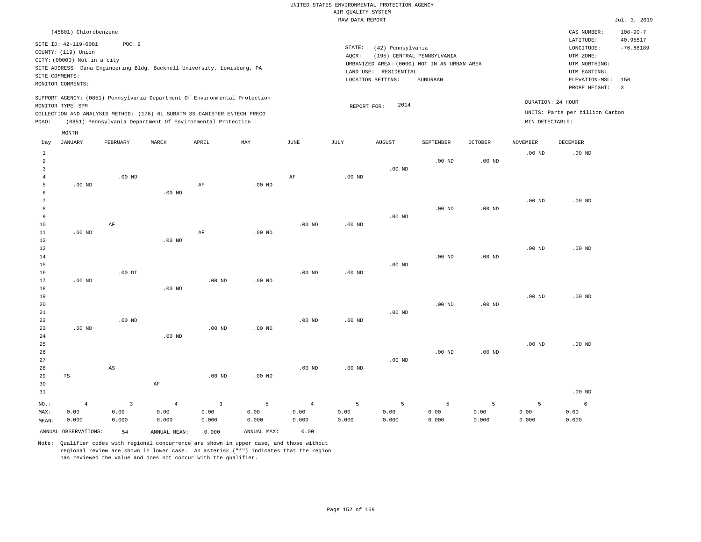|                |                             |                         |                |                                                                            |                   |                   |                    | UNITED STATES ENVIRONMENTAL PROTECTION AGENCY |                            |                   |                   |                                 |                            |
|----------------|-----------------------------|-------------------------|----------------|----------------------------------------------------------------------------|-------------------|-------------------|--------------------|-----------------------------------------------|----------------------------|-------------------|-------------------|---------------------------------|----------------------------|
|                |                             |                         |                |                                                                            |                   |                   | AIR OUALITY SYSTEM |                                               |                            |                   |                   |                                 |                            |
|                |                             |                         |                |                                                                            |                   |                   | RAW DATA REPORT    |                                               |                            |                   |                   |                                 | Jul. 3, 2019               |
|                | (45801) Chlorobenzene       |                         |                |                                                                            |                   |                   |                    |                                               |                            |                   |                   | CAS NUMBER:<br>LATITUDE:        | $108 - 90 - 7$<br>40.95517 |
|                | SITE ID: 42-119-0001        | POC: 2                  |                |                                                                            |                   |                   | STATE:             | (42) Pennsylvania                             |                            |                   |                   | LONGITUDE:                      | $-76.88189$                |
|                | COUNTY: (119) Union         |                         |                |                                                                            |                   |                   | AOCR:              |                                               | (195) CENTRAL PENNSYLVANIA |                   |                   | UTM ZONE:                       |                            |
|                | CITY: (00000) Not in a city |                         |                |                                                                            |                   |                   |                    | URBANIZED AREA: (0000) NOT IN AN URBAN AREA   |                            |                   |                   | UTM NORTHING:                   |                            |
|                |                             |                         |                | SITE ADDRESS: Dana Engineering Bldg. Bucknell University, Lewisburg, PA    |                   |                   |                    | LAND USE: RESIDENTIAL                         |                            |                   |                   | UTM EASTING:                    |                            |
|                | SITE COMMENTS:              |                         |                |                                                                            |                   |                   |                    | LOCATION SETTING:                             | SUBURBAN                   |                   |                   | ELEVATION-MSL:                  | 150                        |
|                | MONITOR COMMENTS:           |                         |                |                                                                            |                   |                   |                    |                                               |                            |                   |                   | PROBE HEIGHT:                   | $\overline{3}$             |
|                | MONITOR TYPE: SPM           |                         |                | SUPPORT AGENCY: (0851) Pennsylvania Department Of Environmental Protection |                   |                   |                    | 2014<br>REPORT FOR:                           |                            |                   |                   | DURATION: 24 HOUR               |                            |
|                |                             |                         |                | COLLECTION AND ANALYSIS METHOD: (176) 6L SUBATM SS CANISTER ENTECH PRECO   |                   |                   |                    |                                               |                            |                   |                   | UNITS: Parts per billion Carbon |                            |
| PQAO:          |                             |                         |                | (0851) Pennsylvania Department Of Environmental Protection                 |                   |                   |                    |                                               |                            |                   | MIN DETECTABLE:   |                                 |                            |
|                | MONTH                       |                         |                |                                                                            |                   |                   |                    |                                               |                            |                   |                   |                                 |                            |
| Day            | <b>JANUARY</b>              | FEBRUARY                | MARCH          | APRIL                                                                      | MAY               | <b>JUNE</b>       | JULY               | <b>AUGUST</b>                                 | SEPTEMBER                  | OCTOBER           | <b>NOVEMBER</b>   | DECEMBER                        |                            |
| $\mathbf{1}$   |                             |                         |                |                                                                            |                   |                   |                    |                                               |                            |                   | $.00$ ND          | $.00$ ND                        |                            |
| $\overline{a}$ |                             |                         |                |                                                                            |                   |                   |                    |                                               | $.00$ ND                   | $.00$ ND          |                   |                                 |                            |
| $\overline{3}$ |                             |                         |                |                                                                            |                   |                   |                    | $.00$ ND                                      |                            |                   |                   |                                 |                            |
| $\overline{4}$ |                             | $.00$ ND                |                |                                                                            |                   | AF                | $.00$ ND           |                                               |                            |                   |                   |                                 |                            |
| 5              | $.00$ ND                    |                         |                | $\rm AF$                                                                   | $.00$ ND          |                   |                    |                                               |                            |                   |                   |                                 |                            |
| 6<br>7         |                             |                         | $.00$ ND       |                                                                            |                   |                   |                    |                                               |                            |                   | .00 <sub>ND</sub> |                                 |                            |
| 8              |                             |                         |                |                                                                            |                   |                   |                    |                                               | $.00$ ND                   | $.00$ ND          |                   | $.00$ ND                        |                            |
| 9              |                             |                         |                |                                                                            |                   |                   |                    | $.00$ ND                                      |                            |                   |                   |                                 |                            |
| $10$           |                             | $\rm{AF}$               |                |                                                                            |                   | $.00$ ND          | $.00$ ND           |                                               |                            |                   |                   |                                 |                            |
| 11             | $.00$ ND                    |                         |                | $\rm AF$                                                                   | $.00$ ND          |                   |                    |                                               |                            |                   |                   |                                 |                            |
| 12             |                             |                         | $.00$ ND       |                                                                            |                   |                   |                    |                                               |                            |                   |                   |                                 |                            |
| 13             |                             |                         |                |                                                                            |                   |                   |                    |                                               |                            |                   | $.00$ ND          | $.00$ ND                        |                            |
| 14             |                             |                         |                |                                                                            |                   |                   |                    |                                               | $.00$ ND                   | $.00$ ND          |                   |                                 |                            |
| 15             |                             |                         |                |                                                                            |                   |                   |                    | $.00$ ND                                      |                            |                   |                   |                                 |                            |
| 16             |                             | $.00$ DI                |                |                                                                            |                   | .00 <sub>ND</sub> | $.00$ ND           |                                               |                            |                   |                   |                                 |                            |
| 17             | $.00$ ND                    |                         |                | $.00$ ND                                                                   | $.00$ ND          |                   |                    |                                               |                            |                   |                   |                                 |                            |
| 18             |                             |                         | $.00$ ND       |                                                                            |                   |                   |                    |                                               |                            |                   |                   |                                 |                            |
| 19             |                             |                         |                |                                                                            |                   |                   |                    |                                               |                            |                   | $.00$ ND          | $.00$ ND                        |                            |
| 20             |                             |                         |                |                                                                            |                   |                   |                    |                                               | $.00$ ND                   | $.00$ ND          |                   |                                 |                            |
| 21             |                             |                         |                |                                                                            |                   |                   |                    | $.00$ ND                                      |                            |                   |                   |                                 |                            |
| 22             |                             | $.00$ ND                |                |                                                                            |                   | $.00$ ND          | $.00$ ND           |                                               |                            |                   |                   |                                 |                            |
| 23             | $.00$ ND                    |                         |                | $.00$ ND                                                                   | $.00$ ND          |                   |                    |                                               |                            |                   |                   |                                 |                            |
| 24             |                             |                         | $.00$ ND       |                                                                            |                   |                   |                    |                                               |                            |                   |                   |                                 |                            |
| 25             |                             |                         |                |                                                                            |                   |                   |                    |                                               |                            |                   | $.00$ ND          | $.00$ ND                        |                            |
| 26             |                             |                         |                |                                                                            |                   |                   |                    |                                               | .00 <sub>ND</sub>          | .00 <sub>ND</sub> |                   |                                 |                            |
| 27             |                             |                         |                |                                                                            |                   |                   |                    | $.00$ ND                                      |                            |                   |                   |                                 |                            |
| 28             |                             | $_{\rm AS}$             |                |                                                                            |                   | $.00$ ND          | $.00$ ND           |                                               |                            |                   |                   |                                 |                            |
| 29             | TS                          |                         |                | .00 <sub>ND</sub>                                                          | .00 <sub>ND</sub> |                   |                    |                                               |                            |                   |                   |                                 |                            |
| 30             |                             |                         | $\rm{AF}$      |                                                                            |                   |                   |                    |                                               |                            |                   |                   |                                 |                            |
| 31             |                             |                         |                |                                                                            |                   |                   |                    |                                               |                            |                   |                   | $.00$ ND                        |                            |
| NO.:           | $\overline{4}$              | $\overline{\mathbf{3}}$ | $\overline{4}$ | $\overline{3}$                                                             | 5                 | $\overline{4}$    | 5                  | 5                                             | 5                          | 5                 | 5                 | 6                               |                            |

ANNUAL OBSERVATIONS: 54 ANNUAL MEAN: 0.000 ANNUAL MAX: 0.00

 0.00 0.000  0.00 0.000  0.00 0.000

 0.00 0.000

NO.: MAX: MEAN:

 0.00 0.000  0.00 0.000

Note: Qualifier codes with regional concurrence are shown in upper case, and those without regional review are shown in lower case. An asterisk ("\*") indicates that the region has reviewed the value and does not concur with the qualifier.

 0.00 0.000  0.00 0.000  0.00 0.000

 0.00 0.000

 0.00 0.000

 0.00 0.000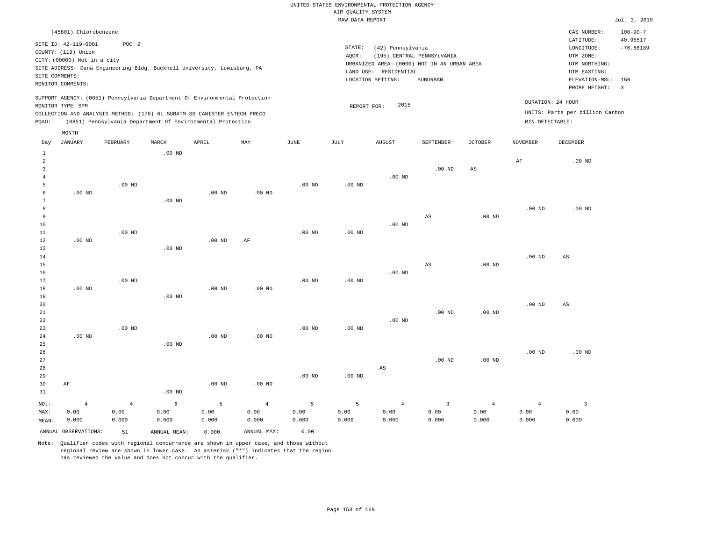|                |                             |          |          |                                                                            |          |                   | $\cdots$ going to control |                       |                                             |                   |                   |                                 |                            |
|----------------|-----------------------------|----------|----------|----------------------------------------------------------------------------|----------|-------------------|---------------------------|-----------------------|---------------------------------------------|-------------------|-------------------|---------------------------------|----------------------------|
|                |                             |          |          |                                                                            |          |                   | RAW DATA REPORT           |                       |                                             |                   |                   |                                 | Jul. 3, 2019               |
|                | (45801) Chlorobenzene       |          |          |                                                                            |          |                   |                           |                       |                                             |                   |                   | CAS NUMBER:<br>LATITUDE:        | $108 - 90 - 7$<br>40.95517 |
|                | SITE ID: 42-119-0001        | POC: 2   |          |                                                                            |          |                   | STATE:                    | (42) Pennsylvania     |                                             |                   |                   | LONGITUDE:                      | $-76.88189$                |
|                | COUNTY: (119) Union         |          |          |                                                                            |          |                   | AQCR:                     |                       | (195) CENTRAL PENNSYLVANIA                  |                   |                   | UTM ZONE:                       |                            |
|                | CITY: (00000) Not in a city |          |          |                                                                            |          |                   |                           |                       | URBANIZED AREA: (0000) NOT IN AN URBAN AREA |                   |                   | UTM NORTHING:                   |                            |
|                |                             |          |          | SITE ADDRESS: Dana Engineering Bldg. Bucknell University, Lewisburg, PA    |          |                   |                           | LAND USE: RESIDENTIAL |                                             |                   |                   | UTM EASTING:                    |                            |
|                | SITE COMMENTS:              |          |          |                                                                            |          |                   |                           | LOCATION SETTING:     | SUBURBAN                                    |                   |                   | ELEVATION-MSL:                  | 150                        |
|                | MONITOR COMMENTS:           |          |          |                                                                            |          |                   |                           |                       |                                             |                   |                   | PROBE HEIGHT:                   | $\overline{\phantom{a}}$   |
|                |                             |          |          | SUPPORT AGENCY: (0851) Pennsylvania Department Of Environmental Protection |          |                   |                           |                       |                                             |                   |                   | DURATION: 24 HOUR               |                            |
|                | MONITOR TYPE: SPM           |          |          |                                                                            |          |                   | REPORT FOR:               | 2015                  |                                             |                   |                   | UNITS: Parts per billion Carbon |                            |
|                |                             |          |          | COLLECTION AND ANALYSIS METHOD: (176) 6L SUBATM SS CANISTER ENTECH PRECO   |          |                   |                           |                       |                                             |                   |                   |                                 |                            |
| PQAO:          |                             |          |          | (0851) Pennsylvania Department Of Environmental Protection                 |          |                   |                           |                       |                                             |                   | MIN DETECTABLE:   |                                 |                            |
|                | MONTH                       |          |          |                                                                            |          |                   |                           |                       |                                             |                   |                   |                                 |                            |
| Day            | <b>JANUARY</b>              | FEBRUARY | MARCH    | APRIL                                                                      | MAY      | JUNE              | JULY                      | <b>AUGUST</b>         | SEPTEMBER                                   | <b>OCTOBER</b>    | NOVEMBER          | <b>DECEMBER</b>                 |                            |
| 1              |                             |          | $.00$ ND |                                                                            |          |                   |                           |                       |                                             |                   |                   |                                 |                            |
| $\overline{a}$ |                             |          |          |                                                                            |          |                   |                           |                       |                                             |                   | $\rm AF$          | $.00$ ND                        |                            |
| 3              |                             |          |          |                                                                            |          |                   |                           |                       | .00 <sub>ND</sub>                           | $_{\rm AS}$       |                   |                                 |                            |
| 4              |                             |          |          |                                                                            |          |                   |                           | .00 <sub>ND</sub>     |                                             |                   |                   |                                 |                            |
| 5              |                             | $.00$ ND |          |                                                                            |          | $.00$ ND          | $.00$ ND                  |                       |                                             |                   |                   |                                 |                            |
| 6              | $.00$ ND                    |          |          | $.00$ ND                                                                   | $.00$ ND |                   |                           |                       |                                             |                   |                   |                                 |                            |
| 7              |                             |          | $.00$ ND |                                                                            |          |                   |                           |                       |                                             |                   |                   |                                 |                            |
| 8              |                             |          |          |                                                                            |          |                   |                           |                       |                                             |                   | .00 <sub>ND</sub> | .00 <sub>ND</sub>               |                            |
| 9              |                             |          |          |                                                                            |          |                   |                           | .00 <sub>ND</sub>     | AS                                          | .00 <sub>ND</sub> |                   |                                 |                            |
| 10<br>11       |                             | $.00$ ND |          |                                                                            |          | .00 <sub>ND</sub> | $.00$ ND                  |                       |                                             |                   |                   |                                 |                            |
| 12             | $.00$ ND                    |          |          | $.00$ ND                                                                   | AF       |                   |                           |                       |                                             |                   |                   |                                 |                            |
| 13             |                             |          | $.00$ ND |                                                                            |          |                   |                           |                       |                                             |                   |                   |                                 |                            |
| 14             |                             |          |          |                                                                            |          |                   |                           |                       |                                             |                   | .00 <sub>ND</sub> | AS                              |                            |
| 15             |                             |          |          |                                                                            |          |                   |                           |                       | AS                                          | .00 <sub>ND</sub> |                   |                                 |                            |
| 16             |                             |          |          |                                                                            |          |                   |                           | $.00$ ND              |                                             |                   |                   |                                 |                            |
| 17             |                             | $.00$ ND |          |                                                                            |          | $.00$ ND          | $.00$ ND                  |                       |                                             |                   |                   |                                 |                            |
| 18             | $.00$ ND                    |          |          | $.00$ ND                                                                   | $.00$ ND |                   |                           |                       |                                             |                   |                   |                                 |                            |
| 19             |                             |          | $.00$ ND |                                                                            |          |                   |                           |                       |                                             |                   |                   |                                 |                            |
| 20             |                             |          |          |                                                                            |          |                   |                           |                       |                                             |                   | .00 <sub>ND</sub> | AS                              |                            |
| 21             |                             |          |          |                                                                            |          |                   |                           |                       | .00 <sub>ND</sub>                           | $.00$ ND          |                   |                                 |                            |
| 22             |                             |          |          |                                                                            |          |                   |                           | $.00$ ND              |                                             |                   |                   |                                 |                            |
| 23             |                             | $.00$ ND |          |                                                                            |          | $.00$ ND          | $.00$ ND                  |                       |                                             |                   |                   |                                 |                            |
| 24             | $.00$ ND                    |          |          | $.00$ ND                                                                   | $.00$ ND |                   |                           |                       |                                             |                   |                   |                                 |                            |
| 25             |                             |          | $.00$ ND |                                                                            |          |                   |                           |                       |                                             |                   |                   |                                 |                            |
| 26             |                             |          |          |                                                                            |          |                   |                           |                       |                                             |                   | .00 <sub>ND</sub> | .00 <sub>ND</sub>               |                            |

Note: Qualifier codes with regional concurrence are shown in upper case, and those without regional review are shown in lower case. An asterisk ("\*") indicates that the region has reviewed the value and does not concur with the qualifier.

.00 ND

5 0.00 0.000

.00 ND

4 0.00 0.000

.00 ND

5 0.00 0.000

.00 ND

6 0.00 0.000

ANNUAL OBSERVATIONS: 51 ANNUAL MEAN: 0.000 ANNUAL MAX: 0.00

4 0.00 0.000

NO.: MAX: MEAN: AF

4 0.00 0.000

.00 ND

5 0.00 0.000

AS

4 0.00 0.000

.00 ND

3 0.00 0.000

.00 ND

4 0.00 0.000

4 0.00 0.000

3 0.00 0.000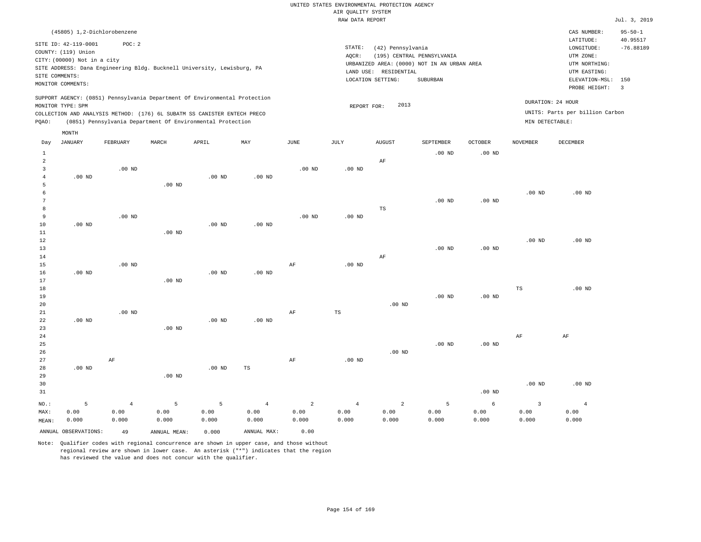|                                               |                                                                                                                   |                                                                                                                                                                                                                      |                   |          |          |          | RAW DATA REPORT |                                                                                                                |                                        |                   |                   |                                                                                                              | Jul. 3, 2019                                        |
|-----------------------------------------------|-------------------------------------------------------------------------------------------------------------------|----------------------------------------------------------------------------------------------------------------------------------------------------------------------------------------------------------------------|-------------------|----------|----------|----------|-----------------|----------------------------------------------------------------------------------------------------------------|----------------------------------------|-------------------|-------------------|--------------------------------------------------------------------------------------------------------------|-----------------------------------------------------|
|                                               | (45805) 1,2-Dichlorobenzene                                                                                       |                                                                                                                                                                                                                      |                   |          |          |          |                 |                                                                                                                |                                        |                   |                   | CAS NUMBER:                                                                                                  | $95 - 50 - 1$                                       |
|                                               | SITE ID: 42-119-0001<br>COUNTY: (119) Union<br>CITY: (00000) Not in a city<br>SITE COMMENTS:<br>MONITOR COMMENTS: | POC: 2<br>SITE ADDRESS: Dana Engineering Bldg. Bucknell University, Lewisburg, PA                                                                                                                                    |                   |          |          |          | STATE:<br>AQCR: | (42) Pennsylvania<br>URBANIZED AREA: (0000) NOT IN AN URBAN AREA<br>LAND USE: RESIDENTIAL<br>LOCATION SETTING: | (195) CENTRAL PENNSYLVANIA<br>SUBURBAN |                   |                   | LATITUDE:<br>LONGITUDE:<br>UTM ZONE:<br>UTM NORTHING:<br>UTM EASTING:<br>ELEVATION-MSL: 150<br>PROBE HEIGHT: | 40.95517<br>$-76.88189$<br>$\overline{\phantom{a}}$ |
| PQAO:                                         | MONITOR TYPE: SPM                                                                                                 | SUPPORT AGENCY: (0851) Pennsylvania Department Of Environmental Protection<br>COLLECTION AND ANALYSIS METHOD: (176) 6L SUBATM SS CANISTER ENTECH PRECO<br>(0851) Pennsylvania Department Of Environmental Protection |                   |          |          |          | REPORT FOR:     | 2013                                                                                                           |                                        |                   | MIN DETECTABLE:   | DURATION: 24 HOUR<br>UNITS: Parts per billion Carbon                                                         |                                                     |
|                                               | MONTH                                                                                                             |                                                                                                                                                                                                                      |                   |          |          |          |                 |                                                                                                                |                                        |                   |                   |                                                                                                              |                                                     |
| Day                                           | <b>JANUARY</b>                                                                                                    | FEBRUARY                                                                                                                                                                                                             | MARCH             | APRIL    | MAY      | JUNE     | JULY            | <b>AUGUST</b>                                                                                                  | SEPTEMBER                              | <b>OCTOBER</b>    | <b>NOVEMBER</b>   | <b>DECEMBER</b>                                                                                              |                                                     |
| $\mathbf{1}$<br>2<br>3<br>$\overline{4}$<br>5 | $.00$ ND                                                                                                          | $.00$ ND                                                                                                                                                                                                             | $.00$ ND          | $.00$ ND | $.00$ ND | $.00$ ND | $.00$ ND        | AF                                                                                                             | $.00$ ND                               | .00 <sub>ND</sub> |                   |                                                                                                              |                                                     |
| 6<br>7<br>8<br>9                              |                                                                                                                   | $.00$ ND                                                                                                                                                                                                             |                   |          |          | $.00$ ND | $.00$ ND        | TS                                                                                                             | .00 <sub>ND</sub>                      | $.00$ ND          | .00 <sub>ND</sub> | $.00$ ND                                                                                                     |                                                     |
| 10<br>11<br>12<br>13<br>14                    | $.00$ ND                                                                                                          |                                                                                                                                                                                                                      | $.00$ ND          | $.00$ ND | $.00$ ND |          |                 | AF                                                                                                             | $.00$ ND                               | $.00$ ND          | .00 <sub>ND</sub> | $.00$ ND                                                                                                     |                                                     |
| 15<br>16<br>17<br>18                          | $.00$ ND                                                                                                          | $.00$ ND                                                                                                                                                                                                             | $.00$ ND          | $.00$ ND | $.00$ ND | AF       | $.00$ ND        |                                                                                                                |                                        |                   | $_{\rm TS}$       | $.00$ ND                                                                                                     |                                                     |
| 19<br>20<br>21<br>22                          | $.00$ ND                                                                                                          | $.00$ ND                                                                                                                                                                                                             |                   | $.00$ ND | $.00$ ND | AF       | TS              | $.00$ ND                                                                                                       | $.00$ ND                               | $.00$ ND          |                   |                                                                                                              |                                                     |
| 23<br>24<br>25<br>26                          |                                                                                                                   |                                                                                                                                                                                                                      | $.00$ ND          |          |          |          |                 | $.00$ ND                                                                                                       | $.00$ ND                               | .00 <sub>ND</sub> | AF                | $\rm AF$                                                                                                     |                                                     |
| 27<br>28<br>29                                | $.00$ ND                                                                                                          | AF                                                                                                                                                                                                                   | .00 <sub>ND</sub> | $.00$ ND | TS       | AF       | $.00$ ND        |                                                                                                                |                                        |                   |                   |                                                                                                              |                                                     |

30 31 NO.: MAX: MEAN: 5 0.00 0.000 .00 ND .00 ND .00 ND 4 0.00 0.000 5 0.00 0.000 5 0.00 0.000 4 0.00 0.000 2 0.00 0.000 4 0.00 0.000 2 0.00 0.000 5 0.00 0.000 6 0.00 0.000 3 0.00 0.000 4 0.00 0.000 ANNUAL OBSERVATIONS: 49 ANNUAL MEAN: 0.000 ANNUAL MAX: 0.00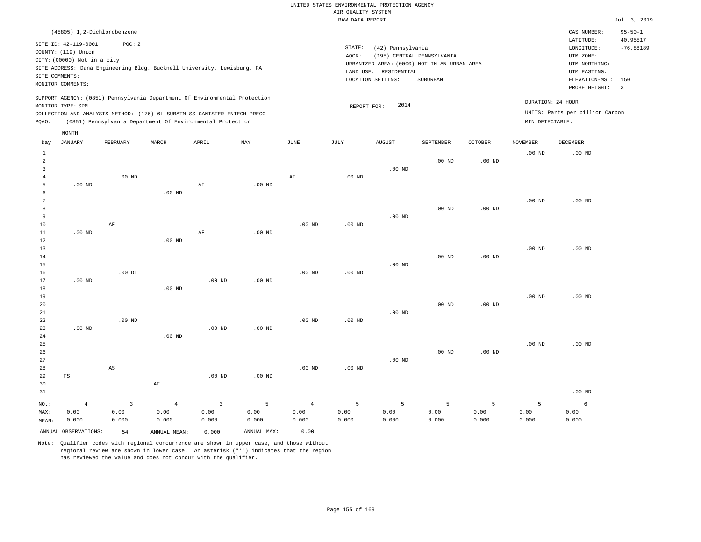|                                     |                                                                            |                                       |                                 |                                                                                                                                                                                                                      |                                 |                                 | AIR QUALITY SYSTEM           | UNITED STATES ENVIRONMENTAL PROTECTION AGENCY |                                                                           |                    |                    |                                                                                      |                                          |
|-------------------------------------|----------------------------------------------------------------------------|---------------------------------------|---------------------------------|----------------------------------------------------------------------------------------------------------------------------------------------------------------------------------------------------------------------|---------------------------------|---------------------------------|------------------------------|-----------------------------------------------|---------------------------------------------------------------------------|--------------------|--------------------|--------------------------------------------------------------------------------------|------------------------------------------|
|                                     |                                                                            |                                       |                                 |                                                                                                                                                                                                                      |                                 |                                 | RAW DATA REPORT              |                                               |                                                                           |                    |                    |                                                                                      | Jul. 3, 2019                             |
| SITE COMMENTS:                      | SITE ID: 42-119-0001<br>COUNTY: (119) Union<br>CITY: (00000) Not in a city | (45805) 1,2-Dichlorobenzene<br>POC: 2 |                                 | SITE ADDRESS: Dana Engineering Bldg. Bucknell University, Lewisburg, PA                                                                                                                                              |                                 |                                 | STATE:<br>AQCR:<br>LAND USE: | (42) Pennsylvania<br>RESIDENTIAL              | (195) CENTRAL PENNSYLVANIA<br>URBANIZED AREA: (0000) NOT IN AN URBAN AREA |                    |                    | CAS NUMBER:<br>LATITUDE:<br>LONGITUDE:<br>UTM ZONE:<br>UTM NORTHING:<br>UTM EASTING: | $95 - 50 - 1$<br>40.95517<br>$-76.88189$ |
|                                     | MONITOR COMMENTS:                                                          |                                       |                                 |                                                                                                                                                                                                                      |                                 |                                 |                              | LOCATION SETTING:                             | SUBURBAN                                                                  |                    |                    | ELEVATION-MSL:<br>PROBE HEIGHT:                                                      | 150<br>$\overline{3}$                    |
| PQAO:                               | MONITOR TYPE: SPM                                                          |                                       |                                 | SUPPORT AGENCY: (0851) Pennsylvania Department Of Environmental Protection<br>COLLECTION AND ANALYSIS METHOD: (176) 6L SUBATM SS CANISTER ENTECH PRECO<br>(0851) Pennsylvania Department Of Environmental Protection |                                 |                                 | REPORT FOR:                  | 2014                                          |                                                                           |                    | MIN DETECTABLE:    | DURATION: 24 HOUR<br>UNITS: Parts per billion Carbon                                 |                                          |
|                                     | MONTH                                                                      |                                       |                                 |                                                                                                                                                                                                                      |                                 |                                 |                              |                                               |                                                                           |                    |                    |                                                                                      |                                          |
| Day                                 | <b>JANUARY</b>                                                             | FEBRUARY                              | MARCH                           | APRIL                                                                                                                                                                                                                | MAY                             | <b>JUNE</b>                     | $\mathtt{JULY}$              | <b>AUGUST</b>                                 | SEPTEMBER                                                                 | OCTOBER            | <b>NOVEMBER</b>    | <b>DECEMBER</b>                                                                      |                                          |
| $\mathbf{1}$<br>2<br>$\overline{3}$ |                                                                            |                                       |                                 |                                                                                                                                                                                                                      |                                 |                                 |                              | $.00$ ND                                      | .00 <sub>ND</sub>                                                         | $.00$ ND           | $.00$ ND           | $.00$ ND                                                                             |                                          |
| $\overline{4}$<br>5<br>6            | $.00$ ND                                                                   | $.00$ ND                              | .00 <sub>ND</sub>               | AF                                                                                                                                                                                                                   | $.00$ ND                        | AF                              | $.00$ ND                     |                                               |                                                                           |                    |                    |                                                                                      |                                          |
| 7<br>8<br>9<br>$10$                 |                                                                            | $\rm AF$                              |                                 |                                                                                                                                                                                                                      |                                 | $.00$ ND                        | .00 <sub>ND</sub>            | $.00$ ND                                      | .00 <sub>ND</sub>                                                         | $.00$ ND           | $.00$ ND           | $.00$ ND                                                                             |                                          |
| 11<br>12<br>13                      | $.00$ ND                                                                   |                                       | $.00$ ND                        | AF                                                                                                                                                                                                                   | $.00$ ND                        |                                 |                              |                                               |                                                                           |                    | $.00$ ND           | $.00$ ND                                                                             |                                          |
| 14<br>15<br>16<br>17                | $.00$ ND                                                                   | $.00$ DI                              |                                 | $.00$ ND                                                                                                                                                                                                             | $.00$ ND                        | .00 <sub>ND</sub>               | .00 <sub>ND</sub>            | $.00$ ND                                      | .00 <sub>ND</sub>                                                         | $.00$ ND           |                    |                                                                                      |                                          |
| 18<br>19<br>$20$                    |                                                                            |                                       | $.00$ ND                        |                                                                                                                                                                                                                      |                                 |                                 |                              |                                               | .00 <sub>ND</sub>                                                         | .00 <sub>ND</sub>  | $.00$ ND           | $.00$ ND                                                                             |                                          |
| 21<br>$2\sqrt{2}$<br>23<br>24       | $.00$ ND                                                                   | $.00$ ND                              | $.00$ ND                        | $.00$ ND                                                                                                                                                                                                             | $.00$ ND                        | $.00$ ND                        | $.00$ ND                     | $.00$ ND                                      |                                                                           |                    |                    |                                                                                      |                                          |
| 25<br>26<br>27<br>28                |                                                                            | $\mathbb{A}\mathbb{S}$                |                                 |                                                                                                                                                                                                                      |                                 | .00 <sub>ND</sub>               | .00 <sub>ND</sub>            | $.00$ ND                                      | $.00$ ND                                                                  | $.00$ ND           | .00 <sub>ND</sub>  | $.00$ ND                                                                             |                                          |
| 29<br>30<br>31                      | TS                                                                         |                                       | $\rm{AF}$                       | .00 <sub>ND</sub>                                                                                                                                                                                                    | $.00$ ND                        |                                 |                              |                                               |                                                                           |                    |                    | $.00$ ND                                                                             |                                          |
| NO.:<br>MAX:<br>MEAN:               | $\overline{4}$<br>0.00<br>0.000                                            | $\overline{3}$<br>0.00<br>0.000       | $\overline{4}$<br>0.00<br>0.000 | $\overline{3}$<br>0.00<br>0.000                                                                                                                                                                                      | $\overline{5}$<br>0.00<br>0.000 | $\overline{4}$<br>0.00<br>0.000 | 5<br>0.00<br>0.000           | 5<br>0.00<br>0.000                            | 5<br>0.00<br>0.000                                                        | 5<br>0.00<br>0.000 | 5<br>0.00<br>0.000 | 6<br>0.00<br>0.000                                                                   |                                          |

ANNUAL OBSERVATIONS: 54 ANNUAL MEAN: 0.000 ANNUAL MAX: 0.00 Note: Qualifier codes with regional concurrence are shown in upper case, and those without

regional review are shown in lower case. An asterisk ("\*") indicates that the region

has reviewed the value and does not concur with the qualifier.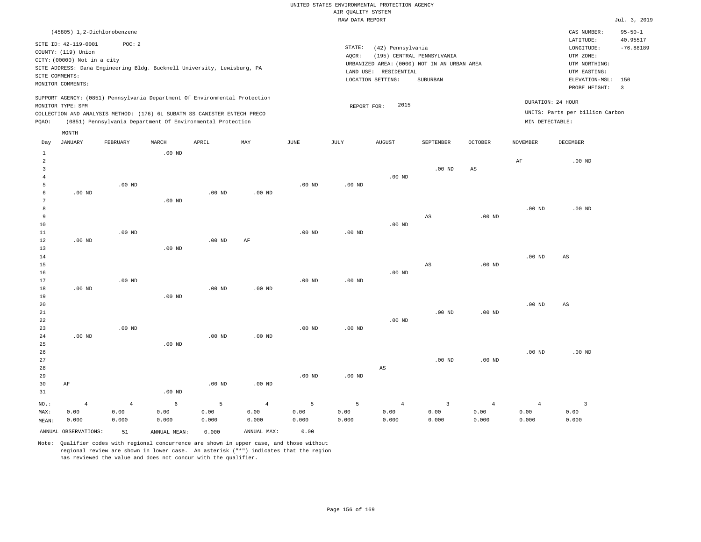|                  |                                                                            |                |                 |                                                            |                |                   | RAW DATA REPORT   |                       |                                             |                   |                   |                                 | Jul. 3, 2019   |
|------------------|----------------------------------------------------------------------------|----------------|-----------------|------------------------------------------------------------|----------------|-------------------|-------------------|-----------------------|---------------------------------------------|-------------------|-------------------|---------------------------------|----------------|
|                  | (45805) 1,2-Dichlorobenzene                                                |                |                 |                                                            |                |                   |                   |                       |                                             |                   |                   | CAS NUMBER:                     | $95 - 50 - 1$  |
|                  | SITE ID: 42-119-0001                                                       | POC: 2         |                 |                                                            |                |                   |                   |                       |                                             |                   |                   | LATITUDE:                       | 40.95517       |
|                  | COUNTY: (119) Union                                                        |                |                 |                                                            |                |                   | STATE:            | (42) Pennsylvania     |                                             |                   |                   | LONGITUDE:                      | $-76.88189$    |
|                  | CITY: (00000) Not in a city                                                |                |                 |                                                            |                |                   | AQCR:             |                       | (195) CENTRAL PENNSYLVANIA                  |                   |                   | UTM ZONE:                       |                |
|                  | SITE ADDRESS: Dana Engineering Bldg. Bucknell University, Lewisburg, PA    |                |                 |                                                            |                |                   |                   |                       | URBANIZED AREA: (0000) NOT IN AN URBAN AREA |                   |                   | UTM NORTHING:                   |                |
|                  | SITE COMMENTS:                                                             |                |                 |                                                            |                |                   |                   | LAND USE: RESIDENTIAL |                                             |                   |                   | UTM EASTING:                    |                |
|                  | MONITOR COMMENTS:                                                          |                |                 |                                                            |                |                   |                   | LOCATION SETTING:     | SUBURBAN                                    |                   |                   | ELEVATION-MSL:                  | 150            |
|                  |                                                                            |                |                 |                                                            |                |                   |                   |                       |                                             |                   |                   | PROBE HEIGHT:                   | $\overline{3}$ |
|                  | SUPPORT AGENCY: (0851) Pennsylvania Department Of Environmental Protection |                |                 |                                                            |                |                   |                   |                       |                                             |                   |                   | DURATION: 24 HOUR               |                |
|                  | MONITOR TYPE: SPM                                                          |                |                 |                                                            |                |                   | REPORT FOR:       | 2015                  |                                             |                   |                   |                                 |                |
|                  | COLLECTION AND ANALYSIS METHOD: (176) 6L SUBATM SS CANISTER ENTECH PRECO   |                |                 |                                                            |                |                   |                   |                       |                                             |                   |                   | UNITS: Parts per billion Carbon |                |
| PQAO:            |                                                                            |                |                 | (0851) Pennsylvania Department Of Environmental Protection |                |                   |                   |                       |                                             |                   | MIN DETECTABLE:   |                                 |                |
|                  | MONTH                                                                      |                |                 |                                                            |                |                   |                   |                       |                                             |                   |                   |                                 |                |
| Day              | JANUARY                                                                    | FEBRUARY       | MARCH           | APRIL                                                      | MAY            | $\mathtt{JUNE}$   | JULY              | <b>AUGUST</b>         | SEPTEMBER                                   | OCTOBER           | <b>NOVEMBER</b>   | DECEMBER                        |                |
| $\mathbf{1}$     |                                                                            |                | $.00$ ND        |                                                            |                |                   |                   |                       |                                             |                   |                   |                                 |                |
| 2                |                                                                            |                |                 |                                                            |                |                   |                   |                       |                                             |                   | AF                | $.00$ ND                        |                |
| 3                |                                                                            |                |                 |                                                            |                |                   |                   |                       | $.00$ ND                                    | AS                |                   |                                 |                |
| $\overline{4}$   |                                                                            |                |                 |                                                            |                |                   |                   | $.00$ ND              |                                             |                   |                   |                                 |                |
| 5                |                                                                            | $.00$ ND       |                 |                                                            |                | $.00$ ND          | $.00$ ND          |                       |                                             |                   |                   |                                 |                |
| 6                | $.00$ ND                                                                   |                |                 | .00 <sub>ND</sub>                                          | $.00$ ND       |                   |                   |                       |                                             |                   |                   |                                 |                |
| 7                |                                                                            |                | $.00$ ND        |                                                            |                |                   |                   |                       |                                             |                   |                   |                                 |                |
| 8                |                                                                            |                |                 |                                                            |                |                   |                   |                       |                                             |                   | .00 <sub>ND</sub> | $.00$ ND                        |                |
| 9                |                                                                            |                |                 |                                                            |                |                   |                   |                       | $_{\rm AS}$                                 | $.00$ ND          |                   |                                 |                |
| 10               |                                                                            |                |                 |                                                            |                |                   |                   | $.00$ ND              |                                             |                   |                   |                                 |                |
| $1\,1$<br>$1\,2$ | $.00$ ND                                                                   | $.00$ ND       |                 | $.00$ ND                                                   | $\rm AF$       | .00 <sub>ND</sub> | .00 <sub>ND</sub> |                       |                                             |                   |                   |                                 |                |
| 13               |                                                                            |                | $.00$ ND        |                                                            |                |                   |                   |                       |                                             |                   |                   |                                 |                |
| 14               |                                                                            |                |                 |                                                            |                |                   |                   |                       |                                             |                   | $.00$ ND          | AS                              |                |
| 15               |                                                                            |                |                 |                                                            |                |                   |                   |                       | $_{\rm AS}$                                 | $.00$ ND          |                   |                                 |                |
| 16               |                                                                            |                |                 |                                                            |                |                   |                   | $.00$ ND              |                                             |                   |                   |                                 |                |
| 17               |                                                                            | $.00$ ND       |                 |                                                            |                | $.00$ ND          | $.00$ ND          |                       |                                             |                   |                   |                                 |                |
| 18               | $.00$ ND                                                                   |                |                 | $.00$ ND                                                   | $.00$ ND       |                   |                   |                       |                                             |                   |                   |                                 |                |
| 19               |                                                                            |                | $.00$ ND        |                                                            |                |                   |                   |                       |                                             |                   |                   |                                 |                |
| 20               |                                                                            |                |                 |                                                            |                |                   |                   |                       |                                             |                   | $.00$ ND          | AS                              |                |
| 21               |                                                                            |                |                 |                                                            |                |                   |                   |                       | $.00$ ND                                    | $.00$ ND          |                   |                                 |                |
| 22               |                                                                            |                |                 |                                                            |                |                   |                   | $.00$ ND              |                                             |                   |                   |                                 |                |
| 23               |                                                                            | $.00$ ND       |                 |                                                            |                | .00 <sub>ND</sub> | $.00$ ND          |                       |                                             |                   |                   |                                 |                |
| 24               | $.00$ ND                                                                   |                |                 | $.00$ ND                                                   | $.00$ ND       |                   |                   |                       |                                             |                   |                   |                                 |                |
| 25               |                                                                            |                | $.00$ ND        |                                                            |                |                   |                   |                       |                                             |                   |                   |                                 |                |
| 26               |                                                                            |                |                 |                                                            |                |                   |                   |                       |                                             |                   | .00 <sub>ND</sub> | $.00$ ND                        |                |
| 27               |                                                                            |                |                 |                                                            |                |                   |                   |                       | $.00$ ND                                    | .00 <sub>ND</sub> |                   |                                 |                |
| 28               |                                                                            |                |                 |                                                            |                |                   |                   | AS                    |                                             |                   |                   |                                 |                |
| 29               |                                                                            |                |                 |                                                            |                | $.00$ ND          | $.00$ ND          |                       |                                             |                   |                   |                                 |                |
| 30               | AF                                                                         |                |                 | $.00$ ND                                                   | $.00$ ND       |                   |                   |                       |                                             |                   |                   |                                 |                |
| 31               |                                                                            |                | $.00$ ND        |                                                            |                |                   |                   |                       |                                             |                   |                   |                                 |                |
| NO.:             | $\overline{4}$                                                             | $\overline{4}$ | $6\overline{6}$ | 5                                                          | $\overline{4}$ | 5                 | 5                 | $\overline{4}$        | $\overline{3}$                              | $\overline{4}$    | $\overline{4}$    | $\overline{3}$                  |                |
| MAX:             | 0.00                                                                       | 0.00           | 0.00            | 0.00                                                       | 0.00           | 0.00              | 0.00              | 0.00                  | 0.00                                        | 0.00              | 0.00              | 0.00                            |                |
| MEAN:            | 0.000                                                                      | 0.000          | 0.000           | 0.000                                                      | 0.000          | 0.000             | 0.000             | 0.000                 | 0.000                                       | 0.000             | 0.000             | 0.000                           |                |
|                  | ANNUAL OBSERVATIONS:                                                       | 51             | ANNUAL MEAN:    | 0.000                                                      | ANNUAL MAX:    | 0.00              |                   |                       |                                             |                   |                   |                                 |                |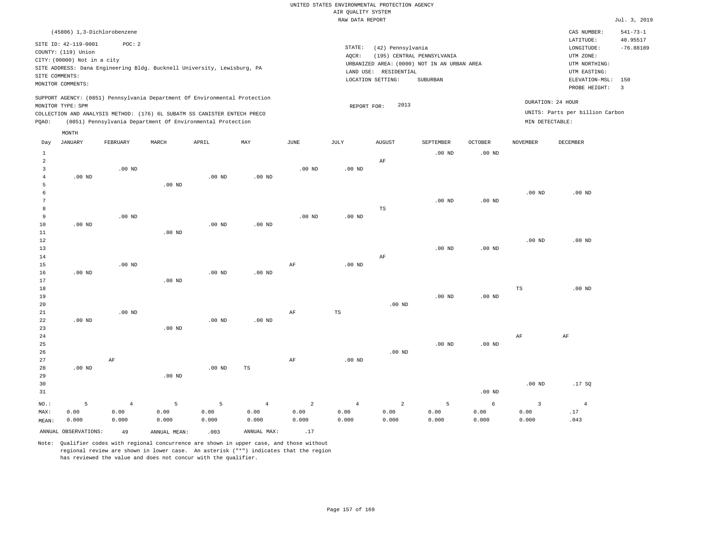|                |                             |                |          |                                                                            |                |                   | RAW DATA REPORT   |                       |                                             |                   |                         |                                 | Jul. 3, 2019          |
|----------------|-----------------------------|----------------|----------|----------------------------------------------------------------------------|----------------|-------------------|-------------------|-----------------------|---------------------------------------------|-------------------|-------------------------|---------------------------------|-----------------------|
|                | (45806) 1,3-Dichlorobenzene |                |          |                                                                            |                |                   |                   |                       |                                             |                   |                         | CAS NUMBER:                     | $541 - 73 - 1$        |
|                | SITE ID: 42-119-0001        | POC: 2         |          |                                                                            |                |                   |                   |                       |                                             |                   |                         | LATITUDE:                       | 40.95517              |
|                | COUNTY: (119) Union         |                |          |                                                                            |                |                   | STATE:            | (42) Pennsylvania     |                                             |                   |                         | LONGITUDE:                      | $-76.88189$           |
|                | CITY: (00000) Not in a city |                |          |                                                                            |                |                   | AQCR:             |                       | (195) CENTRAL PENNSYLVANIA                  |                   |                         | UTM ZONE:                       |                       |
|                |                             |                |          | SITE ADDRESS: Dana Engineering Bldg. Bucknell University, Lewisburg, PA    |                |                   |                   |                       | URBANIZED AREA: (0000) NOT IN AN URBAN AREA |                   |                         | UTM NORTHING:                   |                       |
|                | SITE COMMENTS:              |                |          |                                                                            |                |                   |                   | LAND USE: RESIDENTIAL |                                             |                   |                         | UTM EASTING:                    |                       |
|                | MONITOR COMMENTS:           |                |          |                                                                            |                |                   |                   | LOCATION SETTING:     | SUBURBAN                                    |                   |                         | ELEVATION-MSL:<br>PROBE HEIGHT: | 150<br>$\overline{3}$ |
|                |                             |                |          | SUPPORT AGENCY: (0851) Pennsylvania Department Of Environmental Protection |                |                   |                   |                       |                                             |                   |                         |                                 |                       |
|                | MONITOR TYPE: SPM           |                |          |                                                                            |                |                   | REPORT FOR:       | 2013                  |                                             |                   |                         | DURATION: 24 HOUR               |                       |
|                |                             |                |          | COLLECTION AND ANALYSIS METHOD: (176) 6L SUBATM SS CANISTER ENTECH PRECO   |                |                   |                   |                       |                                             |                   |                         | UNITS: Parts per billion Carbon |                       |
| PQAO:          |                             |                |          | (0851) Pennsylvania Department Of Environmental Protection                 |                |                   |                   |                       |                                             |                   | MIN DETECTABLE:         |                                 |                       |
|                | MONTH                       |                |          |                                                                            |                |                   |                   |                       |                                             |                   |                         |                                 |                       |
| Day            | <b>JANUARY</b>              | FEBRUARY       | MARCH    | APRIL                                                                      | MAY            | JUNE              | JULY              | <b>AUGUST</b>         | SEPTEMBER                                   | <b>OCTOBER</b>    | <b>NOVEMBER</b>         | <b>DECEMBER</b>                 |                       |
| $\mathbf{1}$   |                             |                |          |                                                                            |                |                   |                   |                       | $.00$ ND                                    | .00 <sub>ND</sub> |                         |                                 |                       |
| $\overline{2}$ |                             |                |          |                                                                            |                |                   |                   | AF                    |                                             |                   |                         |                                 |                       |
| $\overline{3}$ |                             | $.00$ ND       |          |                                                                            |                | $.00$ ND          | .00 <sub>ND</sub> |                       |                                             |                   |                         |                                 |                       |
| $\overline{4}$ | $.00$ ND                    |                |          | $.00$ ND                                                                   | $.00$ ND       |                   |                   |                       |                                             |                   |                         |                                 |                       |
| 5              |                             |                | $.00$ ND |                                                                            |                |                   |                   |                       |                                             |                   |                         |                                 |                       |
| 6<br>7         |                             |                |          |                                                                            |                |                   |                   |                       | $.00$ ND                                    | .00 <sub>ND</sub> | .00 <sub>ND</sub>       | .00 <sub>ND</sub>               |                       |
| 8              |                             |                |          |                                                                            |                |                   |                   | $\mathbb{TS}$         |                                             |                   |                         |                                 |                       |
| 9              |                             | $.00$ ND       |          |                                                                            |                | .00 <sub>ND</sub> | .00 <sub>ND</sub> |                       |                                             |                   |                         |                                 |                       |
| 10             | $.00$ ND                    |                |          | $.00$ ND                                                                   | $.00$ ND       |                   |                   |                       |                                             |                   |                         |                                 |                       |
| 11             |                             |                | $.00$ ND |                                                                            |                |                   |                   |                       |                                             |                   |                         |                                 |                       |
| 12             |                             |                |          |                                                                            |                |                   |                   |                       |                                             |                   | .00 <sub>ND</sub>       | $.00$ ND                        |                       |
| 13             |                             |                |          |                                                                            |                |                   |                   |                       | $.00$ ND                                    | .00 <sub>ND</sub> |                         |                                 |                       |
| 14             |                             |                |          |                                                                            |                |                   |                   | AF                    |                                             |                   |                         |                                 |                       |
| 15             |                             | $.00$ ND       |          |                                                                            |                | AF                | .00 <sub>ND</sub> |                       |                                             |                   |                         |                                 |                       |
| 16             | $.00$ ND                    |                |          | .00 <sub>ND</sub>                                                          | $.00$ ND       |                   |                   |                       |                                             |                   |                         |                                 |                       |
| 17             |                             |                | $.00$ ND |                                                                            |                |                   |                   |                       |                                             |                   |                         |                                 |                       |
| 18<br>19       |                             |                |          |                                                                            |                |                   |                   |                       | $.00$ ND                                    | .00 <sub>ND</sub> | $_{\rm TS}$             | .00 <sub>ND</sub>               |                       |
| 20             |                             |                |          |                                                                            |                |                   |                   | $.00$ ND              |                                             |                   |                         |                                 |                       |
| 21             |                             | $.00$ ND       |          |                                                                            |                | AF                | $\mathbb{TS}$     |                       |                                             |                   |                         |                                 |                       |
| 22             | $.00$ ND                    |                |          | .00 <sub>ND</sub>                                                          | $.00$ ND       |                   |                   |                       |                                             |                   |                         |                                 |                       |
| 23             |                             |                | $.00$ ND |                                                                            |                |                   |                   |                       |                                             |                   |                         |                                 |                       |
| 24             |                             |                |          |                                                                            |                |                   |                   |                       |                                             |                   | AF                      | AF                              |                       |
| 25             |                             |                |          |                                                                            |                |                   |                   |                       | $.00$ ND                                    | .00 <sub>ND</sub> |                         |                                 |                       |
| 26             |                             |                |          |                                                                            |                |                   |                   | $.00$ ND              |                                             |                   |                         |                                 |                       |
| 27             |                             | AF             |          |                                                                            |                | AF                | $.00$ ND          |                       |                                             |                   |                         |                                 |                       |
| 28             | $.00$ ND                    |                |          | $.00$ ND                                                                   | TS             |                   |                   |                       |                                             |                   |                         |                                 |                       |
| 29             |                             |                | $.00$ ND |                                                                            |                |                   |                   |                       |                                             |                   |                         |                                 |                       |
| 30             |                             |                |          |                                                                            |                |                   |                   |                       |                                             |                   | .00 <sub>ND</sub>       | .17SQ                           |                       |
| 31             |                             |                |          |                                                                            |                |                   |                   |                       |                                             | $.00$ ND          |                         |                                 |                       |
| NO.:           | 5                           | $\overline{4}$ | 5        | 5                                                                          | $\overline{4}$ | $\overline{2}$    | $\overline{4}$    | $\overline{a}$        | 5                                           | 6                 | $\overline{\mathbf{3}}$ | $\overline{4}$                  |                       |

ANNUAL OBSERVATIONS:  $\begin{array}{ccc} 49 & \text{ANNUAL MEAN:} \\ 49 & \text{ANNUAL MAN:} \end{array}$  .003 ANNUAL MAX: .17

 0.00 0.000

MAX: MEAN:

 0.00 0.000  0.00 0.000

Note: Qualifier codes with regional concurrence are shown in upper case, and those without regional review are shown in lower case. An asterisk ("\*") indicates that the region has reviewed the value and does not concur with the qualifier.

 0.00 0.000  0.00 0.000  0.00 0.000  0.00 0.000  0.00 0.000  0.00 0.000  0.00 0.000  0.00 0.000

 .17 .043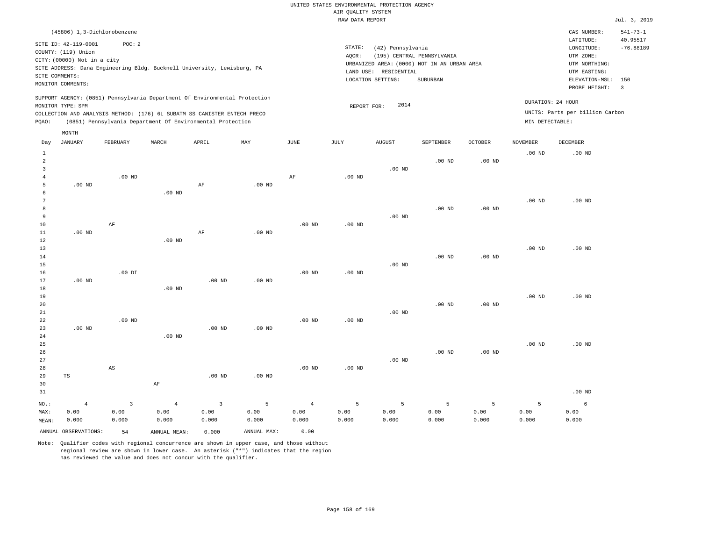|                |                             |                        |                                                                            |                   |                   |                   | RAW DATA REPORT   |                       |                                             |                   |                   |                                 | Jul. 3, 2019   |
|----------------|-----------------------------|------------------------|----------------------------------------------------------------------------|-------------------|-------------------|-------------------|-------------------|-----------------------|---------------------------------------------|-------------------|-------------------|---------------------------------|----------------|
|                | (45806) 1,3-Dichlorobenzene |                        |                                                                            |                   |                   |                   |                   |                       |                                             |                   |                   | CAS NUMBER:                     | $541 - 73 - 1$ |
|                | SITE ID: 42-119-0001        | POC: 2                 |                                                                            |                   |                   |                   |                   |                       |                                             |                   |                   | LATITUDE:                       | 40.95517       |
|                | COUNTY: (119) Union         |                        |                                                                            |                   |                   |                   | STATE:            | (42) Pennsylvania     |                                             |                   |                   | LONGITUDE:                      | $-76.88189$    |
|                | CITY: (00000) Not in a city |                        |                                                                            |                   |                   |                   | AOCR:             |                       | (195) CENTRAL PENNSYLVANIA                  |                   |                   | UTM ZONE:                       |                |
|                |                             |                        |                                                                            |                   |                   |                   |                   |                       | URBANIZED AREA: (0000) NOT IN AN URBAN AREA |                   |                   | UTM NORTHING:                   |                |
|                | SITE COMMENTS:              |                        | SITE ADDRESS: Dana Engineering Bldg. Bucknell University, Lewisburg, PA    |                   |                   |                   |                   | LAND USE: RESIDENTIAL |                                             |                   |                   | UTM EASTING:                    |                |
|                |                             |                        |                                                                            |                   |                   |                   |                   | LOCATION SETTING:     | SUBURBAN                                    |                   |                   | ELEVATION-MSL:                  | 150            |
|                | MONITOR COMMENTS:           |                        |                                                                            |                   |                   |                   |                   |                       |                                             |                   |                   | PROBE HEIGHT:                   | $\overline{3}$ |
|                |                             |                        | SUPPORT AGENCY: (0851) Pennsylvania Department Of Environmental Protection |                   |                   |                   |                   |                       |                                             |                   |                   | DURATION: 24 HOUR               |                |
|                | MONITOR TYPE: SPM           |                        |                                                                            |                   |                   |                   | REPORT FOR:       | 2014                  |                                             |                   |                   |                                 |                |
|                |                             |                        | COLLECTION AND ANALYSIS METHOD: (176) 6L SUBATM SS CANISTER ENTECH PRECO   |                   |                   |                   |                   |                       |                                             |                   |                   | UNITS: Parts per billion Carbon |                |
| PQAO:          |                             |                        | (0851) Pennsylvania Department Of Environmental Protection                 |                   |                   |                   |                   |                       |                                             |                   | MIN DETECTABLE:   |                                 |                |
|                | MONTH                       |                        |                                                                            |                   |                   |                   |                   |                       |                                             |                   |                   |                                 |                |
| Day            | <b>JANUARY</b>              | FEBRUARY               | MARCH                                                                      | APRIL             | MAY               | JUNE              | JULY              | <b>AUGUST</b>         | SEPTEMBER                                   | <b>OCTOBER</b>    | <b>NOVEMBER</b>   | <b>DECEMBER</b>                 |                |
| $\,1\,$        |                             |                        |                                                                            |                   |                   |                   |                   |                       |                                             |                   | .00 <sub>ND</sub> | .00 <sub>ND</sub>               |                |
| $\overline{a}$ |                             |                        |                                                                            |                   |                   |                   |                   |                       | $.00$ ND                                    | $.00$ ND          |                   |                                 |                |
| $\overline{3}$ |                             |                        |                                                                            |                   |                   |                   |                   | $.00$ ND              |                                             |                   |                   |                                 |                |
| 4              |                             | $.00$ ND               |                                                                            |                   |                   | AF                | .00 <sub>ND</sub> |                       |                                             |                   |                   |                                 |                |
| 5              | $.00$ ND                    |                        |                                                                            | $\rm{AF}$         | $.00$ ND          |                   |                   |                       |                                             |                   |                   |                                 |                |
| 6              |                             |                        | .00 <sub>ND</sub>                                                          |                   |                   |                   |                   |                       |                                             |                   |                   |                                 |                |
| 7              |                             |                        |                                                                            |                   |                   |                   |                   |                       |                                             |                   | .00 <sub>ND</sub> | $.00$ ND                        |                |
| 8              |                             |                        |                                                                            |                   |                   |                   |                   |                       | $.00$ ND                                    | $.00$ ND          |                   |                                 |                |
| $\overline{9}$ |                             |                        |                                                                            |                   |                   |                   |                   | $.00$ ND              |                                             |                   |                   |                                 |                |
| 10             |                             | AF                     |                                                                            |                   |                   | .00 <sub>ND</sub> | .00 <sub>ND</sub> |                       |                                             |                   |                   |                                 |                |
| $11\,$         | $.00$ ND                    |                        |                                                                            | AF                | $.00$ ND          |                   |                   |                       |                                             |                   |                   |                                 |                |
| 12             |                             |                        | $.00$ ND                                                                   |                   |                   |                   |                   |                       |                                             |                   |                   |                                 |                |
| 13             |                             |                        |                                                                            |                   |                   |                   |                   |                       |                                             |                   | .00 <sub>ND</sub> | $.00$ ND                        |                |
| 14             |                             |                        |                                                                            |                   |                   |                   |                   |                       | $.00$ ND                                    | .00 <sub>ND</sub> |                   |                                 |                |
| 15             |                             | $.00$ DI               |                                                                            |                   |                   |                   | .00 <sub>ND</sub> | .00 <sub>ND</sub>     |                                             |                   |                   |                                 |                |
| 16             |                             |                        |                                                                            |                   |                   | $.00$ ND          |                   |                       |                                             |                   |                   |                                 |                |
| 17             | $.00$ ND                    |                        | $.00$ ND                                                                   | .00 <sub>ND</sub> | .00 <sub>ND</sub> |                   |                   |                       |                                             |                   |                   |                                 |                |
| 18<br>19       |                             |                        |                                                                            |                   |                   |                   |                   |                       |                                             |                   | .00 <sub>ND</sub> | $.00$ ND                        |                |
| 20             |                             |                        |                                                                            |                   |                   |                   |                   |                       |                                             |                   |                   |                                 |                |
| 21             |                             |                        |                                                                            |                   |                   |                   |                   | $.00$ ND              | $.00$ ND                                    | .00 <sub>ND</sub> |                   |                                 |                |
| 22             |                             | $.00$ ND               |                                                                            |                   |                   | $.00$ ND          | $.00$ ND          |                       |                                             |                   |                   |                                 |                |
| 23             | $.00$ ND                    |                        |                                                                            | .00 <sub>ND</sub> | $.00$ ND          |                   |                   |                       |                                             |                   |                   |                                 |                |
| 24             |                             |                        | $.00$ ND                                                                   |                   |                   |                   |                   |                       |                                             |                   |                   |                                 |                |
| 25             |                             |                        |                                                                            |                   |                   |                   |                   |                       |                                             |                   | $.00$ ND          | $.00$ ND                        |                |
| 26             |                             |                        |                                                                            |                   |                   |                   |                   |                       | $.00$ ND                                    | $.00$ ND          |                   |                                 |                |
| 27             |                             |                        |                                                                            |                   |                   |                   |                   | $.00$ ND              |                                             |                   |                   |                                 |                |
| 28             |                             | $\mathbb{A}\mathbb{S}$ |                                                                            |                   |                   | .00 <sub>ND</sub> | .00 <sub>ND</sub> |                       |                                             |                   |                   |                                 |                |
| 29             | TS                          |                        |                                                                            | $.00$ ND          | $.00$ ND          |                   |                   |                       |                                             |                   |                   |                                 |                |
| 30             |                             |                        | AF                                                                         |                   |                   |                   |                   |                       |                                             |                   |                   |                                 |                |
| 31             |                             |                        |                                                                            |                   |                   |                   |                   |                       |                                             |                   |                   | $.00$ ND                        |                |
|                |                             |                        |                                                                            |                   |                   |                   |                   |                       |                                             |                   |                   |                                 |                |
| NO.:           | $\overline{4}$              | 3                      | $\overline{4}$                                                             | $\overline{3}$    | 5                 | $\overline{4}$    | 5                 | 5                     | 5                                           | 5                 | 5                 | 6                               |                |
| MAX:           | 0.00                        | 0.00                   | 0.00                                                                       | 0.00              | 0.00              | 0.00              | 0.00              | 0.00                  | 0.00                                        | 0.00              | 0.00              | 0.00                            |                |
| MEAN:          | 0.000                       | 0.000                  | 0.000                                                                      | 0.000             | 0.000             | 0.000             | 0.000             | 0.000                 | 0.000                                       | 0.000             | 0.000             | 0.000                           |                |
|                | ANNUAL OBSERVATIONS:        | 54                     | ANNUAL MEAN:                                                               | 0.000             | ANNUAL MAX:       | 0.00              |                   |                       |                                             |                   |                   |                                 |                |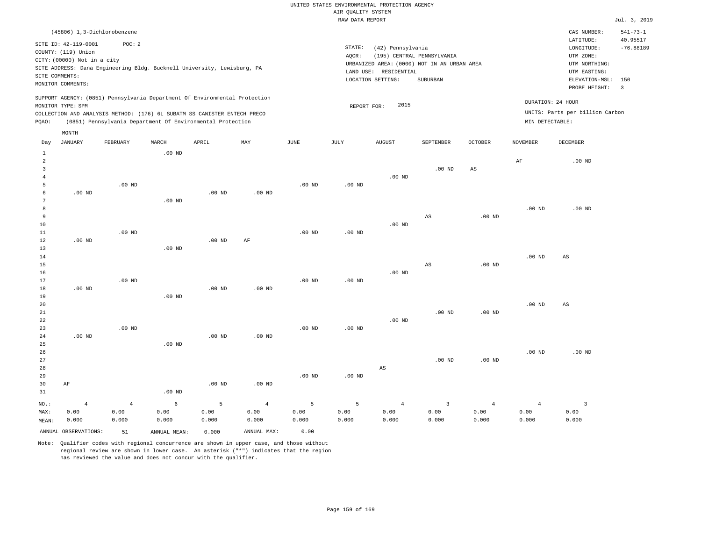|                         |                             |                                                                            |          |                   |                   |                   | RAW DATA REPORT   |                   |                                             |                   |                   |                                 | Jul. 3, 2019            |
|-------------------------|-----------------------------|----------------------------------------------------------------------------|----------|-------------------|-------------------|-------------------|-------------------|-------------------|---------------------------------------------|-------------------|-------------------|---------------------------------|-------------------------|
|                         | (45806) 1,3-Dichlorobenzene |                                                                            |          |                   |                   |                   |                   |                   |                                             |                   |                   | CAS NUMBER:                     | $541 - 73 - 1$          |
|                         | SITE ID: 42-119-0001        | POC: 2                                                                     |          |                   |                   |                   |                   |                   |                                             |                   |                   | LATITUDE:                       | 40.95517                |
|                         | COUNTY: (119) Union         |                                                                            |          |                   |                   |                   | STATE:            | (42) Pennsylvania |                                             |                   |                   | LONGITUDE:                      | $-76.88189$             |
|                         | CITY: (00000) Not in a city |                                                                            |          |                   |                   |                   | AOCR:             |                   | (195) CENTRAL PENNSYLVANIA                  |                   |                   | UTM ZONE:                       |                         |
|                         |                             | SITE ADDRESS: Dana Engineering Bldg. Bucknell University, Lewisburg, PA    |          |                   |                   |                   |                   |                   | URBANIZED AREA: (0000) NOT IN AN URBAN AREA |                   |                   | UTM NORTHING:                   |                         |
|                         | SITE COMMENTS:              |                                                                            |          |                   |                   |                   | LAND USE:         | RESIDENTIAL       |                                             |                   |                   | UTM EASTING:                    |                         |
|                         | MONITOR COMMENTS:           |                                                                            |          |                   |                   |                   |                   | LOCATION SETTING: | SUBURBAN                                    |                   |                   | ELEVATION-MSL:                  | 150                     |
|                         |                             |                                                                            |          |                   |                   |                   |                   |                   |                                             |                   |                   | PROBE HEIGHT:                   | $\overline{\mathbf{3}}$ |
|                         |                             | SUPPORT AGENCY: (0851) Pennsylvania Department Of Environmental Protection |          |                   |                   |                   |                   |                   |                                             |                   |                   | DURATION: 24 HOUR               |                         |
|                         | MONITOR TYPE: SPM           |                                                                            |          |                   |                   |                   | REPORT FOR:       | 2015              |                                             |                   |                   |                                 |                         |
|                         |                             | COLLECTION AND ANALYSIS METHOD: (176) 6L SUBATM SS CANISTER ENTECH PRECO   |          |                   |                   |                   |                   |                   |                                             |                   |                   | UNITS: Parts per billion Carbon |                         |
| PQAO:                   |                             | (0851) Pennsylvania Department Of Environmental Protection                 |          |                   |                   |                   |                   |                   |                                             |                   | MIN DETECTABLE:   |                                 |                         |
|                         | MONTH                       |                                                                            |          |                   |                   |                   |                   |                   |                                             |                   |                   |                                 |                         |
| Day                     | JANUARY                     | FEBRUARY                                                                   | MARCH    | APRIL             | MAY               | JUNE              | JULY              | <b>AUGUST</b>     | SEPTEMBER                                   | <b>OCTOBER</b>    | NOVEMBER          | DECEMBER                        |                         |
| $\,1\,$                 |                             |                                                                            | $.00$ ND |                   |                   |                   |                   |                   |                                             |                   |                   |                                 |                         |
| 2                       |                             |                                                                            |          |                   |                   |                   |                   |                   |                                             |                   | $\rm{AF}$         | .00 <sub>ND</sub>               |                         |
| $\overline{\mathbf{3}}$ |                             |                                                                            |          |                   |                   |                   |                   |                   | $.00$ ND                                    | $_{\rm AS}$       |                   |                                 |                         |
| $\overline{4}$          |                             |                                                                            |          |                   |                   |                   |                   | $.00$ ND          |                                             |                   |                   |                                 |                         |
| 5                       |                             | $.00$ ND                                                                   |          |                   |                   | .00 <sub>ND</sub> | .00 <sub>ND</sub> |                   |                                             |                   |                   |                                 |                         |
| 6                       | $.00$ ND                    |                                                                            |          | $.00$ ND          | $.00$ ND          |                   |                   |                   |                                             |                   |                   |                                 |                         |
| $7\phantom{.0}$         |                             |                                                                            | $.00$ ND |                   |                   |                   |                   |                   |                                             |                   |                   |                                 |                         |
| 8                       |                             |                                                                            |          |                   |                   |                   |                   |                   |                                             |                   | .00 <sub>ND</sub> | $.00$ ND                        |                         |
| 9                       |                             |                                                                            |          |                   |                   |                   |                   |                   | AS                                          | .00 <sub>ND</sub> |                   |                                 |                         |
| 10                      |                             |                                                                            |          |                   |                   |                   |                   | $.00$ ND          |                                             |                   |                   |                                 |                         |
| 11                      |                             | $.00$ ND                                                                   |          |                   |                   | .00 <sub>ND</sub> | .00 <sub>ND</sub> |                   |                                             |                   |                   |                                 |                         |
| 12<br>13                | $.00$ ND                    |                                                                            |          | $.00$ ND          | AF                |                   |                   |                   |                                             |                   |                   |                                 |                         |
| 14                      |                             |                                                                            | $.00$ ND |                   |                   |                   |                   |                   |                                             |                   | .00 <sub>ND</sub> | AS                              |                         |
| 15                      |                             |                                                                            |          |                   |                   |                   |                   |                   | AS                                          | .00 <sub>ND</sub> |                   |                                 |                         |
| 16                      |                             |                                                                            |          |                   |                   |                   |                   | .00 <sub>ND</sub> |                                             |                   |                   |                                 |                         |
| 17                      |                             | $.00$ ND                                                                   |          |                   |                   | .00 <sub>ND</sub> | .00 <sub>ND</sub> |                   |                                             |                   |                   |                                 |                         |
| $1\,8$                  | $.00$ ND                    |                                                                            |          | .00 <sub>ND</sub> | .00 <sub>ND</sub> |                   |                   |                   |                                             |                   |                   |                                 |                         |
| 19                      |                             |                                                                            | $.00$ ND |                   |                   |                   |                   |                   |                                             |                   |                   |                                 |                         |
| 20                      |                             |                                                                            |          |                   |                   |                   |                   |                   |                                             |                   | .00 <sub>ND</sub> | $_{\rm AS}$                     |                         |
| 21                      |                             |                                                                            |          |                   |                   |                   |                   |                   | $.00$ ND                                    | .00 <sub>ND</sub> |                   |                                 |                         |
| 22                      |                             |                                                                            |          |                   |                   |                   |                   | $.00$ ND          |                                             |                   |                   |                                 |                         |
| 23                      |                             | $.00$ ND                                                                   |          |                   |                   | $.00$ ND          | $.00$ ND          |                   |                                             |                   |                   |                                 |                         |
| 24                      | $.00$ ND                    |                                                                            |          | .00 <sub>ND</sub> | $.00$ ND          |                   |                   |                   |                                             |                   |                   |                                 |                         |
| 25                      |                             |                                                                            | $.00$ ND |                   |                   |                   |                   |                   |                                             |                   |                   |                                 |                         |
| 26                      |                             |                                                                            |          |                   |                   |                   |                   |                   |                                             |                   | .00 <sub>ND</sub> | $.00$ ND                        |                         |
| 27                      |                             |                                                                            |          |                   |                   |                   |                   |                   | $.00$ ND                                    | .00 <sub>ND</sub> |                   |                                 |                         |
| 28                      |                             |                                                                            |          |                   |                   |                   |                   | AS                |                                             |                   |                   |                                 |                         |
| 29                      |                             |                                                                            |          |                   |                   | $.00$ ND          | $.00$ ND          |                   |                                             |                   |                   |                                 |                         |
| 30                      | AF                          |                                                                            |          | $.00$ ND          | $.00$ ND          |                   |                   |                   |                                             |                   |                   |                                 |                         |
| 31                      |                             |                                                                            | $.00$ ND |                   |                   |                   |                   |                   |                                             |                   |                   |                                 |                         |
| NO.:                    | $\overline{4}$              | $\overline{4}$                                                             | 6        | 5                 | $\overline{4}$    | 5                 | 5                 | $\overline{4}$    | $\overline{3}$                              | $\overline{4}$    | $\overline{4}$    | $\overline{3}$                  |                         |
| MAX:                    | 0.00                        | 0.00                                                                       | 0.00     | 0.00              | 0.00              | 0.00              | 0.00              | 0.00              | 0.00                                        | 0.00              | 0.00              | 0.00                            |                         |
| MEAN:                   | 0.000                       | 0.000                                                                      | 0.000    | 0.000             | 0.000             | 0.000             | 0.000             | 0.000             | 0.000                                       | 0.000             | 0.000             | 0.000                           |                         |

ANNUAL OBSERVATIONS: 51 ANNUAL MEAN: 0.000 ANNUAL MAX: 0.00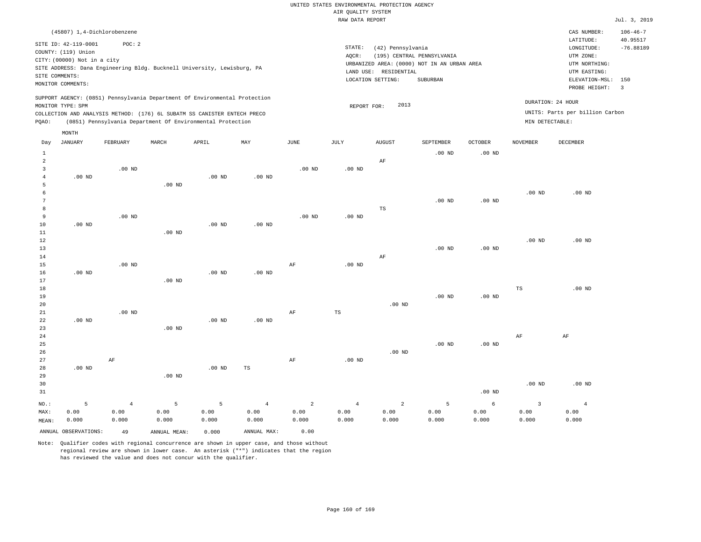|                                |                                                                                                                   |                |          |                                                                                                                                        |                   |           | RAW DATA REPORT |                                                                 |                                                                                       |                   |                   |                                                                                                          | Jul. 3, 2019                                              |
|--------------------------------|-------------------------------------------------------------------------------------------------------------------|----------------|----------|----------------------------------------------------------------------------------------------------------------------------------------|-------------------|-----------|-----------------|-----------------------------------------------------------------|---------------------------------------------------------------------------------------|-------------------|-------------------|----------------------------------------------------------------------------------------------------------|-----------------------------------------------------------|
|                                | (45807) 1,4-Dichlorobenzene                                                                                       |                |          |                                                                                                                                        |                   |           |                 |                                                                 |                                                                                       |                   |                   | CAS NUMBER:                                                                                              | $106 - 46 - 7$                                            |
|                                | SITE ID: 42-119-0001<br>COUNTY: (119) Union<br>CITY: (00000) Not in a city<br>SITE COMMENTS:<br>MONITOR COMMENTS: | POC: 2         |          | SITE ADDRESS: Dana Engineering Bldg. Bucknell University, Lewisburg, PA                                                                |                   |           | STATE:<br>AQCR: | (42) Pennsylvania<br>LAND USE: RESIDENTIAL<br>LOCATION SETTING: | (195) CENTRAL PENNSYLVANIA<br>URBANIZED AREA: (0000) NOT IN AN URBAN AREA<br>SUBURBAN |                   |                   | LATITUDE:<br>LONGITUDE:<br>UTM ZONE:<br>UTM NORTHING:<br>UTM EASTING:<br>ELEVATION-MSL:<br>PROBE HEIGHT: | 40.95517<br>$-76.88189$<br>150<br>$\overline{\mathbf{3}}$ |
|                                |                                                                                                                   |                |          | SUPPORT AGENCY: (0851) Pennsylvania Department Of Environmental Protection                                                             |                   |           |                 |                                                                 |                                                                                       |                   |                   | DURATION: 24 HOUR                                                                                        |                                                           |
| PQAO:                          | MONITOR TYPE: SPM                                                                                                 |                |          | COLLECTION AND ANALYSIS METHOD: (176) 6L SUBATM SS CANISTER ENTECH PRECO<br>(0851) Pennsylvania Department Of Environmental Protection |                   |           | REPORT FOR:     | 2013                                                            |                                                                                       |                   | MIN DETECTABLE:   | UNITS: Parts per billion Carbon                                                                          |                                                           |
|                                | MONTH                                                                                                             |                |          |                                                                                                                                        |                   |           |                 |                                                                 |                                                                                       |                   |                   |                                                                                                          |                                                           |
| Day                            | <b>JANUARY</b>                                                                                                    | FEBRUARY       | MARCH    | APRIL                                                                                                                                  | MAY               | JUNE      | JULY            | <b>AUGUST</b>                                                   | SEPTEMBER                                                                             | OCTOBER           | <b>NOVEMBER</b>   | <b>DECEMBER</b>                                                                                          |                                                           |
| $\mathbf{1}$<br>$\overline{a}$ |                                                                                                                   |                |          |                                                                                                                                        |                   |           |                 | AF                                                              | .00 <sub>ND</sub>                                                                     | .00 <sub>ND</sub> |                   |                                                                                                          |                                                           |
| 3<br>$\overline{4}$            | $.00$ ND                                                                                                          | $.00$ ND       |          | $.00$ ND                                                                                                                               | .00 <sub>ND</sub> | $.00$ ND  | $.00$ ND        |                                                                 |                                                                                       |                   |                   |                                                                                                          |                                                           |
| 5<br>6                         |                                                                                                                   |                | $.00$ ND |                                                                                                                                        |                   |           |                 |                                                                 |                                                                                       |                   | .00 $ND$          | $.00$ ND                                                                                                 |                                                           |
| $7\phantom{.0}$                |                                                                                                                   |                |          |                                                                                                                                        |                   |           |                 |                                                                 | $.00$ ND                                                                              | .00 <sub>ND</sub> |                   |                                                                                                          |                                                           |
| 8<br>9                         |                                                                                                                   | $.00$ ND       |          |                                                                                                                                        |                   | $.00$ ND  | $.00$ ND        | $\mathbb{TS}$                                                   |                                                                                       |                   |                   |                                                                                                          |                                                           |
| 10                             | $.00$ ND                                                                                                          |                |          | $.00$ ND                                                                                                                               | $.00$ ND          |           |                 |                                                                 |                                                                                       |                   |                   |                                                                                                          |                                                           |
| 11<br>12                       |                                                                                                                   |                | $.00$ ND |                                                                                                                                        |                   |           |                 |                                                                 |                                                                                       |                   | .00 <sub>ND</sub> | $.00$ ND                                                                                                 |                                                           |
| 13                             |                                                                                                                   |                |          |                                                                                                                                        |                   |           |                 |                                                                 | $.00$ ND                                                                              | $.00$ ND          |                   |                                                                                                          |                                                           |
| 14<br>15                       |                                                                                                                   | $.00$ ND       |          |                                                                                                                                        |                   | AF        | $.00$ ND        | $\rm AF$                                                        |                                                                                       |                   |                   |                                                                                                          |                                                           |
| 16                             | $.00$ ND                                                                                                          |                |          | $.00$ ND                                                                                                                               | $.00$ ND          |           |                 |                                                                 |                                                                                       |                   |                   |                                                                                                          |                                                           |
| 17<br>18                       |                                                                                                                   |                | $.00$ ND |                                                                                                                                        |                   |           |                 |                                                                 |                                                                                       |                   | TS                | $.00$ ND                                                                                                 |                                                           |
| 19                             |                                                                                                                   |                |          |                                                                                                                                        |                   |           |                 |                                                                 | $.00$ ND                                                                              | $.00$ ND          |                   |                                                                                                          |                                                           |
| 20                             |                                                                                                                   |                |          |                                                                                                                                        |                   |           |                 | $.00$ ND                                                        |                                                                                       |                   |                   |                                                                                                          |                                                           |
| 21<br>22                       | $.00$ ND                                                                                                          | $.00$ ND       |          | $.00$ ND                                                                                                                               | $.00$ ND          | $\rm{AF}$ | TS              |                                                                 |                                                                                       |                   |                   |                                                                                                          |                                                           |
| 23                             |                                                                                                                   |                | $.00$ ND |                                                                                                                                        |                   |           |                 |                                                                 |                                                                                       |                   |                   |                                                                                                          |                                                           |
| 24<br>25                       |                                                                                                                   |                |          |                                                                                                                                        |                   |           |                 |                                                                 | $.00$ ND                                                                              | .00 <sub>ND</sub> | AF                | AF                                                                                                       |                                                           |
| 26                             |                                                                                                                   |                |          |                                                                                                                                        |                   |           |                 | $.00$ ND                                                        |                                                                                       |                   |                   |                                                                                                          |                                                           |
| 27<br>28                       | $.00$ ND                                                                                                          | AF             |          | $.00$ ND                                                                                                                               | TS                | AF        | $.00$ ND        |                                                                 |                                                                                       |                   |                   |                                                                                                          |                                                           |
| 29                             |                                                                                                                   |                | $.00$ ND |                                                                                                                                        |                   |           |                 |                                                                 |                                                                                       |                   |                   |                                                                                                          |                                                           |
| 30<br>31                       |                                                                                                                   |                |          |                                                                                                                                        |                   |           |                 |                                                                 |                                                                                       | .00 <sub>ND</sub> | .00 <sub>ND</sub> | $.00$ ND                                                                                                 |                                                           |
| NO.:                           | 5                                                                                                                 | $\overline{4}$ | 5        | 5                                                                                                                                      | 4                 | 2         | $\overline{4}$  | $\overline{a}$                                                  | -5                                                                                    | 6                 | $\overline{3}$    | $\overline{4}$                                                                                           |                                                           |

ANNUAL OBSERVATIONS: 49 ANNUAL MEAN: 0.000 ANNUAL MAX: 0.00

 0.00 0.000

MAX: MEAN:  0.00 0.000

 0.00 0.000

Note: Qualifier codes with regional concurrence are shown in upper case, and those without regional review are shown in lower case. An asterisk ("\*") indicates that the region has reviewed the value and does not concur with the qualifier.

 0.00 0.000  0.00 0.000  0.00 0.000  0.00 0.000  0.00 0.000  0.00 0.000  0.00 0.000

 0.00 0.000  0.00 0.000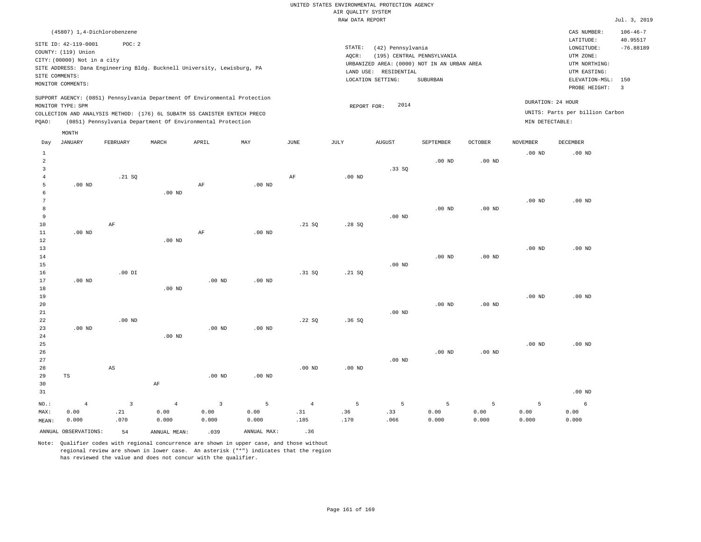|                                |                             |                |                   |                                                                            |                   |                   | RAW DATA REPORT   |                       |                                             |                   |                   |                                 | Jul. 3, 2019   |
|--------------------------------|-----------------------------|----------------|-------------------|----------------------------------------------------------------------------|-------------------|-------------------|-------------------|-----------------------|---------------------------------------------|-------------------|-------------------|---------------------------------|----------------|
|                                | (45807) 1,4-Dichlorobenzene |                |                   |                                                                            |                   |                   |                   |                       |                                             |                   |                   | CAS NUMBER:                     | $106 - 46 - 7$ |
|                                | SITE ID: 42-119-0001        | POC: 2         |                   |                                                                            |                   |                   |                   |                       |                                             |                   |                   | LATITUDE:                       | 40.95517       |
|                                | COUNTY: (119) Union         |                |                   |                                                                            |                   |                   | STATE:            | (42) Pennsylvania     |                                             |                   |                   | LONGITUDE:                      | $-76.88189$    |
|                                | CITY: (00000) Not in a city |                |                   |                                                                            |                   |                   | AOCR:             |                       | (195) CENTRAL PENNSYLVANIA                  |                   |                   | UTM ZONE:                       |                |
|                                |                             |                |                   | SITE ADDRESS: Dana Engineering Bldg. Bucknell University, Lewisburg, PA    |                   |                   |                   |                       | URBANIZED AREA: (0000) NOT IN AN URBAN AREA |                   |                   | UTM NORTHING:                   |                |
| SITE COMMENTS:                 |                             |                |                   |                                                                            |                   |                   |                   | LAND USE: RESIDENTIAL |                                             |                   |                   | UTM EASTING:                    |                |
|                                | MONITOR COMMENTS:           |                |                   |                                                                            |                   |                   |                   | LOCATION SETTING:     | SUBURBAN                                    |                   |                   | ELEVATION-MSL:                  | 150            |
|                                |                             |                |                   |                                                                            |                   |                   |                   |                       |                                             |                   |                   | PROBE HEIGHT:                   | $\overline{3}$ |
|                                |                             |                |                   | SUPPORT AGENCY: (0851) Pennsylvania Department Of Environmental Protection |                   |                   |                   |                       |                                             |                   |                   | DURATION: 24 HOUR               |                |
|                                | MONITOR TYPE: SPM           |                |                   |                                                                            |                   |                   | REPORT FOR:       | 2014                  |                                             |                   |                   | UNITS: Parts per billion Carbon |                |
|                                |                             |                |                   | COLLECTION AND ANALYSIS METHOD: (176) 6L SUBATM SS CANISTER ENTECH PRECO   |                   |                   |                   |                       |                                             |                   | MIN DETECTABLE:   |                                 |                |
| PQAO:                          |                             |                |                   | (0851) Pennsylvania Department Of Environmental Protection                 |                   |                   |                   |                       |                                             |                   |                   |                                 |                |
| Day                            | MONTH<br><b>JANUARY</b>     | FEBRUARY       | MARCH             | APRIL                                                                      | MAY               | <b>JUNE</b>       | JULY              | <b>AUGUST</b>         | SEPTEMBER                                   | <b>OCTOBER</b>    | <b>NOVEMBER</b>   | <b>DECEMBER</b>                 |                |
|                                |                             |                |                   |                                                                            |                   |                   |                   |                       |                                             |                   |                   |                                 |                |
| $\mathbf{1}$<br>$\overline{a}$ |                             |                |                   |                                                                            |                   |                   |                   |                       | .00 <sub>ND</sub>                           | .00 <sub>ND</sub> | .00 <sub>ND</sub> | $.00$ ND                        |                |
| $\overline{3}$                 |                             |                |                   |                                                                            |                   |                   |                   | .33SQ                 |                                             |                   |                   |                                 |                |
| $\overline{4}$                 |                             | .21 SQ         |                   |                                                                            |                   | AF                | $.00$ ND          |                       |                                             |                   |                   |                                 |                |
| 5                              | $.00$ ND                    |                |                   | AF                                                                         | $.00$ ND          |                   |                   |                       |                                             |                   |                   |                                 |                |
| 6                              |                             |                | $.00$ ND          |                                                                            |                   |                   |                   |                       |                                             |                   |                   |                                 |                |
| 7                              |                             |                |                   |                                                                            |                   |                   |                   |                       |                                             |                   | .00 <sub>ND</sub> | $.00$ ND                        |                |
| 8                              |                             |                |                   |                                                                            |                   |                   |                   |                       | .00 <sub>ND</sub>                           | .00 <sub>ND</sub> |                   |                                 |                |
| 9                              |                             |                |                   |                                                                            |                   |                   |                   | $.00$ ND              |                                             |                   |                   |                                 |                |
| $10$                           |                             | AF             |                   |                                                                            |                   | .21 SQ            | .28SQ             |                       |                                             |                   |                   |                                 |                |
| 11                             | $.00$ ND                    |                |                   | $\rm AF$                                                                   | $.00$ ND          |                   |                   |                       |                                             |                   |                   |                                 |                |
| 12                             |                             |                | $.00$ ND          |                                                                            |                   |                   |                   |                       |                                             |                   |                   |                                 |                |
| 13                             |                             |                |                   |                                                                            |                   |                   |                   |                       |                                             |                   | .00 <sub>ND</sub> | $.00$ ND                        |                |
| 14                             |                             |                |                   |                                                                            |                   |                   |                   |                       | $.00$ ND                                    | .00 <sub>ND</sub> |                   |                                 |                |
| 15                             |                             |                |                   |                                                                            |                   |                   |                   | $.00$ ND              |                                             |                   |                   |                                 |                |
| 16                             |                             | $.00$ DI       |                   |                                                                            |                   | .31 SQ            | .21 SQ            |                       |                                             |                   |                   |                                 |                |
| 17                             | $.00$ ND                    |                |                   | $.00$ ND                                                                   | $.00$ ND          |                   |                   |                       |                                             |                   |                   |                                 |                |
| 18                             |                             |                | .00 <sub>ND</sub> |                                                                            |                   |                   |                   |                       |                                             |                   |                   |                                 |                |
| 19                             |                             |                |                   |                                                                            |                   |                   |                   |                       |                                             |                   | $.00$ ND          | $.00$ ND                        |                |
| 20                             |                             |                |                   |                                                                            |                   |                   |                   |                       | $.00$ ND                                    | .00 <sub>ND</sub> |                   |                                 |                |
| 21                             |                             |                |                   |                                                                            |                   |                   |                   | $.00$ ND              |                                             |                   |                   |                                 |                |
| 22                             |                             | $.00$ ND       |                   |                                                                            |                   | .22 SQ            | .36SQ             |                       |                                             |                   |                   |                                 |                |
| 23                             | $.00$ ND                    |                |                   | $.00$ ND                                                                   | $.00$ ND          |                   |                   |                       |                                             |                   |                   |                                 |                |
| 24                             |                             |                | .00 <sub>ND</sub> |                                                                            |                   |                   |                   |                       |                                             |                   |                   |                                 |                |
| 25                             |                             |                |                   |                                                                            |                   |                   |                   |                       |                                             |                   | .00 <sub>ND</sub> | $.00$ ND                        |                |
| 26                             |                             |                |                   |                                                                            |                   |                   |                   |                       | $.00$ ND                                    | $.00$ ND          |                   |                                 |                |
| 27<br>28                       |                             | $_{\rm AS}$    |                   |                                                                            |                   | .00 <sub>ND</sub> | .00 <sub>ND</sub> | $.00$ ND              |                                             |                   |                   |                                 |                |
|                                |                             |                |                   |                                                                            |                   |                   |                   |                       |                                             |                   |                   |                                 |                |
| 29                             | TS                          |                |                   | $.00$ ND                                                                   | .00 <sub>ND</sub> |                   |                   |                       |                                             |                   |                   |                                 |                |
| 30<br>31                       |                             |                | $\rm{AF}$         |                                                                            |                   |                   |                   |                       |                                             |                   |                   | $.00$ ND                        |                |
|                                |                             |                |                   |                                                                            |                   |                   |                   |                       |                                             |                   |                   |                                 |                |
| $NO.$ :                        | $\overline{4}$              | $\overline{3}$ | $\overline{4}$    | $\overline{3}$                                                             | $\overline{5}$    | $\overline{4}$    | 5                 | 5                     | 5                                           | 5                 | 5                 | 6                               |                |
| MAX:                           | 0.00                        | .21            | 0.00              | 0.00                                                                       | 0.00              | .31               | .36               | .33                   | 0.00                                        | 0.00              | 0.00              | 0.00                            |                |
| MEAN:                          | 0.000                       | .070           | 0.000             | 0.000                                                                      | 0.000             | .185              | .170              | .066                  | 0.000                                       | 0.000             | 0.000             | 0.000                           |                |
|                                | ANNUAL OBSERVATIONS:        | 54             | ANNUAL MEAN:      | .039                                                                       | ANNUAL MAX:       | .36               |                   |                       |                                             |                   |                   |                                 |                |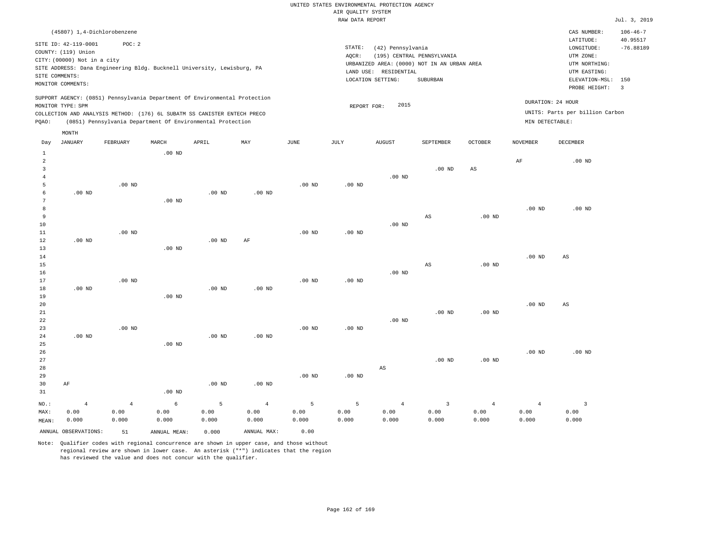|                     |                             |                                                                            |                   |          |                   |                   | RAW DATA REPORT   |                                             |                            |                   |                   |                                 | Jul. 3, 2019          |
|---------------------|-----------------------------|----------------------------------------------------------------------------|-------------------|----------|-------------------|-------------------|-------------------|---------------------------------------------|----------------------------|-------------------|-------------------|---------------------------------|-----------------------|
|                     |                             | (45807) 1,4-Dichlorobenzene                                                |                   |          |                   |                   |                   |                                             |                            |                   |                   | CAS NUMBER:                     | $106 - 46 - 7$        |
|                     | SITE ID: 42-119-0001        | POC: 2                                                                     |                   |          |                   |                   |                   |                                             |                            |                   |                   | LATITUDE:                       | 40.95517              |
|                     | COUNTY: (119) Union         |                                                                            |                   |          |                   |                   | STATE:            | (42) Pennsylvania                           |                            |                   |                   | LONGITUDE:                      | $-76.88189$           |
|                     | CITY: (00000) Not in a city |                                                                            |                   |          |                   |                   | AQCR:             |                                             | (195) CENTRAL PENNSYLVANIA |                   |                   | UTM ZONE:                       |                       |
|                     |                             | SITE ADDRESS: Dana Engineering Bldg. Bucknell University, Lewisburg, PA    |                   |          |                   |                   |                   | URBANIZED AREA: (0000) NOT IN AN URBAN AREA |                            |                   |                   | UTM NORTHING:                   |                       |
|                     | SITE COMMENTS:              |                                                                            |                   |          |                   |                   |                   | LAND USE: RESIDENTIAL                       |                            |                   |                   | UTM EASTING:                    |                       |
|                     | MONITOR COMMENTS:           |                                                                            |                   |          |                   |                   |                   | LOCATION SETTING:                           | SUBURBAN                   |                   |                   | ELEVATION-MSL:<br>PROBE HEIGHT: | 150<br>$\overline{3}$ |
|                     |                             | SUPPORT AGENCY: (0851) Pennsylvania Department Of Environmental Protection |                   |          |                   |                   |                   |                                             |                            |                   |                   |                                 |                       |
|                     | MONITOR TYPE: SPM           |                                                                            |                   |          |                   |                   | REPORT FOR:       | 2015                                        |                            |                   |                   | DURATION: 24 HOUR               |                       |
|                     |                             | COLLECTION AND ANALYSIS METHOD: (176) 6L SUBATM SS CANISTER ENTECH PRECO   |                   |          |                   |                   |                   |                                             |                            |                   |                   | UNITS: Parts per billion Carbon |                       |
| PQAO:               |                             | (0851) Pennsylvania Department Of Environmental Protection                 |                   |          |                   |                   |                   |                                             |                            |                   | MIN DETECTABLE:   |                                 |                       |
|                     | MONTH                       |                                                                            |                   |          |                   |                   |                   |                                             |                            |                   |                   |                                 |                       |
| Day                 | <b>JANUARY</b>              | FEBRUARY                                                                   | MARCH             | APRIL    | MAY               | JUNE              | JULY              | <b>AUGUST</b>                               | SEPTEMBER                  | <b>OCTOBER</b>    | NOVEMBER          | DECEMBER                        |                       |
| $\mathbf{1}$        |                             |                                                                            | $.00$ ND          |          |                   |                   |                   |                                             |                            |                   |                   |                                 |                       |
| $\overline{a}$      |                             |                                                                            |                   |          |                   |                   |                   |                                             |                            |                   | $\rm AF$          | $.00$ ND                        |                       |
| $\overline{3}$      |                             |                                                                            |                   |          |                   |                   |                   |                                             | $.00$ ND                   | $_{\rm AS}$       |                   |                                 |                       |
| $\overline{4}$      |                             |                                                                            |                   |          |                   |                   |                   | $.00$ ND                                    |                            |                   |                   |                                 |                       |
| 5                   |                             | $.00$ ND                                                                   |                   |          |                   | $.00$ ND          | $.00$ ND          |                                             |                            |                   |                   |                                 |                       |
| 6                   | $.00$ ND                    |                                                                            |                   | $.00$ ND | $.00$ ND          |                   |                   |                                             |                            |                   |                   |                                 |                       |
| $\overline{7}$<br>8 |                             |                                                                            | .00 <sub>ND</sub> |          |                   |                   |                   |                                             |                            |                   |                   | $.00$ ND                        |                       |
| 9                   |                             |                                                                            |                   |          |                   |                   |                   |                                             | $\mathbb{A}\mathbb{S}$     | .00 <sub>ND</sub> | .00 <sub>ND</sub> |                                 |                       |
| 10                  |                             |                                                                            |                   |          |                   |                   |                   | $.00$ ND                                    |                            |                   |                   |                                 |                       |
| $1\,1$              |                             | $.00$ ND                                                                   |                   |          |                   | $.00$ ND          | $.00$ ND          |                                             |                            |                   |                   |                                 |                       |
| $1\,2$              | $.00$ ND                    |                                                                            |                   | $.00$ ND | $\rm AF$          |                   |                   |                                             |                            |                   |                   |                                 |                       |
| 13                  |                             |                                                                            | $.00$ ND          |          |                   |                   |                   |                                             |                            |                   |                   |                                 |                       |
| 14                  |                             |                                                                            |                   |          |                   |                   |                   |                                             |                            |                   | .00 <sub>ND</sub> | AS                              |                       |
| 15                  |                             |                                                                            |                   |          |                   |                   |                   |                                             | AS                         | .00 <sub>ND</sub> |                   |                                 |                       |
| 16                  |                             |                                                                            |                   |          |                   |                   |                   | $.00$ ND                                    |                            |                   |                   |                                 |                       |
| $17$                |                             | $.00$ ND                                                                   |                   |          |                   | .00 <sub>ND</sub> | .00 <sub>ND</sub> |                                             |                            |                   |                   |                                 |                       |
| 18                  | $.00$ ND                    |                                                                            |                   | $.00$ ND | $.00$ ND          |                   |                   |                                             |                            |                   |                   |                                 |                       |
| 19                  |                             |                                                                            | $.00$ ND          |          |                   |                   |                   |                                             |                            |                   |                   |                                 |                       |
| 20                  |                             |                                                                            |                   |          |                   |                   |                   |                                             |                            |                   | .00 <sub>ND</sub> | AS                              |                       |
| 21                  |                             |                                                                            |                   |          |                   |                   |                   |                                             | .00 <sub>ND</sub>          | .00 <sub>ND</sub> |                   |                                 |                       |
| 22                  |                             |                                                                            |                   |          |                   |                   |                   | $.00$ ND                                    |                            |                   |                   |                                 |                       |
| 23<br>24            | $.00$ ND                    | $.00$ ND                                                                   |                   | $.00$ ND | $.00$ ND          | $.00$ ND          | $.00$ ND          |                                             |                            |                   |                   |                                 |                       |
| 25                  |                             |                                                                            | $.00$ ND          |          |                   |                   |                   |                                             |                            |                   |                   |                                 |                       |
| 26                  |                             |                                                                            |                   |          |                   |                   |                   |                                             |                            |                   | .00 <sub>ND</sub> | $.00$ ND                        |                       |
| 27                  |                             |                                                                            |                   |          |                   |                   |                   |                                             | .00 <sub>ND</sub>          | .00 <sub>ND</sub> |                   |                                 |                       |
| 28                  |                             |                                                                            |                   |          |                   |                   |                   | AS                                          |                            |                   |                   |                                 |                       |
| 29                  |                             |                                                                            |                   |          |                   | $.00$ ND          | .00 <sub>ND</sub> |                                             |                            |                   |                   |                                 |                       |
| 30                  | AF                          |                                                                            |                   | $.00$ ND | .00 <sub>ND</sub> |                   |                   |                                             |                            |                   |                   |                                 |                       |
| 31                  |                             |                                                                            | .00 <sub>ND</sub> |          |                   |                   |                   |                                             |                            |                   |                   |                                 |                       |
| $NO.$ :             | $\overline{4}$              | $\overline{4}$                                                             | $\epsilon$        | 5        | $\overline{4}$    | 5                 | 5                 | $\overline{4}$                              | $\overline{3}$             | $\overline{4}$    | $\overline{4}$    | $\overline{\mathbf{3}}$         |                       |
| MAX:                | 0.00                        | 0.00                                                                       | 0.00              | 0.00     | 0.00              | 0.00              | 0.00              | 0.00                                        | 0.00                       | 0.00              | 0.00              | 0.00                            |                       |
| MEAN:               | 0.000                       | 0.000                                                                      | 0.000             | 0.000    | 0.000             | 0.000             | 0.000             | 0.000                                       | 0.000                      | 0.000             | 0.000             | 0.000                           |                       |

Note: Qualifier codes with regional concurrence are shown in upper case, and those without regional review are shown in lower case. An asterisk ("\*") indicates that the region has reviewed the value and does not concur with the qualifier.

ANNUAL OBSERVATIONS: 51 ANNUAL MEAN: 0.000 ANNUAL MAX: 0.00

MEAN: 0.000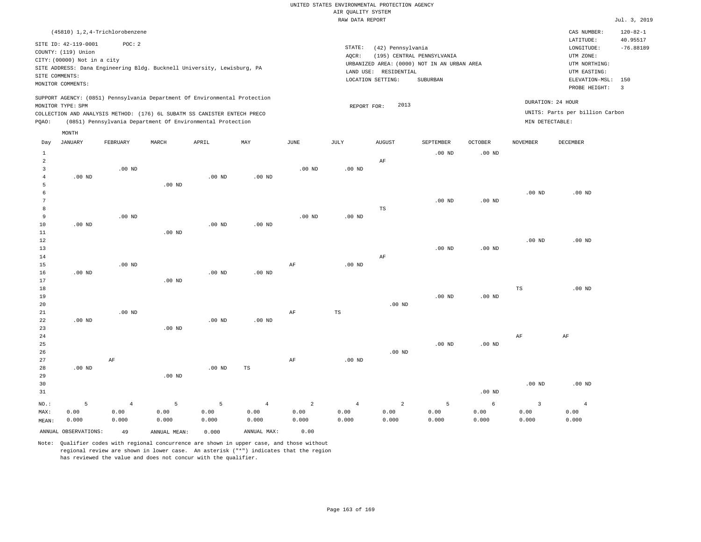|                 |                             |                                                                            |                   |                   |                   |                       | RAW DATA REPORT |                       |                                             |                   |                         |                                 | Jul. 3, 2019   |
|-----------------|-----------------------------|----------------------------------------------------------------------------|-------------------|-------------------|-------------------|-----------------------|-----------------|-----------------------|---------------------------------------------|-------------------|-------------------------|---------------------------------|----------------|
|                 |                             | (45810) 1, 2, 4-Trichlorobenzene                                           |                   |                   |                   |                       |                 |                       |                                             |                   |                         | CAS NUMBER:                     | $120 - 82 - 1$ |
|                 |                             |                                                                            |                   |                   |                   |                       |                 |                       |                                             |                   |                         | LATITUDE:                       | 40.95517       |
|                 | SITE ID: 42-119-0001        | POC: 2                                                                     |                   |                   |                   |                       | STATE:          | (42) Pennsylvania     |                                             |                   |                         | LONGITUDE:                      | $-76.88189$    |
|                 | COUNTY: (119) Union         |                                                                            |                   |                   |                   |                       | AQCR:           |                       | (195) CENTRAL PENNSYLVANIA                  |                   |                         | UTM ZONE:                       |                |
|                 | CITY: (00000) Not in a city |                                                                            |                   |                   |                   |                       |                 |                       | URBANIZED AREA: (0000) NOT IN AN URBAN AREA |                   |                         | UTM NORTHING:                   |                |
|                 |                             | SITE ADDRESS: Dana Engineering Bldg. Bucknell University, Lewisburg, PA    |                   |                   |                   |                       |                 | LAND USE: RESIDENTIAL |                                             |                   |                         | UTM EASTING:                    |                |
|                 | SITE COMMENTS:              |                                                                            |                   |                   |                   |                       |                 | LOCATION SETTING:     | SUBURBAN                                    |                   |                         | ELEVATION-MSL:                  | 150            |
|                 | MONITOR COMMENTS:           |                                                                            |                   |                   |                   |                       |                 |                       |                                             |                   |                         | PROBE HEIGHT:                   | $\overline{3}$ |
|                 |                             | SUPPORT AGENCY: (0851) Pennsylvania Department Of Environmental Protection |                   |                   |                   |                       |                 |                       |                                             |                   |                         |                                 |                |
|                 | MONITOR TYPE: SPM           |                                                                            |                   |                   |                   |                       | REPORT FOR:     | 2013                  |                                             |                   |                         | DURATION: 24 HOUR               |                |
|                 |                             | COLLECTION AND ANALYSIS METHOD: (176) 6L SUBATM SS CANISTER ENTECH PRECO   |                   |                   |                   |                       |                 |                       |                                             |                   |                         | UNITS: Parts per billion Carbon |                |
| POAO:           |                             | (0851) Pennsylvania Department Of Environmental Protection                 |                   |                   |                   |                       |                 |                       |                                             |                   | MIN DETECTABLE:         |                                 |                |
|                 | MONTH                       |                                                                            |                   |                   |                   |                       |                 |                       |                                             |                   |                         |                                 |                |
| Day             | <b>JANUARY</b>              | FEBRUARY                                                                   | MARCH             | APRIL             | MAY               | $\operatorname{JUNE}$ | <b>JULY</b>     | <b>AUGUST</b>         | SEPTEMBER                                   | <b>OCTOBER</b>    | <b>NOVEMBER</b>         | <b>DECEMBER</b>                 |                |
| $\mathbf{1}$    |                             |                                                                            |                   |                   |                   |                       |                 |                       | $.00$ ND                                    | .00 <sub>ND</sub> |                         |                                 |                |
| 2               |                             |                                                                            |                   |                   |                   |                       |                 | AF                    |                                             |                   |                         |                                 |                |
| $\overline{3}$  |                             | $.00$ ND                                                                   |                   |                   |                   | $.00$ ND              | $.00$ ND        |                       |                                             |                   |                         |                                 |                |
| $\overline{4}$  | $.00$ ND                    |                                                                            |                   | $.00$ ND          | $.00$ ND          |                       |                 |                       |                                             |                   |                         |                                 |                |
| 5               |                             |                                                                            | $.00$ ND          |                   |                   |                       |                 |                       |                                             |                   |                         |                                 |                |
| 6               |                             |                                                                            |                   |                   |                   |                       |                 |                       |                                             |                   | .00 <sub>ND</sub>       | $.00$ ND                        |                |
| $7\phantom{.0}$ |                             |                                                                            |                   |                   |                   |                       |                 |                       | $.00$ ND                                    | .00 <sub>ND</sub> |                         |                                 |                |
| 8               |                             |                                                                            |                   |                   |                   |                       |                 | TS                    |                                             |                   |                         |                                 |                |
| 9               |                             | $.00$ ND                                                                   |                   |                   |                   | .00 <sub>ND</sub>     | $.00$ ND        |                       |                                             |                   |                         |                                 |                |
| 10              | $.00$ ND                    |                                                                            |                   | $.00$ ND          | $.00$ ND          |                       |                 |                       |                                             |                   |                         |                                 |                |
| 11              |                             |                                                                            | .00 <sub>ND</sub> |                   |                   |                       |                 |                       |                                             |                   |                         |                                 |                |
| 12              |                             |                                                                            |                   |                   |                   |                       |                 |                       |                                             |                   | .00 <sub>ND</sub>       | $.00$ ND                        |                |
| 13              |                             |                                                                            |                   |                   |                   |                       |                 |                       | .00 <sub>ND</sub>                           | .00 <sub>ND</sub> |                         |                                 |                |
| 14              |                             |                                                                            |                   |                   |                   |                       |                 | AF                    |                                             |                   |                         |                                 |                |
| 15              |                             | $.00$ ND                                                                   |                   |                   |                   | $\rm{AF}$             | $.00$ ND        |                       |                                             |                   |                         |                                 |                |
| 16              | $.00$ ND                    |                                                                            |                   | .00 <sub>ND</sub> | .00 <sub>ND</sub> |                       |                 |                       |                                             |                   |                         |                                 |                |
| 17              |                             |                                                                            | $.00$ ND          |                   |                   |                       |                 |                       |                                             |                   |                         |                                 |                |
| 18              |                             |                                                                            |                   |                   |                   |                       |                 |                       |                                             |                   | TS                      | $.00$ ND                        |                |
| 19              |                             |                                                                            |                   |                   |                   |                       |                 |                       | $.00$ ND                                    | $.00$ ND          |                         |                                 |                |
| 20              |                             |                                                                            |                   |                   |                   |                       |                 | $.00$ ND              |                                             |                   |                         |                                 |                |
| $2\sqrt{1}$     |                             | $.00$ ND                                                                   |                   |                   |                   | $\rm{AF}$             | $_{\rm TS}$     |                       |                                             |                   |                         |                                 |                |
| 22<br>23        | $.00$ ND                    |                                                                            | $.00$ ND          | $.00$ ND          | $.00$ ND          |                       |                 |                       |                                             |                   |                         |                                 |                |
| 24              |                             |                                                                            |                   |                   |                   |                       |                 |                       |                                             |                   | $\rm AF$                | AF                              |                |
| 25              |                             |                                                                            |                   |                   |                   |                       |                 |                       | $.00$ ND                                    | $.00$ ND          |                         |                                 |                |
| 26              |                             |                                                                            |                   |                   |                   |                       |                 | $.00$ ND              |                                             |                   |                         |                                 |                |
| 27              |                             | AF                                                                         |                   |                   |                   | $\rm{AF}$             | $.00$ ND        |                       |                                             |                   |                         |                                 |                |
| 28              | $.00$ ND                    |                                                                            |                   | .00 <sub>ND</sub> | TS                |                       |                 |                       |                                             |                   |                         |                                 |                |
| 29              |                             |                                                                            | .00 <sub>ND</sub> |                   |                   |                       |                 |                       |                                             |                   |                         |                                 |                |
| 30              |                             |                                                                            |                   |                   |                   |                       |                 |                       |                                             |                   | .00 <sub>ND</sub>       | $.00$ ND                        |                |
| 31              |                             |                                                                            |                   |                   |                   |                       |                 |                       |                                             | $.00$ ND          |                         |                                 |                |
| NO.:            | 5                           | $\overline{4}$                                                             | 5                 | 5                 | $\overline{4}$    | 2                     | $\overline{4}$  | $\overline{2}$        | 5                                           | 6                 | $\overline{\mathbf{3}}$ | $\overline{4}$                  |                |
| MAX:            | 0.00                        | 0.00                                                                       | 0.00              | 0.00              | 0.00              | 0.00                  | 0.00            | 0.00                  | 0.00                                        | 0.00              | 0.00                    | 0.00                            |                |
| MEAN:           | 0.000                       | 0.000                                                                      | 0.000             | 0.000             | 0.000             | 0.000                 | 0.000           | 0.000                 | 0.000                                       | 0.000             | 0.000                   | 0.000                           |                |

Note: Qualifier codes with regional concurrence are shown in upper case, and those without regional review are shown in lower case. An asterisk ("\*") indicates that the region

ANNUAL OBSERVATIONS: 49 ANNUAL MEAN: 0.000 ANNUAL MAX: 0.00

has reviewed the value and does not concur with the qualifier.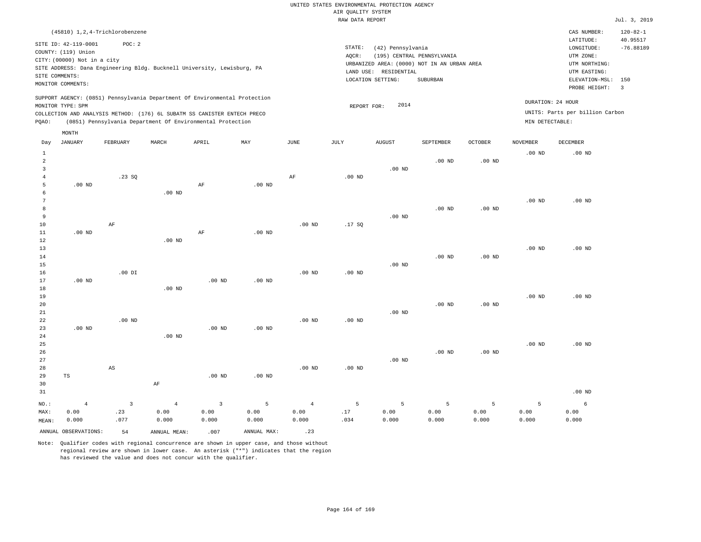|                            |                                                                                                                   |                |                                                                            |                |                   |                | RAW DATA REPORT   |                                                                 |                                                                                       |                   |                   |                                                                                         | Jul. 3, 2019                   |
|----------------------------|-------------------------------------------------------------------------------------------------------------------|----------------|----------------------------------------------------------------------------|----------------|-------------------|----------------|-------------------|-----------------------------------------------------------------|---------------------------------------------------------------------------------------|-------------------|-------------------|-----------------------------------------------------------------------------------------|--------------------------------|
|                            | (45810) 1,2,4-Trichlorobenzene                                                                                    |                |                                                                            |                |                   |                |                   |                                                                 |                                                                                       |                   |                   | CAS NUMBER:                                                                             | $120 - 82 - 1$                 |
|                            | SITE ID: 42-119-0001<br>COUNTY: (119) Union<br>CITY: (00000) Not in a city<br>SITE COMMENTS:<br>MONITOR COMMENTS: | POC: 2         | SITE ADDRESS: Dana Engineering Bldg. Bucknell University, Lewisburg, PA    |                |                   |                | STATE:<br>AOCR:   | (42) Pennsylvania<br>LAND USE: RESIDENTIAL<br>LOCATION SETTING: | (195) CENTRAL PENNSYLVANIA<br>URBANIZED AREA: (0000) NOT IN AN URBAN AREA<br>SUBURBAN |                   |                   | LATITUDE:<br>LONGITUDE:<br>UTM ZONE:<br>UTM NORTHING:<br>UTM EASTING:<br>ELEVATION-MSL: | 40.95517<br>$-76.88189$<br>150 |
|                            |                                                                                                                   |                | SUPPORT AGENCY: (0851) Pennsylvania Department Of Environmental Protection |                |                   |                |                   |                                                                 |                                                                                       |                   |                   | PROBE HEIGHT:                                                                           | $\overline{\mathbf{3}}$        |
|                            | MONITOR TYPE: SPM                                                                                                 |                |                                                                            |                |                   |                | REPORT FOR:       | 2014                                                            |                                                                                       |                   |                   | DURATION: 24 HOUR                                                                       |                                |
|                            |                                                                                                                   |                | COLLECTION AND ANALYSIS METHOD: (176) 6L SUBATM SS CANISTER ENTECH PRECO   |                |                   |                |                   |                                                                 |                                                                                       |                   |                   | UNITS: Parts per billion Carbon                                                         |                                |
| PQAO:                      |                                                                                                                   |                | (0851) Pennsylvania Department Of Environmental Protection                 |                |                   |                |                   |                                                                 |                                                                                       |                   | MIN DETECTABLE:   |                                                                                         |                                |
|                            | MONTH                                                                                                             |                |                                                                            |                |                   |                |                   |                                                                 |                                                                                       |                   |                   |                                                                                         |                                |
| Day                        | JANUARY                                                                                                           | FEBRUARY       | MARCH                                                                      | APRIL          | MAY               | JUNE           | JULY              | AUGUST                                                          | SEPTEMBER                                                                             | <b>OCTOBER</b>    | <b>NOVEMBER</b>   | DECEMBER                                                                                |                                |
| $\,1\,$                    |                                                                                                                   |                |                                                                            |                |                   |                |                   |                                                                 |                                                                                       |                   | .00 <sub>ND</sub> | .00 <sub>ND</sub>                                                                       |                                |
| $\overline{2}$             |                                                                                                                   |                |                                                                            |                |                   |                |                   |                                                                 | .00 <sub>ND</sub>                                                                     | $.00$ ND          |                   |                                                                                         |                                |
| $\overline{3}$<br>$\bf{4}$ |                                                                                                                   | .23SQ          |                                                                            |                |                   |                | $.00$ ND          | .00 <sub>ND</sub>                                               |                                                                                       |                   |                   |                                                                                         |                                |
| 5                          | $.00$ ND                                                                                                          |                |                                                                            | AF             | .00 <sub>ND</sub> | AF             |                   |                                                                 |                                                                                       |                   |                   |                                                                                         |                                |
| 6                          |                                                                                                                   |                | .00 <sub>ND</sub>                                                          |                |                   |                |                   |                                                                 |                                                                                       |                   |                   |                                                                                         |                                |
| $\overline{7}$             |                                                                                                                   |                |                                                                            |                |                   |                |                   |                                                                 |                                                                                       |                   | .00 <sub>ND</sub> | .00 <sub>ND</sub>                                                                       |                                |
| 8                          |                                                                                                                   |                |                                                                            |                |                   |                |                   |                                                                 | $.00$ ND                                                                              | .00 <sub>ND</sub> |                   |                                                                                         |                                |
| $\overline{9}$             |                                                                                                                   |                |                                                                            |                |                   |                |                   | .00 <sub>ND</sub>                                               |                                                                                       |                   |                   |                                                                                         |                                |
| 10                         |                                                                                                                   | $\rm{AF}$      |                                                                            |                |                   | $.00$ ND       | .17SQ             |                                                                 |                                                                                       |                   |                   |                                                                                         |                                |
| $11\,$                     | $.00$ ND                                                                                                          |                |                                                                            | $\rm AF$       | $.00$ ND          |                |                   |                                                                 |                                                                                       |                   |                   |                                                                                         |                                |
| 12                         |                                                                                                                   |                | $.00$ ND                                                                   |                |                   |                |                   |                                                                 |                                                                                       |                   |                   |                                                                                         |                                |
| 13<br>14                   |                                                                                                                   |                |                                                                            |                |                   |                |                   |                                                                 | $.00$ ND                                                                              | .00 <sub>ND</sub> | .00 <sub>ND</sub> | .00 <sub>ND</sub>                                                                       |                                |
| 15                         |                                                                                                                   |                |                                                                            |                |                   |                |                   | $.00$ ND                                                        |                                                                                       |                   |                   |                                                                                         |                                |
| 16                         |                                                                                                                   | $.00$ DI       |                                                                            |                |                   | $.00$ ND       | .00 <sub>ND</sub> |                                                                 |                                                                                       |                   |                   |                                                                                         |                                |
| 17                         | $.00$ ND                                                                                                          |                |                                                                            | $.00$ ND       | $.00$ ND          |                |                   |                                                                 |                                                                                       |                   |                   |                                                                                         |                                |
| 18                         |                                                                                                                   |                | $.00$ ND                                                                   |                |                   |                |                   |                                                                 |                                                                                       |                   |                   |                                                                                         |                                |
| 19                         |                                                                                                                   |                |                                                                            |                |                   |                |                   |                                                                 |                                                                                       |                   | $.00$ ND          | $.00$ ND                                                                                |                                |
| 20                         |                                                                                                                   |                |                                                                            |                |                   |                |                   |                                                                 | $.00$ ND                                                                              | .00 <sub>ND</sub> |                   |                                                                                         |                                |
| 21                         |                                                                                                                   |                |                                                                            |                |                   |                |                   | $.00$ ND                                                        |                                                                                       |                   |                   |                                                                                         |                                |
| 22                         |                                                                                                                   | $.00$ ND       |                                                                            |                |                   | $.00$ ND       | $.00$ ND          |                                                                 |                                                                                       |                   |                   |                                                                                         |                                |
| 23<br>24                   | $.00$ ND                                                                                                          |                | $.00$ ND                                                                   | $.00$ ND       | $.00$ ND          |                |                   |                                                                 |                                                                                       |                   |                   |                                                                                         |                                |
| 25                         |                                                                                                                   |                |                                                                            |                |                   |                |                   |                                                                 |                                                                                       |                   | .00 <sub>ND</sub> | $.00$ ND                                                                                |                                |
| 26                         |                                                                                                                   |                |                                                                            |                |                   |                |                   |                                                                 | $.00$ ND                                                                              | $.00$ ND          |                   |                                                                                         |                                |
| 27                         |                                                                                                                   |                |                                                                            |                |                   |                |                   | $.00$ ND                                                        |                                                                                       |                   |                   |                                                                                         |                                |
| 28                         |                                                                                                                   | $_{\rm AS}$    |                                                                            |                |                   | $.00$ ND       | $.00$ ND          |                                                                 |                                                                                       |                   |                   |                                                                                         |                                |
| 29                         | TS                                                                                                                |                |                                                                            | $.00$ ND       | $.00$ ND          |                |                   |                                                                 |                                                                                       |                   |                   |                                                                                         |                                |
| 30                         |                                                                                                                   |                | AF                                                                         |                |                   |                |                   |                                                                 |                                                                                       |                   |                   |                                                                                         |                                |
| 31                         |                                                                                                                   |                |                                                                            |                |                   |                |                   |                                                                 |                                                                                       |                   |                   | $.00$ ND                                                                                |                                |
| $NO.$ :                    | $\overline{4}$                                                                                                    | $\overline{3}$ | $\overline{4}$                                                             | $\overline{3}$ | 5                 | $\overline{4}$ | 5                 | 5                                                               | 5                                                                                     | 5                 | 5                 | 6                                                                                       |                                |
| MAX:                       | 0.00                                                                                                              | .23            | 0.00                                                                       | 0.00           | 0.00              | 0.00           | .17               | 0.00                                                            | 0.00                                                                                  | 0.00              | 0.00              | 0.00                                                                                    |                                |
| MEAN:                      | 0.000                                                                                                             | .077           | 0.000                                                                      | 0.000          | 0.000             | 0.000          | .034              | 0.000                                                           | 0.000                                                                                 | 0.000             | 0.000             | 0.000                                                                                   |                                |
|                            | ANNUAL OBSERVATIONS:                                                                                              | 54             | ANNUAL MEAN:                                                               | .007           | ANNUAL MAX:       | .23            |                   |                                                                 |                                                                                       |                   |                   |                                                                                         |                                |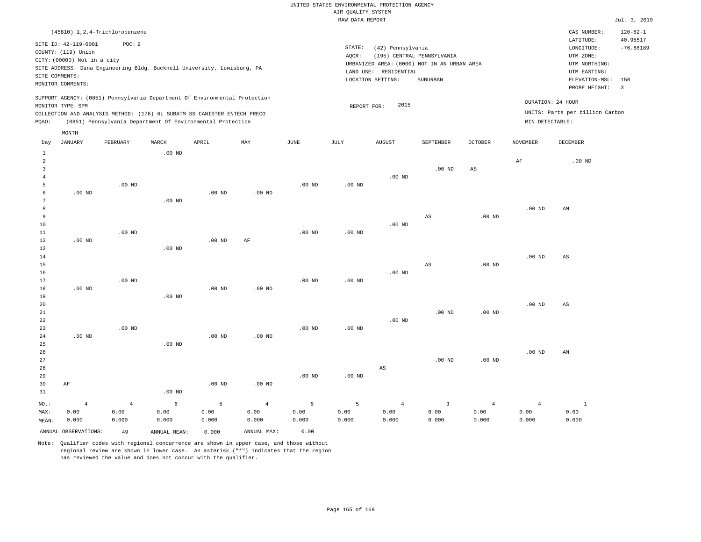|                     |                             |                                                                            |                   |                   |                   |          | RAW DATA REPORT   |                                  |                                             |                   |                   |                                 | Jul. 3, 2019   |
|---------------------|-----------------------------|----------------------------------------------------------------------------|-------------------|-------------------|-------------------|----------|-------------------|----------------------------------|---------------------------------------------|-------------------|-------------------|---------------------------------|----------------|
|                     |                             | (45810) 1, 2, 4-Trichlorobenzene                                           |                   |                   |                   |          |                   |                                  |                                             |                   |                   | CAS NUMBER:                     | $120 - 82 - 1$ |
|                     | SITE ID: 42-119-0001        | POC: 2                                                                     |                   |                   |                   |          |                   |                                  |                                             |                   |                   | LATITUDE:                       | 40.95517       |
|                     | COUNTY: (119) Union         |                                                                            |                   |                   |                   |          | STATE:            | (42) Pennsylvania                |                                             |                   |                   | LONGITUDE:                      | $-76.88189$    |
|                     | CITY: (00000) Not in a city |                                                                            |                   |                   |                   |          | AQCR:             |                                  | (195) CENTRAL PENNSYLVANIA                  |                   |                   | UTM ZONE:                       |                |
|                     |                             | SITE ADDRESS: Dana Engineering Bldg. Bucknell University, Lewisburg, PA    |                   |                   |                   |          |                   |                                  | URBANIZED AREA: (0000) NOT IN AN URBAN AREA |                   |                   | UTM NORTHING:                   |                |
|                     | SITE COMMENTS:              |                                                                            |                   |                   |                   |          | LAND USE:         | RESIDENTIAL<br>LOCATION SETTING: | <b>SUBURBAN</b>                             |                   |                   | UTM EASTING:<br>ELEVATION-MSL:  | 150            |
|                     | MONITOR COMMENTS:           |                                                                            |                   |                   |                   |          |                   |                                  |                                             |                   |                   | PROBE HEIGHT:                   | $\overline{3}$ |
|                     |                             | SUPPORT AGENCY: (0851) Pennsylvania Department Of Environmental Protection |                   |                   |                   |          |                   |                                  |                                             |                   |                   |                                 |                |
|                     | MONITOR TYPE: SPM           |                                                                            |                   |                   |                   |          | REPORT FOR:       | 2015                             |                                             |                   |                   | DURATION: 24 HOUR               |                |
|                     |                             | COLLECTION AND ANALYSIS METHOD: (176) 6L SUBATM SS CANISTER ENTECH PRECO   |                   |                   |                   |          |                   |                                  |                                             |                   |                   | UNITS: Parts per billion Carbon |                |
| PQAO:               |                             | (0851) Pennsylvania Department Of Environmental Protection                 |                   |                   |                   |          |                   |                                  |                                             |                   | MIN DETECTABLE:   |                                 |                |
|                     | MONTH                       |                                                                            |                   |                   |                   |          |                   |                                  |                                             |                   |                   |                                 |                |
| Day                 | <b>JANUARY</b>              | FEBRUARY                                                                   | MARCH             | APRIL             | MAY               | JUNE     | JULY              | <b>AUGUST</b>                    | SEPTEMBER                                   | <b>OCTOBER</b>    | <b>NOVEMBER</b>   | <b>DECEMBER</b>                 |                |
| $\mathbf{1}$        |                             |                                                                            | $.00$ ND          |                   |                   |          |                   |                                  |                                             |                   |                   |                                 |                |
| 2                   |                             |                                                                            |                   |                   |                   |          |                   |                                  |                                             |                   | AF                | $.00$ ND                        |                |
| $\overline{3}$      |                             |                                                                            |                   |                   |                   |          |                   |                                  | $.00$ ND                                    | AS                |                   |                                 |                |
| $\overline{4}$<br>5 |                             |                                                                            |                   |                   |                   |          |                   | .00 <sub>ND</sub>                |                                             |                   |                   |                                 |                |
| 6                   | $.00$ ND                    | $.00$ ND                                                                   |                   | $.00$ ND          | .00 <sub>ND</sub> | $.00$ ND | $.00$ ND          |                                  |                                             |                   |                   |                                 |                |
| 7                   |                             |                                                                            | .00 <sub>ND</sub> |                   |                   |          |                   |                                  |                                             |                   |                   |                                 |                |
| 8                   |                             |                                                                            |                   |                   |                   |          |                   |                                  |                                             |                   | .00 <sub>ND</sub> | AM                              |                |
| 9                   |                             |                                                                            |                   |                   |                   |          |                   |                                  | $\mathbb{A}\mathbb{S}$                      | .00 <sub>ND</sub> |                   |                                 |                |
| 10                  |                             |                                                                            |                   |                   |                   |          |                   | .00 <sub>ND</sub>                |                                             |                   |                   |                                 |                |
| 11                  |                             | $.00$ ND                                                                   |                   |                   |                   | $.00$ ND | .00 <sub>ND</sub> |                                  |                                             |                   |                   |                                 |                |
| 12                  | $.00$ ND                    |                                                                            |                   | .00 <sub>ND</sub> | AF                |          |                   |                                  |                                             |                   |                   |                                 |                |
| $13$                |                             |                                                                            | $.00$ ND          |                   |                   |          |                   |                                  |                                             |                   |                   |                                 |                |
| $14$                |                             |                                                                            |                   |                   |                   |          |                   |                                  |                                             |                   | .00 <sub>ND</sub> | $\mathbb{A}\mathbb{S}$          |                |
| 15                  |                             |                                                                            |                   |                   |                   |          |                   |                                  | $\mathbb{A}\mathbb{S}$                      | .00 <sub>ND</sub> |                   |                                 |                |
| 16                  |                             |                                                                            |                   |                   |                   |          |                   | .00 <sub>ND</sub>                |                                             |                   |                   |                                 |                |
| 17                  |                             | $.00$ ND                                                                   |                   |                   |                   | $.00$ ND | $.00$ ND          |                                  |                                             |                   |                   |                                 |                |
| 18<br>19            | $.00$ ND                    |                                                                            | $.00$ ND          | $.00$ ND          | $.00$ ND          |          |                   |                                  |                                             |                   |                   |                                 |                |
| 20                  |                             |                                                                            |                   |                   |                   |          |                   |                                  |                                             |                   | .00 <sub>ND</sub> | AS                              |                |
| 21                  |                             |                                                                            |                   |                   |                   |          |                   |                                  | $.00$ ND                                    | .00 <sub>ND</sub> |                   |                                 |                |
| 22                  |                             |                                                                            |                   |                   |                   |          |                   | .00 <sub>ND</sub>                |                                             |                   |                   |                                 |                |
| 23                  |                             | $.00$ ND                                                                   |                   |                   |                   | $.00$ ND | $.00$ ND          |                                  |                                             |                   |                   |                                 |                |
| 24                  | $.00$ ND                    |                                                                            |                   | $.00$ ND          | .00 <sub>ND</sub> |          |                   |                                  |                                             |                   |                   |                                 |                |
| 25                  |                             |                                                                            | $.00$ ND          |                   |                   |          |                   |                                  |                                             |                   |                   |                                 |                |
| 26                  |                             |                                                                            |                   |                   |                   |          |                   |                                  |                                             |                   | .00 <sub>ND</sub> | AM                              |                |
| 27                  |                             |                                                                            |                   |                   |                   |          |                   |                                  | .00 <sub>ND</sub>                           | .00 <sub>ND</sub> |                   |                                 |                |
| 28                  |                             |                                                                            |                   |                   |                   |          |                   | AS                               |                                             |                   |                   |                                 |                |
| 29                  |                             |                                                                            |                   |                   |                   | $.00$ ND | .00 <sub>ND</sub> |                                  |                                             |                   |                   |                                 |                |
| 30                  | AF                          |                                                                            |                   | $.00$ ND          | $.00$ ND          |          |                   |                                  |                                             |                   |                   |                                 |                |
| 31                  |                             |                                                                            | .00 <sub>ND</sub> |                   |                   |          |                   |                                  |                                             |                   |                   |                                 |                |
| $NO.$ :             | $\overline{4}$              | $\overline{4}$                                                             | 6                 | 5                 | $\,4\,$           | 5        | 5                 | $\overline{4}$                   | $\overline{\mathbf{3}}$                     | $\overline{4}$    | $\overline{4}$    | $\mathbf{1}$                    |                |
| MAX:                | 0.00                        | 0.00                                                                       | 0.00              | 0.00              | 0.00              | 0.00     | 0.00              | 0.00                             | 0.00                                        | 0.00              | 0.00              | 0.00                            |                |
| MEAN:               | 0.000                       | 0.000                                                                      | 0.000             | 0.000             | 0.000             | 0.000    | 0.000             | 0.000                            | 0.000                                       | 0.000             | 0.000             | 0.000                           |                |

Note: Qualifier codes with regional concurrence are shown in upper case, and those without regional review are shown in lower case. An asterisk ("\*") indicates that the region has reviewed the value and does not concur with the qualifier.

ANNUAL OBSERVATIONS: 49 ANNUAL MEAN: 0.000 ANNUAL MAX: 0.00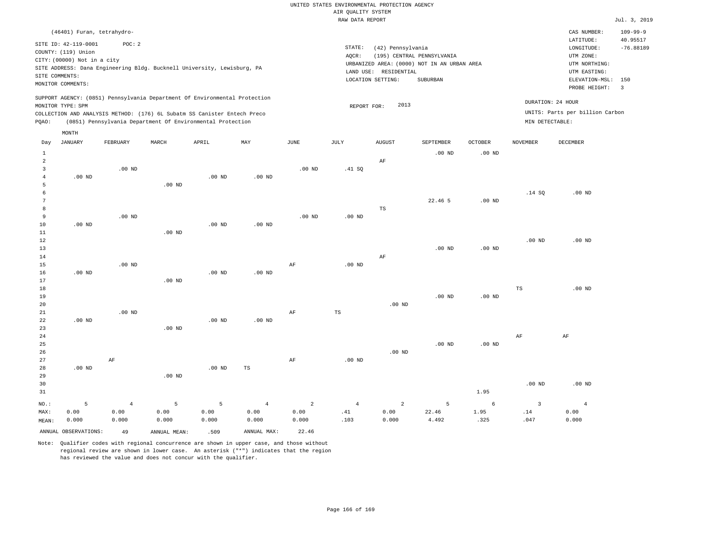RAW DATA REPORT Jul. 3, 2019 UNITED STATES ENVIRONMENTAL PROTECTION AGENCY AIR QUALITY SYSTEM

| (46401) Furan, tetrahydro-                                                                                                                                                                                                                                                                                                                                                               | CAS NUMBER:<br>$109 - 99 - 9$<br>40.95517<br>LATITUDE:                                                                                       |
|------------------------------------------------------------------------------------------------------------------------------------------------------------------------------------------------------------------------------------------------------------------------------------------------------------------------------------------------------------------------------------------|----------------------------------------------------------------------------------------------------------------------------------------------|
|                                                                                                                                                                                                                                                                                                                                                                                          |                                                                                                                                              |
| SITE ID: 42-119-0001<br>POC: 2<br>STATE:<br>(42) Pennsylvania<br>COUNTY: (119) Union<br>AQCR:<br>(195) CENTRAL PENNSYLVANIA<br>CITY: (00000) Not in a city<br>URBANIZED AREA: (0000) NOT IN AN URBAN AREA<br>SITE ADDRESS: Dana Engineering Bldg. Bucknell University, Lewisburg, PA<br>LAND USE:<br>RESIDENTIAL<br>SITE COMMENTS:<br>LOCATION SETTING:<br>SUBURBAN<br>MONITOR COMMENTS: | $-76.88189$<br>LONGITUDE:<br>UTM ZONE:<br>UTM NORTHING:<br>UTM EASTING:<br>150<br>ELEVATION-MSL:<br>PROBE HEIGHT:<br>$\overline{\mathbf{3}}$ |
| SUPPORT AGENCY: (0851) Pennsylvania Department Of Environmental Protection<br>DURATION: 24 HOUR<br>2013<br>MONITOR TYPE: SPM<br>REPORT FOR:<br>UNITS: Parts per billion Carbon<br>COLLECTION AND ANALYSIS METHOD: (176) 6L Subatm SS Canister Entech Preco<br>(0851) Pennsylvania Department Of Environmental Protection<br>MIN DETECTABLE:<br>POAO:                                     |                                                                                                                                              |
| MONTH<br>MAY<br>JUNE<br>NOVEMBER<br>DECEMBER<br>JANUARY<br>FEBRUARY<br>MARCH<br>APRIL<br>JULY<br>AUGUST<br>SEPTEMBER<br>OCTOBER<br>Day                                                                                                                                                                                                                                                   |                                                                                                                                              |
| $.00$ ND<br>$.00$ ND<br>AF                                                                                                                                                                                                                                                                                                                                                               |                                                                                                                                              |

| 3  |          | $.00$ ND |          |          |          | $.00$ ND | .41 SQ   |    |         |          |          |          |
|----|----------|----------|----------|----------|----------|----------|----------|----|---------|----------|----------|----------|
| 4  | $.00$ ND |          |          | $.00$ ND | $.00$ ND |          |          |    |         |          |          |          |
| 5  |          |          | $.00$ ND |          |          |          |          |    |         |          |          |          |
| 6  |          |          |          |          |          |          |          |    |         |          | .14 SQ   | $.00$ ND |
| 7  |          |          |          |          |          |          |          |    | 22.46 5 | $.00$ ND |          |          |
| 8  |          |          |          |          |          |          |          | TS |         |          |          |          |
| 9  |          | $.00$ ND |          |          |          | $.00$ ND | $.00$ ND |    |         |          |          |          |
| 10 | $.00$ ND |          |          | $.00$ ND | $.00$ ND |          |          |    |         |          |          |          |
| 11 |          |          | $.00$ ND |          |          |          |          |    |         |          |          |          |
| 12 |          |          |          |          |          |          |          |    |         |          | $.00$ ND | $.00$ ND |

| 13     |          |          |          |          |          |    |          |          | $.00$ ND | $.00$ ND |    |          |
|--------|----------|----------|----------|----------|----------|----|----------|----------|----------|----------|----|----------|
| 14     |          |          |          |          |          |    |          | AF       |          |          |    |          |
| 15     |          | $.00$ ND |          |          |          | AF | $.00$ ND |          |          |          |    |          |
| 16     | $.00$ ND |          |          | $.00$ ND | $.00$ ND |    |          |          |          |          |    |          |
| 17     |          |          | $.00$ ND |          |          |    |          |          |          |          |    |          |
| 18     |          |          |          |          |          |    |          |          |          |          | TS | $.00$ ND |
| 19     |          |          |          |          |          |    |          |          | $.00$ ND | $.00$ ND |    |          |
| 20     |          |          |          |          |          |    |          | $.00$ ND |          |          |    |          |
| 21     |          | $.00$ ND |          |          |          | AF | TS       |          |          |          |    |          |
| 22     | $.00$ ND |          |          | $.00$ ND | $.00$ ND |    |          |          |          |          |    |          |
| 23     |          |          | $.00$ ND |          |          |    |          |          |          |          |    |          |
| $2\,4$ |          |          |          |          |          |    |          |          |          |          | AF | AF       |
| 25     |          |          |          |          |          |    |          |          | $.00$ ND | $.00$ ND |    |          |

| 26 |          |           |          |          |           |    |          | $.00$ ND |      |          |          |
|----|----------|-----------|----------|----------|-----------|----|----------|----------|------|----------|----------|
| 27 |          | $\rm{AF}$ |          |          |           | AF | $.00$ ND |          |      |          |          |
| 28 | $.00$ ND |           |          | $.00$ ND | <b>TS</b> |    |          |          |      |          |          |
| 29 |          |           | .00 $ND$ |          |           |    |          |          |      |          |          |
| 30 |          |           |          |          |           |    |          |          |      | $.00$ ND | $.00$ ND |
| 31 |          |           |          |          |           |    |          |          | 1.95 |          |          |

|       |                         |       | NO.: 5 4 5 5 4 2 4 2 5 |       |             |               |      |       |       | $6\overline{6}$ |      |       |
|-------|-------------------------|-------|------------------------|-------|-------------|---------------|------|-------|-------|-----------------|------|-------|
| MAX:  | 0.00                    | 0.00  | 0.00                   | 0.00  | 0.00        | $0.00$ . $41$ |      | 0.00  | 22.46 | 1.95            | .14  | 0.00  |
| MEAN: | 0.000                   | 0.000 | 0.000                  | 0.000 | 0.000       | 0.000         | .103 | 0.000 | 4.492 | .325            | .047 | 0.000 |
|       | ANNUAL OBSERVATIONS: 49 |       | ANNUAL MEAN:           | .509  | ANNUAL MAX: | 22.46         |      |       |       |                 |      |       |

Note: Qualifier codes with regional concurrence are shown in upper case, and those without regional review are shown in lower case. An asterisk ("\*") indicates that the region

has reviewed the value and does not concur with the qualifier.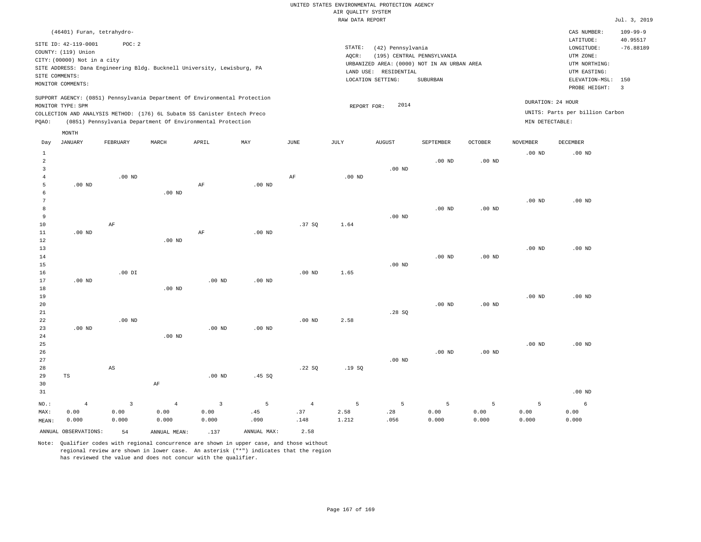|                |                             |                        |                                                                            |                         |             |                   | RAW DATA REPORT |                       |                                             |                   |                   |                                 | Jul. 3, 2019   |
|----------------|-----------------------------|------------------------|----------------------------------------------------------------------------|-------------------------|-------------|-------------------|-----------------|-----------------------|---------------------------------------------|-------------------|-------------------|---------------------------------|----------------|
|                | (46401) Furan, tetrahydro-  |                        |                                                                            |                         |             |                   |                 |                       |                                             |                   |                   | CAS NUMBER:                     | $109 - 99 - 9$ |
|                |                             |                        |                                                                            |                         |             |                   |                 |                       |                                             |                   |                   | LATITUDE:                       | 40.95517       |
|                | SITE ID: 42-119-0001        | POC: 2                 |                                                                            |                         |             |                   | STATE:          | (42) Pennsylvania     |                                             |                   |                   | LONGITUDE:                      | $-76.88189$    |
|                | COUNTY: (119) Union         |                        |                                                                            |                         |             |                   | AQCR:           |                       | (195) CENTRAL PENNSYLVANIA                  |                   |                   | UTM ZONE:                       |                |
|                | CITY: (00000) Not in a city |                        |                                                                            |                         |             |                   |                 |                       | URBANIZED AREA: (0000) NOT IN AN URBAN AREA |                   |                   | UTM NORTHING:                   |                |
|                |                             |                        | SITE ADDRESS: Dana Engineering Bldg. Bucknell University, Lewisburg, PA    |                         |             |                   |                 | LAND USE: RESIDENTIAL |                                             |                   |                   | UTM EASTING:                    |                |
|                | SITE COMMENTS:              |                        |                                                                            |                         |             |                   |                 | LOCATION SETTING:     | SUBURBAN                                    |                   |                   | ELEVATION-MSL:                  | 150            |
|                | MONITOR COMMENTS:           |                        |                                                                            |                         |             |                   |                 |                       |                                             |                   |                   | PROBE HEIGHT:                   | $\overline{3}$ |
|                |                             |                        | SUPPORT AGENCY: (0851) Pennsylvania Department Of Environmental Protection |                         |             |                   |                 |                       |                                             |                   |                   |                                 |                |
|                | MONITOR TYPE: SPM           |                        |                                                                            |                         |             |                   | REPORT FOR:     | 2014                  |                                             |                   |                   | DURATION: 24 HOUR               |                |
|                |                             |                        | COLLECTION AND ANALYSIS METHOD: (176) 6L Subatm SS Canister Entech Preco   |                         |             |                   |                 |                       |                                             |                   |                   | UNITS: Parts per billion Carbon |                |
| PQAO:          |                             |                        | (0851) Pennsylvania Department Of Environmental Protection                 |                         |             |                   |                 |                       |                                             |                   | MIN DETECTABLE:   |                                 |                |
|                | MONTH                       |                        |                                                                            |                         |             |                   |                 |                       |                                             |                   |                   |                                 |                |
| Day            | JANUARY                     | FEBRUARY               | MARCH                                                                      | APRIL                   | MAY         | $_{\rm JUNE}$     | JULY            | AUGUST                | SEPTEMBER                                   | OCTOBER           | <b>NOVEMBER</b>   | DECEMBER                        |                |
| $\mathbf{1}$   |                             |                        |                                                                            |                         |             |                   |                 |                       |                                             |                   | $.00$ ND          | $.00$ ND                        |                |
| 2              |                             |                        |                                                                            |                         |             |                   |                 |                       | $.00$ ND                                    | .00 <sub>ND</sub> |                   |                                 |                |
| 3              |                             |                        |                                                                            |                         |             |                   |                 | $.00$ ND              |                                             |                   |                   |                                 |                |
| $\overline{4}$ |                             | $.00$ ND               |                                                                            |                         |             | AF                | $.00$ ND        |                       |                                             |                   |                   |                                 |                |
| 5              | $.00$ ND                    |                        |                                                                            | $\rm AF$                | $.00$ ND    |                   |                 |                       |                                             |                   |                   |                                 |                |
| 6              |                             |                        | $.00$ ND                                                                   |                         |             |                   |                 |                       |                                             |                   |                   |                                 |                |
| 7              |                             |                        |                                                                            |                         |             |                   |                 |                       |                                             |                   | .00 <sub>ND</sub> | $.00$ ND                        |                |
| 8              |                             |                        |                                                                            |                         |             |                   |                 |                       | .00 <sub>ND</sub>                           | .00 <sub>ND</sub> |                   |                                 |                |
| 9              |                             |                        |                                                                            |                         |             |                   |                 | $.00$ ND              |                                             |                   |                   |                                 |                |
| 10             |                             | AF                     |                                                                            |                         |             | .37S              | 1.64            |                       |                                             |                   |                   |                                 |                |
| $11\,$         | .00 <sub>ND</sub>           |                        |                                                                            | $\rm{AF}$               | $.00$ ND    |                   |                 |                       |                                             |                   |                   |                                 |                |
| 12             |                             |                        | .00 <sub>ND</sub>                                                          |                         |             |                   |                 |                       |                                             |                   |                   |                                 |                |
| 13             |                             |                        |                                                                            |                         |             |                   |                 |                       |                                             |                   | .00 <sub>ND</sub> | $.00$ ND                        |                |
| 14             |                             |                        |                                                                            |                         |             |                   |                 |                       | $.00$ ND                                    | $.00$ ND          |                   |                                 |                |
| 15             |                             |                        |                                                                            |                         |             |                   |                 | $.00$ ND              |                                             |                   |                   |                                 |                |
| 16             |                             | $.00$ DI               |                                                                            |                         |             | .00 <sub>ND</sub> | 1.65            |                       |                                             |                   |                   |                                 |                |
| 17             | $.00$ ND                    |                        |                                                                            | .00 <sub>ND</sub>       | $.00$ ND    |                   |                 |                       |                                             |                   |                   |                                 |                |
| 18             |                             |                        | $.00$ ND                                                                   |                         |             |                   |                 |                       |                                             |                   |                   |                                 |                |
| 19             |                             |                        |                                                                            |                         |             |                   |                 |                       |                                             |                   | $.00$ ND          | $.00$ ND                        |                |
| 20             |                             |                        |                                                                            |                         |             |                   |                 |                       | .00 <sub>ND</sub>                           | $.00$ ND          |                   |                                 |                |
| 21             |                             |                        |                                                                            |                         |             |                   |                 | .28SQ                 |                                             |                   |                   |                                 |                |
| 22<br>23       | $.00$ ND                    | $.00$ ND               |                                                                            | $.00$ ND                | $.00$ ND    | $.00$ ND          | 2.58            |                       |                                             |                   |                   |                                 |                |
| 24             |                             |                        | $.00$ ND                                                                   |                         |             |                   |                 |                       |                                             |                   |                   |                                 |                |
| 25             |                             |                        |                                                                            |                         |             |                   |                 |                       |                                             |                   | $.00$ ND          | $.00$ ND                        |                |
| 26             |                             |                        |                                                                            |                         |             |                   |                 |                       | $.00$ ND                                    | .00 <sub>ND</sub> |                   |                                 |                |
| 27             |                             |                        |                                                                            |                         |             |                   |                 | $.00$ ND              |                                             |                   |                   |                                 |                |
| 28             |                             | $\mathbb{A}\mathbb{S}$ |                                                                            |                         |             | .22SQ             | .19SQ           |                       |                                             |                   |                   |                                 |                |
| 29             | TS                          |                        |                                                                            | $.00$ ND                | .45 SO      |                   |                 |                       |                                             |                   |                   |                                 |                |
| 30             |                             |                        | AF                                                                         |                         |             |                   |                 |                       |                                             |                   |                   |                                 |                |
| 31             |                             |                        |                                                                            |                         |             |                   |                 |                       |                                             |                   |                   | $.00$ ND                        |                |
|                |                             |                        |                                                                            |                         |             |                   |                 |                       |                                             |                   |                   |                                 |                |
| NO.:           | $\overline{4}$              | $\overline{3}$         | $\overline{4}$                                                             | $\overline{\mathbf{3}}$ | 5           | $\overline{4}$    | 5               | 5                     | 5                                           | 5                 | 5                 | 6                               |                |
| MAX:           | 0.00                        | 0.00                   | 0.00                                                                       | 0.00                    | .45         | .37               | 2.58            | .28                   | 0.00                                        | 0.00              | 0.00              | 0.00                            |                |
| MEAN:          | 0.000                       | 0.000                  | 0.000                                                                      | 0.000                   | .090        | .148              | 1.212           | .056                  | 0.000                                       | 0.000             | 0.000             | 0.000                           |                |
|                | ANNUAL OBSERVATIONS:        | 54                     | ANNUAL MEAN:                                                               | .137                    | ANNUAL MAX: | 2.58              |                 |                       |                                             |                   |                   |                                 |                |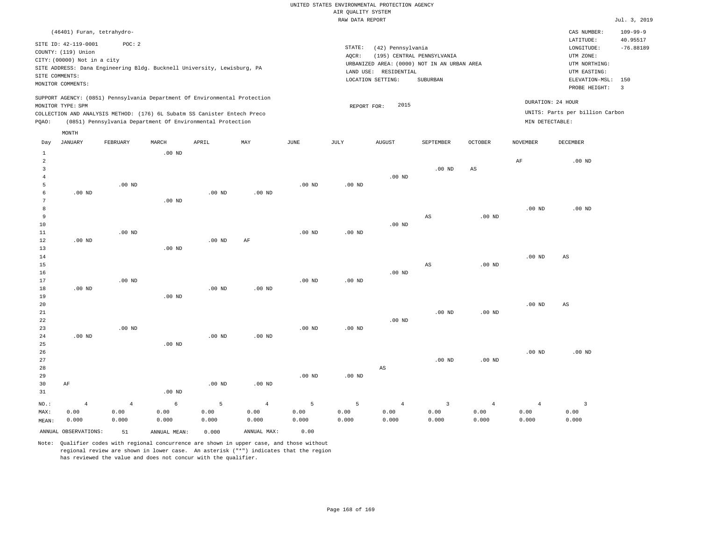| RAW DATA REPORT                                                                                                                                                                                                                                                                                                                                                                                                                                                    |                            |          |          |          |          |          |                                                                                                |               |               |                      |                   |                                                                                                          | Jul. 3, 2019                                               |
|--------------------------------------------------------------------------------------------------------------------------------------------------------------------------------------------------------------------------------------------------------------------------------------------------------------------------------------------------------------------------------------------------------------------------------------------------------------------|----------------------------|----------|----------|----------|----------|----------|------------------------------------------------------------------------------------------------|---------------|---------------|----------------------|-------------------|----------------------------------------------------------------------------------------------------------|------------------------------------------------------------|
|                                                                                                                                                                                                                                                                                                                                                                                                                                                                    | (46401) Furan, tetrahydro- |          |          |          |          |          |                                                                                                |               |               |                      |                   | CAS NUMBER:                                                                                              | $109 - 99 - 9$                                             |
| SITE ID: 42-119-0001<br>POC:2<br>STATE:<br>(42) Pennsylvania<br>COUNTY: (119) Union<br>(195) CENTRAL PENNSYLVANIA<br>AOCR:<br>CITY: (00000) Not in a city<br>URBANIZED AREA: (0000) NOT IN AN URBAN AREA<br>SITE ADDRESS: Dana Engineering Bldg. Bucknell University, Lewisburg, PA<br>LAND USE: RESIDENTIAL<br>SITE COMMENTS:<br>LOCATION SETTING:<br>SUBURBAN<br>MONITOR COMMENTS:<br>SUPPORT AGENCY: (0851) Pennsylvania Department Of Environmental Protection |                            |          |          |          |          |          |                                                                                                |               |               |                      |                   | LATITUDE:<br>LONGITUDE:<br>UTM ZONE:<br>UTM NORTHING:<br>UTM EASTING:<br>ELEVATION-MSL:<br>PROBE HEIGHT: | 40.95517<br>$-76.88189$<br>150<br>$\overline{\phantom{a}}$ |
| MONITOR TYPE: SPM<br>COLLECTION AND ANALYSIS METHOD: (176) 6L Subatm SS Canister Entech Preco<br>(0851) Pennsylvania Department Of Environmental Protection<br>POAO:                                                                                                                                                                                                                                                                                               |                            |          |          |          |          |          | DURATION: 24 HOUR<br>2015<br>REPORT FOR:<br>UNITS: Parts per billion Carbon<br>MIN DETECTABLE: |               |               |                      |                   |                                                                                                          |                                                            |
| Day                                                                                                                                                                                                                                                                                                                                                                                                                                                                | MONTH<br>JANUARY           | FEBRUARY | MARCH    | APRIL    | MAY      | JUNE     | JULY                                                                                           | <b>AUGUST</b> | SEPTEMBER     | <b>OCTOBER</b>       | <b>NOVEMBER</b>   | <b>DECEMBER</b>                                                                                          |                                                            |
|                                                                                                                                                                                                                                                                                                                                                                                                                                                                    |                            |          | $.00$ ND |          |          |          |                                                                                                | $.00$ ND      | $.00$ ND      | AS                   | AF                | $.00$ ND                                                                                                 |                                                            |
|                                                                                                                                                                                                                                                                                                                                                                                                                                                                    |                            | $.00$ ND |          |          |          | $.00$ ND | $.00$ ND                                                                                       |               |               |                      |                   |                                                                                                          |                                                            |
| 6                                                                                                                                                                                                                                                                                                                                                                                                                                                                  | $.00$ ND                   |          | $.00$ ND | $.00$ ND | $.00$ ND |          |                                                                                                |               |               |                      |                   |                                                                                                          |                                                            |
| 8                                                                                                                                                                                                                                                                                                                                                                                                                                                                  |                            |          |          |          |          |          |                                                                                                |               | $\sim$ $\sim$ | $\sim$ $\sim$ $\sim$ | .00 <sub>ND</sub> | $.00$ ND                                                                                                 |                                                            |

| $\overline{\mathbf{3}}$ |                |                |          |          |                |          |                   |                   | .00 ND                 | AS                |                |                         |
|-------------------------|----------------|----------------|----------|----------|----------------|----------|-------------------|-------------------|------------------------|-------------------|----------------|-------------------------|
| $\overline{4}$          |                |                |          |          |                |          |                   | $.00$ ND          |                        |                   |                |                         |
| 5<br>6                  | $.00$ ND       | .00 $ND$       |          | $.00$ ND | $.00$ ND       | $.00$ ND | .00 $ND$          |                   |                        |                   |                |                         |
| $7\phantom{.0}$         |                |                | $.00$ ND |          |                |          |                   |                   |                        |                   |                |                         |
| 8                       |                |                |          |          |                |          |                   |                   |                        |                   | .00 $ND$       | $.00$ ND                |
| 9                       |                |                |          |          |                |          |                   |                   | $\mathbb{A}\mathbb{S}$ | $.00$ ND          |                |                         |
| $10$                    |                |                |          |          |                |          |                   | $.00$ ND          |                        |                   |                |                         |
| $11\,$                  |                | .00 $ND$       |          |          |                | $.00$ ND | .00 <sub>ND</sub> |                   |                        |                   |                |                         |
| $1\,2$                  | .00 $ND$       |                |          | $.00$ ND | $\rm AF$       |          |                   |                   |                        |                   |                |                         |
| 13                      |                |                | $.00$ ND |          |                |          |                   |                   |                        |                   |                |                         |
| $14\,$                  |                |                |          |          |                |          |                   |                   |                        |                   | .00 $ND$       | AS                      |
| $1\,5$                  |                |                |          |          |                |          |                   |                   | $\mathbb{A}\mathbb{S}$ | $.00$ ND          |                |                         |
| 16                      |                |                |          |          |                |          |                   | .00 <sub>ND</sub> |                        |                   |                |                         |
| $17$                    |                | $.00$ ND       |          |          |                | $.00$ ND | $.00$ ND          |                   |                        |                   |                |                         |
| $18\,$                  | $.00$ ND       |                |          | $.00$ ND | $.00$ ND       |          |                   |                   |                        |                   |                |                         |
| 19                      |                |                | $.00$ ND |          |                |          |                   |                   |                        |                   |                |                         |
| $20\,$                  |                |                |          |          |                |          |                   |                   |                        |                   | .00 $ND$       | AS                      |
| $2\sqrt{1}$             |                |                |          |          |                |          |                   |                   | $.00$ ND               | $.00~\mathrm{ND}$ |                |                         |
| $2\sqrt{2}$             |                |                |          |          |                |          |                   | $.00$ ND          |                        |                   |                |                         |
| 23                      |                | $.00$ ND       |          |          |                | $.00$ ND | $.00$ ND          |                   |                        |                   |                |                         |
| $2\sqrt{4}$             | .00 $ND$       |                |          | $.00$ ND | $.00$ ND       |          |                   |                   |                        |                   |                |                         |
| $25\,$                  |                |                | $.00$ ND |          |                |          |                   |                   |                        |                   |                |                         |
| $26\,$                  |                |                |          |          |                |          |                   |                   |                        |                   | $.00$ ND       | $.00$ ND                |
| $2\,7$                  |                |                |          |          |                |          |                   |                   | $.00$ ND               | $.00$ ND          |                |                         |
| 28                      |                |                |          |          |                |          |                   | AS                |                        |                   |                |                         |
| 29                      |                |                |          |          |                | $.00$ ND | .00 <sub>ND</sub> |                   |                        |                   |                |                         |
| 30                      | $\rm{AF}$      |                |          | $.00$ ND | $.00$ ND       |          |                   |                   |                        |                   |                |                         |
| 31                      |                |                | $.00$ ND |          |                |          |                   |                   |                        |                   |                |                         |
| $NO.$ :                 | $\overline{4}$ | $\overline{4}$ | 6        | 5        | $\overline{4}$ | 5        | 5                 | 4                 | $\overline{3}$         | 4                 | $\overline{4}$ | $\overline{\mathbf{3}}$ |
| MAX:                    | 0.00           | 0.00           | 0.00     | 0.00     | 0.00           | 0.00     | 0.00              | 0.00              | 0.00                   | 0.00              | 0.00           | 0.00                    |
| MEAN:                   | 0.000          | 0.000          | 0.000    | 0.000    | 0.000          | 0.000    | 0.000             | 0.000             | 0.000                  | 0.000             | 0.000          | 0.000                   |

ANNUAL OBSERVATIONS: 51 ANNUAL MEAN: 0.000 ANNUAL MAX: 0.00